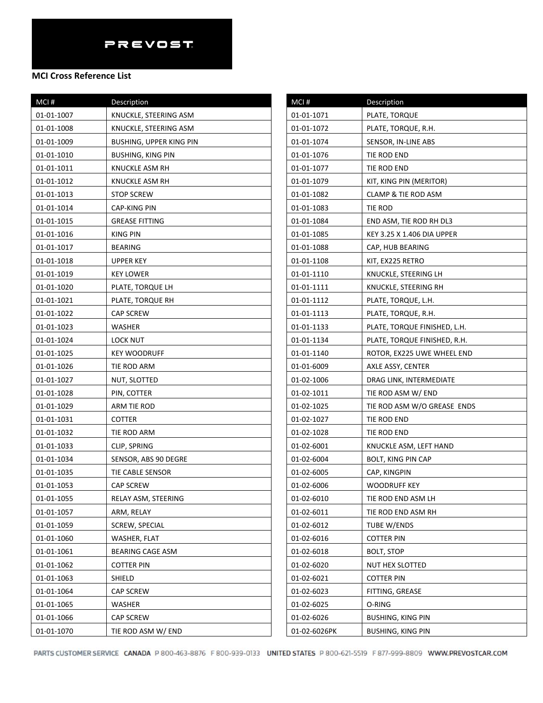### **MCI Cross Reference List**

| MCI#       | Description                    | MCI#         |
|------------|--------------------------------|--------------|
| 01-01-1007 | KNUCKLE, STEERING ASM          | 01-01-1071   |
| 01-01-1008 | KNUCKLE, STEERING ASM          | 01-01-1072   |
| 01-01-1009 | <b>BUSHING, UPPER KING PIN</b> | 01-01-1074   |
| 01-01-1010 | <b>BUSHING, KING PIN</b>       | 01-01-1076   |
| 01-01-1011 | KNUCKLE ASM RH                 | 01-01-1077   |
| 01-01-1012 | KNUCKLE ASM RH                 | 01-01-1079   |
| 01-01-1013 | <b>STOP SCREW</b>              | 01-01-1082   |
| 01-01-1014 | CAP-KING PIN                   | 01-01-1083   |
| 01-01-1015 | <b>GREASE FITTING</b>          | 01-01-1084   |
| 01-01-1016 | KING PIN                       | 01-01-1085   |
| 01-01-1017 | <b>BEARING</b>                 | 01-01-1088   |
| 01-01-1018 | UPPER KEY                      | 01-01-1108   |
| 01-01-1019 | <b>KEY LOWER</b>               | 01-01-1110   |
| 01-01-1020 | PLATE, TORQUE LH               | 01-01-1111   |
| 01-01-1021 | PLATE, TORQUE RH               | 01-01-1112   |
| 01-01-1022 | <b>CAP SCREW</b>               | 01-01-1113   |
| 01-01-1023 | WASHER                         | 01-01-1133   |
| 01-01-1024 | LOCK NUT                       | 01-01-1134   |
| 01-01-1025 | <b>KEY WOODRUFF</b>            | 01-01-1140   |
| 01-01-1026 | TIE ROD ARM                    | 01-01-6009   |
| 01-01-1027 | NUT, SLOTTED                   | 01-02-1006   |
| 01-01-1028 | PIN, COTTER                    | 01-02-1011   |
| 01-01-1029 | ARM TIE ROD                    | 01-02-1025   |
| 01-01-1031 | <b>COTTER</b>                  | 01-02-1027   |
| 01-01-1032 | TIE ROD ARM                    | 01-02-1028   |
| 01-01-1033 | CLIP, SPRING                   | 01-02-6001   |
| 01-01-1034 | SENSOR, ABS 90 DEGRE           | 01-02-6004   |
| 01-01-1035 | TIE CABLE SENSOR               | 01-02-6005   |
| 01-01-1053 | <b>CAP SCREW</b>               | 01-02-6006   |
| 01-01-1055 | RELAY ASM, STEERING            | 01-02-6010   |
| 01-01-1057 | ARM, RELAY                     | 01-02-6011   |
| 01-01-1059 | SCREW, SPECIAL                 | 01-02-6012   |
| 01-01-1060 | WASHER, FLAT                   | 01-02-6016   |
| 01-01-1061 | BEARING CAGE ASM               | 01-02-6018   |
| 01-01-1062 | <b>COTTER PIN</b>              | 01-02-6020   |
| 01-01-1063 | SHIELD                         | 01-02-6021   |
| 01-01-1064 | <b>CAP SCREW</b>               | 01-02-6023   |
| 01-01-1065 | WASHER                         | 01-02-6025   |
| 01-01-1066 | <b>CAP SCREW</b>               | 01-02-6026   |
| 01-01-1070 | TIE ROD ASM W/ END             | 01-02-6026PK |

| $MCI$ #      | Description                  |
|--------------|------------------------------|
| 01-01-1071   | PLATE, TORQUE                |
| 01-01-1072   | PLATE, TORQUE, R.H.          |
| 01-01-1074   | SENSOR, IN-LINE ABS          |
| 01-01-1076   | tie Rod end                  |
| 01-01-1077   | TIE ROD END                  |
| 01-01-1079   | KIT, KING PIN (MERITOR)      |
| 01-01-1082   | CLAMP & TIE ROD ASM          |
| 01-01-1083   | tie Rod                      |
| 01-01-1084   | END ASM, TIE ROD RH DL3      |
| 01-01-1085   | KEY 3.25 X 1.406 DIA UPPER   |
| 01-01-1088   | CAP, HUB BEARING             |
| 01-01-1108   | KIT, EX225 RETRO             |
| 01-01-1110   | KNUCKLE, STEERING LH         |
| 01-01-1111   | KNUCKLE, STEERING RH         |
| 01-01-1112   | PLATE, TORQUE, L.H.          |
| 01-01-1113   | PLATE, TORQUE, R.H.          |
| 01-01-1133   | PLATE, TORQUE FINISHED, L.H. |
| 01-01-1134   | PLATE, TORQUE FINISHED, R.H. |
| 01-01-1140   | ROTOR, EX225 UWE WHEEL END   |
| 01-01-6009   | AXLE ASSY, CENTER            |
| 01-02-1006   | DRAG LINK, INTERMEDIATE      |
| 01-02-1011   | TIE ROD ASM W/ END           |
| 01-02-1025   | TIE ROD ASM W/O GREASE ENDS  |
| 01-02-1027   | TIE ROD END                  |
| 01-02-1028   | TIE ROD END                  |
| 01-02-6001   | KNUCKLE ASM, LEFT HAND       |
| 01-02-6004   | BOLT, KING PIN CAP           |
| 01-02-6005   | CAP, KINGPIN                 |
| 01-02-6006   | <b>WOODRUFF KEY</b>          |
| 01-02-6010   | TIE ROD END ASM LH           |
| 01-02-6011   | TIE ROD END ASM RH           |
| 01-02-6012   | TUBE W/ENDS                  |
| 01-02-6016   | COTTER PIN                   |
| 01-02-6018   | <b>BOLT, STOP</b>            |
| 01-02-6020   | NUT HEX SLOTTED              |
| 01-02-6021   | COTTER PIN                   |
| 01-02-6023   | FITTING, GREASE              |
| 01-02-6025   | O-RING                       |
| 01-02-6026   | <b>BUSHING, KING PIN</b>     |
| 01-02-6026PK | <b>BUSHING, KING PIN</b>     |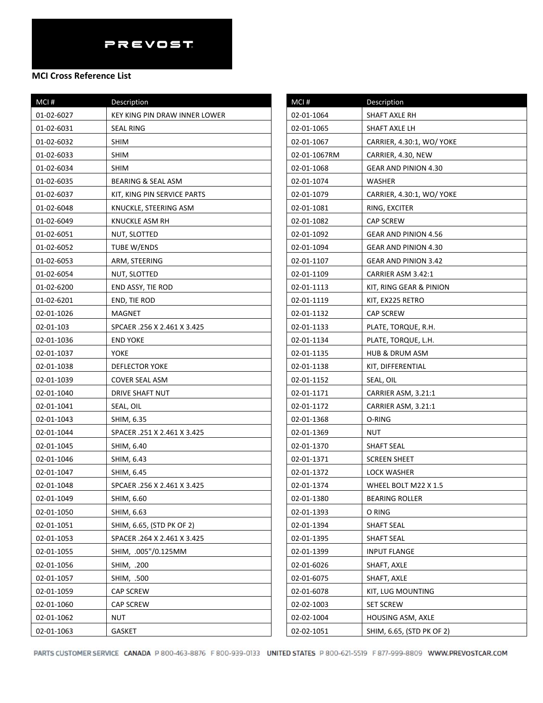## **MCI Cross Reference List**

| MCI#       | Description                   |
|------------|-------------------------------|
| 01-02-6027 | KEY KING PIN DRAW INNER LOWER |
| 01-02-6031 | SEAL RING                     |
| 01-02-6032 | SHIM                          |
| 01-02-6033 | <b>SHIM</b>                   |
| 01-02-6034 | SHIM                          |
| 01-02-6035 | <b>BEARING &amp; SEAL ASM</b> |
| 01-02-6037 | KIT, KING PIN SERVICE PARTS   |
| 01-02-6048 | KNUCKLE, STEERING ASM         |
| 01-02-6049 | KNUCKLE ASM RH                |
| 01-02-6051 | NUT, SLOTTED                  |
| 01-02-6052 | TUBE W/ENDS                   |
| 01-02-6053 | ARM, STEERING                 |
| 01-02-6054 | NUT, SLOTTED                  |
| 01-02-6200 | END ASSY, TIE ROD             |
| 01-02-6201 | END, TIE ROD                  |
| 02-01-1026 | MAGNET                        |
| 02-01-103  | SPCAER .256 X 2.461 X 3.425   |
| 02-01-1036 | <b>END YOKE</b>               |
| 02-01-1037 | YOKE                          |
| 02-01-1038 | <b>DEFLECTOR YOKE</b>         |
| 02-01-1039 | COVER SEAL ASM                |
| 02-01-1040 | DRIVE SHAFT NUT               |
| 02-01-1041 | SEAL, OIL                     |
| 02-01-1043 | SHIM, 6.35                    |
| 02-01-1044 | SPACER .251 X 2.461 X 3.425   |
| 02-01-1045 | SHIM, 6.40                    |
| 02-01-1046 | SHIM, 6.43                    |
| 02-01-1047 | SHIM, 6.45                    |
| 02-01-1048 | SPCAER .256 X 2.461 X 3.425   |
| 02-01-1049 | SHIM, 6.60                    |
| 02-01-1050 | SHIM, 6.63                    |
| 02-01-1051 | SHIM, 6.65, (STD PK OF 2)     |
| 02-01-1053 | SPACER .264 X 2.461 X 3.425   |
| 02-01-1055 | SHIM, .005"/0.125MM           |
| 02-01-1056 | SHIM, .200                    |
| 02-01-1057 | SHIM, .500                    |
| 02-01-1059 | <b>CAP SCREW</b>              |
| 02-01-1060 | <b>CAP SCREW</b>              |
| 02-01-1062 | NUT                           |
| 02-01-1063 | <b>GASKET</b>                 |

| MCI#         | Description                 |
|--------------|-----------------------------|
| 02-01-1064   | SHAFT AXLE RH               |
| 02-01-1065   | SHAFT AXLE LH               |
| 02-01-1067   | CARRIER, 4.30:1, WO/ YOKE   |
| 02-01-1067RM | CARRIER, 4.30, NEW          |
| 02-01-1068   | GEAR AND PINION 4.30        |
| 02-01-1074   | WASHER                      |
| 02-01-1079   | CARRIER, 4.30:1, WO/ YOKE   |
| 02-01-1081   | RING, EXCITER               |
| 02-01-1082   | CAP SCREW                   |
| 02-01-1092   | GEAR AND PINION 4.56        |
| 02-01-1094   | GEAR AND PINION 4.30        |
| 02-01-1107   | <b>GEAR AND PINION 3.42</b> |
| 02-01-1109   | CARRIER ASM 3.42:1          |
| 02-01-1113   | KIT, RING GEAR & PINION     |
| 02-01-1119   | KIT, EX225 RETRO            |
| 02-01-1132   | CAP SCREW                   |
| 02-01-1133   | PLATE, TORQUE, R.H.         |
| 02-01-1134   | PLATE, TORQUE, L.H.         |
| 02-01-1135   | HUB & DRUM ASM              |
| 02-01-1138   | KIT, DIFFERENTIAL           |
| 02-01-1152   | SEAL, OIL                   |
| 02-01-1171   | CARRIER ASM, 3.21:1         |
| 02-01-1172   | CARRIER ASM, 3.21:1         |
| 02-01-1368   | O-RING                      |
| 02-01-1369   | NUT                         |
| 02-01-1370   | <b>SHAFT SEAL</b>           |
| 02-01-1371   | <b>SCREEN SHEET</b>         |
| 02-01-1372   | LOCK WASHER                 |
| 02-01-1374   | WHEEL BOLT M22 X 1.5        |
| 02-01-1380   | <b>BEARING ROLLER</b>       |
| 02-01-1393   | O RING                      |
| 02-01-1394   | SHAFT SEAL                  |
| 02-01-1395   | SHAFT SEAL                  |
| 02-01-1399   | INPUT FLANGE                |
| 02-01-6026   | SHAFT, AXLE                 |
| 02-01-6075   | SHAFT, AXLE                 |
| 02-01-6078   | KIT, LUG MOUNTING           |
| 02-02-1003   | <b>SET SCREW</b>            |
| 02-02-1004   | HOUSING ASM, AXLE           |
| 02-02-1051   | SHIM, 6.65, (STD PK OF 2)   |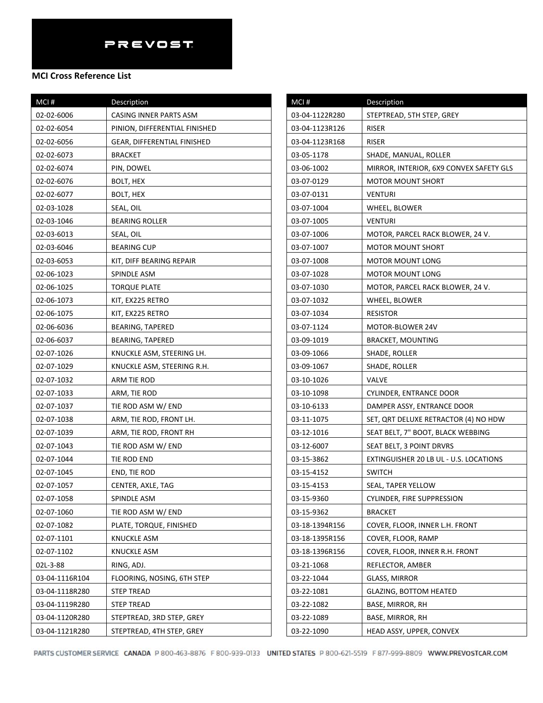## **MCI Cross Reference List**

| MCI#           | Description                   |
|----------------|-------------------------------|
| 02-02-6006     | CASING INNER PARTS ASM        |
| 02-02-6054     | PINION, DIFFERENTIAL FINISHED |
| 02-02-6056     | GEAR, DIFFERENTIAL FINISHED   |
| 02-02-6073     | <b>BRACKET</b>                |
| 02-02-6074     | PIN, DOWEL                    |
| 02-02-6076     | BOLT, HEX                     |
| 02-02-6077     | <b>BOLT, HEX</b>              |
| 02-03-1028     | SEAL, OIL                     |
| 02-03-1046     | <b>BEARING ROLLER</b>         |
| 02-03-6013     | SEAL, OIL                     |
| 02-03-6046     | <b>BEARING CUP</b>            |
| 02-03-6053     | KIT, DIFF BEARING REPAIR      |
| 02-06-1023     | SPINDLE ASM                   |
| 02-06-1025     | <b>TORQUE PLATE</b>           |
| 02-06-1073     | KIT, EX225 RETRO              |
| 02-06-1075     | KIT, EX225 RETRO              |
| 02-06-6036     | <b>BEARING, TAPERED</b>       |
| 02-06-6037     | <b>BEARING, TAPERED</b>       |
| 02-07-1026     | KNUCKLE ASM, STEERING LH.     |
| 02-07-1029     | KNUCKLE ASM, STEERING R.H.    |
| 02-07-1032     | ARM TIE ROD                   |
| 02-07-1033     | ARM, TIE ROD                  |
| 02-07-1037     | TIE ROD ASM W/ END            |
| 02-07-1038     | ARM, TIE ROD, FRONT LH.       |
| 02-07-1039     | ARM, TIE ROD, FRONT RH        |
| 02-07-1043     | TIE ROD ASM W/ END            |
| 02-07-1044     | TIE ROD END                   |
| 02-07-1045     | END, TIE ROD                  |
| 02-07-1057     | CENTER, AXLE, TAG             |
| 02-07-1058     | SPINDLE ASM                   |
| 02-07-1060     | TIE ROD ASM W/ END            |
| 02-07-1082     | PLATE, TORQUE, FINISHED       |
| 02-07-1101     | <b>KNUCKLE ASM</b>            |
| 02-07-1102     | <b>KNUCKLE ASM</b>            |
| 02L-3-88       | RING, ADJ.                    |
| 03-04-1116R104 | FLOORING, NOSING, 6TH STEP    |
| 03-04-1118R280 | <b>STEP TREAD</b>             |
| 03-04-1119R280 | STEP TREAD                    |
| 03-04-1120R280 | STEPTREAD, 3RD STEP, GREY     |
| 03-04-1121R280 | STEPTREAD, 4TH STEP, GREY     |

| MCI#           | Description                             |
|----------------|-----------------------------------------|
| 03-04-1122R280 | STEPTREAD, 5TH STEP, GREY               |
| 03-04-1123R126 | RISER                                   |
| 03-04-1123R168 | RISER                                   |
| 03-05-1178     | SHADE, MANUAL, ROLLER                   |
| 03-06-1002     | MIRROR, INTERIOR, 6X9 CONVEX SAFETY GLS |
| 03-07-0129     | <b>MOTOR MOUNT SHORT</b>                |
| 03-07-0131     | VENTURI                                 |
| 03-07-1004     | WHEEL, BLOWER                           |
| 03-07-1005     | VENTURI                                 |
| 03-07-1006     | MOTOR, PARCEL RACK BLOWER, 24 V.        |
| 03-07-1007     | <b>MOTOR MOUNT SHORT</b>                |
| 03-07-1008     | MOTOR MOUNT LONG                        |
| 03-07-1028     | MOTOR MOUNT LONG                        |
| 03-07-1030     | MOTOR, PARCEL RACK BLOWER, 24 V.        |
| 03-07-1032     | WHEEL, BLOWER                           |
| 03-07-1034     | <b>RESISTOR</b>                         |
| 03-07-1124     | MOTOR-BLOWER 24V                        |
| 03-09-1019     | <b>BRACKET, MOUNTING</b>                |
| 03-09-1066     | SHADE, ROLLER                           |
| 03-09-1067     | SHADE, ROLLER                           |
| 03-10-1026     | VALVE                                   |
| 03-10-1098     | CYLINDER, ENTRANCE DOOR                 |
| 03-10-6133     | DAMPER ASSY, ENTRANCE DOOR              |
| 03-11-1075     | SET, QRT DELUXE RETRACTOR (4) NO HDW    |
| 03-12-1016     | SEAT BELT, 7" BOOT, BLACK WEBBING       |
| 03-12-6007     | SEAT BELT, 3 POINT DRVRS                |
| 03-15-3862     | EXTINGUISHER 20 LB UL - U.S. LOCATIONS  |
| 03-15-4152     | <b>SWITCH</b>                           |
| 03-15-4153     | SEAL, TAPER YELLOW                      |
| 03-15-9360     | CYLINDER, FIRE SUPPRESSION              |
| 03-15-9362     | <b>BRACKET</b>                          |
| 03-18-1394R156 | COVER, FLOOR, INNER L.H. FRONT          |
| 03-18-1395R156 | COVER, FLOOR, RAMP                      |
| 03-18-1396R156 | COVER, FLOOR, INNER R.H. FRONT          |
| 03-21-1068     | REFLECTOR, AMBER                        |
| 03-22-1044     | GLASS, MIRROR                           |
| 03-22-1081     | <b>GLAZING, BOTTOM HEATED</b>           |
| 03-22-1082     | BASE, MIRROR, RH                        |
| 03-22-1089     | BASE, MIRROR, RH                        |
| 03-22-1090     | HEAD ASSY, UPPER, CONVEX                |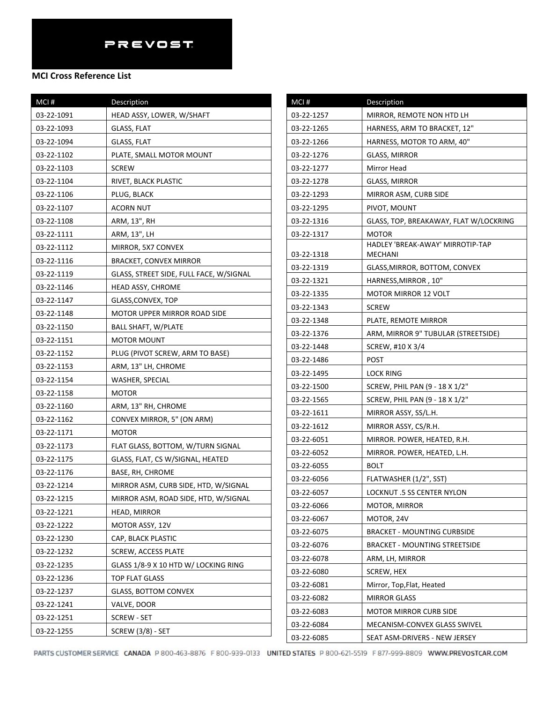| MCI#       | <b>Description</b>                      |
|------------|-----------------------------------------|
| 03-22-1091 | HEAD ASSY, LOWER, W/SHAFT               |
| 03-22-1093 | <b>GLASS, FLAT</b>                      |
| 03-22-1094 | <b>GLASS, FLAT</b>                      |
| 03-22-1102 | PLATE, SMALL MOTOR MOUNT                |
| 03-22-1103 | <b>SCREW</b>                            |
| 03-22-1104 | RIVET, BLACK PLASTIC                    |
| 03-22-1106 | PLUG, BLACK                             |
| 03-22-1107 | <b>ACORN NUT</b>                        |
| 03-22-1108 | ARM, 13", RH                            |
| 03-22-1111 | ARM, 13", LH                            |
| 03-22-1112 | MIRROR, 5X7 CONVEX                      |
| 03-22-1116 | <b>BRACKET, CONVEX MIRROR</b>           |
| 03-22-1119 | GLASS, STREET SIDE, FULL FACE, W/SIGNAL |
| 03-22-1146 | HEAD ASSY, CHROME                       |
| 03-22-1147 | GLASS,CONVEX, TOP                       |
| 03-22-1148 | <b>MOTOR UPPER MIRROR ROAD SIDE</b>     |
| 03-22-1150 | <b>BALL SHAFT, W/PLATE</b>              |
| 03-22-1151 | <b>MOTOR MOUNT</b>                      |
| 03-22-1152 | PLUG (PIVOT SCREW, ARM TO BASE)         |
| 03-22-1153 | ARM, 13" LH, CHROME                     |
| 03-22-1154 | WASHER, SPECIAL                         |
| 03-22-1158 | <b>MOTOR</b>                            |
| 03-22-1160 | ARM, 13" RH, CHROME                     |
| 03-22-1162 | CONVEX MIRROR, 5" (ON ARM)              |
| 03-22-1171 | <b>MOTOR</b>                            |
| 03-22-1173 | FLAT GLASS, BOTTOM, W/TURN SIGNAL       |
| 03-22-1175 | GLASS, FLAT, CS W/SIGNAL, HEATED        |
| 03-22-1176 | BASE, RH, CHROME                        |
| 03-22-1214 | MIRROR ASM, CURB SIDE, HTD, W/SIGNAL    |
| 03-22-1215 | MIRROR ASM, ROAD SIDE, HTD, W/SIGNAL    |
| 03-22-1221 | HEAD, MIRROR                            |
| 03-22-1222 | MOTOR ASSY, 12V                         |
| 03-22-1230 | CAP, BLACK PLASTIC                      |
| 03-22-1232 | SCREW, ACCESS PLATE                     |
| 03-22-1235 | GLASS 1/8-9 X 10 HTD W/ LOCKING RING    |
| 03-22-1236 | TOP FLAT GLASS                          |
| 03-22-1237 | <b>GLASS, BOTTOM CONVEX</b>             |
| 03-22-1241 | VALVE, DOOR                             |
| 03-22-1251 | SCREW - SET                             |
| 03-22-1255 | <b>SCREW (3/8) - SET</b>                |

| MCI#       | Description                                 |
|------------|---------------------------------------------|
| 03-22-1257 | MIRROR, REMOTE NON HTD LH                   |
| 03-22-1265 | HARNESS, ARM TO BRACKET, 12"                |
| 03-22-1266 | HARNESS, MOTOR TO ARM, 40"                  |
| 03-22-1276 | <b>GLASS, MIRROR</b>                        |
| 03-22-1277 | Mirror Head                                 |
| 03-22-1278 | GLASS, MIRROR                               |
| 03-22-1293 | MIRROR ASM, CURB SIDE                       |
| 03-22-1295 | PIVOT, MOUNT                                |
| 03-22-1316 | GLASS, TOP, BREAKAWAY, FLAT W/LOCKRING      |
| 03-22-1317 | <b>MOTOR</b>                                |
| 03-22-1318 | HADLEY 'BREAK-AWAY' MIRROTIP-TAP<br>MECHANI |
| 03-22-1319 | GLASS, MIRROR, BOTTOM, CONVEX               |
| 03-22-1321 | HARNESS, MIRROR, 10"                        |
| 03-22-1335 | <b>MOTOR MIRROR 12 VOLT</b>                 |
| 03-22-1343 | <b>SCREW</b>                                |
| 03-22-1348 | PLATE, REMOTE MIRROR                        |
| 03-22-1376 | ARM, MIRROR 9" TUBULAR (STREETSIDE)         |
| 03-22-1448 | SCREW, #10 X 3/4                            |
| 03-22-1486 | POST                                        |
| 03-22-1495 | LOCK RING                                   |
| 03-22-1500 | SCREW, PHIL PAN (9 - 18 X 1/2"              |
| 03-22-1565 | SCREW, PHIL PAN (9 - 18 X 1/2"              |
| 03-22-1611 | MIRROR ASSY, SS/L.H.                        |
| 03-22-1612 | MIRROR ASSY, CS/R.H.                        |
| 03-22-6051 | MIRROR. POWER, HEATED, R.H.                 |
| 03-22-6052 | MIRROR. POWER, HEATED, L.H.                 |
| 03-22-6055 | <b>BOLT</b>                                 |
| 03-22-6056 | FLATWASHER (1/2", SST)                      |
| 03-22-6057 | LOCKNUT .5 SS CENTER NYLON                  |
| 03-22-6066 | MOTOR, MIRROR                               |
| 03-22-6067 | MOTOR, 24V                                  |
| 03-22-6075 | <b>BRACKET - MOUNTING CURBSIDE</b>          |
| 03-22-6076 | BRACKET - MOUNTING STREETSIDE               |
| 03-22-6078 | ARM, LH, MIRROR                             |
| 03-22-6080 | SCREW, HEX                                  |
| 03-22-6081 | Mirror, Top, Flat, Heated                   |
| 03-22-6082 | <b>MIRROR GLASS</b>                         |
| 03-22-6083 | <b>MOTOR MIRROR CURB SIDE</b>               |
| 03-22-6084 | MECANISM-CONVEX GLASS SWIVEL                |
| 03-22-6085 | SEAT ASM-DRIVERS - NEW JERSEY               |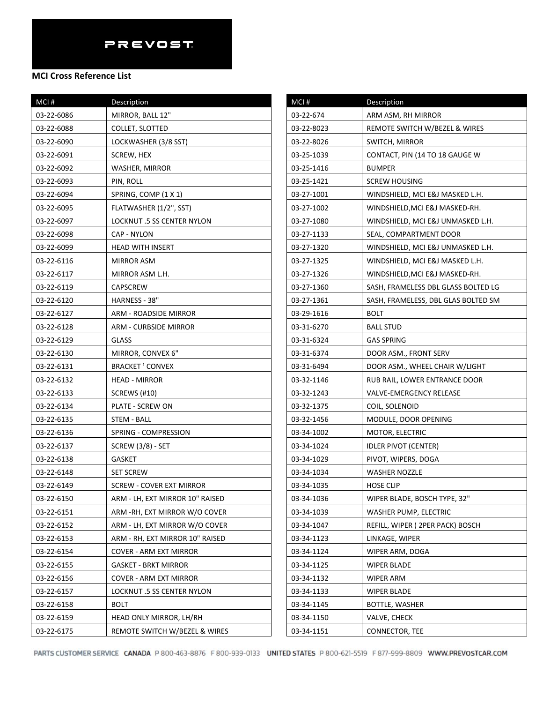| MCI#       | Description                     |  |
|------------|---------------------------------|--|
| 03-22-6086 | MIRROR, BALL 12"                |  |
| 03-22-6088 | <b>COLLET, SLOTTED</b>          |  |
| 03-22-6090 | LOCKWASHER (3/8 SST)            |  |
| 03-22-6091 | SCREW, HEX                      |  |
| 03-22-6092 | WASHER, MIRROR                  |  |
| 03-22-6093 | PIN, ROLL                       |  |
| 03-22-6094 | SPRING, COMP (1 X 1)            |  |
| 03-22-6095 | FLATWASHER (1/2", SST)          |  |
| 03-22-6097 | LOCKNUT .5 SS CENTER NYLON      |  |
| 03-22-6098 | CAP - NYLON                     |  |
| 03-22-6099 | <b>HEAD WITH INSERT</b>         |  |
| 03-22-6116 | MIRROR ASM                      |  |
| 03-22-6117 | MIRROR ASM L.H.                 |  |
| 03-22-6119 | <b>CAPSCREW</b>                 |  |
| 03-22-6120 | HARNESS - 38"                   |  |
| 03-22-6127 | ARM - ROADSIDE MIRROR           |  |
| 03-22-6128 | <b>ARM - CURBSIDE MIRROR</b>    |  |
| 03-22-6129 | <b>GLASS</b>                    |  |
| 03-22-6130 | MIRROR, CONVEX 6"               |  |
| 03-22-6131 | BRACKET <sup>1</sup> CONVEX     |  |
| 03-22-6132 | <b>HEAD - MIRROR</b>            |  |
| 03-22-6133 | <b>SCREWS (#10)</b>             |  |
| 03-22-6134 | PLATE - SCREW ON                |  |
| 03-22-6135 | STEM - BALL                     |  |
| 03-22-6136 | SPRING - COMPRESSION            |  |
| 03-22-6137 | <b>SCREW (3/8) - SET</b>        |  |
| 03-22-6138 | <b>GASKET</b>                   |  |
| 03-22-6148 | <b>SET SCREW</b>                |  |
| 03-22-6149 | <b>SCREW - COVER EXT MIRROR</b> |  |
| 03-22-6150 | ARM - LH, EXT MIRROR 10" RAISED |  |
| 03-22-6151 | ARM - RH, EXT MIRROR W/O COVER  |  |
| 03-22-6152 | ARM - LH, EXT MIRROR W/O COVER  |  |
| 03-22-6153 | ARM - RH, EXT MIRROR 10" RAISED |  |
| 03-22-6154 | <b>COVER - ARM EXT MIRROR</b>   |  |
| 03-22-6155 | <b>GASKET - BRKT MIRROR</b>     |  |
| 03-22-6156 | COVER - ARM EXT MIRROR          |  |
| 03-22-6157 | LOCKNUT .5 SS CENTER NYLON      |  |
| 03-22-6158 | <b>BOLT</b>                     |  |
| 03-22-6159 | HEAD ONLY MIRROR, LH/RH         |  |
| 03-22-6175 | REMOTE SWITCH W/BEZEL & WIRES   |  |

| MCI#       | <b>Description</b>                  |
|------------|-------------------------------------|
| 03-22-674  | ARM ASM, RH MIRROR                  |
| 03-22-8023 | REMOTE SWITCH W/BEZEL & WIRES       |
| 03-22-8026 | SWITCH, MIRROR                      |
| 03-25-1039 | CONTACT, PIN (14 TO 18 GAUGE W      |
| 03-25-1416 | <b>BUMPER</b>                       |
| 03-25-1421 | SCREW HOUSING                       |
| 03-27-1001 | WINDSHIELD, MCI E&J MASKED L.H.     |
| 03-27-1002 | WINDSHIELD,MCI E&J MASKED-RH.       |
| 03-27-1080 | WINDSHIELD, MCI E&J UNMASKED L.H.   |
| 03-27-1133 | SEAL, COMPARTMENT DOOR              |
| 03-27-1320 | WINDSHIELD, MCI E&J UNMASKED L.H.   |
| 03-27-1325 | WINDSHIELD, MCI E&J MASKED L.H.     |
| 03-27-1326 | WINDSHIELD,MCI E&J MASKED-RH.       |
| 03-27-1360 | SASH, FRAMELESS DBL GLASS BOLTED LG |
| 03-27-1361 | SASH, FRAMELESS, DBL GLAS BOLTED SM |
| 03-29-1616 | BOLT                                |
| 03-31-6270 | <b>BALL STUD</b>                    |
| 03-31-6324 | GAS SPRING                          |
| 03-31-6374 | DOOR ASM., FRONT SERV               |
| 03-31-6494 | DOOR ASM., WHEEL CHAIR W/LIGHT      |
| 03-32-1146 | RUB RAIL, LOWER ENTRANCE DOOR       |
| 03-32-1243 | VALVE-EMERGENCY RELEASE             |
| 03-32-1375 | COIL, SOLENOID                      |
| 03-32-1456 | MODULE, DOOR OPENING                |
| 03-34-1002 | MOTOR, ELECTRIC                     |
| 03-34-1024 | <b>IDLER PIVOT (CENTER)</b>         |
| 03-34-1029 | PIVOT, WIPERS, DOGA                 |
| 03-34-1034 | WASHER NOZZLE                       |
| 03-34-1035 | <b>HOSE CLIP</b>                    |
| 03-34-1036 | WIPER BLADE, BOSCH TYPE, 32"        |
| 03-34-1039 | WASHER PUMP, ELECTRIC               |
| 03-34-1047 | REFILL, WIPER (2PER PACK) BOSCH     |
| 03-34-1123 | LINKAGE, WIPER                      |
| 03-34-1124 | WIPER ARM, DOGA                     |
| 03-34-1125 | WIPER BLADE                         |
| 03-34-1132 | <b>WIPER ARM</b>                    |
| 03-34-1133 | WIPER BLADE                         |
| 03-34-1145 | BOTTLE, WASHER                      |
| 03-34-1150 | VALVE, CHECK                        |
| 03-34-1151 | CONNECTOR, TEE                      |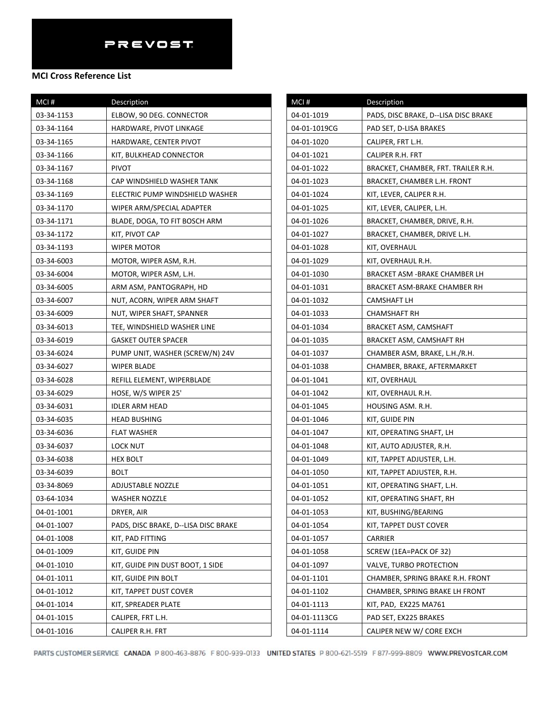| MCI#       | Description                          |
|------------|--------------------------------------|
| 03-34-1153 | ELBOW, 90 DEG. CONNECTOR             |
| 03-34-1164 | HARDWARE, PIVOT LINKAGE              |
| 03-34-1165 | HARDWARE, CENTER PIVOT               |
| 03-34-1166 | KIT, BULKHEAD CONNECTOR              |
| 03-34-1167 | PIVOT                                |
| 03-34-1168 | CAP WINDSHIELD WASHER TANK           |
| 03-34-1169 | ELECTRIC PUMP WINDSHIELD WASHER      |
| 03-34-1170 | WIPER ARM/SPECIAL ADAPTER            |
| 03-34-1171 | BLADE, DOGA, TO FIT BOSCH ARM        |
| 03-34-1172 | KIT, PIVOT CAP                       |
| 03-34-1193 | WIPER MOTOR                          |
| 03-34-6003 | MOTOR, WIPER ASM, R.H.               |
| 03-34-6004 | MOTOR, WIPER ASM, L.H.               |
| 03-34-6005 | ARM ASM, PANTOGRAPH, HD              |
| 03-34-6007 | NUT, ACORN, WIPER ARM SHAFT          |
| 03-34-6009 | NUT, WIPER SHAFT, SPANNER            |
| 03-34-6013 | TEE, WINDSHIELD WASHER LINE          |
| 03-34-6019 | <b>GASKET OUTER SPACER</b>           |
| 03-34-6024 | PUMP UNIT, WASHER (SCREW/N) 24V      |
| 03-34-6027 | WIPER BLADE                          |
| 03-34-6028 | REFILL ELEMENT, WIPERBLADE           |
| 03-34-6029 | HOSE, W/S WIPER 25'                  |
| 03-34-6031 | <b>IDLER ARM HEAD</b>                |
| 03-34-6035 | HEAD BUSHING                         |
| 03-34-6036 | <b>FLAT WASHER</b>                   |
| 03-34-6037 | LOCK NUT                             |
| 03-34-6038 | <b>HEX BOLT</b>                      |
| 03-34-6039 | BOLT                                 |
| 03-34-8069 | ADJUSTABLE NOZZLE                    |
| 03-64-1034 | <b>WASHER NOZZLE</b>                 |
| 04-01-1001 | DRYER, AIR                           |
| 04-01-1007 | PADS, DISC BRAKE, D--LISA DISC BRAKE |
| 04-01-1008 | KIT, PAD FITTING                     |
| 04-01-1009 | KIT, GUIDE PIN                       |
| 04-01-1010 | KIT, GUIDE PIN DUST BOOT, 1 SIDE     |
| 04-01-1011 | KIT, GUIDE PIN BOLT                  |
| 04-01-1012 | KIT, TAPPET DUST COVER               |
| 04-01-1014 | KIT, SPREADER PLATE                  |
| 04-01-1015 | CALIPER, FRT L.H.                    |
| 04-01-1016 | CALIPER R.H. FRT                     |

| MCI#         | Description                          |
|--------------|--------------------------------------|
| 04-01-1019   | PADS, DISC BRAKE, D--LISA DISC BRAKE |
| 04-01-1019CG | PAD SET, D-LISA BRAKES               |
| 04-01-1020   | CALIPER, FRT L.H.                    |
| 04-01-1021   | CALIPER R.H. FRT                     |
| 04-01-1022   | BRACKET, CHAMBER, FRT. TRAILER R.H.  |
| 04-01-1023   | BRACKET, CHAMBER L.H. FRONT          |
| 04-01-1024   | KIT, LEVER, CALIPER R.H.             |
| 04-01-1025   | KIT, LEVER, CALIPER, L.H.            |
| 04-01-1026   | BRACKET, CHAMBER, DRIVE, R.H.        |
| 04-01-1027   | BRACKET, CHAMBER, DRIVE L.H.         |
| 04-01-1028   | KIT, OVERHAUL                        |
| 04-01-1029   | KIT, OVERHAUL R.H.                   |
| 04-01-1030   | BRACKET ASM -BRAKE CHAMBER LH        |
| 04-01-1031   | BRACKET ASM-BRAKE CHAMBER RH         |
| 04-01-1032   | CAMSHAFT LH                          |
| 04-01-1033   | <b>CHAMSHAFT RH</b>                  |
| 04-01-1034   | BRACKET ASM, CAMSHAFT                |
| 04-01-1035   | BRACKET ASM, CAMSHAFT RH             |
| 04-01-1037   | CHAMBER ASM, BRAKE, L.H./R.H.        |
| 04-01-1038   | CHAMBER, BRAKE, AFTERMARKET          |
| 04-01-1041   | KIT, OVERHAUL                        |
| 04-01-1042   | KIT, OVERHAUL R.H.                   |
| 04-01-1045   | HOUSING ASM. R.H.                    |
| 04-01-1046   | KIT, GUIDE PIN                       |
| 04-01-1047   | KIT, OPERATING SHAFT, LH             |
| 04-01-1048   | KIT, AUTO ADJUSTER, R.H.             |
| 04-01-1049   | KIT, TAPPET ADJUSTER, L.H.           |
| 04-01-1050   | KIT, TAPPET ADJUSTER, R.H.           |
| 04-01-1051   | KIT, OPERATING SHAFT, L.H.           |
| 04-01-1052   | KIT, OPERATING SHAFT, RH             |
| 04-01-1053   | KIT, BUSHING/BEARING                 |
| 04-01-1054   | KIT, TAPPET DUST COVER               |
| 04-01-1057   | CARRIER                              |
| 04-01-1058   | SCREW (1EA=PACK OF 32)               |
| 04-01-1097   | VALVE, TURBO PROTECTION              |
| 04-01-1101   | CHAMBER, SPRING BRAKE R.H. FRONT     |
| 04-01-1102   | CHAMBER, SPRING BRAKE LH FRONT       |
| 04-01-1113   | KIT, PAD, EX225 MA761                |
| 04-01-1113CG | PAD SET, EX225 BRAKES                |
| 04-01-1114   | CALIPER NEW W/ CORE EXCH             |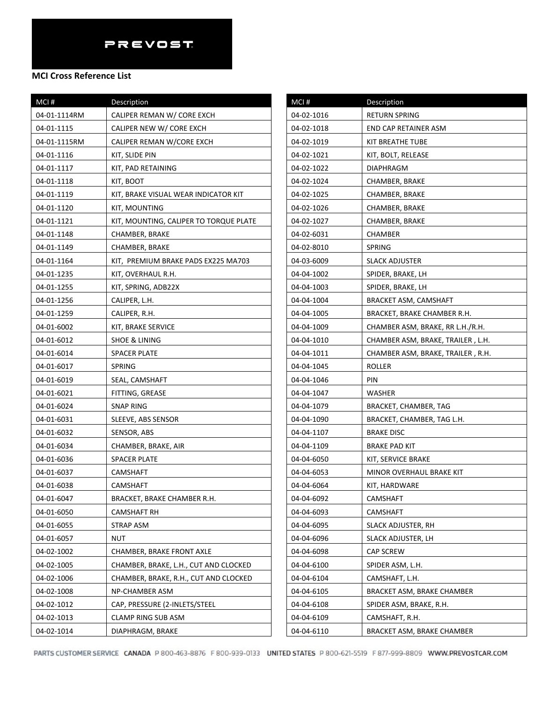### **MCI Cross Reference List**

| MCI#         | Description                            |
|--------------|----------------------------------------|
| 04-01-1114RM | CALIPER REMAN W/ CORE EXCH             |
| 04-01-1115   | CALIPER NEW W/ CORE EXCH               |
| 04-01-1115RM | CALIPER REMAN W/CORE EXCH              |
| 04-01-1116   | KIT, SLIDE PIN                         |
| 04-01-1117   | KIT, PAD RETAINING                     |
| 04-01-1118   | KIT, BOOT                              |
| 04-01-1119   | KIT, BRAKE VISUAL WEAR INDICATOR KIT   |
| 04-01-1120   | KIT, MOUNTING                          |
| 04-01-1121   | KIT, MOUNTING, CALIPER TO TORQUE PLATE |
| 04-01-1148   | CHAMBER, BRAKE                         |
| 04-01-1149   | CHAMBER, BRAKE                         |
| 04-01-1164   | KIT, PREMIUM BRAKE PADS EX225 MA703    |
| 04-01-1235   | KIT, OVERHAUL R.H.                     |
| 04-01-1255   | KIT, SPRING, ADB22X                    |
| 04-01-1256   | CALIPER, L.H.                          |
| 04-01-1259   | CALIPER, R.H.                          |
| 04-01-6002   | KIT, BRAKE SERVICE                     |
| 04-01-6012   | SHOE & LINING                          |
| 04-01-6014   | SPACER PLATE                           |
| 04-01-6017   | SPRING                                 |
| 04-01-6019   | SEAL, CAMSHAFT                         |
| 04-01-6021   | FITTING, GREASE                        |
| 04-01-6024   | <b>SNAP RING</b>                       |
| 04-01-6031   | SLEEVE, ABS SENSOR                     |
| 04-01-6032   | SENSOR, ABS                            |
| 04-01-6034   | CHAMBER, BRAKE, AIR                    |
| 04-01-6036   | <b>SPACER PLATE</b>                    |
| 04-01-6037   | CAMSHAFT                               |
| 04-01-6038   | CAMSHAFT                               |
| 04-01-6047   | BRACKET, BRAKE CHAMBER R.H.            |
| 04-01-6050   | <b>CAMSHAFT RH</b>                     |
| 04-01-6055   | STRAP ASM                              |
| 04-01-6057   | NUT                                    |
| 04-02-1002   | CHAMBER, BRAKE FRONT AXLE              |
| 04-02-1005   | CHAMBER, BRAKE, L.H., CUT AND CLOCKED  |
| 04-02-1006   | CHAMBER, BRAKE, R.H., CUT AND CLOCKED  |
| 04-02-1008   | NP-CHAMBER ASM                         |
| 04-02-1012   | CAP, PRESSURE (2-INLETS/STEEL          |
| 04-02-1013   | CLAMP RING SUB ASM                     |
| 04-02-1014   | DIAPHRAGM, BRAKE                       |

| MCI#       | Description                       |
|------------|-----------------------------------|
| 04-02-1016 | RETURN SPRING                     |
| 04-02-1018 | END CAP RETAINER ASM              |
| 04-02-1019 | KIT BREATHE TUBE                  |
| 04-02-1021 | KIT, BOLT, RELEASE                |
| 04-02-1022 | DIAPHRAGM                         |
| 04-02-1024 | CHAMBER, BRAKE                    |
| 04-02-1025 | CHAMBER, BRAKE                    |
| 04-02-1026 | CHAMBER, BRAKE                    |
| 04-02-1027 | CHAMBER, BRAKE                    |
| 04-02-6031 | CHAMBER                           |
| 04-02-8010 | SPRING                            |
| 04-03-6009 | SLACK ADJUSTER                    |
| 04-04-1002 | SPIDER, BRAKE, LH                 |
| 04-04-1003 | SPIDER, BRAKE, LH                 |
| 04-04-1004 | <b>BRACKET ASM, CAMSHAFT</b>      |
| 04-04-1005 | BRACKET, BRAKE CHAMBER R.H.       |
| 04-04-1009 | CHAMBER ASM, BRAKE, RR L.H./R.H.  |
| 04-04-1010 | CHAMBER ASM, BRAKE, TRAILER, L.H. |
| 04-04-1011 | CHAMBER ASM, BRAKE, TRAILER, R.H. |
| 04-04-1045 | ROLLER                            |
| 04-04-1046 | PIN                               |
| 04-04-1047 | WASHER                            |
| 04-04-1079 | BRACKET, CHAMBER, TAG             |
| 04-04-1090 | BRACKET, CHAMBER, TAG L.H.        |
| 04-04-1107 | <b>BRAKE DISC</b>                 |
| 04-04-1109 | <b>BRAKE PAD KIT</b>              |
| 04-04-6050 | KIT, SERVICE BRAKE                |
| 04-04-6053 | MINOR OVERHAUL BRAKE KIT          |
| 04-04-6064 | KIT, HARDWARE                     |
| 04-04-6092 | CAMSHAFT                          |
| 04-04-6093 | CAMSHAFT                          |
| 04-04-6095 | SLACK ADJUSTER, RH                |
| 04-04-6096 | SLACK ADJUSTER, LH                |
| 04-04-6098 | CAP SCREW                         |
| 04-04-6100 | SPIDER ASM, L.H.                  |
| 04-04-6104 | CAMSHAFT, L.H.                    |
| 04-04-6105 | BRACKET ASM, BRAKE CHAMBER        |
| 04-04-6108 | SPIDER ASM, BRAKE, R.H.           |
| 04-04-6109 | CAMSHAFT, R.H.                    |
| 04-04-6110 | BRACKET ASM, BRAKE CHAMBER        |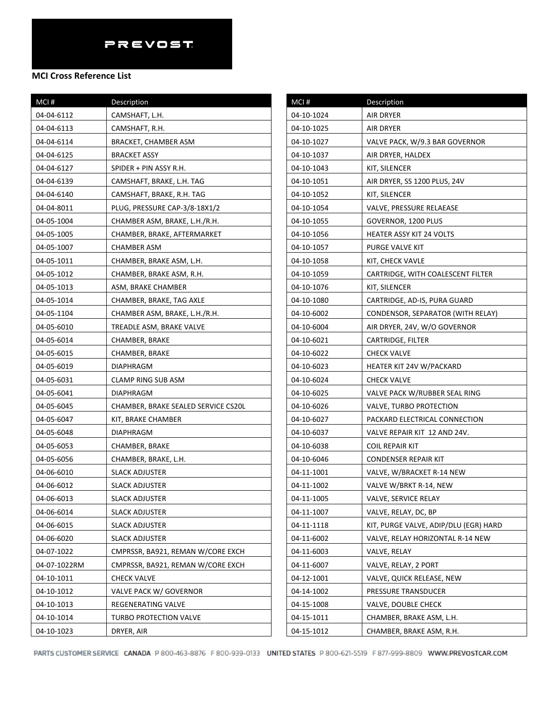| MCI#         | Description                         |
|--------------|-------------------------------------|
| 04-04-6112   | CAMSHAFT, L.H.                      |
| 04-04-6113   | CAMSHAFT, R.H.                      |
| 04-04-6114   | BRACKET, CHAMBER ASM                |
| 04-04-6125   | BRACKET ASSY                        |
| 04-04-6127   | SPIDER + PIN ASSY R.H.              |
| 04-04-6139   | CAMSHAFT, BRAKE, L.H. TAG           |
| 04-04-6140   | CAMSHAFT, BRAKE, R.H. TAG           |
| 04-04-8011   | PLUG, PRESSURE CAP-3/8-18X1/2       |
| 04-05-1004   | CHAMBER ASM, BRAKE, L.H./R.H.       |
| 04-05-1005   | CHAMBER, BRAKE, AFTERMARKET         |
| 04-05-1007   | <b>CHAMBER ASM</b>                  |
| 04-05-1011   | CHAMBER, BRAKE ASM, L.H.            |
| 04-05-1012   | CHAMBER, BRAKE ASM, R.H.            |
| 04-05-1013   | ASM, BRAKE CHAMBER                  |
| 04-05-1014   | CHAMBER, BRAKE, TAG AXLE            |
| 04-05-1104   | CHAMBER ASM, BRAKE, L.H./R.H.       |
| 04-05-6010   | TREADLE ASM, BRAKE VALVE            |
| 04-05-6014   | CHAMBER, BRAKE                      |
| 04-05-6015   | CHAMBER, BRAKE                      |
| 04-05-6019   | DIAPHRAGM                           |
| 04-05-6031   | <b>CLAMP RING SUB ASM</b>           |
| 04-05-6041   | DIAPHRAGM                           |
| 04-05-6045   | CHAMBER, BRAKE SEALED SERVICE CS20L |
| 04-05-6047   | KIT, BRAKE CHAMBER                  |
| 04-05-6048   | <b>DIAPHRAGM</b>                    |
| 04-05-6053   | CHAMBER, BRAKE                      |
| 04-05-6056   | CHAMBER, BRAKE, L.H.                |
| 04-06-6010   | <b>SLACK ADJUSTER</b>               |
| 04-06-6012   | <b>SLACK ADJUSTER</b>               |
| 04-06-6013   | <b>SLACK ADJUSTER</b>               |
| 04-06-6014   | SLACK ADJUSTER                      |
| 04-06-6015   | <b>SLACK ADJUSTER</b>               |
| 04-06-6020   | <b>SLACK ADJUSTER</b>               |
| 04-07-1022   | CMPRSSR, BA921, REMAN W/CORE EXCH   |
| 04-07-1022RM | CMPRSSR, BA921, REMAN W/CORE EXCH   |
| 04-10-1011   | <b>CHECK VALVE</b>                  |
| 04-10-1012   | VALVE PACK W/ GOVERNOR              |
| 04-10-1013   | REGENERATING VALVE                  |
| 04-10-1014   | TURBO PROTECTION VALVE              |
| 04-10-1023   | DRYER, AIR                          |

| MCI#       | Description                           |
|------------|---------------------------------------|
| 04-10-1024 | AIR DRYER                             |
| 04-10-1025 | AIR DRYER                             |
| 04-10-1027 | VALVE PACK, W/9.3 BAR GOVERNOR        |
| 04-10-1037 | AIR DRYER, HALDEX                     |
| 04-10-1043 | KIT, SILENCER                         |
| 04-10-1051 | AIR DRYER, SS 1200 PLUS, 24V          |
| 04-10-1052 | KIT, SILENCER                         |
| 04-10-1054 | VALVE, PRESSURE RELAEASE              |
| 04-10-1055 | GOVERNOR, 1200 PLUS                   |
| 04-10-1056 | HEATER ASSY KIT 24 VOLTS              |
| 04-10-1057 | PURGE VALVE KIT                       |
| 04-10-1058 | KIT, CHECK VAVLE                      |
| 04-10-1059 | CARTRIDGE, WITH COALESCENT FILTER     |
| 04-10-1076 | KIT, SILENCER                         |
| 04-10-1080 | CARTRIDGE, AD-IS, PURA GUARD          |
| 04-10-6002 | CONDENSOR, SEPARATOR (WITH RELAY)     |
| 04-10-6004 | AIR DRYER, 24V, W/O GOVERNOR          |
| 04-10-6021 | CARTRIDGE, FILTER                     |
| 04-10-6022 | <b>CHECK VALVE</b>                    |
| 04-10-6023 | HEATER KIT 24V W/PACKARD              |
| 04-10-6024 | <b>CHECK VALVE</b>                    |
| 04-10-6025 | VALVE PACK W/RUBBER SEAL RING         |
| 04-10-6026 | VALVE, TURBO PROTECTION               |
| 04-10-6027 | PACKARD ELECTRICAL CONNECTION         |
| 04-10-6037 | VALVE REPAIR KIT 12 AND 24V.          |
| 04-10-6038 | <b>COIL REPAIR KIT</b>                |
| 04-10-6046 | <b>CONDENSER REPAIR KIT</b>           |
| 04-11-1001 | VALVE, W/BRACKET R-14 NEW             |
| 04-11-1002 | VALVE W/BRKT R-14, NEW                |
| 04-11-1005 | VALVE, SERVICE RELAY                  |
| 04-11-1007 | VALVE, RELAY, DC, BP                  |
| 04-11-1118 | KIT, PURGE VALVE, ADIP/DLU (EGR) HARD |
| 04-11-6002 | VALVE, RELAY HORIZONTAL R-14 NEW      |
| 04-11-6003 | VALVE, RELAY                          |
| 04-11-6007 | VALVE, RELAY, 2 PORT                  |
| 04-12-1001 | VALVE, QUICK RELEASE, NEW             |
| 04-14-1002 | PRESSURE TRANSDUCER                   |
| 04-15-1008 | VALVE, DOUBLE CHECK                   |
| 04-15-1011 | CHAMBER, BRAKE ASM, L.H.              |
| 04-15-1012 | CHAMBER, BRAKE ASM, R.H.              |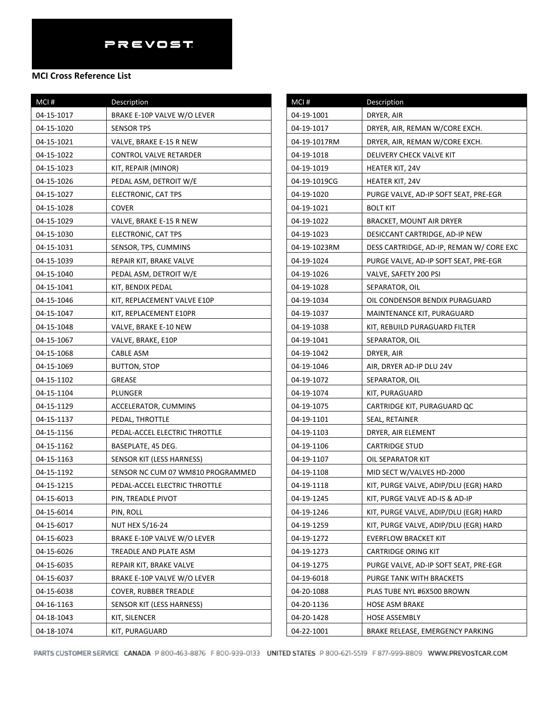## **MCI Cross Reference List**

| MCI#       | Description                       |
|------------|-----------------------------------|
| 04-15-1017 | BRAKE E-10P VALVE W/O LEVER       |
| 04-15-1020 | <b>SENSOR TPS</b>                 |
| 04-15-1021 | VALVE, BRAKE E-15 R NEW           |
| 04-15-1022 | CONTROL VALVE RETARDER            |
| 04-15-1023 | KIT, REPAIR (MINOR)               |
| 04-15-1026 | PEDAL ASM, DETROIT W/E            |
| 04-15-1027 | ELECTRONIC, CAT TPS               |
| 04-15-1028 | COVER                             |
| 04-15-1029 | VALVE, BRAKE E-15 R NEW           |
| 04-15-1030 | ELECTRONIC, CAT TPS               |
| 04-15-1031 | SENSOR, TPS, CUMMINS              |
| 04-15-1039 | REPAIR KIT, BRAKE VALVE           |
| 04-15-1040 | PEDAL ASM, DETROIT W/E            |
| 04-15-1041 | KIT, BENDIX PEDAL                 |
| 04-15-1046 | KIT, REPLACEMENT VALVE E10P       |
| 04-15-1047 | KIT, REPLACEMENT E10PR            |
| 04-15-1048 | VALVE, BRAKE E-10 NEW             |
| 04-15-1067 | VALVE, BRAKE, E10P                |
| 04-15-1068 | CABLE ASM                         |
| 04-15-1069 | BUTTON, STOP                      |
| 04-15-1102 | GREASE                            |
| 04-15-1104 | PLUNGER                           |
| 04-15-1129 | ACCELERATOR, CUMMINS              |
| 04-15-1137 | PEDAL, THROTTLE                   |
| 04-15-1156 | PEDAL-ACCEL ELECTRIC THROTTLE     |
| 04-15-1162 | BASEPLATE, 45 DEG.                |
| 04-15-1163 | SENSOR KIT (LESS HARNESS)         |
| 04-15-1192 | SENSOR NC CUM 07 WM810 PROGRAMMED |
| 04-15-1215 | PEDAL-ACCEL ELECTRIC THROTTLE     |
| 04-15-6013 | PIN, TREADLE PIVOT                |
| 04-15-6014 | PIN, ROLL                         |
| 04-15-6017 | NUT HEX 5/16-24                   |
| 04-15-6023 | BRAKE E-10P VALVE W/O LEVER       |
| 04-15-6026 | TREADLE AND PLATE ASM             |
| 04-15-6035 | REPAIR KIT, BRAKE VALVE           |
| 04-15-6037 | BRAKE E-10P VALVE W/O LEVER       |
| 04-15-6038 | COVER, RUBBER TREADLE             |
| 04-16-1163 | SENSOR KIT (LESS HARNESS)         |
| 04-18-1043 | KIT, SILENCER                     |
| 04-18-1074 | KIT, PURAGUARD                    |

| MCI#         | Description                              |
|--------------|------------------------------------------|
| 04-19-1001   | DRYER, AIR                               |
| 04-19-1017   | DRYER, AIR, REMAN W/CORE EXCH.           |
| 04-19-1017RM | DRYER, AIR, REMAN W/CORE EXCH.           |
| 04-19-1018   | DELIVERY CHECK VALVE KIT                 |
| 04-19-1019   | HEATER KIT, 24V                          |
| 04-19-1019CG | HEATER KIT, 24V                          |
| 04-19-1020   | PURGE VALVE, AD-IP SOFT SEAT, PRE-EGR    |
| 04-19-1021   | <b>BOLT KIT</b>                          |
| 04-19-1022   | BRACKET, MOUNT AIR DRYER                 |
| 04-19-1023   | DESICCANT CARTRIDGE, AD-IP NEW           |
| 04-19-1023RM | DESS CARTRIDGE, AD-IP, REMAN W/ CORE EXC |
| 04-19-1024   | PURGE VALVE, AD-IP SOFT SEAT, PRE-EGR    |
| 04-19-1026   | VALVE, SAFETY 200 PSI                    |
| 04-19-1028   | SEPARATOR, OIL                           |
| 04-19-1034   | OIL CONDENSOR BENDIX PURAGUARD           |
| 04-19-1037   | MAINTENANCE KIT, PURAGUARD               |
| 04-19-1038   | KIT, REBUILD PURAGUARD FILTER            |
| 04-19-1041   | SEPARATOR, OIL                           |
| 04-19-1042   | DRYER, AIR                               |
| 04-19-1046   | AIR, DRYER AD-IP DLU 24V                 |
| 04-19-1072   | SEPARATOR, OIL                           |
| 04-19-1074   | KIT, PURAGUARD                           |
| 04-19-1075   | CARTRIDGE KIT, PURAGUARD QC              |
| 04-19-1101   | SEAL, RETAINER                           |
| 04-19-1103   | DRYER, AIR ELEMENT                       |
| 04-19-1106   | <b>CARTRIDGE STUD</b>                    |
| 04-19-1107   | OIL SEPARATOR KIT                        |
| 04-19-1108   | MID SECT W/VALVES HD-2000                |
| 04-19-1118   | KIT, PURGE VALVE, ADIP/DLU (EGR) HARD    |
| 04-19-1245   | KIT, PURGE VALVE AD-IS & AD-IP           |
| 04-19-1246   | KIT, PURGE VALVE, ADIP/DLU (EGR) HARD    |
| 04-19-1259   | KIT, PURGE VALVE, ADIP/DLU (EGR) HARD    |
| 04-19-1272   | <b>EVERFLOW BRACKET KIT</b>              |
| 04-19-1273   | <b>CARTRIDGE ORING KIT</b>               |
| 04-19-1275   | PURGE VALVE, AD-IP SOFT SEAT, PRE-EGR    |
| 04-19-6018   | PURGE TANK WITH BRACKETS                 |
| 04-20-1088   | PLAS TUBE NYL #6X500 BROWN               |
| 04-20-1136   | <b>HOSE ASM BRAKE</b>                    |
| 04-20-1428   | <b>HOSE ASSEMBLY</b>                     |
| 04-22-1001   | BRAKE RELEASE, EMERGENCY PARKING         |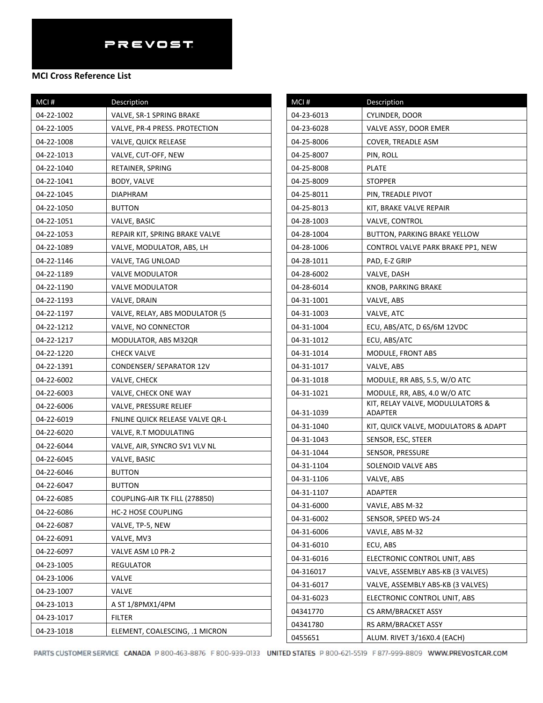## **MCI Cross Reference List**

| MCI#       | Description                     |
|------------|---------------------------------|
| 04-22-1002 | VALVE, SR-1 SPRING BRAKE        |
| 04-22-1005 | VALVE, PR-4 PRESS. PROTECTION   |
| 04-22-1008 | VALVE, QUICK RELEASE            |
| 04-22-1013 | VALVE, CUT-OFF, NEW             |
| 04-22-1040 | RETAINER, SPRING                |
| 04-22-1041 | BODY, VALVE                     |
| 04-22-1045 | DIAPHRAM                        |
| 04-22-1050 | <b>BUTTON</b>                   |
| 04-22-1051 | VALVE, BASIC                    |
| 04-22-1053 | REPAIR KIT, SPRING BRAKE VALVE  |
| 04-22-1089 | VALVE, MODULATOR, ABS, LH       |
| 04-22-1146 | VALVE, TAG UNLOAD               |
| 04-22-1189 | VALVE MODULATOR                 |
| 04-22-1190 | <b>VALVE MODULATOR</b>          |
| 04-22-1193 | VALVE, DRAIN                    |
| 04-22-1197 | VALVE, RELAY, ABS MODULATOR (5  |
| 04-22-1212 | VALVE, NO CONNECTOR             |
| 04-22-1217 | MODULATOR, ABS M32QR            |
| 04-22-1220 | <b>CHECK VALVE</b>              |
| 04-22-1391 | CONDENSER/ SEPARATOR 12V        |
| 04-22-6002 | VALVE, CHECK                    |
| 04-22-6003 | VALVE, CHECK ONE WAY            |
| 04-22-6006 | VALVE, PRESSURE RELIEF          |
| 04-22-6019 | FNLINE QUICK RELEASE VALVE QR-L |
| 04-22-6020 | VALVE, R.T MODULATING           |
| 04-22-6044 | VALVE, AIR, SYNCRO SV1 VLV NL   |
| 04-22-6045 | VALVE, BASIC                    |
| 04-22-6046 | <b>BUTTON</b>                   |
| 04-22-6047 | <b>BUTTON</b>                   |
| 04-22-6085 | COUPLING-AIR TK FILL (278850)   |
| 04-22-6086 | <b>HC-2 HOSE COUPLING</b>       |
| 04-22-6087 | VALVE, TP-5, NEW                |
| 04-22-6091 | VALVE, MV3                      |
| 04-22-6097 | VALVE ASM LO PR-2               |
| 04-23-1005 | REGULATOR                       |
| 04-23-1006 | VALVE                           |
| 04-23-1007 | VALVE                           |
| 04-23-1013 | A ST 1/8PMX1/4PM                |
| 04-23-1017 | <b>FILTER</b>                   |
| 04-23-1018 | ELEMENT, COALESCING, .1 MICRON  |

| $MCI$ #    | Description                                        |
|------------|----------------------------------------------------|
| 04-23-6013 | CYLINDER, DOOR                                     |
| 04-23-6028 | VALVE ASSY, DOOR EMER                              |
| 04-25-8006 | COVER, TREADLE ASM                                 |
| 04-25-8007 | PIN, ROLL                                          |
| 04-25-8008 | PLATE                                              |
| 04-25-8009 | STOPPER                                            |
| 04-25-8011 | PIN, TREADLE PIVOT                                 |
| 04-25-8013 | KIT, BRAKE VALVE REPAIR                            |
| 04-28-1003 | VALVE, CONTROL                                     |
| 04-28-1004 | <b>BUTTON, PARKING BRAKE YELLOW</b>                |
| 04-28-1006 | CONTROL VALVE PARK BRAKE PP1, NEW                  |
| 04-28-1011 | PAD, E-Z GRIP                                      |
| 04-28-6002 | VALVE, DASH                                        |
| 04-28-6014 | KNOB, PARKING BRAKE                                |
| 04-31-1001 | VALVE, ABS                                         |
| 04-31-1003 | VALVE, ATC                                         |
| 04-31-1004 | ECU, ABS/ATC, D 6S/6M 12VDC                        |
| 04-31-1012 | ECU, ABS/ATC                                       |
| 04-31-1014 | MODULE, FRONT ABS                                  |
| 04-31-1017 | VALVE, ABS                                         |
| 04-31-1018 | MODULE, RR ABS, 5.5, W/O ATC                       |
| 04-31-1021 | MODULE, RR, ABS, 4.0 W/O ATC                       |
| 04-31-1039 | KIT, RELAY VALVE, MODULULATORS &<br><b>ADAPTER</b> |
| 04-31-1040 | KIT, QUICK VALVE, MODULATORS & ADAPT               |
| 04-31-1043 | SENSOR, ESC, STEER                                 |
| 04-31-1044 | SENSOR, PRESSURE                                   |
| 04-31-1104 | SOLENOID VALVE ABS                                 |
| 04-31-1106 | VALVE, ABS                                         |
| 04-31-1107 | ADAPTER                                            |
| 04-31-6000 | VAVLE, ABS M-32                                    |
| 04-31-6002 | SENSOR, SPEED WS-24                                |
| 04-31-6006 | VAVLE, ABS M-32                                    |
| 04-31-6010 | ECU, ABS                                           |
| 04-31-6016 | ELECTRONIC CONTROL UNIT, ABS                       |
| 04-316017  | VALVE, ASSEMBLY ABS-KB (3 VALVES)                  |
| 04-31-6017 | VALVE, ASSEMBLY ABS-KB (3 VALVES)                  |
| 04-31-6023 | ELECTRONIC CONTROL UNIT, ABS                       |
| 04341770   | CS ARM/BRACKET ASSY                                |
| 04341780   | RS ARM/BRACKET ASSY                                |
| 0455651    | ALUM. RIVET 3/16X0.4 (EACH)                        |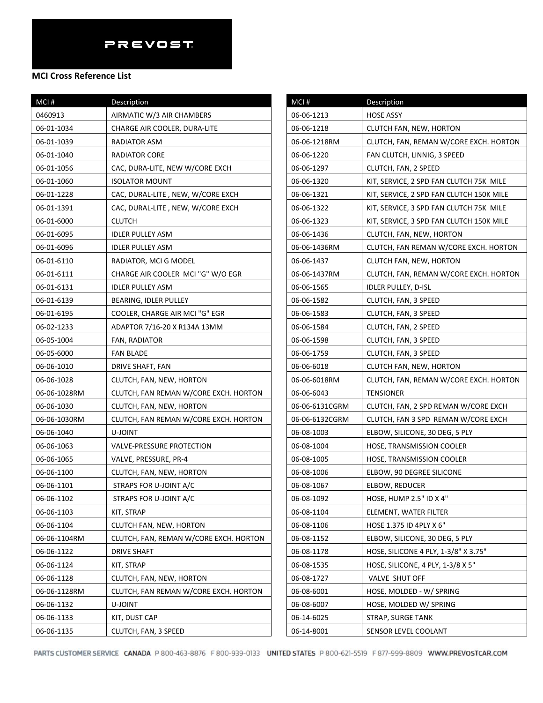| MCI#         | Description                            |  |
|--------------|----------------------------------------|--|
| 0460913      | AIRMATIC W/3 AIR CHAMBERS              |  |
| 06-01-1034   | CHARGE AIR COOLER, DURA-LITE           |  |
| 06-01-1039   | RADIATOR ASM                           |  |
| 06-01-1040   | RADIATOR CORE                          |  |
| 06-01-1056   | CAC, DURA-LITE, NEW W/CORE EXCH        |  |
| 06-01-1060   | <b>ISOLATOR MOUNT</b>                  |  |
| 06-01-1228   | CAC, DURAL-LITE, NEW, W/CORE EXCH      |  |
| 06-01-1391   | CAC, DURAL-LITE, NEW, W/CORE EXCH      |  |
| 06-01-6000   | <b>CLUTCH</b>                          |  |
| 06-01-6095   | <b>IDLER PULLEY ASM</b>                |  |
| 06-01-6096   | <b>IDLER PULLEY ASM</b>                |  |
| 06-01-6110   | RADIATOR, MCI G MODEL                  |  |
| 06-01-6111   | CHARGE AIR COOLER MCI "G" W/O EGR      |  |
| 06-01-6131   | <b>IDLER PULLEY ASM</b>                |  |
| 06-01-6139   | BEARING, IDLER PULLEY                  |  |
| 06-01-6195   | COOLER, CHARGE AIR MCI "G" EGR         |  |
| 06-02-1233   | ADAPTOR 7/16-20 X R134A 13MM           |  |
| 06-05-1004   | FAN, RADIATOR                          |  |
| 06-05-6000   | <b>FAN BLADE</b>                       |  |
| 06-06-1010   | DRIVE SHAFT, FAN                       |  |
| 06-06-1028   | CLUTCH, FAN, NEW, HORTON               |  |
| 06-06-1028RM | CLUTCH, FAN REMAN W/CORE EXCH. HORTON  |  |
| 06-06-1030   | CLUTCH, FAN, NEW, HORTON               |  |
| 06-06-1030RM | CLUTCH, FAN REMAN W/CORE EXCH. HORTON  |  |
| 06-06-1040   | U-JOINT                                |  |
| 06-06-1063   | VALVE-PRESSURE PROTECTION              |  |
| 06-06-1065   | VALVE, PRESSURE, PR-4                  |  |
| 06-06-1100   | CLUTCH, FAN, NEW, HORTON               |  |
| 06-06-1101   | STRAPS FOR U-JOINT A/C                 |  |
| 06-06-1102   | STRAPS FOR U-JOINT A/C                 |  |
| 06-06-1103   | KIT, STRAP                             |  |
| 06-06-1104   | CLUTCH FAN, NEW, HORTON                |  |
| 06-06-1104RM | CLUTCH, FAN, REMAN W/CORE EXCH. HORTON |  |
| 06-06-1122   | <b>DRIVE SHAFT</b>                     |  |
| 06-06-1124   | KIT, STRAP                             |  |
| 06-06-1128   | CLUTCH, FAN, NEW, HORTON               |  |
| 06-06-1128RM | CLUTCH, FAN REMAN W/CORE EXCH. HORTON  |  |
| 06-06-1132   | U-JOINT                                |  |
| 06-06-1133   | KIT, DUST CAP                          |  |
| 06-06-1135   | CLUTCH, FAN, 3 SPEED                   |  |

| MCI#           | Description                              |
|----------------|------------------------------------------|
| 06-06-1213     | HOSE ASSY                                |
| 06-06-1218     | <b>CLUTCH FAN, NEW, HORTON</b>           |
| 06-06-1218RM   | CLUTCH, FAN, REMAN W/CORE EXCH. HORTON   |
| 06-06-1220     | FAN CLUTCH, LINNIG, 3 SPEED              |
| 06-06-1297     | CLUTCH, FAN, 2 SPEED                     |
| 06-06-1320     | KIT, SERVICE, 2 SPD FAN CLUTCH 75K MILE  |
| 06-06-1321     | KIT, SERVICE, 2 SPD FAN CLUTCH 150K MILE |
| 06-06-1322     | KIT, SERVICE, 3 SPD FAN CLUTCH 75K MILE  |
| 06-06-1323     | KIT, SERVICE, 3 SPD FAN CLUTCH 150K MILE |
| 06-06-1436     | CLUTCH, FAN, NEW, HORTON                 |
| 06-06-1436RM   | CLUTCH, FAN REMAN W/CORE EXCH. HORTON    |
| 06-06-1437     | CLUTCH FAN, NEW, HORTON                  |
| 06-06-1437RM   | CLUTCH, FAN, REMAN W/CORE EXCH. HORTON   |
| 06-06-1565     | IDLER PULLEY, D-ISL                      |
| 06-06-1582     | CLUTCH, FAN, 3 SPEED                     |
| 06-06-1583     | CLUTCH, FAN, 3 SPEED                     |
| 06-06-1584     | CLUTCH, FAN, 2 SPEED                     |
| 06-06-1598     | CLUTCH, FAN, 3 SPEED                     |
| 06-06-1759     | CLUTCH, FAN, 3 SPEED                     |
| 06-06-6018     | CLUTCH FAN, NEW, HORTON                  |
| 06-06-6018RM   | CLUTCH, FAN, REMAN W/CORE EXCH. HORTON   |
| 06-06-6043     | TENSIONER                                |
| 06-06-6131CGRM | CLUTCH, FAN, 2 SPD REMAN W/CORE EXCH     |
| 06-06-6132CGRM | CLUTCH, FAN 3 SPD REMAN W/CORE EXCH      |
| 06-08-1003     | ELBOW, SILICONE, 30 DEG, 5 PLY           |
| 06-08-1004     | <b>HOSE, TRANSMISSION COOLER</b>         |
| 06-08-1005     | HOSE, TRANSMISSION COOLER                |
| 06-08-1006     | ELBOW, 90 DEGREE SILICONE                |
| 06-08-1067     | ELBOW, REDUCER                           |
| 06-08-1092     | HOSE, HUMP 2.5" ID X 4"                  |
| 06-08-1104     | ELEMENT, WATER FILTER                    |
| 06-08-1106     | HOSE 1.375 ID 4PLY X 6"                  |
| 06-08-1152     | ELBOW, SILICONE, 30 DEG, 5 PLY           |
| 06-08-1178     | HOSE, SILICONE 4 PLY, 1-3/8" X 3.75"     |
| 06-08-1535     | HOSE, SILICONE, 4 PLY, 1-3/8 X 5"        |
| 06-08-1727     | VALVE SHUT OFF                           |
| 06-08-6001     | HOSE, MOLDED - W/ SPRING                 |
| 06-08-6007     | HOSE, MOLDED W/ SPRING                   |
| 06-14-6025     | <b>STRAP, SURGE TANK</b>                 |
| 06-14-8001     | SENSOR LEVEL COOLANT                     |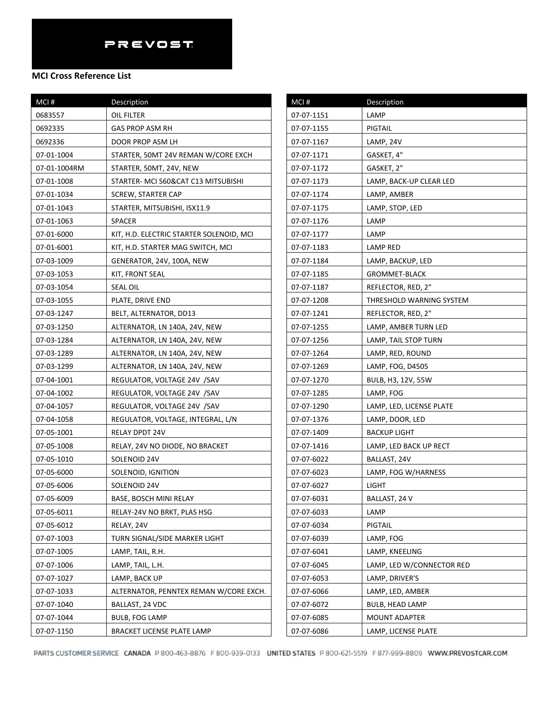| MCI#         | Description                              |
|--------------|------------------------------------------|
| 0683557      | OIL FILTER                               |
| 0692335      | <b>GAS PROP ASM RH</b>                   |
| 0692336      | DOOR PROP ASM LH                         |
| 07-01-1004   | STARTER, 50MT 24V REMAN W/CORE EXCH      |
| 07-01-1004RM | STARTER, 50MT, 24V, NEW                  |
| 07-01-1008   | STARTER- MCI S60&CAT C13 MITSUBISHI      |
| 07-01-1034   | <b>SCREW, STARTER CAP</b>                |
| 07-01-1043   | STARTER, MITSUBISHI, ISX11.9             |
| 07-01-1063   | <b>SPACER</b>                            |
| 07-01-6000   | KIT, H.D. ELECTRIC STARTER SOLENOID, MCI |
| 07-01-6001   | KIT, H.D. STARTER MAG SWITCH, MCI        |
| 07-03-1009   | GENERATOR, 24V, 100A, NEW                |
| 07-03-1053   | KIT, FRONT SEAL                          |
| 07-03-1054   | <b>SEAL OIL</b>                          |
| 07-03-1055   | PLATE, DRIVE END                         |
| 07-03-1247   | BELT, ALTERNATOR, DD13                   |
| 07-03-1250   | ALTERNATOR, LN 140A, 24V, NEW            |
| 07-03-1284   | ALTERNATOR, LN 140A, 24V, NEW            |
| 07-03-1289   | ALTERNATOR, LN 140A, 24V, NEW            |
| 07-03-1299   | ALTERNATOR, LN 140A, 24V, NEW            |
| 07-04-1001   | REGULATOR, VOLTAGE 24V /SAV              |
| 07-04-1002   | REGULATOR, VOLTAGE 24V /SAV              |
| 07-04-1057   | REGULATOR, VOLTAGE 24V /SAV              |
| 07-04-1058   | REGULATOR, VOLTAGE, INTEGRAL, L/N        |
| 07-05-1001   | RELAY DPDT 24V                           |
| 07-05-1008   | RELAY, 24V NO DIODE, NO BRACKET          |
| 07-05-1010   | SOLENOID 24V                             |
| 07-05-6000   | SOLENOID, IGNITION                       |
| 07-05-6006   | SOLENOID 24V                             |
| 07-05-6009   | BASE, BOSCH MINI RELAY                   |
| 07-05-6011   | RELAY-24V NO BRKT, PLAS HSG              |
| 07-05-6012   | RELAY, 24V                               |
| 07-07-1003   | TURN SIGNAL/SIDE MARKER LIGHT            |
| 07-07-1005   | LAMP, TAIL, R.H.                         |
| 07-07-1006   | LAMP, TAIL, L.H.                         |
| 07-07-1027   | LAMP, BACK UP                            |
| 07-07-1033   | ALTERNATOR, PENNTEX REMAN W/CORE EXCH.   |
| 07-07-1040   | BALLAST, 24 VDC                          |
| 07-07-1044   | <b>BULB, FOG LAMP</b>                    |
| 07-07-1150   | BRACKET LICENSE PLATE LAMP               |

| MCI#       | Description               |
|------------|---------------------------|
| 07-07-1151 | LAMP                      |
| 07-07-1155 | PIGTAIL                   |
| 07-07-1167 | LAMP, 24V                 |
| 07-07-1171 | GASKET, 4"                |
| 07-07-1172 | GASKET, 2"                |
| 07-07-1173 | LAMP, BACK-UP CLEAR LED   |
| 07-07-1174 | LAMP, AMBER               |
| 07-07-1175 | LAMP, STOP, LED           |
| 07-07-1176 | LAMP                      |
| 07-07-1177 | LAMP                      |
| 07-07-1183 | LAMP RED                  |
| 07-07-1184 | LAMP, BACKUP, LED         |
| 07-07-1185 | <b>GROMMET-BLACK</b>      |
| 07-07-1187 | REFLECTOR, RED, 2"        |
| 07-07-1208 | THRESHOLD WARNING SYSTEM  |
| 07-07-1241 | REFLECTOR, RED, 2"        |
| 07-07-1255 | LAMP, AMBER TURN LED      |
| 07-07-1256 | LAMP, TAIL STOP TURN      |
| 07-07-1264 | LAMP, RED, ROUND          |
| 07-07-1269 | LAMP, FOG, D4505          |
| 07-07-1270 | BULB, H3, 12V, 55W        |
| 07-07-1285 | LAMP, FOG                 |
| 07-07-1290 | LAMP, LED, LICENSE PLATE  |
| 07-07-1376 | LAMP, DOOR, LED           |
| 07-07-1409 | <b>BACKUP LIGHT</b>       |
| 07-07-1416 | LAMP, LED BACK UP RECT    |
| 07-07-6022 | BALLAST, 24V              |
| 07-07-6023 | LAMP, FOG W/HARNESS       |
| 07-07-6027 | LIGHT                     |
| 07-07-6031 | BALLAST, 24 V             |
| 07-07-6033 | LAMP                      |
| 07-07-6034 | PIGTAIL                   |
| 07-07-6039 | LAMP, FOG                 |
| 07-07-6041 | LAMP, KNEELING            |
| 07-07-6045 | LAMP, LED W/CONNECTOR RED |
| 07-07-6053 | LAMP, DRIVER'S            |
| 07-07-6066 | LAMP, LED, AMBER          |
| 07-07-6072 | <b>BULB, HEAD LAMP</b>    |
| 07-07-6085 | MOUNT ADAPTER             |
| 07-07-6086 | LAMP, LICENSE PLATE       |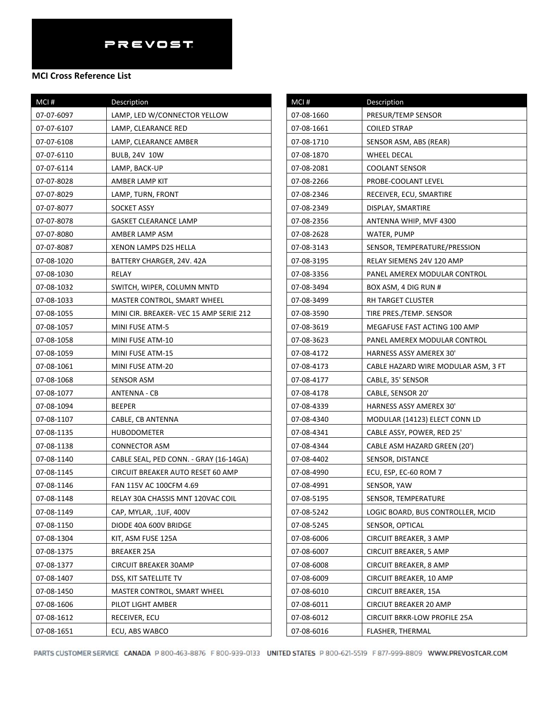### **MCI Cross Reference List**

| MCI#       | Description                             |
|------------|-----------------------------------------|
| 07-07-6097 | LAMP, LED W/CONNECTOR YELLOW            |
| 07-07-6107 | LAMP, CLEARANCE RED                     |
| 07-07-6108 | LAMP, CLEARANCE AMBER                   |
| 07-07-6110 | <b>BULB, 24V 10W</b>                    |
| 07-07-6114 | LAMP, BACK-UP                           |
| 07-07-8028 | AMBER LAMP KIT                          |
| 07-07-8029 | LAMP, TURN, FRONT                       |
| 07-07-8077 | SOCKET ASSY                             |
| 07-07-8078 | GASKET CLEARANCE LAMP                   |
| 07-07-8080 | AMBER LAMP ASM                          |
| 07-07-8087 | XENON LAMPS D2S HELLA                   |
| 07-08-1020 | BATTERY CHARGER, 24V. 42A               |
| 07-08-1030 | RELAY                                   |
| 07-08-1032 | SWITCH, WIPER, COLUMN MNTD              |
| 07-08-1033 | MASTER CONTROL, SMART WHEEL             |
| 07-08-1055 | MINI CIR. BREAKER- VEC 15 AMP SERIE 212 |
| 07-08-1057 | MINI FUSE ATM-5                         |
| 07-08-1058 | MINI FUSE ATM-10                        |
| 07-08-1059 | MINI FUSE ATM-15                        |
| 07-08-1061 | MINI FUSE ATM-20                        |
| 07-08-1068 | SENSOR ASM                              |
| 07-08-1077 | ANTENNA - CB                            |
| 07-08-1094 | <b>BEEPER</b>                           |
| 07-08-1107 | CABLE, CB ANTENNA                       |
| 07-08-1135 | <b>HUBODOMETER</b>                      |
| 07-08-1138 | <b>CONNECTOR ASM</b>                    |
| 07-08-1140 | CABLE SEAL, PED CONN. - GRAY (16-14GA)  |
| 07-08-1145 | CIRCUIT BREAKER AUTO RESET 60 AMP       |
| 07-08-1146 | FAN 115V AC 100CFM 4.69                 |
| 07-08-1148 | RELAY 30A CHASSIS MNT 120VAC COIL       |
| 07-08-1149 | CAP, MYLAR, .1UF, 400V                  |
| 07-08-1150 | DIODE 40A 600V BRIDGE                   |
| 07-08-1304 | KIT, ASM FUSE 125A                      |
| 07-08-1375 | BREAKER 25A                             |
| 07-08-1377 | <b>CIRCUIT BREAKER 30AMP</b>            |
| 07-08-1407 | DSS, KIT SATELLITE TV                   |
| 07-08-1450 | MASTER CONTROL, SMART WHEEL             |
| 07-08-1606 | PILOT LIGHT AMBER                       |
| 07-08-1612 | RECEIVER, ECU                           |
| 07-08-1651 | ECU, ABS WABCO                          |

| MCI#       | Description                         |
|------------|-------------------------------------|
| 07-08-1660 | PRESUR/TEMP SENSOR                  |
| 07-08-1661 | COILED STRAP                        |
| 07-08-1710 | SENSOR ASM, ABS (REAR)              |
| 07-08-1870 | WHEEL DECAL                         |
| 07-08-2081 | COOLANT SENSOR                      |
| 07-08-2266 | PROBE-COOLANT LEVEL                 |
| 07-08-2346 | RECEIVER, ECU, SMARTIRE             |
| 07-08-2349 | DISPLAY, SMARTIRE                   |
| 07-08-2356 | ANTENNA WHIP, MVF 4300              |
| 07-08-2628 | WATER, PUMP                         |
| 07-08-3143 | SENSOR, TEMPERATURE/PRESSION        |
| 07-08-3195 | RELAY SIEMENS 24V 120 AMP           |
| 07-08-3356 | PANEL AMEREX MODULAR CONTROL        |
| 07-08-3494 | BOX ASM, 4 DIG RUN #                |
| 07-08-3499 | RH TARGET CLUSTER                   |
| 07-08-3590 | TIRE PRES./TEMP. SENSOR             |
| 07-08-3619 | MEGAFUSE FAST ACTING 100 AMP        |
| 07-08-3623 | PANEL AMEREX MODULAR CONTROL        |
| 07-08-4172 | HARNESS ASSY AMEREX 30'             |
| 07-08-4173 | CABLE HAZARD WIRE MODULAR ASM, 3 FT |
| 07-08-4177 | CABLE, 35' SENSOR                   |
| 07-08-4178 | CABLE, SENSOR 20'                   |
| 07-08-4339 | HARNESS ASSY AMEREX 30'             |
| 07-08-4340 | MODULAR (14123) ELECT CONN LD       |
| 07-08-4341 | CABLE ASSY, POWER, RED 25'          |
| 07-08-4344 | CABLE ASM HAZARD GREEN (20')        |
| 07-08-4402 | SENSOR, DISTANCE                    |
| 07-08-4990 | ECU, ESP, EC-60 ROM 7               |
| 07-08-4991 | SENSOR, YAW                         |
| 07-08-5195 | SENSOR, TEMPERATURE                 |
| 07-08-5242 | LOGIC BOARD, BUS CONTROLLER, MCID   |
| 07-08-5245 | SENSOR, OPTICAL                     |
| 07-08-6006 | CIRCUIT BREAKER, 3 AMP              |
| 07-08-6007 | <b>CIRCUIT BREAKER, 5 AMP</b>       |
| 07-08-6008 | CIRCUIT BREAKER, 8 AMP              |
| 07-08-6009 | CIRCUIT BREAKER, 10 AMP             |
| 07-08-6010 | CIRCUIT BREAKER, 15A                |
| 07-08-6011 | CIRCIUT BREAKER 20 AMP              |
| 07-08-6012 | CIRCUIT BRKR-LOW PROFILE 25A        |
| 07-08-6016 | FLASHER, THERMAL                    |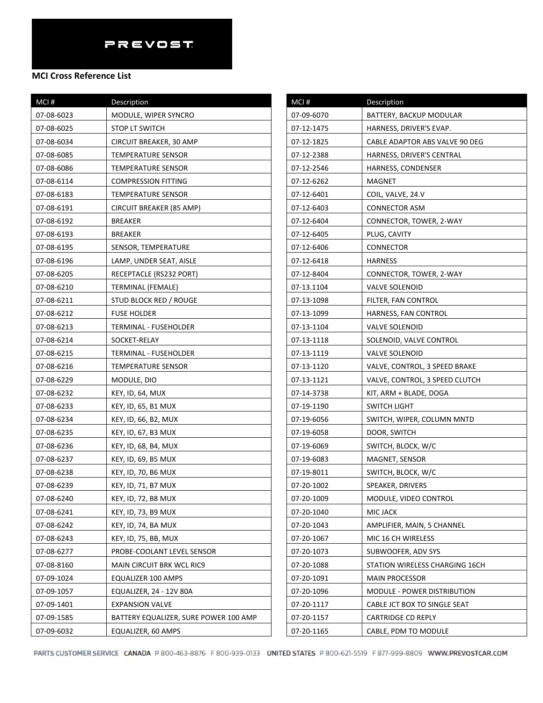## **MCI Cross Reference List**

| MCI#       | Description                           |
|------------|---------------------------------------|
| 07-08-6023 | MODULE, WIPER SYNCRO                  |
| 07-08-6025 | STOP LT SWITCH                        |
| 07-08-6034 | CIRCUIT BREAKER, 30 AMP               |
| 07-08-6085 | <b>TEMPERATURE SENSOR</b>             |
| 07-08-6086 | TEMPERATURE SENSOR                    |
| 07-08-6114 | <b>COMPRESSION FITTING</b>            |
| 07-08-6183 | TEMPERATURE SENSOR                    |
| 07-08-6191 | CIRCUIT BREAKER (85 AMP)              |
| 07-08-6192 | BREAKER                               |
| 07-08-6193 | <b>BREAKER</b>                        |
| 07-08-6195 | SENSOR, TEMPERATURE                   |
| 07-08-6196 | LAMP, UNDER SEAT, AISLE               |
| 07-08-6205 | RECEPTACLE (RS232 PORT)               |
| 07-08-6210 | TERMINAL (FEMALE)                     |
| 07-08-6211 | STUD BLOCK RED / ROUGE                |
| 07-08-6212 | <b>FUSE HOLDER</b>                    |
| 07-08-6213 | TERMINAL - FUSEHOLDER                 |
| 07-08-6214 | SOCKET-RELAY                          |
| 07-08-6215 | TERMINAL - FUSEHOLDER                 |
| 07-08-6216 | TEMPERATURE SENSOR                    |
| 07-08-6229 | MODULE, DIO                           |
| 07-08-6232 | KEY, ID, 64, MUX                      |
| 07-08-6233 | KEY, ID, 65, B1 MUX                   |
| 07-08-6234 | KEY, ID, 66, B2, MUX                  |
| 07-08-6235 | KEY, ID, 67, B3 MUX                   |
| 07-08-6236 | KEY, ID, 68, B4, MUX                  |
| 07-08-6237 | KEY, ID, 69, B5 MUX                   |
| 07-08-6238 | KEY, ID, 70, B6 MUX                   |
| 07-08-6239 | <b>KEY, ID, 71, B7 MUX</b>            |
| 07-08-6240 | KEY, ID, 72, B8 MUX                   |
| 07-08-6241 | <b>KEY, ID, 73, B9 MUX</b>            |
| 07-08-6242 | KEY, ID, 74, BA MUX                   |
| 07-08-6243 | KEY, ID, 75, BB, MUX                  |
| 07-08-6277 | PROBE-COOLANT LEVEL SENSOR            |
| 07-08-8160 | <b>MAIN CIRCUIT BRK WCL RIC9</b>      |
| 07-09-1024 | EQUALIZER 100 AMPS                    |
| 07-09-1057 | EQUALIZER, 24 - 12V 80A               |
| 07-09-1401 | <b>EXPANSION VALVE</b>                |
| 07-09-1585 | BATTERY EQUALIZER, SURE POWER 100 AMP |
| 07-09-6032 | EQUALIZER, 60 AMPS                    |

| MCI#       | Description                    |
|------------|--------------------------------|
| 07-09-6070 | BATTERY, BACKUP MODULAR        |
| 07-12-1475 | HARNESS, DRIVER'S EVAP.        |
| 07-12-1825 | CABLE ADAPTOR ABS VALVE 90 DEG |
| 07-12-2388 | HARNESS, DRIVER'S CENTRAL      |
| 07-12-2546 | HARNESS, CONDENSER             |
| 07-12-6262 | MAGNET                         |
| 07-12-6401 | COIL, VALVE, 24.V              |
| 07-12-6403 | CONNECTOR ASM                  |
| 07-12-6404 | CONNECTOR, TOWER, 2-WAY        |
| 07-12-6405 | PLUG, CAVITY                   |
| 07-12-6406 | CONNECTOR                      |
| 07-12-6418 | <b>HARNESS</b>                 |
| 07-12-8404 | CONNECTOR, TOWER, 2-WAY        |
| 07-13.1104 | <b>VALVE SOLENOID</b>          |
| 07-13-1098 | FILTER, FAN CONTROL            |
| 07-13-1099 | HARNESS, FAN CONTROL           |
| 07-13-1104 | VALVE SOLENOID                 |
| 07-13-1118 | SOLENOID, VALVE CONTROL        |
| 07-13-1119 | VALVE SOLENOID                 |
| 07-13-1120 | VALVE, CONTROL, 3 SPEED BRAKE  |
| 07-13-1121 | VALVE, CONTROL, 3 SPEED CLUTCH |
| 07-14-3738 | KIT, ARM + BLADE, DOGA         |
| 07-19-1190 | SWITCH LIGHT                   |
| 07-19-6056 | SWITCH, WIPER, COLUMN MNTD     |
| 07-19-6058 | DOOR, SWITCH                   |
| 07-19-6069 | SWITCH, BLOCK, W/C             |
| 07-19-6083 | MAGNET, SENSOR                 |
| 07-19-8011 | SWITCH, BLOCK, W/C             |
| 07-20-1002 | SPEAKER, DRIVERS               |
| 07-20-1009 | MODULE, VIDEO CONTROL          |
| 07-20-1040 | MIC JACK                       |
| 07-20-1043 | AMPLIFIER, MAIN, 5 CHANNEL     |
| 07-20-1067 | MIC 16 CH WIRELESS             |
| 07-20-1073 | SUBWOOFER, ADV SYS             |
| 07-20-1088 | STATION WIRELESS CHARGING 16CH |
| 07-20-1091 | <b>MAIN PROCESSOR</b>          |
| 07-20-1096 | MODULE - POWER DISTRIBUTION    |
| 07-20-1117 | CABLE JCT BOX TO SINGLE SEAT   |
| 07-20-1157 | <b>CARTRIDGE CD REPLY</b>      |
| 07-20-1165 | CABLE, PDM TO MODULE           |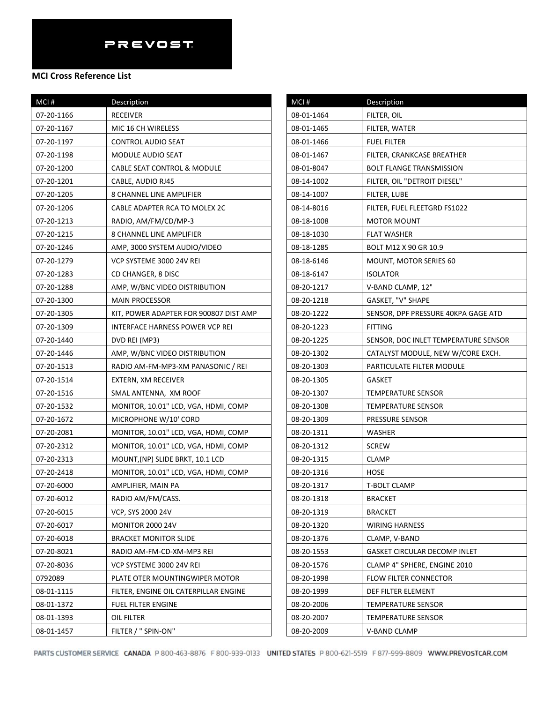| MCI#       | Description                            |
|------------|----------------------------------------|
| 07-20-1166 | <b>RECEIVER</b>                        |
| 07-20-1167 | MIC 16 CH WIRELESS                     |
| 07-20-1197 | <b>CONTROL AUDIO SEAT</b>              |
| 07-20-1198 | MODULE AUDIO SEAT                      |
| 07-20-1200 | CABLE SEAT CONTROL & MODULE            |
| 07-20-1201 | CABLE, AUDIO RJ45                      |
| 07-20-1205 | 8 CHANNEL LINE AMPLIFIER               |
| 07-20-1206 | CABLE ADAPTER RCA TO MOLEX 2C          |
| 07-20-1213 | RADIO, AM/FM/CD/MP-3                   |
| 07-20-1215 | 8 CHANNEL LINE AMPLIFIER               |
| 07-20-1246 | AMP, 3000 SYSTEM AUDIO/VIDEO           |
| 07-20-1279 | VCP SYSTEME 3000 24V REI               |
| 07-20-1283 | CD CHANGER, 8 DISC                     |
| 07-20-1288 | AMP, W/BNC VIDEO DISTRIBUTION          |
| 07-20-1300 | <b>MAIN PROCESSOR</b>                  |
| 07-20-1305 | KIT, POWER ADAPTER FOR 900807 DIST AMP |
| 07-20-1309 | INTERFACE HARNESS POWER VCP REI        |
| 07-20-1440 | DVD REI (MP3)                          |
| 07-20-1446 | AMP, W/BNC VIDEO DISTRIBUTION          |
| 07-20-1513 | RADIO AM-FM-MP3-XM PANASONIC / REI     |
| 07-20-1514 | EXTERN, XM RECEIVER                    |
| 07-20-1516 | SMAL ANTENNA, XM ROOF                  |
| 07-20-1532 | MONITOR, 10.01" LCD, VGA, HDMI, COMP   |
| 07-20-1672 | MICROPHONE W/10' CORD                  |
| 07-20-2081 | MONITOR, 10.01" LCD, VGA, HDMI, COMP   |
| 07-20-2312 | MONITOR, 10.01" LCD, VGA, HDMI, COMP   |
| 07-20-2313 | MOUNT, (NP) SLIDE BRKT, 10.1 LCD       |
| 07-20-2418 | MONITOR, 10.01" LCD, VGA, HDMI, COMP   |
| 07-20-6000 | AMPLIFIER, MAIN PA                     |
| 07-20-6012 | RADIO AM/FM/CASS.                      |
| 07-20-6015 | VCP, SYS 2000 24V                      |
| 07-20-6017 | <b>MONITOR 2000 24V</b>                |
| 07-20-6018 | <b>BRACKET MONITOR SLIDE</b>           |
| 07-20-8021 | RADIO AM-FM-CD-XM-MP3 REI              |
| 07-20-8036 | VCP SYSTEME 3000 24V REI               |
| 0792089    | PLATE OTER MOUNTINGWIPER MOTOR         |
| 08-01-1115 | FILTER, ENGINE OIL CATERPILLAR ENGINE  |
| 08-01-1372 | <b>FUEL FILTER ENGINE</b>              |
| 08-01-1393 | OIL FILTER                             |
| 08-01-1457 | FILTER / " SPIN-ON"                    |

| MCI#       | Description                          |
|------------|--------------------------------------|
| 08-01-1464 | FILTER, OIL                          |
| 08-01-1465 | FILTER, WATER                        |
| 08-01-1466 | FUEL FILTER                          |
| 08-01-1467 | FILTER, CRANKCASE BREATHER           |
| 08-01-8047 | <b>BOLT FLANGE TRANSMISSION</b>      |
| 08-14-1002 | FILTER, OIL "DETROIT DIESEL"         |
| 08-14-1007 | FILTER, LUBE                         |
| 08-14-8016 | FILTER, FUEL FLEETGRD FS1022         |
| 08-18-1008 | <b>MOTOR MOUNT</b>                   |
| 08-18-1030 | <b>FLAT WASHER</b>                   |
| 08-18-1285 | BOLT M12 X 90 GR 10.9                |
| 08-18-6146 | <b>MOUNT, MOTOR SERIES 60</b>        |
| 08-18-6147 | <b>ISOLATOR</b>                      |
| 08-20-1217 | V-BAND CLAMP, 12"                    |
| 08-20-1218 | GASKET, "V" SHAPE                    |
| 08-20-1222 | SENSOR, DPF PRESSURE 40KPA GAGE ATD  |
| 08-20-1223 | <b>FITTING</b>                       |
| 08-20-1225 | SENSOR, DOC INLET TEMPERATURE SENSOR |
| 08-20-1302 | CATALYST MODULE, NEW W/CORE EXCH.    |
| 08-20-1303 | PARTICULATE FILTER MODULE            |
| 08-20-1305 | GASKET                               |
| 08-20-1307 | TEMPERATURE SENSOR                   |
| 08-20-1308 | TEMPERATURE SENSOR                   |
| 08-20-1309 | PRESSURE SENSOR                      |
| 08-20-1311 | WASHER                               |
| 08-20-1312 | <b>SCREW</b>                         |
| 08-20-1315 | <b>CLAMP</b>                         |
| 08-20-1316 | HOSE                                 |
| 08-20-1317 | T-BOLT CLAMP                         |
| 08-20-1318 | <b>BRACKET</b>                       |
| 08-20-1319 | <b>BRACKET</b>                       |
| 08-20-1320 | <b>WIRING HARNESS</b>                |
| 08-20-1376 | CLAMP, V-BAND                        |
| 08-20-1553 | GASKET CIRCULAR DECOMP INLET         |
| 08-20-1576 | CLAMP 4" SPHERE, ENGINE 2010         |
| 08-20-1998 | <b>FLOW FILTER CONNECTOR</b>         |
| 08-20-1999 | DEF FILTER ELEMENT                   |
| 08-20-2006 | <b>TEMPERATURE SENSOR</b>            |
| 08-20-2007 | TEMPERATURE SENSOR                   |
| 08-20-2009 | V-BAND CLAMP                         |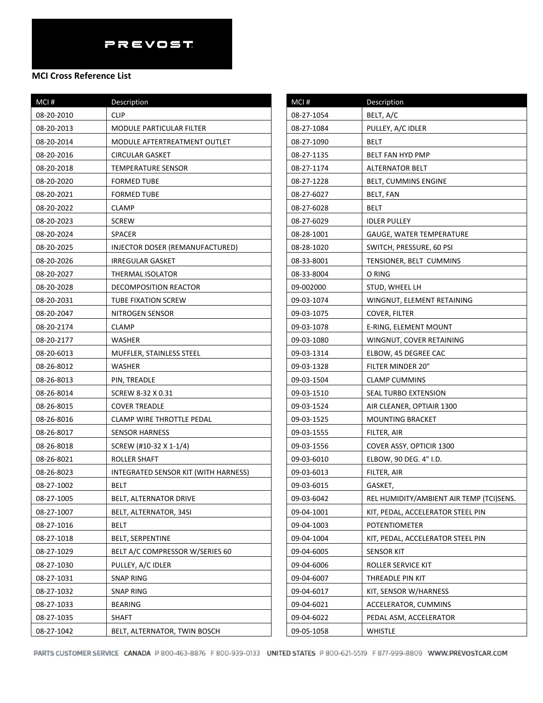| MCI#       | Description                          |
|------------|--------------------------------------|
| 08-20-2010 | CLIP                                 |
| 08-20-2013 | MODULE PARTICULAR FILTER             |
| 08-20-2014 | MODULE AFTERTREATMENT OUTLET         |
| 08-20-2016 | CIRCULAR GASKET                      |
| 08-20-2018 | TEMPERATURE SENSOR                   |
| 08-20-2020 | FORMED TUBE                          |
| 08-20-2021 | <b>FORMED TUBE</b>                   |
| 08-20-2022 | CLAMP                                |
| 08-20-2023 | <b>SCREW</b>                         |
| 08-20-2024 | <b>SPACER</b>                        |
| 08-20-2025 | INJECTOR DOSER (REMANUFACTURED)      |
| 08-20-2026 | IRREGULAR GASKET                     |
| 08-20-2027 | THERMAL ISOLATOR                     |
| 08-20-2028 | DECOMPOSITION REACTOR                |
| 08-20-2031 | <b>TUBE FIXATION SCREW</b>           |
| 08-20-2047 | NITROGEN SENSOR                      |
| 08-20-2174 | CLAMP                                |
| 08-20-2177 | WASHER                               |
| 08-20-6013 | MUFFLER, STAINLESS STEEL             |
| 08-26-8012 | WASHER                               |
| 08-26-8013 | PIN, TREADLE                         |
| 08-26-8014 | SCREW 8-32 X 0.31                    |
| 08-26-8015 | <b>COVER TREADLE</b>                 |
| 08-26-8016 | CLAMP WIRE THROTTLE PEDAL            |
| 08-26-8017 | <b>SENSOR HARNESS</b>                |
| 08-26-8018 | SCREW (#10-32 X 1-1/4)               |
| 08-26-8021 | ROLLER SHAFT                         |
| 08-26-8023 | INTEGRATED SENSOR KIT (WITH HARNESS) |
| 08-27-1002 | BELT                                 |
| 08-27-1005 | <b>BELT, ALTERNATOR DRIVE</b>        |
| 08-27-1007 | BELT, ALTERNATOR, 34SI               |
| 08-27-1016 | BELT                                 |
| 08-27-1018 | <b>BELT, SERPENTINE</b>              |
| 08-27-1029 | BELT A/C COMPRESSOR W/SERIES 60      |
| 08-27-1030 | PULLEY, A/C IDLER                    |
| 08-27-1031 | <b>SNAP RING</b>                     |
| 08-27-1032 | SNAP RING                            |
| 08-27-1033 | <b>BEARING</b>                       |
| 08-27-1035 | SHAFT                                |
| 08-27-1042 | BELT, ALTERNATOR, TWIN BOSCH         |

| MCI#       | Description                              |
|------------|------------------------------------------|
| 08-27-1054 | BELT, A/C                                |
| 08-27-1084 | PULLEY, A/C IDLER                        |
| 08-27-1090 | BELT                                     |
| 08-27-1135 | BELT FAN HYD PMP                         |
| 08-27-1174 | <b>ALTERNATOR BELT</b>                   |
| 08-27-1228 | BELT, CUMMINS ENGINE                     |
| 08-27-6027 | BELT, FAN                                |
| 08-27-6028 | BELT                                     |
| 08-27-6029 | <b>IDLER PULLEY</b>                      |
| 08-28-1001 | GAUGE, WATER TEMPERATURE                 |
| 08-28-1020 | SWITCH, PRESSURE, 60 PSI                 |
| 08-33-8001 | TENSIONER, BELT CUMMINS                  |
| 08-33-8004 | O RING                                   |
| 09-002000  | STUD, WHEEL LH                           |
| 09-03-1074 | WINGNUT, ELEMENT RETAINING               |
| 09-03-1075 | COVER, FILTER                            |
| 09-03-1078 | E-RING, ELEMENT MOUNT                    |
| 09-03-1080 | WINGNUT, COVER RETAINING                 |
| 09-03-1314 | ELBOW, 45 DEGREE CAC                     |
| 09-03-1328 | FILTER MINDER 20"                        |
| 09-03-1504 | <b>CLAMP CUMMINS</b>                     |
| 09-03-1510 | SEAL TURBO EXTENSION                     |
| 09-03-1524 | AIR CLEANER, OPTIAIR 1300                |
| 09-03-1525 | <b>MOUNTING BRACKET</b>                  |
| 09-03-1555 | FILTER, AIR                              |
| 09-03-1556 | COVER ASSY, OPTICIR 1300                 |
| 09-03-6010 | ELBOW, 90 DEG. 4" I.D.                   |
| 09-03-6013 | FILTER, AIR                              |
| 09-03-6015 | GASKET,                                  |
| 09-03-6042 | REL HUMIDITY/AMBIENT AIR TEMP (TCI)SENS. |
| 09-04-1001 | KIT, PEDAL, ACCELERATOR STEEL PIN        |
| 09-04-1003 | <b>POTENTIOMETER</b>                     |
| 09-04-1004 | KIT, PEDAL, ACCELERATOR STEEL PIN        |
| 09-04-6005 | SENSOR KIT                               |
| 09-04-6006 | ROLLER SERVICE KIT                       |
| 09-04-6007 | THREADLE PIN KIT                         |
| 09-04-6017 | KIT, SENSOR W/HARNESS                    |
| 09-04-6021 | ACCELERATOR, CUMMINS                     |
| 09-04-6022 | PEDAL ASM, ACCELERATOR                   |
| 09-05-1058 | WHISTLE                                  |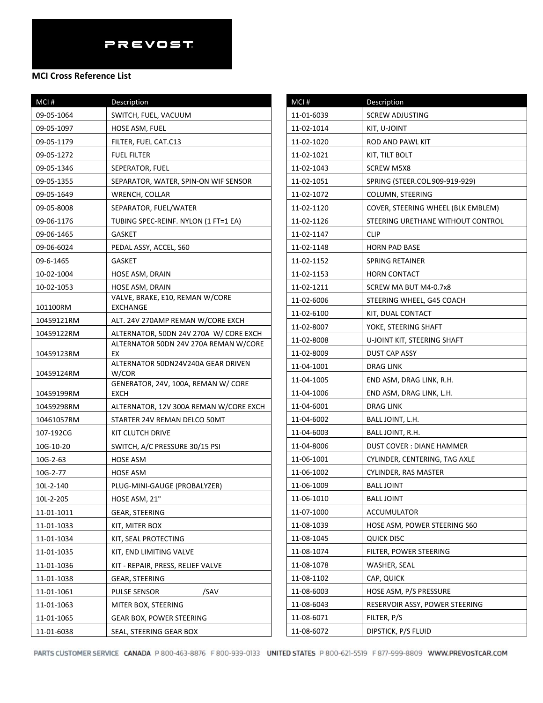| MCI#       | Description                                                                     |
|------------|---------------------------------------------------------------------------------|
| 09-05-1064 | SWITCH, FUEL, VACUUM                                                            |
| 09-05-1097 | HOSE ASM, FUEL                                                                  |
| 09-05-1179 | FILTER, FUEL CAT.C13                                                            |
| 09-05-1272 | <b>FUEL FILTER</b>                                                              |
| 09-05-1346 | SEPERATOR, FUEL                                                                 |
| 09-05-1355 | SEPARATOR, WATER, SPIN-ON WIF SENSOR                                            |
| 09-05-1649 | WRENCH, COLLAR                                                                  |
| 09-05-8008 | SEPARATOR, FUEL/WATER                                                           |
| 09-06-1176 | TUBING SPEC-REINF. NYLON (1 FT=1 EA)                                            |
| 09-06-1465 | GASKET                                                                          |
| 09-06-6024 | PEDAL ASSY, ACCEL, S60                                                          |
| 09-6-1465  | GASKET                                                                          |
| 10-02-1004 | HOSE ASM, DRAIN                                                                 |
| 10-02-1053 | HOSE ASM, DRAIN                                                                 |
|            | VALVE, BRAKE, E10, REMAN W/CORE                                                 |
| 101100RM   | <b>EXCHANGE</b>                                                                 |
| 10459121RM | ALT. 24V 270AMP REMAN W/CORE EXCH                                               |
| 10459122RM | ALTERNATOR, 50DN 24V 270A W/ CORE EXCH<br>ALTERNATOR 50DN 24V 270A REMAN W/CORE |
| 10459123RM | EX                                                                              |
| 10459124RM | ALTERNATOR 50DN24V240A GEAR DRIVEN<br>W/COR                                     |
|            | GENERATOR, 24V, 100A, REMAN W/ CORE                                             |
| 10459199RM | <b>EXCH</b>                                                                     |
| 10459298RM | ALTERNATOR, 12V 300A REMAN W/CORE EXCH                                          |
| 10461057RM | STARTER 24V REMAN DELCO 50MT                                                    |
| 107-192CG  | KIT CLUTCH DRIVE                                                                |
| 10G-10-20  | SWITCH, A/C PRESSURE 30/15 PSI                                                  |
| 10G-2-63   | HOSE ASM                                                                        |
| 10G-2-77   | HOSE ASM                                                                        |
| 10L-2-140  | PLUG-MINI-GAUGE (PROBALYZER)                                                    |
| 10L-2-205  | HOSE ASM, 21"                                                                   |
| 11-01-1011 | GEAR, STEERING                                                                  |
| 11-01-1033 | KIT, MITER BOX                                                                  |
| 11-01-1034 | KIT, SEAL PROTECTING                                                            |
| 11-01-1035 | KIT, END LIMITING VALVE                                                         |
| 11-01-1036 | KIT - REPAIR, PRESS, RELIEF VALVE                                               |
| 11-01-1038 | GEAR, STEERING                                                                  |
| 11-01-1061 | /SAV<br>PULSE SENSOR                                                            |
| 11-01-1063 | MITER BOX, STEERING                                                             |
| 11-01-1065 | GEAR BOX, POWER STEERING                                                        |
| 11-01-6038 | SEAL, STEERING GEAR BOX                                                         |

| MCI#       | Description                        |
|------------|------------------------------------|
| 11-01-6039 | <b>SCREW ADJUSTING</b>             |
| 11-02-1014 | KIT, U-JOINT                       |
| 11-02-1020 | ROD AND PAWL KIT                   |
| 11-02-1021 | KIT, TILT BOLT                     |
| 11-02-1043 | SCREW M5X8                         |
| 11-02-1051 | SPRING (STEER.COL.909-919-929)     |
| 11-02-1072 | COLUMN, STEERING                   |
| 11-02-1120 | COVER, STEERING WHEEL (BLK EMBLEM) |
| 11-02-1126 | STEERING URETHANE WITHOUT CONTROL  |
| 11-02-1147 | <b>CLIP</b>                        |
| 11-02-1148 | <b>HORN PAD BASE</b>               |
| 11-02-1152 | SPRING RETAINER                    |
| 11-02-1153 | HORN CONTACT                       |
| 11-02-1211 | SCREW MA BUT M4-0.7x8              |
| 11-02-6006 | STEERING WHEEL, G45 COACH          |
| 11-02-6100 | KIT, DUAL CONTACT                  |
| 11-02-8007 | YOKE, STEERING SHAFT               |
| 11-02-8008 | U-JOINT KIT, STEERING SHAFT        |
| 11-02-8009 | DUST CAP ASSY                      |
| 11-04-1001 | DRAG LINK                          |
| 11-04-1005 | END ASM, DRAG LINK, R.H.           |
| 11-04-1006 | END ASM, DRAG LINK, L.H.           |
| 11-04-6001 | DRAG LINK                          |
| 11-04-6002 | BALL JOINT, L.H.                   |
| 11-04-6003 | BALL JOINT, R.H.                   |
| 11-04-8006 | DUST COVER : DIANE HAMMER          |
| 11-06-1001 | CYLINDER, CENTERING, TAG AXLE      |
| 11-06-1002 | <b>CYLINDER, RAS MASTER</b>        |
| 11-06-1009 | <b>BALL JOINT</b>                  |
| 11-06-1010 | <b>BALL JOINT</b>                  |
| 11-07-1000 | <b>ACCUMULATOR</b>                 |
| 11-08-1039 | HOSE ASM, POWER STEERING S60       |
| 11-08-1045 | <b>QUICK DISC</b>                  |
| 11-08-1074 | FILTER, POWER STEERING             |
| 11-08-1078 | WASHER, SEAL                       |
| 11-08-1102 | CAP, QUICK                         |
| 11-08-6003 | HOSE ASM, P/S PRESSURE             |
| 11-08-6043 | RESERVOIR ASSY, POWER STEERING     |
| 11-08-6071 | FILTER, P/S                        |
| 11-08-6072 | DIPSTICK, P/S FLUID                |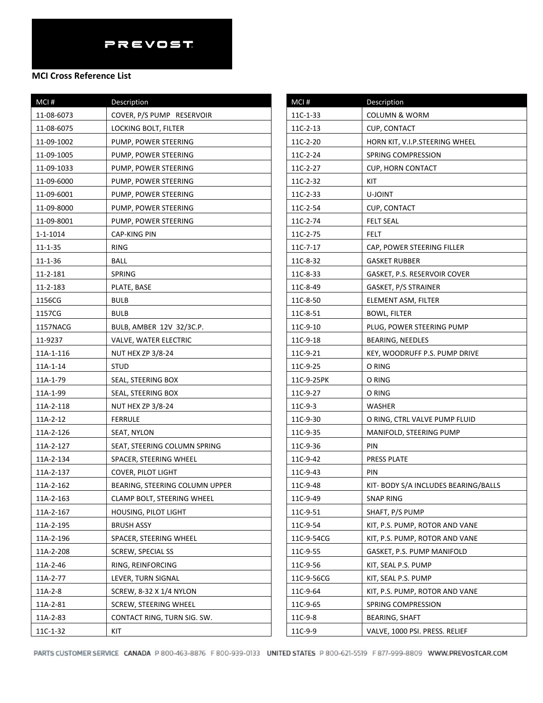### **MCI Cross Reference List**

| MCI#          | Description                    |
|---------------|--------------------------------|
| 11-08-6073    | COVER, P/S PUMP RESERVOIR      |
| 11-08-6075    | LOCKING BOLT, FILTER           |
| 11-09-1002    | PUMP, POWER STEERING           |
| 11-09-1005    | PUMP, POWER STEERING           |
| 11-09-1033    | PUMP, POWER STEERING           |
| 11-09-6000    | PUMP, POWER STEERING           |
| 11-09-6001    | PUMP, POWER STEERING           |
| 11-09-8000    | PUMP, POWER STEERING           |
| 11-09-8001    | PUMP, POWER STEERING           |
| 1-1-1014      | CAP-KING PIN                   |
| $11 - 1 - 35$ | RING                           |
| 11-1-36       | BALL                           |
| 11-2-181      | SPRING                         |
| 11-2-183      | PLATE, BASE                    |
| 1156CG        | <b>BULB</b>                    |
| 1157CG        | <b>BULB</b>                    |
| 1157NACG      | BULB, AMBER 12V 32/3C.P.       |
| 11-9237       | <b>VALVE, WATER ELECTRIC</b>   |
| 11A-1-116     | <b>NUT HEX ZP 3/8-24</b>       |
| 11A-1-14      | STUD                           |
| 11A-1-79      | SEAL, STEERING BOX             |
| 11A-1-99      | SEAL, STEERING BOX             |
| 11A-2-118     | <b>NUT HEX ZP 3/8-24</b>       |
| 11A-2-12      | <b>FERRULE</b>                 |
| 11A-2-126     | SEAT, NYLON                    |
| 11A-2-127     | SEAT, STEERING COLUMN SPRING   |
| 11A-2-134     | SPACER, STEERING WHEEL         |
| 11A-2-137     | <b>COVER, PILOT LIGHT</b>      |
| 11A-2-162     | BEARING, STEERING COLUMN UPPER |
| 11A-2-163     | CLAMP BOLT, STEERING WHEEL     |
| 11A-2-167     | <b>HOUSING, PILOT LIGHT</b>    |
| 11A-2-195     | <b>BRUSH ASSY</b>              |
| 11A-2-196     | SPACER, STEERING WHEEL         |
| 11A-2-208     | SCREW, SPECIAL SS              |
| 11A-2-46      | RING, REINFORCING              |
| 11A-2-77      | LEVER, TURN SIGNAL             |
| $11A-2-8$     | <b>SCREW, 8-32 X 1/4 NYLON</b> |
| 11A-2-81      | <b>SCREW, STEERING WHEEL</b>   |
| 11A-2-83      | CONTACT RING, TURN SIG. SW.    |
| 11C-1-32      | KIT                            |

| MCI#       | Description                          |
|------------|--------------------------------------|
| 11C-1-33   | <b>COLUMN &amp; WORM</b>             |
| 11C-2-13   | <b>CUP, CONTACT</b>                  |
| 11C-2-20   | HORN KIT, V.I.P.STEERING WHEEL       |
| 11C-2-24   | SPRING COMPRESSION                   |
| 11C-2-27   | CUP, HORN CONTACT                    |
| 11C-2-32   | KIT                                  |
| 11C-2-33   | U-JOINT                              |
| 11C-2-54   | <b>CUP, CONTACT</b>                  |
| 11C-2-74   | <b>FELT SEAL</b>                     |
| 11C-2-75   | FELT                                 |
| 11C-7-17   | CAP, POWER STEERING FILLER           |
| 11C-8-32   | GASKET RUBBER                        |
| 11C-8-33   | GASKET, P.S. RESERVOIR COVER         |
| 11C-8-49   | GASKET, P/S STRAINER                 |
| 11C-8-50   | ELEMENT ASM, FILTER                  |
| 11C-8-51   | BOWL, FILTER                         |
| 11C-9-10   | PLUG, POWER STEERING PUMP            |
| 11C-9-18   | BEARING, NEEDLES                     |
| 11C-9-21   | KEY, WOODRUFF P.S. PUMP DRIVE        |
| 11C-9-25   | O RING                               |
| 11C-9-25PK | O RING                               |
| 11C-9-27   | O RING                               |
| 11C-9-3    | WASHER                               |
| 11C-9-30   | O RING, CTRL VALVE PUMP FLUID        |
| 11C-9-35   | MANIFOLD, STEERING PUMP              |
| 11C-9-36   | PIN                                  |
| 11C-9-42   | <b>PRESS PLATE</b>                   |
| 11C-9-43   | PIN                                  |
| 11C-9-48   | KIT- BODY S/A INCLUDES BEARING/BALLS |
| 11C-9-49   | <b>SNAP RING</b>                     |
| 11C-9-51   | SHAFT, P/S PUMP                      |
| 11C-9-54   | KIT, P.S. PUMP, ROTOR AND VANE       |
| 11C-9-54CG | KIT, P.S. PUMP, ROTOR AND VANE       |
| 11C-9-55   | GASKET, P.S. PUMP MANIFOLD           |
| 11C-9-56   | KIT, SEAL P.S. PUMP                  |
| 11C-9-56CG | KIT, SEAL P.S. PUMP                  |
| 11C-9-64   | KIT, P.S. PUMP, ROTOR AND VANE       |
| 11C-9-65   | SPRING COMPRESSION                   |
| 11C-9-8    | BEARING, SHAFT                       |
| 11C-9-9    | VALVE, 1000 PSI. PRESS. RELIEF       |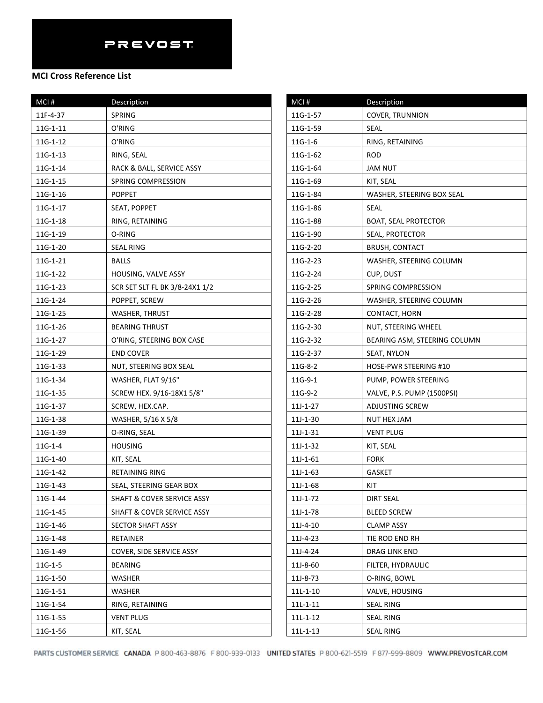| MCI#       | Description                           |
|------------|---------------------------------------|
| 11F-4-37   | <b>SPRING</b>                         |
| $11G-1-11$ | O'RING                                |
| 11G-1-12   | O'RING                                |
| 11G-1-13   | RING, SEAL                            |
| 11G-1-14   | RACK & BALL, SERVICE ASSY             |
| 11G-1-15   | SPRING COMPRESSION                    |
| 11G-1-16   | <b>POPPET</b>                         |
| 11G-1-17   | SEAT, POPPET                          |
| 11G-1-18   | RING, RETAINING                       |
| 11G-1-19   | O-RING                                |
| 11G-1-20   | <b>SEAL RING</b>                      |
| 11G-1-21   | <b>BALLS</b>                          |
| 11G-1-22   | HOUSING, VALVE ASSY                   |
| 11G-1-23   | SCR SET SLT FL BK 3/8-24X1 1/2        |
| 11G-1-24   | POPPET, SCREW                         |
| 11G-1-25   | <b>WASHER, THRUST</b>                 |
| 11G-1-26   | <b>BEARING THRUST</b>                 |
| 11G-1-27   | O'RING, STEERING BOX CASE             |
| 11G-1-29   | <b>END COVER</b>                      |
| 11G-1-33   | NUT, STEERING BOX SEAL                |
| 11G-1-34   | WASHER, FLAT 9/16"                    |
| 11G-1-35   | SCREW HEX. 9/16-18X1 5/8"             |
| 11G-1-37   | SCREW, HEX.CAP.                       |
| 11G-1-38   | WASHER, 5/16 X 5/8                    |
| 11G-1-39   | O-RING, SEAL                          |
| $11G-1-4$  | <b>HOUSING</b>                        |
| 11G-1-40   | KIT, SEAL                             |
| 11G-1-42   | RETAINING RING                        |
| 11G-1-43   | SEAL, STEERING GEAR BOX               |
| 11G-1-44   | SHAFT & COVER SERVICE ASSY            |
| 11G-1-45   | <b>SHAFT &amp; COVER SERVICE ASSY</b> |
| 11G-1-46   | <b>SECTOR SHAFT ASSY</b>              |
| 11G-1-48   | RETAINER                              |
| 11G-1-49   | COVER, SIDE SERVICE ASSY              |
| 11G-1-5    | <b>BEARING</b>                        |
| 11G-1-50   | WASHER                                |
| 11G-1-51   | WASHER                                |
| 11G-1-54   | RING, RETAINING                       |
| 11G-1-55   | <b>VENT PLUG</b>                      |
| 11G-1-56   | KIT, SEAL                             |

| MCI#           | Description                  |
|----------------|------------------------------|
| 11G-1-57       | <b>COVER, TRUNNION</b>       |
| 11G-1-59       | SEAL                         |
| $11G-1-6$      | RING, RETAINING              |
| 11G-1-62       | <b>ROD</b>                   |
| 11G-1-64       | <b>JAM NUT</b>               |
| 11G-1-69       | KIT, SEAL                    |
| 11G-1-84       | WASHER, STEERING BOX SEAL    |
| 11G-1-86       | <b>SEAL</b>                  |
| 11G-1-88       | <b>BOAT, SEAL PROTECTOR</b>  |
| 11G-1-90       | SEAL, PROTECTOR              |
| 11G-2-20       | <b>BRUSH, CONTACT</b>        |
| 11G-2-23       | WASHER, STEERING COLUMN      |
| 11G-2-24       | CUP, DUST                    |
| 11G-2-25       | SPRING COMPRESSION           |
| 11G-2-26       | WASHER, STEERING COLUMN      |
| 11G-2-28       | CONTACT, HORN                |
| 11G-2-30       | NUT, STEERING WHEEL          |
| 11G-2-32       | BEARING ASM, STEERING COLUMN |
| 11G-2-37       | SEAT, NYLON                  |
| $11G-8-2$      | HOSE-PWR STEERING #10        |
| 11G-9-1        | PUMP, POWER STEERING         |
| 11G-9-2        | VALVE, P.S. PUMP (1500PSI)   |
| $11J-1-27$     | ADJUSTING SCREW              |
| 11J-1-30       | NUT HEX JAM                  |
| $11J-1-31$     | <b>VENT PLUG</b>             |
| $11J-1-32$     | KIT, SEAL                    |
| $11J-1-61$     | <b>FORK</b>                  |
| $11J-1-63$     | <b>GASKET</b>                |
| 11J-1-68       | KIT                          |
| $11J-1-72$     | <b>DIRT SEAL</b>             |
| 11J-1-78       | <b>BLEED SCREW</b>           |
| 11J-4-10       | CLAMP ASSY                   |
| 11J-4-23       | TIE ROD END RH               |
| 11J-4-24       | DRAG LINK END                |
| 11J-8-60       | FILTER, HYDRAULIC            |
| 11J-8-73       | O-RING, BOWL                 |
| $11L-1-10$     | VALVE, HOUSING               |
| $11L-1-11$     | <b>SEAL RING</b>             |
| 11L-1-12       | SEAL RING                    |
| $11L - 1 - 13$ | <b>SEAL RING</b>             |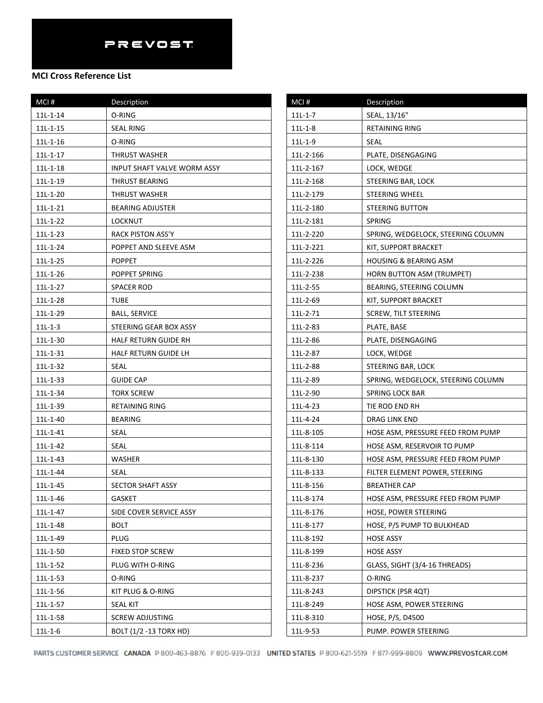| MCI#           | Description                 |
|----------------|-----------------------------|
| $11L - 1 - 14$ | O-RING                      |
| 11L-1-15       | <b>SEAL RING</b>            |
| $11L - 1 - 16$ | O-RING                      |
| 11L-1-17       | THRUST WASHER               |
| 11L-1-18       | INPUT SHAFT VALVE WORM ASSY |
| 11L-1-19       | THRUST BEARING              |
| $11L-1-20$     | <b>THRUST WASHER</b>        |
| $11L-1-21$     | <b>BEARING ADJUSTER</b>     |
| 11L-1-22       | LOCKNUT                     |
| $11L-1-23$     | RACK PISTON ASS'Y           |
| 11L-1-24       | POPPET AND SLEEVE ASM       |
| $11L - 1 - 25$ | <b>POPPET</b>               |
| 11L-1-26       | POPPET SPRING               |
| $11L-1-27$     | SPACER ROD                  |
| 11L-1-28       | <b>TUBE</b>                 |
| 11L-1-29       | <b>BALL, SERVICE</b>        |
| $11L-1-3$      | STEERING GEAR BOX ASSY      |
| 11L-1-30       | HALF RETURN GUIDE RH        |
| 11L-1-31       | HALF RETURN GUIDE LH        |
| 11L-1-32       | SEAL                        |
| 11L-1-33       | <b>GUIDE CAP</b>            |
| 11L-1-34       | TORX SCREW                  |
| 11L-1-39       | <b>RETAINING RING</b>       |
| 11L-1-40       | <b>BEARING</b>              |
| 11L-1-41       | <b>SEAL</b>                 |
| $11L-1-42$     | <b>SEAL</b>                 |
| $11L-1-43$     | WASHER                      |
| $11L - 1 - 44$ | <b>SEAL</b>                 |
| $11L - 1 - 45$ | SECTOR SHAFT ASSY           |
| 11L-1-46       | GASKET                      |
| 11L-1-47       | SIDE COVER SERVICE ASSY     |
| 11L-1-48       | BOLT                        |
| 11L-1-49       | PLUG                        |
| 11L-1-50       | <b>FIXED STOP SCREW</b>     |
| 11L-1-52       | PLUG WITH O-RING            |
| 11L-1-53       | O-RING                      |
| 11L-1-56       | KIT PLUG & O-RING           |
| 11L-1-57       | <b>SEAL KIT</b>             |
| 11L-1-58       | <b>SCREW ADJUSTING</b>      |
| $11L-1-6$      | BOLT (1/2 -13 TORX HD)      |

| MCI#      | Description                        |
|-----------|------------------------------------|
| $11L-1-7$ | SEAL, 13/16"                       |
| $11L-1-8$ | RETAINING RING                     |
| $11L-1-9$ | <b>SEAL</b>                        |
| 11L-2-166 | PLATE, DISENGAGING                 |
| 11L-2-167 | LOCK, WEDGE                        |
| 11L-2-168 | STEERING BAR, LOCK                 |
| 11L-2-179 | <b>STEERING WHEEL</b>              |
| 11L-2-180 | <b>STEERING BUTTON</b>             |
| 11L-2-181 | SPRING                             |
| 11L-2-220 | SPRING, WEDGELOCK, STEERING COLUMN |
| 11L-2-221 | KIT, SUPPORT BRACKET               |
| 11L-2-226 | HOUSING & BEARING ASM              |
| 11L-2-238 | HORN BUTTON ASM (TRUMPET)          |
| 11L-2-55  | BEARING, STEERING COLUMN           |
| 11L-2-69  | KIT, SUPPORT BRACKET               |
| 11L-2-71  | <b>SCREW, TILT STEERING</b>        |
| 11L-2-83  | PLATE, BASE                        |
| 11L-2-86  | PLATE, DISENGAGING                 |
| 11L-2-87  | LOCK, WEDGE                        |
| 11L-2-88  | STEERING BAR, LOCK                 |
| 11L-2-89  | SPRING, WEDGELOCK, STEERING COLUMN |
| 11L-2-90  | SPRING LOCK BAR                    |
| 11L-4-23  | TIE ROD END RH                     |
| 11L-4-24  | DRAG LINK END                      |
| 11L-8-105 | HOSE ASM, PRESSURE FEED FROM PUMP  |
| 11L-8-114 | HOSE ASM, RESERVOIR TO PUMP        |
| 11L-8-130 | HOSE ASM, PRESSURE FEED FROM PUMP  |
| 11L-8-133 | FILTER ELEMENT POWER, STEERING     |
| 11L-8-156 | <b>BREATHER CAP</b>                |
| 11L-8-174 | HOSE ASM, PRESSURE FEED FROM PUMP  |
| 11L-8-176 | <b>HOSE, POWER STEERING</b>        |
| 11L-8-177 | HOSE, P/S PUMP TO BULKHEAD         |
| 11L-8-192 | <b>HOSE ASSY</b>                   |
| 11L-8-199 | <b>HOSE ASSY</b>                   |
| 11L-8-236 | GLASS, SIGHT (3/4-16 THREADS)      |
| 11L-8-237 | O-RING                             |
| 11L-8-243 | <b>DIPSTICK (PSR 4QT)</b>          |
| 11L-8-249 | HOSE ASM, POWER STEERING           |
| 11L-8-310 | HOSE, P/S, D4500                   |
| 11L-9-53  | PUMP. POWER STEERING               |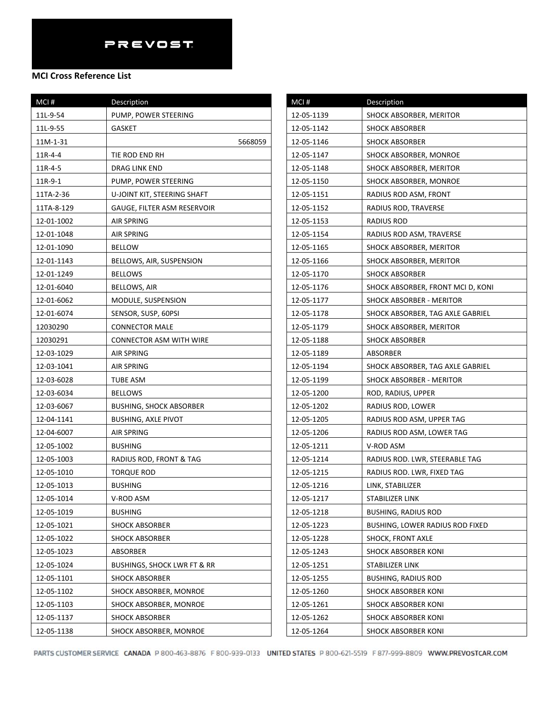### **MCI Cross Reference List**

| MCI#       | Description                    |
|------------|--------------------------------|
| 11L-9-54   | PUMP, POWER STEERING           |
| 11L-9-55   | GASKET                         |
| 11M-1-31   | 5668059                        |
| 11R-4-4    | TIE ROD END RH                 |
| 11R-4-5    | DRAG LINK END                  |
| 11R-9-1    | PUMP, POWER STEERING           |
| 11TA-2-36  | U-JOINT KIT, STEERING SHAFT    |
| 11TA-8-129 | GAUGE, FILTER ASM RESERVOIR    |
| 12-01-1002 | AIR SPRING                     |
| 12-01-1048 | AIR SPRING                     |
| 12-01-1090 | <b>BELLOW</b>                  |
| 12-01-1143 | BELLOWS, AIR, SUSPENSION       |
| 12-01-1249 | <b>BELLOWS</b>                 |
| 12-01-6040 | BELLOWS, AIR                   |
| 12-01-6062 | MODULE, SUSPENSION             |
| 12-01-6074 | SENSOR, SUSP, 60PSI            |
| 12030290   | <b>CONNECTOR MALE</b>          |
| 12030291   | CONNECTOR ASM WITH WIRE        |
| 12-03-1029 | AIR SPRING                     |
| 12-03-1041 | AIR SPRING                     |
| 12-03-6028 | <b>TUBE ASM</b>                |
| 12-03-6034 | <b>BELLOWS</b>                 |
| 12-03-6067 | <b>BUSHING, SHOCK ABSORBER</b> |
| 12-04-1141 | <b>BUSHING, AXLE PIVOT</b>     |
| 12-04-6007 | AIR SPRING                     |
| 12-05-1002 | <b>BUSHING</b>                 |
| 12-05-1003 | RADIUS ROD, FRONT & TAG        |
| 12-05-1010 | TORQUE ROD                     |
| 12-05-1013 | <b>BUSHING</b>                 |
| 12-05-1014 | V-ROD ASM                      |
| 12-05-1019 | <b>BUSHING</b>                 |
| 12-05-1021 | <b>SHOCK ABSORBER</b>          |
| 12-05-1022 | <b>SHOCK ABSORBER</b>          |
| 12-05-1023 | ABSORBER                       |
| 12-05-1024 | BUSHINGS, SHOCK LWR FT & RR    |
| 12-05-1101 | <b>SHOCK ABSORBER</b>          |
| 12-05-1102 | SHOCK ABSORBER, MONROE         |
| 12-05-1103 | SHOCK ABSORBER, MONROE         |
| 12-05-1137 | <b>SHOCK ABSORBER</b>          |
| 12-05-1138 | SHOCK ABSORBER, MONROE         |

| MCI#       | Description                            |
|------------|----------------------------------------|
| 12-05-1139 | SHOCK ABSORBER, MERITOR                |
| 12-05-1142 | SHOCK ABSORBER                         |
| 12-05-1146 | SHOCK ABSORBER                         |
| 12-05-1147 | SHOCK ABSORBER, MONROE                 |
| 12-05-1148 | SHOCK ABSORBER, MERITOR                |
| 12-05-1150 | SHOCK ABSORBER, MONROE                 |
| 12-05-1151 | RADIUS ROD ASM, FRONT                  |
| 12-05-1152 | RADIUS ROD, TRAVERSE                   |
| 12-05-1153 | RADIUS ROD                             |
| 12-05-1154 | RADIUS ROD ASM, TRAVERSE               |
| 12-05-1165 | SHOCK ABSORBER, MERITOR                |
| 12-05-1166 | SHOCK ABSORBER, MERITOR                |
| 12-05-1170 | SHOCK ABSORBER                         |
| 12-05-1176 | SHOCK ABSORBER, FRONT MCI D, KONI      |
| 12-05-1177 | SHOCK ABSORBER - MERITOR               |
| 12-05-1178 | SHOCK ABSORBER, TAG AXLE GABRIEL       |
| 12-05-1179 | SHOCK ABSORBER, MERITOR                |
| 12-05-1188 | <b>SHOCK ABSORBER</b>                  |
| 12-05-1189 | ABSORBER                               |
| 12-05-1194 | SHOCK ABSORBER, TAG AXLE GABRIEL       |
| 12-05-1199 | SHOCK ABSORBER - MERITOR               |
| 12-05-1200 | ROD, RADIUS, UPPER                     |
| 12-05-1202 | RADIUS ROD, LOWER                      |
| 12-05-1205 | RADIUS ROD ASM, UPPER TAG              |
| 12-05-1206 | RADIUS ROD ASM, LOWER TAG              |
| 12-05-1211 | V-ROD ASM                              |
| 12-05-1214 | RADIUS ROD. LWR, STEERABLE TAG         |
| 12-05-1215 | RADIUS ROD. LWR, FIXED TAG             |
| 12-05-1216 | LINK, STABILIZER                       |
| 12-05-1217 | STABILIZER LINK                        |
| 12-05-1218 | <b>BUSHING, RADIUS ROD</b>             |
| 12-05-1223 | <b>BUSHING. LOWER RADIUS ROD FIXED</b> |
| 12-05-1228 | SHOCK, FRONT AXLE                      |
| 12-05-1243 | SHOCK ABSORBER KONI                    |
| 12-05-1251 | STABILIZER LINK                        |
| 12-05-1255 | <b>BUSHING, RADIUS ROD</b>             |
| 12-05-1260 | SHOCK ABSORBER KONI                    |
| 12-05-1261 | SHOCK ABSORBER KONI                    |
| 12-05-1262 | SHOCK ABSORBER KONI                    |
| 12-05-1264 | SHOCK ABSORBER KONI                    |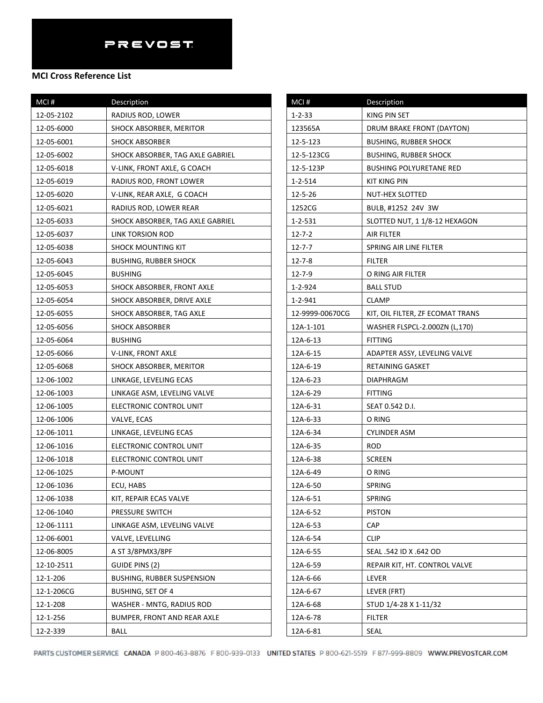| MCI#       | Description                       |
|------------|-----------------------------------|
| 12-05-2102 | RADIUS ROD, LOWER                 |
| 12-05-6000 | SHOCK ABSORBER, MERITOR           |
| 12-05-6001 | <b>SHOCK ABSORBER</b>             |
| 12-05-6002 | SHOCK ABSORBER, TAG AXLE GABRIEL  |
| 12-05-6018 | V-LINK, FRONT AXLE, G COACH       |
| 12-05-6019 | RADIUS ROD, FRONT LOWER           |
| 12-05-6020 | V-LINK, REAR AXLE, G COACH        |
| 12-05-6021 | RADIUS ROD, LOWER REAR            |
| 12-05-6033 | SHOCK ABSORBER, TAG AXLE GABRIEL  |
| 12-05-6037 | LINK TORSION ROD                  |
| 12-05-6038 | <b>SHOCK MOUNTING KIT</b>         |
| 12-05-6043 | BUSHING, RUBBER SHOCK             |
| 12-05-6045 | <b>BUSHING</b>                    |
| 12-05-6053 | SHOCK ABSORBER, FRONT AXLE        |
| 12-05-6054 | SHOCK ABSORBER, DRIVE AXLE        |
| 12-05-6055 | SHOCK ABSORBER, TAG AXLE          |
| 12-05-6056 | SHOCK ABSORBER                    |
| 12-05-6064 | <b>BUSHING</b>                    |
| 12-05-6066 | V-LINK, FRONT AXLE                |
| 12-05-6068 | SHOCK ABSORBER, MERITOR           |
| 12-06-1002 | LINKAGE, LEVELING ECAS            |
| 12-06-1003 | LINKAGE ASM, LEVELING VALVE       |
| 12-06-1005 | ELECTRONIC CONTROL UNIT           |
| 12-06-1006 | VALVE, ECAS                       |
| 12-06-1011 | LINKAGE, LEVELING ECAS            |
| 12-06-1016 | ELECTRONIC CONTROL UNIT           |
| 12-06-1018 | ELECTRONIC CONTROL UNIT           |
| 12-06-1025 | P-MOUNT                           |
| 12-06-1036 | ECU, HABS                         |
| 12-06-1038 | KIT, REPAIR ECAS VALVE            |
| 12-06-1040 | PRESSURE SWITCH                   |
| 12-06-1111 | LINKAGE ASM, LEVELING VALVE       |
| 12-06-6001 | VALVE, LEVELLING                  |
| 12-06-8005 | A ST 3/8PMX3/8PF                  |
| 12-10-2511 | GUIDE PINS (2)                    |
| 12-1-206   | <b>BUSHING, RUBBER SUSPENSION</b> |
| 12-1-206CG | <b>BUSHING, SET OF 4</b>          |
| 12-1-208   | WASHER - MNTG, RADIUS ROD         |
| 12-1-256   | BUMPER, FRONT AND REAR AXLE       |
| 12-2-339   | BALL                              |

| MCI#            | Description                      |
|-----------------|----------------------------------|
| $1 - 2 - 33$    | <b>KING PIN SET</b>              |
| 123565A         | DRUM BRAKE FRONT (DAYTON)        |
| 12-5-123        | <b>BUSHING, RUBBER SHOCK</b>     |
| 12-5-123CG      | <b>BUSHING, RUBBER SHOCK</b>     |
| 12-5-123P       | <b>BUSHING POLYURETANE RED</b>   |
| $1 - 2 - 514$   | KIT KING PIN                     |
| 12-5-26         | NUT-HEX SLOTTED                  |
| 1252CG          | BULB, #1252 24V 3W               |
| 1-2-531         | SLOTTED NUT, 1 1/8-12 HEXAGON    |
| $12 - 7 - 2$    | <b>AIR FILTER</b>                |
| $12 - 7 - 7$    | SPRING AIR LINE FILTER           |
| $12 - 7 - 8$    | FILTER                           |
| $12 - 7 - 9$    | O RING AIR FILTER                |
| $1 - 2 - 924$   | <b>BALL STUD</b>                 |
| 1-2-941         | <b>CLAMP</b>                     |
| 12-9999-00670CG | KIT, OIL FILTER, ZF ECOMAT TRANS |
| 12A-1-101       | WASHER FLSPCL-2.000ZN (L,170)    |
| 12A-6-13        | <b>FITTING</b>                   |
| 12A-6-15        | ADAPTER ASSY, LEVELING VALVE     |
| 12A-6-19        | RETAINING GASKET                 |
| 12A-6-23        | <b>DIAPHRAGM</b>                 |
| 12A-6-29        | <b>FITTING</b>                   |
| 12A-6-31        | SEAT 0.542 D.I.                  |
| 12A-6-33        | O RING                           |
| 12A-6-34        | CYLINDER ASM                     |
| 12A-6-35        | <b>ROD</b>                       |
| 12A-6-38        | <b>SCREEN</b>                    |
| 12A-6-49        | O RING                           |
| 12A-6-50        | <b>SPRING</b>                    |
| 12A-6-51        | SPRING                           |
| 12A-6-52        | <b>PISTON</b>                    |
| 12A-6-53        | CAP                              |
| 12A-6-54        | <b>CLIP</b>                      |
| 12A-6-55        | SEAL .542 ID X .642 OD           |
| 12A-6-59        | REPAIR KIT, HT. CONTROL VALVE    |
| 12A-6-66        | LEVER                            |
| 12A-6-67        | LEVER (FRT)                      |
| 12A-6-68        | STUD 1/4-28 X 1-11/32            |
| 12A-6-78        | <b>FILTER</b>                    |
| 12A-6-81        | SEAL                             |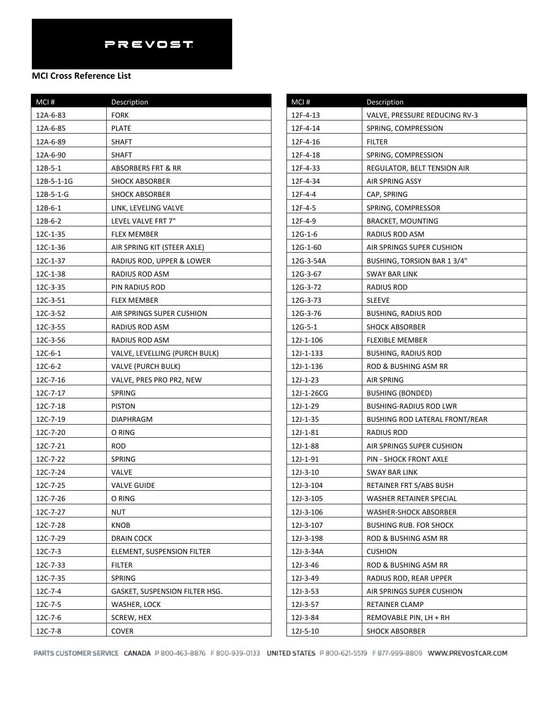### **MCI Cross Reference List**

| MCI#                   | Description                    |
|------------------------|--------------------------------|
| 12A-6-83               | <b>FORK</b>                    |
| 12A-6-85               | <b>PLATE</b>                   |
| 12A-6-89               | <b>SHAFT</b>                   |
| 12A-6-90               | SHAFT                          |
| 12B-5-1                | ABSORBERS FRT & RR             |
| 12B-5-1-1G             | <b>SHOCK ABSORBER</b>          |
| $12B - 5 - 1 - G$      | <b>SHOCK ABSORBER</b>          |
| $12B - 6 - 1$          | LINK, LEVELING VALVE           |
| 12B-6-2                | LEVEL VALVE FRT 7"             |
| 12C-1-35               | <b>FLEX MEMBER</b>             |
| 12C-1-36               | AIR SPRING KIT (STEER AXLE)    |
| 12C-1-37               | RADIUS ROD, UPPER & LOWER      |
| 12C-1-38               | RADIUS ROD ASM                 |
| 12C-3-35               | PIN RADIUS ROD                 |
| 12C-3-51               | <b>FLEX MEMBER</b>             |
| 12C-3-52               | AIR SPRINGS SUPER CUSHION      |
| 12C-3-55               | RADIUS ROD ASM                 |
| 12C-3-56               | RADIUS ROD ASM                 |
| 12C-6-1                | VALVE, LEVELLING (PURCH BULK)  |
| 12C-6-2                | VALVE (PURCH BULK)             |
| 12C-7-16               | VALVE, PRES PRO PR2, NEW       |
| 12C-7-17               | <b>SPRING</b>                  |
| 12C-7-18               | <b>PISTON</b>                  |
| 12C-7-19               | DIAPHRAGM                      |
| 12C-7-20               | O RING                         |
| 12C-7-21<br><b>ROD</b> |                                |
| 12C-7-22               | <b>SPRING</b>                  |
| 12C-7-24               | <b>VALVE</b>                   |
| 12C-7-25               | <b>VALVE GUIDE</b>             |
| 12C-7-26               | O RING                         |
| NUT<br>12C-7-27        |                                |
| 12C-7-28               | KNOB                           |
| 12C-7-29               | <b>DRAIN COCK</b>              |
| $12C-7-3$              | ELEMENT, SUSPENSION FILTER     |
| 12C-7-33               | FILTER                         |
| 12C-7-35               | SPRING                         |
| 12C-7-4                | GASKET, SUSPENSION FILTER HSG. |
| 12C-7-5                | WASHER, LOCK                   |
| 12C-7-6                | SCREW, HEX                     |
| 12C-7-8                | <b>COVER</b>                   |

| MCI#       | Description                    |
|------------|--------------------------------|
| 12F-4-13   | VALVE, PRESSURE REDUCING RV-3  |
| 12F-4-14   | SPRING, COMPRESSION            |
| 12F-4-16   | FILTER                         |
| 12F-4-18   | SPRING, COMPRESSION            |
| 12F-4-33   | REGULATOR, BELT TENSION AIR    |
| 12F-4-34   | AIR SPRING ASSY                |
| 12F-4-4    | CAP, SPRING                    |
| 12F-4-5    | SPRING, COMPRESSOR             |
| 12F-4-9    | <b>BRACKET, MOUNTING</b>       |
| $12G-1-6$  | RADIUS ROD ASM                 |
| 12G-1-60   | AIR SPRINGS SUPER CUSHION      |
| 12G-3-54A  | BUSHING, TORSION BAR 1 3/4"    |
| 12G-3-67   | SWAY BAR LINK                  |
| 12G-3-72   | RADIUS ROD                     |
| 12G-3-73   | <b>SLEEVE</b>                  |
| 12G-3-76   | BUSHING, RADIUS ROD            |
| 12G-5-1    | <b>SHOCK ABSORBER</b>          |
| 12J-1-106  | <b>FLEXIBLE MEMBER</b>         |
| 12J-1-133  | BUSHING, RADIUS ROD            |
| 12J-1-136  | ROD & BUSHING ASM RR           |
| 12J-1-23   | AIR SPRING                     |
| 12J-1-26CG | <b>BUSHING (BONDED)</b>        |
| 12J-1-29   | <b>BUSHING-RADIUS ROD LWR</b>  |
| 12J-1-35   | BUSHING ROD LATERAL FRONT/REAR |
| 12J-1-81   | RADIUS ROD                     |
| 12J-1-88   | AIR SPRINGS SUPER CUSHION      |
| 12J-1-91   | PIN - SHOCK FRONT AXLE         |
| 12J-3-10   | SWAY BAR LINK                  |
| 12J-3-104  | RETAINER FRT S/ABS BUSH        |
| 12J-3-105  | WASHER RETAINER SPECIAL        |
| 12J-3-106  | WASHER-SHOCK ABSORBER          |
| 12J-3-107  | <b>BUSHING RUB. FOR SHOCK</b>  |
| 12J-3-198  | ROD & BUSHING ASM RR           |
| 12J-3-34A  | <b>CUSHION</b>                 |
| 12J-3-46   | ROD & BUSHING ASM RR           |
| 12J-3-49   | RADIUS ROD, REAR UPPER         |
| 12J-3-53   | AIR SPRINGS SUPER CUSHION      |
| 12J-3-57   | RETAINER CLAMP                 |
| 12J-3-84   | REMOVABLE PIN, LH + RH         |
| 12J-5-10   | <b>SHOCK ABSORBER</b>          |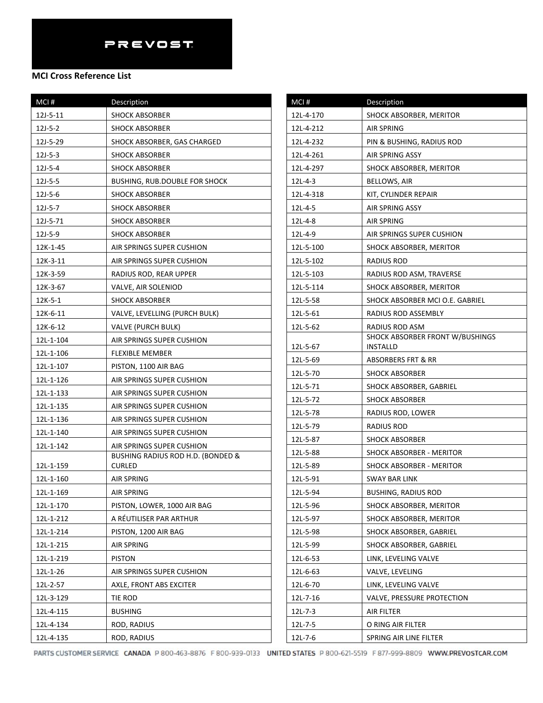## **MCI Cross Reference List**

| MCI#          | Description                                            |
|---------------|--------------------------------------------------------|
| 12J-5-11      | <b>SHOCK ABSORBER</b>                                  |
| $12J-5-2$     | <b>SHOCK ABSORBER</b>                                  |
| 12J-5-29      | SHOCK ABSORBER, GAS CHARGED                            |
| $12J - 5-3$   | <b>SHOCK ABSORBER</b>                                  |
| $12J-5-4$     | <b>SHOCK ABSORBER</b>                                  |
| $12J - 5 - 5$ | BUSHING, RUB.DOUBLE FOR SHOCK                          |
| $12J-5-6$     | <b>SHOCK ABSORBER</b>                                  |
| 12J-5-7       | <b>SHOCK ABSORBER</b>                                  |
| 12J-5-71      | <b>SHOCK ABSORBER</b>                                  |
| 12J-5-9       | <b>SHOCK ABSORBER</b>                                  |
| 12K-1-45      | AIR SPRINGS SUPER CUSHION                              |
| 12K-3-11      | AIR SPRINGS SUPER CUSHION                              |
| 12K-3-59      | RADIUS ROD, REAR UPPER                                 |
| 12K-3-67      | VALVE, AIR SOLENIOD                                    |
| $12K-5-1$     | SHOCK ABSORBER                                         |
| 12K-6-11      | VALVE, LEVELLING (PURCH BULK)                          |
| 12K-6-12      | <b>VALVE (PURCH BULK)</b>                              |
| 12L-1-104     | AIR SPRINGS SUPER CUSHION                              |
| 12L-1-106     | <b>FLEXIBLE MEMBER</b>                                 |
| 12L-1-107     | PISTON, 1100 AIR BAG                                   |
| 12L-1-126     | AIR SPRINGS SUPER CUSHION                              |
| 12L-1-133     | AIR SPRINGS SUPER CUSHION                              |
| 12L-1-135     | AIR SPRINGS SUPER CUSHION                              |
| 12L-1-136     | AIR SPRINGS SUPER CUSHION                              |
| 12L-1-140     | AIR SPRINGS SUPER CUSHION                              |
| 12L-1-142     | AIR SPRINGS SUPER CUSHION                              |
|               | BUSHING RADIUS ROD H.D. (BONDED &                      |
| 12L-1-159     | CURLED                                                 |
| 12L-1-160     | AIR SPRING                                             |
| 12L-1-169     | AIR SPRING                                             |
| 12L-1-170     | PISTON, LOWER, 1000 AIR BAG<br>A RÉUTILISER PAR ARTHUR |
| 12L-1-212     |                                                        |
| 12L-1-214     | PISTON, 1200 AIR BAG                                   |
| 12L-1-215     | <b>AIR SPRING</b>                                      |
| 12L-1-219     | <b>PISTON</b>                                          |
| 12L-1-26      | AIR SPRINGS SUPER CUSHION                              |
| 12L-2-57      | AXLE, FRONT ABS EXCITER                                |
| 12L-3-129     | tie Rod                                                |
| 12L-4-115     | <b>BUSHING</b>                                         |
| 12L-4-134     | ROD, RADIUS                                            |
| 12L-4-135     | ROD, RADIUS                                            |

| MCI#        | Description                                 |
|-------------|---------------------------------------------|
| 12L-4-170   | SHOCK ABSORBER, MERITOR                     |
| 12L-4-212   | AIR SPRING                                  |
| 12L-4-232   | PIN & BUSHING, RADIUS ROD                   |
| 12L-4-261   | AIR SPRING ASSY                             |
| 12L-4-297   | SHOCK ABSORBER, MERITOR                     |
| $12L-4-3$   | BELLOWS, AIR                                |
| 12L-4-318   | KIT, CYLINDER REPAIR                        |
| 12L-4-5     | AIR SPRING ASSY                             |
| 12L-4-8     | AIR SPRING                                  |
| 12L-4-9     | AIR SPRINGS SUPER CUSHION                   |
| 12L-5-100   | SHOCK ABSORBER, MERITOR                     |
| 12L-5-102   | RADIUS ROD                                  |
| 12L-5-103   | RADIUS ROD ASM, TRAVERSE                    |
| 12L-5-114   | SHOCK ABSORBER, MERITOR                     |
| 12L-5-58    | SHOCK ABSORBER MCI O.E. GABRIEL             |
| 12L-5-61    | RADIUS ROD ASSEMBLY                         |
| 12L-5-62    | RADIUS ROD ASM                              |
| 12L-5-67    | SHOCK ABSORBER FRONT W/BUSHINGS<br>INSTALLD |
| 12L-5-69    | ABSORBERS FRT & RR                          |
| 12L-5-70    | <b>SHOCK ABSORBER</b>                       |
| 12L-5-71    | SHOCK ABSORBER, GABRIEL                     |
| 12L-5-72    | <b>SHOCK ABSORBER</b>                       |
| 12L-5-78    | RADIUS ROD, LOWER                           |
| 12L-5-79    | RADIUS ROD                                  |
| 12L-5-87    | SHOCK ABSORBER                              |
| 12L-5-88    | SHOCK ABSORBER - MERITOR                    |
| 12L-5-89    | SHOCK ABSORBER - MERITOR                    |
| 12L-5-91    | SWAY BAR LINK                               |
| 12L-5-94    | BUSHING, RADIUS ROD                         |
| 12L-5-96    | SHOCK ABSORBER, MERITOR                     |
| 12L-5-97    | SHOCK ABSORBER, MERITOR                     |
| 12L-5-98    | SHOCK ABSORBER, GABRIEL                     |
| 12L-5-99    | SHOCK ABSORBER, GABRIEL                     |
| 12L-6-53    | LINK, LEVELING VALVE                        |
| 12L-6-63    | VALVE, LEVELING                             |
| 12L-6-70    | LINK, LEVELING VALVE                        |
| 12L-7-16    | VALVE, PRESSURE PROTECTION                  |
| $12L - 7-3$ | AIR FILTER                                  |
| 12L-7-5     | O RING AIR FILTER                           |
| 12L-7-6     | SPRING AIR LINE FILTER                      |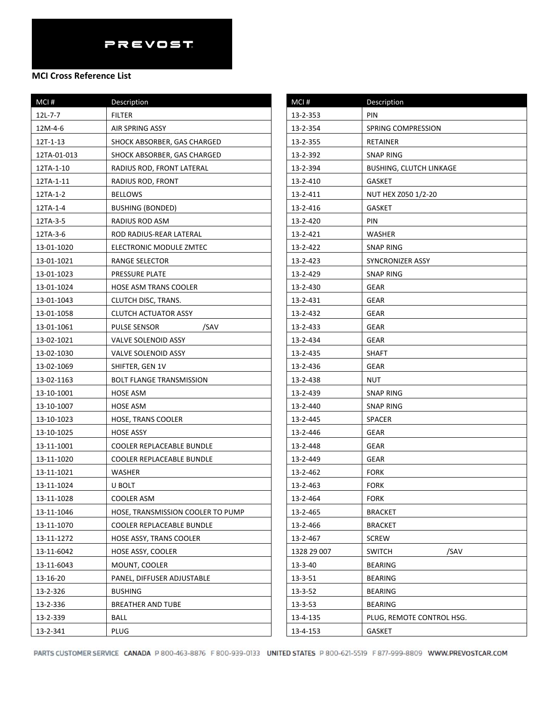| MCI#          | Description                       |
|---------------|-----------------------------------|
| $12L - 7 - 7$ | <b>FILTER</b>                     |
| 12M-4-6       | <b>AIR SPRING ASSY</b>            |
| 12T-1-13      | SHOCK ABSORBER, GAS CHARGED       |
| 12TA-01-013   | SHOCK ABSORBER, GAS CHARGED       |
| 12TA-1-10     | RADIUS ROD, FRONT LATERAL         |
| 12TA-1-11     | RADIUS ROD, FRONT                 |
| 12TA-1-2      | <b>BELLOWS</b>                    |
| 12TA-1-4      | <b>BUSHING (BONDED)</b>           |
| 12TA-3-5      | RADIUS ROD ASM                    |
| 12TA-3-6      | ROD RADIUS-REAR LATERAL           |
| 13-01-1020    | ELECTRONIC MODULE ZMTEC           |
| 13-01-1021    | RANGE SELECTOR                    |
| 13-01-1023    | PRESSURE PLATE                    |
| 13-01-1024    | HOSE ASM TRANS COOLER             |
| 13-01-1043    | CLUTCH DISC, TRANS.               |
| 13-01-1058    | CLUTCH ACTUATOR ASSY              |
| 13-01-1061    | PULSE SENSOR<br>/SAV              |
| 13-02-1021    | VALVE SOLENOID ASSY               |
| 13-02-1030    | VALVE SOLENOID ASSY               |
| 13-02-1069    | SHIFTER, GEN 1V                   |
| 13-02-1163    | <b>BOLT FLANGE TRANSMISSION</b>   |
| 13-10-1001    | <b>HOSE ASM</b>                   |
| 13-10-1007    | <b>HOSE ASM</b>                   |
| 13-10-1023    | HOSE, TRANS COOLER                |
| 13-10-1025    | <b>HOSE ASSY</b>                  |
| 13-11-1001    | COOLER REPLACEABLE BUNDLE         |
| 13-11-1020    | COOLER REPLACEABLE BUNDLE         |
| 13-11-1021    | <b>WASHER</b>                     |
| 13-11-1024    | U BOLT                            |
| 13-11-1028    | COOLER ASM                        |
| 13-11-1046    | HOSE, TRANSMISSION COOLER TO PUMP |
| 13-11-1070    | COOLER REPLACEABLE BUNDLE         |
| 13-11-1272    | <b>HOSE ASSY, TRANS COOLER</b>    |
| 13-11-6042    | HOSE ASSY, COOLER                 |
| 13-11-6043    | MOUNT, COOLER                     |
| 13-16-20      | PANEL, DIFFUSER ADJUSTABLE        |
| 13-2-326      | <b>BUSHING</b>                    |
| 13-2-336      | BREATHER AND TUBE                 |
| 13-2-339      | BALL                              |
| 13-2-341      | PLUG                              |

| MCI#          | Description               |
|---------------|---------------------------|
| 13-2-353      | PIN                       |
| 13-2-354      | SPRING COMPRESSION        |
| 13-2-355      | RETAINER                  |
| 13-2-392      | <b>SNAP RING</b>          |
| 13-2-394      | BUSHING, CLUTCH LINKAGE   |
| 13-2-410      | GASKET                    |
| 13-2-411      | NUT HEX Z050 1/2-20       |
| 13-2-416      | GASKET                    |
| 13-2-420      | PIN                       |
| 13-2-421      | <b>WASHER</b>             |
| 13-2-422      | SNAP RING                 |
| 13-2-423      | SYNCRONIZER ASSY          |
| 13-2-429      | SNAP RING                 |
| 13-2-430      | GEAR                      |
| 13-2-431      | GEAR                      |
| 13-2-432      | GEAR                      |
| 13-2-433      | GEAR                      |
| 13-2-434      | <b>GEAR</b>               |
| 13-2-435      | SHAFT                     |
| 13-2-436      | GEAR                      |
| 13-2-438      | NUT                       |
| 13-2-439      | SNAP RING                 |
| 13-2-440      | SNAP RING                 |
| 13-2-445      | <b>SPACER</b>             |
| 13-2-446      | <b>GEAR</b>               |
| 13-2-448      | GEAR                      |
| 13-2-449      | GEAR                      |
| 13-2-462      | <b>FORK</b>               |
| 13-2-463      | FORK                      |
| 13-2-464      | <b>FORK</b>               |
| 13-2-465      | <b>BRACKET</b>            |
| 13-2-466      | <b>BRACKET</b>            |
| 13-2-467      | <b>SCREW</b>              |
| 1328 29 007   | /SAV<br><b>SWITCH</b>     |
| $13 - 3 - 40$ | <b>BEARING</b>            |
| $13 - 3 - 51$ | <b>BEARING</b>            |
| $13 - 3 - 52$ | <b>BEARING</b>            |
| $13 - 3 - 53$ | <b>BEARING</b>            |
| 13-4-135      | PLUG, REMOTE CONTROL HSG. |
| 13-4-153      | GASKET                    |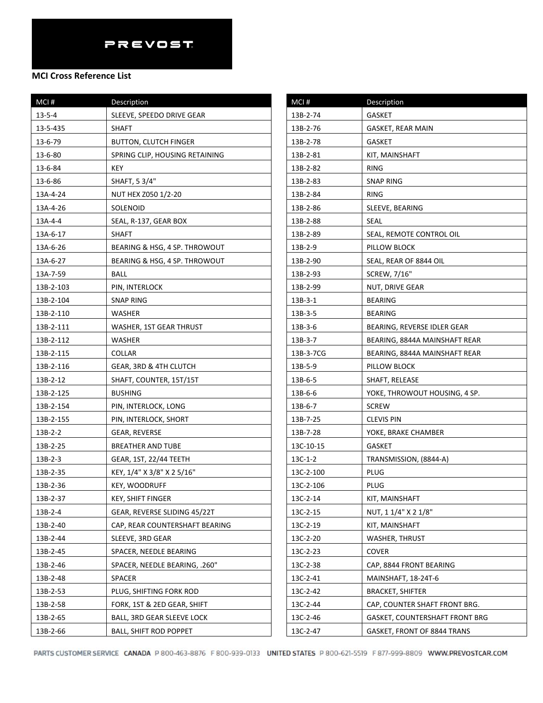| MCI#         | Description                    |
|--------------|--------------------------------|
| $13 - 5 - 4$ | SLEEVE, SPEEDO DRIVE GEAR      |
| 13-5-435     | SHAFT                          |
| 13-6-79      | <b>BUTTON, CLUTCH FINGER</b>   |
| 13-6-80      | SPRING CLIP, HOUSING RETAINING |
| 13-6-84      | KEY                            |
| 13-6-86      | SHAFT, 5 3/4"                  |
| 13A-4-24     | NUT HEX Z050 1/2-20            |
| 13A-4-26     | SOLENOID                       |
| 13A-4-4      | SEAL, R-137, GEAR BOX          |
| 13A-6-17     | SHAFT                          |
| 13A-6-26     | BEARING & HSG, 4 SP. THROWOUT  |
| 13A-6-27     | BEARING & HSG, 4 SP. THROWOUT  |
| 13A-7-59     | <b>BALL</b>                    |
| 13B-2-103    | PIN, INTERLOCK                 |
| 13B-2-104    | <b>SNAP RING</b>               |
| 13B-2-110    | WASHER                         |
| 13B-2-111    | WASHER, 1ST GEAR THRUST        |
| 13B-2-112    | WASHER                         |
| 13B-2-115    | COLLAR                         |
| 13B-2-116    | GEAR, 3RD & 4TH CLUTCH         |
| 13B-2-12     | SHAFT, COUNTER, 15T/15T        |
| 13B-2-125    | <b>BUSHING</b>                 |
| 13B-2-154    | PIN, INTERLOCK, LONG           |
| 13B-2-155    | PIN, INTERLOCK, SHORT          |
| 13B-2-2      | GEAR, REVERSE                  |
| 13B-2-25     | BREATHER AND TUBE              |
| $13B-2-3$    | <b>GEAR, 1ST, 22/44 TEETH</b>  |
| 13B-2-35     | KEY, 1/4" X 3/8" X 2 5/16"     |
| 13B-2-36     | <b>KEY, WOODRUFF</b>           |
| 13B-2-37     | <b>KEY, SHIFT FINGER</b>       |
| 13B-2-4      | GEAR, REVERSE SLIDING 45/22T   |
| 13B-2-40     | CAP, REAR COUNTERSHAFT BEARING |
| 13B-2-44     | SLEEVE, 3RD GEAR               |
| 13B-2-45     | SPACER, NEEDLE BEARING         |
| 13B-2-46     | SPACER, NEEDLE BEARING, .260"  |
| 13B-2-48     | SPACER                         |
| 13B-2-53     | PLUG, SHIFTING FORK ROD        |
| 13B-2-58     | FORK, 1ST & 2ED GEAR, SHIFT    |
| 13B-2-65     | BALL, 3RD GEAR SLEEVE LOCK     |
| 13B-2-66     | <b>BALL, SHIFT ROD POPPET</b>  |

| MCI#      | <b>Description</b>             |
|-----------|--------------------------------|
| 13B-2-74  | GASKET                         |
| 13B-2-76  | GASKET, REAR MAIN              |
| 13B-2-78  | GASKET                         |
| 13B-2-81  | KIT, MAINSHAFT                 |
| 13B-2-82  | RING                           |
| 13B-2-83  | <b>SNAP RING</b>               |
| 13B-2-84  | RING                           |
| 13B-2-86  | SLEEVE, BEARING                |
| 13B-2-88  | SEAL                           |
| 13B-2-89  | SEAL, REMOTE CONTROL OIL       |
| 13B-2-9   | PILLOW BLOCK                   |
| 13B-2-90  | SEAL, REAR OF 8844 OIL         |
| 13B-2-93  | SCREW, 7/16"                   |
| 13B-2-99  | NUT, DRIVE GEAR                |
| $13B-3-1$ | <b>BEARING</b>                 |
| 13B-3-5   | BEARING                        |
| 13B-3-6   | BEARING, REVERSE IDLER GEAR    |
| 13B-3-7   | BEARING, 8844A MAINSHAFT REAR  |
| 13B-3-7CG | BEARING, 8844A MAINSHAFT REAR  |
| 13B-5-9   | PILLOW BLOCK                   |
| 13B-6-5   | SHAFT, RELEASE                 |
| 13B-6-6   | YOKE, THROWOUT HOUSING, 4 SP.  |
| 13B-6-7   | <b>SCREW</b>                   |
| 13B-7-25  | CLEVIS PIN                     |
| 13B-7-28  | YOKE, BRAKE CHAMBER            |
| 13C-10-15 | GASKET                         |
| 13C-1-2   | TRANSMISSION, (8844-A)         |
| 13C-2-100 | PLUG                           |
| 13C-2-106 | PLUG                           |
| 13C-2-14  | KIT, MAINSHAFT                 |
| 13C-2-15  | NUT, 1 1/4" X 2 1/8"           |
| 13C-2-19  | KIT, MAINSHAFT                 |
| 13C-2-20  | WASHER, THRUST                 |
| 13C-2-23  | COVER                          |
| 13C-2-38  | CAP, 8844 FRONT BEARING        |
| 13C-2-41  | MAINSHAFT, 18-24T-6            |
| 13C-2-42  | <b>BRACKET, SHIFTER</b>        |
| 13C-2-44  | CAP, COUNTER SHAFT FRONT BRG.  |
| 13C-2-46  | GASKET, COUNTERSHAFT FRONT BRG |
| 13C-2-47  | GASKET, FRONT OF 8844 TRANS    |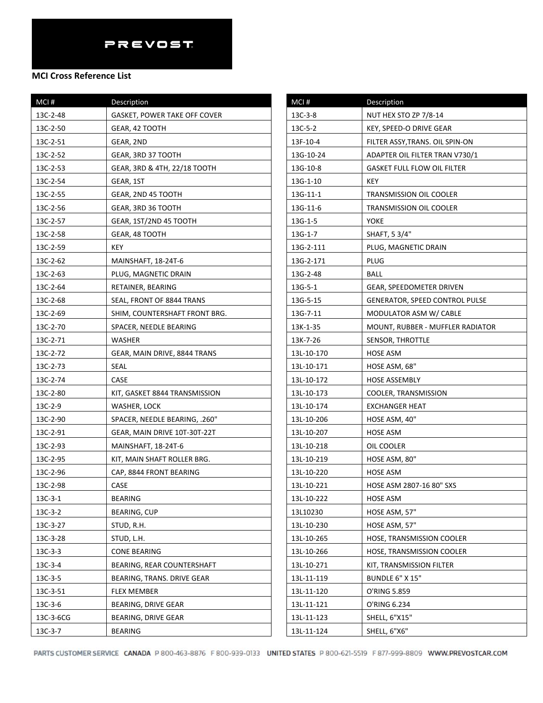| MCI#      | Description                         |
|-----------|-------------------------------------|
| 13C-2-48  | <b>GASKET, POWER TAKE OFF COVER</b> |
| 13C-2-50  | GEAR, 42 TOOTH                      |
| 13C-2-51  | GEAR, 2ND                           |
| 13C-2-52  | GEAR, 3RD 37 TOOTH                  |
| 13C-2-53  | GEAR, 3RD & 4TH, 22/18 TOOTH        |
| 13C-2-54  | GEAR, 1ST                           |
| 13C-2-55  | GEAR, 2ND 45 TOOTH                  |
| 13C-2-56  | GEAR, 3RD 36 TOOTH                  |
| 13C-2-57  | GEAR, 1ST/2ND 45 TOOTH              |
| 13C-2-58  | GEAR, 48 TOOTH                      |
| 13C-2-59  | KEY                                 |
| 13C-2-62  | MAINSHAFT, 18-24T-6                 |
| 13C-2-63  | PLUG, MAGNETIC DRAIN                |
| 13C-2-64  | RETAINER, BEARING                   |
| 13C-2-68  | SEAL, FRONT OF 8844 TRANS           |
| 13C-2-69  | SHIM, COUNTERSHAFT FRONT BRG.       |
| 13C-2-70  | SPACER, NEEDLE BEARING              |
| 13C-2-71  | WASHER                              |
| 13C-2-72  | GEAR, MAIN DRIVE, 8844 TRANS        |
| 13C-2-73  | SEAL                                |
| 13C-2-74  | CASE                                |
| 13C-2-80  | KIT, GASKET 8844 TRANSMISSION       |
| 13C-2-9   | WASHER, LOCK                        |
| 13C-2-90  | SPACER, NEEDLE BEARING, .260"       |
| 13C-2-91  | GEAR, MAIN DRIVE 10T-30T-22T        |
| 13C-2-93  | MAINSHAFT, 18-24T-6                 |
| 13C-2-95  | KIT, MAIN SHAFT ROLLER BRG.         |
| 13C-2-96  | CAP, 8844 FRONT BEARING             |
| 13C-2-98  | CASE                                |
| $13C-3-1$ | <b>BEARING</b>                      |
| $13C-3-2$ | BEARING, CUP                        |
| 13C-3-27  | STUD, R.H.                          |
| 13C-3-28  | STUD, L.H.                          |
| $13C-3-3$ | <b>CONE BEARING</b>                 |
| 13C-3-4   | BEARING, REAR COUNTERSHAFT          |
| 13C-3-5   | BEARING, TRANS. DRIVE GEAR          |
| 13C-3-51  | <b>FLEX MEMBER</b>                  |
| 13C-3-6   | BEARING, DRIVE GEAR                 |
| 13C-3-6CG | BEARING, DRIVE GEAR                 |
| 13C-3-7   | <b>BEARING</b>                      |

| MCI#       | Description                           |
|------------|---------------------------------------|
| 13C-3-8    | NUT HEX STO ZP 7/8-14                 |
| 13C-5-2    | KEY, SPEED-O DRIVE GEAR               |
| 13F-10-4   | FILTER ASSY, TRANS. OIL SPIN-ON       |
| 13G-10-24  | ADAPTER OIL FILTER TRAN V730/1        |
| 13G-10-8   | <b>GASKET FULL FLOW OIL FILTER</b>    |
| 13G-1-10   | KEY                                   |
| 13G-11-1   | TRANSMISSION OIL COOLER               |
| 13G-11-6   | TRANSMISSION OIL COOLER               |
| 13G-1-5    | <b>YOKE</b>                           |
| 13G-1-7    | SHAFT, 5 3/4"                         |
| 13G-2-111  | PLUG, MAGNETIC DRAIN                  |
| 13G-2-171  | PLUG                                  |
| 13G-2-48   | <b>BALL</b>                           |
| $13G-5-1$  | GEAR, SPEEDOMETER DRIVEN              |
| 13G-5-15   | <b>GENERATOR, SPEED CONTROL PULSE</b> |
| 13G-7-11   | MODULATOR ASM W/ CABLE                |
| 13K-1-35   | MOUNT, RUBBER - MUFFLER RADIATOR      |
| 13K-7-26   | SENSOR, THROTTLE                      |
| 13L-10-170 | HOSE ASM                              |
| 13L-10-171 | HOSE ASM, 68"                         |
| 13L-10-172 | HOSE ASSEMBLY                         |
| 13L-10-173 | COOLER, TRANSMISSION                  |
| 13L-10-174 | <b>EXCHANGER HEAT</b>                 |
| 13L-10-206 | HOSE ASM, 40"                         |
| 13L-10-207 | HOSE ASM                              |
| 13L-10-218 | OIL COOLER                            |
| 13L-10-219 | HOSE ASM, 80"                         |
| 13L-10-220 | HOSE ASM                              |
| 13L-10-221 | HOSE ASM 2807-16 80" SXS              |
| 13L-10-222 | <b>HOSE ASM</b>                       |
| 13L10230   | HOSE ASM, 57"                         |
| 13L-10-230 | HOSE ASM, 57"                         |
| 13L-10-265 | HOSE, TRANSMISSION COOLER             |
| 13L-10-266 | <b>HOSE, TRANSMISSION COOLER</b>      |
| 13L-10-271 | KIT, TRANSMISSION FILTER              |
| 13L-11-119 | BUNDLE 6" X 15"                       |
| 13L-11-120 | O'RING 5.859                          |
| 13L-11-121 | O'RING 6.234                          |
| 13L-11-123 | SHELL, 6"X15"                         |
| 13L-11-124 | SHELL, 6"X6"                          |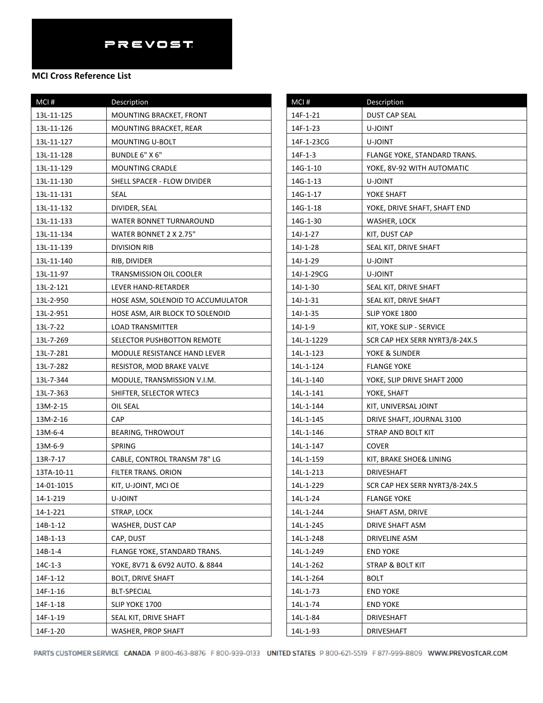| MCI#       | <b>Description</b>                |
|------------|-----------------------------------|
| 13L-11-125 | MOUNTING BRACKET, FRONT           |
| 13L-11-126 | MOUNTING BRACKET, REAR            |
| 13L-11-127 | MOUNTING U-BOLT                   |
| 13L-11-128 | BUNDLE 6" X 6"                    |
| 13L-11-129 | <b>MOUNTING CRADLE</b>            |
| 13L-11-130 | SHELL SPACER - FLOW DIVIDER       |
| 13L-11-131 | SEAL                              |
| 13L-11-132 | DIVIDER, SEAL                     |
| 13L-11-133 | WATER BONNET TURNAROUND           |
| 13L-11-134 | WATER BONNET 2 X 2.75"            |
| 13L-11-139 | <b>DIVISION RIB</b>               |
| 13L-11-140 | RIB, DIVIDER                      |
| 13L-11-97  | <b>TRANSMISSION OIL COOLER</b>    |
| 13L-2-121  | LEVER HAND-RETARDER               |
| 13L-2-950  | HOSE ASM, SOLENOID TO ACCUMULATOR |
| 13L-2-951  | HOSE ASM, AIR BLOCK TO SOLENOID   |
| 13L-7-22   | <b>LOAD TRANSMITTER</b>           |
| 13L-7-269  | SELECTOR PUSHBOTTON REMOTE        |
| 13L-7-281  | MODULE RESISTANCE HAND LEVER      |
| 13L-7-282  | RESISTOR, MOD BRAKE VALVE         |
| 13L-7-344  | MODULE, TRANSMISSION V.I.M.       |
| 13L-7-363  | SHIFTER, SELECTOR WTEC3           |
| 13M-2-15   | OIL SEAL                          |
| 13M-2-16   | CAP                               |
| 13M-6-4    | <b>BEARING, THROWOUT</b>          |
| 13M-6-9    | SPRING                            |
| 13R-7-17   | CABLE, CONTROL TRANSM 78" LG      |
| 13TA-10-11 | <b>FILTER TRANS. ORION</b>        |
| 14-01-1015 | KIT, U-JOINT, MCI OE              |
| 14-1-219   | U-JOINT                           |
| 14-1-221   | STRAP, LOCK                       |
| 14B-1-12   | WASHER, DUST CAP                  |
| 14B-1-13   | CAP, DUST                         |
| $14B-1-4$  | FLANGE YOKE, STANDARD TRANS.      |
| $14C-1-3$  | YOKE, 8V71 & 6V92 AUTO. & 8844    |
| 14F-1-12   | <b>BOLT, DRIVE SHAFT</b>          |
| 14F-1-16   | BLT-SPECIAL                       |
| 14F-1-18   | SLIP YOKE 1700                    |
| 14F-1-19   | SEAL KIT, DRIVE SHAFT             |
| 14F-1-20   | WASHER, PROP SHAFT                |

| MCI#       | <b>Description</b>             |
|------------|--------------------------------|
| 14F-1-21   | <b>DUST CAP SEAL</b>           |
| 14F-1-23   | U-JOINT                        |
| 14F-1-23CG | U-JOINT                        |
| $14F-1-3$  | FLANGE YOKE, STANDARD TRANS.   |
| 14G-1-10   | YOKE, 8V-92 WITH AUTOMATIC     |
| 14G-1-13   | U-JOINT                        |
| 14G-1-17   | YOKE SHAFT                     |
| 14G-1-18   | YOKE, DRIVE SHAFT, SHAFT END   |
| 14G-1-30   | WASHER, LOCK                   |
| 14J-1-27   | KIT, DUST CAP                  |
| 14J-1-28   | SEAL KIT, DRIVE SHAFT          |
| 14J-1-29   | U-JOINT                        |
| 14J-1-29CG | U-JOINT                        |
| 14J-1-30   | SEAL KIT, DRIVE SHAFT          |
| 14J-1-31   | SEAL KIT, DRIVE SHAFT          |
| 14J-1-35   | SLIP YOKE 1800                 |
| 14J-1-9    | KIT, YOKE SLIP - SERVICE       |
| 14L-1-1229 | SCR CAP HEX SERR NYRT3/8-24X.5 |
| 14L-1-123  | YOKE & SLINDER                 |
| 14L-1-124  | <b>FLANGE YOKE</b>             |
| 14L-1-140  | YOKE, SLIP DRIVE SHAFT 2000    |
| 14L-1-141  | YOKE, SHAFT                    |
| 14L-1-144  | KIT, UNIVERSAL JOINT           |
| 14L-1-145  | DRIVE SHAFT, JOURNAL 3100      |
| 14L-1-146  | STRAP AND BOLT KIT             |
| 14L-1-147  | <b>COVER</b>                   |
| 14L-1-159  | KIT, BRAKE SHOE& LINING        |
| 14L-1-213  | DRIVESHAFT                     |
| 14L-1-229  | SCR CAP HEX SERR NYRT3/8-24X.5 |
| 14L-1-24   | <b>FLANGE YOKE</b>             |
| 14L-1-244  | SHAFT ASM, DRIVE               |
| 14L-1-245  | DRIVE SHAFT ASM                |
| 14L-1-248  | <b>DRIVELINE ASM</b>           |
| 14L-1-249  | <b>END YOKE</b>                |
| 14L-1-262  | STRAP & BOLT KIT               |
| 14L-1-264  | BOLT                           |
| 14L-1-73   | <b>END YOKE</b>                |
| 14L-1-74   | <b>END YOKE</b>                |
| 14L-1-84   | DRIVESHAFT                     |
| 14L-1-93   | DRIVESHAFT                     |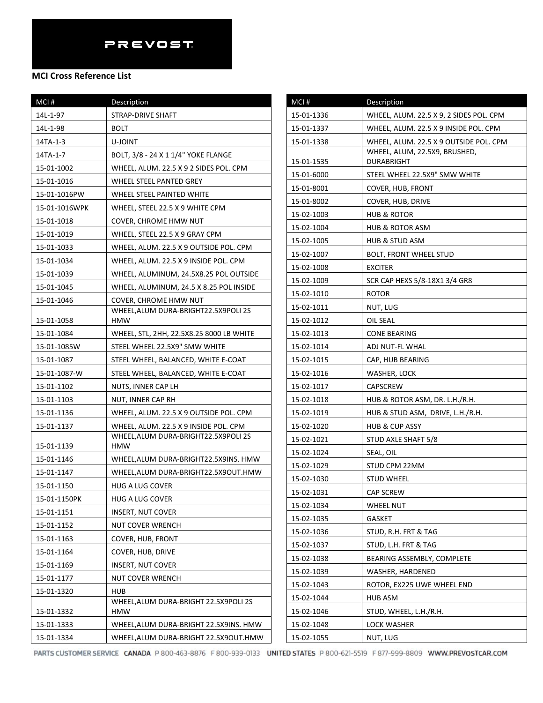| MCI#          | Description                                        |
|---------------|----------------------------------------------------|
| 14L-1-97      | STRAP-DRIVE SHAFT                                  |
| 14L-1-98      | BOLT                                               |
| 14TA-1-3      | U-JOINT                                            |
| 14TA-1-7      | BOLT, 3/8 - 24 X 1 1/4" YOKE FLANGE                |
| 15-01-1002    | WHEEL, ALUM. 22.5 X 9 2 SIDES POL. CPM             |
| 15-01-1016    | WHEEL STEEL PANTED GREY                            |
| 15-01-1016PW  | WHEEL STEEL PAINTED WHITE                          |
| 15-01-1016WPK | WHEEL, STEEL 22.5 X 9 WHITE CPM                    |
| 15-01-1018    | COVER, CHROME HMW NUT                              |
| 15-01-1019    | WHEEL, STEEL 22.5 X 9 GRAY CPM                     |
| 15-01-1033    | WHEEL, ALUM. 22.5 X 9 OUTSIDE POL. CPM             |
| 15-01-1034    | WHEEL, ALUM. 22.5 X 9 INSIDE POL. CPM              |
| 15-01-1039    | WHEEL, ALUMINUM, 24.5X8.25 POL OUTSIDE             |
| 15-01-1045    | WHEEL, ALUMINUM, 24.5 X 8.25 POL INSIDE            |
| 15-01-1046    | COVER, CHROME HMW NUT                              |
| 15-01-1058    | WHEEL, ALUM DURA-BRIGHT22.5X9POLI 2S<br><b>HMW</b> |
| 15-01-1084    | WHEEL, STL, 2HH, 22.5X8.25 8000 LB WHITE           |
| 15-01-1085W   | STEEL WHEEL 22.5X9" SMW WHITE                      |
| 15-01-1087    | STEEL WHEEL, BALANCED, WHITE E-COAT                |
| 15-01-1087-W  | STEEL WHEEL, BALANCED, WHITE E-COAT                |
| 15-01-1102    | NUTS, INNER CAP LH                                 |
| 15-01-1103    | NUT, INNER CAP RH                                  |
| 15-01-1136    | WHEEL, ALUM. 22.5 X 9 OUTSIDE POL. CPM             |
| 15-01-1137    | WHEEL, ALUM. 22.5 X 9 INSIDE POL. CPM              |
| 15-01-1139    | WHEEL, ALUM DURA-BRIGHT22.5X9POLI 2S<br><b>HMW</b> |
| 15-01-1146    | WHEEL, ALUM DURA-BRIGHT22.5X9INS. HMW              |
| 15-01-1147    | WHEEL, ALUM DURA-BRIGHT22.5X9OUT.HMW               |
| 15-01-1150    | HUG A LUG COVER                                    |
| 15-01-1150PK  | HUG A LUG COVER                                    |
| 15-01-1151    | <b>INSERT, NUT COVER</b>                           |
| 15-01-1152    | NUT COVER WRENCH                                   |
| 15-01-1163    | COVER, HUB, FRONT                                  |
| 15-01-1164    | COVER, HUB, DRIVE                                  |
| 15-01-1169    | <b>INSERT, NUT COVER</b>                           |
| 15-01-1177    | NUT COVER WRENCH                                   |
| 15-01-1320    | <b>HUB</b>                                         |
| 15-01-1332    | WHEEL, ALUM DURA-BRIGHT 22.5X9POLI 2S<br>HMW       |
| 15-01-1333    | WHEEL, ALUM DURA-BRIGHT 22.5X9INS. HMW             |
| 15-01-1334    | WHEEL, ALUM DURA-BRIGHT 22.5X9OUT.HMW              |

| MCI#       | Description                             |
|------------|-----------------------------------------|
| 15-01-1336 | WHEEL, ALUM. 22.5 X 9, 2 SIDES POL. CPM |
| 15-01-1337 | WHEEL, ALUM. 22.5 X 9 INSIDE POL. CPM   |
| 15-01-1338 | WHEEL, ALUM. 22.5 X 9 OUTSIDE POL. CPM  |
|            | WHEEL, ALUM, 22.5X9, BRUSHED,           |
| 15-01-1535 | DURABRIGHT                              |
| 15-01-6000 | STEEL WHEEL 22.5X9" SMW WHITE           |
| 15-01-8001 | COVER, HUB, FRONT                       |
| 15-01-8002 | COVER, HUB, DRIVE                       |
| 15-02-1003 | HUB & ROTOR                             |
| 15-02-1004 | HUB & ROTOR ASM                         |
| 15-02-1005 | HUB & STUD ASM                          |
| 15-02-1007 | <b>BOLT, FRONT WHEEL STUD</b>           |
| 15-02-1008 | <b>EXCITER</b>                          |
| 15-02-1009 | SCR CAP HEXS 5/8-18X1 3/4 GR8           |
| 15-02-1010 | <b>ROTOR</b>                            |
| 15-02-1011 | NUT, LUG                                |
| 15-02-1012 | OIL SEAL                                |
| 15-02-1013 | <b>CONE BEARING</b>                     |
| 15-02-1014 | ADJ NUT-FL WHAL                         |
| 15-02-1015 | CAP, HUB BEARING                        |
| 15-02-1016 | WASHER, LOCK                            |
| 15-02-1017 | <b>CAPSCREW</b>                         |
| 15-02-1018 | HUB & ROTOR ASM, DR. L.H./R.H.          |
| 15-02-1019 | HUB & STUD ASM, DRIVE, L.H./R.H.        |
| 15-02-1020 | <b>HUB &amp; CUP ASSY</b>               |
| 15-02-1021 | STUD AXLE SHAFT 5/8                     |
| 15-02-1024 | SEAL, OIL                               |
| 15-02-1029 | STUD CPM 22MM                           |
| 15-02-1030 | STUD WHEEL                              |
| 15-02-1031 | <b>CAP SCREW</b>                        |
| 15-02-1034 | <b>WHEEL NUT</b>                        |
| 15-02-1035 | <b>GASKET</b>                           |
| 15-02-1036 | STUD, R.H. FRT & TAG                    |
| 15-02-1037 | STUD, L.H. FRT & TAG                    |
| 15-02-1038 | BEARING ASSEMBLY, COMPLETE              |
| 15-02-1039 | WASHER, HARDENED                        |
| 15-02-1043 | ROTOR, EX225 UWE WHEEL END              |
| 15-02-1044 | HUB ASM                                 |
| 15-02-1046 | STUD, WHEEL, L.H./R.H.                  |
| 15-02-1048 | LOCK WASHER                             |
| 15-02-1055 | NUT, LUG                                |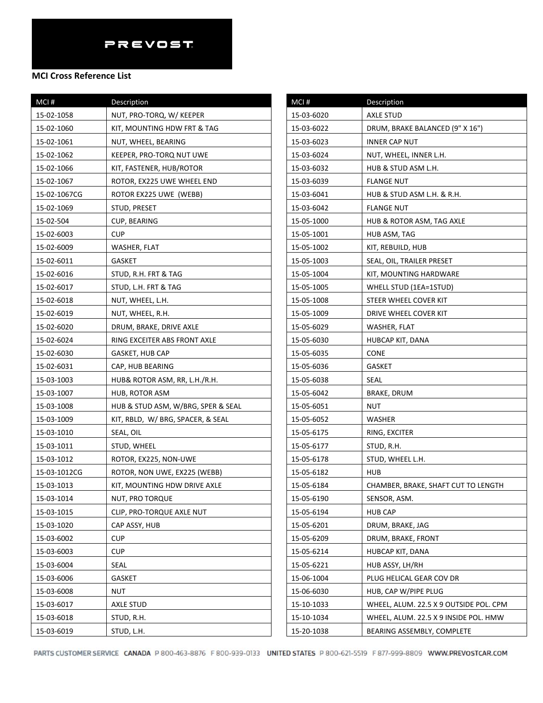### **MCI Cross Reference List**

| MCI#         | Description                        |
|--------------|------------------------------------|
| 15-02-1058   | NUT, PRO-TORQ, W/ KEEPER           |
| 15-02-1060   | KIT, MOUNTING HDW FRT & TAG        |
| 15-02-1061   | NUT, WHEEL, BEARING                |
| 15-02-1062   | KEEPER, PRO-TORQ NUT UWE           |
| 15-02-1066   | KIT, FASTENER, HUB/ROTOR           |
| 15-02-1067   | ROTOR, EX225 UWE WHEEL END         |
| 15-02-1067CG | ROTOR EX225 UWE (WEBB)             |
| 15-02-1069   | STUD, PRESET                       |
| 15-02-504    | CUP, BEARING                       |
| 15-02-6003   | <b>CUP</b>                         |
| 15-02-6009   | WASHER, FLAT                       |
| 15-02-6011   | GASKET                             |
| 15-02-6016   | STUD, R.H. FRT & TAG               |
| 15-02-6017   | STUD, L.H. FRT & TAG               |
| 15-02-6018   | NUT, WHEEL, L.H.                   |
| 15-02-6019   | NUT, WHEEL, R.H.                   |
| 15-02-6020   | DRUM, BRAKE, DRIVE AXLE            |
| 15-02-6024   | RING EXCEITER ABS FRONT AXLE       |
| 15-02-6030   | GASKET, HUB CAP                    |
| 15-02-6031   | CAP, HUB BEARING                   |
| 15-03-1003   | HUB& ROTOR ASM, RR, L.H./R.H.      |
| 15-03-1007   | HUB, ROTOR ASM                     |
| 15-03-1008   | HUB & STUD ASM, W/BRG, SPER & SEAL |
| 15-03-1009   | KIT, RBLD, W/ BRG, SPACER, & SEAL  |
| 15-03-1010   | SEAL, OIL                          |
| 15-03-1011   | STUD, WHEEL                        |
| 15-03-1012   | ROTOR, EX225, NON-UWE              |
| 15-03-1012CG | ROTOR, NON UWE, EX225 (WEBB)       |
| 15-03-1013   | KIT, MOUNTING HDW DRIVE AXLE       |
| 15-03-1014   | NUT, PRO TORQUE                    |
| 15-03-1015   | CLIP, PRO-TORQUE AXLE NUT          |
| 15-03-1020   | CAP ASSY, HUB                      |
| 15-03-6002   | <b>CUP</b>                         |
| 15-03-6003   | <b>CUP</b>                         |
| 15-03-6004   | SEAL                               |
| 15-03-6006   | <b>GASKET</b>                      |
| 15-03-6008   | NUT                                |
| 15-03-6017   | AXLE STUD                          |
| 15-03-6018   | STUD, R.H.                         |
| 15-03-6019   | STUD, L.H.                         |

| MCI#       | Description                            |
|------------|----------------------------------------|
| 15-03-6020 | <b>AXLE STUD</b>                       |
| 15-03-6022 | DRUM, BRAKE BALANCED (9" X 16")        |
| 15-03-6023 | <b>INNER CAP NUT</b>                   |
| 15-03-6024 | NUT, WHEEL, INNER L.H.                 |
| 15-03-6032 | HUB & STUD ASM L.H.                    |
| 15-03-6039 | FLANGE NUT                             |
| 15-03-6041 | HUB & STUD ASM L.H. & R.H.             |
| 15-03-6042 | FLANGE NUT                             |
| 15-05-1000 | HUB & ROTOR ASM, TAG AXLE              |
| 15-05-1001 | HUB ASM, TAG                           |
| 15-05-1002 | KIT, REBUILD, HUB                      |
| 15-05-1003 | SEAL, OIL, TRAILER PRESET              |
| 15-05-1004 | KIT, MOUNTING HARDWARE                 |
| 15-05-1005 | WHELL STUD (1EA=1STUD)                 |
| 15-05-1008 | STEER WHEEL COVER KIT                  |
| 15-05-1009 | DRIVE WHEEL COVER KIT                  |
| 15-05-6029 | WASHER, FLAT                           |
| 15-05-6030 | HUBCAP KIT, DANA                       |
| 15-05-6035 | CONE                                   |
| 15-05-6036 | GASKET                                 |
| 15-05-6038 | SEAL                                   |
| 15-05-6042 | <b>BRAKE, DRUM</b>                     |
| 15-05-6051 | NUT                                    |
| 15-05-6052 | WASHER                                 |
| 15-05-6175 | RING, EXCITER                          |
| 15-05-6177 | STUD, R.H.                             |
| 15-05-6178 | STUD, WHEEL L.H.                       |
| 15-05-6182 | HUB                                    |
| 15-05-6184 | CHAMBER, BRAKE, SHAFT CUT TO LENGTH    |
| 15-05-6190 | SENSOR, ASM.                           |
| 15-05-6194 | <b>HUB CAP</b>                         |
| 15-05-6201 | DRUM, BRAKE, JAG                       |
| 15-05-6209 | DRUM, BRAKE, FRONT                     |
| 15-05-6214 | HUBCAP KIT, DANA                       |
| 15-05-6221 | HUB ASSY, LH/RH                        |
| 15-06-1004 | PLUG HELICAL GEAR COV DR               |
| 15-06-6030 | HUB, CAP W/PIPE PLUG                   |
| 15-10-1033 | WHEEL, ALUM. 22.5 X 9 OUTSIDE POL. CPM |
| 15-10-1034 | WHEEL, ALUM. 22.5 X 9 INSIDE POL. HMW  |
| 15-20-1038 | BEARING ASSEMBLY, COMPLETE             |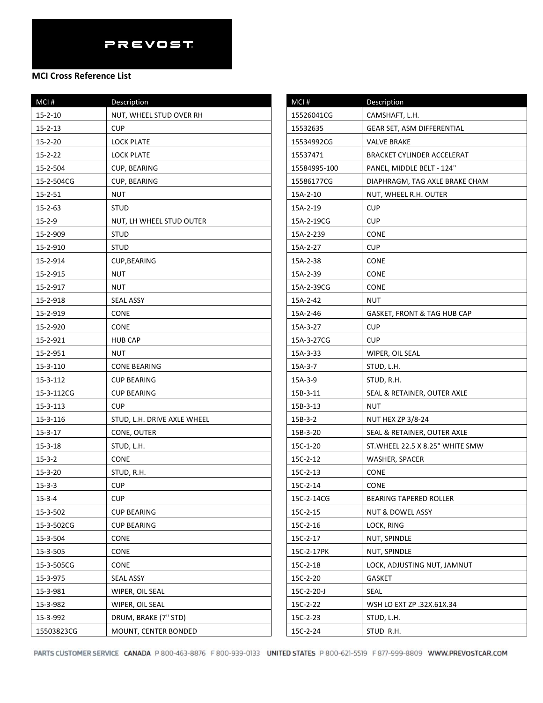| MCI#          | Description                 |
|---------------|-----------------------------|
| $15 - 2 - 10$ | NUT, WHEEL STUD OVER RH     |
| $15 - 2 - 13$ | <b>CUP</b>                  |
| $15 - 2 - 20$ | <b>LOCK PLATE</b>           |
| $15 - 2 - 22$ | <b>LOCK PLATE</b>           |
| 15-2-504      | CUP, BEARING                |
| 15-2-504CG    | CUP, BEARING                |
| $15 - 2 - 51$ | NUT                         |
| 15-2-63       | <b>STUD</b>                 |
| $15 - 2 - 9$  | NUT, LH WHEEL STUD OUTER    |
| 15-2-909      | STUD                        |
| 15-2-910      | STUD                        |
| 15-2-914      | CUP, BEARING                |
| 15-2-915      | <b>NUT</b>                  |
| 15-2-917      | NUT                         |
| 15-2-918      | <b>SEAL ASSY</b>            |
| 15-2-919      | <b>CONE</b>                 |
| 15-2-920      | CONE                        |
| 15-2-921      | <b>HUB CAP</b>              |
| 15-2-951      | NUT                         |
| 15-3-110      | CONE BEARING                |
| 15-3-112      | <b>CUP BEARING</b>          |
| 15-3-112CG    | CUP BEARING                 |
| 15-3-113      | <b>CUP</b>                  |
| 15-3-116      | STUD, L.H. DRIVE AXLE WHEEL |
| $15 - 3 - 17$ | CONE, OUTER                 |
| $15 - 3 - 18$ | STUD, L.H.                  |
| $15 - 3 - 2$  | CONE                        |
| $15 - 3 - 20$ | STUD, R.H.                  |
| $15 - 3 - 3$  | <b>CUP</b>                  |
| $15 - 3 - 4$  | <b>CUP</b>                  |
| 15-3-502      | <b>CUP BEARING</b>          |
| 15-3-502CG    | <b>CUP BEARING</b>          |
| 15-3-504      | CONE                        |
| 15-3-505      | CONE                        |
| 15-3-505CG    | CONE                        |
| 15-3-975      | <b>SEAL ASSY</b>            |
| 15-3-981      | WIPER, OIL SEAL             |
| 15-3-982      | WIPER, OIL SEAL             |
| 15-3-992      | DRUM, BRAKE (7" STD)        |
| 15503823CG    | MOUNT, CENTER BONDED        |

| MCI#         | Description                      |
|--------------|----------------------------------|
| 15526041CG   | CAMSHAFT, L.H.                   |
| 15532635     | GEAR SET, ASM DIFFERENTIAL       |
| 15534992CG   | <b>VALVE BRAKE</b>               |
| 15537471     | BRACKET CYLINDER ACCELERAT       |
| 15584995-100 | PANEL, MIDDLE BELT - 124"        |
| 15586177CG   | DIAPHRAGM, TAG AXLE BRAKE CHAM   |
| 15A-2-10     | NUT, WHEEL R.H. OUTER            |
| 15A-2-19     | <b>CUP</b>                       |
| 15A-2-19CG   | <b>CUP</b>                       |
| 15A-2-239    | <b>CONE</b>                      |
| 15A-2-27     | <b>CUP</b>                       |
| 15A-2-38     | <b>CONE</b>                      |
| 15A-2-39     | <b>CONE</b>                      |
| 15A-2-39CG   | <b>CONE</b>                      |
| 15A-2-42     | NUT                              |
| 15A-2-46     | GASKET, FRONT & TAG HUB CAP      |
| 15A-3-27     | <b>CUP</b>                       |
| 15A-3-27CG   | <b>CUP</b>                       |
| 15A-3-33     | WIPER, OIL SEAL                  |
| 15A-3-7      | STUD, L.H.                       |
| 15A-3-9      | STUD, R.H.                       |
| 15B-3-11     | SEAL & RETAINER, OUTER AXLE      |
| 15B-3-13     | NUT                              |
| $15B-3-2$    | <b>NUT HEX ZP 3/8-24</b>         |
| 15B-3-20     | SEAL & RETAINER, OUTER AXLE      |
| 15C-1-20     | ST. WHEEL 22.5 X 8.25" WHITE SMW |
| 15C-2-12     | WASHER, SPACER                   |
| 15C-2-13     | CONE                             |
| 15C-2-14     | CONE                             |
| 15C-2-14CG   | <b>BEARING TAPERED ROLLER</b>    |
| 15C-2-15     | NUT & DOWEL ASSY                 |
| 15C-2-16     | LOCK, RING                       |
| 15C-2-17     | NUT, SPINDLE                     |
| 15C-2-17PK   | NUT, SPINDLE                     |
| 15C-2-18     | LOCK, ADJUSTING NUT, JAMNUT      |
| 15C-2-20     | GASKET                           |
| 15C-2-20-J   | SEAL                             |
| 15C-2-22     | WSH LO EXT ZP .32X.61X.34        |
| 15C-2-23     | STUD, L.H.                       |
| 15C-2-24     | STUD R.H.                        |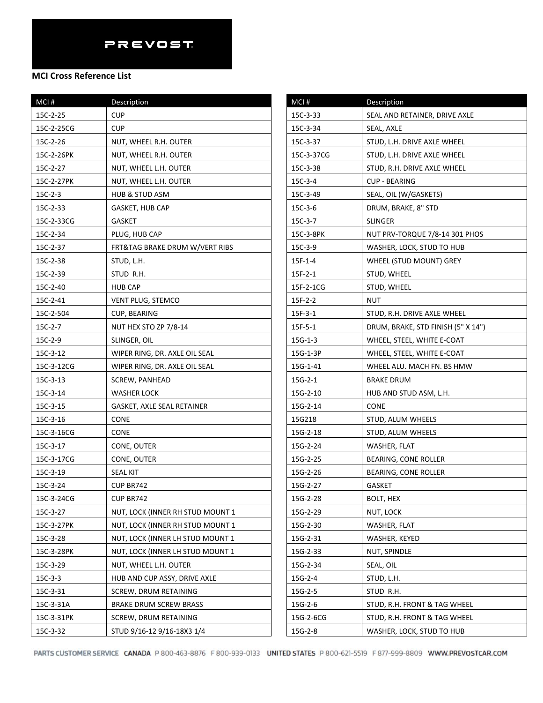| MCI #      | Description                      |
|------------|----------------------------------|
| 15C-2-25   | <b>CUP</b>                       |
| 15C-2-25CG | <b>CUP</b>                       |
| 15C-2-26   | NUT, WHEEL R.H. OUTER            |
| 15C-2-26PK | NUT, WHEEL R.H. OUTER            |
| 15C-2-27   | NUT, WHEEL L.H. OUTER            |
| 15C-2-27PK | NUT, WHEEL L.H. OUTER            |
| $15C-2-3$  | <b>HUB &amp; STUD ASM</b>        |
| 15C-2-33   | <b>GASKET, HUB CAP</b>           |
| 15C-2-33CG | <b>GASKET</b>                    |
| 15C-2-34   | PLUG, HUB CAP                    |
| 15C-2-37   | FRT&TAG BRAKE DRUM W/VERT RIBS   |
| 15C-2-38   | STUD, L.H.                       |
| 15C-2-39   | STUD R.H.                        |
| 15C-2-40   | <b>HUB CAP</b>                   |
| 15C-2-41   | VENT PLUG, STEMCO                |
| 15C-2-504  | CUP, BEARING                     |
| 15C-2-7    | NUT HEX STO ZP 7/8-14            |
| 15C-2-9    | SLINGER, OIL                     |
| 15C-3-12   | WIPER RING, DR. AXLE OIL SEAL    |
| 15C-3-12CG | WIPER RING, DR. AXLE OIL SEAL    |
| 15C-3-13   | SCREW, PANHEAD                   |
| 15C-3-14   | <b>WASHER LOCK</b>               |
| 15C-3-15   | GASKET, AXLE SEAL RETAINER       |
| 15C-3-16   | <b>CONE</b>                      |
| 15C-3-16CG | <b>CONE</b>                      |
| 15C-3-17   | CONE, OUTER                      |
| 15C-3-17CG | CONE, OUTER                      |
| 15C-3-19   | SEAL KIT                         |
| 15C-3-24   | CUP BR742                        |
| 15C-3-24CG | CUP BR742                        |
| 15C-3-27   | NUT, LOCK (INNER RH STUD MOUNT 1 |
| 15C-3-27PK | NUT, LOCK (INNER RH STUD MOUNT 1 |
| 15C-3-28   | NUT, LOCK (INNER LH STUD MOUNT 1 |
| 15C-3-28PK | NUT, LOCK (INNER LH STUD MOUNT 1 |
| 15C-3-29   | NUT, WHEEL L.H. OUTER            |
| $15C-3-3$  | HUB AND CUP ASSY, DRIVE AXLE     |
| 15C-3-31   | SCREW, DRUM RETAINING            |
| 15C-3-31A  | <b>BRAKE DRUM SCREW BRASS</b>    |
| 15C-3-31PK | SCREW, DRUM RETAINING            |
| 15C-3-32   | STUD 9/16-12 9/16-18X3 1/4       |

| MCI#          | Description                        |
|---------------|------------------------------------|
| 15C-3-33      | SEAL AND RETAINER, DRIVE AXLE      |
| 15C-3-34      | SEAL, AXLE                         |
| 15C-3-37      | STUD, L.H. DRIVE AXLE WHEEL        |
| 15C-3-37CG    | STUD, L.H. DRIVE AXLE WHEEL        |
| 15C-3-38      | STUD, R.H. DRIVE AXLE WHEEL        |
| 15C-3-4       | <b>CUP - BEARING</b>               |
| 15C-3-49      | SEAL, OIL (W/GASKETS)              |
| 15C-3-6       | DRUM, BRAKE, 8" STD                |
| 15C-3-7       | <b>SLINGER</b>                     |
| 15C-3-8PK     | NUT PRV-TORQUE 7/8-14 301 PHOS     |
| 15C-3-9       | WASHER, LOCK, STUD TO HUB          |
| 15F-1-4       | WHEEL (STUD MOUNT) GREY            |
| $15F - 2 - 1$ | STUD, WHEEL                        |
| 15F-2-1CG     | STUD, WHEEL                        |
| $15F-2-2$     | NUT                                |
| $15F-3-1$     | STUD, R.H. DRIVE AXLE WHEEL        |
| $15F - 5 - 1$ | DRUM, BRAKE, STD FINISH (5" X 14") |
| $15G-1-3$     | WHEEL, STEEL, WHITE E-COAT         |
| 15G-1-3P      | WHEEL, STEEL, WHITE E-COAT         |
| 15G-1-41      | WHEEL ALU. MACH FN. BS HMW         |
| $15G-2-1$     | <b>BRAKE DRUM</b>                  |
| 15G-2-10      | HUB AND STUD ASM, L.H.             |
| 15G-2-14      | <b>CONE</b>                        |
| 15G218        | STUD, ALUM WHEELS                  |
| 15G-2-18      | STUD, ALUM WHEELS                  |
| 15G-2-24      | WASHER, FLAT                       |
| 15G-2-25      | BEARING, CONE ROLLER               |
| 15G-2-26      | BEARING, CONE ROLLER               |
| 15G-2-27      | GASKET                             |
| 15G-2-28      | <b>BOLT, HEX</b>                   |
| 15G-2-29      | NUT, LOCK                          |
| 15G-2-30      | WASHER, FLAT                       |
| 15G-2-31      | WASHER, KEYED                      |
| 15G-2-33      | NUT, SPINDLE                       |
| 15G-2-34      | SEAL, OIL                          |
| 15G-2-4       | STUD, L.H.                         |
| 15G-2-5       | STUD R.H.                          |
| 15G-2-6       | STUD, R.H. FRONT & TAG WHEEL       |
| 15G-2-6CG     | STUD, R.H. FRONT & TAG WHEEL       |
| 15G-2-8       | WASHER, LOCK, STUD TO HUB          |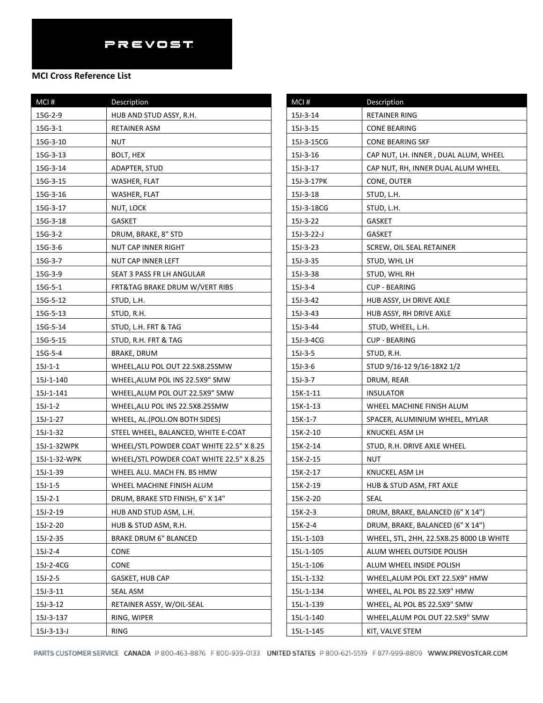| MCI#         | Description                              |
|--------------|------------------------------------------|
| 15G-2-9      | HUB AND STUD ASSY, R.H.                  |
| 15G-3-1      | RETAINER ASM                             |
| 15G-3-10     | NUT                                      |
| 15G-3-13     | BOLT, HEX                                |
| 15G-3-14     | ADAPTER, STUD                            |
| 15G-3-15     | WASHER, FLAT                             |
| 15G-3-16     | WASHER, FLAT                             |
| 15G-3-17     | NUT, LOCK                                |
| 15G-3-18     | <b>GASKET</b>                            |
| $15G-3-2$    | DRUM, BRAKE, 8" STD                      |
| 15G-3-6      | NUT CAP INNER RIGHT                      |
| 15G-3-7      | NUT CAP INNER LEFT                       |
| 15G-3-9      | SEAT 3 PASS FR LH ANGULAR                |
| $15G-5-1$    | FRT&TAG BRAKE DRUM W/VERT RIBS           |
| 15G-5-12     | STUD, L.H.                               |
| 15G-5-13     | STUD, R.H.                               |
| 15G-5-14     | STUD, L.H. FRT & TAG                     |
| 15G-5-15     | STUD, R.H. FRT & TAG                     |
| 15G-5-4      | BRAKE, DRUM                              |
| $15J-1-1$    | WHEEL, ALU POL OUT 22.5X8.25SMW          |
| 15J-1-140    | WHEEL, ALUM POL INS 22.5X9" SMW          |
| 15J-1-141    | WHEEL, ALUM POL OUT 22.5X9" SMW          |
| $15J-1-2$    | WHEEL, ALU POL INS 22.5X8.25SMW          |
| 15J-1-27     | WHEEL, AL. (POLI.ON BOTH SIDES)          |
| 15J-1-32     | STEEL WHEEL, BALANCED, WHITE E-COAT      |
| 15J-1-32WPK  | WHEEL/STL POWDER COAT WHITE 22.5" X 8.25 |
| 15J-1-32-WPK | WHEEL/STL POWDER COAT WHITE 22.5" X 8.25 |
| 15J-1-39     | WHEEL ALU. MACH FN. BS HMW               |
| $15J-1-5$    | WHEEL MACHINE FINISH ALUM                |
| $15J-2-1$    | DRUM, BRAKE STD FINISH, 6" X 14"         |
| 15J-2-19     | HUB AND STUD ASM, L.H.                   |
| 15J-2-20     | HUB & STUD ASM, R.H.                     |
| 15J-2-35     | <b>BRAKE DRUM 6" BLANCED</b>             |
| $15J-2-4$    | CONE                                     |
| 15J-2-4CG    | CONE                                     |
| $15J-2-5$    | GASKET, HUB CAP                          |
| 15J-3-11     | <b>SEAL ASM</b>                          |
| $15J-3-12$   | RETAINER ASSY, W/OIL-SEAL                |
| 15J-3-137    | RING, WIPER                              |
| $15J-3-13-J$ | <b>RING</b>                              |

| MCI#       | Description                              |
|------------|------------------------------------------|
| 15J-3-14   | RETAINER RING                            |
| 15J-3-15   | CONE BEARING                             |
| 15J-3-15CG | <b>CONE BEARING SKF</b>                  |
| 15J-3-16   | CAP NUT, LH. INNER, DUAL ALUM, WHEEL     |
| 15J-3-17   | CAP NUT, RH, INNER DUAL ALUM WHEEL       |
| 15J-3-17PK | CONE, OUTER                              |
| 15J-3-18   | STUD, L.H.                               |
| 15J-3-18CG | STUD, L.H.                               |
| 15J-3-22   | <b>GASKET</b>                            |
| 15J-3-22-J | <b>GASKET</b>                            |
| 15J-3-23   | SCREW, OIL SEAL RETAINER                 |
| 15J-3-35   | STUD, WHL LH                             |
| 15J-3-38   | STUD, WHL RH                             |
| 15J-3-4    | CUP - BEARING                            |
| 15J-3-42   | HUB ASSY, LH DRIVE AXLE                  |
| 15J-3-43   | HUB ASSY, RH DRIVE AXLE                  |
| 15J-3-44   | STUD, WHEEL, L.H.                        |
| 15J-3-4CG  | <b>CUP - BEARING</b>                     |
| $15J-3-5$  | STUD, R.H.                               |
| 15J-3-6    | STUD 9/16-12 9/16-18X2 1/2               |
| $15J-3-7$  | DRUM, REAR                               |
| 15K-1-11   | <b>INSULATOR</b>                         |
| 15K-1-13   | WHEEL MACHINE FINISH ALUM                |
| 15K-1-7    | SPACER, ALUMINIUM WHEEL, MYLAR           |
| 15K-2-10   | KNUCKEL ASM LH                           |
| 15K-2-14   | STUD, R.H. DRIVE AXLE WHEEL              |
| 15K-2-15   | NUT                                      |
| 15K-2-17   | KNUCKEL ASM LH                           |
| 15K-2-19   | HUB & STUD ASM, FRT AXLE                 |
| 15K-2-20   | SEAL                                     |
| 15K-2-3    | DRUM, BRAKE, BALANCED (6" X 14")         |
| 15K-2-4    | DRUM, BRAKE, BALANCED (6" X 14")         |
| 15L-1-103  | WHEEL, STL, 2HH, 22.5X8.25 8000 LB WHITE |
| 15L-1-105  | ALUM WHEEL OUTSIDE POLISH                |
| 15L-1-106  | ALUM WHEEL INSIDE POLISH                 |
| 15L-1-132  | WHEEL, ALUM POL EXT 22.5X9" HMW          |
| 15L-1-134  | WHEEL, AL POL BS 22.5X9" HMW             |
| 15L-1-139  | WHEEL, AL POL BS 22.5X9" SMW             |
| 15L-1-140  | WHEEL, ALUM POL OUT 22.5X9" SMW          |
| 15L-1-145  | KIT, VALVE STEM                          |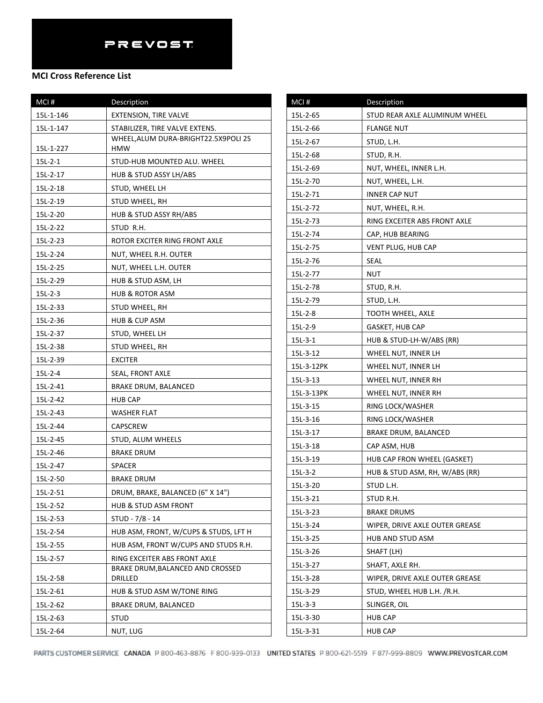#### **MCI Cross Reference List**

| MCI#      | Description                                 |
|-----------|---------------------------------------------|
| 15L-1-146 | <b>EXTENSION, TIRE VALVE</b>                |
| 15L-1-147 | STABILIZER, TIRE VALVE EXTENS.              |
| 15L-1-227 | WHEEL, ALUM DURA-BRIGHT22.5X9POLI 2S<br>HMW |
| $15L-2-1$ | STUD-HUB MOUNTED ALU. WHEEL                 |
| 15L-2-17  | HUB & STUD ASSY LH/ABS                      |
| 15L-2-18  | STUD, WHEEL LH                              |
| 15L-2-19  | STUD WHEEL, RH                              |
| 15L-2-20  | HUB & STUD ASSY RH/ABS                      |
| 15L-2-22  | STUD R.H.                                   |
| 15L-2-23  | ROTOR EXCITER RING FRONT AXLE               |
| 15L-2-24  | NUT, WHEEL R.H. OUTER                       |
| 15L-2-25  | NUT, WHEEL L.H. OUTER                       |
| 15L-2-29  | HUB & STUD ASM, LH                          |
| 15L-2-3   | <b>HUB &amp; ROTOR ASM</b>                  |
| 15L-2-33  | STUD WHEEL, RH                              |
| 15L-2-36  | HUB & CUP ASM                               |
| 15L-2-37  | STUD, WHEEL LH                              |
| 15L-2-38  | STUD WHEEL, RH                              |
| 15L-2-39  | <b>EXCITER</b>                              |
| $15L-2-4$ | SEAL, FRONT AXLE                            |
| 15L-2-41  | <b>BRAKE DRUM, BALANCED</b>                 |
| 15L-2-42  | <b>HUB CAP</b>                              |
| 15L-2-43  | <b>WASHER FLAT</b>                          |
| 15L-2-44  | CAPSCREW                                    |
| 15L-2-45  | STUD, ALUM WHEELS                           |
| 15L-2-46  | <b>BRAKE DRUM</b>                           |
| 15L-2-47  | <b>SPACER</b>                               |
| 15L-2-50  | <b>BRAKE DRUM</b>                           |
| 15L-2-51  | DRUM, BRAKE, BALANCED (6" X 14")            |
| 15L-2-52  | <b>HUB &amp; STUD ASM FRONT</b>             |
| 15L-2-53  | STUD - 7/8 - 14                             |
| 15L-2-54  | HUB ASM, FRONT, W/CUPS & STUDS, LFT H       |
| 15L-2-55  | HUB ASM, FRONT W/CUPS AND STUDS R.H.        |
| 15L-2-57  | RING EXCEITER ABS FRONT AXLE                |
| 15L-2-58  | BRAKE DRUM, BALANCED AND CROSSED<br>DRILLED |
| 15L-2-61  | HUB & STUD ASM W/TONE RING                  |
| 15L-2-62  | <b>BRAKE DRUM, BALANCED</b>                 |
| 15L-2-63  | STUD                                        |
| 15L-2-64  | NUT, LUG                                    |

| MCI#       | Description                    |
|------------|--------------------------------|
| 15L-2-65   | STUD REAR AXLE ALUMINUM WHEEL  |
| 15L-2-66   | <b>FLANGE NUT</b>              |
| 15L-2-67   | STUD, L.H.                     |
| 15L-2-68   | STUD, R.H.                     |
| 15L-2-69   | NUT, WHEEL, INNER L.H.         |
| 15L-2-70   | NUT, WHEEL, L.H.               |
| 15L-2-71   | <b>INNER CAP NUT</b>           |
| 15L-2-72   | NUT, WHEEL, R.H.               |
| 15L-2-73   | RING EXCEITER ABS FRONT AXLE   |
| 15L-2-74   | CAP, HUB BEARING               |
| 15L-2-75   | VENT PLUG, HUB CAP             |
| 15L-2-76   | SEAL                           |
| 15L-2-77   | NUT                            |
| 15L-2-78   | STUD, R.H.                     |
| 15L-2-79   | STUD, L.H.                     |
| 15L-2-8    | TOOTH WHEEL, AXLE              |
| 15L-2-9    | GASKET, HUB CAP                |
| $15L-3-1$  | HUB & STUD-LH-W/ABS (RR)       |
| 15L-3-12   | WHEEL NUT, INNER LH            |
| 15L-3-12PK | WHEEL NUT, INNER LH            |
| 15L-3-13   | WHEEL NUT, INNER RH            |
| 15L-3-13PK | WHEEL NUT, INNER RH            |
| 15L-3-15   | RING LOCK/WASHER               |
| 15L-3-16   | RING LOCK/WASHER               |
| 15L-3-17   | BRAKE DRUM, BALANCED           |
| 15L-3-18   | CAP ASM, HUB                   |
| 15L-3-19   | HUB CAP FRON WHEEL (GASKET)    |
| $15L-3-2$  | HUB & STUD ASM, RH, W/ABS (RR) |
| 15L-3-20   | STUD L.H.                      |
| 15L-3-21   | STUD R.H.                      |
| 15L-3-23   | <b>BRAKE DRUMS</b>             |
| 15L-3-24   | WIPER, DRIVE AXLE OUTER GREASE |
| 15L-3-25   | HUB AND STUD ASM               |
| 15L-3-26   | SHAFT (LH)                     |
| 15L-3-27   | SHAFT, AXLE RH.                |
| 15L-3-28   | WIPER, DRIVE AXLE OUTER GREASE |
| 15L-3-29   | STUD, WHEEL HUB L.H. /R.H.     |
| $15L-3-3$  | SLINGER, OIL                   |
| 15L-3-30   | <b>HUB CAP</b>                 |
| 15L-3-31   | <b>HUB CAP</b>                 |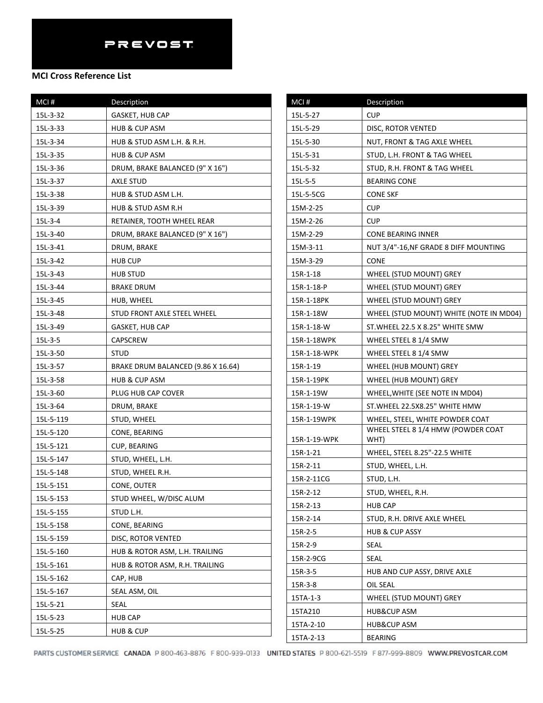| MCI#      | Description                        |
|-----------|------------------------------------|
| 15L-3-32  | GASKET, HUB CAP                    |
| 15L-3-33  | <b>HUB &amp; CUP ASM</b>           |
| 15L-3-34  | HUB & STUD ASM L.H. & R.H.         |
| 15L-3-35  | HUB & CUP ASM                      |
| 15L-3-36  | DRUM, BRAKE BALANCED (9" X 16")    |
| 15L-3-37  | AXLE STUD                          |
| 15L-3-38  | HUB & STUD ASM L.H.                |
| 15L-3-39  | HUB & STUD ASM R.H                 |
| $15L-3-4$ | RETAINER, TOOTH WHEEL REAR         |
| 15L-3-40  | DRUM, BRAKE BALANCED (9" X 16")    |
| 15L-3-41  | DRUM, BRAKE                        |
| 15L-3-42  | <b>HUB CUP</b>                     |
| 15L-3-43  | <b>HUB STUD</b>                    |
| 15L-3-44  | <b>BRAKE DRUM</b>                  |
| 15L-3-45  | HUB, WHEEL                         |
| 15L-3-48  | STUD FRONT AXLE STEEL WHEEL        |
| 15L-3-49  | GASKET, HUB CAP                    |
| 15L-3-5   | CAPSCREW                           |
| 15L-3-50  | <b>STUD</b>                        |
| 15L-3-57  | BRAKE DRUM BALANCED (9.86 X 16.64) |
| 15L-3-58  | HUB & CUP ASM                      |
| 15L-3-60  | PLUG HUB CAP COVER                 |
| 15L-3-64  | DRUM, BRAKE                        |
| 15L-5-119 | STUD, WHEEL                        |
| 15L-5-120 | CONE, BEARING                      |
| 15L-5-121 | CUP, BEARING                       |
| 15L-5-147 | STUD, WHEEL, L.H.                  |
| 15L-5-148 | STUD, WHEEL R.H.                   |
| 15L-5-151 | CONE, OUTER                        |
| 15L-5-153 | STUD WHEEL, W/DISC ALUM            |
| 15L-5-155 | STUD L.H.                          |
| 15L-5-158 | CONE, BEARING                      |
| 15L-5-159 | DISC, ROTOR VENTED                 |
| 15L-5-160 | HUB & ROTOR ASM, L.H. TRAILING     |
| 15L-5-161 | HUB & ROTOR ASM, R.H. TRAILING     |
| 15L-5-162 | CAP, HUB                           |
| 15L-5-167 | SEAL ASM, OIL                      |
| 15L-5-21  | SEAL                               |
| 15L-5-23  | <b>HUB CAP</b>                     |
| 15L-5-25  | <b>HUB &amp; CUP</b>               |

| MCI#         | Description                                |
|--------------|--------------------------------------------|
| 15L-5-27     | <b>CUP</b>                                 |
| 15L-5-29     | DISC, ROTOR VENTED                         |
| 15L-5-30     | NUT, FRONT & TAG AXLE WHEEL                |
| 15L-5-31     | STUD, L.H. FRONT & TAG WHEEL               |
| 15L-5-32     | STUD, R.H. FRONT & TAG WHEEL               |
| 15L-5-5      | <b>BEARING CONE</b>                        |
| 15L-5-5CG    | <b>CONE SKF</b>                            |
| 15M-2-25     | <b>CUP</b>                                 |
| 15M-2-26     | <b>CUP</b>                                 |
| 15M-2-29     | <b>CONE BEARING INNER</b>                  |
| 15M-3-11     | NUT 3/4"-16, NF GRADE 8 DIFF MOUNTING      |
| 15M-3-29     | <b>CONE</b>                                |
| 15R-1-18     | WHEEL (STUD MOUNT) GREY                    |
| 15R-1-18-P   | WHEEL (STUD MOUNT) GREY                    |
| 15R-1-18PK   | WHEEL (STUD MOUNT) GREY                    |
| 15R-1-18W    | WHEEL (STUD MOUNT) WHITE (NOTE IN MD04)    |
| 15R-1-18-W   | ST. WHEEL 22.5 X 8.25" WHITE SMW           |
| 15R-1-18WPK  | WHEEL STEEL 8 1/4 SMW                      |
| 15R-1-18-WPK | WHEEL STEEL 8 1/4 SMW                      |
| 15R-1-19     | WHEEL (HUB MOUNT) GREY                     |
| 15R-1-19PK   | WHEEL (HUB MOUNT) GREY                     |
| 15R-1-19W    | WHEEL, WHITE (SEE NOTE IN MD04)            |
| 15R-1-19-W   | ST. WHEEL 22.5X8.25" WHITE HMW             |
| 15R-1-19WPK  | WHEEL, STEEL, WHITE POWDER COAT            |
| 15R-1-19-WPK | WHEEL STEEL 8 1/4 HMW (POWDER COAT<br>WHT) |
| 15R-1-21     | WHEEL, STEEL 8.25"-22.5 WHITE              |
| 15R-2-11     | STUD, WHEEL, L.H.                          |
| 15R-2-11CG   | STUD, L.H.                                 |
| 15R-2-12     | STUD, WHEEL, R.H.                          |
| 15R-2-13     | <b>HUB CAP</b>                             |
| 15R-2-14     | STUD, R.H. DRIVE AXLE WHEEL                |
| 15R-2-5      | <b>HUB &amp; CUP ASSY</b>                  |
| 15R-2-9      | SEAL                                       |
| 15R-2-9CG    | SEAL                                       |
| 15R-3-5      | HUB AND CUP ASSY, DRIVE AXLE               |
| 15R-3-8      | OIL SEAL                                   |
| 15TA-1-3     | WHEEL (STUD MOUNT) GREY                    |
| 15TA210      | <b>HUB&amp;CUP ASM</b>                     |
| 15TA-2-10    | HUB&CUP ASM                                |
| 15TA-2-13    | BEARING                                    |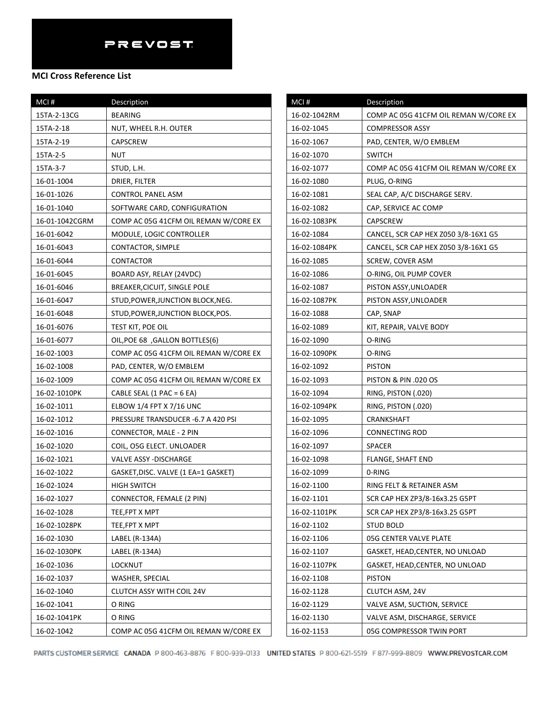| MCI#           | Description                           |
|----------------|---------------------------------------|
| 15TA-2-13CG    | <b>BEARING</b>                        |
| 15TA-2-18      | NUT, WHEEL R.H. OUTER                 |
| 15TA-2-19      | CAPSCREW                              |
| 15TA-2-5       | NUT                                   |
| 15TA-3-7       | STUD, L.H.                            |
| 16-01-1004     | DRIER, FILTER                         |
| 16-01-1026     | CONTROL PANEL ASM                     |
| 16-01-1040     | SOFTWARE CARD, CONFIGURATION          |
| 16-01-1042CGRM | COMP AC 05G 41CFM OIL REMAN W/CORE EX |
| 16-01-6042     | MODULE, LOGIC CONTROLLER              |
| 16-01-6043     | CONTACTOR, SIMPLE                     |
| 16-01-6044     | CONTACTOR                             |
| 16-01-6045     | BOARD ASY, RELAY (24VDC)              |
| 16-01-6046     | BREAKER, CICUIT, SINGLE POLE          |
| 16-01-6047     | STUD, POWER, JUNCTION BLOCK, NEG.     |
| 16-01-6048     | STUD, POWER, JUNCTION BLOCK, POS.     |
| 16-01-6076     | TEST KIT, POE OIL                     |
| 16-01-6077     | OIL, POE 68, GALLON BOTTLES(6)        |
| 16-02-1003     | COMP AC 05G 41CFM OIL REMAN W/CORE EX |
| 16-02-1008     | PAD, CENTER, W/O EMBLEM               |
| 16-02-1009     | COMP AC 05G 41CFM OIL REMAN W/CORE EX |
| 16-02-1010PK   | CABLE SEAL (1 PAC = 6 EA)             |
| 16-02-1011     | ELBOW 1/4 FPT X 7/16 UNC              |
| 16-02-1012     | PRESSURE TRANSDUCER -6.7 A 420 PSI    |
| 16-02-1016     | CONNECTOR, MALE - 2 PIN               |
| 16-02-1020     | COIL, O5G ELECT. UNLOADER             |
| 16-02-1021     | <b>VALVE ASSY -DISCHARGE</b>          |
| 16-02-1022     | GASKET, DISC. VALVE (1 EA=1 GASKET)   |
| 16-02-1024     | HIGH SWITCH                           |
| 16-02-1027     | CONNECTOR, FEMALE (2 PIN)             |
| 16-02-1028     | TEE,FPT X MPT                         |
| 16-02-1028PK   | TEE,FPT X MPT                         |
| 16-02-1030     | LABEL (R-134A)                        |
| 16-02-1030PK   | LABEL (R-134A)                        |
| 16-02-1036     | <b>LOCKNUT</b>                        |
| 16-02-1037     | WASHER, SPECIAL                       |
| 16-02-1040     | CLUTCH ASSY WITH COIL 24V             |
| 16-02-1041     | O RING                                |
| 16-02-1041PK   | O RING                                |
| 16-02-1042     | COMP AC 05G 41CFM OIL REMAN W/CORE EX |

| MCI#         | Description                           |
|--------------|---------------------------------------|
| 16-02-1042RM | COMP AC 05G 41CFM OIL REMAN W/CORE EX |
| 16-02-1045   | <b>COMPRESSOR ASSY</b>                |
| 16-02-1067   | PAD, CENTER, W/O EMBLEM               |
| 16-02-1070   | <b>SWITCH</b>                         |
| 16-02-1077   | COMP AC 05G 41CFM OIL REMAN W/CORE EX |
| 16-02-1080   | PLUG, O-RING                          |
| 16-02-1081   | SEAL CAP, A/C DISCHARGE SERV.         |
| 16-02-1082   | CAP, SERVICE AC COMP                  |
| 16-02-1083PK | CAPSCREW                              |
| 16-02-1084   | CANCEL, SCR CAP HEX Z050 3/8-16X1 G5  |
| 16-02-1084PK | CANCEL, SCR CAP HEX Z050 3/8-16X1 G5  |
| 16-02-1085   | SCREW, COVER ASM                      |
| 16-02-1086   | O-RING, OIL PUMP COVER                |
| 16-02-1087   | PISTON ASSY, UNLOADER                 |
| 16-02-1087PK | PISTON ASSY, UNLOADER                 |
| 16-02-1088   | CAP, SNAP                             |
| 16-02-1089   | KIT, REPAIR, VALVE BODY               |
| 16-02-1090   | O-RING                                |
| 16-02-1090PK | O-RING                                |
| 16-02-1092   | <b>PISTON</b>                         |
| 16-02-1093   | <b>PISTON &amp; PIN .020 OS</b>       |
| 16-02-1094   | RING, PISTON (.020)                   |
| 16-02-1094PK | RING, PISTON (.020)                   |
| 16-02-1095   | CRANKSHAFT                            |
| 16-02-1096   | <b>CONNECTING ROD</b>                 |
| 16-02-1097   | <b>SPACER</b>                         |
| 16-02-1098   | FLANGE, SHAFT END                     |
| 16-02-1099   | 0-RING                                |
| 16-02-1100   | RING FELT & RETAINER ASM              |
| 16-02-1101   | SCR CAP HEX ZP3/8-16x3.25 G5PT        |
| 16-02-1101PK | SCR CAP HEX ZP3/8-16x3.25 G5PT        |
| 16-02-1102   | <b>STUD BOLD</b>                      |
| 16-02-1106   | 05G CENTER VALVE PLATE                |
| 16-02-1107   | GASKET, HEAD, CENTER, NO UNLOAD       |
| 16-02-1107PK | GASKET, HEAD,CENTER, NO UNLOAD        |
| 16-02-1108   | <b>PISTON</b>                         |
| 16-02-1128   | CLUTCH ASM, 24V                       |
| 16-02-1129   | VALVE ASM, SUCTION, SERVICE           |
| 16-02-1130   | VALVE ASM, DISCHARGE, SERVICE         |
| 16-02-1153   | 05G COMPRESSOR TWIN PORT              |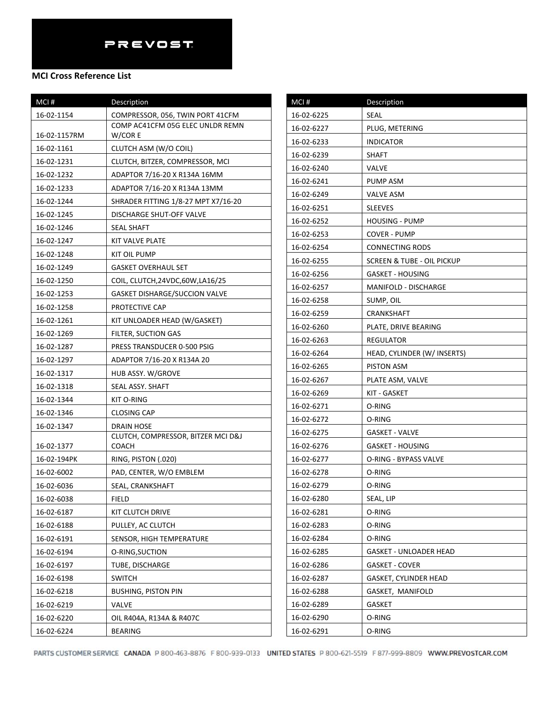### **MCI Cross Reference List**

| MCI#         | Description                                 |
|--------------|---------------------------------------------|
| 16-02-1154   | COMPRESSOR, 056, TWIN PORT 41CFM            |
| 16-02-1157RM | COMP AC41CFM 05G ELEC UNLDR REMN<br>W/COR E |
| 16-02-1161   | CLUTCH ASM (W/O COIL)                       |
| 16-02-1231   | CLUTCH, BITZER, COMPRESSOR, MCI             |
| 16-02-1232   | ADAPTOR 7/16-20 X R134A 16MM                |
| 16-02-1233   | ADAPTOR 7/16-20 X R134A 13MM                |
| 16-02-1244   | SHRADER FITTING 1/8-27 MPT X7/16-20         |
| 16-02-1245   | DISCHARGE SHUT-OFF VALVE                    |
| 16-02-1246   | SEAL SHAFT                                  |
| 16-02-1247   | KIT VALVE PLATE                             |
| 16-02-1248   | KIT OIL PUMP                                |
| 16-02-1249   | <b>GASKET OVERHAUL SET</b>                  |
| 16-02-1250   | COIL, CLUTCH, 24VDC, 60W, LA16/25           |
| 16-02-1253   | <b>GASKET DISHARGE/SUCCION VALVE</b>        |
| 16-02-1258   | PROTECTIVE CAP                              |
| 16-02-1261   | KIT UNLOADER HEAD (W/GASKET)                |
| 16-02-1269   | FILTER, SUCTION GAS                         |
| 16-02-1287   | PRESS TRANSDUCER 0-500 PSIG                 |
| 16-02-1297   | ADAPTOR 7/16-20 X R134A 20                  |
| 16-02-1317   | HUB ASSY. W/GROVE                           |
| 16-02-1318   | SEAL ASSY. SHAFT                            |
| 16-02-1344   | KIT O-RING                                  |
| 16-02-1346   | CLOSING CAP                                 |
| 16-02-1347   | DRAIN HOSE                                  |
| 16-02-1377   | CLUTCH, COMPRESSOR, BITZER MCI D&J<br>COACH |
| 16-02-194PK  | RING, PISTON (.020)                         |
| 16-02-6002   | PAD, CENTER, W/O EMBLEM                     |
| 16-02-6036   | SEAL, CRANKSHAFT                            |
| 16-02-6038   | <b>FIELD</b>                                |
| 16-02-6187   | KIT CLUTCH DRIVE                            |
| 16-02-6188   | PULLEY, AC CLUTCH                           |
| 16-02-6191   | SENSOR, HIGH TEMPERATURE                    |
| 16-02-6194   | O-RING, SUCTION                             |
| 16-02-6197   | TUBE, DISCHARGE                             |
| 16-02-6198   | SWITCH                                      |
| 16-02-6218   | <b>BUSHING, PISTON PIN</b>                  |
| 16-02-6219   | VALVE                                       |
| 16-02-6220   | OIL R404A, R134A & R407C                    |
| 16-02-6224   | <b>BEARING</b>                              |

| MCI#       | Description                 |
|------------|-----------------------------|
| 16-02-6225 | SEAL                        |
| 16-02-6227 | PLUG, METERING              |
| 16-02-6233 | <b>INDICATOR</b>            |
| 16-02-6239 | <b>SHAFT</b>                |
| 16-02-6240 | VALVE                       |
| 16-02-6241 | PUMP ASM                    |
| 16-02-6249 | VALVE ASM                   |
| 16-02-6251 | <b>SLEEVES</b>              |
| 16-02-6252 | <b>HOUSING - PUMP</b>       |
| 16-02-6253 | COVER - PUMP                |
| 16-02-6254 | CONNECTING RODS             |
| 16-02-6255 | SCREEN & TUBE - OIL PICKUP  |
| 16-02-6256 | <b>GASKET - HOUSING</b>     |
| 16-02-6257 | <b>MANIFOLD - DISCHARGE</b> |
| 16-02-6258 | SUMP, OIL                   |
| 16-02-6259 | CRANKSHAFT                  |
| 16-02-6260 | PLATE, DRIVE BEARING        |
| 16-02-6263 | REGULATOR                   |
| 16-02-6264 | HEAD, CYLINDER (W/ INSERTS) |
| 16-02-6265 | PISTON ASM                  |
| 16-02-6267 | PLATE ASM, VALVE            |
| 16-02-6269 | KIT - GASKET                |
| 16-02-6271 | O-RING                      |
| 16-02-6272 | O-RING                      |
| 16-02-6275 | GASKET - VALVE              |
| 16-02-6276 | GASKET - HOUSING            |
| 16-02-6277 | O-RING - BYPASS VALVE       |
| 16-02-6278 | O-RING                      |
| 16-02-6279 | O-RING                      |
| 16-02-6280 | SEAL, LIP                   |
| 16-02-6281 | O-RING                      |
| 16-02-6283 | O-RING                      |
| 16-02-6284 | O-RING                      |
| 16-02-6285 | GASKET - UNLOADER HEAD      |
| 16-02-6286 | <b>GASKET - COVER</b>       |
| 16-02-6287 | GASKET, CYLINDER HEAD       |
| 16-02-6288 | GASKET, MANIFOLD            |
| 16-02-6289 | GASKET                      |
| 16-02-6290 | O-RING                      |
| 16-02-6291 | O-RING                      |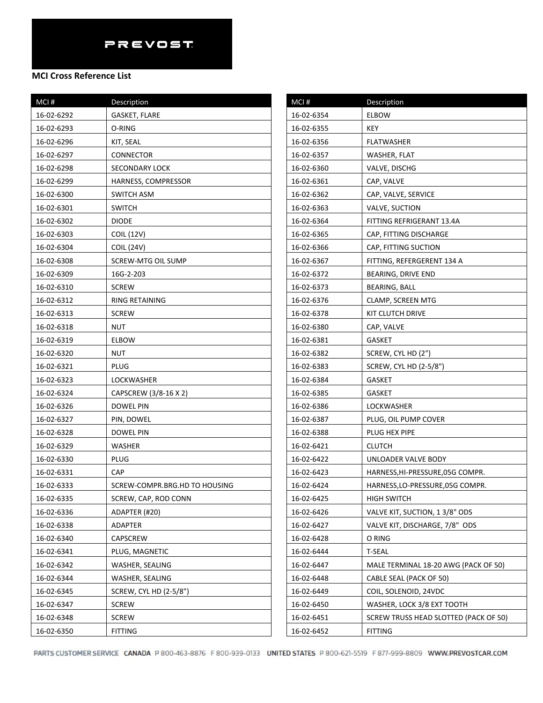| MCI#       | Description                   |
|------------|-------------------------------|
| 16-02-6292 | <b>GASKET, FLARE</b>          |
| 16-02-6293 | O-RING                        |
| 16-02-6296 | KIT, SEAL                     |
| 16-02-6297 | CONNECTOR                     |
| 16-02-6298 | <b>SECONDARY LOCK</b>         |
| 16-02-6299 | HARNESS, COMPRESSOR           |
| 16-02-6300 | SWITCH ASM                    |
| 16-02-6301 | <b>SWITCH</b>                 |
| 16-02-6302 | DIODE                         |
| 16-02-6303 | COIL (12V)                    |
| 16-02-6304 | COIL (24V)                    |
| 16-02-6308 | SCREW-MTG OIL SUMP            |
| 16-02-6309 | 16G-2-203                     |
| 16-02-6310 | <b>SCREW</b>                  |
| 16-02-6312 | <b>RING RETAINING</b>         |
| 16-02-6313 | <b>SCREW</b>                  |
| 16-02-6318 | <b>NUT</b>                    |
| 16-02-6319 | <b>ELBOW</b>                  |
| 16-02-6320 | <b>NUT</b>                    |
| 16-02-6321 | PLUG                          |
| 16-02-6323 | LOCKWASHER                    |
| 16-02-6324 | CAPSCREW (3/8-16 X 2)         |
| 16-02-6326 | DOWEL PIN                     |
| 16-02-6327 | PIN, DOWEL                    |
| 16-02-6328 | DOWEL PIN                     |
| 16-02-6329 | <b>WASHER</b>                 |
| 16-02-6330 | PLUG                          |
| 16-02-6331 | <b>CAP</b>                    |
| 16-02-6333 | SCREW-COMPR.BRG.HD TO HOUSING |
| 16-02-6335 | SCREW, CAP, ROD CONN          |
| 16-02-6336 | ADAPTER (#20)                 |
| 16-02-6338 | <b>ADAPTER</b>                |
| 16-02-6340 | CAPSCREW                      |
| 16-02-6341 | PLUG, MAGNETIC                |
| 16-02-6342 | WASHER, SEALING               |
| 16-02-6344 | WASHER, SEALING               |
| 16-02-6345 | SCREW, CYL HD (2-5/8")        |
| 16-02-6347 | <b>SCREW</b>                  |
| 16-02-6348 | <b>SCREW</b>                  |
| 16-02-6350 | <b>FITTING</b>                |

| MCI#       | Description                           |
|------------|---------------------------------------|
| 16-02-6354 | <b>ELBOW</b>                          |
| 16-02-6355 | KEY                                   |
| 16-02-6356 | FLATWASHER                            |
| 16-02-6357 | WASHER, FLAT                          |
| 16-02-6360 | VALVE, DISCHG                         |
| 16-02-6361 | CAP, VALVE                            |
| 16-02-6362 | CAP, VALVE, SERVICE                   |
| 16-02-6363 | VALVE, SUCTION                        |
| 16-02-6364 | FITTING REFRIGERANT 13.4A             |
| 16-02-6365 | CAP, FITTING DISCHARGE                |
| 16-02-6366 | CAP, FITTING SUCTION                  |
| 16-02-6367 | FITTING, REFERGERENT 134 A            |
| 16-02-6372 | BEARING, DRIVE END                    |
| 16-02-6373 | BEARING, BALL                         |
| 16-02-6376 | CLAMP, SCREEN MTG                     |
| 16-02-6378 | KIT CLUTCH DRIVE                      |
| 16-02-6380 | CAP, VALVE                            |
| 16-02-6381 | <b>GASKET</b>                         |
| 16-02-6382 | SCREW, CYL HD (2")                    |
| 16-02-6383 | SCREW, CYL HD (2-5/8")                |
| 16-02-6384 | <b>GASKET</b>                         |
| 16-02-6385 | <b>GASKET</b>                         |
| 16-02-6386 | LOCKWASHER                            |
| 16-02-6387 | PLUG, OIL PUMP COVER                  |
| 16-02-6388 | PLUG HEX PIPE                         |
| 16-02-6421 | <b>CLUTCH</b>                         |
| 16-02-6422 | UNLOADER VALVE BODY                   |
| 16-02-6423 | HARNESS, HI-PRESSURE, 05G COMPR.      |
| 16-02-6424 | HARNESS, LO-PRESSURE, 05G COMPR.      |
| 16-02-6425 | <b>HIGH SWITCH</b>                    |
| 16-02-6426 | VALVE KIT, SUCTION, 1 3/8" ODS        |
| 16-02-6427 | VALVE KIT, DISCHARGE, 7/8" ODS        |
| 16-02-6428 | O RING                                |
| 16-02-6444 | <b>T-SEAL</b>                         |
| 16-02-6447 | MALE TERMINAL 18-20 AWG (PACK OF 50)  |
| 16-02-6448 | CABLE SEAL (PACK OF 50)               |
| 16-02-6449 | COIL, SOLENOID, 24VDC                 |
| 16-02-6450 | WASHER, LOCK 3/8 EXT TOOTH            |
| 16-02-6451 | SCREW TRUSS HEAD SLOTTED (PACK OF 50) |
| 16-02-6452 | <b>FITTING</b>                        |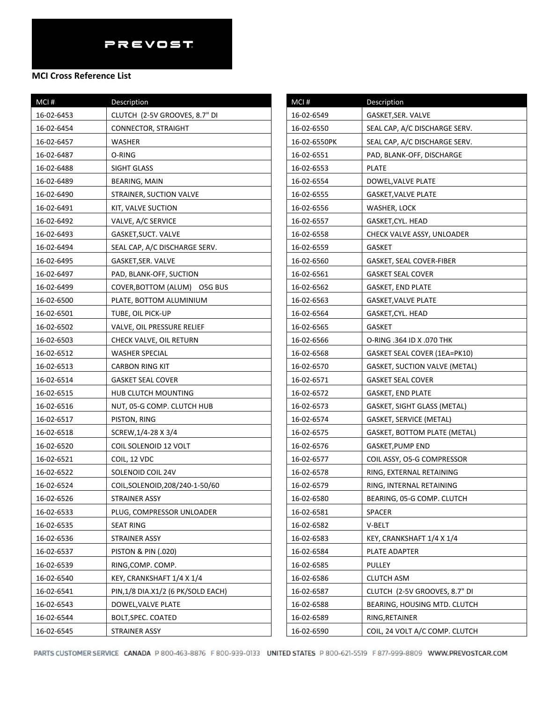#### **MCI Cross Reference List**

| MCI#       | <b>Description</b>                |
|------------|-----------------------------------|
| 16-02-6453 | CLUTCH (2-5V GROOVES, 8.7" DI     |
| 16-02-6454 | CONNECTOR, STRAIGHT               |
| 16-02-6457 | WASHER                            |
| 16-02-6487 | O-RING                            |
| 16-02-6488 | SIGHT GLASS                       |
| 16-02-6489 | BEARING, MAIN                     |
| 16-02-6490 | STRAINER, SUCTION VALVE           |
| 16-02-6491 | KIT, VALVE SUCTION                |
| 16-02-6492 | VALVE, A/C SERVICE                |
| 16-02-6493 | GASKET, SUCT. VALVE               |
| 16-02-6494 | SEAL CAP, A/C DISCHARGE SERV.     |
| 16-02-6495 | GASKET,SER. VALVE                 |
| 16-02-6497 | PAD, BLANK-OFF, SUCTION           |
| 16-02-6499 | COVER, BOTTOM (ALUM) O5G BUS      |
| 16-02-6500 | PLATE, BOTTOM ALUMINIUM           |
| 16-02-6501 | TUBE, OIL PICK-UP                 |
| 16-02-6502 | VALVE, OIL PRESSURE RELIEF        |
| 16-02-6503 | CHECK VALVE, OIL RETURN           |
| 16-02-6512 | WASHER SPECIAL                    |
| 16-02-6513 | CARBON RING KIT                   |
| 16-02-6514 | <b>GASKET SEAL COVER</b>          |
| 16-02-6515 | HUB CLUTCH MOUNTING               |
| 16-02-6516 | NUT, 05-G COMP. CLUTCH HUB        |
| 16-02-6517 | PISTON, RING                      |
| 16-02-6518 | SCREW, 1/4-28 X 3/4               |
| 16-02-6520 | COIL SOLENOID 12 VOLT             |
| 16-02-6521 | COIL, 12 VDC                      |
| 16-02-6522 | SOLENOID COIL 24V                 |
| 16-02-6524 | COIL, SOLENOID, 208/240-1-50/60   |
| 16-02-6526 | STRAINER ASSY                     |
| 16-02-6533 | PLUG, COMPRESSOR UNLOADER         |
| 16-02-6535 | <b>SEAT RING</b>                  |
| 16-02-6536 | <b>STRAINER ASSY</b>              |
| 16-02-6537 | <b>PISTON &amp; PIN (.020)</b>    |
| 16-02-6539 | RING, COMP. COMP.                 |
| 16-02-6540 | KEY, CRANKSHAFT 1/4 X 1/4         |
| 16-02-6541 | PIN,1/8 DIA.X1/2 (6 PK/SOLD EACH) |
| 16-02-6543 | DOWEL, VALVE PLATE                |
| 16-02-6544 | BOLT,SPEC. COATED                 |
| 16-02-6545 | STRAINER ASSY                     |

| MCI#         | Description                    |
|--------------|--------------------------------|
| 16-02-6549   | GASKET, SER. VALVE             |
| 16-02-6550   | SEAL CAP, A/C DISCHARGE SERV.  |
| 16-02-6550PK | SEAL CAP, A/C DISCHARGE SERV.  |
| 16-02-6551   | PAD, BLANK-OFF, DISCHARGE      |
| 16-02-6553   | PLATE                          |
| 16-02-6554   | DOWEL, VALVE PLATE             |
| 16-02-6555   | GASKET,VALVE PLATE             |
| 16-02-6556   | WASHER, LOCK                   |
| 16-02-6557   | GASKET, CYL. HEAD              |
| 16-02-6558   | CHECK VALVE ASSY, UNLOADER     |
| 16-02-6559   | GASKET                         |
| 16-02-6560   | GASKET, SEAL COVER-FIBER       |
| 16-02-6561   | <b>GASKET SEAL COVER</b>       |
| 16-02-6562   | <b>GASKET, END PLATE</b>       |
| 16-02-6563   | <b>GASKET, VALVE PLATE</b>     |
| 16-02-6564   | GASKET, CYL. HEAD              |
| 16-02-6565   | GASKET                         |
| 16-02-6566   | O-RING .364 ID X .070 THK      |
| 16-02-6568   | GASKET SEAL COVER (1EA=PK10)   |
| 16-02-6570   | GASKET, SUCTION VALVE (METAL)  |
| 16-02-6571   | <b>GASKET SEAL COVER</b>       |
| 16-02-6572   | <b>GASKET, END PLATE</b>       |
| 16-02-6573   | GASKET, SIGHT GLASS (METAL)    |
| 16-02-6574   | GASKET, SERVICE (METAL)        |
| 16-02-6575   | GASKET, BOTTOM PLATE (METAL)   |
| 16-02-6576   | GASKET,PUMP END                |
| 16-02-6577   | COIL ASSY, O5-G COMPRESSOR     |
| 16-02-6578   | RING, EXTERNAL RETAINING       |
| 16-02-6579   | RING, INTERNAL RETAINING       |
| 16-02-6580   | BEARING, 05-G COMP. CLUTCH     |
| 16-02-6581   | <b>SPACER</b>                  |
| 16-02-6582   | V-BELT                         |
| 16-02-6583   | KEY, CRANKSHAFT 1/4 X 1/4      |
| 16-02-6584   | PLATE ADAPTER                  |
| 16-02-6585   | PULLEY                         |
| 16-02-6586   | CLUTCH ASM                     |
| 16-02-6587   | CLUTCH (2-5V GROOVES, 8.7" DI  |
| 16-02-6588   | BEARING, HOUSING MTD. CLUTCH   |
| 16-02-6589   | RING, RETAINER                 |
| 16-02-6590   | COIL, 24 VOLT A/C COMP. CLUTCH |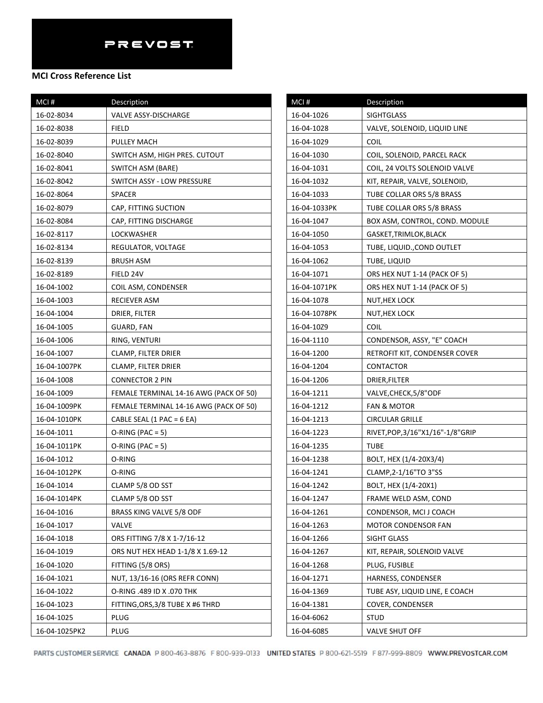| MCI#          | Description                            |
|---------------|----------------------------------------|
| 16-02-8034    | VALVE ASSY-DISCHARGE                   |
| 16-02-8038    | FIELD                                  |
| 16-02-8039    | PULLEY MACH                            |
| 16-02-8040    | SWITCH ASM, HIGH PRES. CUTOUT          |
| 16-02-8041    | SWITCH ASM (BARE)                      |
| 16-02-8042    | SWITCH ASSY - LOW PRESSURE             |
| 16-02-8064    | <b>SPACER</b>                          |
| 16-02-8079    | CAP, FITTING SUCTION                   |
| 16-02-8084    | CAP, FITTING DISCHARGE                 |
| 16-02-8117    | LOCKWASHER                             |
| 16-02-8134    | REGULATOR, VOLTAGE                     |
| 16-02-8139    | BRUSH ASM                              |
| 16-02-8189    | FIELD 24V                              |
| 16-04-1002    | COIL ASM, CONDENSER                    |
| 16-04-1003    | RECIEVER ASM                           |
| 16-04-1004    | DRIER, FILTER                          |
| 16-04-1005    | GUARD, FAN                             |
| 16-04-1006    | RING, VENTURI                          |
| 16-04-1007    | CLAMP, FILTER DRIER                    |
| 16-04-1007PK  | CLAMP, FILTER DRIER                    |
| 16-04-1008    | <b>CONNECTOR 2 PIN</b>                 |
| 16-04-1009    | FEMALE TERMINAL 14-16 AWG (PACK OF 50) |
| 16-04-1009PK  | FEMALE TERMINAL 14-16 AWG (PACK OF 50) |
| 16-04-1010PK  | CABLE SEAL $(1$ PAC = 6 EA)            |
| 16-04-1011    | $O-RING (PAC = 5)$                     |
| 16-04-1011PK  | $O-RING (PAC = 5)$                     |
| 16-04-1012    | O-RING                                 |
| 16-04-1012PK  | O-RING                                 |
| 16-04-1014    | CLAMP 5/8 OD SST                       |
| 16-04-1014PK  | CLAMP 5/8 OD SST                       |
| 16-04-1016    | BRASS KING VALVE 5/8 ODF               |
| 16-04-1017    | VALVE                                  |
| 16-04-1018    | ORS FITTING 7/8 X 1-7/16-12            |
| 16-04-1019    | ORS NUT HEX HEAD 1-1/8 X 1.69-12       |
| 16-04-1020    | FITTING (5/8 ORS)                      |
| 16-04-1021    | NUT, 13/16-16 (ORS REFR CONN)          |
| 16-04-1022    | O-RING .489 ID X .070 THK              |
| 16-04-1023    | FITTING, ORS, 3/8 TUBE X #6 THRD       |
| 16-04-1025    | PLUG                                   |
| 16-04-1025PK2 | PLUG                                   |

| MCI#         | Description                      |
|--------------|----------------------------------|
| 16-04-1026   | <b>SIGHTGLASS</b>                |
| 16-04-1028   | VALVE, SOLENOID, LIQUID LINE     |
| 16-04-1029   | <b>COIL</b>                      |
| 16-04-1030   | COIL, SOLENOID, PARCEL RACK      |
| 16-04-1031   | COIL, 24 VOLTS SOLENOID VALVE    |
| 16-04-1032   | KIT, REPAIR, VALVE, SOLENOID,    |
| 16-04-1033   | TUBE COLLAR ORS 5/8 BRASS        |
| 16-04-1033PK | TUBE COLLAR ORS 5/8 BRASS        |
| 16-04-1047   | BOX ASM, CONTROL, COND. MODULE   |
| 16-04-1050   | GASKET, TRIMLOK, BLACK           |
| 16-04-1053   | TUBE, LIQUID., COND OUTLET       |
| 16-04-1062   | TUBE, LIQUID                     |
| 16-04-1071   | ORS HEX NUT 1-14 (PACK OF 5)     |
| 16-04-1071PK | ORS HEX NUT 1-14 (PACK OF 5)     |
| 16-04-1078   | NUT, HEX LOCK                    |
| 16-04-1078PK | NUT,HEX LOCK                     |
| 16-04-10Z9   | <b>COIL</b>                      |
| 16-04-1110   | CONDENSOR, ASSY, "E" COACH       |
| 16-04-1200   | RETROFIT KIT, CONDENSER COVER    |
| 16-04-1204   | CONTACTOR                        |
| 16-04-1206   | DRIER, FILTER                    |
| 16-04-1211   | VALVE, CHECK, 5/8"ODF            |
| 16-04-1212   | <b>FAN &amp; MOTOR</b>           |
| 16-04-1213   | <b>CIRCULAR GRILLE</b>           |
| 16-04-1223   | RIVET, POP, 3/16"X1/16"-1/8"GRIP |
| 16-04-1235   | <b>TUBE</b>                      |
| 16-04-1238   | BOLT, HEX (1/4-20X3/4)           |
| 16-04-1241   | CLAMP, 2-1/16"TO 3"SS            |
| 16-04-1242   | BOLT, HEX (1/4-20X1)             |
| 16-04-1247   | FRAME WELD ASM, COND             |
| 16-04-1261   | CONDENSOR, MCI J COACH           |
| 16-04-1263   | MOTOR CONDENSOR FAN              |
| 16-04-1266   | SIGHT GLASS                      |
| 16-04-1267   | KIT, REPAIR, SOLENOID VALVE      |
| 16-04-1268   | PLUG, FUSIBLE                    |
| 16-04-1271   | HARNESS, CONDENSER               |
| 16-04-1369   | TUBE ASY, LIQUID LINE, E COACH   |
| 16-04-1381   | COVER, CONDENSER                 |
| 16-04-6062   | STUD                             |
| 16-04-6085   | <b>VALVE SHUT OFF</b>            |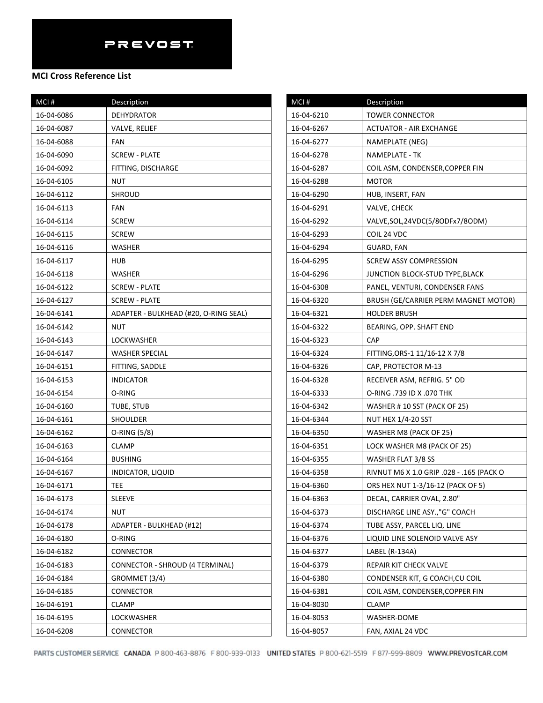| MCI#       | Description                            | MCI#       | Description                              |
|------------|----------------------------------------|------------|------------------------------------------|
| 16-04-6086 | <b>DEHYDRATOR</b>                      | 16-04-6210 | <b>TOWER CONNECTOR</b>                   |
| 16-04-6087 | VALVE, RELIEF                          | 16-04-6267 | <b>ACTUATOR - AIR EXCHANGE</b>           |
| 16-04-6088 | FAN                                    | 16-04-6277 | NAMEPLATE (NEG)                          |
| 16-04-6090 | <b>SCREW - PLATE</b>                   | 16-04-6278 | NAMEPLATE - TK                           |
| 16-04-6092 | FITTING, DISCHARGE                     | 16-04-6287 | COIL ASM, CONDENSER, COPPER FIN          |
| 16-04-6105 | <b>NUT</b>                             | 16-04-6288 | <b>MOTOR</b>                             |
| 16-04-6112 | <b>SHROUD</b>                          | 16-04-6290 | HUB, INSERT, FAN                         |
| 16-04-6113 | FAN                                    | 16-04-6291 | VALVE, CHECK                             |
| 16-04-6114 | <b>SCREW</b>                           | 16-04-6292 | VALVE, SOL, 24VDC(5/8ODFx7/8ODM)         |
| 16-04-6115 | <b>SCREW</b>                           | 16-04-6293 | COIL 24 VDC                              |
| 16-04-6116 | WASHER                                 | 16-04-6294 | GUARD, FAN                               |
| 16-04-6117 | HUB                                    | 16-04-6295 | <b>SCREW ASSY COMPRESSION</b>            |
| 16-04-6118 | WASHER                                 | 16-04-6296 | JUNCTION BLOCK-STUD TYPE, BLACK          |
| 16-04-6122 | <b>SCREW - PLATE</b>                   | 16-04-6308 | PANEL, VENTURI, CONDENSER FANS           |
| 16-04-6127 | <b>SCREW - PLATE</b>                   | 16-04-6320 | BRUSH (GE/CARRIER PERM MAGNET MOTOR)     |
| 16-04-6141 | ADAPTER - BULKHEAD (#20, O-RING SEAL)  | 16-04-6321 | <b>HOLDER BRUSH</b>                      |
| 16-04-6142 | <b>NUT</b>                             | 16-04-6322 | BEARING, OPP. SHAFT END                  |
| 16-04-6143 | LOCKWASHER                             | 16-04-6323 | <b>CAP</b>                               |
| 16-04-6147 | <b>WASHER SPECIAL</b>                  | 16-04-6324 | FITTING, ORS-1 11/16-12 X 7/8            |
| 16-04-6151 | FITTING, SADDLE                        | 16-04-6326 | CAP, PROTECTOR M-13                      |
| 16-04-6153 | <b>INDICATOR</b>                       | 16-04-6328 | RECEIVER ASM, REFRIG. 5" OD              |
| 16-04-6154 | O-RING                                 | 16-04-6333 | O-RING .739 ID X .070 THK                |
| 16-04-6160 | TUBE, STUB                             | 16-04-6342 | WASHER # 10 SST (PACK OF 25)             |
| 16-04-6161 | SHOULDER                               | 16-04-6344 | NUT HEX 1/4-20 SST                       |
| 16-04-6162 | O-RING (5/8)                           | 16-04-6350 | WASHER M8 (PACK OF 25)                   |
| 16-04-6163 | <b>CLAMP</b>                           | 16-04-6351 | LOCK WASHER M8 (PACK OF 25)              |
| 16-04-6164 | <b>BUSHING</b>                         | 16-04-6355 | WASHER FLAT 3/8 SS                       |
| 16-04-6167 | INDICATOR, LIQUID                      | 16-04-6358 | RIVNUT M6 X 1.0 GRIP .028 - .165 (PACK O |
| 16-04-6171 | TEE.                                   | 16-04-6360 | ORS HEX NUT 1-3/16-12 (PACK OF 5)        |
| 16-04-6173 | <b>SLEEVE</b>                          | 16-04-6363 | DECAL, CARRIER OVAL, 2.80"               |
| 16-04-6174 | <b>NUT</b>                             | 16-04-6373 | DISCHARGE LINE ASY.,"G" COACH            |
| 16-04-6178 | ADAPTER - BULKHEAD (#12)               | 16-04-6374 | TUBE ASSY, PARCEL LIQ. LINE              |
| 16-04-6180 | O-RING                                 | 16-04-6376 | LIQUID LINE SOLENOID VALVE ASY           |
| 16-04-6182 | <b>CONNECTOR</b>                       | 16-04-6377 | LABEL (R-134A)                           |
| 16-04-6183 | <b>CONNECTOR - SHROUD (4 TERMINAL)</b> | 16-04-6379 | REPAIR KIT CHECK VALVE                   |
| 16-04-6184 | GROMMET (3/4)                          | 16-04-6380 | CONDENSER KIT, G COACH, CU COIL          |
| 16-04-6185 | <b>CONNECTOR</b>                       | 16-04-6381 | COIL ASM, CONDENSER, COPPER FIN          |
| 16-04-6191 | <b>CLAMP</b>                           | 16-04-8030 | <b>CLAMP</b>                             |
| 16-04-6195 | LOCKWASHER                             | 16-04-8053 | WASHER-DOME                              |
| 16-04-6208 | CONNECTOR                              | 16-04-8057 | FAN, AXIAL 24 VDC                        |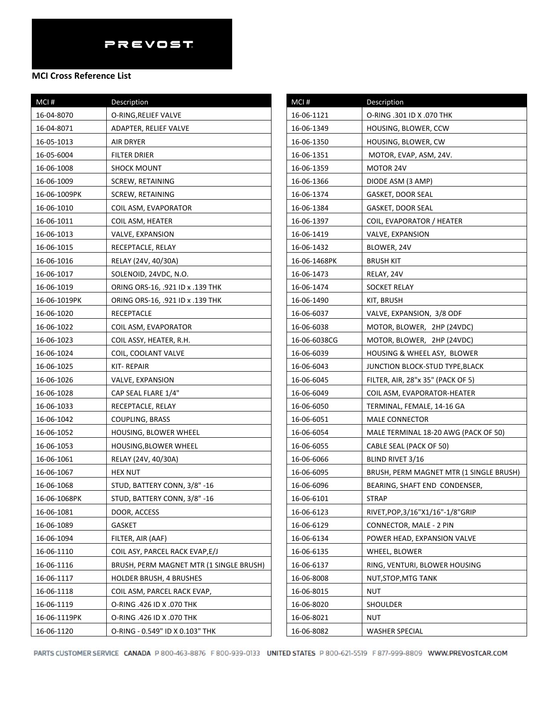| MCI#         | <b>Description</b>                      |
|--------------|-----------------------------------------|
| 16-04-8070   | O-RING, RELIEF VALVE                    |
| 16-04-8071   | ADAPTER, RELIEF VALVE                   |
| 16-05-1013   | AIR DRYER                               |
| 16-05-6004   | FILTER DRIER                            |
| 16-06-1008   | <b>SHOCK MOUNT</b>                      |
| 16-06-1009   | <b>SCREW, RETAINING</b>                 |
| 16-06-1009PK | SCREW, RETAINING                        |
| 16-06-1010   | COIL ASM, EVAPORATOR                    |
| 16-06-1011   | COIL ASM, HEATER                        |
| 16-06-1013   | VALVE, EXPANSION                        |
| 16-06-1015   | RECEPTACLE, RELAY                       |
| 16-06-1016   | RELAY (24V, 40/30A)                     |
| 16-06-1017   | SOLENOID, 24VDC, N.O.                   |
| 16-06-1019   | ORING ORS-16, .921 ID x .139 THK        |
| 16-06-1019PK | ORING ORS-16, .921 ID x .139 THK        |
| 16-06-1020   | RECEPTACLE                              |
| 16-06-1022   | COIL ASM, EVAPORATOR                    |
| 16-06-1023   | COIL ASSY, HEATER, R.H.                 |
| 16-06-1024   | COIL, COOLANT VALVE                     |
| 16-06-1025   | KIT-REPAIR                              |
| 16-06-1026   | VALVE, EXPANSION                        |
| 16-06-1028   | CAP SEAL FLARE 1/4"                     |
| 16-06-1033   | RECEPTACLE, RELAY                       |
| 16-06-1042   | <b>COUPLING, BRASS</b>                  |
| 16-06-1052   | HOUSING, BLOWER WHEEL                   |
| 16-06-1053   | HOUSING, BLOWER WHEEL                   |
| 16-06-1061   | RELAY (24V, 40/30A)                     |
| 16-06-1067   | <b>HEX NUT</b>                          |
| 16-06-1068   | STUD, BATTERY CONN, 3/8" -16            |
| 16-06-1068PK | STUD, BATTERY CONN, 3/8" -16            |
| 16-06-1081   | DOOR, ACCESS                            |
| 16-06-1089   | <b>GASKET</b>                           |
| 16-06-1094   | FILTER, AIR (AAF)                       |
| 16-06-1110   | COIL ASY, PARCEL RACK EVAP, E/J         |
| 16-06-1116   | BRUSH, PERM MAGNET MTR (1 SINGLE BRUSH) |
| 16-06-1117   | <b>HOLDER BRUSH, 4 BRUSHES</b>          |
| 16-06-1118   | COIL ASM, PARCEL RACK EVAP,             |
| 16-06-1119   | O-RING .426 ID X .070 THK               |
| 16-06-1119PK | O-RING .426 ID X .070 THK               |
| 16-06-1120   | O-RING - 0.549" ID X 0.103" THK         |

| MCI#         | Description                             |
|--------------|-----------------------------------------|
| 16-06-1121   | O-RING .301 ID X .070 THK               |
| 16-06-1349   | HOUSING, BLOWER, CCW                    |
| 16-06-1350   | HOUSING, BLOWER, CW                     |
| 16-06-1351   | MOTOR, EVAP, ASM, 24V.                  |
| 16-06-1359   | MOTOR 24V                               |
| 16-06-1366   | DIODE ASM (3 AMP)                       |
| 16-06-1374   | <b>GASKET, DOOR SEAL</b>                |
| 16-06-1384   | GASKET, DOOR SEAL                       |
| 16-06-1397   | COIL, EVAPORATOR / HEATER               |
| 16-06-1419   | VALVE, EXPANSION                        |
| 16-06-1432   | BLOWER, 24V                             |
| 16-06-1468PK | <b>BRUSH KIT</b>                        |
| 16-06-1473   | RELAY, 24V                              |
| 16-06-1474   | SOCKET RELAY                            |
| 16-06-1490   | KIT, BRUSH                              |
| 16-06-6037   | VALVE, EXPANSION, 3/8 ODF               |
| 16-06-6038   | MOTOR, BLOWER, 2HP (24VDC)              |
| 16-06-6038CG | MOTOR, BLOWER, 2HP (24VDC)              |
| 16-06-6039   | HOUSING & WHEEL ASY, BLOWER             |
| 16-06-6043   | JUNCTION BLOCK-STUD TYPE,BLACK          |
| 16-06-6045   | FILTER, AIR, 28"x 35" (PACK OF 5)       |
| 16-06-6049   | COIL ASM, EVAPORATOR-HEATER             |
| 16-06-6050   | TERMINAL, FEMALE, 14-16 GA              |
| 16-06-6051   | <b>MALE CONNECTOR</b>                   |
| 16-06-6054   | MALE TERMINAL 18-20 AWG (PACK OF 50)    |
| 16-06-6055   | CABLE SEAL (PACK OF 50)                 |
| 16-06-6066   | BLIND RIVET 3/16                        |
| 16-06-6095   | BRUSH, PERM MAGNET MTR (1 SINGLE BRUSH) |
| 16-06-6096   | BEARING, SHAFT END CONDENSER,           |
| 16-06-6101   | <b>STRAP</b>                            |
| 16-06-6123   | RIVET, POP, 3/16" X1/16" - 1/8" GRIP    |
| 16-06-6129   | CONNECTOR, MALE - 2 PIN                 |
| 16-06-6134   | POWER HEAD, EXPANSION VALVE             |
| 16-06-6135   | WHEEL, BLOWER                           |
| 16-06-6137   | RING, VENTURI, BLOWER HOUSING           |
| 16-06-8008   | NUT, STOP, MTG TANK                     |
| 16-06-8015   | NUT                                     |
| 16-06-8020   | SHOULDER                                |
| 16-06-8021   | NUT                                     |
| 16-06-8082   | WASHER SPECIAL                          |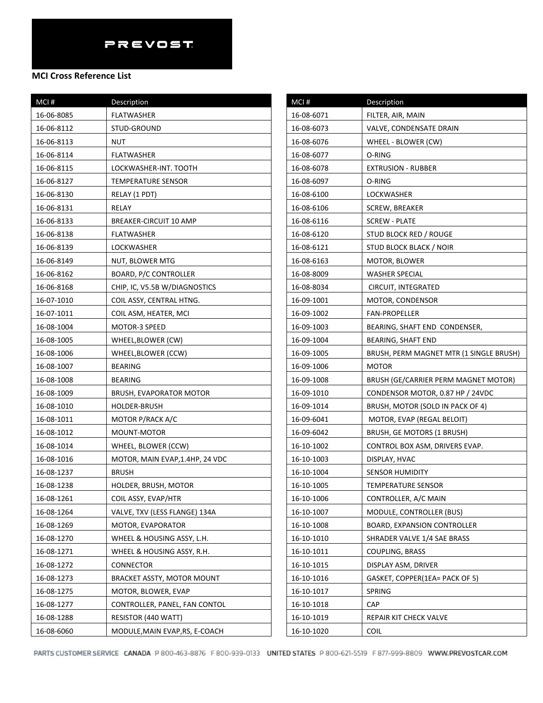| MCI#       | Description                       |
|------------|-----------------------------------|
| 16-06-8085 | FLATWASHER                        |
| 16-06-8112 | STUD-GROUND                       |
| 16-06-8113 | NUT                               |
| 16-06-8114 | FLATWASHER                        |
| 16-06-8115 | LOCKWASHER-INT. TOOTH             |
| 16-06-8127 | TEMPERATURE SENSOR                |
| 16-06-8130 | RELAY (1 PDT)                     |
| 16-06-8131 | RELAY                             |
| 16-06-8133 | BREAKER-CIRCUIT 10 AMP            |
| 16-06-8138 | FLATWASHER                        |
| 16-06-8139 | LOCKWASHER                        |
| 16-06-8149 | NUT, BLOWER MTG                   |
| 16-06-8162 | <b>BOARD, P/C CONTROLLER</b>      |
| 16-06-8168 | CHIP, IC, V5.5B W/DIAGNOSTICS     |
| 16-07-1010 | COIL ASSY, CENTRAL HTNG.          |
| 16-07-1011 | COIL ASM, HEATER, MCI             |
| 16-08-1004 | MOTOR-3 SPEED                     |
| 16-08-1005 | WHEEL, BLOWER (CW)                |
| 16-08-1006 | WHEEL, BLOWER (CCW)               |
| 16-08-1007 | <b>BEARING</b>                    |
| 16-08-1008 | <b>BEARING</b>                    |
| 16-08-1009 | BRUSH, EVAPORATOR MOTOR           |
| 16-08-1010 | <b>HOLDER-BRUSH</b>               |
| 16-08-1011 | MOTOR P/RACK A/C                  |
| 16-08-1012 | MOUNT-MOTOR                       |
| 16-08-1014 | WHEEL, BLOWER (CCW)               |
| 16-08-1016 | MOTOR, MAIN EVAP, 1.4HP, 24 VDC   |
| 16-08-1237 | <b>BRUSH</b>                      |
| 16-08-1238 | HOLDER, BRUSH, MOTOR              |
| 16-08-1261 | COIL ASSY, EVAP/HTR               |
| 16-08-1264 | VALVE, TXV (LESS FLANGE) 134A     |
| 16-08-1269 | MOTOR, EVAPORATOR                 |
| 16-08-1270 | WHEEL & HOUSING ASSY, L.H.        |
| 16-08-1271 | WHEEL & HOUSING ASSY, R.H.        |
| 16-08-1272 | CONNECTOR                         |
| 16-08-1273 | <b>BRACKET ASSTY, MOTOR MOUNT</b> |
| 16-08-1275 | MOTOR, BLOWER, EVAP               |
| 16-08-1277 | CONTROLLER, PANEL, FAN CONTOL     |
| 16-08-1288 | RESISTOR (440 WATT)               |
| 16-08-6060 | MODULE, MAIN EVAP, RS, E-COACH    |

| $MCI$ #    | Description                             |
|------------|-----------------------------------------|
| 16-08-6071 | FILTER, AIR, MAIN                       |
| 16-08-6073 | VALVE, CONDENSATE DRAIN                 |
| 16-08-6076 | WHEEL - BLOWER (CW)                     |
| 16-08-6077 | O-RING                                  |
| 16-08-6078 | <b>EXTRUSION - RUBBER</b>               |
| 16-08-6097 | O-RING                                  |
| 16-08-6100 | LOCKWASHER                              |
| 16-08-6106 | SCREW, BREAKER                          |
| 16-08-6116 | SCREW - PLATE                           |
| 16-08-6120 | STUD BLOCK RED / ROUGE                  |
| 16-08-6121 | <b>STUD BLOCK BLACK / NOIR</b>          |
| 16-08-6163 | MOTOR, BLOWER                           |
| 16-08-8009 | WASHER SPECIAL                          |
| 16-08-8034 | CIRCUIT, INTEGRATED                     |
| 16-09-1001 | MOTOR, CONDENSOR                        |
| 16-09-1002 | <b>FAN-PROPELLER</b>                    |
| 16-09-1003 | BEARING, SHAFT END CONDENSER,           |
| 16-09-1004 | <b>BEARING, SHAFT END</b>               |
| 16-09-1005 | BRUSH, PERM MAGNET MTR (1 SINGLE BRUSH) |
| 16-09-1006 | MOTOR                                   |
| 16-09-1008 | BRUSH (GE/CARRIER PERM MAGNET MOTOR)    |
| 16-09-1010 | CONDENSOR MOTOR, 0.87 HP / 24VDC        |
| 16-09-1014 | BRUSH, MOTOR (SOLD IN PACK OF 4)        |
| 16-09-6041 | MOTOR, EVAP (REGAL BELOIT)              |
| 16-09-6042 | BRUSH, GE MOTORS (1 BRUSH)              |
| 16-10-1002 | CONTROL BOX ASM, DRIVERS EVAP.          |
| 16-10-1003 | DISPLAY, HVAC                           |
| 16-10-1004 | SENSOR HUMIDITY                         |
| 16-10-1005 | <b>TEMPERATURE SENSOR</b>               |
| 16-10-1006 | CONTROLLER, A/C MAIN                    |
| 16-10-1007 | MODULE, CONTROLLER (BUS)                |
| 16-10-1008 | <b>BOARD, EXPANSION CONTROLLER</b>      |
| 16-10-1010 | SHRADER VALVE 1/4 SAE BRASS             |
| 16-10-1011 | <b>COUPLING, BRASS</b>                  |
| 16-10-1015 | DISPLAY ASM, DRIVER                     |
| 16-10-1016 | GASKET, COPPER(1EA= PACK OF 5)          |
| 16-10-1017 | <b>SPRING</b>                           |
| 16-10-1018 | CAP                                     |
| 16-10-1019 | REPAIR KIT CHECK VALVE                  |
| 16-10-1020 | COIL                                    |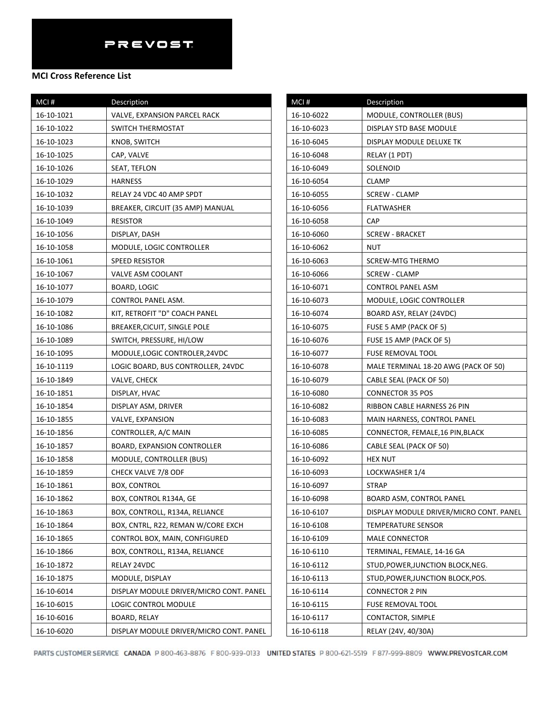### **MCI Cross Reference List**

| MCI#       | Description                             |
|------------|-----------------------------------------|
| 16-10-1021 | VALVE, EXPANSION PARCEL RACK            |
| 16-10-1022 | SWITCH THERMOSTAT                       |
| 16-10-1023 | KNOB, SWITCH                            |
| 16-10-1025 | CAP, VALVE                              |
| 16-10-1026 | SEAT, TEFLON                            |
| 16-10-1029 | HARNESS                                 |
| 16-10-1032 | RELAY 24 VDC 40 AMP SPDT                |
| 16-10-1039 | BREAKER, CIRCUIT (35 AMP) MANUAL        |
| 16-10-1049 | <b>RESISTOR</b>                         |
| 16-10-1056 | DISPLAY, DASH                           |
| 16-10-1058 | MODULE, LOGIC CONTROLLER                |
| 16-10-1061 | SPEED RESISTOR                          |
| 16-10-1067 | <b>VALVE ASM COOLANT</b>                |
| 16-10-1077 | BOARD, LOGIC                            |
| 16-10-1079 | CONTROL PANEL ASM.                      |
| 16-10-1082 | KIT, RETROFIT "D" COACH PANEL           |
| 16-10-1086 | BREAKER, CICUIT, SINGLE POLE            |
| 16-10-1089 | SWITCH, PRESSURE, HI/LOW                |
| 16-10-1095 | MODULE, LOGIC CONTROLER, 24VDC          |
| 16-10-1119 | LOGIC BOARD, BUS CONTROLLER, 24VDC      |
| 16-10-1849 | VALVE, CHECK                            |
| 16-10-1851 | DISPLAY, HVAC                           |
| 16-10-1854 | DISPLAY ASM, DRIVER                     |
| 16-10-1855 | VALVE, EXPANSION                        |
| 16-10-1856 | CONTROLLER, A/C MAIN                    |
| 16-10-1857 | <b>BOARD, EXPANSION CONTROLLER</b>      |
| 16-10-1858 | MODULE, CONTROLLER (BUS)                |
| 16-10-1859 | <b>CHECK VALVE 7/8 ODF</b>              |
| 16-10-1861 | BOX, CONTROL                            |
| 16-10-1862 | BOX, CONTROL R134A, GE                  |
| 16-10-1863 | BOX, CONTROLL, R134A, RELIANCE          |
| 16-10-1864 | BOX, CNTRL, R22, REMAN W/CORE EXCH      |
| 16-10-1865 | CONTROL BOX, MAIN, CONFIGURED           |
| 16-10-1866 | BOX, CONTROLL, R134A, RELIANCE          |
| 16-10-1872 | RELAY 24VDC                             |
| 16-10-1875 | MODULE, DISPLAY                         |
| 16-10-6014 | DISPLAY MODULE DRIVER/MICRO CONT. PANEL |
| 16-10-6015 | LOGIC CONTROL MODULE                    |
| 16-10-6016 | <b>BOARD, RELAY</b>                     |
| 16-10-6020 | DISPLAY MODULE DRIVER/MICRO CONT. PANEL |

| MCI#       | Description                             |
|------------|-----------------------------------------|
| 16-10-6022 | MODULE, CONTROLLER (BUS)                |
| 16-10-6023 | DISPLAY STD BASE MODULE                 |
| 16-10-6045 | DISPLAY MODULE DELUXE TK                |
| 16-10-6048 | RELAY (1 PDT)                           |
| 16-10-6049 | SOLENOID                                |
| 16-10-6054 | CLAMP                                   |
| 16-10-6055 | SCREW - CLAMP                           |
| 16-10-6056 | <b>FLATWASHER</b>                       |
| 16-10-6058 | CAP                                     |
| 16-10-6060 | <b>SCREW - BRACKET</b>                  |
| 16-10-6062 | NUT                                     |
| 16-10-6063 | SCREW-MTG THERMO                        |
| 16-10-6066 | <b>SCREW - CLAMP</b>                    |
| 16-10-6071 | CONTROL PANEL ASM                       |
| 16-10-6073 | MODULE, LOGIC CONTROLLER                |
| 16-10-6074 | BOARD ASY, RELAY (24VDC)                |
| 16-10-6075 | FUSE 5 AMP (PACK OF 5)                  |
| 16-10-6076 | FUSE 15 AMP (PACK OF 5)                 |
| 16-10-6077 | FUSE REMOVAL TOOL                       |
| 16-10-6078 | MALE TERMINAL 18-20 AWG (PACK OF 50)    |
| 16-10-6079 | CABLE SEAL (PACK OF 50)                 |
| 16-10-6080 | <b>CONNECTOR 35 POS</b>                 |
| 16-10-6082 | RIBBON CABLE HARNESS 26 PIN             |
| 16-10-6083 | MAIN HARNESS, CONTROL PANEL             |
| 16-10-6085 | CONNECTOR, FEMALE, 16 PIN, BLACK        |
| 16-10-6086 | CABLE SEAL (PACK OF 50)                 |
| 16-10-6092 | HEX NUT                                 |
| 16-10-6093 | LOCKWASHER 1/4                          |
| 16-10-6097 | <b>STRAP</b>                            |
| 16-10-6098 | BOARD ASM, CONTROL PANEL                |
| 16-10-6107 | DISPLAY MODULE DRIVER/MICRO CONT. PANEL |
| 16-10-6108 | TEMPERATURE SENSOR                      |
| 16-10-6109 | <b>MALE CONNECTOR</b>                   |
| 16-10-6110 | TERMINAL, FEMALE, 14-16 GA              |
| 16-10-6112 | STUD, POWER, JUNCTION BLOCK, NEG.       |
| 16-10-6113 | STUD, POWER, JUNCTION BLOCK, POS.       |
| 16-10-6114 | <b>CONNECTOR 2 PIN</b>                  |
| 16-10-6115 | FUSE REMOVAL TOOL                       |
| 16-10-6117 | CONTACTOR, SIMPLE                       |
| 16-10-6118 | RELAY (24V, 40/30A)                     |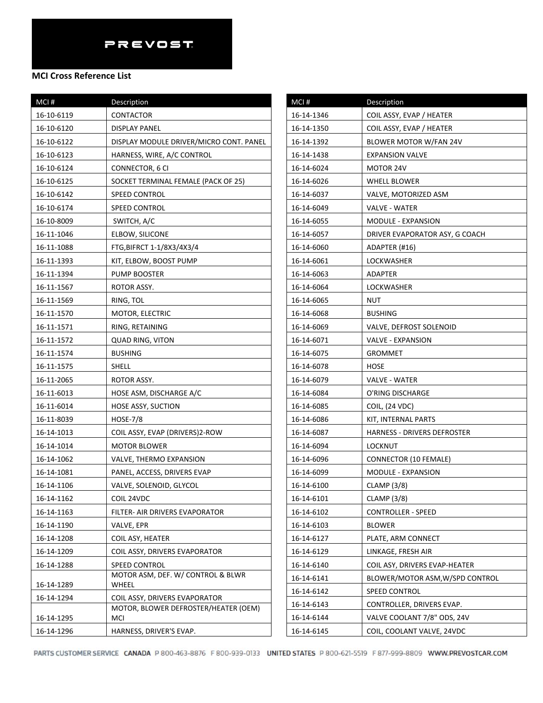#### **MCI Cross Reference List**

| MCI#       | Description                                 |
|------------|---------------------------------------------|
| 16-10-6119 | CONTACTOR                                   |
| 16-10-6120 | DISPLAY PANEL                               |
| 16-10-6122 | DISPLAY MODULE DRIVER/MICRO CONT. PANEL     |
| 16-10-6123 | HARNESS, WIRE, A/C CONTROL                  |
| 16-10-6124 | CONNECTOR, 6 CI                             |
| 16-10-6125 | SOCKET TERMINAL FEMALE (PACK OF 25)         |
| 16-10-6142 | SPEED CONTROL                               |
| 16-10-6174 | SPEED CONTROL                               |
| 16-10-8009 | SWITCH, A/C                                 |
| 16-11-1046 | ELBOW, SILICONE                             |
| 16-11-1088 | FTG, BIFRCT 1-1/8X3/4X3/4                   |
| 16-11-1393 | KIT, ELBOW, BOOST PUMP                      |
| 16-11-1394 | PUMP BOOSTER                                |
| 16-11-1567 | ROTOR ASSY.                                 |
| 16-11-1569 | RING, TOL                                   |
| 16-11-1570 | MOTOR, ELECTRIC                             |
| 16-11-1571 | RING, RETAINING                             |
| 16-11-1572 | <b>QUAD RING, VITON</b>                     |
| 16-11-1574 | <b>BUSHING</b>                              |
| 16-11-1575 | SHELL                                       |
| 16-11-2065 | ROTOR ASSY.                                 |
| 16-11-6013 | HOSE ASM, DISCHARGE A/C                     |
| 16-11-6014 | HOSE ASSY, SUCTION                          |
| 16-11-8039 | <b>HOSE-7/8</b>                             |
| 16-14-1013 | COIL ASSY, EVAP (DRIVERS)2-ROW              |
| 16-14-1014 | <b>MOTOR BLOWER</b>                         |
| 16-14-1062 | VALVE, THERMO EXPANSION                     |
| 16-14-1081 | PANEL, ACCESS, DRIVERS EVAP                 |
| 16-14-1106 | VALVE, SOLENOID, GLYCOL                     |
| 16-14-1162 | COIL 24VDC                                  |
| 16-14-1163 | FILTER- AIR DRIVERS EVAPORATOR              |
| 16-14-1190 | VALVE, EPR                                  |
| 16-14-1208 | COIL ASY, HEATER                            |
| 16-14-1209 | COIL ASSY, DRIVERS EVAPORATOR               |
| 16-14-1288 | <b>SPEED CONTROL</b>                        |
| 16-14-1289 | MOTOR ASM, DEF. W/ CONTROL & BLWR<br>WHEEL  |
| 16-14-1294 | COIL ASSY, DRIVERS EVAPORATOR               |
| 16-14-1295 | MOTOR, BLOWER DEFROSTER/HEATER (OEM)<br>MCI |
| 16-14-1296 | HARNESS, DRIVER'S EVAP.                     |
|            |                                             |

| MCI#       | Description                     |
|------------|---------------------------------|
| 16-14-1346 | COIL ASSY, EVAP / HEATER        |
| 16-14-1350 | COIL ASSY, EVAP / HEATER        |
| 16-14-1392 | BLOWER MOTOR W/FAN 24V          |
| 16-14-1438 | <b>EXPANSION VALVE</b>          |
| 16-14-6024 | MOTOR 24V                       |
| 16-14-6026 | WHELL BLOWER                    |
| 16-14-6037 | VALVE, MOTORIZED ASM            |
| 16-14-6049 | VALVE - WATER                   |
| 16-14-6055 | <b>MODULE - EXPANSION</b>       |
| 16-14-6057 | DRIVER EVAPORATOR ASY, G COACH  |
| 16-14-6060 | ADAPTER (#16)                   |
| 16-14-6061 | LOCKWASHER                      |
| 16-14-6063 | ADAPTER                         |
| 16-14-6064 | LOCKWASHER                      |
| 16-14-6065 | NUT                             |
| 16-14-6068 | <b>BUSHING</b>                  |
| 16-14-6069 | VALVE, DEFROST SOLENOID         |
| 16-14-6071 | VALVE - EXPANSION               |
| 16-14-6075 | GROMMET                         |
| 16-14-6078 | HOSE                            |
| 16-14-6079 | VALVE - WATER                   |
| 16-14-6084 | O'RING DISCHARGE                |
| 16-14-6085 | COIL, (24 VDC)                  |
| 16-14-6086 | KIT, INTERNAL PARTS             |
| 16-14-6087 | HARNESS - DRIVERS DEFROSTER     |
| 16-14-6094 | LOCKNUT                         |
| 16-14-6096 | CONNECTOR (10 FEMALE)           |
| 16-14-6099 | <b>MODULE - EXPANSION</b>       |
| 16-14-6100 | <b>CLAMP</b> (3/8)              |
| 16-14-6101 | CLAMP (3/8)                     |
| 16-14-6102 | <b>CONTROLLER - SPEED</b>       |
| 16-14-6103 | <b>BLOWER</b>                   |
| 16-14-6127 | PLATE, ARM CONNECT              |
| 16-14-6129 | LINKAGE, FRESH AIR              |
| 16-14-6140 | COIL ASY, DRIVERS EVAP-HEATER   |
| 16-14-6141 | BLOWER/MOTOR ASM, W/SPD CONTROL |
| 16-14-6142 | <b>SPEED CONTROL</b>            |
| 16-14-6143 | CONTROLLER, DRIVERS EVAP.       |
| 16-14-6144 | VALVE COOLANT 7/8" ODS, 24V     |
| 16-14-6145 | COIL, COOLANT VALVE, 24VDC      |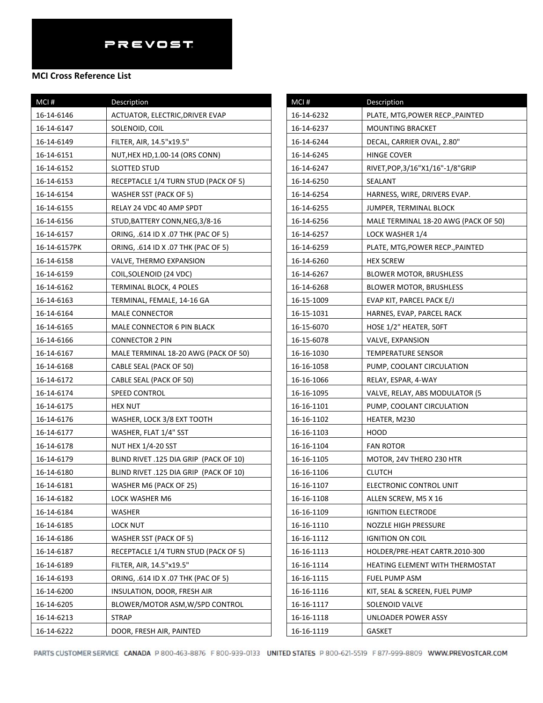#### **MCI Cross Reference List**

| MCI#         | Description                            |
|--------------|----------------------------------------|
| 16-14-6146   | ACTUATOR, ELECTRIC, DRIVER EVAP        |
| 16-14-6147   | SOLENOID, COIL                         |
| 16-14-6149   | FILTER, AIR, 14.5"x19.5"               |
| 16-14-6151   | NUT, HEX HD, 1.00-14 (ORS CONN)        |
| 16-14-6152   | SLOTTED STUD                           |
| 16-14-6153   | RECEPTACLE 1/4 TURN STUD (PACK OF 5)   |
| 16-14-6154   | <b>WASHER SST (PACK OF 5)</b>          |
| 16-14-6155   | RELAY 24 VDC 40 AMP SPDT               |
| 16-14-6156   | STUD, BATTERY CONN, NEG, 3/8-16        |
| 16-14-6157   | ORING, .614 ID X .07 THK (PAC OF 5)    |
| 16-14-6157PK | ORING, .614 ID X .07 THK (PAC OF 5)    |
| 16-14-6158   | VALVE, THERMO EXPANSION                |
| 16-14-6159   | COIL, SOLENOID (24 VDC)                |
| 16-14-6162   | TERMINAL BLOCK, 4 POLES                |
| 16-14-6163   | TERMINAL, FEMALE, 14-16 GA             |
| 16-14-6164   | <b>MALE CONNECTOR</b>                  |
| 16-14-6165   | MALE CONNECTOR 6 PIN BLACK             |
| 16-14-6166   | <b>CONNECTOR 2 PIN</b>                 |
| 16-14-6167   | MALE TERMINAL 18-20 AWG (PACK OF 50)   |
| 16-14-6168   | CABLE SEAL (PACK OF 50)                |
| 16-14-6172   | CABLE SEAL (PACK OF 50)                |
| 16-14-6174   | <b>SPEED CONTROL</b>                   |
| 16-14-6175   | <b>HEX NUT</b>                         |
| 16-14-6176   | WASHER, LOCK 3/8 EXT TOOTH             |
| 16-14-6177   | WASHER, FLAT 1/4" SST                  |
| 16-14-6178   | <b>NUT HEX 1/4-20 SST</b>              |
| 16-14-6179   | BLIND RIVET .125 DIA GRIP (PACK OF 10) |
| 16-14-6180   | BLIND RIVET .125 DIA GRIP (PACK OF 10) |
| 16-14-6181   | WASHER M6 (PACK OF 25)                 |
| 16-14-6182   | LOCK WASHER M6                         |
| 16-14-6184   | WASHER                                 |
| 16-14-6185   | LOCK NUT                               |
| 16-14-6186   | <b>WASHER SST (PACK OF 5)</b>          |
| 16-14-6187   | RECEPTACLE 1/4 TURN STUD (PACK OF 5)   |
| 16-14-6189   | FILTER, AIR, 14.5"x19.5"               |
| 16-14-6193   | ORING, .614 ID X .07 THK (PAC OF 5)    |
| 16-14-6200   | INSULATION, DOOR, FRESH AIR            |
| 16-14-6205   | BLOWER/MOTOR ASM, W/SPD CONTROL        |
| 16-14-6213   | STRAP                                  |
| 16-14-6222   | DOOR, FRESH AIR, PAINTED               |

| MCI#       | Description                            |
|------------|----------------------------------------|
| 16-14-6232 | PLATE, MTG, POWER RECP., PAINTED       |
| 16-14-6237 | MOUNTING BRACKET                       |
| 16-14-6244 | DECAL, CARRIER OVAL, 2.80"             |
| 16-14-6245 | HINGE COVER                            |
| 16-14-6247 | RIVET, POP, 3/16"X1/16" - 1/8" GRIP    |
| 16-14-6250 | SEALANT                                |
| 16-14-6254 | HARNESS, WIRE, DRIVERS EVAP.           |
| 16-14-6255 | JUMPER, TERMINAL BLOCK                 |
| 16-14-6256 | MALE TERMINAL 18-20 AWG (PACK OF 50)   |
| 16-14-6257 | LOCK WASHER 1/4                        |
| 16-14-6259 | PLATE, MTG, POWER RECP., PAINTED       |
| 16-14-6260 | <b>HEX SCREW</b>                       |
| 16-14-6267 | <b>BLOWER MOTOR, BRUSHLESS</b>         |
| 16-14-6268 | <b>BLOWER MOTOR, BRUSHLESS</b>         |
| 16-15-1009 | EVAP KIT, PARCEL PACK E/J              |
| 16-15-1031 | HARNES, EVAP, PARCEL RACK              |
| 16-15-6070 | HOSE 1/2" HEATER, 50FT                 |
| 16-15-6078 | VALVE, EXPANSION                       |
| 16-16-1030 | TEMPERATURE SENSOR                     |
| 16-16-1058 | PUMP, COOLANT CIRCULATION              |
| 16-16-1066 | RELAY, ESPAR, 4-WAY                    |
| 16-16-1095 | VALVE, RELAY, ABS MODULATOR (5         |
| 16-16-1101 | PUMP, COOLANT CIRCULATION              |
| 16-16-1102 | HEATER, M230                           |
| 16-16-1103 | HOOD                                   |
| 16-16-1104 | <b>FAN ROTOR</b>                       |
| 16-16-1105 | MOTOR, 24V THERO 230 HTR               |
| 16-16-1106 | CLUTCH                                 |
| 16-16-1107 | ELECTRONIC CONTROL UNIT                |
| 16-16-1108 | ALLEN SCREW, M5 X 16                   |
| 16-16-1109 | <b>IGNITION ELECTRODE</b>              |
| 16-16-1110 | <b>NOZZLE HIGH PRESSURE</b>            |
| 16-16-1112 | <b>IGNITION ON COIL</b>                |
| 16-16-1113 | HOLDER/PRE-HEAT CARTR.2010-300         |
| 16-16-1114 | <b>HEATING ELEMENT WITH THERMOSTAT</b> |
| 16-16-1115 | <b>FUEL PUMP ASM</b>                   |
| 16-16-1116 | KIT, SEAL & SCREEN, FUEL PUMP          |
| 16-16-1117 | SOLENOID VALVE                         |
| 16-16-1118 | UNLOADER POWER ASSY                    |
| 16-16-1119 | GASKET                                 |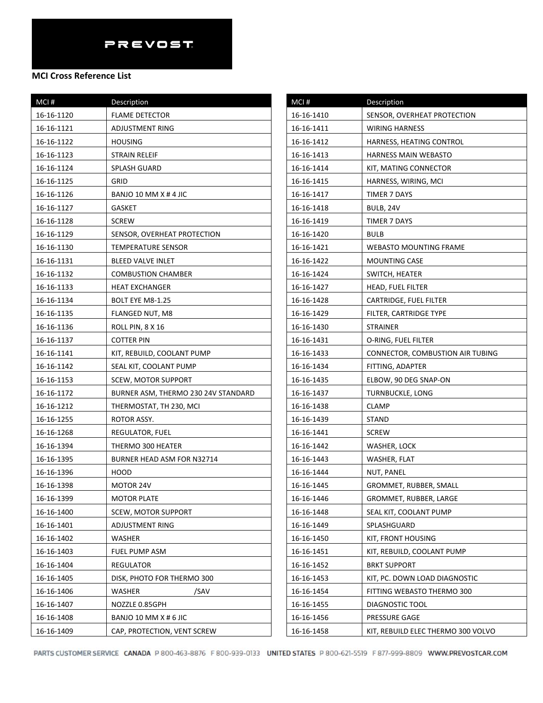| $MCI$ #    | Description                         |
|------------|-------------------------------------|
| 16-16-1120 | <b>FLAME DETECTOR</b>               |
| 16-16-1121 | ADJUSTMENT RING                     |
| 16-16-1122 | <b>HOUSING</b>                      |
| 16-16-1123 | STRAIN RELEIF                       |
| 16-16-1124 | SPLASH GUARD                        |
| 16-16-1125 | GRID                                |
| 16-16-1126 | BANJO 10 MM X # 4 JIC               |
| 16-16-1127 | GASKET                              |
| 16-16-1128 | <b>SCREW</b>                        |
| 16-16-1129 | SENSOR, OVERHEAT PROTECTION         |
| 16-16-1130 | TEMPERATURE SENSOR                  |
| 16-16-1131 | <b>BLEED VALVE INLET</b>            |
| 16-16-1132 | <b>COMBUSTION CHAMBER</b>           |
| 16-16-1133 | <b>HEAT EXCHANGER</b>               |
| 16-16-1134 | <b>BOLT EYE M8-1.25</b>             |
| 16-16-1135 | FLANGED NUT, M8                     |
| 16-16-1136 | ROLL PIN, 8 X 16                    |
| 16-16-1137 | <b>COTTER PIN</b>                   |
| 16-16-1141 | KIT, REBUILD, COOLANT PUMP          |
| 16-16-1142 | SEAL KIT, COOLANT PUMP              |
| 16-16-1153 | SCEW, MOTOR SUPPORT                 |
| 16-16-1172 | BURNER ASM, THERMO 230 24V STANDARD |
| 16-16-1212 | THERMOSTAT, TH 230, MCI             |
| 16-16-1255 | ROTOR ASSY.                         |
| 16-16-1268 | REGULATOR, FUEL                     |
| 16-16-1394 | THERMO 300 HEATER                   |
| 16-16-1395 | BURNER HEAD ASM FOR N32714          |
| 16-16-1396 | HOOD                                |
| 16-16-1398 | MOTOR 24V                           |
| 16-16-1399 | <b>MOTOR PLATE</b>                  |
| 16-16-1400 | SCEW, MOTOR SUPPORT                 |
| 16-16-1401 | ADJUSTMENT RING                     |
| 16-16-1402 | WASHER                              |
| 16-16-1403 | FUEL PUMP ASM                       |
| 16-16-1404 | REGULATOR                           |
| 16-16-1405 | DISK, PHOTO FOR THERMO 300          |
| 16-16-1406 | WASHER<br>/SAV                      |
| 16-16-1407 | NOZZLE 0.85GPH                      |
| 16-16-1408 | BANJO 10 MM X # 6 JIC               |
| 16-16-1409 | CAP, PROTECTION, VENT SCREW         |

| MCI#       | Description                        |
|------------|------------------------------------|
| 16-16-1410 | SENSOR, OVERHEAT PROTECTION        |
| 16-16-1411 | <b>WIRING HARNESS</b>              |
| 16-16-1412 | HARNESS, HEATING CONTROL           |
| 16-16-1413 | HARNESS MAIN WEBASTO               |
| 16-16-1414 | KIT, MATING CONNECTOR              |
| 16-16-1415 | HARNESS, WIRING, MCI               |
| 16-16-1417 | TIMER 7 DAYS                       |
| 16-16-1418 | BULB, 24V                          |
| 16-16-1419 | TIMER 7 DAYS                       |
| 16-16-1420 | BULB                               |
| 16-16-1421 | WEBASTO MOUNTING FRAME             |
| 16-16-1422 | <b>MOUNTING CASE</b>               |
| 16-16-1424 | SWITCH, HEATER                     |
| 16-16-1427 | HEAD, FUEL FILTER                  |
| 16-16-1428 | CARTRIDGE, FUEL FILTER             |
| 16-16-1429 | FILTER, CARTRIDGE TYPE             |
| 16-16-1430 | STRAINER                           |
| 16-16-1431 | O-RING, FUEL FILTER                |
| 16-16-1433 | CONNECTOR, COMBUSTION AIR TUBING   |
| 16-16-1434 | FITTING, ADAPTER                   |
| 16-16-1435 | ELBOW, 90 DEG SNAP-ON              |
| 16-16-1437 | TURNBUCKLE, LONG                   |
| 16-16-1438 | CLAMP                              |
| 16-16-1439 | STAND                              |
| 16-16-1441 | <b>SCREW</b>                       |
| 16-16-1442 | WASHER, LOCK                       |
| 16-16-1443 | WASHER, FLAT                       |
| 16-16-1444 | NUT, PANEL                         |
| 16-16-1445 | GROMMET, RUBBER, SMALL             |
| 16-16-1446 | GROMMET, RUBBER, LARGE             |
| 16-16-1448 | SEAL KIT, COOLANT PUMP             |
| 16-16-1449 | SPLASHGUARD                        |
| 16-16-1450 | KIT, FRONT HOUSING                 |
| 16-16-1451 | KIT, REBUILD, COOLANT PUMP         |
| 16-16-1452 | <b>BRKT SUPPORT</b>                |
| 16-16-1453 | KIT, PC. DOWN LOAD DIAGNOSTIC      |
| 16-16-1454 | FITTING WEBASTO THERMO 300         |
| 16-16-1455 | DIAGNOSTIC TOOL                    |
| 16-16-1456 | PRESSURE GAGE                      |
| 16-16-1458 | KIT, REBUILD ELEC THERMO 300 VOLVO |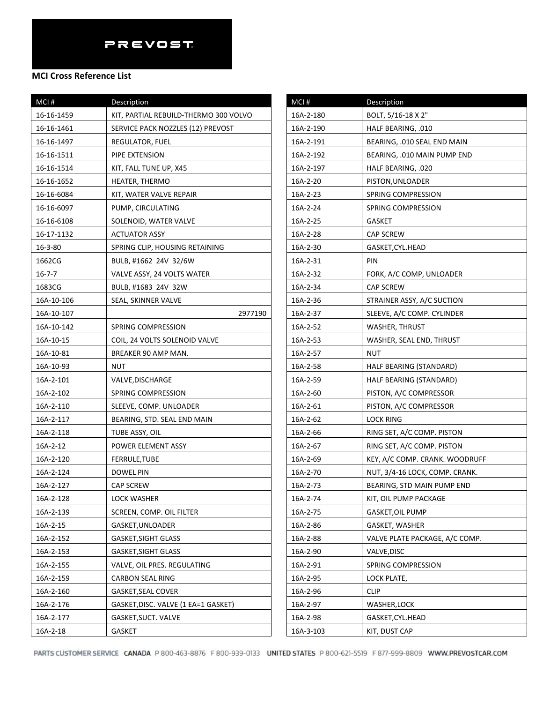## **MCI Cross Reference List**

| MCI#       | Description                           |
|------------|---------------------------------------|
| 16-16-1459 | KIT, PARTIAL REBUILD-THERMO 300 VOLVO |
| 16-16-1461 | SERVICE PACK NOZZLES (12) PREVOST     |
| 16-16-1497 | REGULATOR, FUEL                       |
| 16-16-1511 | PIPE EXTENSION                        |
| 16-16-1514 | KIT, FALL TUNE UP, X45                |
| 16-16-1652 | HEATER, THERMO                        |
| 16-16-6084 | KIT, WATER VALVE REPAIR               |
| 16-16-6097 | PUMP, CIRCULATING                     |
| 16-16-6108 | SOLENOID, WATER VALVE                 |
| 16-17-1132 | <b>ACTUATOR ASSY</b>                  |
| 16-3-80    | SPRING CLIP, HOUSING RETAINING        |
| 1662CG     | BULB, #1662 24V 32/6W                 |
| 16-7-7     | VALVE ASSY, 24 VOLTS WATER            |
| 1683CG     | BULB, #1683 24V 32W                   |
| 16A-10-106 | SEAL, SKINNER VALVE                   |
| 16A-10-107 | 2977190                               |
| 16A-10-142 | SPRING COMPRESSION                    |
| 16A-10-15  | COIL, 24 VOLTS SOLENOID VALVE         |
| 16A-10-81  | BREAKER 90 AMP MAN.                   |
| 16A-10-93  | NUT                                   |
| 16A-2-101  | VALVE,DISCHARGE                       |
| 16A-2-102  | SPRING COMPRESSION                    |
| 16A-2-110  | SLEEVE, COMP. UNLOADER                |
| 16A-2-117  | BEARING, STD. SEAL END MAIN           |
| 16A-2-118  | TUBE ASSY, OIL                        |
| 16A-2-12   | POWER ELEMENT ASSY                    |
| 16A-2-120  | FERRULE,TUBE                          |
| 16A-2-124  | DOWEL PIN                             |
| 16A-2-127  | <b>CAP SCREW</b>                      |
| 16A-2-128  | LOCK WASHER                           |
| 16A-2-139  | SCREEN, COMP. OIL FILTER              |
| 16A-2-15   | GASKET, UNLOADER                      |
| 16A-2-152  | <b>GASKET, SIGHT GLASS</b>            |
| 16A-2-153  | <b>GASKET, SIGHT GLASS</b>            |
| 16A-2-155  | VALVE, OIL PRES. REGULATING           |
| 16A-2-159  | <b>CARBON SEAL RING</b>               |
| 16A-2-160  | <b>GASKET, SEAL COVER</b>             |
| 16A-2-176  | GASKET, DISC. VALVE (1 EA=1 GASKET)   |
| 16A-2-177  | GASKET, SUCT. VALVE                   |
| 16A-2-18   | GASKET                                |

| MCI#      | Description                    |
|-----------|--------------------------------|
| 16A-2-180 | BOLT, 5/16-18 X 2"             |
| 16A-2-190 | HALF BEARING, .010             |
| 16A-2-191 | BEARING, .010 SEAL END MAIN    |
| 16A-2-192 | BEARING, .010 MAIN PUMP END    |
| 16A-2-197 | HALF BEARING, .020             |
| 16A-2-20  | PISTON, UNLOADER               |
| 16A-2-23  | SPRING COMPRESSION             |
| 16A-2-24  | SPRING COMPRESSION             |
| 16A-2-25  | GASKET                         |
| 16A-2-28  | CAP SCREW                      |
| 16A-2-30  | GASKET, CYL. HEAD              |
| 16A-2-31  | PIN                            |
| 16A-2-32  | FORK, A/C COMP, UNLOADER       |
| 16A-2-34  | <b>CAP SCREW</b>               |
| 16A-2-36  | STRAINER ASSY, A/C SUCTION     |
| 16A-2-37  | SLEEVE, A/C COMP. CYLINDER     |
| 16A-2-52  | <b>WASHER, THRUST</b>          |
| 16A-2-53  | WASHER, SEAL END, THRUST       |
| 16A-2-57  | NUT                            |
| 16A-2-58  | HALF BEARING (STANDARD)        |
| 16A-2-59  | HALF BEARING (STANDARD)        |
| 16A-2-60  | PISTON, A/C COMPRESSOR         |
| 16A-2-61  | PISTON, A/C COMPRESSOR         |
| 16A-2-62  | LOCK RING                      |
| 16A-2-66  | RING SET, A/C COMP. PISTON     |
| 16A-2-67  | RING SET, A/C COMP. PISTON     |
| 16A-2-69  | KEY, A/C COMP. CRANK. WOODRUFF |
| 16A-2-70  | NUT, 3/4-16 LOCK, COMP. CRANK. |
| 16A-2-73  | BEARING, STD MAIN PUMP END     |
| 16A-2-74  | KIT, OIL PUMP PACKAGE          |
| 16A-2-75  | <b>GASKET, OIL PUMP</b>        |
| 16A-2-86  | GASKET, WASHER                 |
| 16A-2-88  | VALVE PLATE PACKAGE, A/C COMP. |
| 16A-2-90  | VALVE, DISC                    |
| 16A-2-91  | SPRING COMPRESSION             |
| 16A-2-95  | LOCK PLATE,                    |
| 16A-2-96  | <b>CLIP</b>                    |
| 16A-2-97  | <b>WASHER, LOCK</b>            |
| 16A-2-98  | GASKET, CYL. HEAD              |
| 16A-3-103 | KIT, DUST CAP                  |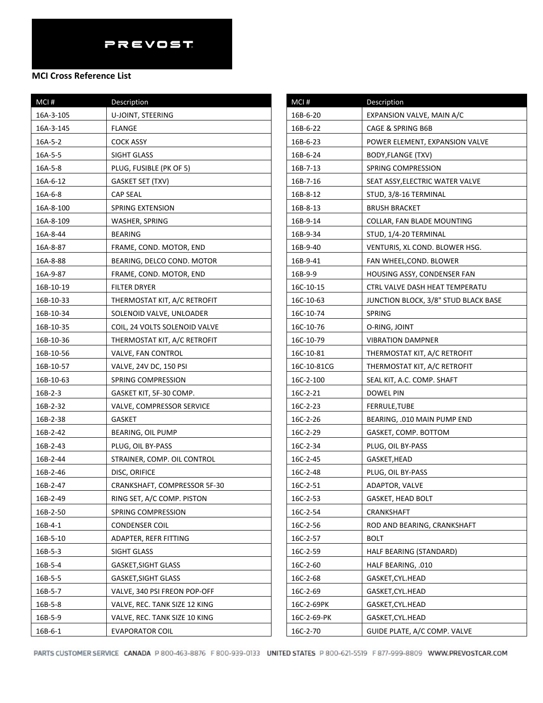| MCI#      | Description                   |
|-----------|-------------------------------|
| 16A-3-105 | U-JOINT, STEERING             |
| 16A-3-145 | FLANGE                        |
| 16A-5-2   | <b>COCK ASSY</b>              |
| 16A-5-5   | SIGHT GLASS                   |
| 16A-5-8   | PLUG, FUSIBLE (PK OF 5)       |
| 16A-6-12  | GASKET SET (TXV)              |
| 16A-6-8   | CAP SEAL                      |
| 16A-8-100 | SPRING EXTENSION              |
| 16A-8-109 | WASHER, SPRING                |
| 16A-8-44  | <b>BEARING</b>                |
| 16A-8-87  | FRAME, COND. MOTOR, END       |
| 16A-8-88  | BEARING, DELCO COND. MOTOR    |
| 16A-9-87  | FRAME, COND. MOTOR, END       |
| 16B-10-19 | <b>FILTER DRYER</b>           |
| 16B-10-33 | THERMOSTAT KIT, A/C RETROFIT  |
| 16B-10-34 | SOLENOID VALVE, UNLOADER      |
| 16B-10-35 | COIL, 24 VOLTS SOLENOID VALVE |
| 16B-10-36 | THERMOSTAT KIT, A/C RETROFIT  |
| 16B-10-56 | VALVE, FAN CONTROL            |
| 16B-10-57 | VALVE, 24V DC, 150 PSI        |
| 16B-10-63 | SPRING COMPRESSION            |
| 16B-2-3   | GASKET KIT, 5F-30 COMP.       |
| 16B-2-32  | VALVE, COMPRESSOR SERVICE     |
| 16B-2-38  | GASKET                        |
| 16B-2-42  | BEARING, OIL PUMP             |
| 16B-2-43  | PLUG, OIL BY-PASS             |
| 16B-2-44  | STRAINER, COMP. OIL CONTROL   |
| 16B-2-46  | DISC, ORIFICE                 |
| 16B-2-47  | CRANKSHAFT, COMPRESSOR 5F-30  |
| 16B-2-49  | RING SET, A/C COMP. PISTON    |
| 16B-2-50  | SPRING COMPRESSION            |
| 16B-4-1   | <b>CONDENSER COIL</b>         |
| 16B-5-10  | ADAPTER, REFR FITTING         |
| 16B-5-3   | SIGHT GLASS                   |
| 16B-5-4   | <b>GASKET, SIGHT GLASS</b>    |
| 16B-5-5   | GASKET,SIGHT GLASS            |
| 16B-5-7   | VALVE, 340 PSI FREON POP-OFF  |
| 16B-5-8   | VALVE, REC. TANK SIZE 12 KING |
| 16B-5-9   | VALVE, REC. TANK SIZE 10 KING |
| 16B-6-1   | <b>EVAPORATOR COIL</b>        |

| MCI#        | Description                          |
|-------------|--------------------------------------|
| 16B-6-20    | EXPANSION VALVE, MAIN A/C            |
| 16B-6-22    | CAGE & SPRING B6B                    |
| 16B-6-23    | POWER ELEMENT, EXPANSION VALVE       |
| 16B-6-24    | BODY,FLANGE (TXV)                    |
| 16B-7-13    | SPRING COMPRESSION                   |
| 16B-7-16    | SEAT ASSY, ELECTRIC WATER VALVE      |
| 16B-8-12    | STUD, 3/8-16 TERMINAL                |
| 16B-8-13    | <b>BRUSH BRACKET</b>                 |
| 16B-9-14    | COLLAR, FAN BLADE MOUNTING           |
| 16B-9-34    | STUD, 1/4-20 TERMINAL                |
| 16B-9-40    | VENTURIS, XL COND. BLOWER HSG.       |
| 16B-9-41    | FAN WHEEL,COND. BLOWER               |
| 16B-9-9     | HOUSING ASSY, CONDENSER FAN          |
| 16C-10-15   | CTRL VALVE DASH HEAT TEMPERATU       |
| 16C-10-63   | JUNCTION BLOCK, 3/8" STUD BLACK BASE |
| 16C-10-74   | SPRING                               |
| 16C-10-76   | O-RING, JOINT                        |
| 16C-10-79   | <b>VIBRATION DAMPNER</b>             |
| 16C-10-81   | THERMOSTAT KIT, A/C RETROFIT         |
| 16C-10-81CG | THERMOSTAT KIT, A/C RETROFIT         |
| 16C-2-100   | SEAL KIT, A.C. COMP. SHAFT           |
| 16C-2-21    | DOWEL PIN                            |
| 16C-2-23    | FERRULE,TUBE                         |
| 16C-2-26    | BEARING, .010 MAIN PUMP END          |
| 16C-2-29    | GASKET, COMP. BOTTOM                 |
| 16C-2-34    | PLUG, OIL BY-PASS                    |
| 16C-2-45    | GASKET, HEAD                         |
| 16C-2-48    | PLUG, OIL BY-PASS                    |
| 16C-2-51    | ADAPTOR, VALVE                       |
| 16C-2-53    | <b>GASKET, HEAD BOLT</b>             |
| 16C-2-54    | CRANKSHAFT                           |
| 16C-2-56    | ROD AND BEARING, CRANKSHAFT          |
| 16C-2-57    | <b>BOLT</b>                          |
| 16C-2-59    | HALF BEARING (STANDARD)              |
| 16C-2-60    | HALF BEARING, .010                   |
| 16C-2-68    | GASKET, CYL. HEAD                    |
| 16C-2-69    | GASKET,CYL.HEAD                      |
| 16C-2-69PK  | GASKET,CYL.HEAD                      |
| 16C-2-69-PK | GASKET,CYL.HEAD                      |
| 16C-2-70    | GUIDE PLATE, A/C COMP. VALVE         |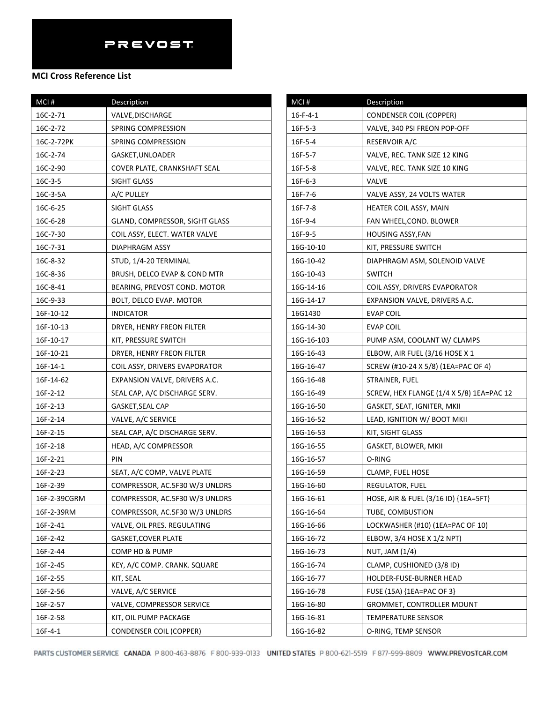| MCI#         | Description                    |
|--------------|--------------------------------|
| 16C-2-71     | VALVE, DISCHARGE               |
| 16C-2-72     | SPRING COMPRESSION             |
| 16C-2-72PK   | SPRING COMPRESSION             |
| 16C-2-74     | GASKET, UNLOADER               |
| 16C-2-90     | COVER PLATE, CRANKSHAFT SEAL   |
| 16C-3-5      | SIGHT GLASS                    |
| 16C-3-5A     | A/C PULLEY                     |
| 16C-6-25     | SIGHT GLASS                    |
| 16C-6-28     | GLAND, COMPRESSOR, SIGHT GLASS |
| 16C-7-30     | COIL ASSY, ELECT. WATER VALVE  |
| 16C-7-31     | <b>DIAPHRAGM ASSY</b>          |
| 16C-8-32     | STUD, 1/4-20 TERMINAL          |
| 16C-8-36     | BRUSH, DELCO EVAP & COND MTR   |
| 16C-8-41     | BEARING, PREVOST COND. MOTOR   |
| 16C-9-33     | BOLT, DELCO EVAP. MOTOR        |
| 16F-10-12    | <b>INDICATOR</b>               |
| 16F-10-13    | DRYER, HENRY FREON FILTER      |
| 16F-10-17    | KIT, PRESSURE SWITCH           |
| 16F-10-21    | DRYER, HENRY FREON FILTER      |
| 16F-14-1     | COIL ASSY, DRIVERS EVAPORATOR  |
| 16F-14-62    | EXPANSION VALVE, DRIVERS A.C.  |
| 16F-2-12     | SEAL CAP, A/C DISCHARGE SERV.  |
| 16F-2-13     | GASKET, SEAL CAP               |
| 16F-2-14     | VALVE, A/C SERVICE             |
| 16F-2-15     | SEAL CAP, A/C DISCHARGE SERV.  |
| 16F-2-18     | HEAD, A/C COMPRESSOR           |
| 16F-2-21     | PIN                            |
| 16F-2-23     | SEAT, A/C COMP, VALVE PLATE    |
| 16F-2-39     | COMPRESSOR, AC.5F30 W/3 UNLDRS |
| 16F-2-39CGRM | COMPRESSOR, AC.5F30 W/3 UNLDRS |
| 16F-2-39RM   | COMPRESSOR, AC.5F30 W/3 UNLDRS |
| 16F-2-41     | VALVE, OIL PRES. REGULATING    |
| 16F-2-42     | <b>GASKET, COVER PLATE</b>     |
| 16F-2-44     | COMP HD & PUMP                 |
| 16F-2-45     | KEY, A/C COMP. CRANK. SQUARE   |
| 16F-2-55     | KIT, SEAL                      |
| 16F-2-56     | VALVE, A/C SERVICE             |
| 16F-2-57     | VALVE, COMPRESSOR SERVICE      |
| 16F-2-58     | KIT, OIL PUMP PACKAGE          |
| 16F-4-1      | <b>CONDENSER COIL (COPPER)</b> |

| MCI#             | Description                              |
|------------------|------------------------------------------|
| $16 - F - 4 - 1$ | <b>CONDENSER COIL (COPPER)</b>           |
| $16F - 5 - 3$    | VALVE, 340 PSI FREON POP-OFF             |
| 16F-5-4          | RESERVOIR A/C                            |
| 16F-5-7          | VALVE, REC. TANK SIZE 12 KING            |
| 16F-5-8          | VALVE, REC. TANK SIZE 10 KING            |
| 16F-6-3          | VALVE                                    |
| 16F-7-6          | VALVE ASSY, 24 VOLTS WATER               |
| 16F-7-8          | HEATER COIL ASSY, MAIN                   |
| 16F-9-4          | FAN WHEEL, COND. BLOWER                  |
| 16F-9-5          | HOUSING ASSY,FAN                         |
| 16G-10-10        | KIT, PRESSURE SWITCH                     |
| 16G-10-42        | DIAPHRAGM ASM, SOLENOID VALVE            |
| 16G-10-43        | <b>SWITCH</b>                            |
| 16G-14-16        | COIL ASSY, DRIVERS EVAPORATOR            |
| 16G-14-17        | EXPANSION VALVE, DRIVERS A.C.            |
| 16G1430          | <b>EVAP COIL</b>                         |
| 16G-14-30        | <b>EVAP COIL</b>                         |
| 16G-16-103       | PUMP ASM, COOLANT W/ CLAMPS              |
| 16G-16-43        | ELBOW, AIR FUEL (3/16 HOSE X 1           |
| 16G-16-47        | SCREW (#10-24 X 5/8) (1EA=PAC OF 4)      |
| 16G-16-48        | STRAINER, FUEL                           |
| 16G-16-49        | SCREW, HEX FLANGE (1/4 X 5/8) 1EA=PAC 12 |
| 16G-16-50        | GASKET, SEAT, IGNITER, MKII              |
| 16G-16-52        | LEAD, IGNITION W/ BOOT MKII              |
| 16G-16-53        | KIT, SIGHT GLASS                         |
| 16G-16-55        | GASKET, BLOWER, MKII                     |
| 16G-16-57        | O-RING                                   |
| 16G-16-59        | CLAMP, FUEL HOSE                         |
| 16G-16-60        | REGULATOR, FUEL                          |
| 16G-16-61        | HOSE, AIR & FUEL (3/16 ID) {1EA=5FT}     |
| 16G-16-64        | TUBE, COMBUSTION                         |
| 16G-16-66        | LOCKWASHER (#10) (1EA=PAC OF 10)         |
| 16G-16-72        | ELBOW, 3/4 HOSE X 1/2 NPT)               |
| 16G-16-73        | NUT, JAM (1/4)                           |
| 16G-16-74        | CLAMP, CUSHIONED (3/8 ID)                |
| 16G-16-77        | HOLDER-FUSE-BURNER HEAD                  |
| 16G-16-78        | FUSE (15A) {1EA=PAC OF 3}                |
| 16G-16-80        | GROMMET, CONTROLLER MOUNT                |
| 16G-16-81        | TEMPERATURE SENSOR                       |
| 16G-16-82        | O-RING, TEMP SENSOR                      |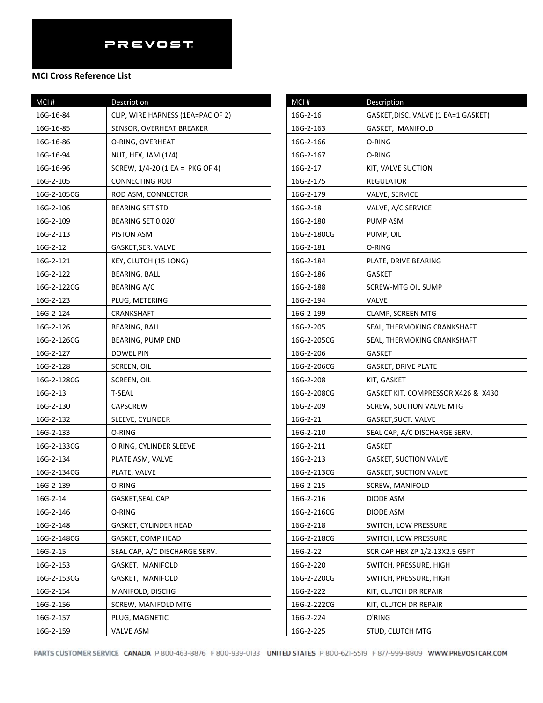### **MCI Cross Reference List**

| MCI#        | Description                         |
|-------------|-------------------------------------|
| 16G-16-84   | CLIP, WIRE HARNESS (1EA=PAC OF 2)   |
| 16G-16-85   | SENSOR, OVERHEAT BREAKER            |
| 16G-16-86   | O-RING, OVERHEAT                    |
| 16G-16-94   | NUT, HEX, JAM (1/4)                 |
| 16G-16-96   | SCREW, $1/4 - 20$ (1 EA = PKG OF 4) |
| 16G-2-105   | CONNECTING ROD                      |
| 16G-2-105CG | ROD ASM, CONNECTOR                  |
| 16G-2-106   | <b>BEARING SET STD</b>              |
| 16G-2-109   | BEARING SET 0.020"                  |
| 16G-2-113   | PISTON ASM                          |
| 16G-2-12    | GASKET, SER. VALVE                  |
| 16G-2-121   | KEY, CLUTCH (15 LONG)               |
| 16G-2-122   | BEARING, BALL                       |
| 16G-2-122CG | <b>BEARING A/C</b>                  |
| 16G-2-123   | PLUG, METERING                      |
| 16G-2-124   | CRANKSHAFT                          |
| 16G-2-126   | BEARING, BALL                       |
| 16G-2-126CG | BEARING, PUMP END                   |
| 16G-2-127   | DOWEL PIN                           |
| 16G-2-128   | SCREEN, OIL                         |
| 16G-2-128CG | SCREEN, OIL                         |
| 16G-2-13    | T-SEAL                              |
| 16G-2-130   | <b>CAPSCREW</b>                     |
| 16G-2-132   | SLEEVE, CYLINDER                    |
| 16G-2-133   | O-RING                              |
| 16G-2-133CG | O RING, CYLINDER SLEEVE             |
| 16G-2-134   | PLATE ASM, VALVE                    |
| 16G-2-134CG | PLATE, VALVE                        |
| 16G-2-139   | O-RING                              |
| 16G-2-14    | GASKET, SEAL CAP                    |
| 16G-2-146   | O-RING                              |
| 16G-2-148   | GASKET, CYLINDER HEAD               |
| 16G-2-148CG | GASKET, COMP HEAD                   |
| 16G-2-15    | SEAL CAP, A/C DISCHARGE SERV.       |
| 16G-2-153   | GASKET, MANIFOLD                    |
| 16G-2-153CG | GASKET, MANIFOLD                    |
| 16G-2-154   | MANIFOLD, DISCHG                    |
| 16G-2-156   | SCREW, MANIFOLD MTG                 |
| 16G-2-157   | PLUG, MAGNETIC                      |
| 16G-2-159   | VALVE ASM                           |

| MCI#        | Description                         |
|-------------|-------------------------------------|
| 16G-2-16    | GASKET, DISC. VALVE (1 EA=1 GASKET) |
| 16G-2-163   | GASKET, MANIFOLD                    |
| 16G-2-166   | O-RING                              |
| 16G-2-167   | O-RING                              |
| 16G-2-17    | KIT, VALVE SUCTION                  |
| 16G-2-175   | REGULATOR                           |
| 16G-2-179   | VALVE, SERVICE                      |
| 16G-2-18    | VALVE, A/C SERVICE                  |
| 16G-2-180   | PUMP ASM                            |
| 16G-2-180CG | PUMP, OIL                           |
| 16G-2-181   | O-RING                              |
| 16G-2-184   | PLATE, DRIVE BEARING                |
| 16G-2-186   | <b>GASKET</b>                       |
| 16G-2-188   | <b>SCREW-MTG OIL SUMP</b>           |
| 16G-2-194   | VALVE                               |
| 16G-2-199   | CLAMP, SCREEN MTG                   |
| 16G-2-205   | SEAL, THERMOKING CRANKSHAFT         |
| 16G-2-205CG | SEAL, THERMOKING CRANKSHAFT         |
| 16G-2-206   | <b>GASKET</b>                       |
| 16G-2-206CG | GASKET, DRIVE PLATE                 |
| 16G-2-208   | KIT, GASKET                         |
| 16G-2-208CG | GASKET KIT, COMPRESSOR X426 & X430  |
| 16G-2-209   | SCREW, SUCTION VALVE MTG            |
| $16G-2-21$  | GASKET, SUCT. VALVE                 |
| 16G-2-210   | SEAL CAP, A/C DISCHARGE SERV.       |
| 16G-2-211   | <b>GASKET</b>                       |
| 16G-2-213   | <b>GASKET, SUCTION VALVE</b>        |
| 16G-2-213CG | <b>GASKET, SUCTION VALVE</b>        |
| 16G-2-215   | <b>SCREW, MANIFOLD</b>              |
| 16G-2-216   | DIODE ASM                           |
| 16G-2-216CG | DIODE ASM                           |
| 16G-2-218   | SWITCH, LOW PRESSURE                |
| 16G-2-218CG | SWITCH, LOW PRESSURE                |
| 16G-2-22    | SCR CAP HEX ZP 1/2-13X2.5 G5PT      |
| 16G-2-220   | SWITCH, PRESSURE, HIGH              |
| 16G-2-220CG | SWITCH, PRESSURE, HIGH              |
| 16G-2-222   | KIT, CLUTCH DR REPAIR               |
| 16G-2-222CG | KIT, CLUTCH DR REPAIR               |
| 16G-2-224   | O'RING                              |
| 16G-2-225   | STUD, CLUTCH MTG                    |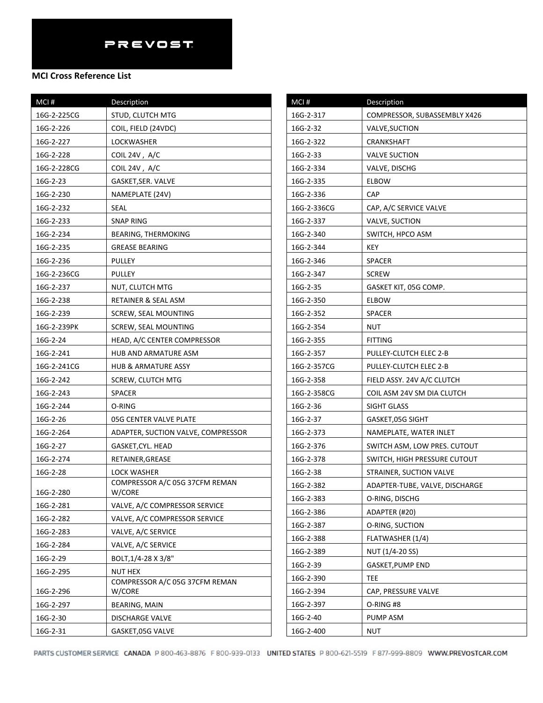| MCI#        | Description                              |
|-------------|------------------------------------------|
| 16G-2-225CG | STUD, CLUTCH MTG                         |
| 16G-2-226   | COIL, FIELD (24VDC)                      |
| 16G-2-227   | LOCKWASHER                               |
| 16G-2-228   | COIL 24V, A/C                            |
| 16G-2-228CG | COIL 24V, $A/C$                          |
| 16G-2-23    | GASKET,SER. VALVE                        |
| 16G-2-230   | NAMEPLATE (24V)                          |
| 16G-2-232   | SEAL                                     |
| 16G-2-233   | SNAP RING                                |
| 16G-2-234   | BEARING, THERMOKING                      |
| 16G-2-235   | <b>GREASE BEARING</b>                    |
| 16G-2-236   | PULLEY                                   |
| 16G-2-236CG | PULLEY                                   |
| 16G-2-237   | NUT, CLUTCH MTG                          |
| 16G-2-238   | RETAINER & SEAL ASM                      |
| 16G-2-239   | SCREW, SEAL MOUNTING                     |
| 16G-2-239PK | <b>SCREW, SEAL MOUNTING</b>              |
| 16G-2-24    | HEAD, A/C CENTER COMPRESSOR              |
| 16G-2-241   | HUB AND ARMATURE ASM                     |
| 16G-2-241CG | HUB & ARMATURE ASSY                      |
| 16G-2-242   | SCREW, CLUTCH MTG                        |
| 16G-2-243   | <b>SPACER</b>                            |
| 16G-2-244   | O-RING                                   |
| 16G-2-26    | 05G CENTER VALVE PLATE                   |
| 16G-2-264   | ADAPTER, SUCTION VALVE, COMPRESSOR       |
| 16G-2-27    | GASKET, CYL. HEAD                        |
| 16G-2-274   | RETAINER,GREASE                          |
| 16G-2-28    | LOCK WASHER                              |
| 16G-2-280   | COMPRESSOR A/C 05G 37CFM REMAN<br>W/CORE |
| 16G-2-281   | VALVE, A/C COMPRESSOR SERVICE            |
| 16G-2-282   | VALVE, A/C COMPRESSOR SERVICE            |
| 16G-2-283   | VALVE, A/C SERVICE                       |
| 16G-2-284   | VALVE, A/C SERVICE                       |
| 16G-2-29    | BOLT, 1/4-28 X 3/8"                      |
| 16G-2-295   | <b>NUT HEX</b>                           |
| 16G-2-296   | COMPRESSOR A/C 05G 37CFM REMAN<br>W/CORE |
| 16G-2-297   | BEARING, MAIN                            |
| 16G-2-30    | <b>DISCHARGE VALVE</b>                   |
| 16G-2-31    | GASKET,05G VALVE                         |

| MCI#        | Description                    |
|-------------|--------------------------------|
| 16G-2-317   | COMPRESSOR, SUBASSEMBLY X426   |
| 16G-2-32    | VALVE, SUCTION                 |
| 16G-2-322   | CRANKSHAFT                     |
| 16G-2-33    | <b>VALVE SUCTION</b>           |
| 16G-2-334   | VALVE, DISCHG                  |
| 16G-2-335   | <b>ELBOW</b>                   |
| 16G-2-336   | CAP                            |
| 16G-2-336CG | CAP, A/C SERVICE VALVE         |
| 16G-2-337   | VALVE, SUCTION                 |
| 16G-2-340   | SWITCH, HPCO ASM               |
| 16G-2-344   | KEY                            |
| 16G-2-346   | SPACER                         |
| 16G-2-347   | <b>SCREW</b>                   |
| 16G-2-35    | GASKET KIT, 05G COMP.          |
| 16G-2-350   | ELBOW                          |
| 16G-2-352   | SPACER                         |
| 16G-2-354   | NUT                            |
| 16G-2-355   | FITTING                        |
| 16G-2-357   | PULLEY-CLUTCH ELEC 2-B         |
| 16G-2-357CG | PULLEY-CLUTCH ELEC 2-B         |
| 16G-2-358   | FIELD ASSY. 24V A/C CLUTCH     |
| 16G-2-358CG | COIL ASM 24V SM DIA CLUTCH     |
| 16G-2-36    | SIGHT GLASS                    |
| 16G-2-37    | GASKET, 05G SIGHT              |
| 16G-2-373   | NAMEPLATE, WATER INLET         |
| 16G-2-376   | SWITCH ASM, LOW PRES. CUTOUT   |
| 16G-2-378   | SWITCH, HIGH PRESSURE CUTOUT   |
| 16G-2-38    | STRAINER, SUCTION VALVE        |
| 16G-2-382   | ADAPTER-TUBE, VALVE, DISCHARGE |
| 16G-2-383   | O-RING, DISCHG                 |
| 16G-2-386   | ADAPTER (#20)                  |
| 16G-2-387   | O-RING, SUCTION                |
| 16G-2-388   | FLATWASHER (1/4)               |
| 16G-2-389   | NUT (1/4-20 SS)                |
| 16G-2-39    | GASKET,PUMP END                |
| 16G-2-390   | TEE                            |
| 16G-2-394   | CAP, PRESSURE VALVE            |
| 16G-2-397   | O-RING #8                      |
| 16G-2-40    | PUMP ASM                       |
| 16G-2-400   | NUT                            |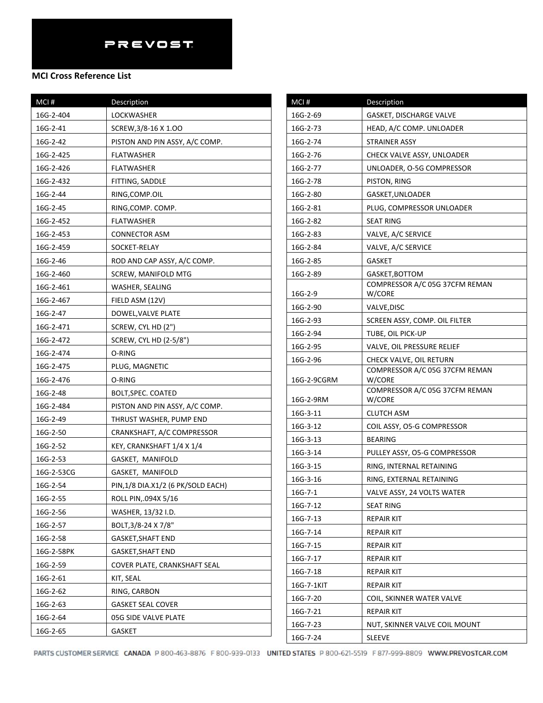### **MCI Cross Reference List**

| MCI#       | Description                       |
|------------|-----------------------------------|
| 16G-2-404  | LOCKWASHER                        |
| 16G-2-41   | SCREW, 3/8-16 X 1.00              |
| 16G-2-42   | PISTON AND PIN ASSY, A/C COMP.    |
| 16G-2-425  | FLATWASHER                        |
| 16G-2-426  | FLATWASHER                        |
| 16G-2-432  | FITTING, SADDLE                   |
| 16G-2-44   | RING, COMP.OIL                    |
| 16G-2-45   | RING,COMP. COMP.                  |
| 16G-2-452  | FLATWASHER                        |
| 16G-2-453  | CONNECTOR ASM                     |
| 16G-2-459  | SOCKET-RELAY                      |
| 16G-2-46   | ROD AND CAP ASSY, A/C COMP.       |
| 16G-2-460  | SCREW, MANIFOLD MTG               |
| 16G-2-461  | WASHER, SEALING                   |
| 16G-2-467  | FIELD ASM (12V)                   |
| 16G-2-47   | DOWEL, VALVE PLATE                |
| 16G-2-471  | SCREW, CYL HD (2")                |
| 16G-2-472  | SCREW, CYL HD (2-5/8")            |
| 16G-2-474  | O-RING                            |
| 16G-2-475  | PLUG, MAGNETIC                    |
| 16G-2-476  | O-RING                            |
| 16G-2-48   | BOLT, SPEC. COATED                |
| 16G-2-484  | PISTON AND PIN ASSY, A/C COMP.    |
| 16G-2-49   | THRUST WASHER, PUMP END           |
| 16G-2-50   | CRANKSHAFT, A/C COMPRESSOR        |
| 16G-2-52   | KEY, CRANKSHAFT 1/4 X 1/4         |
| 16G-2-53   | GASKET, MANIFOLD                  |
| 16G-2-53CG | GASKET, MANIFOLD                  |
| 16G-2-54   | PIN,1/8 DIA.X1/2 (6 PK/SOLD EACH) |
| 16G-2-55   | ROLL PIN, 094X 5/16               |
| 16G-2-56   | WASHER, 13/32 I.D.                |
| 16G-2-57   | BOLT, 3/8-24 X 7/8"               |
| 16G-2-58   | GASKET,SHAFT END                  |
| 16G-2-58PK | GASKET, SHAFT END                 |
| 16G-2-59   | COVER PLATE, CRANKSHAFT SEAL      |
| 16G-2-61   | KIT, SEAL                         |
| 16G-2-62   | RING, CARBON                      |
| 16G-2-63   | <b>GASKET SEAL COVER</b>          |
| 16G-2-64   | 05G SIDE VALVE PLATE              |
| 16G-2-65   | GASKET                            |

| MCI#        | Description                                               |
|-------------|-----------------------------------------------------------|
| 16G-2-69    | GASKET, DISCHARGE VALVE                                   |
| 16G-2-73    | HEAD, A/C COMP. UNLOADER                                  |
| 16G-2-74    | STRAINER ASSY                                             |
| 16G-2-76    | CHECK VALVE ASSY, UNLOADER                                |
| 16G-2-77    | UNLOADER, O-5G COMPRESSOR                                 |
| 16G-2-78    | PISTON, RING                                              |
| 16G-2-80    | GASKET, UNLOADER                                          |
| 16G-2-81    | PLUG, COMPRESSOR UNLOADER                                 |
| 16G-2-82    | <b>SEAT RING</b>                                          |
| 16G-2-83    | VALVE, A/C SERVICE                                        |
| 16G-2-84    | VALVE, A/C SERVICE                                        |
| 16G-2-85    | GASKET                                                    |
| 16G-2-89    | GASKET, BOTTOM                                            |
|             | COMPRESSOR A/C 05G 37CFM REMAN                            |
| 16G-2-9     | W/CORE                                                    |
| 16G-2-90    | VALVE, DISC                                               |
| 16G-2-93    | SCREEN ASSY, COMP. OIL FILTER                             |
| 16G-2-94    | TUBE, OIL PICK-UP                                         |
| 16G-2-95    | VALVE, OIL PRESSURE RELIEF                                |
| 16G-2-96    | CHECK VALVE, OIL RETURN<br>COMPRESSOR A/C 05G 37CFM REMAN |
| 16G-2-9CGRM | W/CORE                                                    |
|             | COMPRESSOR A/C 05G 37CFM REMAN                            |
| 16G-2-9RM   | W/CORE                                                    |
| 16G-3-11    | <b>CLUTCH ASM</b>                                         |
| 16G-3-12    | COIL ASSY, O5-G COMPRESSOR                                |
| 16G-3-13    | <b>BEARING</b>                                            |
| 16G-3-14    | PULLEY ASSY, O5-G COMPRESSOR                              |
| 16G-3-15    | RING, INTERNAL RETAINING                                  |
| 16G-3-16    | RING, EXTERNAL RETAINING                                  |
| $16G-7-1$   | VALVE ASSY, 24 VOLTS WATER                                |
| 16G-7-12    | <b>SEAT RING</b>                                          |
| 16G-7-13    | REPAIR KIT                                                |
| 16G-7-14    | <b>REPAIR KIT</b>                                         |
| 16G-7-15    | REPAIR KIT                                                |
| 16G-7-17    | <b>REPAIR KIT</b>                                         |
| 16G-7-18    | REPAIR KIT                                                |
| 16G-7-1KIT  | <b>REPAIR KIT</b>                                         |
| 16G-7-20    | COIL, SKINNER WATER VALVE                                 |
| 16G-7-21    | <b>REPAIR KIT</b>                                         |
| 16G-7-23    | NUT, SKINNER VALVE COIL MOUNT                             |
| 16G-7-24    | <b>SLEEVE</b>                                             |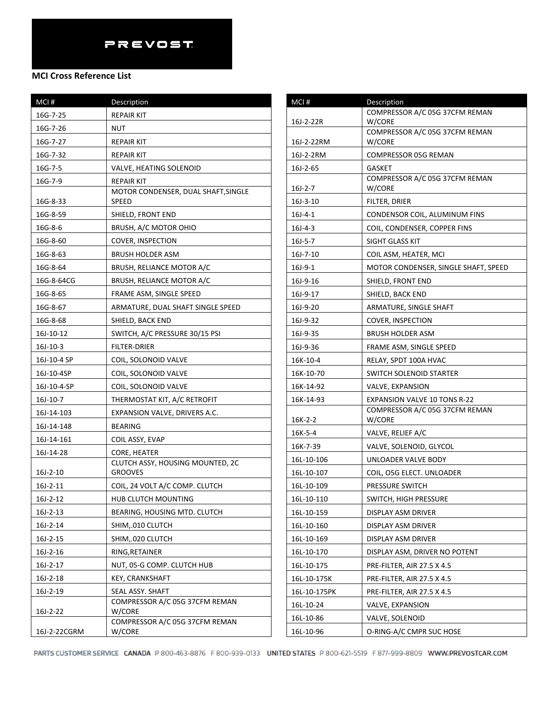## **MCI Cross Reference List**

| MCI#         | Description                                        |
|--------------|----------------------------------------------------|
| 16G-7-25     | <b>REPAIR KIT</b>                                  |
| 16G-7-26     | NUT                                                |
| 16G-7-27     | <b>REPAIR KIT</b>                                  |
| 16G-7-32     | <b>REPAIR KIT</b>                                  |
| 16G-7-5      | VALVE, HEATING SOLENOID                            |
| 16G-7-9      | <b>REPAIR KIT</b>                                  |
| 16G-8-33     | MOTOR CONDENSER, DUAL SHAFT, SINGLE<br>SPEED       |
| 16G-8-59     | SHIELD, FRONT END                                  |
| 16G-8-6      | BRUSH, A/C MOTOR OHIO                              |
| 16G-8-60     | COVER, INSPECTION                                  |
| 16G-8-63     | <b>BRUSH HOLDER ASM</b>                            |
| 16G-8-64     | BRUSH, RELIANCE MOTOR A/C                          |
| 16G-8-64CG   | BRUSH, RELIANCE MOTOR A/C                          |
| 16G-8-65     | FRAME ASM, SINGLE SPEED                            |
| 16G-8-67     | ARMATURE, DUAL SHAFT SINGLE SPEED                  |
| 16G-8-68     | SHIELD, BACK END                                   |
| 16J-10-12    | SWITCH, A/C PRESSURE 30/15 PSI                     |
| 16J-10-3     | FILTER-DRIER                                       |
| 16J-10-4 SP  | COIL, SOLONOID VALVE                               |
| 16J-10-4SP   | COIL, SOLONOID VALVE                               |
| 16J-10-4-SP  | COIL, SOLONOID VALVE                               |
| 16J-10-7     | THERMOSTAT KIT, A/C RETROFIT                       |
| 16J-14-103   | EXPANSION VALVE, DRIVERS A.C.                      |
| 16J-14-148   | <b>BEARING</b>                                     |
| 16J-14-161   | COIL ASSY, EVAP                                    |
| 16J-14-28    | CORE, HEATER                                       |
| $16J-2-10$   | CLUTCH ASSY, HOUSING MOUNTED, 2C<br><b>GROOVES</b> |
| 16J-2-11     | COIL, 24 VOLT A/C COMP. CLUTCH                     |
| $16J-2-12$   | HUB CLUTCH MOUNTING                                |
| 16J-2-13     | BEARING, HOUSING MTD. CLUTCH                       |
| $16J-2-14$   | SHIM, 010 CLUTCH                                   |
| $16J-2-15$   | SHIM,.020 CLUTCH                                   |
| 16J-2-16     | RING, RETAINER                                     |
| 16J-2-17     | NUT, 05-G COMP. CLUTCH HUB                         |
| 16J-2-18     | <b>KEY, CRANKSHAFT</b>                             |
| $16J-2-19$   | SEAL ASSY. SHAFT                                   |
| $16J-2-22$   | COMPRESSOR A/C 05G 37CFM REMAN<br>W/CORE           |
| 16J-2-22CGRM | COMPRESSOR A/C 05G 37CFM REMAN<br>W/CORE           |

| MCI#                      | Description                                                   |
|---------------------------|---------------------------------------------------------------|
|                           | COMPRESSOR A/C 05G 37CFM REMAN                                |
| 16J-2-22R                 | W/CORE<br>COMPRESSOR A/C 05G 37CFM REMAN                      |
| 16J-2-22RM                | W/CORE                                                        |
| 16J-2-2RM                 | COMPRESSOR 05G REMAN                                          |
| $16J-2-65$                | GASKET                                                        |
|                           | COMPRESSOR A/C 05G 37CFM REMAN                                |
| $16J-2-7$                 | W/CORE<br>FILTER, DRIER                                       |
| $16J-3-10$<br>$16J - 4-1$ |                                                               |
| $16J-4-3$                 | CONDENSOR COIL, ALUMINUM FINS<br>COIL, CONDENSER, COPPER FINS |
| $16J - 5 - 7$             | SIGHT GLASS KIT                                               |
| 16J-7-10                  | COIL ASM, HEATER, MCI                                         |
| $16J-9-1$                 | MOTOR CONDENSER, SINGLE SHAFT, SPEED                          |
| 16J-9-16                  | SHIELD, FRONT END                                             |
| 16J-9-17                  | SHIELD, BACK END                                              |
| 16J-9-20                  | ARMATURE, SINGLE SHAFT                                        |
| 16J-9-32                  | COVER, INSPECTION                                             |
| 16J-9-35                  | <b>BRUSH HOLDER ASM</b>                                       |
| 16J-9-36                  | FRAME ASM, SINGLE SPEED                                       |
| 16K-10-4                  | RELAY, SPDT 100A HVAC                                         |
| 16K-10-70                 | SWITCH SOLENOID STARTER                                       |
| 16K-14-92                 | VALVE, EXPANSION                                              |
| 16K-14-93                 | EXPANSION VALVE 10 TONS R-22                                  |
|                           | COMPRESSOR A/C 05G 37CFM REMAN                                |
| 16K-2-2                   | W/CORE                                                        |
| 16K-5-4                   | VALVE, RELIEF A/C                                             |
| 16K-7-39                  | VALVE, SOLENOID, GLYCOL                                       |
| 16L-10-106                | UNLOADER VALVE BODY                                           |
| 16L-10-107                | COIL, O5G ELECT. UNLOADER                                     |
| 16L-10-109                | PRESSURE SWITCH                                               |
| 16L-10-110                | SWITCH, HIGH PRESSURE                                         |
| 16L-10-159                | DISPLAY ASM DRIVER                                            |
| 16L-10-160                | DISPLAY ASM DRIVER                                            |
| 16L-10-169                | DISPLAY ASM DRIVER                                            |
| 16L-10-170                | DISPLAY ASM, DRIVER NO POTENT                                 |
| 16L-10-175                | <b>PRE-FILTER, AIR 27.5 X 4.5</b>                             |
| 16L-10-175K               | PRE-FILTER, AIR 27.5 X 4.5                                    |
| 16L-10-175PK              | <b>PRE-FILTER, AIR 27.5 X 4.5</b>                             |
| 16L-10-24                 | VALVE, EXPANSION                                              |
| 16L-10-86                 | VALVE, SOLENOID                                               |
| 16L-10-96                 | O-RING-A/C CMPR SUC HOSE                                      |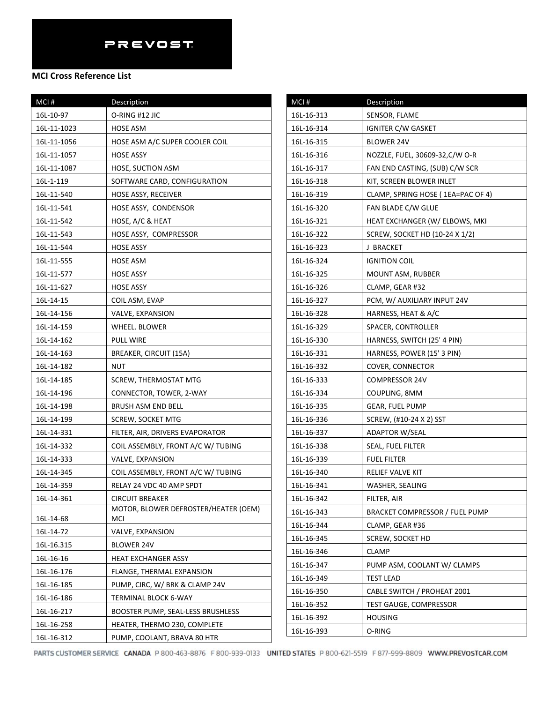| MCI#        | Description                          |
|-------------|--------------------------------------|
| 16L-10-97   | O-RING #12 JIC                       |
| 16L-11-1023 | HOSE ASM                             |
| 16L-11-1056 | HOSE ASM A/C SUPER COOLER COIL       |
| 16L-11-1057 | HOSE ASSY                            |
| 16L-11-1087 | HOSE, SUCTION ASM                    |
| 16L-1-119   | SOFTWARE CARD, CONFIGURATION         |
| 16L-11-540  | HOSE ASSY, RECEIVER                  |
| 16L-11-541  | HOSE ASSY, CONDENSOR                 |
| 16L-11-542  | HOSE, A/C & HEAT                     |
| 16L-11-543  | HOSE ASSY, COMPRESSOR                |
| 16L-11-544  | HOSE ASSY                            |
| 16L-11-555  | HOSE ASM                             |
| 16L-11-577  | HOSE ASSY                            |
| 16L-11-627  | <b>HOSE ASSY</b>                     |
| 16L-14-15   | COIL ASM, EVAP                       |
| 16L-14-156  | VALVE, EXPANSION                     |
| 16L-14-159  | WHEEL. BLOWER                        |
| 16L-14-162  | <b>PULL WIRE</b>                     |
| 16L-14-163  | <b>BREAKER, CIRCUIT (15A)</b>        |
| 16L-14-182  | <b>NUT</b>                           |
| 16L-14-185  | SCREW, THERMOSTAT MTG                |
| 16L-14-196  | CONNECTOR, TOWER, 2-WAY              |
| 16L-14-198  | BRUSH ASM END BELL                   |
| 16L-14-199  | <b>SCREW, SOCKET MTG</b>             |
| 16L-14-331  | FILTER, AIR, DRIVERS EVAPORATOR      |
| 16L-14-332  | COIL ASSEMBLY, FRONT A/C W/ TUBING   |
| 16L-14-333  | VALVE, EXPANSION                     |
| 16L-14-345  | COIL ASSEMBLY, FRONT A/C W/ TUBING   |
| 16L-14-359  | RELAY 24 VDC 40 AMP SPDT             |
| 16L-14-361  | <b>CIRCUIT BREAKER</b>               |
|             | MOTOR, BLOWER DEFROSTER/HEATER (OEM) |
| 16L-14-68   | MCI                                  |
| 16L-14-72   | VALVE, EXPANSION                     |
| 16L-16.315  | BLOWER 24V                           |
| 16L-16-16   | <b>HEAT EXCHANGER ASSY</b>           |
| 16L-16-176  | FLANGE, THERMAL EXPANSION            |
| 16L-16-185  | PUMP, CIRC, W/ BRK & CLAMP 24V       |
| 16L-16-186  | <b>TERMINAL BLOCK 6-WAY</b>          |
| 16L-16-217  | BOOSTER PUMP, SEAL-LESS BRUSHLESS    |
| 16L-16-258  | HEATER, THERMO 230, COMPLETE         |
| 16L-16-312  | PUMP, COOLANT, BRAVA 80 HTR          |

| MCI#       | Description                       |
|------------|-----------------------------------|
| 16L-16-313 | SENSOR, FLAME                     |
| 16L-16-314 | <b>IGNITER C/W GASKET</b>         |
| 16L-16-315 | BLOWER 24V                        |
| 16L-16-316 | NOZZLE, FUEL, 30609-32,C/W O-R    |
| 16L-16-317 | FAN END CASTING, (SUB) C/W SCR    |
| 16L-16-318 | KIT, SCREEN BLOWER INLET          |
| 16L-16-319 | CLAMP, SPRING HOSE (1EA=PAC OF 4) |
| 16L-16-320 | FAN BLADE C/W GLUE                |
| 16L-16-321 | HEAT EXCHANGER (W/ ELBOWS, MKI    |
| 16L-16-322 | SCREW, SOCKET HD (10-24 X 1/2)    |
| 16L-16-323 | J BRACKET                         |
| 16L-16-324 | <b>IGNITION COIL</b>              |
| 16L-16-325 | MOUNT ASM, RUBBER                 |
| 16L-16-326 | CLAMP, GEAR #32                   |
| 16L-16-327 | PCM, W/ AUXILIARY INPUT 24V       |
| 16L-16-328 | HARNESS, HEAT & A/C               |
| 16L-16-329 | SPACER, CONTROLLER                |
| 16L-16-330 | HARNESS, SWITCH (25' 4 PIN)       |
| 16L-16-331 | HARNESS, POWER (15' 3 PIN)        |
| 16L-16-332 | COVER, CONNECTOR                  |
| 16L-16-333 | COMPRESSOR 24V                    |
| 16L-16-334 | COUPLING, 8MM                     |
| 16L-16-335 | GEAR, FUEL PUMP                   |
| 16L-16-336 | SCREW, (#10-24 X 2) SST           |
| 16L-16-337 | <b>ADAPTOR W/SEAL</b>             |
| 16L-16-338 | SEAL, FUEL FILTER                 |
| 16L-16-339 | <b>FUEL FILTER</b>                |
| 16L-16-340 | RELIEF VALVE KIT                  |
| 16L-16-341 | WASHER, SEALING                   |
| 16L-16-342 | FILTER, AIR                       |
| 16L-16-343 | BRACKET COMPRESSOR / FUEL PUMP    |
| 16L-16-344 | CLAMP, GEAR #36                   |
| 16L-16-345 | <b>SCREW, SOCKET HD</b>           |
| 16L-16-346 | CLAMP                             |
| 16L-16-347 | PUMP ASM, COOLANT W/ CLAMPS       |
| 16L-16-349 | <b>TEST LEAD</b>                  |
| 16L-16-350 | CABLE SWITCH / PROHEAT 2001       |
| 16L-16-352 | TEST GAUGE, COMPRESSOR            |
| 16L-16-392 | <b>HOUSING</b>                    |
| 16L-16-393 | O-RING                            |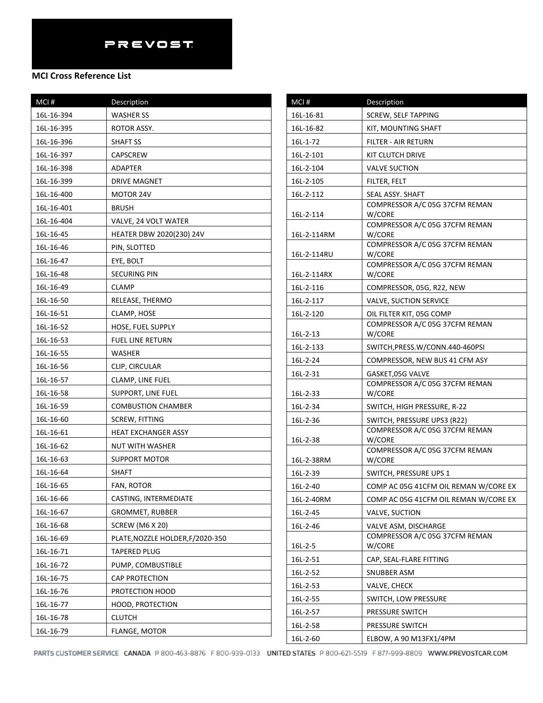| MCI#       | Description                      |
|------------|----------------------------------|
| 16L-16-394 | <b>WASHER SS</b>                 |
| 16L-16-395 | ROTOR ASSY.                      |
| 16L-16-396 | SHAFT SS                         |
| 16L-16-397 | <b>CAPSCREW</b>                  |
| 16L-16-398 | ADAPTER                          |
| 16L-16-399 | <b>DRIVE MAGNET</b>              |
| 16L-16-400 | MOTOR 24V                        |
| 16L-16-401 | <b>BRUSH</b>                     |
| 16L-16-404 | VALVE, 24 VOLT WATER             |
| 16L-16-45  | HEATER DBW 2020(230) 24V         |
| 16L-16-46  | PIN, SLOTTED                     |
| 16L-16-47  | EYE, BOLT                        |
| 16L-16-48  | <b>SECURING PIN</b>              |
| 16L-16-49  | <b>CLAMP</b>                     |
| 16L-16-50  | RELEASE, THERMO                  |
| 16L-16-51  | CLAMP, HOSE                      |
| 16L-16-52  | HOSE, FUEL SUPPLY                |
| 16L-16-53  | <b>FUEL LINE RETURN</b>          |
| 16L-16-55  | WASHER                           |
| 16L-16-56  | CLIP, CIRCULAR                   |
| 16L-16-57  | CLAMP, LINE FUEL                 |
| 16L-16-58  | SUPPORT, LINE FUEL               |
| 16L-16-59  | <b>COMBUSTION CHAMBER</b>        |
| 16L-16-60  | <b>SCREW, FITTING</b>            |
| 16L-16-61  | <b>HEAT EXCHANGER ASSY</b>       |
| 16L-16-62  | NUT WITH WASHER                  |
| 16L-16-63  | SUPPORT MOTOR                    |
| 16L-16-64  | SHAFT                            |
| 16L-16-65  | FAN, ROTOR                       |
| 16L-16-66  | CASTING, INTERMEDIATE            |
| 16L-16-67  | <b>GROMMET, RUBBER</b>           |
| 16L-16-68  | <b>SCREW (M6 X 20)</b>           |
| 16L-16-69  | PLATE, NOZZLE HOLDER, F/2020-350 |
| 16L-16-71  | TAPERED PLUG                     |
| 16L-16-72  | PUMP, COMBUSTIBLE                |
| 16L-16-75  | CAP PROTECTION                   |
| 16L-16-76  | PROTECTION HOOD                  |
| 16L-16-77  | <b>HOOD, PROTECTION</b>          |
| 16L-16-78  | <b>CLUTCH</b>                    |
| 16L-16-79  | FLANGE, MOTOR                    |

| MCI#        | <b>Description</b>                                  |
|-------------|-----------------------------------------------------|
| 16L-16-81   | <b>SCREW, SELF TAPPING</b>                          |
| 16L-16-82   | KIT, MOUNTING SHAFT                                 |
| 16L-1-72    | FILTER - AIR RETURN                                 |
| 16L-2-101   | KIT CLUTCH DRIVE                                    |
| 16L-2-104   | <b>VALVE SUCTION</b>                                |
| 16L-2-105   | FILTER, FELT                                        |
| 16L-2-112   | SEAL ASSY. SHAFT                                    |
|             | COMPRESSOR A/C 05G 37CFM REMAN                      |
| 16L-2-114   | W/CORE<br>COMPRESSOR A/C 05G 37CFM REMAN            |
| 16L-2-114RM | W/CORE                                              |
|             | COMPRESSOR A/C 05G 37CFM REMAN                      |
| 16L-2-114RU | W/CORE<br>COMPRESSOR A/C 05G 37CFM REMAN            |
| 16L-2-114RX | W/CORE                                              |
| 16L-2-116   | COMPRESSOR, 05G, R22, NEW                           |
| 16L-2-117   | <b>VALVE, SUCTION SERVICE</b>                       |
| 16L-2-120   | OIL FILTER KIT, 05G COMP                            |
|             | COMPRESSOR A/C 05G 37CFM REMAN                      |
| $16L-2-13$  | W/CORE                                              |
| 16L-2-133   | SWITCH, PRESS. W/CONN.440-460PSI                    |
| 16L-2-24    | COMPRESSOR, NEW BUS 41 CFM ASY                      |
| 16L-2-31    | GASKET, 05G VALVE<br>COMPRESSOR A/C 05G 37CFM REMAN |
| 16L-2-33    | W/CORE                                              |
| 16L-2-34    | SWITCH, HIGH PRESSURE, R-22                         |
| 16L-2-36    | SWITCH, PRESSURE UPS3 (R22)                         |
|             | COMPRESSOR A/C 05G 37CFM REMAN                      |
| 16L-2-38    | W/CORE<br>COMPRESSOR A/C 05G 37CFM REMAN            |
| 16L-2-38RM  | W/CORE                                              |
| 16L-2-39    | SWITCH, PRESSURE UPS 1                              |
| 16L-2-40    | COMP AC 05G 41CFM OIL REMAN W/CORE EX               |
| 16L-2-40RM  | COMP AC 05G 41CFM OIL REMAN W/CORE EX               |
| 16L-2-45    | VALVE, SUCTION                                      |
| 16L-2-46    | VALVE ASM, DISCHARGE                                |
|             | COMPRESSOR A/C 05G 37CFM REMAN                      |
| $16L-2-5$   | W/CORE                                              |
| 16L-2-51    | CAP, SEAL-FLARE FITTING                             |
| 16L-2-52    | SNUBBER ASM                                         |
| 16L-2-53    | VALVE, CHECK                                        |
| 16L-2-55    | SWITCH, LOW PRESSURE                                |
| 16L-2-57    | PRESSURE SWITCH                                     |
| 16L-2-58    | PRESSURE SWITCH                                     |
| 16L-2-60    | ELBOW, A 90 M13FX1/4PM                              |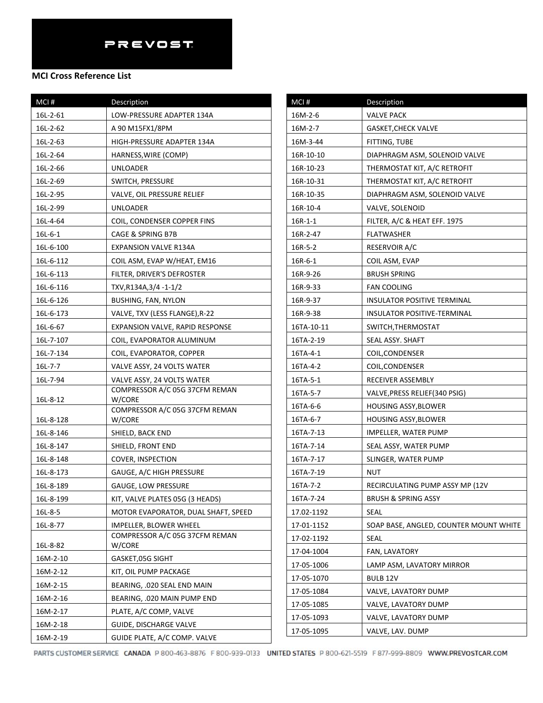## **MCI Cross Reference List**

| MCI#          | Description                              |
|---------------|------------------------------------------|
| 16L-2-61      | LOW-PRESSURE ADAPTER 134A                |
| 16L-2-62      | A 90 M15FX1/8PM                          |
| 16L-2-63      | HIGH-PRESSURE ADAPTER 134A               |
| 16L-2-64      | HARNESS, WIRE (COMP)                     |
| 16L-2-66      | UNLOADER                                 |
| 16L-2-69      | SWITCH, PRESSURE                         |
| 16L-2-95      | VALVE, OIL PRESSURE RELIEF               |
| 16L-2-99      | UNLOADER                                 |
| 16L-4-64      | COIL, CONDENSER COPPER FINS              |
| $16L - 6 - 1$ | CAGE & SPRING B7B                        |
| 16L-6-100     | EXPANSION VALVE R134A                    |
| 16L-6-112     | COIL ASM, EVAP W/HEAT, EM16              |
| 16L-6-113     | FILTER, DRIVER'S DEFROSTER               |
| 16L-6-116     | TXV, R134A, 3/4 - 1-1/2                  |
| 16L-6-126     | <b>BUSHING, FAN, NYLON</b>               |
| 16L-6-173     | VALVE, TXV (LESS FLANGE),R-22            |
| 16L-6-67      | EXPANSION VALVE, RAPID RESPONSE          |
| 16L-7-107     | COIL, EVAPORATOR ALUMINUM                |
| 16L-7-134     | COIL, EVAPORATOR, COPPER                 |
| 16L-7-7       | VALVE ASSY, 24 VOLTS WATER               |
| 16L-7-94      | VALVE ASSY, 24 VOLTS WATER               |
|               | COMPRESSOR A/C 05G 37CFM REMAN           |
| 16L-8-12      | W/CORE<br>COMPRESSOR A/C 05G 37CFM REMAN |
| 16L-8-128     | W/CORE                                   |
| 16L-8-146     | SHIELD, BACK END                         |
| 16L-8-147     | SHIELD, FRONT END                        |
| 16L-8-148     | <b>COVER, INSPECTION</b>                 |
| 16L-8-173     | GAUGE, A/C HIGH PRESSURE                 |
| 16L-8-189     | GAUGE, LOW PRESSURE                      |
| 16L-8-199     | KIT, VALVE PLATES 05G (3 HEADS)          |
| 16L-8-5       | MOTOR EVAPORATOR, DUAL SHAFT, SPEED      |
| 16L-8-77      | IMPELLER, BLOWER WHEEL                   |
| 16L-8-82      | COMPRESSOR A/C 05G 37CFM REMAN<br>W/CORE |
| 16M-2-10      | GASKET, 05G SIGHT                        |
| 16M-2-12      | KIT, OIL PUMP PACKAGE                    |
| 16M-2-15      | BEARING, .020 SEAL END MAIN              |
| 16M-2-16      | BEARING, .020 MAIN PUMP END              |
| 16M-2-17      | PLATE, A/C COMP, VALVE                   |
| 16M-2-18      | GUIDE, DISCHARGE VALVE                   |
| 16M-2-19      | GUIDE PLATE, A/C COMP. VALVE             |

| MCI#          | Description                            |
|---------------|----------------------------------------|
| 16M-2-6       | <b>VALVE PACK</b>                      |
| 16M-2-7       | <b>GASKET, CHECK VALVE</b>             |
| 16M-3-44      | FITTING, TUBE                          |
| 16R-10-10     | DIAPHRAGM ASM, SOLENOID VALVE          |
| 16R-10-23     | THERMOSTAT KIT, A/C RETROFIT           |
| 16R-10-31     | THERMOSTAT KIT, A/C RETROFIT           |
| 16R-10-35     | DIAPHRAGM ASM, SOLENOID VALVE          |
| 16R-10-4      | VALVE, SOLENOID                        |
| $16R - 1 - 1$ | FILTER, A/C & HEAT EFF. 1975           |
| 16R-2-47      | FLATWASHER                             |
| 16R-5-2       | RESERVOIR A/C                          |
| 16R-6-1       | COIL ASM, EVAP                         |
| 16R-9-26      | <b>BRUSH SPRING</b>                    |
| 16R-9-33      | FAN COOLING                            |
| 16R-9-37      | INSULATOR POSITIVE TERMINAL            |
| 16R-9-38      | INSULATOR POSITIVE-TERMINAL            |
| 16TA-10-11    | SWITCH, THERMOSTAT                     |
| 16TA-2-19     | SEAL ASSY. SHAFT                       |
| 16TA-4-1      | COIL, CONDENSER                        |
| 16TA-4-2      | COIL, CONDENSER                        |
| 16TA-5-1      | RECEIVER ASSEMBLY                      |
| 16TA-5-7      | VALVE, PRESS RELIEF (340 PSIG)         |
| 16TA-6-6      | <b>HOUSING ASSY, BLOWER</b>            |
| 16TA-6-7      | <b>HOUSING ASSY, BLOWER</b>            |
| 16TA-7-13     | IMPELLER, WATER PUMP                   |
| 16TA-7-14     | SEAL ASSY, WATER PUMP                  |
| 16TA-7-17     | SLINGER, WATER PUMP                    |
| 16TA-7-19     | NUT                                    |
| 16TA-7-2      | RECIRCULATING PUMP ASSY MP (12V        |
| 16TA-7-24     | <b>BRUSH &amp; SPRING ASSY</b>         |
| 17.02-1192    | SEAL                                   |
| 17-01-1152    | SOAP BASE, ANGLED, COUNTER MOUNT WHITE |
| 17-02-1192    | SEAL                                   |
| 17-04-1004    | FAN, LAVATORY                          |
| 17-05-1006    | LAMP ASM, LAVATORY MIRROR              |
| 17-05-1070    | <b>BULB 12V</b>                        |
| 17-05-1084    | VALVE, LAVATORY DUMP                   |
| 17-05-1085    | VALVE, LAVATORY DUMP                   |
| 17-05-1093    | VALVE, LAVATORY DUMP                   |
| 17-05-1095    | VALVE, LAV. DUMP                       |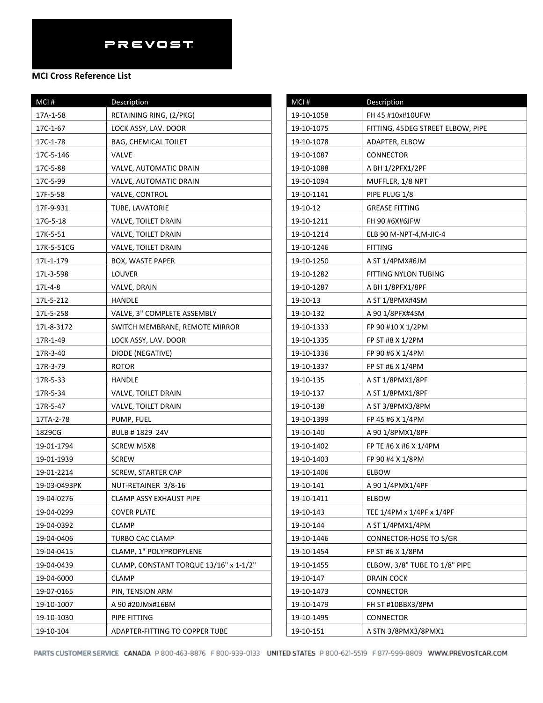| MCI#         | Description                            |
|--------------|----------------------------------------|
| 17A-1-58     | RETAINING RING, (2/PKG)                |
| 17C-1-67     | LOCK ASSY, LAV. DOOR                   |
| 17C-1-78     | <b>BAG, CHEMICAL TOILET</b>            |
| 17C-5-146    | VALVE                                  |
| 17C-5-88     | VALVE, AUTOMATIC DRAIN                 |
| 17C-5-99     | VALVE, AUTOMATIC DRAIN                 |
| 17F-5-58     | VALVE, CONTROL                         |
| 17F-9-931    | TUBE, LAVATORIE                        |
| 17G-5-18     | VALVE, TOILET DRAIN                    |
| 17K-5-51     | VALVE, TOILET DRAIN                    |
| 17K-5-51CG   | VALVE, TOILET DRAIN                    |
| 17L-1-179    | BOX, WASTE PAPER                       |
| 17L-3-598    | LOUVER                                 |
| 17L-4-8      | VALVE, DRAIN                           |
| 17L-5-212    | HANDLE                                 |
| 17L-5-258    | VALVE, 3" COMPLETE ASSEMBLY            |
| 17L-8-3172   | SWITCH MEMBRANE, REMOTE MIRROR         |
| 17R-1-49     | LOCK ASSY, LAV. DOOR                   |
| 17R-3-40     | DIODE (NEGATIVE)                       |
| 17R-3-79     | <b>ROTOR</b>                           |
| 17R-5-33     | HANDLE                                 |
| 17R-5-34     | VALVE, TOILET DRAIN                    |
| 17R-5-47     | VALVE, TOILET DRAIN                    |
| 17TA-2-78    | PUMP, FUEL                             |
| 1829CG       | BULB # 1829 24V                        |
| 19-01-1794   | <b>SCREW M5X8</b>                      |
| 19-01-1939   | <b>SCREW</b>                           |
| 19-01-2214   | SCREW, STARTER CAP                     |
| 19-03-0493PK | NUT-RETAINER 3/8-16                    |
| 19-04-0276   | CLAMP ASSY EXHAUST PIPE                |
| 19-04-0299   | COVER PLATE                            |
| 19-04-0392   | CLAMP                                  |
| 19-04-0406   | TURBO CAC CLAMP                        |
| 19-04-0415   | CLAMP, 1" POLYPROPYLENE                |
| 19-04-0439   | CLAMP, CONSTANT TORQUE 13/16" x 1-1/2" |
| 19-04-6000   | CLAMP                                  |
| 19-07-0165   | PIN, TENSION ARM                       |
| 19-10-1007   | A 90 #20JMx#16BM                       |
| 19-10-1030   | PIPE FITTING                           |
| 19-10-104    | ADAPTER-FITTING TO COPPER TUBE         |

| MCI#       | Description                       |
|------------|-----------------------------------|
| 19-10-1058 | FH 45 #10x#10UFW                  |
| 19-10-1075 | FITTING, 45DEG STREET ELBOW, PIPE |
| 19-10-1078 | ADAPTER, ELBOW                    |
| 19-10-1087 | CONNECTOR                         |
| 19-10-1088 | A BH 1/2PFX1/2PF                  |
| 19-10-1094 | MUFFLER, 1/8 NPT                  |
| 19-10-1141 | PIPE PLUG 1/8                     |
| 19-10-12   | <b>GREASE FITTING</b>             |
| 19-10-1211 | FH 90 #6X#6JFW                    |
| 19-10-1214 | ELB 90 M-NPT-4, M-JIC-4           |
| 19-10-1246 | FITTING                           |
| 19-10-1250 | A ST 1/4PMX#6JM                   |
| 19-10-1282 | FITTING NYLON TUBING              |
| 19-10-1287 | A BH 1/8PFX1/8PF                  |
| 19-10-13   | A ST 1/8PMX#4SM                   |
| 19-10-132  | A 90 1/8PFX#4SM                   |
| 19-10-1333 | FP 90 #10 X 1/2PM                 |
| 19-10-1335 | FP ST #8 X 1/2PM                  |
| 19-10-1336 | FP 90 #6 X 1/4PM                  |
| 19-10-1337 | FP ST #6 X 1/4PM                  |
| 19-10-135  | A ST 1/8PMX1/8PF                  |
| 19-10-137  | A ST 1/8PMX1/8PF                  |
| 19-10-138  | A ST 3/8PMX3/8PM                  |
| 19-10-1399 | FP 45 #6 X 1/4PM                  |
| 19-10-140  | A 90 1/8PMX1/8PF                  |
| 19-10-1402 | FP TE #6 X #6 X 1/4PM             |
| 19-10-1403 | FP 90 #4 X 1/8PM                  |
| 19-10-1406 | ELBOW                             |
| 19-10-141  | A 90 1/4PMX1/4PF                  |
| 19-10-1411 | <b>ELBOW</b>                      |
| 19-10-143  | TEE 1/4PM x 1/4PF x 1/4PF         |
| 19-10-144  | A ST 1/4PMX1/4PM                  |
| 19-10-1446 | CONNECTOR-HOSE TO S/GR            |
| 19-10-1454 | FP ST #6 X 1/8PM                  |
| 19-10-1455 | ELBOW, 3/8" TUBE TO 1/8" PIPE     |
| 19-10-147  | DRAIN COCK                        |
| 19-10-1473 | CONNECTOR                         |
| 19-10-1479 | FH ST #10BBX3/8PM                 |
| 19-10-1495 | CONNECTOR                         |
| 19-10-151  | A STN 3/8PMX3/8PMX1               |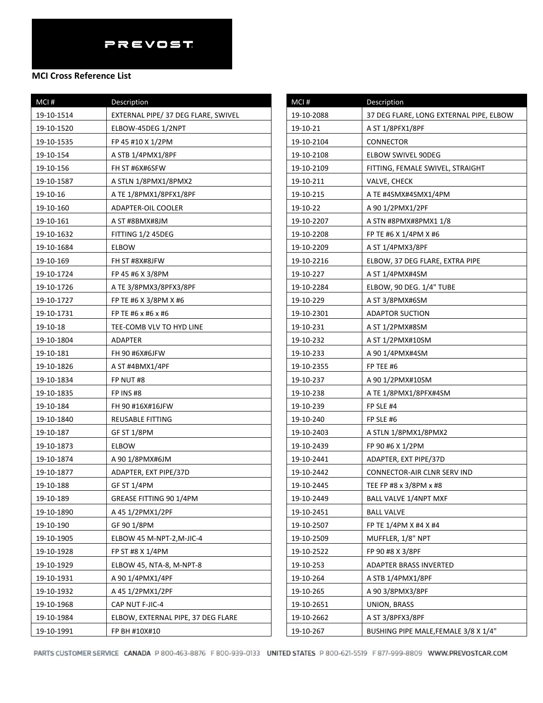## **MCI Cross Reference List**

| $MCI$ #    | Description                         |
|------------|-------------------------------------|
| 19-10-1514 | EXTERNAL PIPE/ 37 DEG FLARE, SWIVEL |
| 19-10-1520 | ELBOW-45DEG 1/2NPT                  |
| 19-10-1535 | FP 45 #10 X 1/2PM                   |
| 19-10-154  | A STB 1/4PMX1/8PF                   |
| 19-10-156  | FH ST #6X#6SFW                      |
| 19-10-1587 | A STLN 1/8PMX1/8PMX2                |
| 19-10-16   | A TE 1/8PMX1/8PFX1/8PF              |
| 19-10-160  | ADAPTER-OIL COOLER                  |
| 19-10-161  | A ST #8BMX#8JM                      |
| 19-10-1632 | FITTING 1/2 45DEG                   |
| 19-10-1684 | ELBOW                               |
| 19-10-169  | FH ST #8X#8JFW                      |
| 19-10-1724 | FP 45 #6 X 3/8PM                    |
| 19-10-1726 | A TE 3/8PMX3/8PFX3/8PF              |
| 19-10-1727 | FP TE #6 X 3/8PM X #6               |
| 19-10-1731 | FP TE #6 x #6 x #6                  |
| 19-10-18   | TEE-COMB VLV TO HYD LINE            |
| 19-10-1804 | ADAPTER                             |
| 19-10-181  | FH 90 #6X#6JFW                      |
| 19-10-1826 | A ST #4BMX1/4PF                     |
| 19-10-1834 | FP NUT #8                           |
| 19-10-1835 | FP INS #8                           |
| 19-10-184  | FH 90 #16X#16JFW                    |
| 19-10-1840 | REUSABLE FITTING                    |
| 19-10-187  | GF ST 1/8PM                         |
| 19-10-1873 | ELBOW                               |
| 19-10-1874 | A 90 1/8PMX#6JM                     |
| 19-10-1877 | ADAPTER, EXT PIPE/37D               |
| 19-10-188  | GF ST 1/4PM                         |
| 19-10-189  | GREASE FITTING 90 1/4PM             |
| 19-10-1890 | A 45 1/2PMX1/2PF                    |
| 19-10-190  | GF 90 1/8PM                         |
| 19-10-1905 | ELBOW 45 M-NPT-2, M-JIC-4           |
| 19-10-1928 | FP ST #8 X 1/4PM                    |
| 19-10-1929 | ELBOW 45, NTA-8, M-NPT-8            |
| 19-10-1931 | A 90 1/4PMX1/4PF                    |
| 19-10-1932 | A 45 1/2PMX1/2PF                    |
| 19-10-1968 | CAP NUT F-JIC-4                     |
| 19-10-1984 | ELBOW, EXTERNAL PIPE, 37 DEG FLARE  |
| 19-10-1991 | FP BH #10X#10                       |

| MCI#       | Description                             |
|------------|-----------------------------------------|
| 19-10-2088 | 37 DEG FLARE, LONG EXTERNAL PIPE, ELBOW |
| 19-10-21   | A ST 1/8PFX1/8PF                        |
| 19-10-2104 | CONNECTOR                               |
| 19-10-2108 | ELBOW SWIVEL 90DEG                      |
| 19-10-2109 | FITTING, FEMALE SWIVEL, STRAIGHT        |
| 19-10-211  | VALVE, CHECK                            |
| 19-10-215  | A TE #4SMX#4SMX1/4PM                    |
| 19-10-22   | A 90 1/2PMX1/2PF                        |
| 19-10-2207 | A STN #8PMX#8PMX1 1/8                   |
| 19-10-2208 | FP TE #6 X 1/4PM X #6                   |
| 19-10-2209 | A ST 1/4PMX3/8PF                        |
| 19-10-2216 | ELBOW, 37 DEG FLARE, EXTRA PIPE         |
| 19-10-227  | A ST 1/4PMX#4SM                         |
| 19-10-2284 | ELBOW, 90 DEG. 1/4" TUBE                |
| 19-10-229  | A ST 3/8PMX#6SM                         |
| 19-10-2301 | ADAPTOR SUCTION                         |
| 19-10-231  | A ST 1/2PMX#8SM                         |
| 19-10-232  | A ST 1/2PMX#10SM                        |
| 19-10-233  | A 90 1/4PMX#4SM                         |
| 19-10-2355 | FP TEE #6                               |
| 19-10-237  | A 90 1/2PMX#10SM                        |
| 19-10-238  | A TE 1/8PMX1/8PFX#4SM                   |
| 19-10-239  | FP SLE #4                               |
| 19-10-240  | FP SLE #6                               |
| 19-10-2403 | A STLN 1/8PMX1/8PMX2                    |
| 19-10-2439 | FP 90 #6 X 1/2PM                        |
| 19-10-2441 | ADAPTER, EXT PIPE/37D                   |
| 19-10-2442 | CONNECTOR-AIR CLNR SERV IND             |
| 19-10-2445 | TEE FP #8 x 3/8PM x #8                  |
| 19-10-2449 | <b>BALL VALVE 1/4NPT MXF</b>            |
| 19-10-2451 | <b>BALL VALVE</b>                       |
| 19-10-2507 | FP TE 1/4PM X #4 X #4                   |
| 19-10-2509 | MUFFLER, 1/8" NPT                       |
| 19-10-2522 | FP 90 #8 X 3/8PF                        |
| 19-10-253  | ADAPTER BRASS INVERTED                  |
| 19-10-264  | A STB 1/4PMX1/8PF                       |
| 19-10-265  | A 90 3/8PMX3/8PF                        |
| 19-10-2651 | UNION, BRASS                            |
| 19-10-2662 | A ST 3/8PFX3/8PF                        |
| 19-10-267  | BUSHING PIPE MALE, FEMALE 3/8 X 1/4"    |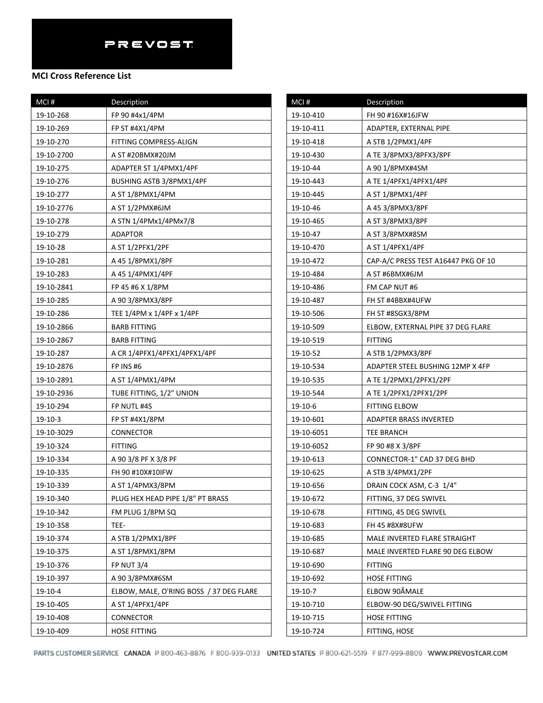| MCI#       | Description                             |
|------------|-----------------------------------------|
| 19-10-268  | FP 90 #4x1/4PM                          |
| 19-10-269  | FP ST #4X1/4PM                          |
| 19-10-270  | FITTING COMPRESS-ALIGN                  |
| 19-10-2700 | A ST #20BMX#20JM                        |
| 19-10-275  | ADAPTER ST 1/4PMX1/4PF                  |
| 19-10-276  | BUSHING ASTB 3/8PMX1/4PF                |
| 19-10-277  | A ST 1/8PMX1/4PM                        |
| 19-10-2776 | A ST 1/2PMX#6JM                         |
| 19-10-278  | A STN 1/4PMx1/4PMx7/8                   |
| 19-10-279  | <b>ADAPTOR</b>                          |
| 19-10-28   | A ST 1/2PFX1/2PF                        |
| 19-10-281  | A 45 1/8PMX1/8PF                        |
| 19-10-283  | A 45 1/4PMX1/4PF                        |
| 19-10-2841 | FP 45 #6 X 1/8PM                        |
| 19-10-285  | A 90 3/8PMX3/8PF                        |
| 19-10-286  | TEE 1/4PM x 1/4PF x 1/4PF               |
| 19-10-2866 | <b>BARB FITTING</b>                     |
| 19-10-2867 | <b>BARB FITTING</b>                     |
| 19-10-287  | A CR 1/4PFX1/4PFX1/4PFX1/4PF            |
| 19-10-2876 | FP INS #6                               |
| 19-10-2891 | A ST 1/4PMX1/4PM                        |
| 19-10-2936 | TUBE FITTING, 1/2" UNION                |
| 19-10-294  | FP NUTL #4S                             |
| 19-10-3    | FP ST #4X1/8PM                          |
| 19-10-3029 | CONNECTOR                               |
| 19-10-324  | <b>FITTING</b>                          |
| 19-10-334  | A 90 3/8 PF X 3/8 PF                    |
| 19-10-335  | FH 90 #10X#10IFW                        |
| 19-10-339  | A ST 1/4PMX3/8PM                        |
| 19-10-340  | PLUG HEX HEAD PIPE 1/8" PT BRASS        |
| 19-10-342  | FM PLUG 1/8PM SQ                        |
| 19-10-358  | TEE-                                    |
| 19-10-374  | A STB 1/2PMX1/8PF                       |
| 19-10-375  | A ST 1/8PMX1/8PM                        |
| 19-10-376  | <b>FP NUT 3/4</b>                       |
| 19-10-397  | A 90 3/8PMX#6SM                         |
| 19-10-4    | ELBOW, MALE, O'RING BOSS / 37 DEG FLARE |
| 19-10-405  | A ST 1/4PFX1/4PF                        |
| 19-10-408  | CONNECTOR                               |
| 19-10-409  | HOSE FITTING                            |

| MCI#       | Description                         |
|------------|-------------------------------------|
| 19-10-410  | FH 90 #16X#16JFW                    |
| 19-10-411  | ADAPTER, EXTERNAL PIPE              |
| 19-10-418  | A STB 1/2PMX1/4PF                   |
| 19-10-430  | A TE 3/8PMX3/8PFX3/8PF              |
| 19-10-44   | A 90 1/8PMX#4SM                     |
| 19-10-443  | A TE 1/4PFX1/4PFX1/4PF              |
| 19-10-445  | A ST 1/8PMX1/4PF                    |
| 19-10-46   | A 45 3/8PMX3/8PF                    |
| 19-10-465  | A ST 3/8PMX3/8PF                    |
| 19-10-47   | A ST 3/8PMX#8SM                     |
| 19-10-470  | A ST 1/4PFX1/4PF                    |
| 19-10-472  | CAP-A/C PRESS TEST A16447 PKG OF 10 |
| 19-10-484  | A ST #6BMX#6JM                      |
| 19-10-486  | FM CAP NUT #6                       |
| 19-10-487  | FH ST #4BBX#4UFW                    |
| 19-10-506  | FH ST #8SGX3/8PM                    |
| 19-10-509  | ELBOW, EXTERNAL PIPE 37 DEG FLARE   |
| 19-10-519  | <b>FITTING</b>                      |
| 19-10-52   | A STB 1/2PMX3/8PF                   |
| 19-10-534  | ADAPTER STEEL BUSHING 12MP X 4FP    |
| 19-10-535  | A TE 1/2PMX1/2PFX1/2PF              |
| 19-10-544  | A TE 1/2PFX1/2PFX1/2PF              |
| 19-10-6    | FITTING ELBOW                       |
| 19-10-601  | ADAPTER BRASS INVERTED              |
| 19-10-6051 | TEE BRANCH                          |
| 19-10-6052 | FP 90 #8 X 3/8PF                    |
| 19-10-613  | CONNECTOR-1" CAD 37 DEG BHD         |
| 19-10-625  | A STB 3/4PMX1/2PF                   |
| 19-10-656  | DRAIN COCK ASM, C-3 1/4"            |
| 19-10-672  | FITTING, 37 DEG SWIVEL              |
| 19-10-678  | FITTING, 45 DEG SWIVEL              |
| 19-10-683  | FH 45 #8X#8UFW                      |
| 19-10-685  | MALE INVERTED FLARE STRAIGHT        |
| 19-10-687  | MALE INVERTED FLARE 90 DEG ELBOW    |
| 19-10-690  | <b>FITTING</b>                      |
| 19-10-692  | <b>HOSE FITTING</b>                 |
| 19-10-7    | ELBOW 90ÂMALE                       |
| 19-10-710  | ELBOW-90 DEG/SWIVEL FITTING         |
| 19-10-715  | <b>HOSE FITTING</b>                 |
| 19-10-724  | FITTING, HOSE                       |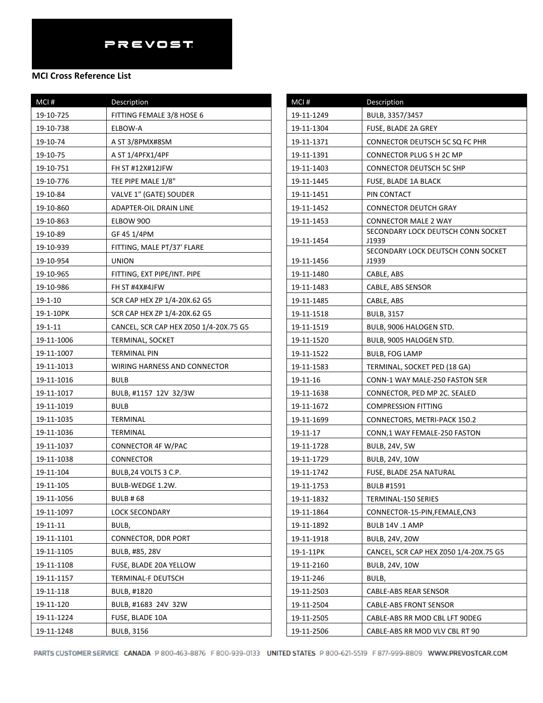| MCI#          | Description                            |
|---------------|----------------------------------------|
| 19-10-725     | FITTING FEMALE 3/8 HOSE 6              |
| 19-10-738     | ELBOW-A                                |
| 19-10-74      | A ST 3/8PMX#8SM                        |
| 19-10-75      | A ST 1/4PFX1/4PF                       |
| 19-10-751     | <b>FH ST #12X#12JFW</b>                |
| 19-10-776     | TEE PIPE MALE 1/8"                     |
| 19-10-84      | VALVE 1" (GATE) SOUDER                 |
| 19-10-860     | ADAPTER-OIL DRAIN LINE                 |
| 19-10-863     | ELBOW 900                              |
| 19-10-89      | GF 45 1/4PM                            |
| 19-10-939     | FITTING, MALE PT/37' FLARE             |
| 19-10-954     | <b>UNION</b>                           |
| 19-10-965     | FITTING, EXT PIPE/INT. PIPE            |
| 19-10-986     | FH ST #4X#4JFW                         |
| 19-1-10       | SCR CAP HEX ZP 1/4-20X.62 G5           |
| 19-1-10PK     | SCR CAP HEX ZP 1/4-20X.62 G5           |
| $19 - 1 - 11$ | CANCEL, SCR CAP HEX Z050 1/4-20X.75 G5 |
| 19-11-1006    | <b>TERMINAL, SOCKET</b>                |
| 19-11-1007    | TERMINAL PIN                           |
| 19-11-1013    | WIRING HARNESS AND CONNECTOR           |
| 19-11-1016    | BULB                                   |
| 19-11-1017    | BULB, #1157 12V 32/3W                  |
| 19-11-1019    | <b>BULB</b>                            |
| 19-11-1035    | TERMINAL                               |
| 19-11-1036    | TERMINAL                               |
| 19-11-1037    | CONNECTOR 4F W/PAC                     |
| 19-11-1038    | CONNECTOR                              |
| 19-11-104     | BULB, 24 VOLTS 3 C.P.                  |
| 19-11-105     | BULB-WEDGE 1.2W.                       |
| 19-11-1056    | BULB # 68                              |
| 19-11-1097    | LOCK SECONDARY                         |
| 19-11-11      | BULB,                                  |
| 19-11-1101    | CONNECTOR, DDR PORT                    |
| 19-11-1105    | BULB, #85, 28V                         |
| 19-11-1108    | FUSE, BLADE 20A YELLOW                 |
| 19-11-1157    | TERMINAL-F DEUTSCH                     |
| 19-11-118     | BULB, #1820                            |
| 19-11-120     | BULB, #1683 24V 32W                    |
| 19-11-1224    | FUSE, BLADE 10A                        |
| 19-11-1248    | <b>BULB, 3156</b>                      |

| $MCI$ #    | Description                                 |
|------------|---------------------------------------------|
| 19-11-1249 | BULB, 3357/3457                             |
| 19-11-1304 | FUSE, BLADE 2A GREY                         |
| 19-11-1371 | CONNECTOR DEUTSCH 5C SQ FC PHR              |
| 19-11-1391 | CONNECTOR PLUG S H 2C MP                    |
| 19-11-1403 | <b>CONNECTOR DEUTSCH 5C SHP</b>             |
| 19-11-1445 | FUSE, BLADE 1A BLACK                        |
| 19-11-1451 | PIN CONTACT                                 |
| 19-11-1452 | <b>CONNECTOR DEUTCH GRAY</b>                |
| 19-11-1453 | <b>CONNECTOR MALE 2 WAY</b>                 |
|            | SECONDARY LOCK DEUTSCH CONN SOCKET          |
| 19-11-1454 | J1939<br>SECONDARY LOCK DEUTSCH CONN SOCKET |
| 19-11-1456 | J1939                                       |
| 19-11-1480 | CABLE, ABS                                  |
| 19-11-1483 | CABLE, ABS SENSOR                           |
| 19-11-1485 | CABLE, ABS                                  |
| 19-11-1518 | <b>BULB, 3157</b>                           |
| 19-11-1519 | BULB, 9006 HALOGEN STD.                     |
| 19-11-1520 | BULB, 9005 HALOGEN STD.                     |
| 19-11-1522 | <b>BULB, FOG LAMP</b>                       |
| 19-11-1583 | TERMINAL, SOCKET PED (18 GA)                |
| 19-11-16   | CONN-1 WAY MALE-250 FASTON SER              |
| 19-11-1638 | CONNECTOR, PED MP 2C. SEALED                |
| 19-11-1672 | <b>COMPRESSION FITTING</b>                  |
| 19-11-1699 | CONNECTORS, METRI-PACK 150.2                |
| 19-11-17   | CONN, 1 WAY FEMALE-250 FASTON               |
| 19-11-1728 | BULB, 24V, 5W                               |
| 19-11-1729 | <b>BULB, 24V, 10W</b>                       |
| 19-11-1742 | FUSE, BLADE 25A NATURAL                     |
| 19-11-1753 | <b>BULB #1591</b>                           |
| 19-11-1832 | TERMINAL-150 SERIES                         |
| 19-11-1864 | CONNECTOR-15-PIN, FEMALE, CN3               |
| 19-11-1892 | BULB 14V .1 AMP                             |
| 19-11-1918 | <b>BULB, 24V, 20W</b>                       |
| 19-1-11PK  | CANCEL, SCR CAP HEX Z050 1/4-20X.75 G5      |
| 19-11-2160 | BULB, 24V, 10W                              |
| 19-11-246  | BULB,                                       |
| 19-11-2503 | CABLE-ABS REAR SENSOR                       |
| 19-11-2504 | CABLE-ABS FRONT SENSOR                      |
| 19-11-2505 | CABLE-ABS RR MOD CBL LFT 90DEG              |
| 19-11-2506 | CABLE-ABS RR MOD VLV CBL RT 90              |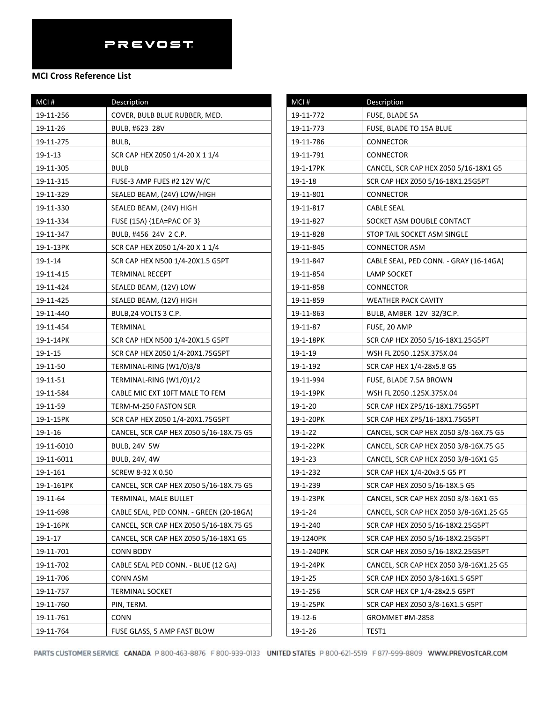| MCI#          | Description                             |
|---------------|-----------------------------------------|
| 19-11-256     | COVER, BULB BLUE RUBBER, MED.           |
| 19-11-26      | BULB, #623 28V                          |
| 19-11-275     | BULB,                                   |
| 19-1-13       | SCR CAP HEX Z050 1/4-20 X 1 1/4         |
| 19-11-305     | <b>BULB</b>                             |
| 19-11-315     | FUSE-3 AMP FUES #2 12V W/C              |
| 19-11-329     | SEALED BEAM, (24V) LOW/HIGH             |
| 19-11-330     | SEALED BEAM, (24V) HIGH                 |
| 19-11-334     | FUSE (15A) {1EA=PAC OF 3}               |
| 19-11-347     | BULB, #456 24V 2 C.P.                   |
| 19-1-13PK     | SCR CAP HEX Z050 1/4-20 X 1 1/4         |
| 19-1-14       | SCR CAP HEX N500 1/4-20X1.5 G5PT        |
| 19-11-415     | TERMINAL RECEPT                         |
| 19-11-424     | SEALED BEAM, (12V) LOW                  |
| 19-11-425     | SEALED BEAM, (12V) HIGH                 |
| 19-11-440     | BULB, 24 VOLTS 3 C.P.                   |
| 19-11-454     | TERMINAL                                |
| 19-1-14PK     | SCR CAP HEX N500 1/4-20X1.5 G5PT        |
| $19 - 1 - 15$ | SCR CAP HEX Z050 1/4-20X1.75G5PT        |
| 19-11-50      | TERMINAL-RING (W1/0)3/8                 |
| 19-11-51      | TERMINAL-RING (W1/0)1/2                 |
| 19-11-584     | CABLE MIC EXT 10FT MALE TO FEM          |
| 19-11-59      | TERM-M-250 FASTON SER                   |
| 19-1-15PK     | SCR CAP HEX Z050 1/4-20X1.75G5PT        |
| 19-1-16       | CANCEL, SCR CAP HEX Z050 5/16-18X.75 G5 |
| 19-11-6010    | <b>BULB, 24V 5W</b>                     |
| 19-11-6011    | BULB, 24V, 4W                           |
| 19-1-161      | SCREW 8-32 X 0.50                       |
| 19-1-161PK    | CANCEL, SCR CAP HEX Z050 5/16-18X.75 G5 |
| 19-11-64      | TERMINAL, MALE BULLET                   |
| 19-11-698     | CABLE SEAL, PED CONN. - GREEN (20-18GA) |
| 19-1-16PK     | CANCEL, SCR CAP HEX Z050 5/16-18X.75 G5 |
| 19-1-17       | CANCEL, SCR CAP HEX Z050 5/16-18X1 G5   |
| 19-11-701     | <b>CONN BODY</b>                        |
| 19-11-702     | CABLE SEAL PED CONN. - BLUE (12 GA)     |
| 19-11-706     | CONN ASM                                |
| 19-11-757     | <b>TERMINAL SOCKET</b>                  |
| 19-11-760     | PIN, TERM.                              |
| 19-11-761     | CONN                                    |
| 19-11-764     | FUSE GLASS, 5 AMP FAST BLOW             |

| MCI#          | Description                             |
|---------------|-----------------------------------------|
| 19-11-772     | FUSE, BLADE 5A                          |
| 19-11-773     | FUSE, BLADE TO 15A BLUE                 |
| 19-11-786     | CONNECTOR                               |
| 19-11-791     | CONNECTOR                               |
| 19-1-17PK     | CANCEL, SCR CAP HEX Z050 5/16-18X1 G5   |
| 19-1-18       | SCR CAP HEX Z050 5/16-18X1.25G5PT       |
| 19-11-801     | CONNECTOR                               |
| 19-11-817     | CABLE SEAL                              |
| 19-11-827     | SOCKET ASM DOUBLE CONTACT               |
| 19-11-828     | STOP TAIL SOCKET ASM SINGLE             |
| 19-11-845     | CONNECTOR ASM                           |
| 19-11-847     | CABLE SEAL, PED CONN. - GRAY (16-14GA)  |
| 19-11-854     | LAMP SOCKET                             |
| 19-11-858     | CONNECTOR                               |
| 19-11-859     | WEATHER PACK CAVITY                     |
| 19-11-863     | BULB, AMBER 12V 32/3C.P.                |
| 19-11-87      | FUSE, 20 AMP                            |
| 19-1-18PK     | SCR CAP HEX Z050 5/16-18X1.25G5PT       |
| 19-1-19       | WSH FL Z050 .125X.375X.04               |
| 19-1-192      | SCR CAP HEX 1/4-28x5.8 G5               |
| 19-11-994     | FUSE, BLADE 7.5A BROWN                  |
| 19-1-19PK     | WSH FL Z050 .125X.375X.04               |
| $19 - 1 - 20$ | SCR CAP HEX ZP5/16-18X1.75G5PT          |
| 19-1-20PK     | SCR CAP HEX ZP5/16-18X1.75G5PT          |
| $19 - 1 - 22$ | CANCEL, SCR CAP HEX Z050 3/8-16X.75 G5  |
| 19-1-22PK     | CANCEL, SCR CAP HEX Z050 3/8-16X.75 G5  |
| 19-1-23       | CANCEL, SCR CAP HEX Z050 3/8-16X1 G5    |
| 19-1-232      | SCR CAP HEX 1/4-20x3.5 G5 PT            |
| 19-1-239      | SCR CAP HEX Z050 5/16-18X.5 G5          |
| 19-1-23PK     | CANCEL, SCR CAP HEX Z050 3/8-16X1 G5    |
| 19-1-24       | CANCEL, SCR CAP HEX Z050 3/8-16X1.25 G5 |
| 19-1-240      | SCR CAP HEX Z050 5/16-18X2.25G5PT       |
| 19-1240PK     | SCR CAP HEX Z050 5/16-18X2.25G5PT       |
| 19-1-240PK    | SCR CAP HEX Z050 5/16-18X2.25G5PT       |
| 19-1-24PK     | CANCEL, SCR CAP HEX Z050 3/8-16X1.25 G5 |
| 19-1-25       | SCR CAP HEX Z050 3/8-16X1.5 G5PT        |
| 19-1-256      | SCR CAP HEX CP 1/4-28x2.5 G5PT          |
| 19-1-25PK     | SCR CAP HEX Z050 3/8-16X1.5 G5PT        |
| 19-12-6       | GROMMET #M-2858                         |
| $19 - 1 - 26$ | TEST1                                   |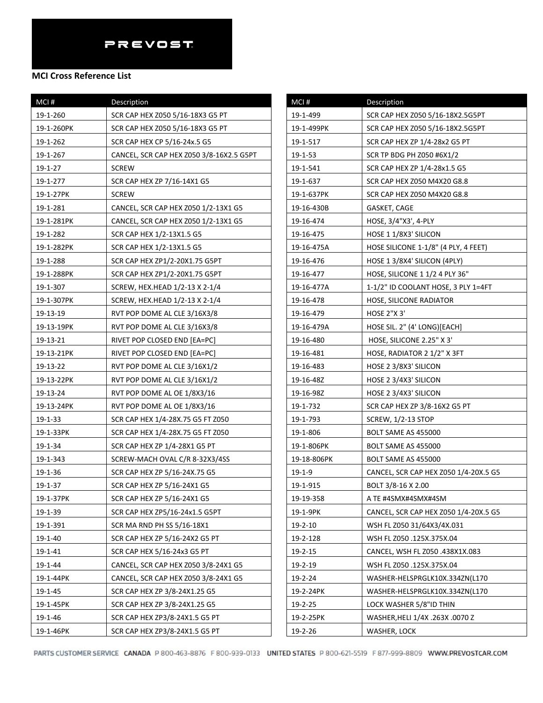#### **MCI Cross Reference List**

| MCI#       | Description                              |
|------------|------------------------------------------|
| 19-1-260   | SCR CAP HEX Z050 5/16-18X3 G5 PT         |
| 19-1-260PK | SCR CAP HEX Z050 5/16-18X3 G5 PT         |
| 19-1-262   | SCR CAP HEX CP 5/16-24x.5 G5             |
| 19-1-267   | CANCEL, SCR CAP HEX Z050 3/8-16X2.5 G5PT |
| 19-1-27    | <b>SCREW</b>                             |
| 19-1-277   | SCR CAP HEX ZP 7/16-14X1 G5              |
| 19-1-27PK  | <b>SCREW</b>                             |
| 19-1-281   | CANCEL, SCR CAP HEX Z050 1/2-13X1 G5     |
| 19-1-281PK | CANCEL, SCR CAP HEX Z050 1/2-13X1 G5     |
| 19-1-282   | SCR CAP HEX 1/2-13X1.5 G5                |
| 19-1-282PK | SCR CAP HEX 1/2-13X1.5 G5                |
| 19-1-288   | SCR CAP HEX ZP1/2-20X1.75 G5PT           |
| 19-1-288PK | SCR CAP HEX ZP1/2-20X1.75 G5PT           |
| 19-1-307   | SCREW, HEX.HEAD 1/2-13 X 2-1/4           |
| 19-1-307PK | SCREW, HEX.HEAD 1/2-13 X 2-1/4           |
| 19-13-19   | RVT POP DOME AL CLE 3/16X3/8             |
| 19-13-19PK | RVT POP DOME AL CLE 3/16X3/8             |
| 19-13-21   | RIVET POP CLOSED END [EA=PC]             |
| 19-13-21PK | RIVET POP CLOSED END [EA=PC]             |
| 19-13-22   | RVT POP DOME AL CLE 3/16X1/2             |
| 19-13-22PK | RVT POP DOME AL CLE 3/16X1/2             |
| 19-13-24   | RVT POP DOME AL OE 1/8X3/16              |
| 19-13-24PK | RVT POP DOME AL OE 1/8X3/16              |
| 19-1-33    | SCR CAP HEX 1/4-28X.75 G5 FT Z050        |
| 19-1-33PK  | SCR CAP HEX 1/4-28X.75 G5 FT Z050        |
| 19-1-34    | SCR CAP HEX ZP 1/4-28X1 G5 PT            |
| 19-1-343   | SCREW-MACH OVAL C/R 8-32X3/4SS           |
| 19-1-36    | SCR CAP HEX ZP 5/16-24X.75 G5            |
| 19-1-37    | SCR CAP HEX ZP 5/16-24X1 G5              |
| 19-1-37PK  | SCR CAP HEX ZP 5/16-24X1 G5              |
| 19-1-39    | SCR CAP HEX ZP5/16-24x1.5 G5PT           |
| 19-1-391   | SCR MA RND PH SS 5/16-18X1               |
| 19-1-40    | SCR CAP HEX ZP 5/16-24X2 G5 PT           |
| 19-1-41    | SCR CAP HEX 5/16-24x3 G5 PT              |
| 19-1-44    | CANCEL, SCR CAP HEX Z050 3/8-24X1 G5     |
| 19-1-44PK  | CANCEL, SCR CAP HEX Z050 3/8-24X1 G5     |
| 19-1-45    | SCR CAP HEX ZP 3/8-24X1.25 G5            |
| 19-1-45PK  | SCR CAP HEX ZP 3/8-24X1.25 G5            |
| 19-1-46    | SCR CAP HEX ZP3/8-24X1.5 G5 PT           |
| 19-1-46PK  | SCR CAP HEX ZP3/8-24X1.5 G5 PT           |

| MCI#        | Description                           |
|-------------|---------------------------------------|
| 19-1-499    | SCR CAP HEX Z050 5/16-18X2.5G5PT      |
| 19-1-499PK  | SCR CAP HEX Z050 5/16-18X2.5G5PT      |
| 19-1-517    | SCR CAP HEX ZP 1/4-28x2 G5 PT         |
| 19-1-53     | SCR TP BDG PH Z050 #6X1/2             |
| 19-1-541    | SCR CAP HEX ZP 1/4-28x1.5 G5          |
| 19-1-637    | SCR CAP HEX Z050 M4X20 G8.8           |
| 19-1-637PK  | SCR CAP HEX Z050 M4X20 G8.8           |
| 19-16-430B  | GASKET, CAGE                          |
| 19-16-474   | HOSE, 3/4"X3', 4-PLY                  |
| 19-16-475   | HOSE 1 1/8X3' SILICON                 |
| 19-16-475A  | HOSE SILICONE 1-1/8" (4 PLY, 4 FEET)  |
| 19-16-476   | HOSE 1 3/8X4' SILICON (4PLY)          |
| 19-16-477   | HOSE, SILICONE 1 1/2 4 PLY 36"        |
| 19-16-477A  | 1-1/2" ID COOLANT HOSE, 3 PLY 1=4FT   |
| 19-16-478   | HOSE, SILICONE RADIATOR               |
| 19-16-479   | <b>HOSE 2"X 3"</b>                    |
| 19-16-479A  | HOSE SIL. 2" (4' LONG)[EACH]          |
| 19-16-480   | HOSE, SILICONE 2.25" X 3'             |
| 19-16-481   | HOSE, RADIATOR 2 1/2" X 3FT           |
| 19-16-483   | HOSE 2 3/8X3' SILICON                 |
| 19-16-48Z   | HOSE 2 3/4X3' SILICON                 |
| 19-16-98Z   | HOSE 2 3/4X3' SILICON                 |
| 19-1-732    | SCR CAP HEX ZP 3/8-16X2 G5 PT         |
| 19-1-793    | SCREW, 1/2-13 STOP                    |
| 19-1-806    | BOLT SAME AS 455000                   |
| 19-1-806PK  | BOLT SAME AS 455000                   |
| 19-18-806PK | BOLT SAME AS 455000                   |
| $19-1-9$    | CANCEL, SCR CAP HEX Z050 1/4-20X.5 G5 |
| 19-1-915    | BOLT 3/8-16 X 2.00                    |
| 19-19-358   | A TE #4SMX#4SMX#4SM                   |
| 19-1-9PK    | CANCEL, SCR CAP HEX Z050 1/4-20X.5 G5 |
| 19-2-10     | WSH FL Z050 31/64X3/4X.031            |
| 19-2-128    | WSH FL Z050 .125X.375X.04             |
| 19-2-15     | CANCEL, WSH FL Z050 .438X1X.083       |
| 19-2-19     | WSH FL Z050 .125X.375X.04             |
| 19-2-24     | WASHER-HELSPRGLK10X.334ZN(L170        |
| 19-2-24PK   | WASHER-HELSPRGLK10X.334ZN(L170        |
| 19-2-25     | LOCK WASHER 5/8"ID THIN               |
| 19-2-25PK   | WASHER, HELI 1/4X . 263X . 0070 Z     |
| 19-2-26     | WASHER, LOCK                          |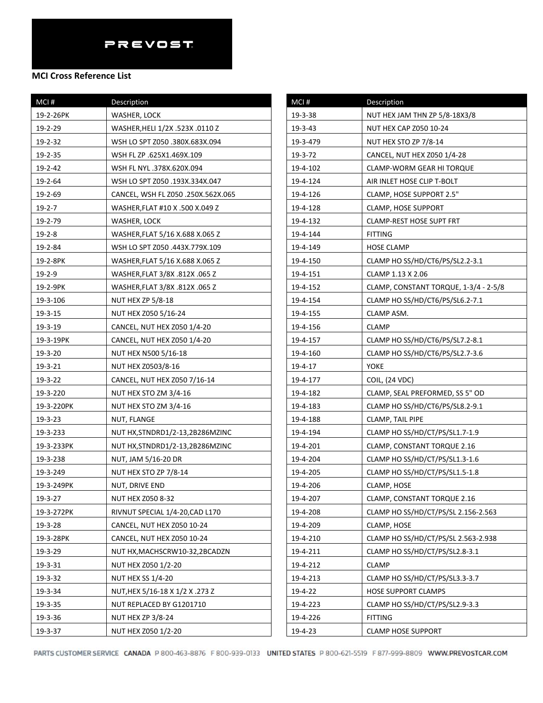| MCI#          | Description                        | $MCI$ #   | Description         |
|---------------|------------------------------------|-----------|---------------------|
| 19-2-26PK     | WASHER, LOCK                       | 19-3-38   | NUT HEX JA          |
| 19-2-29       | WASHER, HELI 1/2X .523X .0110 Z    | 19-3-43   | NUT HEX CA          |
| 19-2-32       | WSH LO SPT Z050 .380X.683X.094     | 19-3-479  | <b>NUT HEX ST</b>   |
| 19-2-35       | WSH FL ZP .625X1.469X.109          | 19-3-72   | CANCEL, NU          |
| 19-2-42       | WSH FL NYL .378X.620X.094          | 19-4-102  | CLAMP-WC            |
| 19-2-64       | WSH LO SPT Z050.193X.334X.047      | 19-4-124  | AIR INLET H         |
| 19-2-69       | CANCEL, WSH FL Z050 .250X.562X.065 | 19-4-126  | CLAMP, HO           |
| $19 - 2 - 7$  | WASHER, FLAT #10 X .500 X.049 Z    | 19-4-128  | CLAMP, HO           |
| 19-2-79       | WASHER, LOCK                       | 19-4-132  | <b>CLAMP-RES</b>    |
| $19 - 2 - 8$  | WASHER, FLAT 5/16 X.688 X.065 Z    | 19-4-144  | FITTING             |
| 19-2-84       | WSH LO SPT Z050 .443X.779X.109     | 19-4-149  | <b>HOSE CLAM</b>    |
| 19-2-8PK      | WASHER, FLAT 5/16 X.688 X.065 Z    | 19-4-150  | <b>CLAMP HO</b>     |
| $19 - 2 - 9$  | WASHER, FLAT 3/8X .812X .065 Z     | 19-4-151  | <b>CLAMP 1.13</b>   |
| 19-2-9PK      | WASHER, FLAT 3/8X .812X .065 Z     | 19-4-152  | CLAMP, CO           |
| 19-3-106      | <b>NUT HEX ZP 5/8-18</b>           | 19-4-154  | <b>CLAMP HO</b>     |
| 19-3-15       | NUT HEX Z050 5/16-24               | 19-4-155  | <b>CLAMP ASN</b>    |
| 19-3-19       | CANCEL, NUT HEX Z050 1/4-20        | 19-4-156  | <b>CLAMP</b>        |
| 19-3-19PK     | CANCEL, NUT HEX Z050 1/4-20        | 19-4-157  | <b>CLAMP HO</b>     |
| 19-3-20       | NUT HEX N500 5/16-18               | 19-4-160  | <b>CLAMP HO</b>     |
| 19-3-21       | NUT HEX Z0503/8-16                 | 19-4-17   | YOKE                |
| 19-3-22       | CANCEL, NUT HEX Z050 7/16-14       | 19-4-177  | <b>COIL, (24 VI</b> |
| 19-3-220      | NUT HEX STO ZM 3/4-16              | 19-4-182  | CLAMP, SEA          |
| 19-3-220PK    | NUT HEX STO ZM 3/4-16              | 19-4-183  | <b>CLAMP HO</b>     |
| 19-3-23       | NUT, FLANGE                        | 19-4-188  | CLAMP, TAI          |
| 19-3-233      | NUT HX, STNDRD1/2-13, 2B286MZINC   | 19-4-194  | <b>CLAMP HO</b>     |
| 19-3-233PK    | NUT HX, STNDRD1/2-13, 2B286MZINC   | 19-4-201  | CLAMP, CO           |
| 19-3-238      | NUT, JAM 5/16-20 DR                | 19-4-204  | <b>CLAMP HO</b>     |
| 19-3-249      | NUT HEX STO ZP 7/8-14              | 19-4-205  | <b>CLAMP HO</b>     |
| 19-3-249PK    | NUT, DRIVE END                     | 19-4-206  | CLAMP, HO           |
| $19 - 3 - 27$ | NUT HEX Z050 8-32                  | 19-4-207  | CLAMP, CO           |
| 19-3-272PK    | RIVNUT SPECIAL 1/4-20, CAD L170    | 19-4-208  | <b>CLAMP HO</b>     |
| 19-3-28       | CANCEL, NUT HEX Z050 10-24         | 19-4-209  | CLAMP, HO           |
| 19-3-28PK     | CANCEL, NUT HEX Z050 10-24         | 19-4-210  | <b>CLAMP HO</b>     |
| 19-3-29       | NUT HX, MACHSCRW10-32, 2BCADZN     | 19-4-211  | <b>CLAMP HO</b>     |
| 19-3-31       | NUT HEX Z050 1/2-20                | 19-4-212  | <b>CLAMP</b>        |
| 19-3-32       | NUT HEX SS 1/4-20                  | 19-4-213  | <b>CLAMP HO</b>     |
| 19-3-34       | NUT.HEX 5/16-18 X 1/2 X .273 Z     | $19-4-22$ | <b>HOSE SUPP</b>    |
| 19-3-35       | NUT REPLACED BY G1201710           | 19-4-223  | CLAMP HO            |
| 19-3-36       | NUT HEX ZP 3/8-24                  | 19-4-226  | <b>FITTING</b>      |
| 19-3-37       | NUT HEX Z050 1/2-20                | 19-4-23   | <b>CLAMP HOS</b>    |

| MCI#     | Description                           |
|----------|---------------------------------------|
| 19-3-38  | NUT HEX JAM THN ZP 5/8-18X3/8         |
| 19-3-43  | NUT HEX CAP Z050 10-24                |
| 19-3-479 | NUT HEX STO ZP 7/8-14                 |
| 19-3-72  | CANCEL, NUT HEX Z050 1/4-28           |
| 19-4-102 | CLAMP-WORM GEAR HI TORQUE             |
| 19-4-124 | AIR INLET HOSE CLIP T-BOLT            |
| 19-4-126 | CLAMP, HOSE SUPPORT 2.5"              |
| 19-4-128 | <b>CLAMP, HOSE SUPPORT</b>            |
| 19-4-132 | CLAMP-REST HOSE SUPT FRT              |
| 19-4-144 | <b>FITTING</b>                        |
| 19-4-149 | HOSE CLAMP                            |
| 19-4-150 | CLAMP HO SS/HD/CT6/PS/SL2.2-3.1       |
| 19-4-151 | CLAMP 1.13 X 2.06                     |
| 19-4-152 | CLAMP, CONSTANT TORQUE, 1-3/4 - 2-5/8 |
| 19-4-154 | CLAMP HO SS/HD/CT6/PS/SL6.2-7.1       |
| 19-4-155 | CLAMP ASM.                            |
| 19-4-156 | <b>CLAMP</b>                          |
| 19-4-157 | CLAMP HO SS/HD/CT6/PS/SL7.2-8.1       |
| 19-4-160 | CLAMP HO SS/HD/CT6/PS/SL2.7-3.6       |
| 19-4-17  | YOKE                                  |
| 19-4-177 | COIL, (24 VDC)                        |
| 19-4-182 | CLAMP, SEAL PREFORMED, SS 5" OD       |
| 19-4-183 | CLAMP HO SS/HD/CT6/PS/SL8.2-9.1       |
| 19-4-188 | CLAMP, TAIL PIPE                      |
| 19-4-194 | CLAMP HO SS/HD/CT/PS/SL1.7-1.9        |
| 19-4-201 | CLAMP, CONSTANT TORQUE 2.16           |
| 19-4-204 | CLAMP HO SS/HD/CT/PS/SL1.3-1.6        |
| 19-4-205 | CLAMP HO SS/HD/CT/PS/SL1.5-1.8        |
| 19-4-206 | CLAMP, HOSE                           |
| 19-4-207 | CLAMP, CONSTANT TORQUE 2.16           |
| 19-4-208 | CLAMP HO SS/HD/CT/PS/SL 2.156-2.563   |
| 19-4-209 | CLAMP, HOSE                           |
| 19-4-210 | CLAMP HO SS/HD/CT/PS/SL 2.563-2.938   |
| 19-4-211 | CLAMP HO SS/HD/CT/PS/SL2.8-3.1        |
| 19-4-212 | CLAMP                                 |
| 19-4-213 | CLAMP HO SS/HD/CT/PS/SL3.3-3.7        |
| 19-4-22  | <b>HOSE SUPPORT CLAMPS</b>            |
| 19-4-223 | CLAMP HO SS/HD/CT/PS/SL2.9-3.3        |
| 19-4-226 | <b>FITTING</b>                        |
| 19-4-23  | <b>CLAMP HOSE SUPPORT</b>             |
|          |                                       |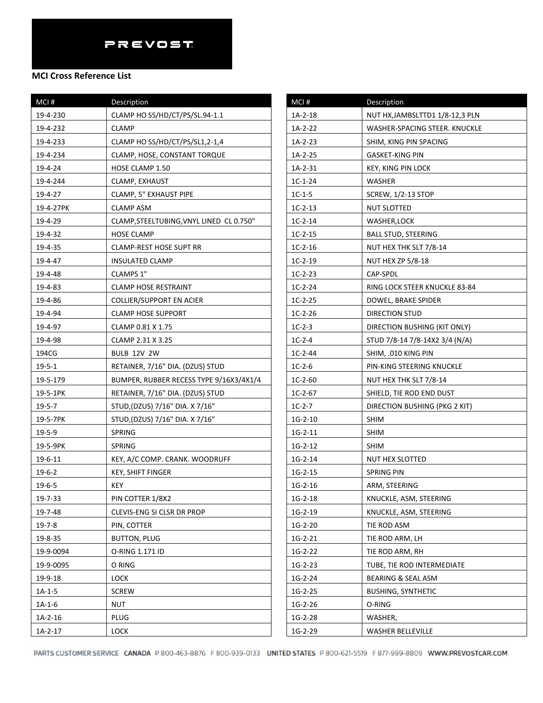#### **MCI Cross Reference List**

| MCI#         | Description                              |
|--------------|------------------------------------------|
| 19-4-230     | CLAMP HO SS/HD/CT/PS/SL.94-1.1           |
| 19-4-232     | <b>CLAMP</b>                             |
| 19-4-233     | CLAMP HO SS/HD/CT/PS/SL1,2-1,4           |
| 19-4-234     | CLAMP, HOSE, CONSTANT TORQUE             |
| 19-4-24      | HOSE CLAMP 1.50                          |
| 19-4-244     | CLAMP, EXHAUST                           |
| 19-4-27      | CLAMP, 5" EXHAUST PIPE                   |
| 19-4-27PK    | CLAMP ASM                                |
| 19-4-29      | CLAMP, STEELTUBING, VNYL LINED CL 0.750" |
| 19-4-32      | HOSE CLAMP                               |
| 19-4-35      | CLAMP-REST HOSE SUPT RR                  |
| 19-4-47      | INSULATED CLAMP                          |
| 19-4-48      | CLAMPS 1"                                |
| 19-4-83      | <b>CLAMP HOSE RESTRAINT</b>              |
| 19-4-86      | COLLIER/SUPPORT EN ACIER                 |
| 19-4-94      | <b>CLAMP HOSE SUPPORT</b>                |
| 19-4-97      | CLAMP 0.81 X 1.75                        |
| 19-4-98      | CLAMP 2.31 X 3.25                        |
| 194CG        | BULB 12V 2W                              |
| $19 - 5 - 1$ | RETAINER, 7/16" DIA. (DZUS) STUD         |
| 19-5-179     | BUMPER, RUBBER RECESS TYPE 9/16X3/4X1/4  |
| 19-5-1PK     | RETAINER, 7/16" DIA. (DZUS) STUD         |
| $19 - 5 - 7$ | STUD, (DZUS) 7/16" DIA. X 7/16"          |
| 19-5-7PK     | STUD, (DZUS) 7/16" DIA. X 7/16"          |
| 19-5-9       | SPRING                                   |
| 19-5-9PK     | SPRING                                   |
| 19-6-11      | KEY, A/C COMP. CRANK. WOODRUFF           |
| $19 - 6 - 2$ | KEY, SHIFT FINGER                        |
| $19 - 6 - 5$ | KEY                                      |
| 19-7-33      | PIN COTTER 1/8X2                         |
| 19-7-48      | CLEVIS-ENG SI CLSR DR PROP               |
| 19-7-8       | PIN, COTTER                              |
| 19-8-35      | BUTTON, PLUG                             |
| 19-9-0094    | O-RING 1.171 ID                          |
| 19-9-0095    | O RING                                   |
| 19-9-18      | <b>LOCK</b>                              |
| $1A-1-5$     | <b>SCREW</b>                             |
| $1A-1-6$     | <b>NUT</b>                               |
| $1A-2-16$    | PLUG                                     |
| $1A-2-17$    | <b>LOCK</b>                              |

| MCI#      | Description                      |
|-----------|----------------------------------|
| 1A-2-18   | NUT HX, JAMBSLTTD1 1/8-12, 3 PLN |
| 1A-2-22   | WASHER-SPACING STEER. KNUCKLE    |
| 1A-2-23   | SHIM, KING PIN SPACING           |
| 1A-2-25   | GASKET-KING PIN                  |
| $1A-2-31$ | KEY, KING PIN LOCK               |
| $1C-1-24$ | WASHER                           |
| $1C-1-5$  | <b>SCREW, 1/2-13 STOP</b>        |
| $1C-2-13$ | NUT SLOTTED                      |
| $1C-2-14$ | WASHER, LOCK                     |
| $1C-2-15$ | BALL STUD, STEERING              |
| $1C-2-16$ | NUT HEX THK SLT 7/8-14           |
| $1C-2-19$ | <b>NUT HEX ZP 5/8-18</b>         |
| $1C-2-23$ | CAP-SPDL                         |
| $1C-2-24$ | RING LOCK STEER KNUCKLE 83-84    |
| $1C-2-25$ | DOWEL, BRAKE SPIDER              |
| $1C-2-26$ | DIRECTION STUD                   |
| $1C-2-3$  | DIRECTION BUSHING (KIT ONLY)     |
| $1C-2-4$  | STUD 7/8-14 7/8-14X2 3/4 (N/A)   |
| $1C-2-44$ | SHIM, .010 KING PIN              |
| $1C-2-6$  | PIN-KING STEERING KNUCKLE        |
| $1C-2-60$ | NUT HEX THK SLT 7/8-14           |
| $1C-2-67$ | SHIELD, TIE ROD END DUST         |
| $1C-2-7$  | DIRECTION BUSHING (PKG 2 KIT)    |
| $1G-2-10$ | SHIM                             |
| $1G-2-11$ | <b>SHIM</b>                      |
| $1G-2-12$ | <b>SHIM</b>                      |
| $1G-2-14$ | NUT HEX SLOTTED                  |
| $1G-2-15$ | SPRING PIN                       |
| $1G-2-16$ | ARM, STEERING                    |
| $1G-2-18$ | KNUCKLE, ASM, STEERING           |
| $1G-2-19$ | KNUCKLE, ASM, STEERING           |
| $1G-2-20$ | TIE ROD ASM                      |
| $1G-2-21$ | TIE ROD ARM, LH                  |
| $1G-2-22$ | TIE ROD ARM, RH                  |
| $1G-2-23$ | TUBE, TIE ROD INTERMEDIATE       |
| 1G-2-24   | BEARING & SEAL ASM               |
| $1G-2-25$ | <b>BUSHING, SYNTHETIC</b>        |
| $1G-2-26$ | O-RING                           |
| 1G-2-28   | WASHER,                          |
| 1G-2-29   | WASHER BELLEVILLE                |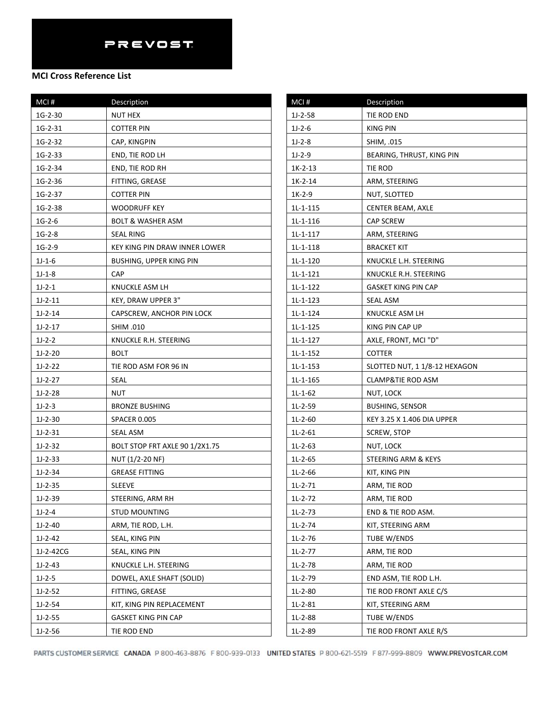| MCI#      | Description                           | MCI#       | Description             |
|-----------|---------------------------------------|------------|-------------------------|
| $1G-2-30$ | NUT HEX                               | $1J-2-58$  | TIE ROD END             |
| $1G-2-31$ | <b>COTTER PIN</b>                     | $1J-2-6$   | <b>KING PIN</b>         |
| $1G-2-32$ | CAP, KINGPIN                          | $1J-2-8$   | SHIM, .015              |
| $1G-2-33$ | END, TIE ROD LH                       | $1J-2-9$   | <b>BEARING, THRU</b>    |
| $1G-2-34$ | END, TIE ROD RH                       | $1K-2-13$  | TIE ROD                 |
| 1G-2-36   | FITTING, GREASE                       | $1K-2-14$  | ARM, STEERING           |
| $1G-2-37$ | <b>COTTER PIN</b>                     | $1K-2-9$   | NUT, SLOTTED            |
| 1G-2-38   | <b>WOODRUFF KEY</b>                   | $1L-1-115$ | CENTER BEAM,            |
| $1G-2-6$  | <b>BOLT &amp; WASHER ASM</b>          | $1L-1-116$ | <b>CAP SCREW</b>        |
| $1G-2-8$  | <b>SEAL RING</b>                      | 1L-1-117   | ARM, STEERING           |
| $1G-2-9$  | KEY KING PIN DRAW INNER LOWER         | 1L-1-118   | <b>BRACKET KIT</b>      |
| $1J-1-6$  | <b>BUSHING, UPPER KING PIN</b>        | $1L-1-120$ | KNUCKLE L.H. ST         |
| $1J-1-8$  | <b>CAP</b>                            | $1L-1-121$ | <b>KNUCKLE R.H. S</b>   |
| $1J-2-1$  | KNUCKLE ASM LH                        | $1L-1-122$ | <b>GASKET KING PI</b>   |
| $1J-2-11$ | KEY, DRAW UPPER 3"                    | $1L-1-123$ | <b>SEAL ASM</b>         |
| $1J-2-14$ | CAPSCREW, ANCHOR PIN LOCK             | $1L-1-124$ | <b>KNUCKLE ASM I</b>    |
| $1J-2-17$ | SHIM .010                             | $1L-1-125$ | KING PIN CAP U          |
| $1J-2-2$  | KNUCKLE R.H. STEERING                 | $1L-1-127$ | AXLE, FRONT, M          |
| $1J-2-20$ | <b>BOLT</b>                           | $1L-1-152$ | <b>COTTER</b>           |
| $1J-2-22$ | TIE ROD ASM FOR 96 IN                 | $1L-1-153$ | SLOTTED NUT, 1          |
| $1J-2-27$ | <b>SEAL</b>                           | $1L-1-165$ | <b>CLAMP&amp;TIE RO</b> |
| $1J-2-28$ | <b>NUT</b>                            | $1L-1-62$  | NUT, LOCK               |
| $1J-2-3$  | <b>BRONZE BUSHING</b>                 | $1L-2-59$  | <b>BUSHING, SENS</b>    |
| $1J-2-30$ | <b>SPACER 0.005</b>                   | $1L-2-60$  | KEY 3.25 X 1.40         |
| $1J-2-31$ | <b>SEAL ASM</b>                       | $1L-2-61$  | SCREW, STOP             |
| $1J-2-32$ | <b>BOLT STOP FRT AXLE 90 1/2X1.75</b> | $1L-2-63$  | NUT, LOCK               |
| $1J-2-33$ | NUT (1/2-20 NF)                       | $1L-2-65$  | STEERING ARM            |
| $1J-2-34$ | <b>GREASE FITTING</b>                 | $1L-2-66$  | KIT, KING PIN           |
| $1J-2-35$ | <b>SLEEVE</b>                         | $1L-2-71$  | ARM, TIE ROD            |
| $1J-2-39$ | STEERING, ARM RH                      | $1L-2-72$  | ARM, TIE ROD            |
| $1J-2-4$  | <b>STUD MOUNTING</b>                  | $1L-2-73$  | END & TIE ROD           |
| $1J-2-40$ | ARM, TIE ROD, L.H.                    | $1L-2-74$  | KIT, STEERING A         |
| $1J-2-42$ | SEAL, KING PIN                        | $1L-2-76$  | TUBE W/ENDS             |
| 1J-2-42CG | SEAL, KING PIN                        | $1L-2-77$  | ARM, TIE ROD            |
| $1J-2-43$ | KNUCKLE L.H. STEERING                 | 1L-2-78    | ARM, TIE ROD            |
| $1J-2-5$  | DOWEL, AXLE SHAFT (SOLID)             | $1L-2-79$  | END ASM, TIE R          |
| $1J-2-52$ | FITTING, GREASE                       | $1L-2-80$  | TIE ROD FRONT           |
| $1J-2-54$ | KIT, KING PIN REPLACEMENT             | $1L-2-81$  | KIT, STEERING A         |
| $1J-2-55$ | <b>GASKET KING PIN CAP</b>            | 1L-2-88    | TUBE W/ENDS             |
| $1J-2-56$ | TIE ROD END                           | 1L-2-89    | TIE ROD FRONT           |
|           |                                       |            |                         |

| IVILI #    | Description                   |
|------------|-------------------------------|
| $1J-2-58$  | TIE ROD END                   |
| $1J-2-6$   | KING PIN                      |
| $1J-2-8$   | SHIM, .015                    |
| $1J-2-9$   | BEARING, THRUST, KING PIN     |
| $1K-2-13$  | TIE ROD                       |
| 1K-2-14    | ARM, STEERING                 |
| $1K-2-9$   | NUT, SLOTTED                  |
| $1L-1-115$ | CENTER BEAM, AXLE             |
| 1L-1-116   | <b>CAP SCREW</b>              |
| 1L-1-117   | ARM, STEERING                 |
| 1L-1-118   | <b>BRACKET KIT</b>            |
| 1L-1-120   | KNUCKLE L.H. STEERING         |
| 1L-1-121   | KNUCKLE R.H. STEERING         |
| 1L-1-122   | GASKET KING PIN CAP           |
| 1L-1-123   | SEAL ASM                      |
| $1L-1-124$ | KNUCKLE ASM LH                |
| $1L-1-125$ | KING PIN CAP UP               |
| $1L-1-127$ | AXLE, FRONT, MCI "D"          |
| $1L-1-152$ | COTTER                        |
| 1L-1-153   | SLOTTED NUT, 1 1/8-12 HEXAGON |
| $1L-1-165$ | CLAMP&TIE ROD ASM             |
| $1L-1-62$  | NUT, LOCK                     |
| 1L-2-59    | <b>BUSHING, SENSOR</b>        |
| $1L-2-60$  | KEY 3.25 X 1.406 DIA UPPER    |
| $1L-2-61$  | <b>SCREW, STOP</b>            |
| $1L-2-63$  | NUT, LOCK                     |
| $1L-2-65$  | STEERING ARM & KEYS           |
| $1L-2-66$  | KIT, KING PIN                 |
| $1L-2-71$  | ARM, TIE ROD                  |
| $1L-2-72$  | ARM, TIE ROD                  |
| 1L-2-73    | END & TIE ROD ASM.            |
| $1L-2-74$  | KIT, STEERING ARM             |
| $1L-2-76$  | TUBE W/ENDS                   |
| $1L-2-77$  | ARM, TIE ROD                  |
| $1L-2-78$  | ARM, TIE ROD                  |
| 1L-2-79    | END ASM, TIE ROD L.H.         |
| 1L-2-80    | TIE ROD FRONT AXLE C/S        |
| $1L-2-81$  | KIT, STEERING ARM             |
| 1L-2-88    | TUBE W/ENDS                   |
| 1L-2-89    | TIE ROD FRONT AXLE R/S        |
|            |                               |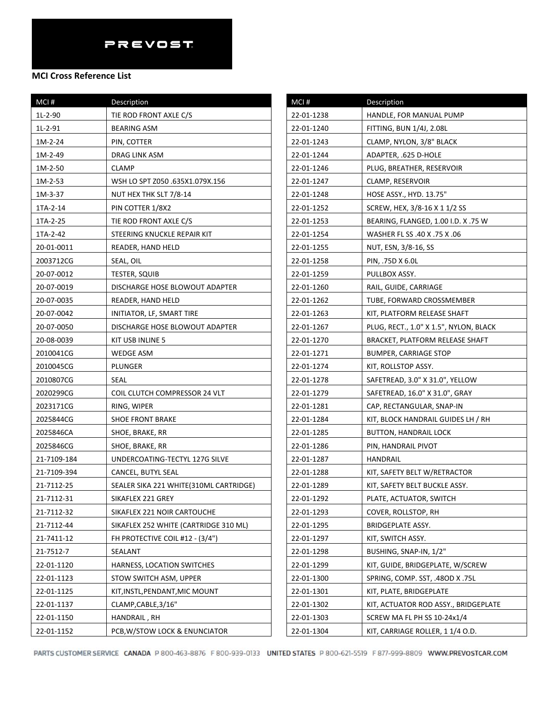| MCI#        | Description                            |
|-------------|----------------------------------------|
| 1L-2-90     | TIE ROD FRONT AXLE C/S                 |
| 1L-2-91     | BEARING ASM                            |
| 1M-2-24     | PIN, COTTER                            |
| 1M-2-49     | DRAG LINK ASM                          |
| 1M-2-50     | CLAMP                                  |
| 1M-2-53     | WSH LO SPT Z050 .635X1.079X.156        |
| 1M-3-37     | NUT HEX THK SLT 7/8-14                 |
| 1TA-2-14    | PIN COTTER 1/8X2                       |
| 1TA-2-25    | TIE ROD FRONT AXLE C/S                 |
| 1TA-2-42    | STEERING KNUCKLE REPAIR KIT            |
| 20-01-0011  | READER, HAND HELD                      |
| 2003712CG   | SEAL, OIL                              |
| 20-07-0012  | <b>TESTER, SQUIB</b>                   |
| 20-07-0019  | DISCHARGE HOSE BLOWOUT ADAPTER         |
| 20-07-0035  | READER, HAND HELD                      |
| 20-07-0042  | INITIATOR, LF, SMART TIRE              |
| 20-07-0050  | DISCHARGE HOSE BLOWOUT ADAPTER         |
| 20-08-0039  | KIT USB INLINE 5                       |
| 2010041CG   | WEDGE ASM                              |
| 2010045CG   | PLUNGER                                |
| 2010807CG   | SEAL                                   |
| 2020299CG   | COIL CLUTCH COMPRESSOR 24 VLT          |
| 2023171CG   | RING, WIPER                            |
| 2025844CG   | <b>SHOE FRONT BRAKE</b>                |
| 2025846CA   | SHOE, BRAKE, RR                        |
| 2025846CG   | SHOE, BRAKE, RR                        |
| 21-7109-184 | UNDERCOATING-TECTYL 127G SILVE         |
| 21-7109-394 | CANCEL, BUTYL SEAL                     |
| 21-7112-25  | SEALER SIKA 221 WHITE(310ML CARTRIDGE) |
| 21-7112-31  | SIKAFLEX 221 GREY                      |
| 21-7112-32  | SIKAFLEX 221 NOIR CARTOUCHE            |
| 21-7112-44  | SIKAFLEX 252 WHITE (CARTRIDGE 310 ML)  |
| 21-7411-12  | FH PROTECTIVE COIL #12 - (3/4")        |
| 21-7512-7   | SEALANT                                |
| 22-01-1120  | HARNESS, LOCATION SWITCHES             |
| 22-01-1123  | STOW SWITCH ASM, UPPER                 |
| 22-01-1125  | KIT, INSTL, PENDANT, MIC MOUNT         |
| 22-01-1137  | CLAMP, CABLE, 3/16"                    |
| 22-01-1150  | HANDRAIL , RH                          |
| 22-01-1152  | PCB, W/STOW LOCK & ENUNCIATOR          |

| MCI#       | Description                            |
|------------|----------------------------------------|
| 22-01-1238 | HANDLE, FOR MANUAL PUMP                |
| 22-01-1240 | FITTING, BUN 1/4J, 2.08L               |
| 22-01-1243 | CLAMP, NYLON, 3/8" BLACK               |
| 22-01-1244 | ADAPTER, .625 D-HOLE                   |
| 22-01-1246 | PLUG, BREATHER, RESERVOIR              |
| 22-01-1247 | CLAMP, RESERVOIR                       |
| 22-01-1248 | HOSE ASSY., HYD. 13.75"                |
| 22-01-1252 | SCREW, HEX, 3/8-16 X 1 1/2 SS          |
| 22-01-1253 | BEARING, FLANGED, 1.00 I.D. X .75 W    |
| 22-01-1254 | 06. WASHER FL SS .40 X .75 X           |
| 22-01-1255 | NUT, ESN, 3/8-16, SS                   |
| 22-01-1258 | PIN, .75D X 6.0L                       |
| 22-01-1259 | PULLBOX ASSY.                          |
| 22-01-1260 | RAIL, GUIDE, CARRIAGE                  |
| 22-01-1262 | TUBE, FORWARD CROSSMEMBER              |
| 22-01-1263 | KIT, PLATFORM RELEASE SHAFT            |
| 22-01-1267 | PLUG, RECT., 1.0" X 1.5", NYLON, BLACK |
| 22-01-1270 | BRACKET, PLATFORM RELEASE SHAFT        |
| 22-01-1271 | <b>BUMPER, CARRIAGE STOP</b>           |
| 22-01-1274 | KIT, ROLLSTOP ASSY.                    |
| 22-01-1278 | SAFETREAD, 3.0" X 31.0", YELLOW        |
| 22-01-1279 | SAFETREAD, 16.0" X 31.0", GRAY         |
| 22-01-1281 | CAP, RECTANGULAR, SNAP-IN              |
| 22-01-1284 | KIT, BLOCK HANDRAIL GUIDES LH / RH     |
| 22-01-1285 | <b>BUTTON, HANDRAIL LOCK</b>           |
| 22-01-1286 | PIN, HANDRAIL PIVOT                    |
| 22-01-1287 | HANDRAIL                               |
| 22-01-1288 | KIT, SAFETY BELT W/RETRACTOR           |
| 22-01-1289 | KIT, SAFETY BELT BUCKLE ASSY.          |
| 22-01-1292 | PLATE, ACTUATOR, SWITCH                |
| 22-01-1293 | COVER, ROLLSTOP, RH                    |
| 22-01-1295 | BRIDGEPLATE ASSY.                      |
| 22-01-1297 | KIT, SWITCH ASSY.                      |
| 22-01-1298 | BUSHING, SNAP-IN, 1/2"                 |
| 22-01-1299 | KIT, GUIDE, BRIDGEPLATE, W/SCREW       |
| 22-01-1300 | SPRING, COMP. SST, .48OD X .75L        |
| 22-01-1301 | KIT, PLATE, BRIDGEPLATE                |
| 22-01-1302 | KIT, ACTUATOR ROD ASSY., BRIDGEPLATE   |
| 22-01-1303 | SCREW MA FL PH SS 10-24x1/4            |
| 22-01-1304 | KIT, CARRIAGE ROLLER, 1 1/4 O.D.       |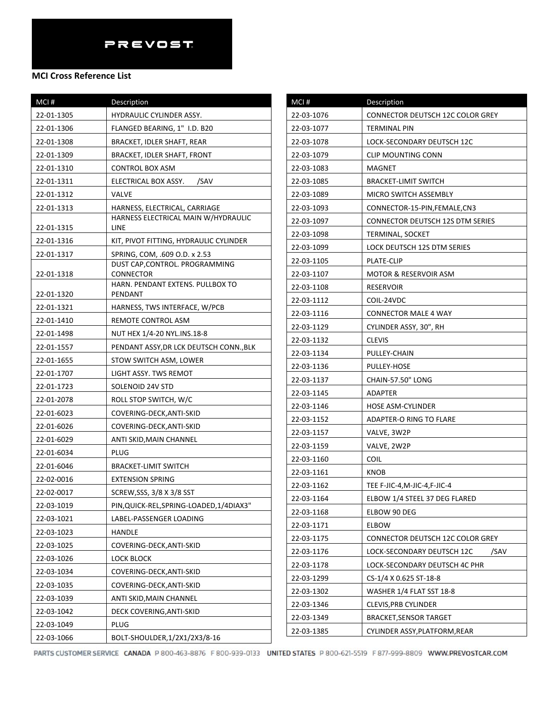### **MCI Cross Reference List**

| MCI#       | Description                                 |
|------------|---------------------------------------------|
| 22-01-1305 | <b>HYDRAULIC CYLINDER ASSY.</b>             |
| 22-01-1306 | FLANGED BEARING, 1" I.D. B20                |
| 22-01-1308 | BRACKET, IDLER SHAFT, REAR                  |
| 22-01-1309 | BRACKET, IDLER SHAFT, FRONT                 |
| 22-01-1310 | CONTROL BOX ASM                             |
| 22-01-1311 | /SAV<br>ELECTRICAL BOX ASSY.                |
| 22-01-1312 | VALVE                                       |
| 22-01-1313 | HARNESS, ELECTRICAL, CARRIAGE               |
| 22-01-1315 | HARNESS ELECTRICAL MAIN W/HYDRAULIC<br>LINE |
| 22-01-1316 | KIT, PIVOT FITTING, HYDRAULIC CYLINDER      |
| 22-01-1317 | SPRING, COM, .609 O.D. x 2.53               |
| 22-01-1318 | DUST CAP, CONTROL. PROGRAMMING<br>CONNECTOR |
| 22-01-1320 | HARN, PENDANT EXTENS, PULLBOX TO<br>PENDANT |
| 22-01-1321 | HARNESS, TWS INTERFACE, W/PCB               |
| 22-01-1410 | REMOTE CONTROL ASM                          |
| 22-01-1498 | NUT HEX 1/4-20 NYL.INS.18-8                 |
| 22-01-1557 | PENDANT ASSY, DR LCK DEUTSCH CONN., BLK     |
| 22-01-1655 | STOW SWITCH ASM, LOWER                      |
| 22-01-1707 | LIGHT ASSY. TWS REMOT                       |
| 22-01-1723 | SOLENOID 24V STD                            |
| 22-01-2078 | ROLL STOP SWITCH, W/C                       |
| 22-01-6023 | COVERING-DECK, ANTI-SKID                    |
| 22-01-6026 | COVERING-DECK, ANTI-SKID                    |
| 22-01-6029 | ANTI SKID, MAIN CHANNEL                     |
| 22-01-6034 | <b>PLUG</b>                                 |
| 22-01-6046 | <b>BRACKET-LIMIT SWITCH</b>                 |
| 22-02-0016 | <b>EXTENSION SPRING</b>                     |
| 22-02-0017 | SCREW, SSS, 3/8 X 3/8 SST                   |
| 22-03-1019 | PIN, QUICK-REL, SPRING-LOADED, 1/4DIAX3"    |
| 22-03-1021 | LABEL-PASSENGER LOADING                     |
| 22-03-1023 | HANDLE                                      |
| 22-03-1025 | COVERING-DECK, ANTI-SKID                    |
| 22-03-1026 | <b>LOCK BLOCK</b>                           |
| 22-03-1034 | COVERING-DECK,ANTI-SKID                     |
| 22-03-1035 | COVERING-DECK, ANTI-SKID                    |
| 22-03-1039 | ANTI SKID, MAIN CHANNEL                     |
| 22-03-1042 | DECK COVERING, ANTI-SKID                    |
| 22-03-1049 | PLUG                                        |
| 22-03-1066 | BOLT-SHOULDER,1/2X1/2X3/8-16                |

| MCI#       | Description                        |
|------------|------------------------------------|
| 22-03-1076 | CONNECTOR DEUTSCH 12C COLOR GREY   |
| 22-03-1077 | TERMINAL PIN                       |
| 22-03-1078 | LOCK-SECONDARY DEUTSCH 12C         |
| 22-03-1079 | <b>CLIP MOUNTING CONN</b>          |
| 22-03-1083 | MAGNET                             |
| 22-03-1085 | <b>BRACKET-LIMIT SWITCH</b>        |
| 22-03-1089 | MICRO SWITCH ASSEMBLY              |
| 22-03-1093 | CONNECTOR-15-PIN,FEMALE,CN3        |
| 22-03-1097 | CONNECTOR DEUTSCH 12S DTM SERIES   |
| 22-03-1098 | TERMINAL, SOCKET                   |
| 22-03-1099 | LOCK DEUTSCH 12S DTM SERIES        |
| 22-03-1105 | PLATE-CLIP                         |
| 22-03-1107 | <b>MOTOR &amp; RESERVOIR ASM</b>   |
| 22-03-1108 | <b>RESERVOIR</b>                   |
| 22-03-1112 | COIL-24VDC                         |
| 22-03-1116 | <b>CONNECTOR MALE 4 WAY</b>        |
| 22-03-1129 | CYLINDER ASSY, 30", RH             |
| 22-03-1132 | <b>CLEVIS</b>                      |
| 22-03-1134 | PULLEY-CHAIN                       |
| 22-03-1136 | PULLEY-HOSE                        |
| 22-03-1137 | CHAIN-57.50" LONG                  |
| 22-03-1145 | ADAPTER                            |
| 22-03-1146 | <b>HOSE ASM-CYLINDER</b>           |
| 22-03-1152 | ADAPTER-O RING TO FLARE            |
| 22-03-1157 | VALVE, 3W2P                        |
| 22-03-1159 | VALVE, 2W2P                        |
| 22-03-1160 | <b>COIL</b>                        |
| 22-03-1161 | <b>KNOB</b>                        |
| 22-03-1162 | TEE F-JIC-4,M-JIC-4,F-JIC-4        |
| 22-03-1164 | ELBOW 1/4 STEEL 37 DEG FLARED      |
| 22-03-1168 | ELBOW 90 DEG                       |
| 22-03-1171 | ELBOW                              |
| 22-03-1175 | CONNECTOR DEUTSCH 12C COLOR GREY   |
| 22-03-1176 | LOCK-SECONDARY DEUTSCH 12C<br>/SAV |
| 22-03-1178 | LOCK-SECONDARY DEUTSCH 4C PHR      |
| 22-03-1299 | CS-1/4 X 0.625 ST-18-8             |
| 22-03-1302 | WASHER 1/4 FLAT SST 18-8           |
| 22-03-1346 | CLEVIS, PRB CYLINDER               |
| 22-03-1349 | <b>BRACKET, SENSOR TARGET</b>      |
| 22-03-1385 | CYLINDER ASSY, PLATFORM, REAR      |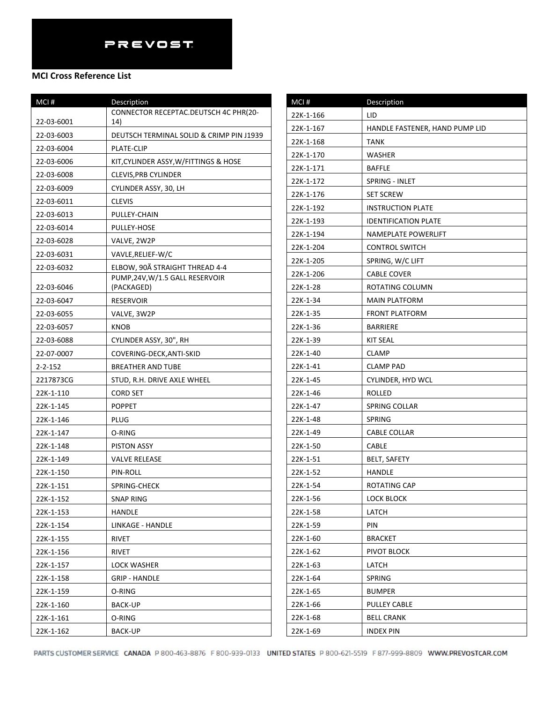## **MCI Cross Reference List**

| MCI#          | Description                                   |
|---------------|-----------------------------------------------|
|               | CONNECTOR RECEPTAC.DEUTSCH 4C PHR(20-         |
| 22-03-6001    | 14)                                           |
| 22-03-6003    | DEUTSCH TERMINAL SOLID & CRIMP PIN J1939      |
| 22-03-6004    | <b>PLATE-CLIP</b>                             |
| 22-03-6006    | KIT, CYLINDER ASSY, W/FITTINGS & HOSE         |
| 22-03-6008    | <b>CLEVIS, PRB CYLINDER</b>                   |
| 22-03-6009    | CYLINDER ASSY, 30, LH                         |
| 22-03-6011    | <b>CLEVIS</b>                                 |
| 22-03-6013    | PULLEY-CHAIN                                  |
| 22-03-6014    | PULLEY-HOSE                                   |
| 22-03-6028    | VALVE, 2W2P                                   |
| 22-03-6031    | VAVLE, RELIEF-W/C                             |
| 22-03-6032    | ELBOW, 90Ã STRAIGHT THREAD 4-4                |
| 22-03-6046    | PUMP, 24V, W/1.5 GALL RESERVOIR<br>(PACKAGED) |
| 22-03-6047    |                                               |
|               | <b>RESERVOIR</b>                              |
| 22-03-6055    | VALVE, 3W2P                                   |
| 22-03-6057    | KNOB                                          |
| 22-03-6088    | CYLINDER ASSY, 30", RH                        |
| 22-07-0007    | COVERING-DECK, ANTI-SKID                      |
| $2 - 2 - 152$ | <b>BREATHER AND TUBE</b>                      |
| 2217873CG     | STUD, R.H. DRIVE AXLE WHEEL                   |
| 22K-1-110     | <b>CORD SET</b>                               |
| 22K-1-145     | <b>POPPET</b>                                 |
| 22K-1-146     | PLUG                                          |
| 22K-1-147     | O-RING                                        |
| 22K-1-148     | <b>PISTON ASSY</b>                            |
| 22K-1-149     | <b>VALVE RELEASE</b>                          |
| 22K-1-150     | PIN-ROLL                                      |
| 22K-1-151     | SPRING-CHECK                                  |
| 22K-1-152     | SNAP RING                                     |
| 22K-1-153     | HANDLE                                        |
| 22K-1-154     | LINKAGE - HANDLE                              |
| 22K-1-155     | RIVET                                         |
| 22K-1-156     | RIVET                                         |
| 22K-1-157     | LOCK WASHER                                   |
| 22K-1-158     | <b>GRIP - HANDLE</b>                          |
| 22K-1-159     | O-RING                                        |
| 22K-1-160     | BACK-UP                                       |
| 22K-1-161     | O-RING                                        |
| 22K-1-162     | <b>BACK-UP</b>                                |

| MCI#      | Description                    |
|-----------|--------------------------------|
| 22K-1-166 | LID                            |
| 22K-1-167 | HANDLE FASTENER, HAND PUMP LID |
| 22K-1-168 | TANK                           |
| 22K-1-170 | WASHER                         |
| 22K-1-171 | <b>BAFFLE</b>                  |
| 22K-1-172 | SPRING - INLET                 |
| 22K-1-176 | <b>SET SCREW</b>               |
| 22K-1-192 | <b>INSTRUCTION PLATE</b>       |
| 22K-1-193 | <b>IDENTIFICATION PLATE</b>    |
| 22K-1-194 | NAMEPLATE POWERLIFT            |
| 22K-1-204 | <b>CONTROL SWITCH</b>          |
| 22K-1-205 | SPRING, W/C LIFT               |
| 22K-1-206 | <b>CABLE COVER</b>             |
| 22K-1-28  | ROTATING COLUMN                |
| 22K-1-34  | <b>MAIN PLATFORM</b>           |
| 22K-1-35  | <b>FRONT PLATFORM</b>          |
| 22K-1-36  | <b>BARRIERE</b>                |
| 22K-1-39  | <b>KIT SEAL</b>                |
| 22K-1-40  | <b>CLAMP</b>                   |
| 22K-1-41  | <b>CLAMP PAD</b>               |
| 22K-1-45  | CYLINDER, HYD WCL              |
| 22K-1-46  | ROLLED                         |
| 22K-1-47  | SPRING COLLAR                  |
| 22K-1-48  | <b>SPRING</b>                  |
| 22K-1-49  | CABLE COLLAR                   |
| 22K-1-50  | CABLE                          |
| 22K-1-51  | BELT, SAFETY                   |
| 22K-1-52  | HANDLE                         |
| 22K-1-54  | ROTATING CAP                   |
| 22K-1-56  | <b>LOCK BLOCK</b>              |
| 22K-1-58  | LATCH                          |
| 22K-1-59  | PIN                            |
| 22K-1-60  | <b>BRACKET</b>                 |
| 22K-1-62  | PIVOT BLOCK                    |
| 22K-1-63  | LATCH                          |
| 22K-1-64  | SPRING                         |
| 22K-1-65  | <b>BUMPER</b>                  |
| 22K-1-66  | PULLEY CABLE                   |
| 22K-1-68  | <b>BELL CRANK</b>              |
| 22K-1-69  | <b>INDEX PIN</b>               |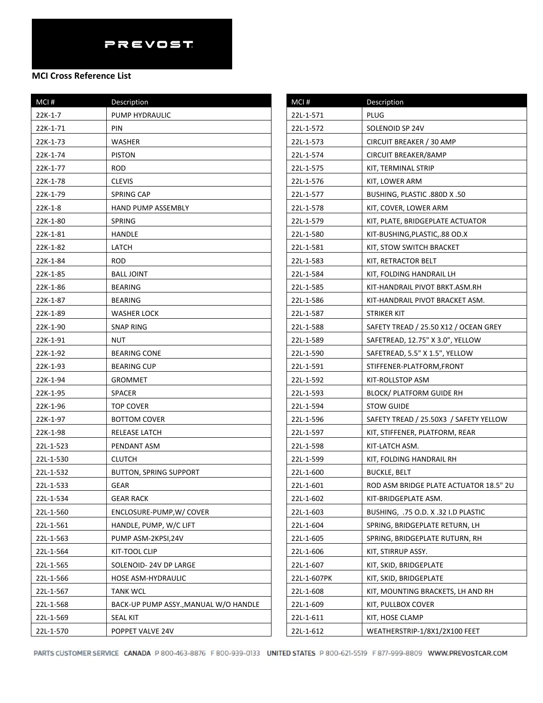| MCI#      | Description                           | MCI#        | Description                            |
|-----------|---------------------------------------|-------------|----------------------------------------|
| $22K-1-7$ | PUMP HYDRAULIC                        | 22L-1-571   | <b>PLUG</b>                            |
| 22K-1-71  | PIN                                   | 22L-1-572   | SOLENOID SP 24V                        |
| 22K-1-73  | <b>WASHER</b>                         | 22L-1-573   | CIRCUIT BREAKER / 30 AMP               |
| 22K-1-74  | <b>PISTON</b>                         | 22L-1-574   | CIRCUIT BREAKER/8AMP                   |
| 22K-1-77  | <b>ROD</b>                            | 22L-1-575   | KIT, TERMINAL STRIP                    |
| 22K-1-78  | <b>CLEVIS</b>                         | 22L-1-576   | KIT, LOWER ARM                         |
| 22K-1-79  | <b>SPRING CAP</b>                     | 22L-1-577   | BUSHING, PLASTIC .880D X .50           |
| 22K-1-8   | <b>HAND PUMP ASSEMBLY</b>             | 22L-1-578   | KIT, COVER, LOWER ARM                  |
| 22K-1-80  | <b>SPRING</b>                         | 22L-1-579   | KIT, PLATE, BRIDGEPLATE ACTUATOR       |
| 22K-1-81  | HANDLE                                | 22L-1-580   | KIT-BUSHING, PLASTIC, 88 OD.X          |
| 22K-1-82  | LATCH                                 | 22L-1-581   | KIT, STOW SWITCH BRACKET               |
| 22K-1-84  | <b>ROD</b>                            | 22L-1-583   | KIT, RETRACTOR BELT                    |
| 22K-1-85  | <b>BALL JOINT</b>                     | 22L-1-584   | KIT, FOLDING HANDRAIL LH               |
| 22K-1-86  | <b>BEARING</b>                        | 22L-1-585   | KIT-HANDRAIL PIVOT BRKT.ASM.RH         |
| 22K-1-87  | <b>BEARING</b>                        | 22L-1-586   | KIT-HANDRAIL PIVOT BRACKET ASM.        |
| 22K-1-89  | <b>WASHER LOCK</b>                    | 22L-1-587   | <b>STRIKER KIT</b>                     |
| 22K-1-90  | <b>SNAP RING</b>                      | 22L-1-588   | SAFETY TREAD / 25.50 X12 / OCEAN GREY  |
| 22K-1-91  | <b>NUT</b>                            | 22L-1-589   | SAFETREAD, 12.75" X 3.0", YELLOW       |
| 22K-1-92  | <b>BEARING CONE</b>                   | 22L-1-590   | SAFETREAD, 5.5" X 1.5", YELLOW         |
| 22K-1-93  | <b>BEARING CUP</b>                    | 22L-1-591   | STIFFENER-PLATFORM, FRONT              |
| 22K-1-94  | <b>GROMMET</b>                        | 22L-1-592   | KIT-ROLLSTOP ASM                       |
| 22K-1-95  | SPACER                                | 22L-1-593   | <b>BLOCK/ PLATFORM GUIDE RH</b>        |
| 22K-1-96  | <b>TOP COVER</b>                      | 22L-1-594   | <b>STOW GUIDE</b>                      |
| 22K-1-97  | <b>BOTTOM COVER</b>                   | 22L-1-596   | SAFETY TREAD / 25.50X3 / SAFETY YELLOW |
| 22K-1-98  | RELEASE LATCH                         | 22L-1-597   | KIT, STIFFENER, PLATFORM, REAR         |
| 22L-1-523 | PENDANT ASM                           | 22L-1-598   | KIT-LATCH ASM.                         |
| 22L-1-530 | <b>CLUTCH</b>                         | 22L-1-599   | KIT, FOLDING HANDRAIL RH               |
| 22L-1-532 | <b>BUTTON, SPRING SUPPORT</b>         | 22L-1-600   | <b>BUCKLE, BELT</b>                    |
| 22L-1-533 | GEAR                                  | 22L-1-601   | ROD ASM BRIDGE PLATE ACTUATOR 18.5" 2U |
| 22L-1-534 | <b>GEAR RACK</b>                      | 22L-1-602   | KIT-BRIDGEPLATE ASM.                   |
| 22L-1-560 | ENCLOSURE-PUMP, W/ COVER              | 22L-1-603   | BUSHING, .75 O.D. X .32 I.D PLASTIC    |
| 22L-1-561 | HANDLE, PUMP, W/C LIFT                | 22L-1-604   | SPRING, BRIDGEPLATE RETURN, LH         |
| 22L-1-563 | PUMP ASM-2KPSI,24V                    | 22L-1-605   | SPRING, BRIDGEPLATE RUTURN, RH         |
| 22L-1-564 | KIT-TOOL CLIP                         | 22L-1-606   | KIT, STIRRUP ASSY.                     |
| 22L-1-565 | SOLENOID-24V DP LARGE                 | 22L-1-607   | KIT, SKID, BRIDGEPLATE                 |
| 22L-1-566 | HOSE ASM-HYDRAULIC                    | 22L-1-607PK | KIT, SKID, BRIDGEPLATE                 |
| 22L-1-567 | <b>TANK WCL</b>                       | 22L-1-608   | KIT, MOUNTING BRACKETS, LH AND RH      |
| 22L-1-568 | BACK-UP PUMP ASSY., MANUAL W/O HANDLE | 22L-1-609   | KIT, PULLBOX COVER                     |
| 22L-1-569 | <b>SEAL KIT</b>                       | 22L-1-611   | KIT, HOSE CLAMP                        |
| 22L-1-570 | POPPET VALVE 24V                      | 22L-1-612   | WEATHERSTRIP-1/8X1/2X100 FEET          |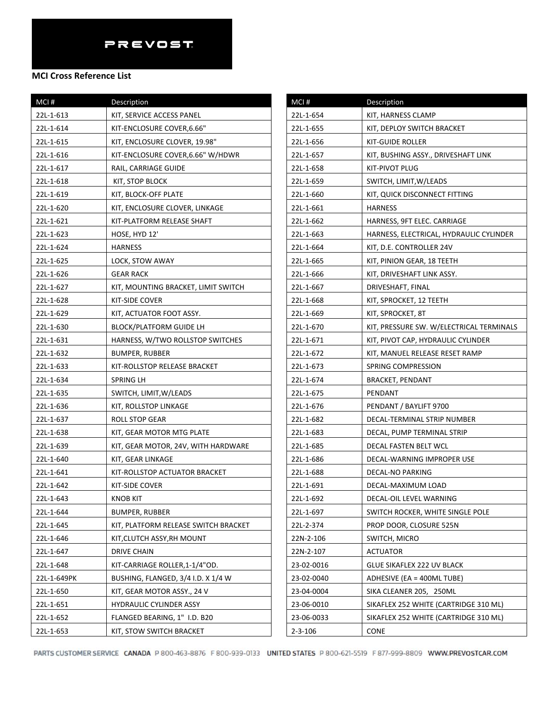| $MCI$ #     | Description                          |
|-------------|--------------------------------------|
| 22L-1-613   | KIT, SERVICE ACCESS PANEL            |
| 22L-1-614   | KIT-ENCLOSURE COVER, 6.66"           |
| 22L-1-615   | KIT, ENCLOSURE CLOVER, 19.98"        |
| 22L-1-616   | KIT-ENCLOSURE COVER, 6.66" W/HDWR    |
| 22L-1-617   | RAIL, CARRIAGE GUIDE                 |
| 22L-1-618   | KIT, STOP BLOCK                      |
| 22L-1-619   | KIT, BLOCK-OFF PLATE                 |
| 22L-1-620   | KIT, ENCLOSURE CLOVER, LINKAGE       |
| 22L-1-621   | KIT-PLATFORM RELEASE SHAFT           |
| 22L-1-623   | HOSE, HYD 12'                        |
| 22L-1-624   | HARNESS                              |
| 22L-1-625   | LOCK, STOW AWAY                      |
| 22L-1-626   | <b>GEAR RACK</b>                     |
| 22L-1-627   | KIT, MOUNTING BRACKET, LIMIT SWITCH  |
| 22L-1-628   | KIT-SIDE COVER                       |
| 22L-1-629   | KIT, ACTUATOR FOOT ASSY.             |
| 22L-1-630   | <b>BLOCK/PLATFORM GUIDE LH</b>       |
| 22L-1-631   | HARNESS, W/TWO ROLLSTOP SWITCHES     |
| 22L-1-632   | BUMPER, RUBBER                       |
| 22L-1-633   | KIT-ROLLSTOP RELEASE BRACKET         |
| 22L-1-634   | SPRING LH                            |
| 22L-1-635   | SWITCH, LIMIT, W/LEADS               |
| 22L-1-636   | KIT, ROLLSTOP LINKAGE                |
| 22L-1-637   | ROLL STOP GEAR                       |
| 22L-1-638   | KIT, GEAR MOTOR MTG PLATE            |
| 22L-1-639   | KIT, GEAR MOTOR, 24V, WITH HARDWARE  |
| 22L-1-640   | KIT, GEAR LINKAGE                    |
| 22L-1-641   | KIT-ROLLSTOP ACTUATOR BRACKET        |
| 22L-1-642   | KIT-SIDE COVER                       |
| 22L-1-643   | <b>KNOB KIT</b>                      |
| 22L-1-644   | <b>BUMPER, RUBBER</b>                |
| 22L-1-645   | KIT, PLATFORM RELEASE SWITCH BRACKET |
| 22L-1-646   | KIT, CLUTCH ASSY, RH MOUNT           |
| 22L-1-647   | DRIVE CHAIN                          |
| 22L-1-648   | KIT-CARRIAGE ROLLER, 1-1/4"OD.       |
| 22L-1-649PK | BUSHING, FLANGED, 3/4 I.D. X 1/4 W   |
| 22L-1-650   | KIT, GEAR MOTOR ASSY., 24 V          |
| 22L-1-651   | <b>HYDRAULIC CYLINDER ASSY</b>       |
| 22L-1-652   | FLANGED BEARING, 1" I.D. B20         |
| 22L-1-653   | KIT, STOW SWITCH BRACKET             |

| MCI#          | Description                              |
|---------------|------------------------------------------|
| 22L-1-654     | KIT, HARNESS CLAMP                       |
| 22L-1-655     | KIT, DEPLOY SWITCH BRACKET               |
| 22L-1-656     | <b>KIT-GUIDE ROLLER</b>                  |
| 22L-1-657     | KIT, BUSHING ASSY., DRIVESHAFT LINK      |
| 22L-1-658     | KIT-PIVOT PLUG                           |
| 22L-1-659     | SWITCH, LIMIT, W/LEADS                   |
| 22L-1-660     | KIT, QUICK DISCONNECT FITTING            |
| 22L-1-661     | <b>HARNESS</b>                           |
| 22L-1-662     | HARNESS, 9FT ELEC. CARRIAGE              |
| 22L-1-663     | HARNESS, ELECTRICAL, HYDRAULIC CYLINDER  |
| 22L-1-664     | KIT, D.E. CONTROLLER 24V                 |
| 22L-1-665     | KIT, PINION GEAR, 18 TEETH               |
| 22L-1-666     | KIT, DRIVESHAFT LINK ASSY.               |
| 22L-1-667     | DRIVESHAFT, FINAL                        |
| 22L-1-668     | KIT, SPROCKET, 12 TEETH                  |
| 22L-1-669     | KIT, SPROCKET, 8T                        |
| 22L-1-670     | KIT, PRESSURE SW. W/ELECTRICAL TERMINALS |
| 22L-1-671     | KIT, PIVOT CAP, HYDRAULIC CYLINDER       |
| 22L-1-672     | KIT, MANUEL RELEASE RESET RAMP           |
| 22L-1-673     | SPRING COMPRESSION                       |
| 22L-1-674     | <b>BRACKET, PENDANT</b>                  |
| 22L-1-675     | PENDANT                                  |
| 22L-1-676     | PENDANT / BAYLIFT 9700                   |
| 22L-1-682     | DECAL-TERMINAL STRIP NUMBER              |
| 22L-1-683     | DECAL, PUMP TERMINAL STRIP               |
| 22L-1-685     | DECAL FASTEN BELT WCL                    |
| 22L-1-686     | DECAL-WARNING IMPROPER USE               |
| 22L-1-688     | DECAL-NO PARKING                         |
| 22L-1-691     | DECAL-MAXIMUM LOAD                       |
| 22L-1-692     | DECAL-OIL LEVEL WARNING                  |
| 22L-1-697     | SWITCH ROCKER, WHITE SINGLE POLE         |
| 22L-2-374     | PROP DOOR, CLOSURE 525N                  |
| 22N-2-106     | SWITCH, MICRO                            |
| 22N-2-107     | <b>ACTUATOR</b>                          |
| 23-02-0016    | GLUE SIKAFLEX 222 UV BLACK               |
| 23-02-0040    | ADHESIVE (EA = 400ML TUBE)               |
| 23-04-0004    | SIKA CLEANER 205, 250ML                  |
| 23-06-0010    | SIKAFLEX 252 WHITE (CARTRIDGE 310 ML)    |
| 23-06-0033    | SIKAFLEX 252 WHITE (CARTRIDGE 310 ML)    |
| $2 - 3 - 106$ | <b>CONE</b>                              |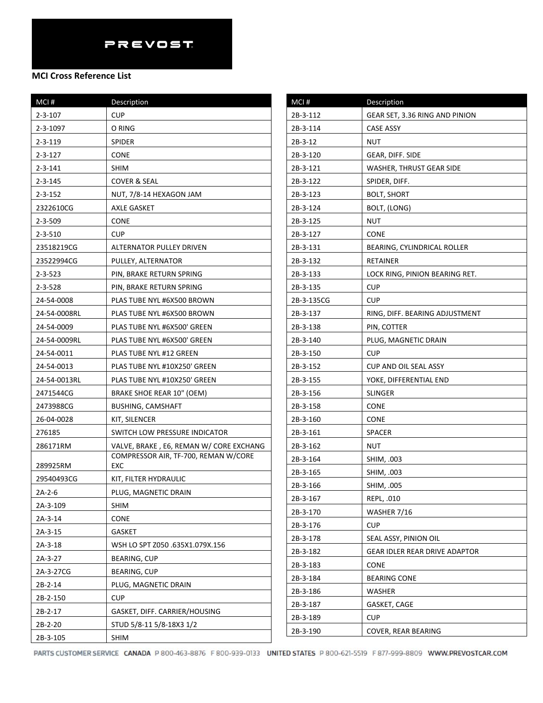| MCI#          | Description                                 |
|---------------|---------------------------------------------|
| 2-3-107       | <b>CUP</b>                                  |
| 2-3-1097      | O RING                                      |
| 2-3-119       | <b>SPIDER</b>                               |
| $2 - 3 - 127$ | <b>CONE</b>                                 |
| $2 - 3 - 141$ | SHIM                                        |
| $2 - 3 - 145$ | COVER & SEAL                                |
| $2 - 3 - 152$ | NUT, 7/8-14 HEXAGON JAM                     |
| 2322610CG     | <b>AXLE GASKET</b>                          |
| $2 - 3 - 509$ | <b>CONE</b>                                 |
| $2 - 3 - 510$ | <b>CUP</b>                                  |
| 23518219CG    | ALTERNATOR PULLEY DRIVEN                    |
| 23522994CG    | PULLEY, ALTERNATOR                          |
| $2 - 3 - 523$ | PIN, BRAKE RETURN SPRING                    |
| 2-3-528       | PIN, BRAKE RETURN SPRING                    |
| 24-54-0008    | PLAS TUBE NYL #6X500 BROWN                  |
| 24-54-0008RL  | PLAS TUBE NYL #6X500 BROWN                  |
| 24-54-0009    | PLAS TUBE NYL #6X500' GREEN                 |
| 24-54-0009RL  | PLAS TUBE NYL #6X500' GREEN                 |
| 24-54-0011    | PLAS TUBE NYL #12 GREEN                     |
| 24-54-0013    | PLAS TUBE NYL #10X250' GREEN                |
| 24-54-0013RL  | PLAS TUBE NYL #10X250' GREEN                |
| 2471544CG     | <b>BRAKE SHOE REAR 10" (OEM)</b>            |
| 2473988CG     | <b>BUSHING, CAMSHAFT</b>                    |
| 26-04-0028    | KIT, SILENCER                               |
| 276185        | SWITCH LOW PRESSURE INDICATOR               |
| 286171RM      | VALVE, BRAKE, E6, REMAN W/ CORE EXCHANG     |
| 289925RM      | COMPRESSOR AIR, TF-700, REMAN W/CORE<br>EXC |
| 29540493CG    | KIT, FILTER HYDRAULIC                       |
| $2A-2-6$      | PLUG, MAGNETIC DRAIN                        |
| 2A-3-109      | <b>SHIM</b>                                 |
| $2A-3-14$     | <b>CONE</b>                                 |
| 2A-3-15       | <b>GASKET</b>                               |
| 2A-3-18       | WSH LO SPT Z050.635X1.079X.156              |
| 2A-3-27       | BEARING, CUP                                |
| 2A-3-27CG     | BEARING, CUP                                |
| 2B-2-14       | PLUG. MAGNETIC DRAIN                        |
| 2B-2-150      | <b>CUP</b>                                  |
| 2B-2-17       | GASKET, DIFF. CARRIER/HOUSING               |
| 2B-2-20       | STUD 5/8-11 5/8-18X3 1/2                    |
|               |                                             |

| MCI#       | Description                          |
|------------|--------------------------------------|
| 2B-3-112   | GEAR SET, 3.36 RING AND PINION       |
| 2B-3-114   | CASE ASSY                            |
| 2B-3-12    | NUT                                  |
| 2B-3-120   | GEAR, DIFF. SIDE                     |
| 2B-3-121   | <b>WASHER, THRUST GEAR SIDE</b>      |
| 2B-3-122   | SPIDER, DIFF.                        |
| 2B-3-123   | <b>BOLT, SHORT</b>                   |
| 2B-3-124   | BOLT, (LONG)                         |
| 2B-3-125   | NUT                                  |
| 2B-3-127   | <b>CONE</b>                          |
| 2B-3-131   | BEARING, CYLINDRICAL ROLLER          |
| 2B-3-132   | RETAINER                             |
| 2B-3-133   | LOCK RING, PINION BEARING RET.       |
| 2B-3-135   | <b>CUP</b>                           |
| 2B-3-135CG | <b>CUP</b>                           |
| 2B-3-137   | RING, DIFF. BEARING ADJUSTMENT       |
| 2B-3-138   | PIN, COTTER                          |
| 2B-3-140   | PLUG, MAGNETIC DRAIN                 |
| 2B-3-150   | <b>CUP</b>                           |
| 2B-3-152   | CUP AND OIL SEAL ASSY                |
| 2B-3-155   | YOKE, DIFFERENTIAL END               |
| 2B-3-156   | <b>SLINGER</b>                       |
| 2B-3-158   | <b>CONE</b>                          |
| 2B-3-160   | <b>CONE</b>                          |
| 2B-3-161   | SPACER                               |
| 2B-3-162   | NUT                                  |
| 2B-3-164   | SHIM, .003                           |
| 2B-3-165   | SHIM, .003                           |
| 2B-3-166   | SHIM, .005                           |
| 2B-3-167   | REPL, .010                           |
| 2B-3-170   | WASHER 7/16                          |
| 2B-3-176   | <b>CUP</b>                           |
| 2B-3-178   | SEAL ASSY, PINION OIL                |
| 2B-3-182   | <b>GEAR IDLER REAR DRIVE ADAPTOR</b> |
| 2B-3-183   | <b>CONE</b>                          |
| 2B-3-184   | <b>BEARING CONE</b>                  |
| 2B-3-186   | WASHER                               |
| 2B-3-187   | <b>GASKET, CAGE</b>                  |
| 2B-3-189   | <b>CUP</b>                           |
| 2B-3-190   | COVER, REAR BEARING                  |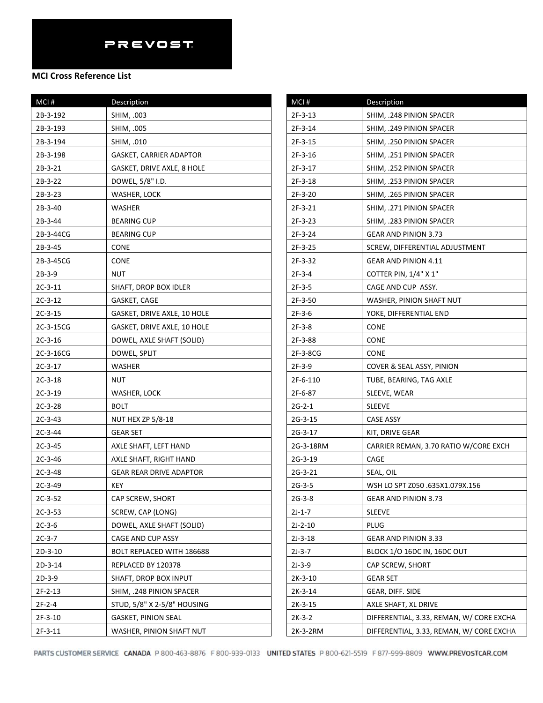| MCI#      | Description                    | MCI#      | Description                              |
|-----------|--------------------------------|-----------|------------------------------------------|
| 2B-3-192  | SHIM, .003                     | 2F-3-13   | SHIM, .248 PINION SPACER                 |
| 2B-3-193  | SHIM, .005                     | 2F-3-14   | SHIM, .249 PINION SPACER                 |
| 2B-3-194  | SHIM, .010                     | $2F-3-15$ | SHIM, .250 PINION SPACER                 |
| 2B-3-198  | <b>GASKET, CARRIER ADAPTOR</b> | $2F-3-16$ | SHIM, .251 PINION SPACER                 |
| $2B-3-21$ | GASKET, DRIVE AXLE, 8 HOLE     | $2F-3-17$ | SHIM, .252 PINION SPACER                 |
| $2B-3-22$ | DOWEL, 5/8" I.D.               | $2F-3-18$ | SHIM, .253 PINION SPACER                 |
| $2B-3-23$ | WASHER, LOCK                   | $2F-3-20$ | SHIM. . 265 PINION SPACER                |
| 2B-3-40   | WASHER                         | 2F-3-21   | SHIM, .271 PINION SPACER                 |
| $2B-3-44$ | <b>BEARING CUP</b>             | 2F-3-23   | SHIM, .283 PINION SPACER                 |
| 2B-3-44CG | <b>BEARING CUP</b>             | 2F-3-24   | <b>GEAR AND PINION 3.73</b>              |
| 2B-3-45   | <b>CONE</b>                    | 2F-3-25   | SCREW, DIFFERENTIAL ADJUSTMENT           |
| 2B-3-45CG | <b>CONE</b>                    | 2F-3-32   | <b>GEAR AND PINION 4.11</b>              |
| 2B-3-9    | <b>NUT</b>                     | $2F-3-4$  | COTTER PIN, 1/4" X 1"                    |
| $2C-3-11$ | SHAFT, DROP BOX IDLER          | $2F-3-5$  | CAGE AND CUP ASSY.                       |
| $2C-3-12$ | GASKET, CAGE                   | 2F-3-50   | WASHER, PINION SHAFT NUT                 |
| $2C-3-15$ | GASKET, DRIVE AXLE, 10 HOLE    | $2F-3-6$  | YOKE, DIFFERENTIAL END                   |
| 2C-3-15CG | GASKET, DRIVE AXLE, 10 HOLE    | $2F-3-8$  | <b>CONE</b>                              |
| $2C-3-16$ | DOWEL, AXLE SHAFT (SOLID)      | 2F-3-88   | <b>CONE</b>                              |
| 2C-3-16CG | DOWEL, SPLIT                   | 2F-3-8CG  | <b>CONE</b>                              |
| $2C-3-17$ | WASHER                         | $2F-3-9$  | <b>COVER &amp; SEAL ASSY, PINION</b>     |
| $2C-3-18$ | <b>NUT</b>                     | 2F-6-110  | TUBE, BEARING, TAG AXLE                  |
| $2C-3-19$ | WASHER, LOCK                   | 2F-6-87   | SLEEVE, WEAR                             |
| $2C-3-28$ | <b>BOLT</b>                    | $2G-2-1$  | <b>SLEEVE</b>                            |
| $2C-3-43$ | <b>NUT HEX ZP 5/8-18</b>       | $2G-3-15$ | CASE ASSY                                |
| $2C-3-44$ | <b>GEAR SET</b>                | $2G-3-17$ | KIT, DRIVE GEAR                          |
| $2C-3-45$ | AXLE SHAFT, LEFT HAND          | 2G-3-18RM | CARRIER REMAN, 3.70 RATIO W/CORE EXCH    |
| $2C-3-46$ | AXLE SHAFT, RIGHT HAND         | $2G-3-19$ | CAGE                                     |
| $2C-3-48$ | <b>GEAR REAR DRIVE ADAPTOR</b> | 2G-3-21   | SEAL, OIL                                |
| $2C-3-49$ | <b>KEY</b>                     | $2G-3-5$  | WSH LO SPT Z050 .635X1.079X.156          |
| $2C-3-52$ | CAP SCREW, SHORT               | $2G-3-8$  | <b>GEAR AND PINION 3.73</b>              |
| $2C-3-53$ | SCREW, CAP (LONG)              | $2J-1-7$  | <b>SLEEVE</b>                            |
| $2C-3-6$  | DOWEL, AXLE SHAFT (SOLID)      | $2J-2-10$ | <b>PLUG</b>                              |
| $2C-3-7$  | CAGE AND CUP ASSY              | $2J-3-18$ | GEAR AND PINION 3.33                     |
| $2D-3-10$ | BOLT REPLACED WITH 186688      | $2J-3-7$  | BLOCK 1/O 16DC IN, 16DC OUT              |
| 2D-3-14   | REPLACED BY 120378             | $2J-3-9$  | CAP SCREW, SHORT                         |
| $2D-3-9$  | SHAFT, DROP BOX INPUT          | $2K-3-10$ | <b>GEAR SET</b>                          |
| $2F-2-13$ | SHIM, .248 PINION SPACER       | $2K-3-14$ | GEAR, DIFF. SIDE                         |
| $2F-2-4$  | STUD, 5/8" X 2-5/8" HOUSING    | $2K-3-15$ | AXLE SHAFT, XL DRIVE                     |
| $2F-3-10$ | <b>GASKET, PINION SEAL</b>     | $2K-3-2$  | DIFFERENTIAL, 3.33, REMAN, W/ CORE EXCHA |
| $2F-3-11$ | WASHER, PINION SHAFT NUT       | 2K-3-2RM  | DIFFERENTIAL, 3.33, REMAN, W/ CORE EXCHA |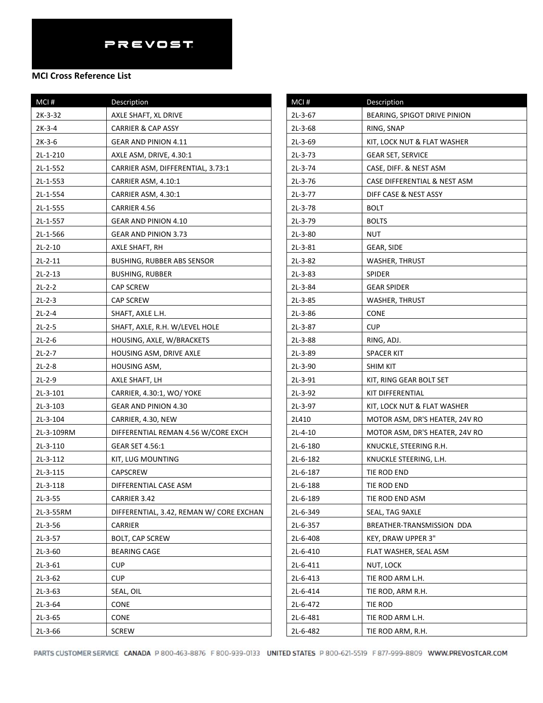| MCI#       | Description                              | N                       |
|------------|------------------------------------------|-------------------------|
| 2K-3-32    | AXLE SHAFT, XL DRIVE                     | 2                       |
| $2K-3-4$   | <b>CARRIER &amp; CAP ASSY</b>            | 2                       |
| $2K-3-6$   | GEAR AND PINION 4.11                     | $\overline{2}$          |
| $2L-1-210$ | AXLE ASM, DRIVE, 4.30:1                  | $\overline{2}$          |
| $2L-1-552$ | CARRIER ASM, DIFFERENTIAL, 3.73:1        | $\overline{\mathbf{c}}$ |
| 2L-1-553   | CARRIER ASM, 4.10:1                      | $\overline{\mathbf{c}}$ |
| 2L-1-554   | CARRIER ASM, 4.30:1                      | $\overline{\mathbf{c}}$ |
| 2L-1-555   | CARRIER 4.56                             | $\overline{2}$          |
| 2L-1-557   | GEAR AND PINION 4.10                     | $\overline{\mathbf{c}}$ |
| 2L-1-566   | GEAR AND PINION 3.73                     | $\overline{2}$          |
| $2L-2-10$  | AXLE SHAFT, RH                           | $\overline{\mathbf{c}}$ |
| $2L-2-11$  | <b>BUSHING, RUBBER ABS SENSOR</b>        | $\overline{\mathbf{c}}$ |
| $2L-2-13$  | <b>BUSHING, RUBBER</b>                   | $\overline{2}$          |
| $2L-2-2$   | <b>CAP SCREW</b>                         | $\overline{2}$          |
| $2L-2-3$   | <b>CAP SCREW</b>                         | $\overline{2}$          |
| $2L-2-4$   | SHAFT, AXLE L.H.                         | $\overline{\mathbf{c}}$ |
| $2L-2-5$   | SHAFT, AXLE, R.H. W/LEVEL HOLE           | $\overline{2}$          |
| $2L-2-6$   | HOUSING, AXLE, W/BRACKETS                | $\overline{2}$          |
| $2L-2-7$   | HOUSING ASM, DRIVE AXLE                  | $\overline{\mathbf{c}}$ |
| $2L-2-8$   | HOUSING ASM,                             | $\overline{\mathbf{c}}$ |
| $2L-2-9$   | AXLE SHAFT, LH                           | $\overline{\mathbf{c}}$ |
| $2L-3-101$ | CARRIER, 4.30:1, WO/ YOKE                | $\overline{\mathbf{c}}$ |
| $2L-3-103$ | GEAR AND PINION 4.30                     | 2                       |
| 2L-3-104   | CARRIER, 4.30, NEW                       | $\overline{2}$          |
| 2L-3-109RM | DIFFERENTIAL REMAN 4.56 W/CORE EXCH      | $\overline{2}$          |
| $2L-3-110$ | GEAR SET 4.56:1                          | $\overline{2}$          |
| $2L-3-112$ | KIT, LUG MOUNTING                        | 2                       |
| 2L-3-115   | CAPSCREW                                 | $\overline{2}$          |
| 2L-3-118   | DIFFERENTIAL CASE ASM                    | $\overline{2}$          |
| $2L-3-55$  | CARRIER 3.42                             | 2                       |
| 2L-3-55RM  | DIFFERENTIAL, 3.42, REMAN W/ CORE EXCHAN | 2                       |
| $2L-3-56$  | CARRIER                                  | $\overline{2}$          |
| $2L-3-57$  | <b>BOLT, CAP SCREW</b>                   | 2                       |
| $2L-3-60$  | <b>BEARING CAGE</b>                      | $\overline{\mathbf{c}}$ |
| $2L-3-61$  | CUP.                                     | $\overline{\mathbf{c}}$ |
| $2L-3-62$  | <b>CUP</b>                               | $\overline{\mathbf{c}}$ |
| $2L-3-63$  | SEAL, OIL                                | $\overline{2}$          |
| $2L-3-64$  | CONE                                     | $\overline{2}$          |
| $2L-3-65$  | <b>CONE</b>                              | $\overline{\mathbf{c}}$ |
| 2L-3-66    | <b>SCREW</b>                             | $\overline{\mathbf{c}}$ |

| MCI#       | Description                    |
|------------|--------------------------------|
| $2L-3-67$  | BEARING, SPIGOT DRIVE PINION   |
| $2L-3-68$  | RING, SNAP                     |
| $2L-3-69$  | KIT, LOCK NUT & FLAT WASHER    |
| 2L-3-73    | <b>GEAR SET, SERVICE</b>       |
| $2L-3-74$  | CASE, DIFF. & NEST ASM         |
| $2L-3-76$  | CASE DIFFERENTIAL & NEST ASM   |
| $2L-3-77$  | DIFF CASE & NEST ASSY          |
| $2L-3-78$  | <b>BOLT</b>                    |
| $2L-3-79$  | <b>BOLTS</b>                   |
| $2L-3-80$  | <b>NUT</b>                     |
| $2L-3-81$  | GEAR, SIDE                     |
| $2L-3-82$  | <b>WASHER, THRUST</b>          |
| $2L-3-83$  | <b>SPIDER</b>                  |
| 2L-3-84    | <b>GEAR SPIDER</b>             |
| $2L-3-85$  | <b>WASHER, THRUST</b>          |
| $2L-3-86$  | CONE                           |
| $2L-3-87$  | <b>CUP</b>                     |
| $2L-3-88$  | RING, ADJ.                     |
| $2L-3-89$  | SPACER KIT                     |
| $2L-3-90$  | SHIM KIT                       |
| 2L-3-91    | KIT, RING GEAR BOLT SET        |
| $2L-3-92$  | KIT DIFFERENTIAL               |
| $2L-3-97$  | KIT, LOCK NUT & FLAT WASHER    |
| 2L410      | MOTOR ASM, DR'S HEATER, 24V RO |
| $2L-4-10$  | MOTOR ASM, DR'S HEATER, 24V RO |
| $2L-6-180$ | KNUCKLE, STEERING R.H.         |
| $2L-6-182$ | KNUCKLE STEERING, L.H.         |
| 2L-6-187   | TIE ROD END                    |
| 2L-6-188   | TIE ROD END                    |
| 2L-6-189   | TIE ROD END ASM                |
| 2L-6-349   | SEAL, TAG 9AXLE                |
| 2L-6-357   | BREATHER-TRANSMISSION DDA      |
| 2L-6-408   | KEY, DRAW UPPER 3"             |
| 2L-6-410   | FLAT WASHER, SEAL ASM          |
| 2L-6-411   | NUT, LOCK                      |
| 2L-6-413   | TIE ROD ARM L.H.               |
| 2L-6-414   | TIE ROD, ARM R.H.              |
| 2L-6-472   | TIE ROD                        |
| 2L-6-481   | TIE ROD ARM L.H.               |
| 2L-6-482   | TIE ROD ARM, R.H.              |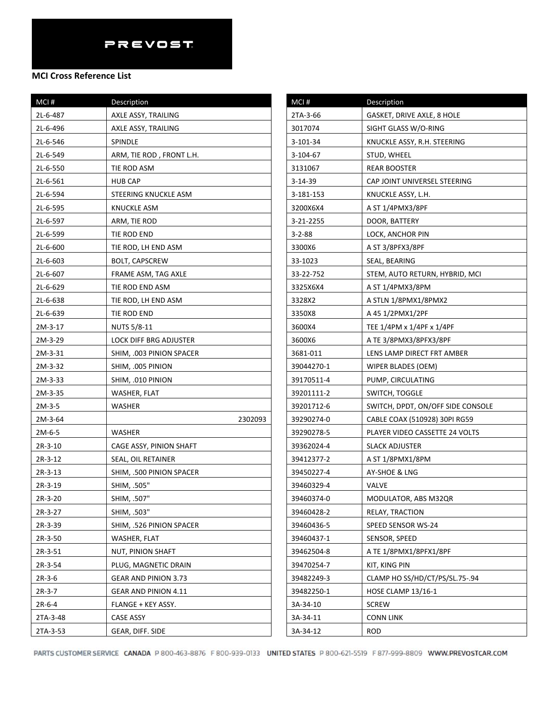| MCI#      | Description                 |
|-----------|-----------------------------|
| 2L-6-487  | AXLE ASSY, TRAILING         |
| 2L-6-496  | AXLE ASSY, TRAILING         |
| 2L-6-546  | <b>SPINDLE</b>              |
| 2L-6-549  | ARM, TIE ROD, FRONT L.H.    |
| 2L-6-550  | TIE ROD ASM                 |
| 2L-6-561  | <b>HUB CAP</b>              |
| 2L-6-594  | STEERING KNUCKLE ASM        |
| 2L-6-595  | KNUCKLE ASM                 |
| 2L-6-597  | ARM, TIE ROD                |
| 2L-6-599  | TIE ROD END                 |
| 2L-6-600  | TIE ROD, LH END ASM         |
| 2L-6-603  | <b>BOLT, CAPSCREW</b>       |
| 2L-6-607  | FRAME ASM, TAG AXLE         |
| 2L-6-629  | TIE ROD END ASM             |
| 2L-6-638  | TIE ROD, LH END ASM         |
| 2L-6-639  | TIE ROD END                 |
| 2M-3-17   | <b>NUTS 5/8-11</b>          |
| 2M-3-29   | LOCK DIFF BRG ADJUSTER      |
| 2M-3-31   | SHIM, .003 PINION SPACER    |
| 2M-3-32   | SHIM, .005 PINION           |
| 2M-3-33   | SHIM, .010 PINION           |
| 2M-3-35   | WASHER, FLAT                |
| 2M-3-5    | WASHER                      |
| 2M-3-64   | 2302093                     |
| 2M-6-5    | WASHER                      |
| $2R-3-10$ | CAGE ASSY, PINION SHAFT     |
| 2R-3-12   | SEAL, OIL RETAINER          |
| 2R-3-13   | SHIM, .500 PINION SPACER    |
| 2R-3-19   | SHIM, .505"                 |
| 2R-3-20   | SHIM, .507"                 |
| 2R-3-27   | SHIM, .503"                 |
| 2R-3-39   | SHIM, .526 PINION SPACER    |
| 2R-3-50   | WASHER, FLAT                |
| 2R-3-51   | NUT, PINION SHAFT           |
| 2R-3-54   | PLUG, MAGNETIC DRAIN        |
| $2R-3-6$  | <b>GEAR AND PINION 3.73</b> |
| $2R-3-7$  | <b>GEAR AND PINION 4.11</b> |
| $2R-6-4$  | FLANGE + KEY ASSY.          |
| 2TA-3-48  | CASE ASSY                   |
| 2TA-3-53  | GEAR, DIFF. SIDE            |

| MCI#         | Description                       |
|--------------|-----------------------------------|
| 2TA-3-66     | GASKET, DRIVE AXLE, 8 HOLE        |
| 3017074      | SIGHT GLASS W/O-RING              |
| 3-101-34     | KNUCKLE ASSY, R.H. STEERING       |
| 3-104-67     | STUD, WHEEL                       |
| 3131067      | REAR BOOSTER                      |
| 3-14-39      | CAP JOINT UNIVERSEL STEERING      |
| 3-181-153    | KNUCKLE ASSY, L.H.                |
| 3200X6X4     | A ST 1/4PMX3/8PF                  |
| 3-21-2255    | DOOR, BATTERY                     |
| $3 - 2 - 88$ | LOCK, ANCHOR PIN                  |
| 3300X6       | A ST 3/8PFX3/8PF                  |
| 33-1023      | SEAL, BEARING                     |
| 33-22-752    | STEM, AUTO RETURN, HYBRID, MCI    |
| 3325X6X4     | A ST 1/4PMX3/8PM                  |
| 3328X2       | A STLN 1/8PMX1/8PMX2              |
| 3350X8       | A 45 1/2PMX1/2PF                  |
| 3600X4       | TEE 1/4PM x 1/4PF x 1/4PF         |
| 3600X6       | A TE 3/8PMX3/8PFX3/8PF            |
| 3681-011     | LENS LAMP DIRECT FRT AMBER        |
| 39044270-1   | WIPER BLADES (OEM)                |
| 39170511-4   | PUMP, CIRCULATING                 |
| 39201111-2   | SWITCH, TOGGLE                    |
| 39201712-6   | SWITCH, DPDT, ON/OFF SIDE CONSOLE |
| 39290274-0   | CABLE COAX (510928) 30PI RG59     |
| 39290278-5   | PLAYER VIDEO CASSETTE 24 VOLTS    |
| 39362024-4   | SLACK ADJUSTER                    |
| 39412377-2   | A ST 1/8PMX1/8PM                  |
| 39450227-4   | AY-SHOE & LNG                     |
| 39460329-4   | VALVE                             |
| 39460374-0   | MODULATOR, ABS M32QR              |
| 39460428-2   | RELAY, TRACTION                   |
| 39460436-5   | SPEED SENSOR WS-24                |
| 39460437-1   | SENSOR, SPEED                     |
| 39462504-8   | A TE 1/8PMX1/8PFX1/8PF            |
| 39470254-7   | KIT, KING PIN                     |
| 39482249-3   | CLAMP HO SS/HD/CT/PS/SL.75-.94    |
| 39482250-1   | <b>HOSE CLAMP 13/16-1</b>         |
| 3A-34-10     | <b>SCREW</b>                      |
| 3A-34-11     | CONN LINK                         |
| 3A-34-12     | ROD                               |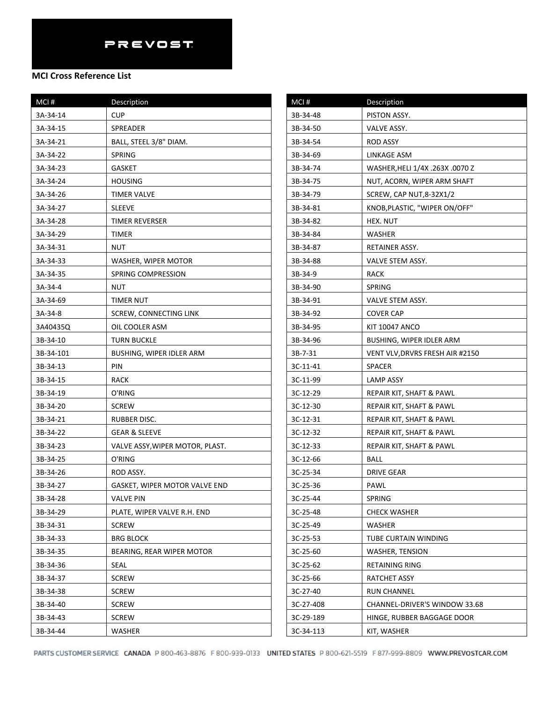| MCI#      | Description                     | MCI#      | Description                     |
|-----------|---------------------------------|-----------|---------------------------------|
| 3A-34-14  | <b>CUP</b>                      | 3B-34-48  | PISTON ASSY.                    |
| 3A-34-15  | SPREADER                        | 3B-34-50  | VALVE ASSY.                     |
| 3A-34-21  | BALL, STEEL 3/8" DIAM.          | 3B-34-54  | <b>ROD ASSY</b>                 |
| 3A-34-22  | SPRING                          | 3B-34-69  | LINKAGE ASM                     |
| 3A-34-23  | <b>GASKET</b>                   | 3B-34-74  | WASHER, HELI 1/4X .263X .0070 Z |
| 3A-34-24  | <b>HOUSING</b>                  | 3B-34-75  | NUT, ACORN, WIPER ARM SHAFT     |
| 3A-34-26  | <b>TIMER VALVE</b>              | 3B-34-79  | <b>SCREW, CAP NUT, 8-32X1/2</b> |
| 3A-34-27  | <b>SLEEVE</b>                   | 3B-34-81  | KNOB, PLASTIC, "WIPER ON/OFF"   |
| 3A-34-28  | TIMER REVERSER                  | 3B-34-82  | HEX. NUT                        |
| 3A-34-29  | <b>TIMER</b>                    | 3B-34-84  | WASHER                          |
| 3A-34-31  | <b>NUT</b>                      | 3B-34-87  | RETAINER ASSY.                  |
| 3A-34-33  | WASHER, WIPER MOTOR             | 3B-34-88  | VALVE STEM ASSY.                |
| 3A-34-35  | SPRING COMPRESSION              | 3B-34-9   | <b>RACK</b>                     |
| 3A-34-4   | <b>NUT</b>                      | 3B-34-90  | SPRING                          |
| 3A-34-69  | <b>TIMER NUT</b>                | 3B-34-91  | VALVE STEM ASSY.                |
| 3A-34-8   | SCREW, CONNECTING LINK          | 3B-34-92  | <b>COVER CAP</b>                |
| 3A40435Q  | OIL COOLER ASM                  | 3B-34-95  | <b>KIT 10047 ANCO</b>           |
| 3B-34-10  | <b>TURN BUCKLE</b>              | 3B-34-96  | BUSHING, WIPER IDLER ARM        |
| 3B-34-101 | BUSHING, WIPER IDLER ARM        | 3B-7-31   | VENT VLV, DRVRS FRESH AIR #2150 |
| 3B-34-13  | PIN                             | 3C-11-41  | <b>SPACER</b>                   |
| 3B-34-15  | <b>RACK</b>                     | 3C-11-99  | LAMP ASSY                       |
| 3B-34-19  | O'RING                          | 3C-12-29  | REPAIR KIT, SHAFT & PAWL        |
| 3B-34-20  | <b>SCREW</b>                    | 3C-12-30  | REPAIR KIT, SHAFT & PAWL        |
| 3B-34-21  | RUBBER DISC.                    | 3C-12-31  | REPAIR KIT, SHAFT & PAWL        |
| 3B-34-22  | <b>GEAR &amp; SLEEVE</b>        | 3C-12-32  | REPAIR KIT, SHAFT & PAWL        |
| 3B-34-23  | VALVE ASSY, WIPER MOTOR, PLAST. | 3C-12-33  | REPAIR KIT, SHAFT & PAWL        |
| 3B-34-25  | O'RING                          | 3C-12-66  | <b>BALL</b>                     |
| 3B-34-26  | ROD ASSY.                       | 3C-25-34  | <b>DRIVE GEAR</b>               |
| 3B-34-27  | GASKET, WIPER MOTOR VALVE END   | 3C-25-36  | PAWL                            |
| 3B-34-28  | <b>VALVE PIN</b>                | 3C-25-44  | SPRING                          |
| 3B-34-29  | PLATE, WIPER VALVE R.H. END     | 3C-25-48  | <b>CHECK WASHER</b>             |
| 3B-34-31  | <b>SCREW</b>                    | 3C-25-49  | WASHER                          |
| 3B-34-33  | <b>BRG BLOCK</b>                | 3C-25-53  | TUBE CURTAIN WINDING            |
| 3B-34-35  | BEARING, REAR WIPER MOTOR       | 3C-25-60  | WASHER, TENSION                 |
| 3B-34-36  | SEAL                            | 3C-25-62  | <b>RETAINING RING</b>           |
| 3B-34-37  | <b>SCREW</b>                    | 3C-25-66  | RATCHET ASSY                    |
| 3B-34-38  | <b>SCREW</b>                    | 3C-27-40  | <b>RUN CHANNEL</b>              |
| 3B-34-40  | <b>SCREW</b>                    | 3C-27-408 | CHANNEL-DRIVER'S WINDOW 33.68   |
| 3B-34-43  | <b>SCREW</b>                    | 3C-29-189 | HINGE, RUBBER BAGGAGE DOOR      |
| 3B-34-44  | WASHER                          | 3C-34-113 | KIT, WASHER                     |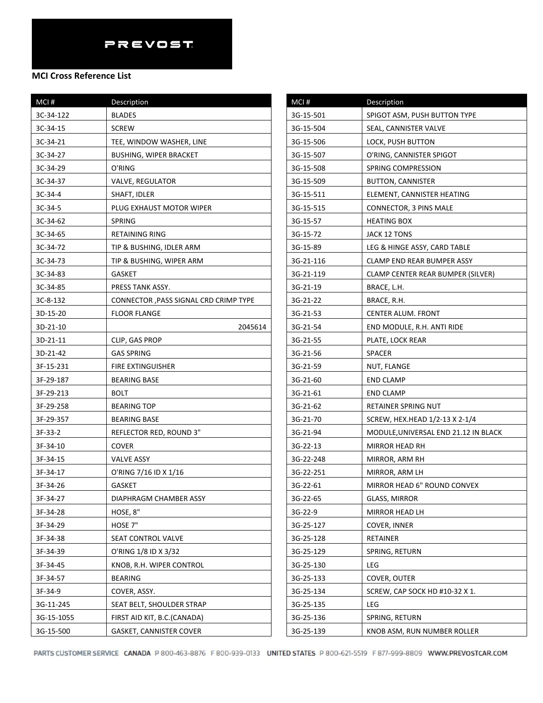| MCI#       | Description                            | MCI#    |
|------------|----------------------------------------|---------|
| 3C-34-122  | <b>BLADES</b>                          | $3G-15$ |
| 3C-34-15   | <b>SCREW</b>                           | $3G-15$ |
| 3C-34-21   | TEE, WINDOW WASHER, LINE               | $3G-15$ |
| 3C-34-27   | <b>BUSHING, WIPER BRACKET</b>          | $3G-15$ |
| 3C-34-29   | O'RING                                 | $3G-15$ |
| 3C-34-37   | VALVE, REGULATOR                       | $3G-15$ |
| $3C-34-4$  | SHAFT, IDLER                           | $3G-15$ |
| $3C-34-5$  | PLUG EXHAUST MOTOR WIPER               | $3G-15$ |
| 3C-34-62   | <b>SPRING</b>                          | $3G-15$ |
| 3C-34-65   | <b>RETAINING RING</b>                  | $3G-15$ |
| 3C-34-72   | TIP & BUSHING, IDLER ARM               | $3G-15$ |
| 3C-34-73   | TIP & BUSHING, WIPER ARM               | $3G-21$ |
| 3C-34-83   | <b>GASKET</b>                          | $3G-21$ |
| 3C-34-85   | PRESS TANK ASSY.                       | $3G-21$ |
| 3C-8-132   | CONNECTOR , PASS SIGNAL CRD CRIMP TYPE | $3G-21$ |
| 3D-15-20   | <b>FLOOR FLANGE</b>                    | $3G-21$ |
| 3D-21-10   | 2045614                                | $3G-21$ |
| 3D-21-11   | CLIP, GAS PROP                         | $3G-21$ |
| 3D-21-42   | <b>GAS SPRING</b>                      | $3G-21$ |
| 3F-15-231  | <b>FIRE EXTINGUISHER</b>               | $3G-21$ |
| 3F-29-187  | <b>BEARING BASE</b>                    | $3G-21$ |
| 3F-29-213  | <b>BOLT</b>                            | $3G-21$ |
| 3F-29-258  | <b>BEARING TOP</b>                     | $3G-21$ |
| 3F-29-357  | <b>BEARING BASE</b>                    | $3G-21$ |
| 3F-33-2    | REFLECTOR RED, ROUND 3"                | $3G-21$ |
| 3F-34-10   | <b>COVER</b>                           | $3G-22$ |
| 3F-34-15   | <b>VALVE ASSY</b>                      | $3G-22$ |
| 3F-34-17   | O'RING 7/16 ID X 1/16                  | $3G-22$ |
| 3F-34-26   | GASKET                                 | $3G-22$ |
| 3F-34-27   | DIAPHRAGM CHAMBER ASSY                 | $3G-22$ |
| 3F-34-28   | HOSE, 8"                               | 3G-22   |
| 3F-34-29   | HOSE 7"                                | $3G-25$ |
| 3F-34-38   | SEAT CONTROL VALVE                     | $3G-25$ |
| 3F-34-39   | O'RING 1/8 ID X 3/32                   | $3G-25$ |
| 3F-34-45   | KNOB, R.H. WIPER CONTROL               | $3G-25$ |
| 3F-34-57   | <b>BEARING</b>                         | $3G-25$ |
| 3F-34-9    | COVER, ASSY.                           | $3G-25$ |
| 3G-11-245  | SEAT BELT, SHOULDER STRAP              | $3G-25$ |
| 3G-15-1055 | FIRST AID KIT, B.C.(CANADA)            | $3G-25$ |
| 3G-15-500  | <b>GASKET, CANNISTER COVER</b>         | $3G-25$ |

| MCI#      | Description                              |  |
|-----------|------------------------------------------|--|
| 3G-15-501 | SPIGOT ASM, PUSH BUTTON TYPE             |  |
| 3G-15-504 | SEAL, CANNISTER VALVE                    |  |
| 3G-15-506 | LOCK, PUSH BUTTON                        |  |
| 3G-15-507 | O'RING, CANNISTER SPIGOT                 |  |
| 3G-15-508 | SPRING COMPRESSION                       |  |
| 3G-15-509 | <b>BUTTON, CANNISTER</b>                 |  |
| 3G-15-511 | ELEMENT, CANNISTER HEATING               |  |
| 3G-15-515 | CONNECTOR, 3 PINS MALE                   |  |
| 3G-15-57  | <b>HEATING BOX</b>                       |  |
| 3G-15-72  | JACK 12 TONS                             |  |
| 3G-15-89  | LEG & HINGE ASSY, CARD TABLE             |  |
| 3G-21-116 | CLAMP END REAR BUMPER ASSY               |  |
| 3G-21-119 | <b>CLAMP CENTER REAR BUMPER (SILVER)</b> |  |
| 3G-21-19  | BRACE, L.H.                              |  |
| 3G-21-22  | BRACE, R.H.                              |  |
| 3G-21-53  | CENTER ALUM. FRONT                       |  |
| 3G-21-54  | END MODULE, R.H. ANTI RIDE               |  |
| 3G-21-55  | PLATE, LOCK REAR                         |  |
| 3G-21-56  | SPACER                                   |  |
| 3G-21-59  | NUT, FLANGE                              |  |
| 3G-21-60  | END CLAMP                                |  |
| 3G-21-61  | <b>END CLAMP</b>                         |  |
| 3G-21-62  | RETAINER SPRING NUT                      |  |
| 3G-21-70  | SCREW, HEX.HEAD 1/2-13 X 2-1/4           |  |
| 3G-21-94  | MODULE, UNIVERSAL END 21.12 IN BLACK     |  |
| 3G-22-13  | MIRROR HEAD RH                           |  |
| 3G-22-248 | MIRROR, ARM RH                           |  |
| 3G-22-251 | MIRROR, ARM LH                           |  |
| 3G-22-61  | MIRROR HEAD 6" ROUND CONVEX              |  |
| 3G-22-65  | GLASS, MIRROR                            |  |
| $3G-22-9$ | MIRROR HEAD LH                           |  |
| 3G-25-127 | COVER, INNER                             |  |
| 3G-25-128 | RETAINER                                 |  |
| 3G-25-129 | SPRING, RETURN                           |  |
| 3G-25-130 | LEG                                      |  |
| 3G-25-133 | COVER, OUTER                             |  |
| 3G-25-134 | SCREW, CAP SOCK HD #10-32 X 1.           |  |
| 3G-25-135 | LEG                                      |  |
| 3G-25-136 | SPRING, RETURN                           |  |
| 3G-25-139 | KNOB ASM, RUN NUMBER ROLLER              |  |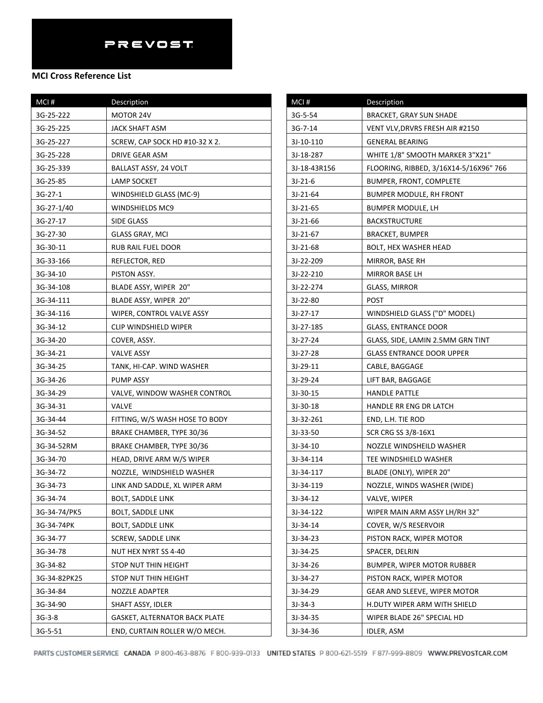| MCI#         | Description                    |
|--------------|--------------------------------|
| 3G-25-222    | MOTOR 24V                      |
| 3G-25-225    | JACK SHAFT ASM                 |
| 3G-25-227    | SCREW, CAP SOCK HD #10-32 X 2. |
| 3G-25-228    | DRIVE GEAR ASM                 |
| 3G-25-339    | BALLAST ASSY, 24 VOLT          |
| 3G-25-85     | LAMP SOCKET                    |
| $3G-27-1$    | WINDSHIELD GLASS (MC-9)        |
| 3G-27-1/40   | WINDSHIELDS MC9                |
| 3G-27-17     | SIDE GLASS                     |
| 3G-27-30     | GLASS GRAY, MCI                |
| 3G-30-11     | RUB RAIL FUEL DOOR             |
| 3G-33-166    | REFLECTOR, RED                 |
| 3G-34-10     | PISTON ASSY.                   |
| 3G-34-108    | BLADE ASSY, WIPER 20"          |
| 3G-34-111    | BLADE ASSY, WIPER 20"          |
| 3G-34-116    | WIPER, CONTROL VALVE ASSY      |
| 3G-34-12     | <b>CLIP WINDSHIELD WIPER</b>   |
| 3G-34-20     | COVER, ASSY.                   |
| 3G-34-21     | <b>VALVE ASSY</b>              |
| 3G-34-25     | TANK, HI-CAP. WIND WASHER      |
| 3G-34-26     | PUMP ASSY                      |
| 3G-34-29     | VALVE, WINDOW WASHER CONTROL   |
| 3G-34-31     | VALVE                          |
| 3G-34-44     | FITTING, W/S WASH HOSE TO BODY |
| 3G-34-52     | BRAKE CHAMBER, TYPE 30/36      |
| 3G-34-52RM   | BRAKE CHAMBER, TYPE 30/36      |
| 3G-34-70     | HEAD, DRIVE ARM W/S WIPER      |
| 3G-34-72     | NOZZLE, WINDSHIELD WASHER      |
| 3G-34-73     | LINK AND SADDLE, XL WIPER ARM  |
| 3G-34-74     | <b>BOLT, SADDLE LINK</b>       |
| 3G-34-74/PK5 | <b>BOLT, SADDLE LINK</b>       |
| 3G-34-74PK   | BOLT, SADDLE LINK              |
| 3G-34-77     | SCREW, SADDLE LINK             |
| 3G-34-78     | NUT HEX NYRT SS 4-40           |
| 3G-34-82     | STOP NUT THIN HEIGHT           |
| 3G-34-82PK25 | STOP NUT THIN HEIGHT           |
| 3G-34-84     | NOZZLE ADAPTER                 |
| 3G-34-90     | SHAFT ASSY, IDLER              |
| 3G-3-8       | GASKET, ALTERNATOR BACK PLATE  |
| 3G-5-51      | END, CURTAIN ROLLER W/O MECH.  |

| MCI#         | Description                            |
|--------------|----------------------------------------|
| 3G-5-54      | <b>BRACKET, GRAY SUN SHADE</b>         |
| 3G-7-14      | VENT VLV, DRVRS FRESH AIR #2150        |
| 3J-10-110    | <b>GENERAL BEARING</b>                 |
| 3J-18-287    | WHITE 1/8" SMOOTH MARKER 3"X21"        |
| 3J-18-43R156 | FLOORING, RIBBED, 3/16X14-5/16X96" 766 |
| $3J-21-6$    | BUMPER, FRONT, COMPLETE                |
| 3J-21-64     | BUMPER MODULE, RH FRONT                |
| $3J-21-65$   | BUMPER MODULE, LH                      |
| 3J-21-66     | <b>BACKSTRUCTURE</b>                   |
| 3J-21-67     | <b>BRACKET, BUMPER</b>                 |
| 3J-21-68     | BOLT, HEX WASHER HEAD                  |
| 3J-22-209    | MIRROR, BASE RH                        |
| 3J-22-210    | MIRROR BASE LH                         |
| 3J-22-274    | <b>GLASS, MIRROR</b>                   |
| 3J-22-80     | <b>POST</b>                            |
| $3J-27-17$   | WINDSHIELD GLASS ("D" MODEL)           |
| 3J-27-185    | <b>GLASS, ENTRANCE DOOR</b>            |
| 3J-27-24     | GLASS, SIDE, LAMIN 2.5MM GRN TINT      |
| 3J-27-28     | <b>GLASS ENTRANCE DOOR UPPER</b>       |
| 3J-29-11     | CABLE, BAGGAGE                         |
| 3J-29-24     | LIFT BAR, BAGGAGE                      |
| 3J-30-15     | HANDLE PATTLE                          |
| 3J-30-18     | HANDLE RR ENG DR LATCH                 |
| 3J-32-261    | END, L.H. TIE ROD                      |
| 3J-33-50     | SCR CRG SS 3/8-16X1                    |
| 3J-34-10     | NOZZLE WINDSHEILD WASHER               |
| 3J-34-114    | TEE WINDSHIELD WASHER                  |
| 3J-34-117    | BLADE (ONLY), WIPER 20"                |
| 3J-34-119    | NOZZLE, WINDS WASHER (WIDE)            |
| 3J-34-12     | VALVE, WIPER                           |
| 3J-34-122    | WIPER MAIN ARM ASSY LH/RH 32"          |
| 3J-34-14     | COVER, W/S RESERVOIR                   |
| $3J-34-23$   | PISTON RACK, WIPER MOTOR               |
| 3J-34-25     | SPACER, DELRIN                         |
| 3J-34-26     | BUMPER, WIPER MOTOR RUBBER             |
| 3J-34-27     | PISTON RACK, WIPER MOTOR               |
| 3J-34-29     | GEAR AND SLEEVE, WIPER MOTOR           |
| $3J-34-3$    | H.DUTY WIPER ARM WITH SHIELD           |
| 3J-34-35     | WIPER BLADE 26" SPECIAL HD             |
| 3J-34-36     | IDLER, ASM                             |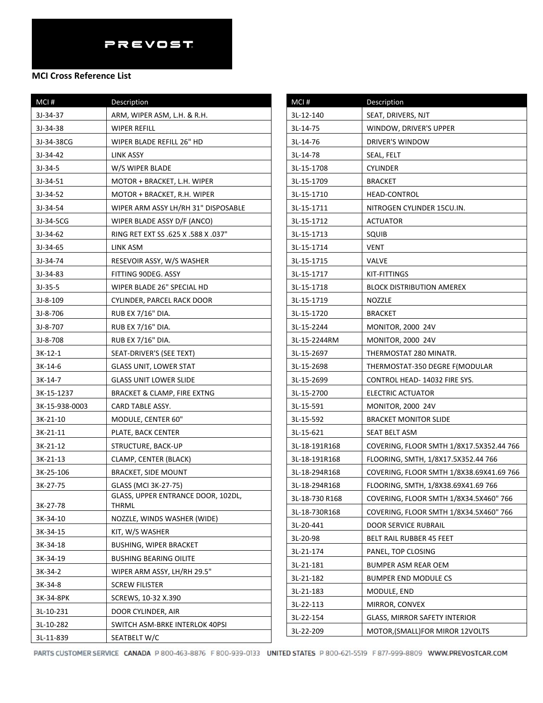| MCI#           | Description                                        |
|----------------|----------------------------------------------------|
| 3J-34-37       | ARM, WIPER ASM, L.H. & R.H.                        |
| 3J-34-38       | WIPER REFILL                                       |
| 3J-34-38CG     | WIPER BLADE REFILL 26" HD                          |
| 3J-34-42       | LINK ASSY                                          |
| $3J-34-5$      | W/S WIPER BLADE                                    |
| 3J-34-51       | MOTOR + BRACKET, L.H. WIPER                        |
| 3J-34-52       | MOTOR + BRACKET, R.H. WIPER                        |
| 3J-34-54       | WIPER ARM ASSY LH/RH 31" DISPOSABLE                |
| 3J-34-5CG      | WIPER BLADE ASSY D/F (ANCO)                        |
| 3J-34-62       | RING RET EXT SS .625 X .588 X .037"                |
| 3J-34-65       | LINK ASM                                           |
| 3J-34-74       | RESEVOIR ASSY, W/S WASHER                          |
| 3J-34-83       | FITTING 90DEG. ASSY                                |
| $3J-35-5$      | WIPER BLADE 26" SPECIAL HD                         |
| $3J-8-109$     | CYLINDER, PARCEL RACK DOOR                         |
| 3J-8-706       | RUB EX 7/16" DIA.                                  |
| 3J-8-707       | RUB EX 7/16" DIA.                                  |
| 3J-8-708       | RUB EX 7/16" DIA.                                  |
| $3K-12-1$      | SEAT-DRIVER'S (SEE TEXT)                           |
| 3K-14-6        | <b>GLASS UNIT, LOWER STAT</b>                      |
| $3K-14-7$      | <b>GLASS UNIT LOWER SLIDE</b>                      |
| 3K-15-1237     | <b>BRACKET &amp; CLAMP, FIRE EXTNG</b>             |
| 3K-15-938-0003 | CARD TABLE ASSY.                                   |
| 3K-21-10       | MODULE, CENTER 60"                                 |
| 3K-21-11       | PLATE, BACK CENTER                                 |
| 3K-21-12       | STRUCTURE, BACK-UP                                 |
| 3K-21-13       | CLAMP, CENTER (BLACK)                              |
| 3K-25-106      | <b>BRACKET, SIDE MOUNT</b>                         |
| 3K-27-75       | GLASS (MCI 3K-27-75)                               |
| 3K-27-78       | GLASS, UPPER ENTRANCE DOOR, 102DL,<br><b>THRML</b> |
| 3K-34-10       | NOZZLE, WINDS WASHER (WIDE)                        |
| 3K-34-15       | KIT, W/S WASHER                                    |
| 3K-34-18       | <b>BUSHING, WIPER BRACKET</b>                      |
| 3K-34-19       | <b>BUSHING BEARING OILITE</b>                      |
| 3K-34-2        | WIPER ARM ASSY, LH/RH 29.5"                        |
| 3K-34-8        | <b>SCREW FILISTER</b>                              |
| 3K-34-8PK      | SCREWS, 10-32 X.390                                |
| 3L-10-231      | DOOR CYLINDER, AIR                                 |
| 3L-10-282      | SWITCH ASM-BRKE INTERLOK 40PSI                     |
| 3L-11-839      | SEATBELT W/C                                       |

| MCI#           | Description                              |
|----------------|------------------------------------------|
| 3L-12-140      | SEAT, DRIVERS, NJT                       |
| 3L-14-75       | WINDOW, DRIVER'S UPPER                   |
| 3L-14-76       | DRIVER'S WINDOW                          |
| 3L-14-78       | SEAL, FELT                               |
| 3L-15-1708     | CYLINDER                                 |
| 3L-15-1709     | <b>BRACKET</b>                           |
| 3L-15-1710     | HEAD-CONTROL                             |
| 3L-15-1711     | NITROGEN CYLINDER 15CU.IN.               |
| 3L-15-1712     | <b>ACTUATOR</b>                          |
| 3L-15-1713     | SQUIB                                    |
| 3L-15-1714     | VENT                                     |
| 3L-15-1715     | VALVE                                    |
| 3L-15-1717     | KIT-FITTINGS                             |
| 3L-15-1718     | <b>BLOCK DISTRIBUTION AMEREX</b>         |
| 3L-15-1719     | NOZZLE                                   |
| 3L-15-1720     | <b>BRACKET</b>                           |
| 3L-15-2244     | <b>MONITOR, 2000 24V</b>                 |
| 3L-15-2244RM   | <b>MONITOR, 2000 24V</b>                 |
| 3L-15-2697     | THERMOSTAT 280 MINATR.                   |
| 3L-15-2698     | THERMOSTAT-350 DEGRE F(MODULAR           |
| 3L-15-2699     | CONTROL HEAD- 14032 FIRE SYS.            |
| 3L-15-2700     | ELECTRIC ACTUATOR                        |
| 3L-15-591      | <b>MONITOR, 2000 24V</b>                 |
| 3L-15-592      | <b>BRACKET MONITOR SLIDE</b>             |
| 3L-15-621      | SEAT BELT ASM                            |
| 3L-18-191R168  | COVERING, FLOOR SMTH 1/8X17.5X352.44 766 |
| 3L-18-191R168  | FLOORING, SMTH, 1/8X17.5X352.44 766      |
| 3L-18-294R168  | COVERING, FLOOR SMTH 1/8X38.69X41.69 766 |
| 3L-18-294R168  | FLOORING, SMTH, 1/8X38.69X41.69 766      |
| 3L-18-730 R168 | COVERING, FLOOR SMTH 1/8X34.5X460" 766   |
| 3L-18-730R168  | COVERING, FLOOR SMTH 1/8X34.5X460" 766   |
| 3L-20-441      | DOOR SERVICE RUBRAIL                     |
| 3L-20-98       | BELT RAIL RUBBER 45 FEET                 |
| 3L-21-174      | PANEL, TOP CLOSING                       |
| 3L-21-181      | BUMPER ASM REAR OEM                      |
| 3L-21-182      | <b>BUMPER END MODULE CS</b>              |
| 3L-21-183      | MODULE, END                              |
| 3L-22-113      | MIRROR, CONVEX                           |
| 3L-22-154      | <b>GLASS, MIRROR SAFETY INTERIOR</b>     |
| 3L-22-209      | MOTOR, (SMALL) FOR MIROR 12VOLTS         |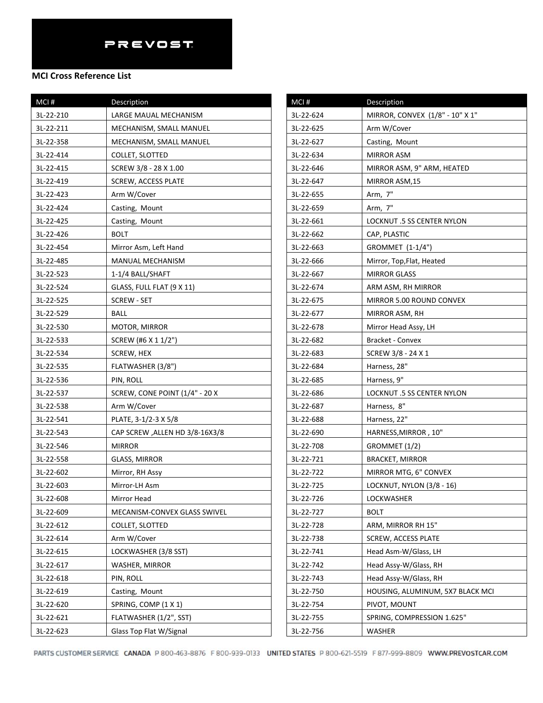## **MCI Cross Reference List**

| $MCI$ #   | Description                     |
|-----------|---------------------------------|
| 3L-22-210 | LARGE MAUAL MECHANISM           |
| 3L-22-211 | MECHANISM, SMALL MANUEL         |
| 3L-22-358 | MECHANISM, SMALL MANUEL         |
| 3L-22-414 | COLLET, SLOTTED                 |
| 3L-22-415 | SCREW 3/8 - 28 X 1.00           |
| 3L-22-419 | <b>SCREW, ACCESS PLATE</b>      |
| 3L-22-423 | Arm W/Cover                     |
| 3L-22-424 | Casting, Mount                  |
| 3L-22-425 | Casting, Mount                  |
| 3L-22-426 | <b>BOLT</b>                     |
| 3L-22-454 | Mirror Asm, Left Hand           |
| 3L-22-485 | MANUAL MECHANISM                |
| 3L-22-523 | 1-1/4 BALL/SHAFT                |
| 3L-22-524 | GLASS, FULL FLAT (9 X 11)       |
| 3L-22-525 | <b>SCREW - SET</b>              |
| 3L-22-529 | BALL                            |
| 3L-22-530 | MOTOR, MIRROR                   |
| 3L-22-533 | SCREW (#6 X 1 1/2")             |
| 3L-22-534 | SCREW, HEX                      |
| 3L-22-535 | FLATWASHER (3/8")               |
| 3L-22-536 | PIN, ROLL                       |
| 3L-22-537 | SCREW, CONE POINT (1/4" - 20 X  |
| 3L-22-538 | Arm W/Cover                     |
| 3L-22-541 | PLATE, 3-1/2-3 X 5/8            |
| 3L-22-543 | CAP SCREW , ALLEN HD 3/8-16X3/8 |
| 3L-22-546 | <b>MIRROR</b>                   |
| 3L-22-558 | <b>GLASS, MIRROR</b>            |
| 3L-22-602 | Mirror, RH Assy                 |
| 3L-22-603 | Mirror-LH Asm                   |
| 3L-22-608 | Mirror Head                     |
| 3L-22-609 | MECANISM-CONVEX GLASS SWIVEL    |
| 3L-22-612 | COLLET, SLOTTED                 |
| 3L-22-614 | Arm W/Cover                     |
| 3L-22-615 | LOCKWASHER (3/8 SST)            |
| 3L-22-617 | WASHER, MIRROR                  |
| 3L-22-618 | PIN, ROLL                       |
| 3L-22-619 | Casting, Mount                  |
| 3L-22-620 | SPRING, COMP (1 X 1)            |
| 3L-22-621 | FLATWASHER (1/2", SST)          |
| 3L-22-623 | Glass Top Flat W/Signal         |

| MCI#      | Description                      |
|-----------|----------------------------------|
| 3L-22-624 | MIRROR, CONVEX (1/8" - 10" X 1"  |
| 3L-22-625 | Arm W/Cover                      |
| 3L-22-627 | Casting, Mount                   |
| 3L-22-634 | MIRROR ASM                       |
| 3L-22-646 | MIRROR ASM, 9" ARM, HEATED       |
| 3L-22-647 | MIRROR ASM,15                    |
| 3L-22-655 | Arm, 7"                          |
| 3L-22-659 | Arm, 7"                          |
| 3L-22-661 | LOCKNUT .5 SS CENTER NYLON       |
| 3L-22-662 | CAP, PLASTIC                     |
| 3L-22-663 | GROMMET (1-1/4")                 |
| 3L-22-666 | Mirror, Top, Flat, Heated        |
| 3L-22-667 | <b>MIRROR GLASS</b>              |
| 3L-22-674 | ARM ASM, RH MIRROR               |
| 3L-22-675 | MIRROR 5.00 ROUND CONVEX         |
| 3L-22-677 | MIRROR ASM, RH                   |
| 3L-22-678 | Mirror Head Assy, LH             |
| 3L-22-682 | Bracket - Convex                 |
| 3L-22-683 | SCREW 3/8 - 24 X 1               |
| 3L-22-684 | Harness, 28"                     |
| 3L-22-685 | Harness, 9"                      |
| 3L-22-686 | LOCKNUT .5 SS CENTER NYLON       |
| 3L-22-687 | Harness, 8"                      |
| 3L-22-688 | Harness, 22"                     |
| 3L-22-690 | HARNESS, MIRROR, 10"             |
| 3L-22-708 | GROMMET (1/2)                    |
| 3L-22-721 | <b>BRACKET, MIRROR</b>           |
| 3L-22-722 | MIRROR MTG, 6" CONVEX            |
| 3L-22-725 | LOCKNUT, NYLON (3/8 - 16)        |
| 3L-22-726 | LOCKWASHER                       |
| 3L-22-727 | <b>BOLT</b>                      |
| 3L-22-728 | ARM, MIRROR RH 15"               |
| 3L-22-738 | <b>SCREW, ACCESS PLATE</b>       |
| 3L-22-741 | Head Asm-W/Glass, LH             |
| 3L-22-742 | Head Assy-W/Glass, RH            |
| 3L-22-743 | Head Assy-W/Glass, RH            |
| 3L-22-750 | HOUSING, ALUMINUM, 5X7 BLACK MCI |
| 3L-22-754 | PIVOT, MOUNT                     |
| 3L-22-755 | SPRING, COMPRESSION 1.625"       |
| 3L-22-756 | WASHER                           |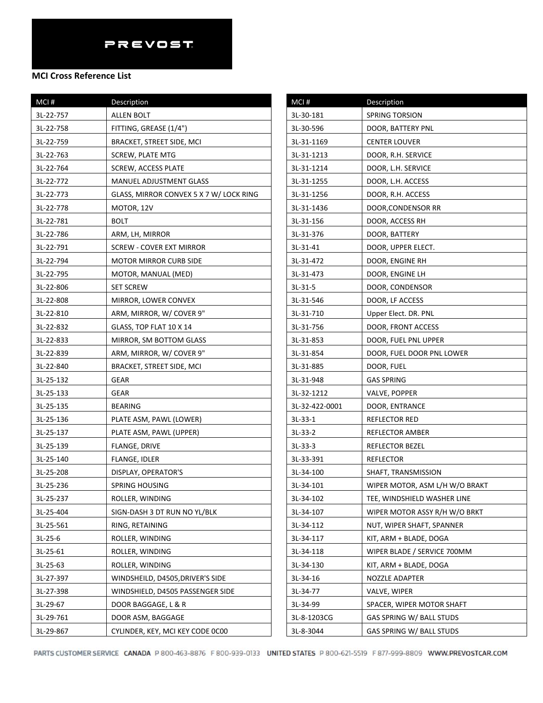#### **MCI Cross Reference List**

| MCI#      | Description                             |
|-----------|-----------------------------------------|
| 3L-22-757 | <b>ALLEN BOLT</b>                       |
| 3L-22-758 | FITTING, GREASE (1/4")                  |
| 3L-22-759 | BRACKET, STREET SIDE, MCI               |
| 3L-22-763 | SCREW, PLATE MTG                        |
| 3L-22-764 | <b>SCREW, ACCESS PLATE</b>              |
| 3L-22-772 | MANUEL ADJUSTMENT GLASS                 |
| 3L-22-773 | GLASS, MIRROR CONVEX 5 X 7 W/ LOCK RING |
| 3L-22-778 | MOTOR, 12V                              |
| 3L-22-781 | <b>BOLT</b>                             |
| 3L-22-786 | ARM, LH, MIRROR                         |
| 3L-22-791 | SCREW - COVER EXT MIRROR                |
| 3L-22-794 | MOTOR MIRROR CURB SIDE                  |
| 3L-22-795 | MOTOR, MANUAL (MED)                     |
| 3L-22-806 | <b>SET SCREW</b>                        |
| 3L-22-808 | MIRROR, LOWER CONVEX                    |
| 3L-22-810 | ARM, MIRROR, W/COVER 9"                 |
| 3L-22-832 | GLASS, TOP FLAT 10 X 14                 |
| 3L-22-833 | MIRROR, SM BOTTOM GLASS                 |
| 3L-22-839 | ARM, MIRROR, W/COVER 9"                 |
| 3L-22-840 | BRACKET, STREET SIDE, MCI               |
| 3L-25-132 | GEAR                                    |
| 3L-25-133 | GEAR                                    |
| 3L-25-135 | <b>BEARING</b>                          |
| 3L-25-136 | PLATE ASM, PAWL (LOWER)                 |
| 3L-25-137 | PLATE ASM, PAWL (UPPER)                 |
| 3L-25-139 | FLANGE, DRIVE                           |
| 3L-25-140 | FLANGE, IDLER                           |
| 3L-25-208 | DISPLAY, OPERATOR'S                     |
| 3L-25-236 | <b>SPRING HOUSING</b>                   |
| 3L-25-237 | ROLLER, WINDING                         |
| 3L-25-404 | SIGN-DASH 3 DT RUN NO YL/BLK            |
| 3L-25-561 | RING, RETAINING                         |
| $3L-25-6$ | ROLLER, WINDING                         |
| 3L-25-61  | ROLLER, WINDING                         |
| 3L-25-63  | ROLLER, WINDING                         |
| 3L-27-397 | WINDSHEILD, D4505, DRIVER'S SIDE        |
| 3L-27-398 | WINDSHIELD, D4505 PASSENGER SIDE        |
| 3L-29-67  | DOOR BAGGAGE, L & R                     |
| 3L-29-761 | DOOR ASM, BAGGAGE                       |
| 3L-29-867 | CYLINDER, KEY, MCI KEY CODE 0C00        |

| MCI#           | Description                    |
|----------------|--------------------------------|
| 3L-30-181      | <b>SPRING TORSION</b>          |
| 3L-30-596      | DOOR, BATTERY PNL              |
| 3L-31-1169     | <b>CENTER LOUVER</b>           |
| 3L-31-1213     | DOOR, R.H. SERVICE             |
| 3L-31-1214     | DOOR, L.H. SERVICE             |
| 3L-31-1255     | DOOR, L.H. ACCESS              |
| 3L-31-1256     | DOOR, R.H. ACCESS              |
| 3L-31-1436     | DOOR, CONDENSOR RR             |
| 3L-31-156      | DOOR, ACCESS RH                |
| 3L-31-376      | DOOR, BATTERY                  |
| 3L-31-41       | DOOR, UPPER ELECT.             |
| 3L-31-472      | DOOR, ENGINE RH                |
| 3L-31-473      | DOOR, ENGINE LH                |
| $3L-31-5$      | DOOR, CONDENSOR                |
| 3L-31-546      | DOOR, LF ACCESS                |
| 3L-31-710      | Upper Elect. DR. PNL           |
| 3L-31-756      | DOOR, FRONT ACCESS             |
| 3L-31-853      | DOOR, FUEL PNL UPPER           |
| 3L-31-854      | DOOR, FUEL DOOR PNL LOWER      |
| 3L-31-885      | DOOR, FUEL                     |
| 3L-31-948      | <b>GAS SPRING</b>              |
| 3L-32-1212     | VALVE, POPPER                  |
| 3L-32-422-0001 | DOOR, ENTRANCE                 |
| $3L-33-1$      | REFLECTOR RED                  |
| $3L-33-2$      | REFLECTOR AMBER                |
| $3L-33-3$      | REFLECTOR BEZEL                |
| 3L-33-391      | REFLECTOR                      |
| 3L-34-100      | SHAFT, TRANSMISSION            |
| 3L-34-101      | WIPER MOTOR, ASM L/H W/O BRAKT |
| 3L-34-102      | TEE, WINDSHIELD WASHER LINE    |
| 3L-34-107      | WIPER MOTOR ASSY R/H W/O BRKT  |
| 3L-34-112      | NUT, WIPER SHAFT, SPANNER      |
| 3L-34-117      | KIT, ARM + BLADE, DOGA         |
| 3L-34-118      | WIPER BLADE / SERVICE 700MM    |
| 3L-34-130      | KIT, ARM + BLADE, DOGA         |
| 3L-34-16       | NOZZLE ADAPTER                 |
| 3L-34-77       | VALVE, WIPER                   |
| 3L-34-99       | SPACER, WIPER MOTOR SHAFT      |
| 3L-8-1203CG    | GAS SPRING W/ BALL STUDS       |
| 3L-8-3044      | GAS SPRING W/ BALL STUDS       |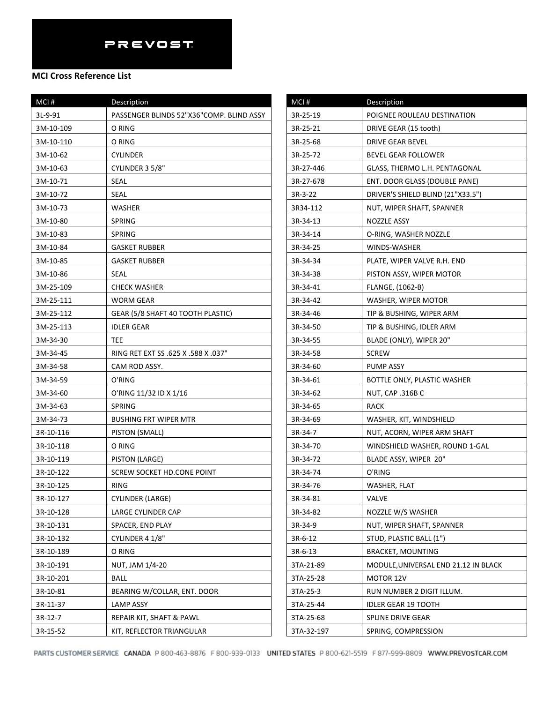### **MCI Cross Reference List**

| MCI#      | Description                              |
|-----------|------------------------------------------|
| 3L-9-91   | PASSENGER BLINDS 52"X36"COMP. BLIND ASSY |
| 3M-10-109 | O RING                                   |
| 3M-10-110 | O RING                                   |
| 3M-10-62  | CYLINDER                                 |
| 3M-10-63  | CYLINDER 3 5/8"                          |
| 3M-10-71  | SEAL                                     |
| 3M-10-72  | SEAL                                     |
| 3M-10-73  | WASHER                                   |
| 3M-10-80  | SPRING                                   |
| 3M-10-83  | SPRING                                   |
| 3M-10-84  | <b>GASKET RUBBER</b>                     |
| 3M-10-85  | <b>GASKET RUBBER</b>                     |
| 3M-10-86  | SEAL                                     |
| 3M-25-109 | <b>CHECK WASHER</b>                      |
| 3M-25-111 | WORM GEAR                                |
| 3M-25-112 | GEAR (5/8 SHAFT 40 TOOTH PLASTIC)        |
| 3M-25-113 | <b>IDLER GEAR</b>                        |
| 3M-34-30  | TEE                                      |
| 3M-34-45  | RING RET EXT SS .625 X .588 X .037"      |
| 3M-34-58  | CAM ROD ASSY.                            |
| 3M-34-59  | O'RING                                   |
| 3M-34-60  | O'RING 11/32 ID X 1/16                   |
| 3M-34-63  | <b>SPRING</b>                            |
| 3M-34-73  | <b>BUSHING FRT WIPER MTR</b>             |
| 3R-10-116 | PISTON (SMALL)                           |
| 3R-10-118 | O RING                                   |
| 3R-10-119 | PISTON (LARGE)                           |
| 3R-10-122 | SCREW SOCKET HD.CONE POINT               |
| 3R-10-125 | <b>RING</b>                              |
| 3R-10-127 | <b>CYLINDER (LARGE)</b>                  |
| 3R-10-128 | LARGE CYLINDER CAP                       |
| 3R-10-131 | SPACER, END PLAY                         |
| 3R-10-132 | CYLINDER 4 1/8"                          |
| 3R-10-189 | O RING                                   |
| 3R-10-191 | NUT, JAM 1/4-20                          |
| 3R-10-201 | <b>BALL</b>                              |
| 3R-10-81  | BEARING W/COLLAR, ENT. DOOR              |
| 3R-11-37  | LAMP ASSY                                |
| 3R-12-7   | REPAIR KIT, SHAFT & PAWL                 |
| 3R-15-52  | KIT, REFLECTOR TRIANGULAR                |

| MCI#       | Description                          |
|------------|--------------------------------------|
| 3R-25-19   | POIGNEE ROULEAU DESTINATION          |
| 3R-25-21   | DRIVE GEAR (15 tooth)                |
| 3R-25-68   | <b>DRIVE GEAR BEVEL</b>              |
| 3R-25-72   | <b>BEVEL GEAR FOLLOWER</b>           |
| 3R-27-446  | GLASS, THERMO L.H. PENTAGONAL        |
| 3R-27-678  | ENT. DOOR GLASS (DOUBLE PANE)        |
| 3R-3-22    | DRIVER'S SHIELD BLIND (21"X33.5")    |
| 3R34-112   | NUT, WIPER SHAFT, SPANNER            |
| 3R-34-13   | NOZZLE ASSY                          |
| 3R-34-14   | O-RING, WASHER NOZZLE                |
| 3R-34-25   | WINDS-WASHER                         |
| 3R-34-34   | PLATE, WIPER VALVE R.H. END          |
| 3R-34-38   | PISTON ASSY, WIPER MOTOR             |
| 3R-34-41   | FLANGE, (1062-B)                     |
| 3R-34-42   | WASHER, WIPER MOTOR                  |
| 3R-34-46   | TIP & BUSHING, WIPER ARM             |
| 3R-34-50   | TIP & BUSHING, IDLER ARM             |
| 3R-34-55   | BLADE (ONLY), WIPER 20"              |
| 3R-34-58   | <b>SCREW</b>                         |
| 3R-34-60   | PUMP ASSY                            |
| 3R-34-61   | BOTTLE ONLY, PLASTIC WASHER          |
| 3R-34-62   | NUT, CAP .316B C                     |
| 3R-34-65   | RACK                                 |
| 3R-34-69   | WASHER, KIT, WINDSHIELD              |
| 3R-34-7    | NUT, ACORN, WIPER ARM SHAFT          |
| 3R-34-70   | WINDSHIELD WASHER, ROUND 1-GAL       |
| 3R-34-72   | BLADE ASSY, WIPER 20"                |
| 3R-34-74   | O'RING                               |
| 3R-34-76   | WASHER, FLAT                         |
| 3R-34-81   | VALVE                                |
| 3R-34-82   | NOZZLE W/S WASHER                    |
| 3R-34-9    | NUT, WIPER SHAFT, SPANNER            |
| $3R-6-12$  | STUD, PLASTIC BALL (1")              |
| $3R-6-13$  | BRACKET, MOUNTING                    |
| 3TA-21-89  | MODULE, UNIVERSAL END 21.12 IN BLACK |
| 3TA-25-28  | MOTOR 12V                            |
| 3TA-25-3   | RUN NUMBER 2 DIGIT ILLUM.            |
| 3TA-25-44  | <b>IDLER GEAR 19 TOOTH</b>           |
| 3TA-25-68  | SPLINE DRIVE GEAR                    |
| 3TA-32-197 | SPRING, COMPRESSION                  |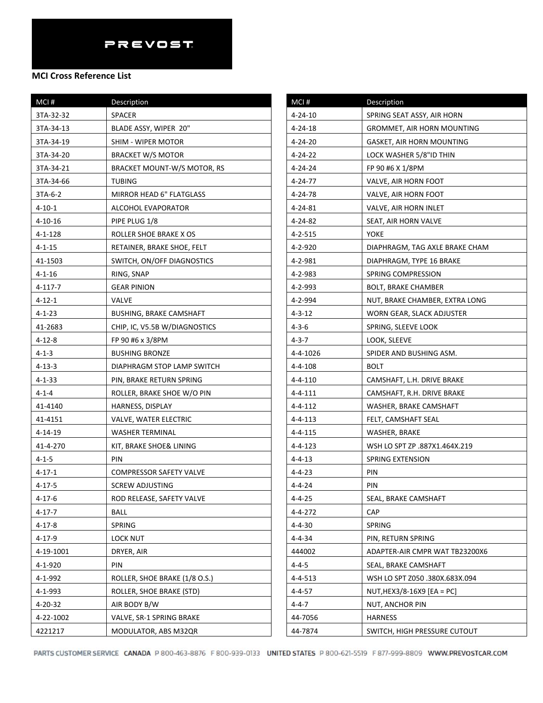| Description                        | MCI#          |
|------------------------------------|---------------|
| SPACER                             | $4 - 24 - 10$ |
| BLADE ASSY, WIPER 20"              | $4 - 24 - 18$ |
| SHIM - WIPER MOTOR                 | $4 - 24 - 20$ |
| <b>BRACKET W/S MOTOR</b>           | 4-24-22       |
| <b>BRACKET MOUNT-W/S MOTOR, RS</b> | 4-24-24       |
| <b>TUBING</b>                      | 4-24-77       |
| <b>MIRROR HEAD 6" FLATGLASS</b>    | 4-24-78       |
| <b>ALCOHOL EVAPORATOR</b>          | $4 - 24 - 81$ |
| PIPE PLUG 1/8                      | 4-24-82       |
| ROLLER SHOE BRAKE X OS             | $4 - 2 - 515$ |
| RETAINER, BRAKE SHOE, FELT         | 4-2-920       |
| SWITCH, ON/OFF DIAGNOSTICS         | 4-2-981       |
| RING, SNAP                         | 4-2-983       |
| <b>GEAR PINION</b>                 | 4-2-993       |
| <b>VALVE</b>                       | 4-2-994       |
| <b>BUSHING, BRAKE CAMSHAFT</b>     | $4 - 3 - 12$  |
| CHIP, IC, V5.5B W/DIAGNOSTICS      | $4 - 3 - 6$   |
| FP 90 #6 x 3/8PM                   | 4-3-7         |
| <b>BUSHING BRONZE</b>              | $4 - 4 - 102$ |
| DIAPHRAGM STOP LAMP SWITCH         | 4-4-108       |
| PIN, BRAKE RETURN SPRING           | $4 - 4 - 110$ |
| ROLLER, BRAKE SHOE W/O PIN         | $4 - 4 - 111$ |
| HARNESS, DISPLAY                   | $4 - 4 - 112$ |
| VALVE, WATER ELECTRIC              | $4 - 4 - 113$ |
| WASHER TERMINAL                    | $4 - 4 - 115$ |
| KIT, BRAKE SHOE& LINING            | $4 - 4 - 123$ |
| <b>PIN</b>                         | 4-4-13        |
| <b>COMPRESSOR SAFETY VALVE</b>     | 4-4-23        |
| <b>SCREW ADJUSTING</b>             | 4-4-24        |
| ROD RELEASE, SAFETY VALVE          | $4 - 4 - 25$  |
| <b>BALL</b>                        | 4-4-272       |
| SPRING                             | 4-4-30        |
| <b>LOCK NUT</b>                    | 4-4-34        |
| DRYER, AIR                         | 444002        |
| PIN                                | $4 - 4 - 5$   |
| ROLLER, SHOE BRAKE (1/8 O.S.)      | $4 - 4 - 513$ |
| ROLLER, SHOE BRAKE (STD)           | 4-4-57        |
| AIR BODY B/W                       | $4 - 4 - 7$   |
| VALVE, SR-1 SPRING BRAKE           | 44-7056       |
| MODULATOR, ABS M32QR               | 44-7874       |
|                                    |               |

| MCI#         | Description                    |
|--------------|--------------------------------|
| 4-24-10      | SPRING SEAT ASSY, AIR HORN     |
| 4-24-18      | GROMMET, AIR HORN MOUNTING     |
| 4-24-20      | GASKET, AIR HORN MOUNTING      |
| 4-24-22      | LOCK WASHER 5/8"ID THIN        |
| 4-24-24      | FP 90 #6 X 1/8PM               |
| 4-24-77      | VALVE, AIR HORN FOOT           |
| 4-24-78      | VALVE, AIR HORN FOOT           |
| 4-24-81      | VALVE, AIR HORN INLET          |
| 4-24-82      | SEAT, AIR HORN VALVE           |
| 4-2-515      | YOKE                           |
| 4-2-920      | DIAPHRAGM, TAG AXLE BRAKE CHAM |
| 4-2-981      | DIAPHRAGM, TYPE 16 BRAKE       |
| 4-2-983      | SPRING COMPRESSION             |
| 4-2-993      | BOLT, BRAKE CHAMBER            |
| 4-2-994      | NUT, BRAKE CHAMBER, EXTRA LONG |
| $4 - 3 - 12$ | WORN GEAR, SLACK ADJUSTER      |
| $4 - 3 - 6$  | SPRING, SLEEVE LOOK            |
| 4-3-7        | LOOK, SLEEVE                   |
| 4-4-1026     | SPIDER AND BUSHING ASM.        |
| 4-4-108      | <b>BOLT</b>                    |
| 4-4-110      | CAMSHAFT, L.H. DRIVE BRAKE     |
| 4-4-111      | CAMSHAFT, R.H. DRIVE BRAKE     |
| 4-4-112      | WASHER, BRAKE CAMSHAFT         |
| 4-4-113      | FELT, CAMSHAFT SEAL            |
| 4-4-115      | WASHER, BRAKE                  |
| 4-4-123      | WSH LO SPT ZP .887X1.464X.219  |
| 4-4-13       | SPRING EXTENSION               |
| 4-4-23       | PIN                            |
| $4 - 4 - 24$ | PIN                            |
| 4-4-25       | SEAL, BRAKE CAMSHAFT           |
| 4-4-272      | <b>CAP</b>                     |
| $4 - 4 - 30$ | SPRING                         |
| $4 - 4 - 34$ | PIN, RETURN SPRING             |
| 444002       | ADAPTER-AIR CMPR WAT TB23200X6 |
| 4-4-5        | SEAL, BRAKE CAMSHAFT           |
| 4-4-513      | WSH LO SPT Z050 .380X.683X.094 |
| 4-4-57       | NUT, HEX3/8-16X9 [EA = PC]     |
| 4-4-7        | NUT, ANCHOR PIN                |
| 44-7056      | <b>HARNESS</b>                 |
| 44-7874      | SWITCH, HIGH PRESSURE CUTOUT   |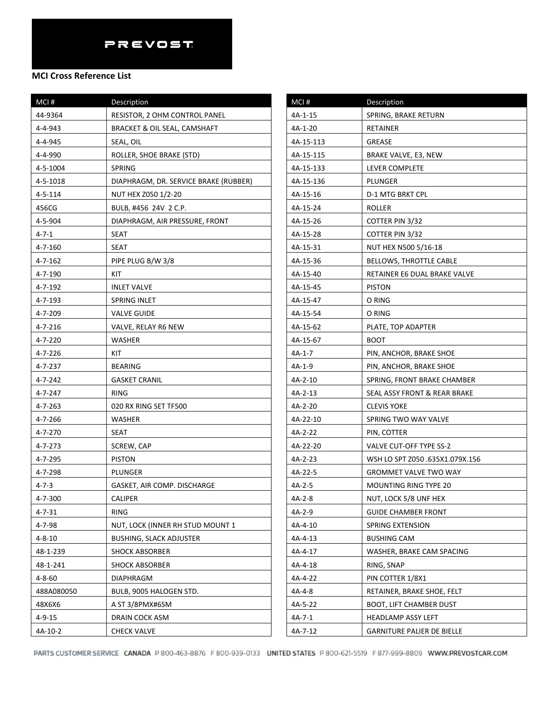| MCI#          | Description                           |
|---------------|---------------------------------------|
| 44-9364       | RESISTOR, 2 OHM CONTROL PANEL         |
| 4-4-943       | BRACKET & OIL SEAL, CAMSHAFT          |
| 4-4-945       | SEAL, OIL                             |
| 4-4-990       | ROLLER, SHOE BRAKE (STD)              |
| 4-5-1004      | SPRING                                |
| 4-5-1018      | DIAPHRAGM, DR. SERVICE BRAKE (RUBBER) |
| $4 - 5 - 114$ | NUT HEX Z050 1/2-20                   |
| 456CG         | BULB, #456 24V 2 C.P.                 |
| 4-5-904       | DIAPHRAGM, AIR PRESSURE, FRONT        |
| $4 - 7 - 1$   | SEAT                                  |
| $4 - 7 - 160$ | <b>SEAT</b>                           |
| $4 - 7 - 162$ | PIPE PLUG B/W 3/8                     |
| 4-7-190       | KIT                                   |
| 4-7-192       | <b>INLET VALVE</b>                    |
| 4-7-193       | SPRING INLET                          |
| 4-7-209       | <b>VALVE GUIDE</b>                    |
| 4-7-216       | VALVE, RELAY R6 NEW                   |
| 4-7-220       | WASHER                                |
| 4-7-226       | KIT                                   |
| 4-7-237       | <b>BEARING</b>                        |
| 4-7-242       | GASKET CRANIL                         |
| 4-7-247       | RING                                  |
| 4-7-263       | 020 RX RING SET TF500                 |
| 4-7-266       | WASHER                                |
| 4-7-270       | SEAT                                  |
| 4-7-273       | SCREW, CAP                            |
| 4-7-295       | <b>PISTON</b>                         |
| 4-7-298       | PLUNGER                               |
| $4 - 7 - 3$   | GASKET, AIR COMP. DISCHARGE           |
| 4-7-300       | <b>CALIPER</b>                        |
| $4 - 7 - 31$  | <b>RING</b>                           |
| 4-7-98        | NUT, LOCK (INNER RH STUD MOUNT 1      |
| 4-8-10        | <b>BUSHING, SLACK ADJUSTER</b>        |
| 48-1-239      | <b>SHOCK ABSORBER</b>                 |
| 48-1-241      | <b>SHOCK ABSORBER</b>                 |
| $4 - 8 - 60$  | DIAPHRAGM                             |
| 488A080050    | BULB, 9005 HALOGEN STD.               |
| 48X6X6        | A ST 3/8PMX#6SM                       |
| $4 - 9 - 15$  | DRAIN COCK ASM                        |
| 4A-10-2       | <b>CHECK VALVE</b>                    |

| MCI#      | Description                     |
|-----------|---------------------------------|
| 4A-1-15   | SPRING, BRAKE RETURN            |
| 4A-1-20   | RETAINER                        |
| 4A-15-113 | GREASE                          |
| 4A-15-115 | BRAKE VALVE, E3, NEW            |
| 4A-15-133 | LEVER COMPLETE                  |
| 4A-15-136 | PLUNGER                         |
| 4A-15-16  | D-1 MTG BRKT CPL                |
| 4A-15-24  | ROLLER                          |
| 4A-15-26  | COTTER PIN 3/32                 |
| 4A-15-28  | COTTER PIN 3/32                 |
| 4A-15-31  | NUT HEX N500 5/16-18            |
| 4A-15-36  | BELLOWS, THROTTLE CABLE         |
| 4A-15-40  | RETAINER E6 DUAL BRAKE VALVE    |
| 4A-15-45  | <b>PISTON</b>                   |
| 4A-15-47  | O RING                          |
| 4A-15-54  | O RING                          |
| 4A-15-62  | PLATE, TOP ADAPTER              |
| 4A-15-67  | <b>BOOT</b>                     |
| 4A-1-7    | PIN, ANCHOR, BRAKE SHOE         |
| 4A-1-9    | PIN, ANCHOR, BRAKE SHOE         |
| 4A-2-10   | SPRING, FRONT BRAKE CHAMBER     |
| 4A-2-13   | SEAL ASSY FRONT & REAR BRAKE    |
| 4A-2-20   | CLEVIS YOKE                     |
| 4A-22-10  | SPRING TWO WAY VALVE            |
| 4A-2-22   | PIN, COTTER                     |
| 4A-22-20  | VALVE CUT-OFF TYPE SS-2         |
| 4A-2-23   | WSH LO SPT Z050 .635X1.079X.156 |
| 4A-22-5   | GROMMET VALVE TWO WAY           |
| 4A-2-5    | MOUNTING RING TYPE 20           |
| 4A-2-8    | NUT, LOCK 5/8 UNF HEX           |
| 4A-2-9    | <b>GUIDE CHAMBER FRONT</b>      |
| 4A-4-10   | SPRING EXTENSION                |
| 4A-4-13   | <b>BUSHING CAM</b>              |
| 4A-4-17   | WASHER, BRAKE CAM SPACING       |
| 4A-4-18   | RING, SNAP                      |
| 4A-4-22   | PIN COTTER 1/8X1                |
| 4A-4-8    | RETAINER, BRAKE SHOE, FELT      |
| 4A-5-22   | BOOT, LIFT CHAMBER DUST         |
| 4A-7-1    | HEADLAMP ASSY LEFT              |
| 4A-7-12   | GARNITURE PALIER DE BIELLE      |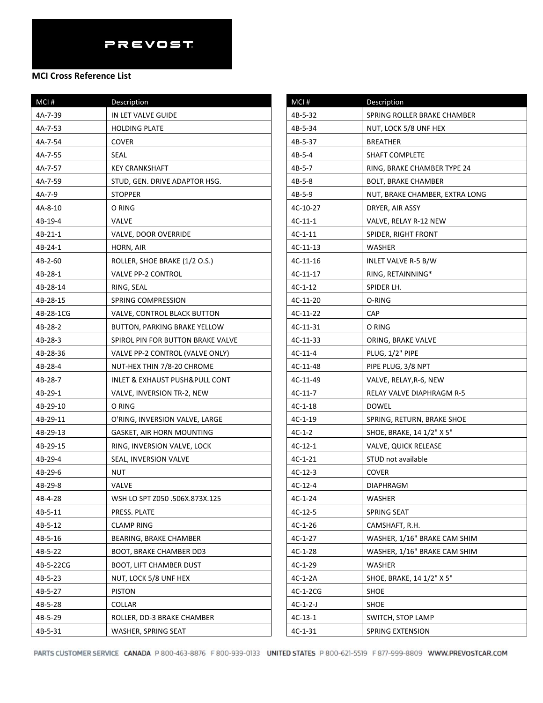| MCI#      | Description                                   |
|-----------|-----------------------------------------------|
| 4A-7-39   | IN LET VALVE GUIDE                            |
| 4A-7-53   | <b>HOLDING PLATE</b>                          |
| 4A-7-54   | COVER                                         |
| 4A-7-55   | SEAL                                          |
| 4A-7-57   | <b>KEY CRANKSHAFT</b>                         |
| 4A-7-59   | STUD, GEN. DRIVE ADAPTOR HSG.                 |
| 4A-7-9    | <b>STOPPER</b>                                |
| 4A-8-10   | O RING                                        |
| 4B-19-4   | VALVE                                         |
| $4B-21-1$ | VALVE, DOOR OVERRIDE                          |
| 4B-24-1   | HORN, AIR                                     |
| 4B-2-60   | ROLLER, SHOE BRAKE (1/2 O.S.)                 |
| 4B-28-1   | <b>VALVE PP-2 CONTROL</b>                     |
| 4B-28-14  | RING, SEAL                                    |
| 4B-28-15  | SPRING COMPRESSION                            |
| 4B-28-1CG | VALVE, CONTROL BLACK BUTTON                   |
| 4B-28-2   | BUTTON, PARKING BRAKE YELLOW                  |
| 4B-28-3   | SPIROL PIN FOR BUTTON BRAKE VALVE             |
| 4B-28-36  | VALVE PP-2 CONTROL (VALVE ONLY)               |
| 4B-28-4   | NUT-HEX THIN 7/8-20 CHROME                    |
| 4B-28-7   | <b>INLET &amp; EXHAUST PUSH&amp;PULL CONT</b> |
| 4B-29-1   | VALVE, INVERSION TR-2, NEW                    |
| 4B-29-10  | O RING                                        |
| 4B-29-11  | O'RING, INVERSION VALVE, LARGE                |
| 4B-29-13  | GASKET, AIR HORN MOUNTING                     |
| 4B-29-15  | RING, INVERSION VALVE, LOCK                   |
| 4B-29-4   | SEAL, INVERSION VALVE                         |
| 4B-29-6   | NUT                                           |
| 4B-29-8   | <b>VALVE</b>                                  |
| 4B-4-28   | WSH LO SPT Z050 .506X.873X.125                |
| 4B-5-11   | PRESS. PLATE                                  |
| 4B-5-12   | <b>CLAMP RING</b>                             |
| 4B-5-16   | <b>BEARING, BRAKE CHAMBER</b>                 |
| 4B-5-22   | BOOT, BRAKE CHAMBER DD3                       |
| 4B-5-22CG | <b>BOOT, LIFT CHAMBER DUST</b>                |
| 4B-5-23   | NUT, LOCK 5/8 UNF HEX                         |
| 4B-5-27   | <b>PISTON</b>                                 |
| 4B-5-28   | COLLAR                                        |
| 4B-5-29   | ROLLER, DD-3 BRAKE CHAMBER                    |
| 4B-5-31   | WASHER, SPRING SEAT                           |

| MCI#       | Description                    |
|------------|--------------------------------|
| 4B-5-32    | SPRING ROLLER BRAKE CHAMBER    |
| 4B-5-34    | NUT, LOCK 5/8 UNF HEX          |
| 4B-5-37    | <b>BREATHER</b>                |
| 4B-5-4     | <b>SHAFT COMPLETE</b>          |
| 4B-5-7     | RING, BRAKE CHAMBER TYPE 24    |
| 4B-5-8     | <b>BOLT, BRAKE CHAMBER</b>     |
| 4B-5-9     | NUT, BRAKE CHAMBER, EXTRA LONG |
| 4C-10-27   | DRYER, AIR ASSY                |
| 4C-11-1    | VALVE, RELAY R-12 NEW          |
| $4C-1-11$  | SPIDER, RIGHT FRONT            |
| 4C-11-13   | WASHER                         |
| 4C-11-16   | INLET VALVE R-5 B/W            |
| 4C-11-17   | RING, RETAINNING*              |
| $4C-1-12$  | SPIDER LH.                     |
| 4C-11-20   | O-RING                         |
| 4C-11-22   | CAP                            |
| 4C-11-31   | O RING                         |
| 4C-11-33   | ORING, BRAKE VALVE             |
| $4C-11-4$  | PLUG, 1/2" PIPE                |
| 4C-11-48   | PIPE PLUG, 3/8 NPT             |
| 4C-11-49   | VALVE, RELAY, R-6, NEW         |
| $4C-11-7$  | RELAY VALVE DIAPHRAGM R-5      |
| 4C-1-18    | <b>DOWEL</b>                   |
| 4C-1-19    | SPRING, RETURN, BRAKE SHOE     |
| $4C-1-2$   | SHOE, BRAKE, 14 1/2" X 5"      |
| $4C-12-1$  | <b>VALVE, QUICK RELEASE</b>    |
| $4C-1-21$  | STUD not available             |
| $4C-12-3$  | <b>COVER</b>                   |
| $4C-12-4$  | DIAPHRAGM                      |
| $4C-1-24$  | WASHER                         |
| $4C-12-5$  | SPRING SEAT                    |
| 4C-1-26    | CAMSHAFT, R.H.                 |
| $4C-1-27$  | WASHER, 1/16" BRAKE CAM SHIM   |
| $4C-1-28$  | WASHER, 1/16" BRAKE CAM SHIM   |
| $4C-1-29$  | <b>WASHER</b>                  |
| $4C-1-2A$  | SHOE, BRAKE, 14 1/2" X 5"      |
| 4C-1-2CG   | <b>SHOE</b>                    |
| $4C-1-2-J$ | SHOE                           |
| 4C-13-1    | SWITCH, STOP LAMP              |
| $4C-1-31$  | SPRING EXTENSION               |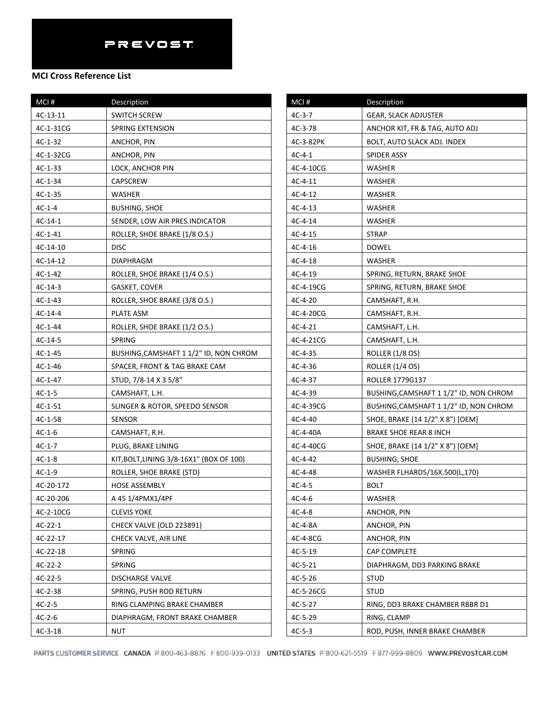| MCI#       | Description                              | MCI#      | De             |
|------------|------------------------------------------|-----------|----------------|
| $4C-13-11$ | <b>SWITCH SCREW</b>                      | $4C-3-7$  | GE             |
| 4C-1-31CG  | <b>SPRING EXTENSION</b>                  | $4C-3-78$ | А١             |
| $4C-1-32$  | ANCHOR, PIN                              | 4C-3-82PK | BC             |
| 4C-1-32CG  | ANCHOR, PIN                              | $4C-4-1$  | SP             |
| 4C-1-33    | LOCK, ANCHOR PIN                         | 4C-4-10CG | W.             |
| $4C-1-34$  | CAPSCREW                                 | $4C-4-11$ | W.             |
| $4C-1-35$  | WASHER                                   | $4C-4-12$ | W.             |
| $4C-1-4$   | <b>BUSHING, SHOE</b>                     | $4C-4-13$ | W.             |
| $4C-14-1$  | SENDER, LOW AIR PRES.INDICATOR           | $4C-4-14$ | W.             |
| 4C-1-41    | ROLLER, SHOE BRAKE (1/8 O.S.)            | $4C-4-15$ | SΤ             |
| 4C-14-10   | <b>DISC</b>                              | $4C-4-16$ | D <sub>C</sub> |
| 4C-14-12   | DIAPHRAGM                                | $4C-4-18$ | W.             |
| $4C-1-42$  | ROLLER, SHOE BRAKE (1/4 O.S.)            | 4C-4-19   | SP             |
| 4C-14-3    | GASKET, COVER                            | 4C-4-19CG | SP             |
| $4C-1-43$  | ROLLER, SHOE BRAKE (3/8 O.S.)            | $4C-4-20$ | CA             |
| 4C-14-4    | PLATE ASM                                | 4C-4-20CG | CA             |
| $4C-1-44$  | ROLLER, SHOE BRAKE (1/2 O.S.)            | $4C-4-21$ | CA             |
| 4C-14-5    | <b>SPRING</b>                            | 4C-4-21CG | CA             |
| $4C-1-45$  | BUSHING, CAMSHAFT 1 1/2" ID, NON CHROM   | $4C-4-35$ | RC             |
| 4C-1-46    | SPACER, FRONT & TAG BRAKE CAM            | $4C-4-36$ | <b>RC</b>      |
| $4C-1-47$  | STUD, 7/8-14 X 3 5/8"                    | 4C-4-37   | RC             |
| $4C-1-5$   | CAMSHAFT, L.H.                           | 4C-4-39   | BL             |
| $4C-1-51$  | SLINGER & ROTOR, SPEEDO SENSOR           | 4C-4-39CG | BL             |
| $4C-1-58$  | <b>SENSOR</b>                            | 4C-4-40   | SH             |
| $4C-1-6$   | CAMSHAFT, R.H.                           | 4C-4-40A  | BR             |
| $4C-1-7$   | PLUG, BRAKE LINING                       | 4C-4-40CG | SH             |
| $4C-1-8$   | KIT, BOLT, LINING 3/8-16X1" (BOX OF 100) | 4C-4-42   | BL             |
| $4C-1-9$   | ROLLER, SHOE BRAKE (STD)                 | 4C-4-48   | W              |
| 4C-20-172  | <b>HOSE ASSEMBLY</b>                     | $4C-4-5$  | B              |
| 4C-20-206  | A 45 1/4PMX1/4PF                         | $4C-4-6$  | W.             |
| 4C-2-10CG  | <b>CLEVIS YOKE</b>                       | $4C-4-8$  | А١             |
| 4C-22-1    | CHECK VALVE (OLD 223891)                 | 4C-4-8A   | A١             |
| 4C-22-17   | CHECK VALVE, AIR LINE                    | 4C-4-8CG  | А١             |
| 4C-22-18   | SPRING                                   | 4C-5-19   | CA             |
| $4C-22-2$  | SPRING                                   | $4C-5-21$ | DI.            |
| 4C-22-5    | <b>DISCHARGE VALVE</b>                   | 4C-5-26   | <b>ST</b>      |
| $4C-2-38$  | SPRING, PUSH ROD RETURN                  | 4C-5-26CG | SТ             |
| $4C-2-5$   | RING CLAMPING BRAKE CHAMBER              | $4C-5-27$ | RII            |
| $4C-2-6$   | DIAPHRAGM, FRONT BRAKE CHAMBER           | 4C-5-29   | RII            |
| $4C-3-18$  | NUT                                      | $4C-5-3$  | <b>RC</b>      |

| MCI#      | Description                            |
|-----------|----------------------------------------|
| $4C-3-7$  | <b>GEAR, SLACK ADJUSTER</b>            |
| 4C-3-78   | ANCHOR KIT, FR & TAG, AUTO ADJ         |
| 4C-3-82PK | BOLT, AUTO SLACK ADJ. INDEX            |
| $4C-4-1$  | SPIDER ASSY                            |
| 4C-4-10CG | WASHER                                 |
| $4C-4-11$ | WASHER                                 |
| $4C-4-12$ | <b>WASHER</b>                          |
| 4C-4-13   | WASHER                                 |
| $4C-4-14$ | WASHER                                 |
| 4C-4-15   | STRAP                                  |
| $4C-4-16$ | DOWEL                                  |
| 4C-4-18   | WASHER                                 |
| 4C-4-19   | SPRING, RETURN, BRAKE SHOE             |
| 4C-4-19CG | SPRING, RETURN, BRAKE SHOE             |
| 4C-4-20   | CAMSHAFT, R.H.                         |
| 4C-4-20CG | CAMSHAFT, R.H.                         |
| $4C-4-21$ | CAMSHAFT, L.H.                         |
| 4C-4-21CG | CAMSHAFT, L.H.                         |
| 4C-4-35   | ROLLER (1/8 OS)                        |
| 4C-4-36   | ROLLER (1/4 OS)                        |
| 4C-4-37   | ROLLER 1779G137                        |
| 4C-4-39   | BUSHING, CAMSHAFT 1 1/2" ID, NON CHROM |
| 4C-4-39CG | BUSHING, CAMSHAFT 1 1/2" ID, NON CHROM |
| 4C-4-40   | SHOE, BRAKE (14 1/2" X 8") [OEM]       |
| 4C-4-40A  | BRAKE SHOE REAR 8 INCH                 |
| 4C-4-40CG | SHOE, BRAKE (14 1/2" X 8") [OEM]       |
| 4C-4-42   | <b>BUSHING, SHOE</b>                   |
| 4C-4-48   | WASHER FLHARD5/16X.500(L,170)          |
| $4C-4-5$  | BOLT                                   |
| $4C-4-6$  | WASHER                                 |
| 4C-4-8    | ANCHOR, PIN                            |
| 4C-4-8A   | ANCHOR, PIN                            |
| 4C-4-8CG  | ANCHOR, PIN                            |
| $4C-5-19$ | CAP COMPLETE                           |
| $4C-5-21$ | DIAPHRAGM, DD3 PARKING BRAKE           |
| $4C-5-26$ | STUD                                   |
| 4C-5-26CG | STUD                                   |
| 4C-5-27   | RING, DD3 BRAKE CHAMBER RBBR D1        |
| 4C-5-29   | RING, CLAMP                            |
| $4C-5-3$  | ROD, PUSH, INNER BRAKE CHAMBER         |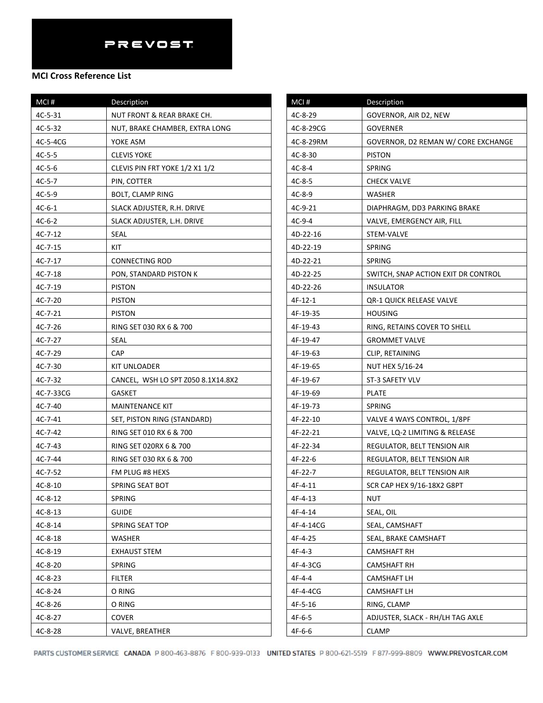| MCI#      | Description                        |
|-----------|------------------------------------|
| 4C-5-31   | NUT FRONT & REAR BRAKE CH.         |
| 4C-5-32   | NUT, BRAKE CHAMBER, EXTRA LONG     |
| 4C-5-4CG  | YOKE ASM                           |
| $4C-5-5$  | <b>CLEVIS YOKE</b>                 |
| $4C-5-6$  | CLEVIS PIN FRT YOKE 1/2 X1 1/2     |
| $4C-5-7$  | PIN, COTTER                        |
| $4C-5-9$  | <b>BOLT, CLAMP RING</b>            |
| $4C-6-1$  | SLACK ADJUSTER, R.H. DRIVE         |
| $4C-6-2$  | SLACK ADJUSTER, L.H. DRIVE         |
| 4C-7-12   | SEAL                               |
| 4C-7-15   | KIT                                |
| 4C-7-17   | CONNECTING ROD                     |
| $4C-7-18$ | PON, STANDARD PISTON K             |
| 4C-7-19   | <b>PISTON</b>                      |
| 4C-7-20   | <b>PISTON</b>                      |
| 4C-7-21   | <b>PISTON</b>                      |
| $4C-7-26$ | RING SET 030 RX 6 & 700            |
| 4C-7-27   | SEAL                               |
| 4C-7-29   | CAP                                |
| 4C-7-30   | KIT UNLOADER                       |
| $4C-7-32$ | CANCEL, WSH LO SPT Z050 8.1X14.8X2 |
| 4C-7-33CG | <b>GASKET</b>                      |
| $4C-7-40$ | <b>MAINTENANCE KIT</b>             |
| 4C-7-41   | SET, PISTON RING (STANDARD)        |
| 4C-7-42   | RING SET 010 RX 6 & 700            |
| 4C-7-43   | RING SET 020RX 6 & 700             |
| 4C-7-44   | RING SET 030 RX 6 & 700            |
| 4C-7-52   | FM PLUG #8 HEXS                    |
| 4C-8-10   | SPRING SEAT BOT                    |
| $4C-8-12$ | <b>SPRING</b>                      |
| 4C-8-13   | <b>GUIDE</b>                       |
| 4C-8-14   | SPRING SEAT TOP                    |
| $4C-8-18$ | WASHER                             |
| 4C-8-19   | EXHAUST STEM                       |
| 4C-8-20   | SPRING                             |
| 4C-8-23   | <b>FILTER</b>                      |
| 4C-8-24   | O RING                             |
| 4C-8-26   | O RING                             |
| 4C-8-27   | <b>COVER</b>                       |
| 4C-8-28   | VALVE, BREATHER                    |

| MCI#      | Description                         |
|-----------|-------------------------------------|
| 4C-8-29   | GOVERNOR, AIR D2, NEW               |
| 4C-8-29CG | GOVERNER                            |
| 4C-8-29RM | GOVERNOR, D2 REMAN W/ CORE EXCHANGE |
| 4C-8-30   | <b>PISTON</b>                       |
| 4C-8-4    | SPRING                              |
| $4C-8-5$  | <b>CHECK VALVE</b>                  |
| $4C-8-9$  | WASHER                              |
| 4C-9-21   | DIAPHRAGM, DD3 PARKING BRAKE        |
| 4C-9-4    | VALVE, EMERGENCY AIR, FILL          |
| 4D-22-16  | STEM-VALVE                          |
| 4D-22-19  | SPRING                              |
| 4D-22-21  | <b>SPRING</b>                       |
| 4D-22-25  | SWITCH, SNAP ACTION EXIT DR CONTROL |
| 4D-22-26  | INSULATOR                           |
| 4F-12-1   | QR-1 QUICK RELEASE VALVE            |
| 4F-19-35  | <b>HOUSING</b>                      |
| 4F-19-43  | RING, RETAINS COVER TO SHELL        |
| 4F-19-47  | <b>GROMMET VALVE</b>                |
| 4F-19-63  | CLIP, RETAINING                     |
| 4F-19-65  | <b>NUT HEX 5/16-24</b>              |
| 4F-19-67  | ST-3 SAFETY VLV                     |
| 4F-19-69  | PLATE                               |
| 4F-19-73  | SPRING                              |
| 4F-22-10  | VALVE 4 WAYS CONTROL, 1/8PF         |
| 4F-22-21  | VALVE, LQ-2 LIMITING & RELEASE      |
| 4F-22-34  | REGULATOR, BELT TENSION AIR         |
| 4F-22-6   | REGULATOR, BELT TENSION AIR         |
| 4F-22-7   | REGULATOR, BELT TENSION AIR         |
| 4F-4-11   | SCR CAP HEX 9/16-18X2 G8PT          |
| 4F-4-13   | NUT                                 |
| 4F-4-14   | SEAL, OIL                           |
| 4F-4-14CG | SEAL, CAMSHAFT                      |
| 4F-4-25   | SEAL, BRAKE CAMSHAFT                |
| 4F-4-3    | CAMSHAFT RH                         |
| 4F-4-3CG  | CAMSHAFT RH                         |
| 4F-4-4    | CAMSHAFT LH                         |
| 4F-4-4CG  | CAMSHAFT LH                         |
| 4F-5-16   | RING, CLAMP                         |
| 4F-6-5    | ADJUSTER, SLACK - RH/LH TAG AXLE    |
| 4F-6-6    | CLAMP                               |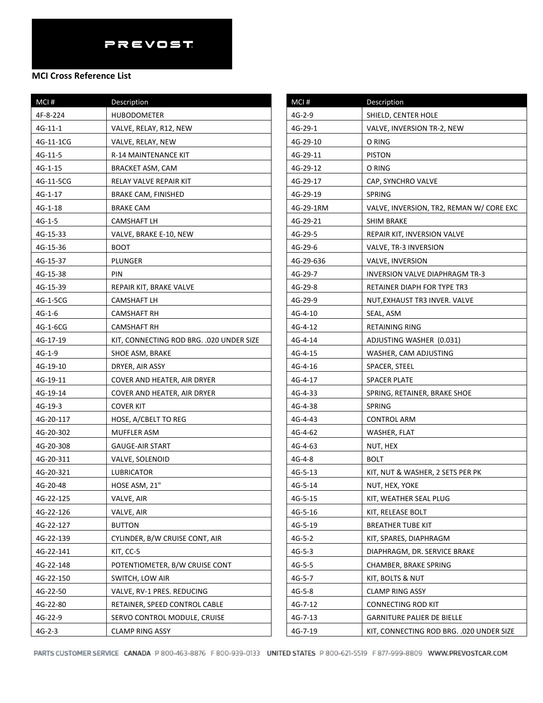| MCI#      | Description                               |
|-----------|-------------------------------------------|
| 4F-8-224  | HUBODOMETER                               |
| 4G-11-1   | VALVE, RELAY, R12, NEW                    |
| 4G-11-1CG | VALVE, RELAY, NEW                         |
| 4G-11-5   | R-14 MAINTENANCE KIT                      |
| 4G-1-15   | BRACKET ASM, CAM                          |
| 4G-11-5CG | RELAY VALVE REPAIR KIT                    |
| 4G-1-17   | <b>BRAKE CAM, FINISHED</b>                |
| 4G-1-18   | BRAKE CAM                                 |
| 4G-1-5    | CAMSHAFT LH                               |
| 4G-15-33  | VALVE, BRAKE E-10, NEW                    |
| 4G-15-36  | BOOT                                      |
| 4G-15-37  | PLUNGER                                   |
| 4G-15-38  | PIN                                       |
| 4G-15-39  | REPAIR KIT, BRAKE VALVE                   |
| 4G-1-5CG  | CAMSHAFT LH                               |
| $4G-1-6$  | CAMSHAFT RH                               |
| 4G-1-6CG  | CAMSHAFT RH                               |
| 4G-17-19  | KIT, CONNECTING ROD BRG. . 020 UNDER SIZE |
| 4G-1-9    | SHOE ASM, BRAKE                           |
| 4G-19-10  | DRYER, AIR ASSY                           |
| 4G-19-11  | COVER AND HEATER, AIR DRYER               |
| 4G-19-14  | COVER AND HEATER, AIR DRYER               |
| 4G-19-3   | COVER KIT                                 |
| 4G-20-117 | HOSE, A/CBELT TO REG                      |
| 4G-20-302 | MUFFLER ASM                               |
| 4G-20-308 | GAUGE-AIR START                           |
| 4G-20-311 | VALVE, SOLENOID                           |
| 4G-20-321 | LUBRICATOR                                |
| 4G-20-48  | HOSE ASM, 21"                             |
| 4G-22-125 | VALVE, AIR                                |
| 4G-22-126 | VALVE, AIR                                |
| 4G-22-127 | <b>BUTTON</b>                             |
| 4G-22-139 | CYLINDER, B/W CRUISE CONT, AIR            |
| 4G-22-141 | KIT, CC-5                                 |
| 4G-22-148 | POTENTIOMETER, B/W CRUISE CONT            |
| 4G-22-150 | SWITCH, LOW AIR                           |
| 4G-22-50  | VALVE, RV-1 PRES. REDUCING                |
| 4G-22-80  | RETAINER, SPEED CONTROL CABLE             |
| 4G-22-9   | SERVO CONTROL MODULE, CRUISE              |
| $4G-2-3$  | CLAMP RING ASSY                           |

| MCI#      | Description                              |
|-----------|------------------------------------------|
| 4G-2-9    | SHIELD, CENTER HOLE                      |
| 4G-29-1   | VALVE, INVERSION TR-2, NEW               |
| 4G-29-10  | O RING                                   |
| 4G-29-11  | <b>PISTON</b>                            |
| 4G-29-12  | O RING                                   |
| 4G-29-17  | CAP, SYNCHRO VALVE                       |
| 4G-29-19  | <b>SPRING</b>                            |
| 4G-29-1RM | VALVE, INVERSION, TR2, REMAN W/ CORE EXC |
| 4G-29-21  | <b>SHIM BRAKE</b>                        |
| 4G-29-5   | REPAIR KIT, INVERSION VALVE              |
| 4G-29-6   | VALVE, TR-3 INVERSION                    |
| 4G-29-636 | VALVE, INVERSION                         |
| 4G-29-7   | INVERSION VALVE DIAPHRAGM TR-3           |
| 4G-29-8   | RETAINER DIAPH FOR TYPE TR3              |
| 4G-29-9   | NUT, EXHAUST TR3 INVER. VALVE            |
| 4G-4-10   | SEAL, ASM                                |
| 4G-4-12   | RETAINING RING                           |
| 4G-4-14   | ADJUSTING WASHER (0.031)                 |
| 4G-4-15   | WASHER, CAM ADJUSTING                    |
| 4G-4-16   | SPACER, STEEL                            |
| 4G-4-17   | SPACER PLATE                             |
| 4G-4-33   | SPRING, RETAINER, BRAKE SHOE             |
| 4G-4-38   | SPRING                                   |
| 4G-4-43   | CONTROL ARM                              |
| 4G-4-62   | WASHER, FLAT                             |
| 4G-4-63   | NUT, HEX                                 |
| 4G-4-8    | BOLT                                     |
| 4G-5-13   | KIT, NUT & WASHER, 2 SETS PER PK         |
| 4G-5-14   | NUT, HEX, YOKE                           |
| 4G-5-15   | KIT, WEATHER SEAL PLUG                   |
| 4G-5-16   | KIT, RELEASE BOLT                        |
| 4G-5-19   | <b>BREATHER TUBE KIT</b>                 |
| $4G-5-2$  | KIT, SPARES, DIAPHRAGM                   |
| $4G-5-3$  | DIAPHRAGM, DR. SERVICE BRAKE             |
| $4G-5-5$  | CHAMBER, BRAKE SPRING                    |
| $4G-5-7$  | KIT, BOLTS & NUT                         |
| 4G-5-8    | <b>CLAMP RING ASSY</b>                   |
| 4G-7-12   | CONNECTING ROD KIT                       |
| 4G-7-13   | <b>GARNITURE PALIER DE BIELLE</b>        |
| 4G-7-19   | KIT, CONNECTING ROD BRG. .020 UNDER SIZE |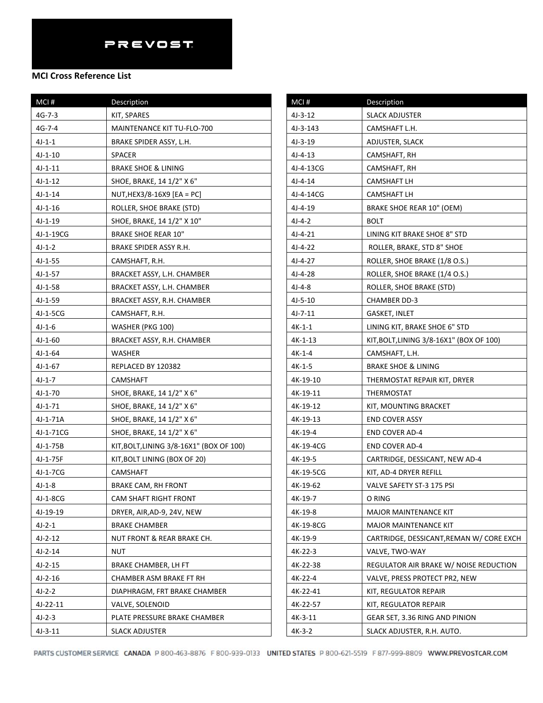| MCI#      | Description                              | MCI#          |
|-----------|------------------------------------------|---------------|
| $4G-7-3$  | KIT, SPARES                              | $4J-3-12$     |
| $4G-7-4$  | MAINTENANCE KIT TU-FLO-700               | $4J-3-14$     |
| $4J-1-1$  | BRAKE SPIDER ASSY, L.H.                  | $4J-3-19$     |
| $4J-1-10$ | <b>SPACER</b>                            | $4J - 4 - 13$ |
| $4J-1-11$ | <b>BRAKE SHOE &amp; LINING</b>           | $4J - 4 - 13$ |
| $4J-1-12$ | SHOE, BRAKE, 14 1/2" X 6"                | $4J-4-14$     |
| $4J-1-14$ | NUT, HEX3/8-16X9 [EA = PC]               | $4J-4-14$     |
| $4J-1-16$ | ROLLER, SHOE BRAKE (STD)                 | $4J-4-19$     |
| $4J-1-19$ | SHOE, BRAKE, 14 1/2" X 10"               | $4J-4-2$      |
| 4J-1-19CG | <b>BRAKE SHOE REAR 10"</b>               | 4J-4-21       |
| $4J-1-2$  | BRAKE SPIDER ASSY R.H.                   | $4J-4-22$     |
| $4J-1-55$ | CAMSHAFT, R.H.                           | 4J-4-27       |
| $4J-1-57$ | BRACKET ASSY, L.H. CHAMBER               | 4J-4-28       |
| 4J-1-58   | BRACKET ASSY, L.H. CHAMBER               | 4J-4-8        |
| $4J-1-59$ | BRACKET ASSY, R.H. CHAMBER               | $4J-5-10$     |
| 4J-1-5CG  | CAMSHAFT, R.H.                           | $4J-7-11$     |
| $4J-1-6$  | WASHER (PKG 100)                         | $4K-1-1$      |
| $4J-1-60$ | BRACKET ASSY, R.H. CHAMBER               | $4K-1-1$      |
| $4J-1-64$ | WASHER                                   | $4K-1-4$      |
| $4J-1-67$ | REPLACED BY 120382                       | 4K-1-5        |
| $4J-1-7$  | <b>CAMSHAFT</b>                          | 4K-19-1       |
| $4J-1-70$ | SHOE, BRAKE, 14 1/2" X 6"                | 4K-19-1       |
| $4J-1-71$ | SHOE, BRAKE, 14 1/2" X 6"                | 4K-19-1       |
| 4J-1-71A  | SHOE, BRAKE, 14 1/2" X 6"                | 4K-19-1       |
| 4J-1-71CG | SHOE, BRAKE, 14 1/2" X 6"                | $4K-19-4$     |
| 4J-1-75B  | KIT, BOLT, LINING 3/8-16X1" (BOX OF 100) | $4K-19-4$     |
| 4J-1-75F  | KIT, BOLT LINING (BOX OF 20)             | 4K-19-        |
| 4J-1-7CG  | CAMSHAFT                                 | 4K-19-        |
| $4J-1-8$  | <b>BRAKE CAM, RH FRONT</b>               | $4K-19-6$     |
| 4J-1-8CG  | CAM SHAFT RIGHT FRONT                    | 4K-19-        |
| 4J-19-19  | DRYER, AIR, AD-9, 24V, NEW               | 4K-19-8       |
| $4J-2-1$  | <b>BRAKE CHAMBER</b>                     | 4K-19-8       |
| $4J-2-12$ | NUT FRONT & REAR BRAKE CH.               | 4K-19-9       |
| $4J-2-14$ | <b>NUT</b>                               | 4K-22-3       |
| $4J-2-15$ | BRAKE CHAMBER, LH FT                     | 4K-22-3       |
| $4J-2-16$ | CHAMBER ASM BRAKE FT RH                  | $4K-22-4$     |
| 4J-2-2    | DIAPHRAGM, FRT BRAKE CHAMBER             | $4K-22-4$     |
| 4J-22-11  | VALVE, SOLENOID                          | 4K-22-        |
| 4J-2-3    | PLATE PRESSURE BRAKE CHAMBER             | 4K-3-1:       |
| $4J-3-11$ | <b>SLACK ADJUSTER</b>                    | 4K-3-2        |

| MCI#          | Description                              |
|---------------|------------------------------------------|
| $4J-3-12$     | <b>SLACK ADJUSTER</b>                    |
| 4J-3-143      | CAMSHAFT L.H.                            |
| 4J-3-19       | ADJUSTER, SLACK                          |
| $4J - 4 - 13$ | CAMSHAFT, RH                             |
| 4J-4-13CG     | CAMSHAFT, RH                             |
| $4J - 4 - 14$ | CAMSHAFT LH                              |
| 4J-4-14CG     | <b>CAMSHAFT LH</b>                       |
| $4J-4-19$     | BRAKE SHOE REAR 10" (OEM)                |
| 4J-4-2        | BOLT                                     |
| $4J-4-21$     | LINING KIT BRAKE SHOE 8" STD             |
| $4J-4-22$     | ROLLER, BRAKE, STD 8" SHOE               |
| 4J-4-27       | ROLLER, SHOE BRAKE (1/8 O.S.)            |
| 4J-4-28       | ROLLER, SHOE BRAKE (1/4 O.S.)            |
| 4J-4-8        | ROLLER, SHOE BRAKE (STD)                 |
| $4J-5-10$     | CHAMBER DD-3                             |
| 4J-7-11       | GASKET, INLET                            |
| 4K-1-1        | LINING KIT, BRAKE SHOE 6" STD            |
| 4K-1-13       | KIT, BOLT, LINING 3/8-16X1" (BOX OF 100) |
| 4K-1-4        | CAMSHAFT, L.H.                           |
| 4K-1-5        | BRAKE SHOE & LINING                      |
| 4K-19-10      | THERMOSTAT REPAIR KIT, DRYER             |
| 4K-19-11      | THERMOSTAT                               |
| 4K-19-12      | KIT, MOUNTING BRACKET                    |
| 4K-19-13      | <b>END COVER ASSY</b>                    |
| 4K-19-4       | <b>END COVER AD-4</b>                    |
| 4K-19-4CG     | <b>END COVER AD-4</b>                    |
| 4K-19-5       | CARTRIDGE, DESSICANT, NEW AD-4           |
| 4K-19-5CG     | KIT, AD-4 DRYER REFILL                   |
| 4K-19-62      | VALVE SAFETY ST-3 175 PSI                |
| 4K-19-7       | O RING                                   |
| 4K-19-8       | MAJOR MAINTENANCE KIT                    |
| 4K-19-8CG     | <b>MAJOR MAINTENANCE KIT</b>             |
| 4K-19-9       | CARTRIDGE, DESSICANT, REMAN W/ CORE EXCH |
| 4K-22-3       | VALVE, TWO-WAY                           |
| 4K-22-38      | REGULATOR AIR BRAKE W/ NOISE REDUCTION   |
| 4K-22-4       | VALVE, PRESS PROTECT PR2, NEW            |
| 4K-22-41      | KIT, REGULATOR REPAIR                    |
| 4K-22-57      | KIT, REGULATOR REPAIR                    |
| 4K-3-11       | GEAR SET, 3.36 RING AND PINION           |
| 4K-3-2        | SLACK ADJUSTER, R.H. AUTO.               |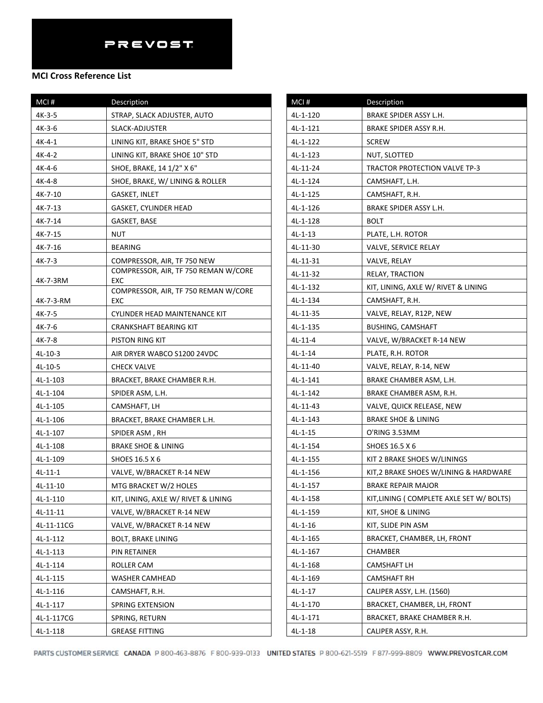#### **MCI Cross Reference List**

| MCI#       | Description                                 |
|------------|---------------------------------------------|
| $4K-3-5$   | STRAP, SLACK ADJUSTER, AUTO                 |
| 4K-3-6     | SLACK-ADJUSTER                              |
| $4K-4-1$   | LINING KIT, BRAKE SHOE 5" STD               |
| 4K-4-2     | LINING KIT, BRAKE SHOE 10" STD              |
| 4K-4-6     | SHOE, BRAKE, 14 1/2" X 6"                   |
| 4K-4-8     | SHOE, BRAKE, W/ LINING & ROLLER             |
| 4K-7-10    | GASKET, INLET                               |
| 4K-7-13    | GASKET, CYLINDER HEAD                       |
| 4K-7-14    | GASKET, BASE                                |
| 4K-7-15    | NUT                                         |
| 4K-7-16    | <b>BEARING</b>                              |
| $4K-7-3$   | COMPRESSOR, AIR, TF 750 NEW                 |
|            | COMPRESSOR, AIR, TF 750 REMAN W/CORE<br>EXC |
| 4K-7-3RM   | COMPRESSOR, AIR, TF 750 REMAN W/CORE        |
| 4K-7-3-RM  | EXC                                         |
| 4K-7-5     | CYLINDER HEAD MAINTENANCE KIT               |
| 4K-7-6     | <b>CRANKSHAFT BEARING KIT</b>               |
| 4K-7-8     | PISTON RING KIT                             |
| 4L-10-3    | AIR DRYER WABCO S1200 24VDC                 |
| 4L-10-5    | <b>CHECK VALVE</b>                          |
| 4L-1-103   | BRACKET, BRAKE CHAMBER R.H.                 |
| 4L-1-104   | SPIDER ASM, L.H.                            |
| 4L-1-105   | CAMSHAFT, LH                                |
| 4L-1-106   | BRACKET, BRAKE CHAMBER L.H.                 |
| 4L-1-107   | SPIDER ASM, RH                              |
| 4L-1-108   | BRAKE SHOE & LINING                         |
| 4L-1-109   | <b>SHOES 16.5 X 6</b>                       |
| $4L-11-1$  | VALVE, W/BRACKET R-14 NEW                   |
| 4L-11-10   | MTG BRACKET W/2 HOLES                       |
| 4L-1-110   | KIT, LINING, AXLE W/ RIVET & LINING         |
| 4L-11-11   | VALVE, W/BRACKET R-14 NEW                   |
| 4L-11-11CG | VALVE, W/BRACKET R-14 NEW                   |
| 4L-1-112   | <b>BOLT, BRAKE LINING</b>                   |
| 4L-1-113   | PIN RETAINER                                |
| 4L-1-114   | ROLLER CAM                                  |
| 4L-1-115   | WASHER CAMHEAD                              |
| 4L-1-116   | CAMSHAFT, R.H.                              |
| 4L-1-117   | SPRING EXTENSION                            |
| 4L-1-117CG | SPRING, RETURN                              |
| 4L-1-118   | <b>GREASE FITTING</b>                       |

| MCI#      | <b>Description</b>                       |
|-----------|------------------------------------------|
| 4L-1-120  | BRAKE SPIDER ASSY L.H.                   |
| 4L-1-121  | BRAKE SPIDER ASSY R.H.                   |
| 4L-1-122  | SCREW                                    |
| 4L-1-123  | NUT, SLOTTED                             |
| 4L-11-24  | TRACTOR PROTECTION VALVE TP-3            |
| 4L-1-124  | CAMSHAFT, L.H.                           |
| 4L-1-125  | CAMSHAFT, R.H.                           |
| 4L-1-126  | BRAKE SPIDER ASSY L.H.                   |
| 4L-1-128  | <b>BOLT</b>                              |
| $4L-1-13$ | PLATE, L.H. ROTOR                        |
| 4L-11-30  | VALVE, SERVICE RELAY                     |
| 4L-11-31  | VALVE, RELAY                             |
| 4L-11-32  | RELAY, TRACTION                          |
| 4L-1-132  | KIT, LINING, AXLE W/ RIVET & LINING      |
| 4L-1-134  | CAMSHAFT, R.H.                           |
| 4L-11-35  | VALVE, RELAY, R12P, NEW                  |
| 4L-1-135  | BUSHING, CAMSHAFT                        |
| $4L-11-4$ | VALVE, W/BRACKET R-14 NEW                |
| $4L-1-14$ | PLATE, R.H. ROTOR                        |
| 4L-11-40  | VALVE, RELAY, R-14, NEW                  |
| 4L-1-141  | BRAKE CHAMBER ASM, L.H.                  |
| 4L-1-142  | BRAKE CHAMBER ASM, R.H.                  |
| 4L-11-43  | VALVE, QUICK RELEASE, NEW                |
| 4L-1-143  | BRAKE SHOE & LINING                      |
| $4L-1-15$ | O'RING 3.53MM                            |
| 4L-1-154  | SHOES 16.5 X 6                           |
| 4L-1-155  | KIT 2 BRAKE SHOES W/LININGS              |
| 4L-1-156  | KIT, 2 BRAKE SHOES W/LINING & HARDWARE   |
| 4L-1-157  | <b>BRAKE REPAIR MAJOR</b>                |
| 4L-1-158  | KIT, LINING (COMPLETE AXLE SET W/ BOLTS) |
| 4L-1-159  | KIT, SHOE & LINING                       |
| $4L-1-16$ | KIT, SLIDE PIN ASM                       |
| 4L-1-165  | BRACKET, CHAMBER, LH, FRONT              |
| 4L-1-167  | CHAMBER                                  |
| 4L-1-168  | CAMSHAFT LH                              |
| 4L-1-169  | CAMSHAFT RH                              |
| $4L-1-17$ | CALIPER ASSY, L.H. (1560)                |
| 4L-1-170  | BRACKET, CHAMBER, LH, FRONT              |
| 4L-1-171  | BRACKET, BRAKE CHAMBER R.H.              |
| $4L-1-18$ | CALIPER ASSY, R.H.                       |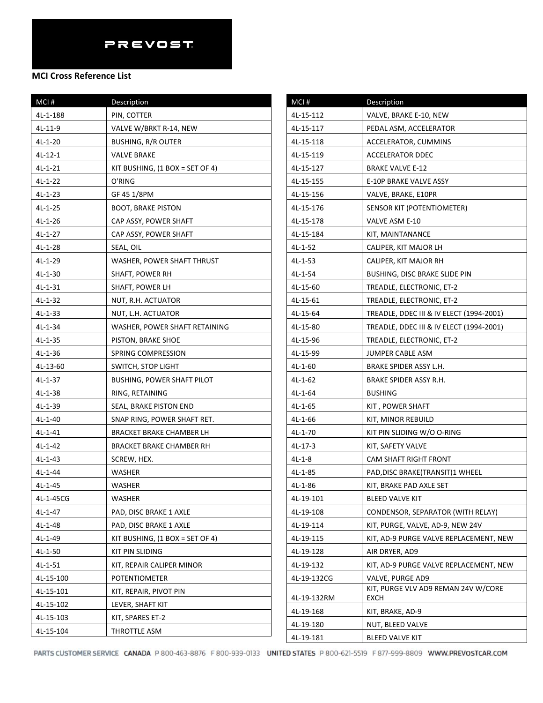| MCI#          | Description                       | M      |
|---------------|-----------------------------------|--------|
| 4L-1-188      | PIN, COTTER                       | 4L-    |
| 4L-11-9       | VALVE W/BRKT R-14, NEW            | 4L-    |
| $4L-1-20$     | <b>BUSHING, R/R OUTER</b>         | $4L -$ |
| $4L-12-1$     | <b>VALVE BRAKE</b>                | 4L-    |
| $4L-1-21$     | KIT BUSHING, $(1$ BOX = SET OF 4) | $4L -$ |
| $4L-1-22$     | O'RING                            | 4L-    |
| $4L-1-23$     | GF 45 1/8PM                       | $4L -$ |
| $4L-1-25$     | <b>BOOT, BRAKE PISTON</b>         | 4L-    |
| $4L-1-26$     | CAP ASSY, POWER SHAFT             | $4L -$ |
| $4L-1-27$     | CAP ASSY, POWER SHAFT             | 4L-    |
| 4L-1-28       | SEAL, OIL                         | 4L-    |
| 4L-1-29       | WASHER, POWER SHAFT THRUST        | 4L-    |
| $4L-1-30$     | SHAFT, POWER RH                   | $4L -$ |
| $4L-1-31$     | SHAFT, POWER LH                   | 4L-    |
| $4L-1-32$     | NUT, R.H. ACTUATOR                | $4L -$ |
| $4L-1-33$     | NUT, L.H. ACTUATOR                | $4L -$ |
| $4L-1-34$     | WASHER, POWER SHAFT RETAINING     | 4L-    |
| $4L-1-35$     | PISTON, BRAKE SHOE                | $4L -$ |
| $4L-1-36$     | SPRING COMPRESSION                | $4L -$ |
| 4L-13-60      | SWITCH, STOP LIGHT                | $4L -$ |
| $4L-1-37$     | <b>BUSHING, POWER SHAFT PILOT</b> | $4L -$ |
| $4L-1-38$     | RING, RETAINING                   | $4L -$ |
| 4L-1-39       | SEAL, BRAKE PISTON END            | 4L-    |
| $4L-1-40$     | SNAP RING, POWER SHAFT RET.       | $4L -$ |
| $4L-1-41$     | BRACKET BRAKE CHAMBER LH          | 4L-    |
| $4L-1-42$     | BRACKET BRAKE CHAMBER RH          | 4L-    |
| $4L-1-43$     | SCREW, HEX.                       | 4L-    |
| $4L - 1 - 44$ | WASHER                            | $4L -$ |
| $4L-1-45$     | WASHER                            | $4L -$ |
| 4L-1-45CG     | <b>WASHER</b>                     | $4L -$ |
| $4L-1-47$     | PAD, DISC BRAKE 1 AXLE            | 4L-    |
| $4L-1-48$     | PAD, DISC BRAKE 1 AXLE            | 4L-    |
| 4L-1-49       | KIT BUSHING, $(1$ BOX = SET OF 4) | 4L-    |
| $4L-1-50$     | KIT PIN SLIDING                   | 4L-    |
| $4L-1-51$     | KIT, REPAIR CALIPER MINOR         | 4L-    |
| 4L-15-100     | <b>POTENTIOMETER</b>              | $4L -$ |
| 4L-15-101     | KIT, REPAIR, PIVOT PIN            | 4L-    |
| 4L-15-102     | LEVER, SHAFT KIT                  | 4L-    |
| 4L-15-103     | KIT, SPARES ET-2                  | 4L-    |
| 4L-15-104     | THROTTLE ASM                      | $4L -$ |

| MCI#        | Description                                 |
|-------------|---------------------------------------------|
| 4L-15-112   | VALVE, BRAKE E-10, NEW                      |
| 4L-15-117   | PEDAL ASM, ACCELERATOR                      |
| 4L-15-118   | ACCELERATOR, CUMMINS                        |
| 4L-15-119   | <b>ACCELERATOR DDEC</b>                     |
| 4L-15-127   | <b>BRAKE VALVE E-12</b>                     |
| 4L-15-155   | E-10P BRAKE VALVE ASSY                      |
| 4L-15-156   | VALVE, BRAKE, E10PR                         |
| 4L-15-176   | SENSOR KIT (POTENTIOMETER)                  |
| 4L-15-178   | VALVE ASM E-10                              |
| 4L-15-184   | KIT, MAINTANANCE                            |
| $4L-1-52$   | CALIPER, KIT MAJOR LH                       |
| 4L-1-53     | CALIPER, KIT MAJOR RH                       |
| 4L-1-54     | <b>BUSHING, DISC BRAKE SLIDE PIN</b>        |
| 4L-15-60    | TREADLE, ELECTRONIC, ET-2                   |
| 4L-15-61    | TREADLE, ELECTRONIC, ET-2                   |
| 4L-15-64    | TREADLE, DDEC III & IV ELECT (1994-2001)    |
| 4L-15-80    | TREADLE, DDEC III & IV ELECT (1994-2001)    |
| 4L-15-96    | TREADLE, ELECTRONIC, ET-2                   |
| 4L-15-99    | JUMPER CABLE ASM                            |
| 4L-1-60     | BRAKE SPIDER ASSY L.H.                      |
| $4L-1-62$   | BRAKE SPIDER ASSY R.H.                      |
| 4L-1-64     | <b>BUSHING</b>                              |
| 4L-1-65     | KIT, POWER SHAFT                            |
| 4L-1-66     | KIT, MINOR REBUILD                          |
| 4L-1-70     | KIT PIN SLIDING W/O O-RING                  |
| 4L-17-3     | KIT, SAFETY VALVE                           |
| 4L-1-8      | CAM SHAFT RIGHT FRONT                       |
| 4L-1-85     | PAD, DISC BRAKE (TRANSIT) 1 WHEEL           |
| 4L-1-86     | KIT, BRAKE PAD AXLE SET                     |
| 4L-19-101   | <b>BLEED VALVE KIT</b>                      |
| 4L-19-108   | CONDENSOR, SEPARATOR (WITH RELAY)           |
| 4L-19-114   | KIT, PURGE, VALVE, AD-9, NEW 24V            |
| 4L-19-115   | KIT, AD-9 PURGE VALVE REPLACEMENT, NEW      |
| 4L-19-128   | AIR DRYER, AD9                              |
| 4L-19-132   | KIT, AD-9 PURGE VALVE REPLACEMENT, NEW      |
| 4L-19-132CG | VALVE, PURGE AD9                            |
| 4L-19-132RM | KIT, PURGE VLV AD9 REMAN 24V W/CORE<br>EXCH |
| 4L-19-168   | KIT, BRAKE, AD-9                            |
| 4L-19-180   | NUT, BLEED VALVE                            |
| 4L-19-181   | BLEED VALVE KIT                             |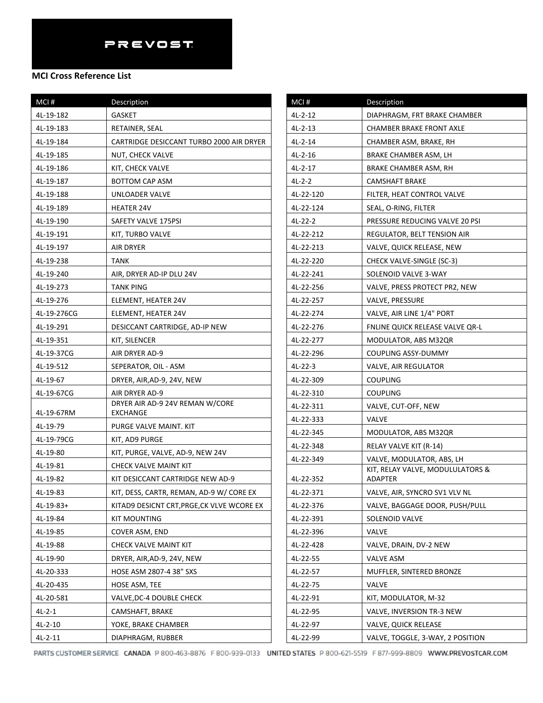## **MCI Cross Reference List**

| MCI#        | Description                                 |
|-------------|---------------------------------------------|
| 4L-19-182   | <b>GASKET</b>                               |
| 4L-19-183   | RETAINER, SEAL                              |
| 4L-19-184   | CARTRIDGE DESICCANT TURBO 2000 AIR DRYER    |
| 4L-19-185   | NUT, CHECK VALVE                            |
| 4L-19-186   | KIT, CHECK VALVE                            |
| 4L-19-187   | BOTTOM CAP ASM                              |
| 4L-19-188   | UNLOADER VALVE                              |
| 4L-19-189   | HEATER 24V                                  |
| 4L-19-190   | SAFETY VALVE 175PSI                         |
| 4L-19-191   | KIT, TURBO VALVE                            |
| 4L-19-197   | AIR DRYER                                   |
| 4L-19-238   | TANK                                        |
| 4L-19-240   | AIR, DRYER AD-IP DLU 24V                    |
| 4L-19-273   | TANK PING                                   |
| 4L-19-276   | ELEMENT, HEATER 24V                         |
| 4L-19-276CG | ELEMENT, HEATER 24V                         |
| 4L-19-291   | DESICCANT CARTRIDGE, AD-IP NEW              |
| 4L-19-351   | KIT, SILENCER                               |
| 4L-19-37CG  | AIR DRYER AD-9                              |
| 4L-19-512   | SEPERATOR, OIL - ASM                        |
| 4L-19-67    | DRYER, AIR, AD-9, 24V, NEW                  |
| 4L-19-67CG  | AIR DRYER AD-9                              |
| 4L-19-67RM  | DRYER AIR AD-9 24V REMAN W/CORE<br>EXCHANGE |
| 4L-19-79    | PURGE VALVE MAINT. KIT                      |
| 4L-19-79CG  | KIT, AD9 PURGE                              |
| 4L-19-80    | KIT, PURGE, VALVE, AD-9, NEW 24V            |
| 4L-19-81    | CHECK VALVE MAINT KIT                       |
| 4L-19-82    | KIT DESICCANT CARTRIDGE NEW AD-9            |
| 4L-19-83    | KIT, DESS, CARTR, REMAN, AD-9 W/ CORE EX    |
| 4L-19-83+   | KITAD9 DESICNT CRT, PRGE, CK VLVE WCORE EX  |
| 4L-19-84    | KIT MOUNTING                                |
| 4L-19-85    | COVER ASM, END                              |
| 4L-19-88    | CHECK VALVE MAINT KIT                       |
| 4L-19-90    | DRYER, AIR, AD-9, 24V, NEW                  |
| 4L-20-333   | HOSE ASM 2807-4 38" SXS                     |
| 4L-20-435   | HOSE ASM, TEE                               |
| 4L-20-581   | VALVE, DC-4 DOUBLE CHECK                    |
| 4L-2-1      | CAMSHAFT, BRAKE                             |
| $4L-2-10$   | YOKE, BRAKE CHAMBER                         |
| 4L-2-11     | DIAPHRAGM, RUBBER                           |

| MCI#      | <b>Description</b>                                 |
|-----------|----------------------------------------------------|
| $4L-2-12$ | DIAPHRAGM, FRT BRAKE CHAMBER                       |
| $4L-2-13$ | CHAMBER BRAKE FRONT AXLE                           |
| $4L-2-14$ | CHAMBER ASM, BRAKE, RH                             |
| 4L-2-16   | BRAKE CHAMBER ASM, LH                              |
| 4L-2-17   | BRAKE CHAMBER ASM, RH                              |
| $4L-2-2$  | <b>CAMSHAFT BRAKE</b>                              |
| 4L-22-120 | FILTER, HEAT CONTROL VALVE                         |
| 4L-22-124 | SEAL, O-RING, FILTER                               |
| 4L-22-2   | PRESSURE REDUCING VALVE 20 PSI                     |
| 4L-22-212 | REGULATOR, BELT TENSION AIR                        |
| 4L-22-213 | VALVE, QUICK RELEASE, NEW                          |
| 4L-22-220 | CHECK VALVE-SINGLE (SC-3)                          |
| 4L-22-241 | SOLENOID VALVE 3-WAY                               |
| 4L-22-256 | VALVE, PRESS PROTECT PR2, NEW                      |
| 4L-22-257 | VALVE, PRESSURE                                    |
| 4L-22-274 | VALVE, AIR LINE 1/4" PORT                          |
| 4L-22-276 | FNLINE QUICK RELEASE VALVE QR-L                    |
| 4L-22-277 | MODULATOR, ABS M32QR                               |
| 4L-22-296 | COUPLING ASSY-DUMMY                                |
| 4L-22-3   | <b>VALVE, AIR REGULATOR</b>                        |
| 4L-22-309 | <b>COUPLING</b>                                    |
| 4L-22-310 | COUPLING                                           |
| 4L-22-311 | VALVE, CUT-OFF, NEW                                |
| 4L-22-333 | VALVE                                              |
| 4L-22-345 | MODULATOR, ABS M32QR                               |
| 4L-22-348 | RELAY VALVE KIT (R-14)                             |
| 4L-22-349 | VALVE, MODULATOR, ABS, LH                          |
| 4L-22-352 | KIT, RELAY VALVE, MODULULATORS &<br><b>ADAPTER</b> |
| 4L-22-371 | VALVE, AIR, SYNCRO SV1 VLV NL                      |
| 4L-22-376 | VALVE, BAGGAGE DOOR, PUSH/PULL                     |
| 4L-22-391 | SOLENOID VALVE                                     |
| 4L-22-396 | VALVE                                              |
| 4L-22-428 | VALVE, DRAIN, DV-2 NEW                             |
| 4L-22-55  | VALVE ASM                                          |
| 4L-22-57  | MUFFLER, SINTERED BRONZE                           |
| 4L-22-75  | VALVE                                              |
| 4L-22-91  | KIT, MODULATOR, M-32                               |
| 4L-22-95  | VALVE, INVERSION TR-3 NEW                          |
| 4L-22-97  | <b>VALVE, QUICK RELEASE</b>                        |
| 4L-22-99  | VALVE, TOGGLE, 3-WAY, 2 POSITION                   |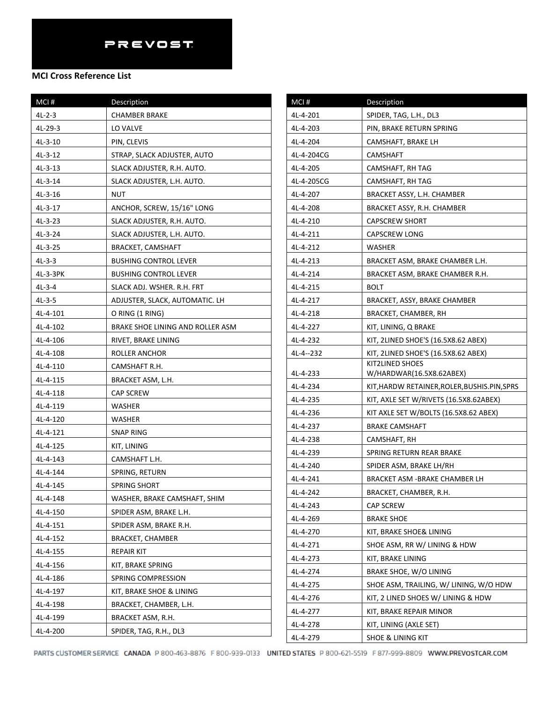| MCI#      | Description                      |
|-----------|----------------------------------|
| 4L-2-3    | <b>CHAMBER BRAKE</b>             |
| 4L-29-3   | LO VALVE                         |
| 4L-3-10   | PIN, CLEVIS                      |
| 4L-3-12   | STRAP, SLACK ADJUSTER, AUTO      |
| 4L-3-13   | SLACK ADJUSTER, R.H. AUTO.       |
| 4L-3-14   | SLACK ADJUSTER, L.H. AUTO.       |
| 4L-3-16   | NUT                              |
| 4L-3-17   | ANCHOR, SCREW, 15/16" LONG       |
| $4L-3-23$ | SLACK ADJUSTER, R.H. AUTO.       |
| $4L-3-24$ | SLACK ADJUSTER, L.H. AUTO.       |
| 4L-3-25   | <b>BRACKET, CAMSHAFT</b>         |
| $4L-3-3$  | <b>BUSHING CONTROL LEVER</b>     |
| 4L-3-3PK  | <b>BUSHING CONTROL LEVER</b>     |
| $4L-3-4$  | SLACK ADJ. WSHER. R.H. FRT       |
| 4L-3-5    | ADJUSTER, SLACK, AUTOMATIC. LH   |
| 4L-4-101  | O RING (1 RING)                  |
| 4L-4-102  | BRAKE SHOE LINING AND ROLLER ASM |
| 4L-4-106  | RIVET, BRAKE LINING              |
| 4L-4-108  | ROLLER ANCHOR                    |
| 4L-4-110  | CAMSHAFT R.H.                    |
| 4L-4-115  | BRACKET ASM, L.H.                |
| 4L-4-118  | <b>CAP SCREW</b>                 |
| 4L-4-119  | WASHER                           |
| 4L-4-120  | WASHER                           |
| 4L-4-121  | SNAP RING                        |
| 4L-4-125  | KIT, LINING                      |
| 4L-4-143  | CAMSHAFT L.H.                    |
| 4L-4-144  | SPRING, RETURN                   |
| 4L-4-145  | SPRING SHORT                     |
| 4L-4-148  | WASHER, BRAKE CAMSHAFT, SHIM     |
| 4L-4-150  | SPIDER ASM, BRAKE L.H.           |
| 4L-4-151  | SPIDER ASM, BRAKE R.H.           |
| 4L-4-152  | <b>BRACKET, CHAMBER</b>          |
| 4L-4-155  | <b>REPAIR KIT</b>                |
| 4L-4-156  | KIT, BRAKE SPRING                |
| 4L-4-186  | SPRING COMPRESSION               |
| 4L-4-197  | KIT, BRAKE SHOE & LINING         |
| 4L-4-198  | BRACKET, CHAMBER, L.H.           |
| 4L-4-199  | BRACKET ASM, R.H.                |
| 4L-4-200  | SPIDER, TAG, R.H., DL3           |

| MCI#                                                                                                                             | Description                                                                                                                                                                                                                                                                                        |
|----------------------------------------------------------------------------------------------------------------------------------|----------------------------------------------------------------------------------------------------------------------------------------------------------------------------------------------------------------------------------------------------------------------------------------------------|
| 4L-4-201                                                                                                                         | SPIDER, TAG, L.H., DL3                                                                                                                                                                                                                                                                             |
| 4L-4-203                                                                                                                         | PIN, BRAKE RETURN SPRING                                                                                                                                                                                                                                                                           |
| 4L-4-204                                                                                                                         | CAMSHAFT, BRAKE LH                                                                                                                                                                                                                                                                                 |
| 4L-4-204CG                                                                                                                       | CAMSHAFT                                                                                                                                                                                                                                                                                           |
| 4L-4-205                                                                                                                         | CAMSHAFT, RH TAG                                                                                                                                                                                                                                                                                   |
| 4L-4-205CG                                                                                                                       | CAMSHAFT, RH TAG                                                                                                                                                                                                                                                                                   |
| 4L-4-207                                                                                                                         | BRACKET ASSY, L.H. CHAMBER                                                                                                                                                                                                                                                                         |
| 4L-4-208                                                                                                                         | BRACKET ASSY, R.H. CHAMBER                                                                                                                                                                                                                                                                         |
| 4L-4-210                                                                                                                         | <b>CAPSCREW SHORT</b>                                                                                                                                                                                                                                                                              |
| 4L-4-211                                                                                                                         | <b>CAPSCREW LONG</b>                                                                                                                                                                                                                                                                               |
| 4L-4-212                                                                                                                         | WASHER                                                                                                                                                                                                                                                                                             |
| 4L-4-213                                                                                                                         | BRACKET ASM, BRAKE CHAMBER L.H.                                                                                                                                                                                                                                                                    |
| 4L-4-214                                                                                                                         | BRACKET ASM, BRAKE CHAMBER R.H.                                                                                                                                                                                                                                                                    |
| 4L-4-215                                                                                                                         | <b>BOLT</b>                                                                                                                                                                                                                                                                                        |
| 4L-4-217                                                                                                                         | BRACKET, ASSY, BRAKE CHAMBER                                                                                                                                                                                                                                                                       |
| 4L-4-218                                                                                                                         | BRACKET, CHAMBER, RH                                                                                                                                                                                                                                                                               |
| 4L-4-227                                                                                                                         | KIT, LINING, Q BRAKE                                                                                                                                                                                                                                                                               |
| 4L-4-232                                                                                                                         | KIT, 2LINED SHOE'S (16.5X8.62 ABEX)                                                                                                                                                                                                                                                                |
| 4L-4--232                                                                                                                        | KIT, 2LINED SHOE'S (16.5X8.62 ABEX)                                                                                                                                                                                                                                                                |
|                                                                                                                                  | KIT2LINED SHOES                                                                                                                                                                                                                                                                                    |
| 4L-4-233                                                                                                                         | W/HARDWAR(16.5X8.62ABEX)                                                                                                                                                                                                                                                                           |
| 4L-4-234                                                                                                                         | KIT, HARDW RETAINER, ROLER, BUSHIS. PIN, SPRS                                                                                                                                                                                                                                                      |
| 4L-4-235                                                                                                                         | KIT, AXLE SET W/RIVETS (16.5X8.62ABEX)                                                                                                                                                                                                                                                             |
| 4L-4-236                                                                                                                         | KIT AXLE SET W/BOLTS (16.5X8.62 ABEX)<br><b>BRAKE CAMSHAFT</b>                                                                                                                                                                                                                                     |
| 4L-4-237<br>4L-4-238                                                                                                             |                                                                                                                                                                                                                                                                                                    |
| 4L-4-239                                                                                                                         | CAMSHAFT, RH                                                                                                                                                                                                                                                                                       |
|                                                                                                                                  | SPRING RETURN REAR BRAKE                                                                                                                                                                                                                                                                           |
| 4L-4-240                                                                                                                         | SPIDER ASM, BRAKE LH/RH<br><b>BRACKET ASM -BRAKE CHAMBER LH</b>                                                                                                                                                                                                                                    |
| 4L-4-241                                                                                                                         |                                                                                                                                                                                                                                                                                                    |
| 4L-4-242                                                                                                                         | BRACKET, CHAMBER, R.H.                                                                                                                                                                                                                                                                             |
|                                                                                                                                  |                                                                                                                                                                                                                                                                                                    |
|                                                                                                                                  |                                                                                                                                                                                                                                                                                                    |
|                                                                                                                                  |                                                                                                                                                                                                                                                                                                    |
|                                                                                                                                  |                                                                                                                                                                                                                                                                                                    |
|                                                                                                                                  |                                                                                                                                                                                                                                                                                                    |
|                                                                                                                                  |                                                                                                                                                                                                                                                                                                    |
|                                                                                                                                  |                                                                                                                                                                                                                                                                                                    |
|                                                                                                                                  |                                                                                                                                                                                                                                                                                                    |
|                                                                                                                                  |                                                                                                                                                                                                                                                                                                    |
|                                                                                                                                  |                                                                                                                                                                                                                                                                                                    |
| 4L-4-243<br>4L-4-269<br>4L-4-270<br>4L-4-271<br>4L-4-273<br>4L-4-274<br>4L-4-275<br>4L-4-276<br>4L-4-277<br>4L-4-278<br>4L-4-279 | CAP SCREW<br><b>BRAKE SHOE</b><br>KIT, BRAKE SHOE& LINING<br>SHOE ASM, RR W/ LINING & HDW<br>KIT, BRAKE LINING<br>BRAKE SHOE, W/O LINING<br>SHOE ASM, TRAILING, W/ LINING, W/O HDW<br>KIT, 2 LINED SHOES W/ LINING & HDW<br>KIT, BRAKE REPAIR MINOR<br>KIT, LINING (AXLE SET)<br>SHOE & LINING KIT |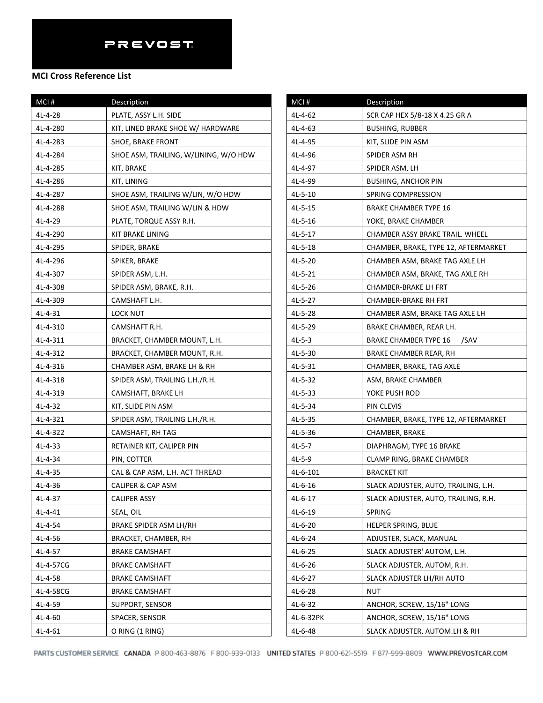### **MCI Cross Reference List**

| MCI#      | Description                           |
|-----------|---------------------------------------|
| 4L-4-28   | PLATE, ASSY L.H. SIDE                 |
| 4L-4-280  | KIT, LINED BRAKE SHOE W/ HARDWARE     |
| 4L-4-283  | SHOE, BRAKE FRONT                     |
| 4L-4-284  | SHOE ASM, TRAILING, W/LINING, W/O HDW |
| 4L-4-285  | KIT, BRAKE                            |
| 4L-4-286  | KIT, LINING                           |
| 4L-4-287  | SHOE ASM, TRAILING W/LIN, W/O HDW     |
| 4L-4-288  | SHOE ASM, TRAILING W/LIN & HDW        |
| 4L-4-29   | PLATE, TORQUE ASSY R.H.               |
| 4L-4-290  | KIT BRAKE LINING                      |
| 4L-4-295  | SPIDER, BRAKE                         |
| 4L-4-296  | SPIKER, BRAKE                         |
| 4L-4-307  | SPIDER ASM, L.H.                      |
| 4L-4-308  | SPIDER ASM, BRAKE, R.H.               |
| 4L-4-309  | CAMSHAFT L.H.                         |
| 4L-4-31   | LOCK NUT                              |
| 4L-4-310  | CAMSHAFT R.H.                         |
| 4L-4-311  | BRACKET, CHAMBER MOUNT, L.H.          |
| 4L-4-312  | BRACKET, CHAMBER MOUNT, R.H.          |
| 4L-4-316  | CHAMBER ASM, BRAKE LH & RH            |
| 4L-4-318  | SPIDER ASM, TRAILING L.H./R.H.        |
| 4L-4-319  | CAMSHAFT, BRAKE LH                    |
| 4L-4-32   | KIT, SLIDE PIN ASM                    |
| 4L-4-321  | SPIDER ASM, TRAILING L.H./R.H.        |
| 4L-4-322  | CAMSHAFT, RH TAG                      |
| 4L-4-33   | RETAINER KIT, CALIPER PIN             |
| 4L-4-34   | PIN, COTTER                           |
| $4L-4-35$ | CAL & CAP ASM, L.H. ACT THREAD        |
| 4L-4-36   | CALIPER & CAP ASM                     |
| 4L-4-37   | CALIPER ASSY                          |
| 4L-4-41   | SEAL, OIL                             |
| 4L-4-54   | BRAKE SPIDER ASM LH/RH                |
| 4L-4-56   | BRACKET, CHAMBER, RH                  |
| 4L-4-57   | <b>BRAKE CAMSHAFT</b>                 |
| 4L-4-57CG | <b>BRAKE CAMSHAFT</b>                 |
| 4L-4-58   | <b>BRAKE CAMSHAFT</b>                 |
| 4L-4-58CG | <b>BRAKE CAMSHAFT</b>                 |
| 4L-4-59   | SUPPORT, SENSOR                       |
| 4L-4-60   | SPACER, SENSOR                        |
| 4L-4-61   | O RING (1 RING)                       |

| MCI#      | Description                          |
|-----------|--------------------------------------|
| 4L-4-62   | SCR CAP HEX 5/8-18 X 4.25 GR A       |
| 4L-4-63   | BUSHING, RUBBER                      |
| 4L-4-95   | KIT, SLIDE PIN ASM                   |
| 4L-4-96   | SPIDER ASM RH                        |
| 4L-4-97   | SPIDER ASM, LH                       |
| 4L-4-99   | <b>BUSHING, ANCHOR PIN</b>           |
| 4L-5-10   | SPRING COMPRESSION                   |
| 4L-5-15   | <b>BRAKE CHAMBER TYPE 16</b>         |
| 4L-5-16   | YOKE, BRAKE CHAMBER                  |
| 4L-5-17   | CHAMBER ASSY BRAKE TRAIL. WHEEL      |
| 4L-5-18   | CHAMBER, BRAKE, TYPE 12, AFTERMARKET |
| 4L-5-20   | CHAMBER ASM, BRAKE TAG AXLE LH       |
| 4L-5-21   | CHAMBER ASM, BRAKE, TAG AXLE RH      |
| 4L-5-26   | CHAMBER-BRAKE LH FRT                 |
| 4L-5-27   | CHAMBER-BRAKE RH FRT                 |
| 4L-5-28   | CHAMBER ASM, BRAKE TAG AXLE LH       |
| 4L-5-29   | BRAKE CHAMBER, REAR LH.              |
| $4L-5-3$  | BRAKE CHAMBER TYPE 16<br>/SAV        |
| 4L-5-30   | BRAKE CHAMBER REAR, RH               |
| 4L-5-31   | CHAMBER, BRAKE, TAG AXLE             |
| 4L-5-32   | ASM, BRAKE CHAMBER                   |
| 4L-5-33   | YOKE PUSH ROD                        |
| 4L-5-34   | PIN CLEVIS                           |
| 4L-5-35   | CHAMBER, BRAKE, TYPE 12, AFTERMARKET |
| 4L-5-36   | CHAMBER, BRAKE                       |
| $4L-5-7$  | DIAPHRAGM, TYPE 16 BRAKE             |
| 4L-5-9    | CLAMP RING, BRAKE CHAMBER            |
| 4L-6-101  | BRACKET KIT                          |
| 4L-6-16   | SLACK ADJUSTER, AUTO, TRAILING, L.H. |
| 4L-6-17   | SLACK ADJUSTER, AUTO, TRAILING, R.H. |
| 4L-6-19   | SPRING                               |
| $4L-6-20$ | <b>HELPER SPRING, BLUE</b>           |
| $4L-6-24$ | ADJUSTER, SLACK, MANUAL              |
| $4L-6-25$ | SLACK ADJUSTER' AUTOM, L.H.          |
| 4L-6-26   | SLACK ADJUSTER, AUTOM, R.H.          |
| $4L-6-27$ | SLACK ADJUSTER LH/RH AUTO            |
| $4L-6-28$ | NUT                                  |
| 4L-6-32   | ANCHOR, SCREW, 15/16" LONG           |
| 4L-6-32PK | ANCHOR, SCREW, 15/16" LONG           |
| 4L-6-48   | SLACK ADJUSTER, AUTOM.LH & RH        |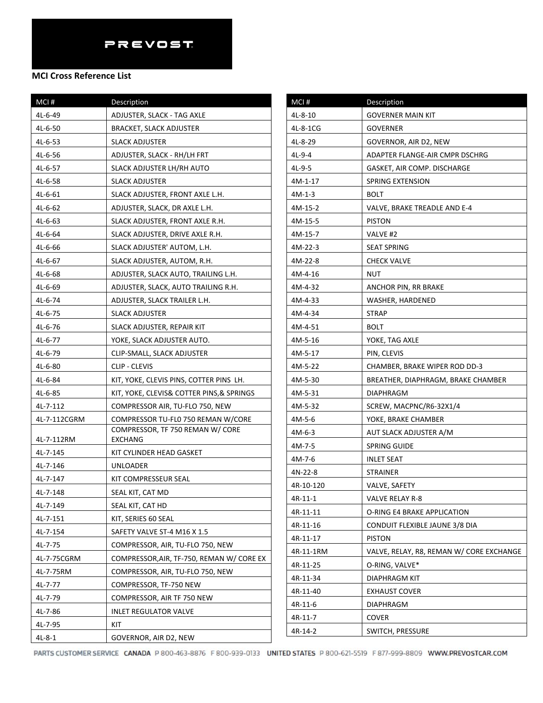| MCI#         | Description                                 |
|--------------|---------------------------------------------|
| 4L-6-49      | ADJUSTER, SLACK - TAG AXLE                  |
| 4L-6-50      | BRACKET, SLACK ADJUSTER                     |
| 4L-6-53      | <b>SLACK ADJUSTER</b>                       |
| 4L-6-56      | ADJUSTER, SLACK - RH/LH FRT                 |
| 4L-6-57      | SLACK ADJUSTER LH/RH AUTO                   |
| 4L-6-58      | <b>SLACK ADJUSTER</b>                       |
| 4L-6-61      | SLACK ADJUSTER, FRONT AXLE L.H.             |
| $4L-6-62$    | ADJUSTER, SLACK, DR AXLE L.H.               |
| $4L-6-63$    | SLACK ADJUSTER, FRONT AXLE R.H.             |
| 4L-6-64      | SLACK ADJUSTER, DRIVE AXLE R.H.             |
| 4L-6-66      | SLACK ADJUSTER' AUTOM, L.H.                 |
| 4L-6-67      | SLACK ADJUSTER, AUTOM, R.H.                 |
| $4L-6-68$    | ADJUSTER, SLACK AUTO, TRAILING L.H.         |
| 4L-6-69      | ADJUSTER, SLACK, AUTO TRAILING R.H.         |
| 4L-6-74      | ADJUSTER, SLACK TRAILER L.H.                |
| 4L-6-75      | SLACK ADJUSTER                              |
| 4L-6-76      | SLACK ADJUSTER, REPAIR KIT                  |
| 4L-6-77      | YOKE, SLACK ADJUSTER AUTO.                  |
| 4L-6-79      | CLIP-SMALL, SLACK ADJUSTER                  |
| 4L-6-80      | CLIP - CLEVIS                               |
| 4L-6-84      | KIT, YOKE, CLEVIS PINS, COTTER PINS LH.     |
| 4L-6-85      | KIT, YOKE, CLEVIS& COTTER PINS,& SPRINGS    |
| 4L-7-112     | COMPRESSOR AIR, TU-FLO 750, NEW             |
| 4L-7-112CGRM | COMPRESSOR TU-FL0 750 REMAN W/CORE          |
| 4L-7-112RM   | COMPRESSOR, TF 750 REMAN W/ CORE<br>EXCHANG |
| 4L-7-145     | KIT CYLINDER HEAD GASKET                    |
| 4L-7-146     | <b>UNLOADER</b>                             |
| 4L-7-147     | KIT COMPRESSEUR SEAL                        |
| 4L-7-148     | SEAL KIT, CAT MD                            |
| 4L-7-149     | SEAL KIT, CAT HD                            |
| 4L-7-151     | KIT, SERIES 60 SEAL                         |
| 4L-7-154     | SAFETY VALVE ST-4 M16 X 1.5                 |
| 4L-7-75      | COMPRESSOR, AIR, TU-FLO 750, NEW            |
| 4L-7-75CGRM  | COMPRESSOR, AIR, TF-750, REMAN W/ CORE EX   |
| 4L-7-75RM    | COMPRESSOR, AIR, TU-FLO 750, NEW            |
| 4L-7-77      | COMPRESSOR, TF-750 NEW                      |
| 4L-7-79      | COMPRESSOR, AIR TF 750 NEW                  |
| 4L-7-86      | <b>INLET REGULATOR VALVE</b>                |
| 4L-7-95      | KIT                                         |
| 4L-8-1       | GOVERNOR, AIR D2, NEW                       |

| MCI#      | Description                              |
|-----------|------------------------------------------|
| $4L-8-10$ | <b>GOVERNER MAIN KIT</b>                 |
| 4L-8-1CG  | <b>GOVERNER</b>                          |
| 4L-8-29   | GOVERNOR, AIR D2, NEW                    |
| 4L-9-4    | ADAPTER FLANGE-AIR CMPR DSCHRG           |
| 4L-9-5    | GASKET, AIR COMP. DISCHARGE              |
| 4M-1-17   | SPRING EXTENSION                         |
| $4M-1-3$  | BOLT                                     |
| 4M-15-2   | VALVE, BRAKE TREADLE AND E-4             |
| 4M-15-5   | <b>PISTON</b>                            |
| 4M-15-7   | VALVE #2                                 |
| 4M-22-3   | <b>SEAT SPRING</b>                       |
| 4M-22-8   | <b>CHECK VALVE</b>                       |
| 4M-4-16   | NUT                                      |
| 4M-4-32   | ANCHOR PIN, RR BRAKE                     |
| 4M-4-33   | WASHER, HARDENED                         |
| 4M-4-34   | STRAP                                    |
| 4M-4-51   | <b>BOLT</b>                              |
| 4M-5-16   | YOKE, TAG AXLE                           |
| 4M-5-17   | PIN, CLEVIS                              |
| 4M-5-22   | CHAMBER, BRAKE WIPER ROD DD-3            |
| 4M-5-30   | BREATHER, DIAPHRAGM, BRAKE CHAMBER       |
| 4M-5-31   | <b>DIAPHRAGM</b>                         |
| 4M-5-32   | SCREW, MACPNC/R6-32X1/4                  |
| 4M-5-6    | YOKE, BRAKE CHAMBER                      |
| 4M-6-3    | AUT SLACK ADJUSTER A/M                   |
| 4M-7-5    | <b>SPRING GUIDE</b>                      |
| 4M-7-6    | <b>INLET SEAT</b>                        |
| 4N-22-8   | <b>STRAINER</b>                          |
| 4R-10-120 | VALVE, SAFETY                            |
| 4R-11-1   | VALVE RELAY R-8                          |
| 4R-11-11  | O-RING E4 BRAKE APPLICATION              |
| 4R-11-16  | CONDUIT FLEXIBLE JAUNE 3/8 DIA           |
| 4R-11-17  | <b>PISTON</b>                            |
| 4R-11-1RM | VALVE, RELAY, R8, REMAN W/ CORE EXCHANGE |
| 4R-11-25  | O-RING, VALVE*                           |
| 4R-11-34  | DIAPHRAGM KIT                            |
| 4R-11-40  | <b>EXHAUST COVER</b>                     |
| 4R-11-6   | DIAPHRAGM                                |
| 4R-11-7   | <b>COVER</b>                             |
| 4R-14-2   | SWITCH, PRESSURE                         |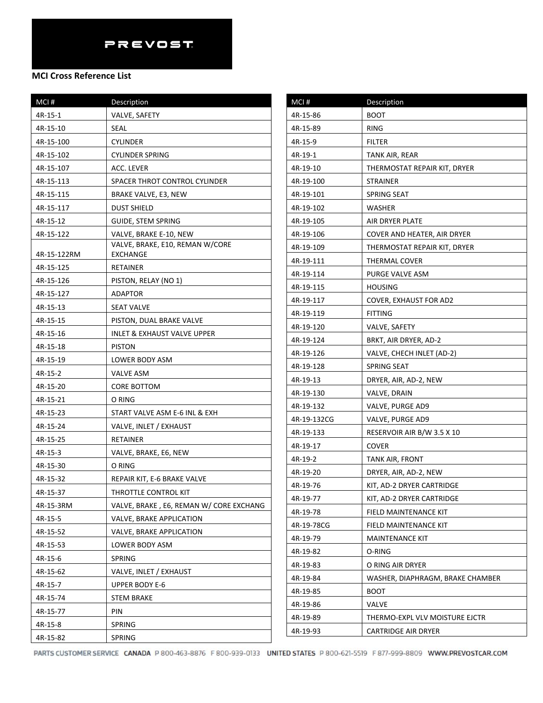| MCI#        | Description                                 |
|-------------|---------------------------------------------|
| 4R-15-1     | VALVE, SAFETY                               |
| 4R-15-10    | SEAL                                        |
| 4R-15-100   | CYLINDER                                    |
| 4R-15-102   | <b>CYLINDER SPRING</b>                      |
| 4R-15-107   | ACC. LEVER                                  |
| 4R-15-113   | SPACER THROT CONTROL CYLINDER               |
| 4R-15-115   | BRAKE VALVE, E3, NEW                        |
| 4R-15-117   | DUST SHIELD                                 |
| 4R-15-12    | <b>GUIDE, STEM SPRING</b>                   |
| 4R-15-122   | VALVE, BRAKE E-10, NEW                      |
| 4R-15-122RM | VALVE, BRAKE, E10, REMAN W/CORE<br>EXCHANGE |
| 4R-15-125   | RETAINER                                    |
| 4R-15-126   | PISTON, RELAY (NO 1)                        |
| 4R-15-127   | ADAPTOR                                     |
| 4R-15-13    | <b>SEAT VALVE</b>                           |
| 4R-15-15    | PISTON, DUAL BRAKE VALVE                    |
| 4R-15-16    | INLET & EXHAUST VALVE UPPER                 |
| 4R-15-18    | <b>PISTON</b>                               |
| 4R-15-19    | LOWER BODY ASM                              |
| 4R-15-2     | VALVE ASM                                   |
| 4R-15-20    | CORE BOTTOM                                 |
| 4R-15-21    | O RING                                      |
| 4R-15-23    | START VALVE ASM E-6 INL & EXH               |
| 4R-15-24    | VALVE, INLET / EXHAUST                      |
| 4R-15-25    | <b>RETAINER</b>                             |
| 4R-15-3     | VALVE, BRAKE, E6, NEW                       |
| 4R-15-30    | O RING                                      |
| 4R-15-32    | REPAIR KIT, E-6 BRAKE VALVE                 |
| 4R-15-37    | THROTTLE CONTROL KIT                        |
| 4R-15-3RM   | VALVE, BRAKE, E6, REMAN W/ CORE EXCHANG     |
| 4R-15-5     | VALVE, BRAKE APPLICATION                    |
| 4R-15-52    | <b>VALVE, BRAKE APPLICATION</b>             |
| 4R-15-53    | LOWER BODY ASM                              |
| 4R-15-6     | SPRING                                      |
| 4R-15-62    | VALVE, INLET / EXHAUST                      |
| 4R-15-7     | <b>UPPER BODY E-6</b>                       |
| 4R-15-74    | <b>STEM BRAKE</b>                           |
| 4R-15-77    | PIN                                         |
| 4R-15-8     | SPRING                                      |
| 4R-15-82    | SPRING                                      |

| MCI#        | Description                      |
|-------------|----------------------------------|
| 4R-15-86    | <b>BOOT</b>                      |
| 4R-15-89    | RING                             |
| 4R-15-9     | FILTER                           |
| 4R-19-1     | TANK AIR, REAR                   |
| 4R-19-10    | THERMOSTAT REPAIR KIT, DRYER     |
| 4R-19-100   | <b>STRAINER</b>                  |
| 4R-19-101   | SPRING SEAT                      |
| 4R-19-102   | WASHER                           |
| 4R-19-105   | AIR DRYER PLATE                  |
| 4R-19-106   | COVER AND HEATER, AIR DRYER      |
| 4R-19-109   | THERMOSTAT REPAIR KIT, DRYER     |
| 4R-19-111   | THERMAL COVER                    |
| 4R-19-114   | PURGE VALVE ASM                  |
| 4R-19-115   | <b>HOUSING</b>                   |
| 4R-19-117   | COVER, EXHAUST FOR AD2           |
| 4R-19-119   | FITTING                          |
| 4R-19-120   | VALVE, SAFETY                    |
| 4R-19-124   | BRKT, AIR DRYER, AD-2            |
| 4R-19-126   | VALVE, CHECH INLET (AD-2)        |
| 4R-19-128   | SPRING SEAT                      |
| 4R-19-13    | DRYER, AIR, AD-2, NEW            |
| 4R-19-130   | VALVE, DRAIN                     |
| 4R-19-132   | VALVE, PURGE AD9                 |
| 4R-19-132CG | VALVE, PURGE AD9                 |
| 4R-19-133   | RESERVOIR AIR B/W 3.5 X 10       |
| 4R-19-17    | <b>COVER</b>                     |
| 4R-19-2     | TANK AIR, FRONT                  |
| 4R-19-20    | DRYER, AIR, AD-2, NEW            |
| 4R-19-76    | KIT, AD-2 DRYER CARTRIDGE        |
| 4R-19-77    | KIT, AD-2 DRYER CARTRIDGE        |
| 4R-19-78    | FIELD MAINTENANCE KIT            |
| 4R-19-78CG  | FIELD MAINTENANCE KIT            |
| 4R-19-79    | <b>MAINTENANCE KIT</b>           |
| 4R-19-82    | O-RING                           |
| 4R-19-83    | O RING AIR DRYER                 |
| 4R-19-84    | WASHER, DIAPHRAGM, BRAKE CHAMBER |
| 4R-19-85    | BOOT                             |
| 4R-19-86    | VALVE                            |
| 4R-19-89    | THERMO-EXPL VLV MOISTURE EJCTR   |
| 4R-19-93    | CARTRIDGE AIR DRYER              |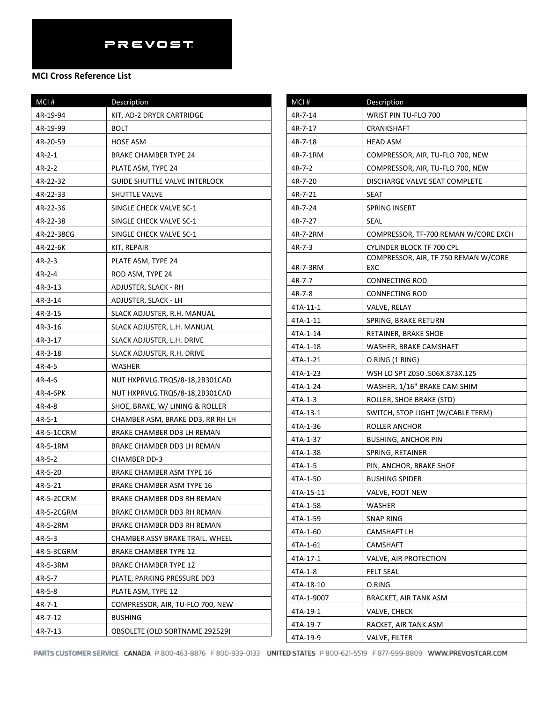| MCI#       | Description                          |
|------------|--------------------------------------|
| 4R-19-94   | KIT, AD-2 DRYER CARTRIDGE            |
| 4R-19-99   | BOLT                                 |
| 4R-20-59   | HOSE ASM                             |
| 4R-2-1     | BRAKE CHAMBER TYPE 24                |
| $4R-2-2$   | PLATE ASM, TYPE 24                   |
| 4R-22-32   | <b>GUIDE SHUTTLE VALVE INTERLOCK</b> |
| 4R-22-33   | <b>SHUTTLE VALVE</b>                 |
| 4R-22-36   | SINGLE CHECK VALVE SC-1              |
| 4R-22-38   | SINGLE CHECK VALVE SC-1              |
| 4R-22-38CG | SINGLE CHECK VALVE SC-1              |
| 4R-22-6K   | KIT, REPAIR                          |
| 4R-2-3     | PLATE ASM, TYPE 24                   |
| 4R-2-4     | ROD ASM, TYPE 24                     |
| 4R-3-13    | ADJUSTER, SLACK - RH                 |
| 4R-3-14    | ADJUSTER, SLACK - LH                 |
| 4R-3-15    | SLACK ADJUSTER, R.H. MANUAL          |
| 4R-3-16    | SLACK ADJUSTER, L.H. MANUAL          |
| 4R-3-17    | SLACK ADJUSTER, L.H. DRIVE           |
| 4R-3-18    | SLACK ADJUSTER, R.H. DRIVE           |
| 4R-4-5     | WASHER                               |
| 4R-4-6     | NUT HXPRVLG.TRQ5/8-18,2B301CAD       |
| 4R-4-6PK   | NUT HXPRVLG.TRQ5/8-18,2B301CAD       |
| 4R-4-8     | SHOE, BRAKE, W/ LINING & ROLLER      |
| 4R-5-1     | CHAMBER ASM, BRAKE DD3, RR RH LH     |
| 4R-5-1CCRM | BRAKE CHAMBER DD3 LH REMAN           |
| 4R-5-1RM   | BRAKE CHAMBER DD3 LH REMAN           |
| 4R-5-2     | CHAMBER DD-3                         |
| 4R-5-20    | BRAKE CHAMBER ASM TYPE 16            |
| 4R-5-21    | BRAKE CHAMBER ASM TYPE 16            |
| 4R-5-2CCRM | BRAKE CHAMBER DD3 RH REMAN           |
| 4R-5-2CGRM | BRAKE CHAMBER DD3 RH REMAN           |
| 4R-5-2RM   | BRAKE CHAMBER DD3 RH REMAN           |
| 4R-5-3     | CHAMBER ASSY BRAKE TRAIL. WHEEL      |
| 4R-5-3CGRM | <b>BRAKE CHAMBER TYPE 12</b>         |
| 4R-5-3RM   | <b>BRAKE CHAMBER TYPE 12</b>         |
| 4R-5-7     | PLATE, PARKING PRESSURE DD3          |
| 4R-5-8     | PLATE ASM, TYPE 12                   |
| 4R-7-1     | COMPRESSOR, AIR, TU-FLO 700, NEW     |
| 4R-7-12    | <b>BUSHING</b>                       |
| 4R-7-13    | OBSOLETE (OLD SORTNAME 292529)       |

| MCI#       | Description                                        |
|------------|----------------------------------------------------|
| 4R-7-14    | WRIST PIN TU-FLO 700                               |
| 4R-7-17    | CRANKSHAFT                                         |
| 4R-7-18    | HEAD ASM                                           |
| 4R-7-1RM   | COMPRESSOR, AIR, TU-FLO 700, NEW                   |
| 4R-7-2     | COMPRESSOR, AIR, TU-FLO 700, NEW                   |
| 4R-7-20    | DISCHARGE VALVE SEAT COMPLETE                      |
| 4R-7-21    | <b>SEAT</b>                                        |
| 4R-7-24    | <b>SPRING INSERT</b>                               |
| 4R-7-27    | SEAL                                               |
| 4R-7-2RM   | COMPRESSOR, TF-700 REMAN W/CORE EXCH               |
| 4R-7-3     | CYLINDER BLOCK TF 700 CPL                          |
| 4R-7-3RM   | COMPRESSOR, AIR, TF 750 REMAN W/CORE<br><b>EXC</b> |
| 4R-7-7     | CONNECTING ROD                                     |
| 4R-7-8     | <b>CONNECTING ROD</b>                              |
| 4TA-11-1   | VALVE, RELAY                                       |
| 4TA-1-11   | SPRING, BRAKE RETURN                               |
| 4TA-1-14   | RETAINER, BRAKE SHOE                               |
| 4TA-1-18   | WASHER, BRAKE CAMSHAFT                             |
| 4TA-1-21   | O RING (1 RING)                                    |
| 4TA-1-23   | WSH LO SPT Z050 .506X.873X.125                     |
| 4TA-1-24   | WASHER, 1/16" BRAKE CAM SHIM                       |
| 4TA-1-3    | ROLLER, SHOE BRAKE (STD)                           |
| 4TA-13-1   | SWITCH, STOP LIGHT (W/CABLE TERM)                  |
| 4TA-1-36   | ROLLER ANCHOR                                      |
| 4TA-1-37   | <b>BUSHING, ANCHOR PIN</b>                         |
| 4TA-1-38   | SPRING, RETAINER                                   |
| 4TA-1-5    | PIN, ANCHOR, BRAKE SHOE                            |
| 4TA-1-50   | <b>BUSHING SPIDER</b>                              |
| 4TA-15-11  | VALVE, FOOT NEW                                    |
| 4TA-1-58   | WASHER                                             |
| 4TA-1-59   | <b>SNAP RING</b>                                   |
| 4TA-1-60   | CAMSHAFT LH                                        |
| 4TA-1-61   | <b>CAMSHAFT</b>                                    |
| 4TA-17-1   | VALVE, AIR PROTECTION                              |
| 4TA-1-8    | <b>FELT SEAL</b>                                   |
| 4TA-18-10  | O RING                                             |
| 4TA-1-9007 | BRACKET, AIR TANK ASM                              |
| 4TA-19-1   | VALVE, CHECK                                       |
| 4TA-19-7   | RACKET, AIR TANK ASM                               |
| 4TA-19-9   | VALVE, FILTER                                      |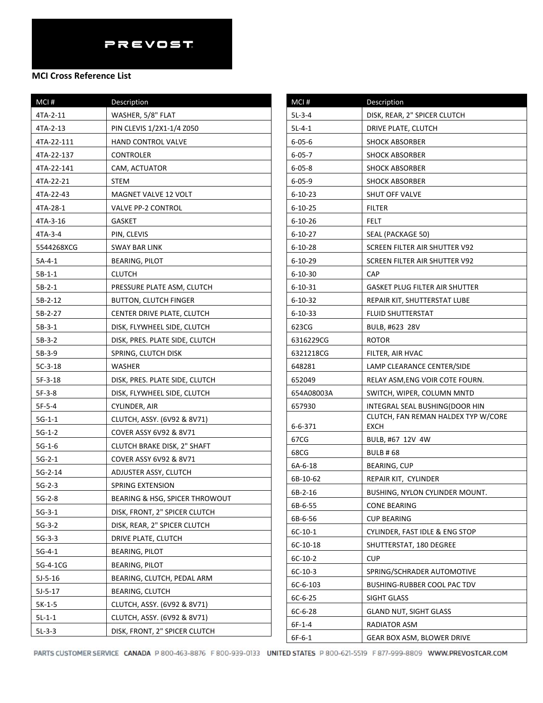| MCI#       | Description                    | MCI#                  |
|------------|--------------------------------|-----------------------|
| 4TA-2-11   | WASHER, 5/8" FLAT              | $5L-3-4$              |
| 4TA-2-13   | PIN CLEVIS 1/2X1-1/4 Z050      | $5L-4-1$              |
| 4TA-22-111 | <b>HAND CONTROL VALVE</b>      | $6 - 05 - 6$          |
| 4TA-22-137 | CONTROLER                      | $6 - 05 - 7$          |
| 4TA-22-141 | CAM, ACTUATOR                  | $6 - 05 - 8$          |
| 4TA-22-21  | <b>STEM</b>                    | $6 - 05 - 9$          |
| 4TA-22-43  | <b>MAGNET VALVE 12 VOLT</b>    | $6 - 10 - 23$         |
| 4TA-28-1   | <b>VALVE PP-2 CONTROL</b>      | $6 - 10 - 25$         |
| 4TA-3-16   | <b>GASKET</b>                  | $6 - 10 - 26$         |
| 4TA-3-4    | PIN, CLEVIS                    | $6 - 10 - 27$         |
| 5544268XCG | <b>SWAY BAR LINK</b>           | $6 - 10 - 28$         |
| $5A-4-1$   | BEARING, PILOT                 | $6 - 10 - 29$         |
| $5B-1-1$   | <b>CLUTCH</b>                  | 6-10-30               |
| $5B-2-1$   | PRESSURE PLATE ASM, CLUTCH     | $6 - 10 - 31$         |
| 5B-2-12    | BUTTON, CLUTCH FINGER          | $6 - 10 - 32$         |
| 5B-2-27    | CENTER DRIVE PLATE, CLUTCH     | 6-10-33               |
| $5B-3-1$   | DISK, FLYWHEEL SIDE, CLUTCH    | 623CG                 |
| $5B-3-2$   | DISK, PRES. PLATE SIDE, CLUTCH | 6316229CG             |
| $5B-3-9$   | SPRING, CLUTCH DISK            | 6321218CG             |
| $5C-3-18$  | WASHER                         | 648281                |
| $5F-3-18$  | DISK, PRES. PLATE SIDE, CLUTCH | 652049                |
| $5F-3-8$   | DISK, FLYWHEEL SIDE, CLUTCH    | 654A08003A            |
| $5F-5-4$   | CYLINDER, AIR                  | 657930                |
| $5G-1-1$   | CLUTCH, ASSY. (6V92 & 8V71)    |                       |
| $5G-1-2$   | COVER ASSY 6V92 & 8V71         | 6-6-371               |
| $5G-1-6$   | CLUTCH BRAKE DISK, 2" SHAFT    | 67CG                  |
| $5G-2-1$   | COVER ASSY 6V92 & 8V71         | 68CG                  |
| 5G-2-14    | ADJUSTER ASSY, CLUTCH          | 6A-6-18               |
| $5G-2-3$   | <b>SPRING EXTENSION</b>        | 6B-10-62              |
| $5G-2-8$   | BEARING & HSG, SPICER THROWOUT | 6B-2-16               |
| $5G-3-1$   | DISK, FRONT, 2" SPICER CLUTCH  | 6B-6-55               |
| $5G-3-2$   | DISK, REAR, 2" SPICER CLUTCH   | 6B-6-56               |
| $5G-3-3$   | DRIVE PLATE, CLUTCH            | $6C-10-1$<br>6C-10-18 |
| $5G-4-1$   | <b>BEARING, PILOT</b>          | $6C-10-2$             |
| 5G-4-1CG   | <b>BEARING, PILOT</b>          | $6C-10-3$             |
| $5J-5-16$  | BEARING, CLUTCH, PEDAL ARM     | $6C-6-103$            |
| $5J-5-17$  | <b>BEARING, CLUTCH</b>         | $6C-6-25$             |
| $5K-1-5$   | CLUTCH, ASSY. (6V92 & 8V71)    | $6C-6-28$             |
| $5L-1-1$   | CLUTCH, ASSY. (6V92 & 8V71)    | $6F-1-4$              |
| $5L-3-3$   | DISK, FRONT, 2" SPICER CLUTCH  | $6F-6-1$              |

| $MCI$ #       | Description                                 |
|---------------|---------------------------------------------|
| 5L-3-4        | DISK, REAR, 2" SPICER CLUTCH                |
| $5L-4-1$      | DRIVE PLATE, CLUTCH                         |
| $6 - 05 - 6$  | <b>SHOCK ABSORBER</b>                       |
| $6 - 05 - 7$  | <b>SHOCK ABSORBER</b>                       |
| $6 - 05 - 8$  | <b>SHOCK ABSORBER</b>                       |
| $6 - 05 - 9$  | <b>SHOCK ABSORBER</b>                       |
| $6 - 10 - 23$ | SHUT OFF VALVE                              |
| $6 - 10 - 25$ | FILTER                                      |
| $6 - 10 - 26$ | FELT                                        |
| $6 - 10 - 27$ | SEAL (PACKAGE 50)                           |
| $6 - 10 - 28$ | SCREEN FILTER AIR SHUTTER V92               |
| $6 - 10 - 29$ | SCREEN FILTER AIR SHUTTER V92               |
| $6 - 10 - 30$ | <b>CAP</b>                                  |
| 6-10-31       | <b>GASKET PLUG FILTER AIR SHUTTER</b>       |
| $6 - 10 - 32$ | REPAIR KIT, SHUTTERSTAT LUBE                |
| 6-10-33       | FLUID SHUTTERSTAT                           |
| 623CG         | BULB, #623 28V                              |
| 6316229CG     | ROTOR                                       |
| 6321218CG     | FILTER, AIR HVAC                            |
| 648281        | LAMP CLEARANCE CENTER/SIDE                  |
| 652049        | RELAY ASM,ENG VOIR COTE FOURN.              |
| 654A08003A    | SWITCH, WIPER, COLUMN MNTD                  |
| 657930        | INTEGRAL SEAL BUSHING(DOOR HIN              |
| 6-6-371       | CLUTCH, FAN REMAN HALDEX TYP W/CORE<br>EXCH |
| 67CG          | BULB, #67 12V 4W                            |
| 68CG          | <b>BULB #68</b>                             |
| 6A-6-18       | <b>BEARING, CUP</b>                         |
| 6B-10-62      | REPAIR KIT, CYLINDER                        |
| 6B-2-16       | BUSHING. NYLON CYLINDER MOUNT.              |
| 6B-6-55       | CONE BEARING                                |
| 6B-6-56       | CUP BEARING                                 |
| 6C-10-1       | CYLINDER, FAST IDLE & ENG STOP              |
| 6C-10-18      | SHUTTERSTAT, 180 DEGREE                     |
| $6C-10-2$     | <b>CUP</b>                                  |
| $6C-10-3$     | SPRING/SCHRADER AUTOMOTIVE                  |
| 6C-6-103      | BUSHING-RUBBER COOL PAC TDV                 |
| 6C-6-25       | SIGHT GLASS                                 |
| 6C-6-28       | GLAND NUT, SIGHT GLASS                      |
| 6F-1-4        | RADIATOR ASM                                |
| $6F-6-1$      | GEAR BOX ASM, BLOWER DRIVE                  |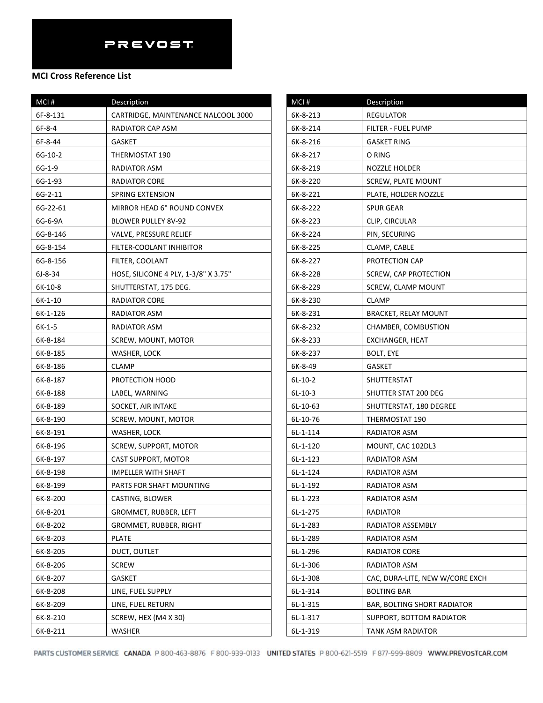### **MCI Cross Reference List**

| MCI#      | Description                          |
|-----------|--------------------------------------|
| 6F-8-131  | CARTRIDGE, MAINTENANCE NALCOOL 3000  |
| $6F-8-4$  | RADIATOR CAP ASM                     |
| 6F-8-44   | <b>GASKET</b>                        |
| 6G-10-2   | THERMOSTAT 190                       |
| $6G-1-9$  | RADIATOR ASM                         |
| 6G-1-93   | <b>RADIATOR CORE</b>                 |
| 6G-2-11   | SPRING EXTENSION                     |
| 6G-22-61  | MIRROR HEAD 6" ROUND CONVEX          |
| 6G-6-9A   | BLOWER PULLEY 8V-92                  |
| 6G-8-146  | VALVE, PRESSURE RELIEF               |
| 6G-8-154  | FILTER-COOLANT INHIBITOR             |
| 6G-8-156  | FILTER, COOLANT                      |
| $6J-8-34$ | HOSE, SILICONE 4 PLY, 1-3/8" X 3.75" |
| 6K-10-8   | SHUTTERSTAT, 175 DEG.                |
| $6K-1-10$ | RADIATOR CORE                        |
| 6K-1-126  | RADIATOR ASM                         |
| $6K-1-5$  | RADIATOR ASM                         |
| 6K-8-184  | SCREW, MOUNT, MOTOR                  |
| 6K-8-185  | WASHER, LOCK                         |
| 6K-8-186  | CLAMP                                |
| 6K-8-187  | PROTECTION HOOD                      |
| 6K-8-188  | LABEL, WARNING                       |
| 6K-8-189  | SOCKET, AIR INTAKE                   |
| 6K-8-190  | SCREW, MOUNT, MOTOR                  |
| 6K-8-191  | WASHER, LOCK                         |
| 6K-8-196  | SCREW, SUPPORT, MOTOR                |
| 6K-8-197  | CAST SUPPORT, MOTOR                  |
| 6K-8-198  | IMPELLER WITH SHAFT                  |
| 6K-8-199  | PARTS FOR SHAFT MOUNTING             |
| 6K-8-200  | CASTING, BLOWER                      |
| 6K-8-201  | GROMMET, RUBBER, LEFT                |
| 6K-8-202  | GROMMET, RUBBER, RIGHT               |
| 6K-8-203  | <b>PLATE</b>                         |
| 6K-8-205  | DUCT, OUTLET                         |
| 6K-8-206  | <b>SCREW</b>                         |
| 6K-8-207  | <b>GASKET</b>                        |
| 6K-8-208  | LINE, FUEL SUPPLY                    |
| 6K-8-209  | LINE, FUEL RETURN                    |
| 6K-8-210  | SCREW, HEX (M4 X 30)                 |
| 6K-8-211  | WASHER                               |

| MCI#       | Description                        |
|------------|------------------------------------|
| 6K-8-213   | <b>REGULATOR</b>                   |
| 6K-8-214   | FILTER - FUEL PUMP                 |
| 6K-8-216   | <b>GASKET RING</b>                 |
| 6K-8-217   | O RING                             |
| 6K-8-219   | NOZZLE HOLDER                      |
| 6K-8-220   | <b>SCREW, PLATE MOUNT</b>          |
| 6K-8-221   | PLATE, HOLDER NOZZLE               |
| 6K-8-222   | SPUR GEAR                          |
| 6K-8-223   | CLIP, CIRCULAR                     |
| 6K-8-224   | PIN, SECURING                      |
| 6K-8-225   | CLAMP, CABLE                       |
| 6K-8-227   | PROTECTION CAP                     |
| 6K-8-228   | <b>SCREW, CAP PROTECTION</b>       |
| 6K-8-229   | SCREW, CLAMP MOUNT                 |
| 6K-8-230   | CLAMP                              |
| 6K-8-231   | BRACKET, RELAY MOUNT               |
| 6K-8-232   | CHAMBER, COMBUSTION                |
| 6K-8-233   | EXCHANGER, HEAT                    |
| 6K-8-237   | <b>BOLT, EYE</b>                   |
| 6K-8-49    | <b>GASKET</b>                      |
| $6L-10-2$  | SHUTTERSTAT                        |
| $6L-10-3$  | SHUTTER STAT 200 DEG               |
| 6L-10-63   | SHUTTERSTAT, 180 DEGREE            |
| 6L-10-76   | THERMOSTAT 190                     |
| 6L-1-114   | RADIATOR ASM                       |
| $6L-1-120$ | MOUNT, CAC 102DL3                  |
| 6L-1-123   | RADIATOR ASM                       |
| 6L-1-124   | RADIATOR ASM                       |
| 6L-1-192   | RADIATOR ASM                       |
| 6L-1-223   | RADIATOR ASM                       |
| 6L-1-275   | RADIATOR                           |
| 6L-1-283   | RADIATOR ASSEMBLY                  |
| 6L-1-289   | RADIATOR ASM                       |
| 6L-1-296   | <b>RADIATOR CORE</b>               |
| 6L-1-306   | RADIATOR ASM                       |
| 6L-1-308   | CAC, DURA-LITE, NEW W/CORE EXCH    |
| 6L-1-314   | <b>BOLTING BAR</b>                 |
| 6L-1-315   | <b>BAR, BOLTING SHORT RADIATOR</b> |
| 6L-1-317   | SUPPORT, BOTTOM RADIATOR           |
| 6L-1-319   | TANK ASM RADIATOR                  |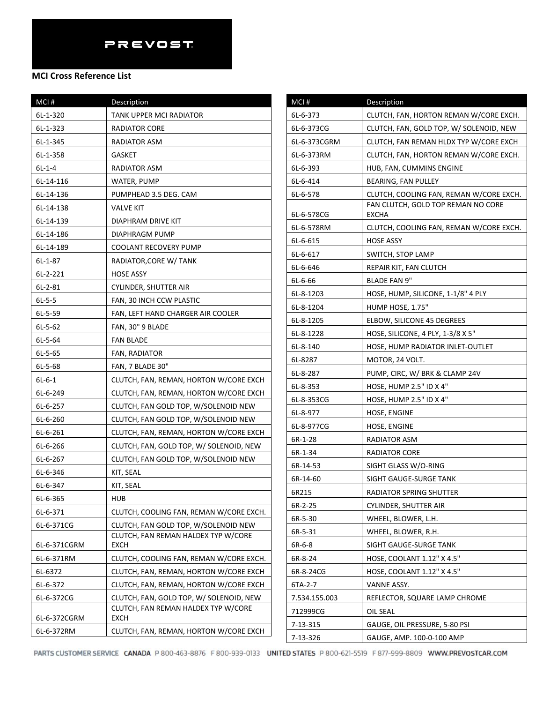| MCI#         | Description                                        |
|--------------|----------------------------------------------------|
| 6L-1-320     | TANK UPPER MCI RADIATOR                            |
| 6L-1-323     | RADIATOR CORE                                      |
| 6L-1-345     | RADIATOR ASM                                       |
| 6L-1-358     | GASKET                                             |
| $6L-1-4$     | RADIATOR ASM                                       |
| 6L-14-116    | WATER, PUMP                                        |
| 6L-14-136    | PUMPHEAD 3.5 DEG. CAM                              |
| 6L-14-138    | VALVE KIT                                          |
| 6L-14-139    | DIAPHRAM DRIVE KIT                                 |
| 6L-14-186    | DIAPHRAGM PUMP                                     |
| 6L-14-189    | COOLANT RECOVERY PUMP                              |
| 6L-1-87      | RADIATOR,CORE W/ TANK                              |
| $6L-2-221$   | HOSE ASSY                                          |
| $6L-2-81$    | CYLINDER, SHUTTER AIR                              |
| $6L-5-5$     | FAN, 30 INCH CCW PLASTIC                           |
| $6L-5-59$    | FAN, LEFT HAND CHARGER AIR COOLER                  |
| $6L-5-62$    | FAN, 30" 9 BLADE                                   |
| $6L-5-64$    | <b>FAN BLADE</b>                                   |
| 6L-5-65      | FAN, RADIATOR                                      |
| 6L-5-68      | FAN, 7 BLADE 30"                                   |
| $6L - 6 - 1$ | CLUTCH, FAN, REMAN, HORTON W/CORE EXCH             |
| 6L-6-249     | CLUTCH, FAN, REMAN, HORTON W/CORE EXCH             |
| 6L-6-257     | CLUTCH, FAN GOLD TOP, W/SOLENOID NEW               |
| 6L-6-260     | CLUTCH, FAN GOLD TOP, W/SOLENOID NEW               |
| 6L-6-261     | CLUTCH, FAN, REMAN, HORTON W/CORE EXCH             |
| 6L-6-266     | CLUTCH, FAN, GOLD TOP, W/ SOLENOID, NEW            |
| 6L-6-267     | CLUTCH, FAN GOLD TOP, W/SOLENOID NEW               |
| 6L-6-346     | KIT, SEAL                                          |
| 6L-6-347     | KIT, SEAL                                          |
| 6L-6-365     | HUB                                                |
| 6L-6-371     | CLUTCH, COOLING FAN, REMAN W/CORE EXCH.            |
| 6L-6-371CG   | CLUTCH, FAN GOLD TOP, W/SOLENOID NEW               |
| 6L-6-371CGRM | CLUTCH, FAN REMAN HALDEX TYP W/CORE<br><b>EXCH</b> |
| 6L-6-371RM   | CLUTCH, COOLING FAN, REMAN W/CORE EXCH.            |
| 6L-6372      | CLUTCH, FAN, REMAN, HORTON W/CORE EXCH             |
| 6L-6-372     | CLUTCH, FAN, REMAN, HORTON W/CORE EXCH             |
| 6L-6-372CG   | CLUTCH, FAN, GOLD TOP, W/ SOLENOID, NEW            |
| 6L-6-372CGRM | CLUTCH, FAN REMAN HALDEX TYP W/CORE<br>EXCH        |
| 6L-6-372RM   | CLUTCH, FAN, REMAN, HORTON W/CORE EXCH             |

| MCI#                 | <b>Description</b>                                     |
|----------------------|--------------------------------------------------------|
| 6L-6-373             | CLUTCH, FAN, HORTON REMAN W/CORE EXCH.                 |
| 6L-6-373CG           | CLUTCH, FAN, GOLD TOP, W/ SOLENOID, NEW                |
| 6L-6-373CGRM         | CLUTCH, FAN REMAN HLDX TYP W/CORE EXCH                 |
| 6L-6-373RM           | CLUTCH, FAN, HORTON REMAN W/CORE EXCH.                 |
| 6L-6-393             | HUB, FAN, CUMMINS ENGINE                               |
| 6L-6-414             | BEARING, FAN PULLEY                                    |
| 6L-6-578             | CLUTCH, COOLING FAN, REMAN W/CORE EXCH.                |
|                      | FAN CLUTCH, GOLD TOP REMAN NO CORE                     |
| 6L-6-578CG           | <b>EXCHA</b>                                           |
| 6L-6-578RM           | CLUTCH, COOLING FAN, REMAN W/CORE EXCH.                |
| 6L-6-615             | HOSE ASSY<br>SWITCH, STOP LAMP                         |
| 6L-6-617<br>6L-6-646 | REPAIR KIT, FAN CLUTCH                                 |
| 6L-6-66              |                                                        |
| 6L-8-1203            | BLADE FAN 9"                                           |
|                      | HOSE, HUMP, SILICONE, 1-1/8" 4 PLY<br>HUMP HOSE, 1.75" |
| 6L-8-1204            |                                                        |
| 6L-8-1205            | ELBOW, SILICONE 45 DEGREES                             |
| 6L-8-1228            | HOSE, SILICONE, 4 PLY, 1-3/8 X 5"                      |
| 6L-8-140<br>6L-8287  | HOSE, HUMP RADIATOR INLET-OUTLET                       |
| 6L-8-287             | MOTOR, 24 VOLT.<br>PUMP, CIRC, W/ BRK & CLAMP 24V      |
| 6L-8-353             | HOSE, HUMP 2.5" ID X 4"                                |
| 6L-8-353CG           | HOSE, HUMP 2.5" ID X 4"                                |
| 6L-8-977             | HOSE, ENGINE                                           |
| 6L-8-977CG           | HOSE, ENGINE                                           |
| 6R-1-28              | RADIATOR ASM                                           |
| 6R-1-34              | RADIATOR CORE                                          |
| 6R-14-53             | SIGHT GLASS W/O-RING                                   |
| 6R-14-60             | SIGHT GAUGE-SURGE TANK                                 |
| 6R215                | RADIATOR SPRING SHUTTER                                |
| 6R-2-25              | CYLINDER, SHUTTER AIR                                  |
| 6R-5-30              | WHEEL, BLOWER, L.H.                                    |
| 6R-5-31              | WHEEL, BLOWER, R.H.                                    |
| 6R-6-8               | SIGHT GAUGE-SURGE TANK                                 |
| 6R-8-24              | HOSE, COOLANT 1.12" X 4.5"                             |
| 6R-8-24CG            | HOSE, COOLANT 1.12" X 4.5"                             |
| 6TA-2-7              | VANNE ASSY.                                            |
| 7.534.155.003        | REFLECTOR, SQUARE LAMP CHROME                          |
| 712999CG             | OIL SEAL                                               |
| 7-13-315             | GAUGE, OIL PRESSURE, 5-80 PSI                          |
| 7-13-326             | GAUGE, AMP. 100-0-100 AMP                              |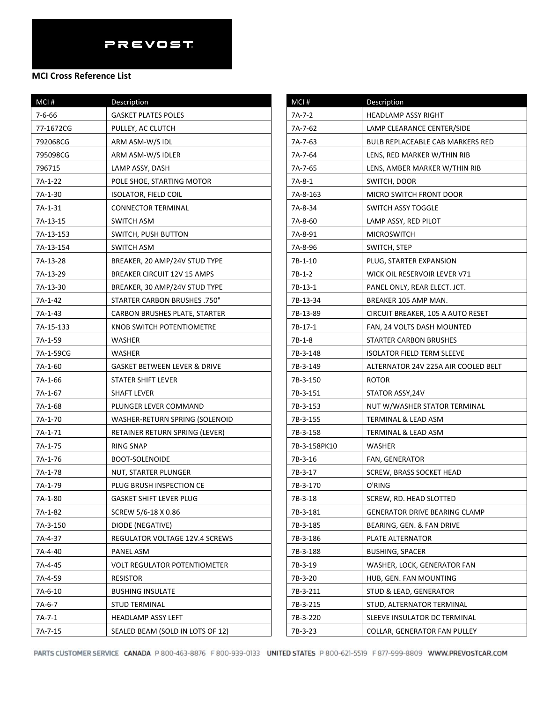| $MCI$ #   | Description                         |
|-----------|-------------------------------------|
| 7-6-66    | <b>GASKET PLATES POLES</b>          |
| 77-1672CG | PULLEY, AC CLUTCH                   |
| 792068CG  | ARM ASM-W/S IDL                     |
| 795098CG  | ARM ASM-W/S IDLER                   |
| 796715    | LAMP ASSY, DASH                     |
| 7A-1-22   | POLE SHOE, STARTING MOTOR           |
| 7A-1-30   | <b>ISOLATOR, FIELD COIL</b>         |
| 7A-1-31   | <b>CONNECTOR TERMINAL</b>           |
| 7A-13-15  | <b>SWITCH ASM</b>                   |
| 7A-13-153 | SWITCH, PUSH BUTTON                 |
| 7A-13-154 | SWITCH ASM                          |
| 7A-13-28  | BREAKER, 20 AMP/24V STUD TYPE       |
| 7A-13-29  | <b>BREAKER CIRCUIT 12V 15 AMPS</b>  |
| 7A-13-30  | BREAKER, 30 AMP/24V STUD TYPE       |
| 7A-1-42   | STARTER CARBON BRUSHES .750"        |
| 7A-1-43   | CARBON BRUSHES PLATE, STARTER       |
| 7A-15-133 | KNOB SWITCH POTENTIOMETRE           |
| 7A-1-59   | WASHER                              |
| 7A-1-59CG | <b>WASHER</b>                       |
| 7A-1-60   | GASKET BETWEEN LEVER & DRIVE        |
| 7A-1-66   | STATER SHIFT LEVER                  |
| 7A-1-67   | SHAFT LEVER                         |
| 7A-1-68   | PLUNGER LEVER COMMAND               |
| 7A-1-70   | WASHER-RETURN SPRING (SOLENOID      |
| 7A-1-71   | RETAINER RETURN SPRING (LEVER)      |
| 7A-1-75   | RING SNAP                           |
| 7A-1-76   | <b>BOOT-SOLENOIDE</b>               |
| 7A-1-78   | NUT, STARTER PLUNGER                |
| 7A-1-79   | PLUG BRUSH INSPECTION CE            |
| 7A-1-80   | GASKET SHIFT LEVER PLUG             |
| 7A-1-82   | SCREW 5/6-18 X 0.86                 |
| 7A-3-150  | DIODE (NEGATIVE)                    |
| 7A-4-37   | REGULATOR VOLTAGE 12V.4 SCREWS      |
| 7A-4-40   | PANEL ASM                           |
| 7A-4-45   | <b>VOLT REGULATOR POTENTIOMETER</b> |
| 7A-4-59   | <b>RESISTOR</b>                     |
| 7A-6-10   | <b>BUSHING INSULATE</b>             |
| $7A-6-7$  | <b>STUD TERMINAL</b>                |
| $7A-7-1$  | <b>HEADLAMP ASSY LEFT</b>           |
| 7A-7-15   | SEALED BEAM (SOLD IN LOTS OF 12)    |

| MCI#         | Description                          |
|--------------|--------------------------------------|
| 7A-7-2       | HEADLAMP ASSY RIGHT                  |
| 7A-7-62      | LAMP CLEARANCE CENTER/SIDE           |
| 7A-7-63      | BULB REPLACEABLE CAB MARKERS RED     |
| 7A-7-64      | LENS, RED MARKER W/THIN RIB          |
| 7A-7-65      | LENS, AMBER MARKER W/THIN RIB        |
| 7A-8-1       | SWITCH, DOOR                         |
| 7A-8-163     | MICRO SWITCH FRONT DOOR              |
| 7A-8-34      | SWITCH ASSY TOGGLE                   |
| 7A-8-60      | LAMP ASSY, RED PILOT                 |
| 7A-8-91      | <b>MICROSWITCH</b>                   |
| 7A-8-96      | SWITCH, STEP                         |
| 7B-1-10      | PLUG, STARTER EXPANSION              |
| 7B-1-2       | WICK OIL RESERVOIR LEVER V71         |
| 7B-13-1      | PANEL ONLY, REAR ELECT. JCT.         |
| 7B-13-34     | BREAKER 105 AMP MAN.                 |
| 7B-13-89     | CIRCUIT BREAKER, 105 A AUTO RESET    |
| 7B-17-1      | FAN, 24 VOLTS DASH MOUNTED           |
| $7B-1-8$     | STARTER CARBON BRUSHES               |
| 7B-3-148     | ISOLATOR FIELD TERM SLEEVE           |
| 7B-3-149     | ALTERNATOR 24V 225A AIR COOLED BELT  |
| 7B-3-150     | <b>ROTOR</b>                         |
| 7B-3-151     | STATOR ASSY,24V                      |
| 7B-3-153     | NUT W/WASHER STATOR TERMINAL         |
| 7B-3-155     | TERMINAL & LEAD ASM                  |
| 7B-3-158     | TERMINAL & LEAD ASM                  |
| 7B-3-158PK10 | WASHER                               |
| 7B-3-16      | FAN, GENERATOR                       |
| 7B-3-17      | SCREW, BRASS SOCKET HEAD             |
| 7B-3-170     | O'RING                               |
| 7B-3-18      | SCREW, RD. HEAD SLOTTED              |
| 7B-3-181     | <b>GENERATOR DRIVE BEARING CLAMP</b> |
| 7B-3-185     | BEARING, GEN. & FAN DRIVE            |
| 7B-3-186     | PLATE ALTERNATOR                     |
| 7B-3-188     | <b>BUSHING, SPACER</b>               |
| 7B-3-19      | WASHER, LOCK, GENERATOR FAN          |
| 7B-3-20      | HUB, GEN. FAN MOUNTING               |
| 7B-3-211     | STUD & LEAD, GENERATOR               |
| 7B-3-215     | STUD, ALTERNATOR TERMINAL            |
| 7B-3-220     | SLEEVE INSULATOR DC TERMINAL         |
| 7B-3-23      | COLLAR, GENERATOR FAN PULLEY         |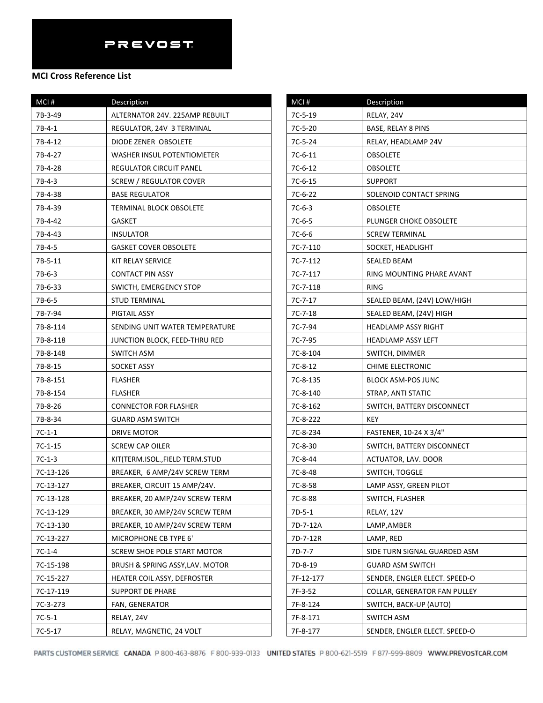| MCI#      | Description                        |
|-----------|------------------------------------|
| 7B-3-49   | ALTERNATOR 24V. 225AMP REBUILT     |
| 7B-4-1    | REGULATOR, 24V 3 TERMINAL          |
| 7B-4-12   | DIODE ZENER OBSOLETE               |
| 7B-4-27   | WASHER INSUL POTENTIOMETER         |
| 7B-4-28   | REGULATOR CIRCUIT PANEL            |
| 7B-4-3    | <b>SCREW / REGULATOR COVER</b>     |
| 7B-4-38   | <b>BASE REGULATOR</b>              |
| 7B-4-39   | TERMINAL BLOCK OBSOLETE            |
| 7B-4-42   | GASKET                             |
| 7B-4-43   | <b>INSULATOR</b>                   |
| 7B-4-5    | <b>GASKET COVER OBSOLETE</b>       |
| 7B-5-11   | KIT RELAY SERVICE                  |
| 7B-6-3    | CONTACT PIN ASSY                   |
| 7B-6-33   | SWICTH, EMERGENCY STOP             |
| 7B-6-5    | <b>STUD TERMINAL</b>               |
| 7B-7-94   | PIGTAIL ASSY                       |
| 7B-8-114  | SENDING UNIT WATER TEMPERATURE     |
| 7B-8-118  | JUNCTION BLOCK, FEED-THRU RED      |
| 7B-8-148  | SWITCH ASM                         |
| 7B-8-15   | SOCKET ASSY                        |
| 7B-8-151  | <b>FLASHER</b>                     |
| 7B-8-154  | <b>FLASHER</b>                     |
| 7B-8-26   | <b>CONNECTOR FOR FLASHER</b>       |
| 7B-8-34   | GUARD ASM SWITCH                   |
| $7C-1-1$  | DRIVE MOTOR                        |
| 7C-1-15   | <b>SCREW CAP OILER</b>             |
| $7C-1-3$  | KIT(TERM.ISOL.,FIELD TERM.STUD     |
| 7C-13-126 | BREAKER, 6 AMP/24V SCREW TERM      |
| 7C-13-127 | BREAKER, CIRCUIT 15 AMP/24V.       |
| 7C-13-128 | BREAKER, 20 AMP/24V SCREW TERM     |
| 7C-13-129 | BREAKER, 30 AMP/24V SCREW TERM     |
| 7C-13-130 | BREAKER, 10 AMP/24V SCREW TERM     |
| 7C-13-227 | MICROPHONE CB TYPE 6'              |
| 7C-1-4    | <b>SCREW SHOE POLE START MOTOR</b> |
| 7C-15-198 | BRUSH & SPRING ASSY, LAV. MOTOR    |
| 7C-15-227 | HEATER COIL ASSY, DEFROSTER        |
| 7C-17-119 | SUPPORT DE PHARE                   |
| 7C-3-273  | FAN, GENERATOR                     |
| $7C-5-1$  | RELAY, 24V                         |
| $7C-5-17$ | RELAY, MAGNETIC, 24 VOLT           |

| MCI#      | Description                   |
|-----------|-------------------------------|
| 7C-5-19   | RELAY, 24V                    |
| 7C-5-20   | BASE, RELAY 8 PINS            |
| 7C-5-24   | RELAY, HEADLAMP 24V           |
| 7C-6-11   | OBSOLETE                      |
| 7C-6-12   | OBSOLETE                      |
| $7C-6-15$ | <b>SUPPORT</b>                |
| 7C-6-22   | SOLENOID CONTACT SPRING       |
| $7C-6-3$  | OBSOLETE                      |
| 7C-6-5    | PLUNGER CHOKE OBSOLETE        |
| 7C-6-6    | <b>SCREW TERMINAL</b>         |
| 7C-7-110  | SOCKET, HEADLIGHT             |
| 7C-7-112  | SEALED BEAM                   |
| 7C-7-117  | RING MOUNTING PHARE AVANT     |
| 7C-7-118  | RING                          |
| 7C-7-17   | SEALED BEAM, (24V) LOW/HIGH   |
| 7C-7-18   | SEALED BEAM, (24V) HIGH       |
| 7C-7-94   | HEADLAMP ASSY RIGHT           |
| 7C-7-95   | <b>HEADLAMP ASSY LEFT</b>     |
| 7C-8-104  | SWITCH, DIMMER                |
| 7C-8-12   | <b>CHIME ELECTRONIC</b>       |
| 7C-8-135  | <b>BLOCK ASM-POS JUNC</b>     |
| 7C-8-140  | STRAP, ANTI STATIC            |
| 7C-8-162  | SWITCH, BATTERY DISCONNECT    |
| 7C-8-222  | KEY                           |
| 7C-8-234  | FASTENER, 10-24 X 3/4"        |
| 7C-8-30   | SWITCH, BATTERY DISCONNECT    |
| 7C-8-44   | ACTUATOR, LAV. DOOR           |
| 7C-8-48   | SWITCH, TOGGLE                |
| 7C-8-58   | LAMP ASSY, GREEN PILOT        |
| 7C-8-88   | SWITCH, FLASHER               |
| $7D-5-1$  | RELAY, 12V                    |
| 7D-7-12A  | LAMP,AMBER                    |
| 7D-7-12R  | LAMP, RED                     |
| 7D-7-7    | SIDE TURN SIGNAL GUARDED ASM  |
| 7D-8-19   | GUARD ASM SWITCH              |
| 7F-12-177 | SENDER, ENGLER ELECT. SPEED-O |
| 7F-3-52   | COLLAR, GENERATOR FAN PULLEY  |
| 7F-8-124  | SWITCH, BACK-UP (AUTO)        |
| 7F-8-171  | SWITCH ASM                    |
| 7F-8-177  | SENDER, ENGLER ELECT. SPEED-O |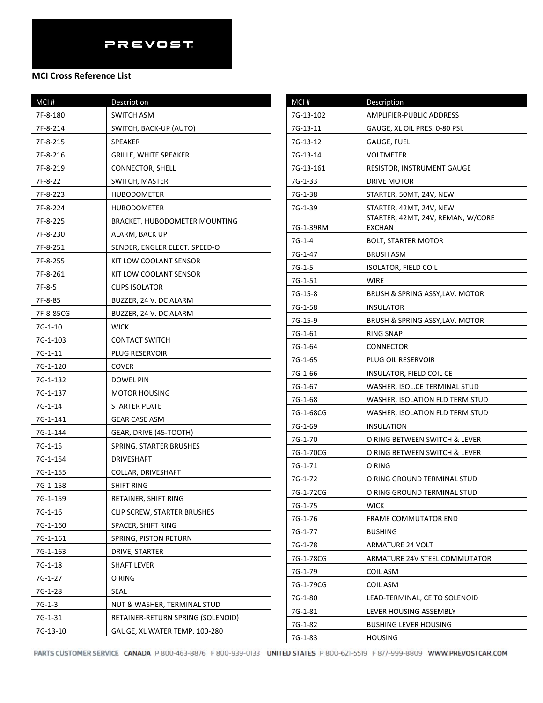| $MCI$ #   | Description                        |
|-----------|------------------------------------|
| 7F-8-180  | <b>SWITCH ASM</b>                  |
| 7F-8-214  | SWITCH, BACK-UP (AUTO)             |
| 7F-8-215  | <b>SPEAKER</b>                     |
| 7F-8-216  | <b>GRILLE, WHITE SPEAKER</b>       |
| 7F-8-219  | CONNECTOR, SHELL                   |
| 7F-8-22   | SWITCH, MASTER                     |
| 7F-8-223  | HUBODOMETER                        |
| 7F-8-224  | HUBODOMETER                        |
| 7F-8-225  | BRACKET, HUBODOMETER MOUNTING      |
| 7F-8-230  | ALARM, BACK UP                     |
| 7F-8-251  | SENDER, ENGLER ELECT. SPEED-O      |
| 7F-8-255  | KIT LOW COOLANT SENSOR             |
| 7F-8-261  | KIT LOW COOLANT SENSOR             |
| 7F-8-5    | <b>CLIPS ISOLATOR</b>              |
| 7F-8-85   | BUZZER, 24 V. DC ALARM             |
| 7F-8-85CG | BUZZER, 24 V. DC ALARM             |
| 7G-1-10   | <b>WICK</b>                        |
| 7G-1-103  | <b>CONTACT SWITCH</b>              |
| 7G-1-11   | PLUG RESERVOIR                     |
| 7G-1-120  | COVER                              |
| 7G-1-132  | DOWEL PIN                          |
| 7G-1-137  | <b>MOTOR HOUSING</b>               |
| 7G-1-14   | STARTER PLATE                      |
| 7G-1-141  | GEAR CASE ASM                      |
| 7G-1-144  | GEAR, DRIVE (45-TOOTH)             |
| 7G-1-15   | SPRING, STARTER BRUSHES            |
| 7G-1-154  | <b>DRIVESHAFT</b>                  |
| 7G-1-155  | <b>COLLAR, DRIVESHAFT</b>          |
| 7G-1-158  | SHIFT RING                         |
| 7G-1-159  | RETAINER, SHIFT RING               |
| 7G-1-16   | <b>CLIP SCREW, STARTER BRUSHES</b> |
| 7G-1-160  | SPACER, SHIFT RING                 |
| 7G-1-161  | SPRING, PISTON RETURN              |
| 7G-1-163  | DRIVE, STARTER                     |
| 7G-1-18   | SHAFT LEVER                        |
| 7G-1-27   | O RING                             |
| 7G-1-28   | <b>SEAL</b>                        |
| $7G-1-3$  | NUT & WASHER, TERMINAL STUD        |
| 7G-1-31   | RETAINER-RETURN SPRING (SOLENOID)  |
| 7G-13-10  | GAUGE, XL WATER TEMP. 100-280      |

| MCI#      | Description                                        |
|-----------|----------------------------------------------------|
| 7G-13-102 | AMPLIFIER-PUBLIC ADDRESS                           |
| 7G-13-11  | GAUGE, XL OIL PRES. 0-80 PSI.                      |
| 7G-13-12  | GAUGE, FUEL                                        |
| 7G-13-14  | VOLTMETER                                          |
| 7G-13-161 | <b>RESISTOR, INSTRUMENT GAUGE</b>                  |
| 7G-1-33   | DRIVE MOTOR                                        |
| 7G-1-38   | STARTER, 50MT, 24V, NEW                            |
| 7G-1-39   | STARTER, 42MT, 24V, NEW                            |
| 7G-1-39RM | STARTER, 42MT, 24V, REMAN, W/CORE<br><b>EXCHAN</b> |
| 7G-1-4    | <b>BOLT, STARTER MOTOR</b>                         |
| 7G-1-47   | <b>BRUSH ASM</b>                                   |
| 7G-1-5    | <b>ISOLATOR, FIELD COIL</b>                        |
| 7G-1-51   | WIRE                                               |
| 7G-15-8   | BRUSH & SPRING ASSY, LAV. MOTOR                    |
| 7G-1-58   | <b>INSULATOR</b>                                   |
| 7G-15-9   | BRUSH & SPRING ASSY, LAV. MOTOR                    |
| 7G-1-61   | RING SNAP                                          |
| 7G-1-64   | CONNECTOR                                          |
| 7G-1-65   | PLUG OIL RESERVOIR                                 |
| 7G-1-66   | INSULATOR, FIELD COIL CE                           |
| 7G-1-67   | WASHER, ISOL.CE TERMINAL STUD                      |
| 7G-1-68   | WASHER, ISOLATION FLD TERM STUD                    |
| 7G-1-68CG | WASHER, ISOLATION FLD TERM STUD                    |
| 7G-1-69   | <b>INSULATION</b>                                  |
| 7G-1-70   | O RING BETWEEN SWITCH & LEVER                      |
| 7G-1-70CG | O RING BETWEEN SWITCH & LEVER                      |
| 7G-1-71   | O RING                                             |
| 7G-1-72   | O RING GROUND TERMINAL STUD                        |
| 7G-1-72CG | O RING GROUND TERMINAL STUD                        |
| 7G-1-75   | <b>WICK</b>                                        |
| 7G-1-76   | FRAME COMMUTATOR END                               |
| 7G-1-77   | <b>BUSHING</b>                                     |
| 7G-1-78   | <b>ARMATURE 24 VOLT</b>                            |
| 7G-1-78CG | ARMATURE 24V STEEL COMMUTATOR                      |
| 7G-1-79   | <b>COIL ASM</b>                                    |
| 7G-1-79CG | COIL ASM                                           |
| 7G-1-80   | LEAD-TERMINAL, CE TO SOLENOID                      |
| 7G-1-81   | LEVER HOUSING ASSEMBLY                             |
| 7G-1-82   | <b>BUSHING LEVER HOUSING</b>                       |
| 7G-1-83   | <b>HOUSING</b>                                     |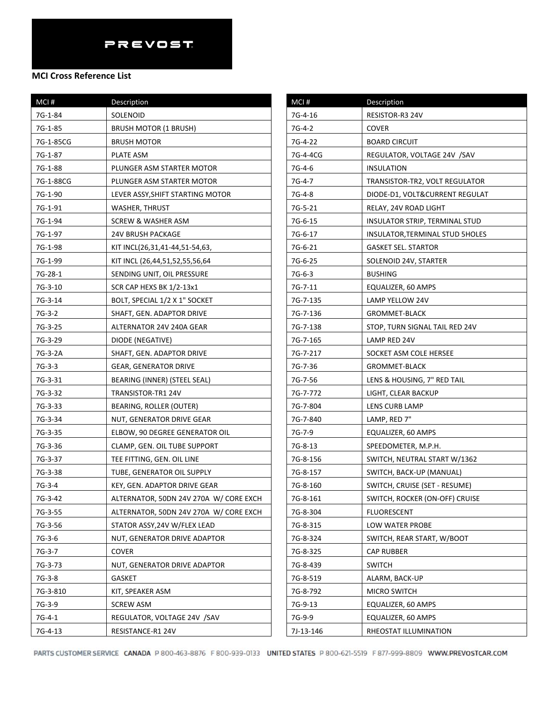| MCI #     | Description                            |
|-----------|----------------------------------------|
| 7G-1-84   | SOLENOID                               |
| 7G-1-85   | <b>BRUSH MOTOR (1 BRUSH)</b>           |
| 7G-1-85CG | BRUSH MOTOR                            |
| 7G-1-87   | PLATE ASM                              |
| 7G-1-88   | PLUNGER ASM STARTER MOTOR              |
| 7G-1-88CG | PLUNGER ASM STARTER MOTOR              |
| 7G-1-90   | LEVER ASSY, SHIFT STARTING MOTOR       |
| 7G-1-91   | <b>WASHER, THRUST</b>                  |
| 7G-1-94   | <b>SCREW &amp; WASHER ASM</b>          |
| 7G-1-97   | <b>24V BRUSH PACKAGE</b>               |
| 7G-1-98   | KIT INCL(26,31,41-44,51-54,63,         |
| 7G-1-99   | KIT INCL (26,44,51,52,55,56,64         |
| 7G-28-1   | SENDING UNIT, OIL PRESSURE             |
| 7G-3-10   | SCR CAP HEXS BK 1/2-13x1               |
| 7G-3-14   | BOLT, SPECIAL 1/2 X 1" SOCKET          |
| 7G-3-2    | SHAFT, GEN. ADAPTOR DRIVE              |
| 7G-3-25   | ALTERNATOR 24V 240A GEAR               |
| 7G-3-29   | DIODE (NEGATIVE)                       |
| 7G-3-2A   | SHAFT, GEN. ADAPTOR DRIVE              |
| 7G-3-3    | <b>GEAR, GENERATOR DRIVE</b>           |
| 7G-3-31   | BEARING (INNER) (STEEL SEAL)           |
| 7G-3-32   | TRANSISTOR-TR1 24V                     |
| 7G-3-33   | BEARING, ROLLER (OUTER)                |
| 7G-3-34   | NUT, GENERATOR DRIVE GEAR              |
| 7G-3-35   | ELBOW, 90 DEGREE GENERATOR OIL         |
| 7G-3-36   | CLAMP, GEN. OIL TUBE SUPPORT           |
| 7G-3-37   | TEE FITTING, GEN. OIL LINE             |
| 7G-3-38   | TUBE, GENERATOR OIL SUPPLY             |
| 7G-3-4    | KEY, GEN. ADAPTOR DRIVE GEAR           |
| 7G-3-42   | ALTERNATOR, 50DN 24V 270A W/ CORE EXCH |
| 7G-3-55   | ALTERNATOR, 50DN 24V 270A W/ CORE EXCH |
| 7G-3-56   | STATOR ASSY, 24V W/FLEX LEAD           |
| 7G-3-6    | NUT, GENERATOR DRIVE ADAPTOR           |
| 7G-3-7    | <b>COVER</b>                           |
| 7G-3-73   | NUT, GENERATOR DRIVE ADAPTOR           |
| $7G-3-8$  | GASKET                                 |
| 7G-3-810  | KIT, SPEAKER ASM                       |
| 7G-3-9    | <b>SCREW ASM</b>                       |
| $7G-4-1$  | REGULATOR, VOLTAGE 24V /SAV            |
| 7G-4-13   | RESISTANCE-R1 24V                      |

| MCI#      | Description                     |
|-----------|---------------------------------|
| 7G-4-16   | RESISTOR-R3 24V                 |
| 7G-4-2    | COVER                           |
| 7G-4-22   | <b>BOARD CIRCUIT</b>            |
| 7G-4-4CG  | REGULATOR, VOLTAGE 24V /SAV     |
| 7G-4-6    | INSULATION                      |
| 7G-4-7    | TRANSISTOR-TR2, VOLT REGULATOR  |
| 7G-4-8    | DIODE-D1, VOLT&CURRENT REGULAT  |
| 7G-5-21   | RELAY, 24V ROAD LIGHT           |
| 7G-6-15   | INSULATOR STRIP, TERMINAL STUD  |
| 7G-6-17   | INSULATOR, TERMINAL STUD 5HOLES |
| 7G-6-21   | <b>GASKET SEL. STARTOR</b>      |
| 7G-6-25   | SOLENOID 24V, STARTER           |
| $7G-6-3$  | <b>BUSHING</b>                  |
| 7G-7-11   | EQUALIZER, 60 AMPS              |
| 7G-7-135  | LAMP YELLOW 24V                 |
| 7G-7-136  | GROMMET-BLACK                   |
| 7G-7-138  | STOP, TURN SIGNAL TAIL RED 24V  |
| 7G-7-165  | LAMP RED 24V                    |
| 7G-7-217  | SOCKET ASM COLE HERSEE          |
| 7G-7-36   | <b>GROMMET-BLACK</b>            |
| 7G-7-56   | LENS & HOUSING, 7" RED TAIL     |
| 7G-7-772  | LIGHT, CLEAR BACKUP             |
| 7G-7-804  | LENS CURB LAMP                  |
| 7G-7-840  | LAMP, RED 7"                    |
| 7G-7-9    | EQUALIZER, 60 AMPS              |
| 7G-8-13   | SPEEDOMETER, M.P.H.             |
| 7G-8-156  | SWITCH, NEUTRAL START W/1362    |
| 7G-8-157  | SWITCH, BACK-UP (MANUAL)        |
| 7G-8-160  | SWITCH, CRUISE (SET - RESUME)   |
| 7G-8-161  | SWITCH, ROCKER (ON-OFF) CRUISE  |
| 7G-8-304  | <b>FLUORESCENT</b>              |
| 7G-8-315  | LOW WATER PROBE                 |
| 7G-8-324  | SWITCH, REAR START, W/BOOT      |
| 7G-8-325  | CAP RUBBER                      |
| 7G-8-439  | <b>SWITCH</b>                   |
| 7G-8-519  | ALARM, BACK-UP                  |
| 7G-8-792  | MICRO SWITCH                    |
| 7G-9-13   | EQUALIZER, 60 AMPS              |
| 7G-9-9    | EQUALIZER, 60 AMPS              |
| 7J-13-146 | RHEOSTAT ILLUMINATION           |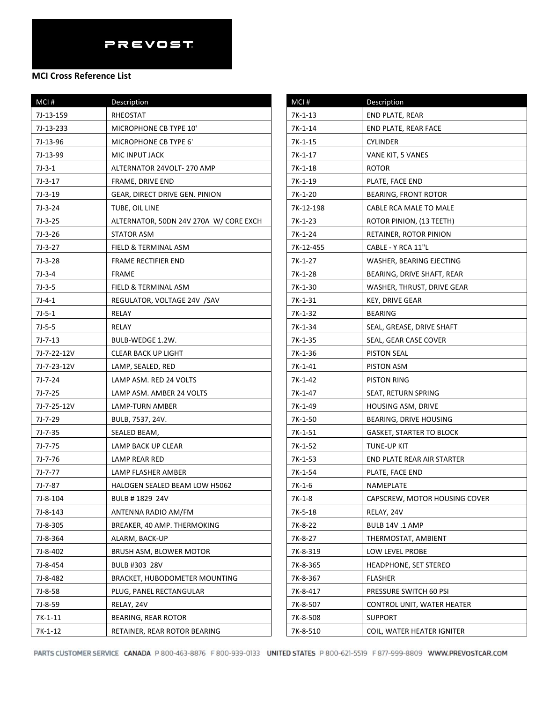| MCI#        | Description                            |
|-------------|----------------------------------------|
| 7J-13-159   | RHEOSTAT                               |
| 7J-13-233   | MICROPHONE CB TYPE 10'                 |
| 7J-13-96    | MICROPHONE CB TYPE 6'                  |
| 7J-13-99    | MIC INPUT JACK                         |
| $7J-3-1$    | ALTERNATOR 24VOLT- 270 AMP             |
| $7J-3-17$   | FRAME, DRIVE END                       |
| $7J-3-19$   | GEAR, DIRECT DRIVE GEN. PINION         |
| $7J-3-24$   | TUBE, OIL LINE                         |
| $7J-3-25$   | ALTERNATOR, 50DN 24V 270A W/ CORE EXCH |
| $7J-3-26$   | STATOR ASM                             |
| 7J-3-27     | FIELD & TERMINAL ASM                   |
| 7J-3-28     | FRAME RECTIFIER END                    |
| $7J-3-4$    | FRAME                                  |
| $7J-3-5$    | FIELD & TERMINAL ASM                   |
| $7J-4-1$    | REGULATOR, VOLTAGE 24V /SAV            |
| $7J-5-1$    | RELAY                                  |
| $7J-5-5$    | RELAY                                  |
| $7J-7-13$   | BULB-WEDGE 1.2W.                       |
| 7J-7-22-12V | <b>CLEAR BACK UP LIGHT</b>             |
| 7J-7-23-12V | LAMP, SEALED, RED                      |
| $7J-7-24$   | LAMP ASM. RED 24 VOLTS                 |
| 7J-7-25     | LAMP ASM. AMBER 24 VOLTS               |
| 7J-7-25-12V | LAMP-TURN AMBER                        |
| 7J-7-29     | BULB, 7537, 24V.                       |
| 7J-7-35     | SEALED BEAM,                           |
| 7J-7-75     | LAMP BACK UP CLEAR                     |
| 7J-7-76     | LAMP REAR RED                          |
| 7J-7-77     | LAMP FLASHER AMBER                     |
| 7J-7-87     | HALOGEN SEALED BEAM LOW H5062          |
| 7J-8-104    | BULB #1829 24V                         |
| 7J-8-143    | ANTENNA RADIO AM/FM                    |
| 7J-8-305    | BREAKER, 40 AMP. THERMOKING            |
| 7J-8-364    | ALARM, BACK-UP                         |
| 7J-8-402    | BRUSH ASM, BLOWER MOTOR                |
| 7J-8-454    | BULB #303 28V                          |
| 7J-8-482    | BRACKET, HUBODOMETER MOUNTING          |
| 7J-8-58     | PLUG, PANEL RECTANGULAR                |
| 7J-8-59     | RELAY, 24V                             |
| $7K-1-11$   | <b>BEARING, REAR ROTOR</b>             |
| 7K-1-12     | RETAINER, REAR ROTOR BEARING           |

| MCI#      | Description                       |
|-----------|-----------------------------------|
| 7K-1-13   | END PLATE, REAR                   |
| 7K-1-14   | END PLATE, REAR FACE              |
| 7K-1-15   | CYLINDER                          |
| 7K-1-17   | VANE KIT, 5 VANES                 |
| 7K-1-18   | ROTOR                             |
| 7K-1-19   | PLATE, FACE END                   |
| 7K-1-20   | <b>BEARING, FRONT ROTOR</b>       |
| 7K-12-198 | CABLE RCA MALE TO MALE            |
| 7K-1-23   | ROTOR PINION, (13 TEETH)          |
| 7K-1-24   | RETAINER, ROTOR PINION            |
| 7K-12-455 | CABLE - Y RCA 11"L                |
| 7K-1-27   | WASHER, BEARING EJECTING          |
| 7K-1-28   | BEARING, DRIVE SHAFT, REAR        |
| 7K-1-30   | WASHER, THRUST, DRIVE GEAR        |
| 7K-1-31   | <b>KEY, DRIVE GEAR</b>            |
| 7K-1-32   | BEARING                           |
| 7K-1-34   | SEAL, GREASE, DRIVE SHAFT         |
| 7K-1-35   | SEAL, GEAR CASE COVER             |
| 7K-1-36   | PISTON SEAL                       |
| $7K-1-41$ | PISTON ASM                        |
| 7K-1-42   | PISTON RING                       |
| 7K-1-47   | SEAT, RETURN SPRING               |
| 7K-1-49   | HOUSING ASM, DRIVE                |
| 7K-1-50   | BEARING, DRIVE HOUSING            |
| $7K-1-51$ | <b>GASKET, STARTER TO BLOCK</b>   |
| 7K-1-52   | TUNE-UP KIT                       |
| 7K-1-53   | <b>END PLATE REAR AIR STARTER</b> |
| 7K-1-54   | PLATE, FACE END                   |
| 7K-1-6    | NAMEPLATE                         |
| 7K-1-8    | CAPSCREW, MOTOR HOUSING COVER     |
| 7K-5-18   | RELAY, 24V                        |
| 7K-8-22   | BULB 14V .1 AMP                   |
| 7K-8-27   | THERMOSTAT, AMBIENT               |
| 7K-8-319  | LOW LEVEL PROBE                   |
| 7K-8-365  | <b>HEADPHONE, SET STEREO</b>      |
| 7K-8-367  | <b>FLASHER</b>                    |
| 7K-8-417  | PRESSURE SWITCH 60 PSI            |
| 7K-8-507  | CONTROL UNIT, WATER HEATER        |
| 7K-8-508  | <b>SUPPORT</b>                    |
| 7K-8-510  | COIL, WATER HEATER IGNITER        |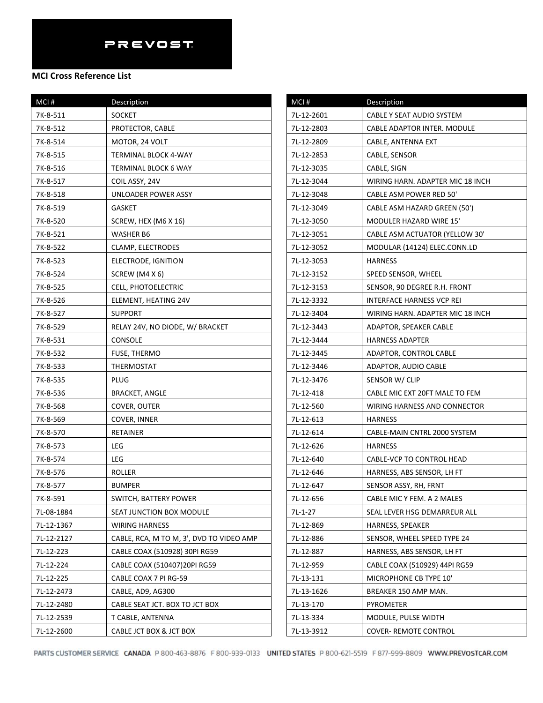| MCI#       | Description                              |
|------------|------------------------------------------|
| 7K-8-511   | <b>SOCKET</b>                            |
| 7K-8-512   | PROTECTOR, CABLE                         |
| 7K-8-514   | MOTOR, 24 VOLT                           |
| 7K-8-515   | TERMINAL BLOCK 4-WAY                     |
| 7K-8-516   | TERMINAL BLOCK 6 WAY                     |
| 7K-8-517   | COIL ASSY, 24V                           |
| 7K-8-518   | UNLOADER POWER ASSY                      |
| 7K-8-519   | GASKET                                   |
| 7K-8-520   | SCREW, HEX (M6 X 16)                     |
| 7K-8-521   | WASHER B6                                |
| 7K-8-522   | CLAMP, ELECTRODES                        |
| 7K-8-523   | ELECTRODE, IGNITION                      |
| 7K-8-524   | SCREW (M4 X 6)                           |
| 7K-8-525   | CELL, PHOTOELECTRIC                      |
| 7K-8-526   | ELEMENT, HEATING 24V                     |
| 7K-8-527   | <b>SUPPORT</b>                           |
| 7K-8-529   | RELAY 24V, NO DIODE, W/ BRACKET          |
| 7K-8-531   | <b>CONSOLE</b>                           |
| 7K-8-532   | FUSE, THERMO                             |
| 7K-8-533   | THERMOSTAT                               |
| 7K-8-535   | PLUG                                     |
| 7K-8-536   | <b>BRACKET, ANGLE</b>                    |
| 7K-8-568   | COVER, OUTER                             |
| 7K-8-569   | <b>COVER, INNER</b>                      |
| 7K-8-570   | RETAINER                                 |
| 7K-8-573   | LEG                                      |
| 7K-8-574   | LEG                                      |
| 7K-8-576   | ROLLER                                   |
| 7K-8-577   | <b>BUMPER</b>                            |
| 7K-8-591   | SWITCH, BATTERY POWER                    |
| 7L-08-1884 | SEAT JUNCTION BOX MODULE                 |
| 7L-12-1367 | <b>WIRING HARNESS</b>                    |
| 7L-12-2127 | CABLE, RCA, M TO M, 3', DVD TO VIDEO AMP |
| 7L-12-223  | CABLE COAX (510928) 30PI RG59            |
| 7L-12-224  | CABLE COAX (510407)20PI RG59             |
| 7L-12-225  | CABLE COAX 7 PI RG-59                    |
| 7L-12-2473 | CABLE, AD9, AG300                        |
| 7L-12-2480 | CABLE SEAT JCT. BOX TO JCT BOX           |
| 7L-12-2539 | T CABLE, ANTENNA                         |
| 7L-12-2600 | CABLE JCT BOX & JCT BOX                  |

| MCI#       | Description                      |
|------------|----------------------------------|
| 7L-12-2601 | CABLE Y SEAT AUDIO SYSTEM        |
| 7L-12-2803 | CABLE ADAPTOR INTER. MODULE      |
| 7L-12-2809 | CABLE, ANTENNA EXT               |
| 7L-12-2853 | CABLE, SENSOR                    |
| 7L-12-3035 | CABLE, SIGN                      |
| 7L-12-3044 | WIRING HARN. ADAPTER MIC 18 INCH |
| 7L-12-3048 | CABLE ASM POWER RED 50'          |
| 7L-12-3049 | CABLE ASM HAZARD GREEN (50')     |
| 7L-12-3050 | MODULER HAZARD WIRE 15'          |
| 7L-12-3051 | CABLE ASM ACTUATOR (YELLOW 30'   |
| 7L-12-3052 | MODULAR (14124) ELEC.CONN.LD     |
| 7L-12-3053 | HARNESS                          |
| 7L-12-3152 | SPEED SENSOR, WHEEL              |
| 7L-12-3153 | SENSOR, 90 DEGREE R.H. FRONT     |
| 7L-12-3332 | INTERFACE HARNESS VCP REI        |
| 7L-12-3404 | WIRING HARN. ADAPTER MIC 18 INCH |
| 7L-12-3443 | ADAPTOR, SPEAKER CABLE           |
| 7L-12-3444 | <b>HARNESS ADAPTER</b>           |
| 7L-12-3445 | ADAPTOR, CONTROL CABLE           |
| 7L-12-3446 | ADAPTOR, AUDIO CABLE             |
| 7L-12-3476 | SENSOR W/ CLIP                   |
| 7L-12-418  | CABLE MIC EXT 20FT MALE TO FEM   |
| 7L-12-560  | WIRING HARNESS AND CONNECTOR     |
| 7L-12-613  | <b>HARNESS</b>                   |
| 7L-12-614  | CABLE-MAIN CNTRL 2000 SYSTEM     |
| 7L-12-626  | <b>HARNESS</b>                   |
| 7L-12-640  | CABLE-VCP TO CONTROL HEAD        |
| 7L-12-646  | HARNESS, ABS SENSOR, LH FT       |
| 7L-12-647  | SENSOR ASSY, RH, FRNT            |
| 7L-12-656  | CABLE MIC Y FEM. A 2 MALES       |
| 7L-1-27    | SEAL LEVER HSG DEMARREUR ALL     |
| 7L-12-869  | HARNESS, SPEAKER                 |
| 7L-12-886  | SENSOR, WHEEL SPEED TYPE 24      |
| 7L-12-887  | HARNESS, ABS SENSOR, LH FT       |
| 7L-12-959  | CABLE COAX (510929) 44PI RG59    |
| 7L-13-131  | MICROPHONE CB TYPE 10'           |
| 7L-13-1626 | BREAKER 150 AMP MAN.             |
| 7L-13-170  | PYROMETER                        |
| 7L-13-334  | MODULE, PULSE WIDTH              |
| 7L-13-3912 | <b>COVER- REMOTE CONTROL</b>     |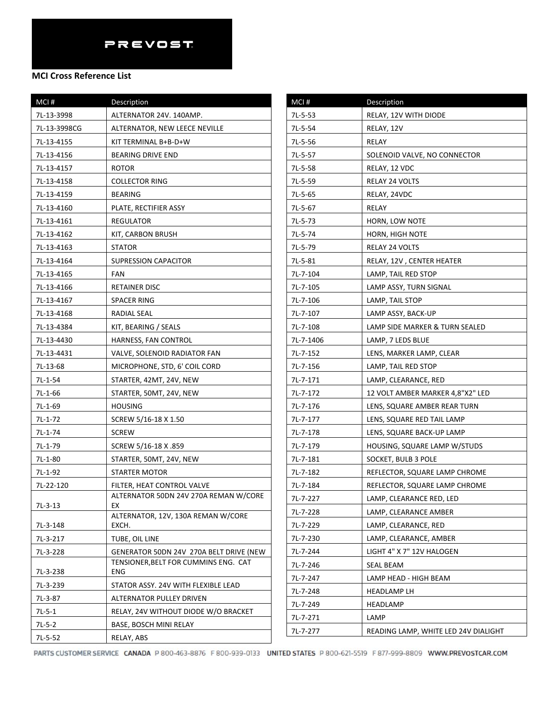#### **MCI Cross Reference List**

| MCI#         | Description                                 |
|--------------|---------------------------------------------|
| 7L-13-3998   | ALTERNATOR 24V. 140AMP.                     |
| 7L-13-3998CG | ALTERNATOR, NEW LEECE NEVILLE               |
| 7L-13-4155   | KIT TERMINAL B+B-D+W                        |
| 7L-13-4156   | <b>BEARING DRIVE END</b>                    |
| 7L-13-4157   | <b>ROTOR</b>                                |
| 7L-13-4158   | <b>COLLECTOR RING</b>                       |
| 7L-13-4159   | <b>BEARING</b>                              |
| 7L-13-4160   | PLATE, RECTIFIER ASSY                       |
| 7L-13-4161   | REGULATOR                                   |
| 7L-13-4162   | KIT, CARBON BRUSH                           |
| 7L-13-4163   | STATOR                                      |
| 7L-13-4164   | SUPRESSION CAPACITOR                        |
| 7L-13-4165   | <b>FAN</b>                                  |
| 7L-13-4166   | <b>RETAINER DISC</b>                        |
| 7L-13-4167   | SPACER RING                                 |
| 7L-13-4168   | RADIAL SEAL                                 |
| 7L-13-4384   | KIT, BEARING / SEALS                        |
| 7L-13-4430   | HARNESS, FAN CONTROL                        |
| 7L-13-4431   | VALVE, SOLENOID RADIATOR FAN                |
| 7L-13-68     | MICROPHONE, STD, 6' COIL CORD               |
| 7L-1-54      | STARTER, 42MT, 24V, NEW                     |
| 7L-1-66      | STARTER, 50MT, 24V, NEW                     |
| 7L-1-69      | <b>HOUSING</b>                              |
| 7L-1-72      | SCREW 5/16-18 X 1.50                        |
| 7L-1-74      | <b>SCREW</b>                                |
| 7L-1-79      | SCREW 5/16-18 X .859                        |
| 7L-1-80      | STARTER, 50MT, 24V, NEW                     |
| 7L-1-92      | STARTER MOTOR                               |
| 7L-22-120    | FILTER, HEAT CONTROL VALVE                  |
| 7L-3-13      | ALTERNATOR 50DN 24V 270A REMAN W/CORE<br>EХ |
| 7L-3-148     | ALTERNATOR, 12V, 130A REMAN W/CORE<br>EXCH. |
| 7L-3-217     | TUBE, OIL LINE                              |
| 7L-3-228     | GENERATOR 50DN 24V 270A BELT DRIVE (NEW     |
| 7L-3-238     | TENSIONER, BELT FOR CUMMINS ENG. CAT<br>ENG |
| 7L-3-239     | STATOR ASSY. 24V WITH FLEXIBLE LEAD         |
| 7L-3-87      | ALTERNATOR PULLEY DRIVEN                    |
| 7L-5-1       | RELAY, 24V WITHOUT DIODE W/O BRACKET        |
| $7L-5-2$     | BASE, BOSCH MINI RELAY                      |
| 7L-5-52      | RELAY, ABS                                  |

| MCI#      | Description                          |
|-----------|--------------------------------------|
| 7L-5-53   | RELAY, 12V WITH DIODE                |
| 7L-5-54   | RELAY, 12V                           |
| 7L-5-56   | RELAY                                |
| 7L-5-57   | SOLENOID VALVE, NO CONNECTOR         |
| 7L-5-58   | RELAY, 12 VDC                        |
| 7L-5-59   | RELAY 24 VOLTS                       |
| 7L-5-65   | RELAY, 24VDC                         |
| 7L-5-67   | RELAY                                |
| 7L-5-73   | HORN, LOW NOTE                       |
| 7L-5-74   | HORN, HIGH NOTE                      |
| 7L-5-79   | RELAY 24 VOLTS                       |
| 7L-5-81   | RELAY, 12V, CENTER HEATER            |
| 7L-7-104  | LAMP, TAIL RED STOP                  |
| 7L-7-105  | LAMP ASSY, TURN SIGNAL               |
| 7L-7-106  | LAMP, TAIL STOP                      |
| 7L-7-107  | LAMP ASSY, BACK-UP                   |
| 7L-7-108  | LAMP SIDE MARKER & TURN SEALED       |
| 7L-7-1406 | LAMP, 7 LEDS BLUE                    |
| 7L-7-152  | LENS, MARKER LAMP, CLEAR             |
| 7L-7-156  | LAMP, TAIL RED STOP                  |
| 7L-7-171  | LAMP, CLEARANCE, RED                 |
| 7L-7-172  | 12 VOLT AMBER MARKER 4,8"X2" LED     |
| 7L-7-176  | LENS, SQUARE AMBER REAR TURN         |
| 7L-7-177  | LENS, SQUARE RED TAIL LAMP           |
| 7L-7-178  | LENS, SQUARE BACK-UP LAMP            |
| 7L-7-179  | HOUSING, SQUARE LAMP W/STUDS         |
| 7L-7-181  | SOCKET, BULB 3 POLE                  |
| 7L-7-182  | REFLECTOR, SQUARE LAMP CHROME        |
| 7L-7-184  | REFLECTOR, SQUARE LAMP CHROME        |
| 7L-7-227  | LAMP, CLEARANCE RED, LED             |
| 7L-7-228  | LAMP, CLEARANCE AMBER                |
| 7L-7-229  | LAMP, CLEARANCE, RED                 |
| 7L-7-230  | LAMP, CLEARANCE, AMBER               |
| 7L-7-244  | LIGHT 4" X 7" 12V HALOGEN            |
| 7L-7-246  | SEAL BEAM                            |
| 7L-7-247  | LAMP HEAD - HIGH BEAM                |
| 7L-7-248  | HEADLAMP LH                          |
| 7L-7-249  | HEADLAMP                             |
| 7L-7-271  | LAMP                                 |
| 7L-7-277  | READING LAMP, WHITE LED 24V DIALIGHT |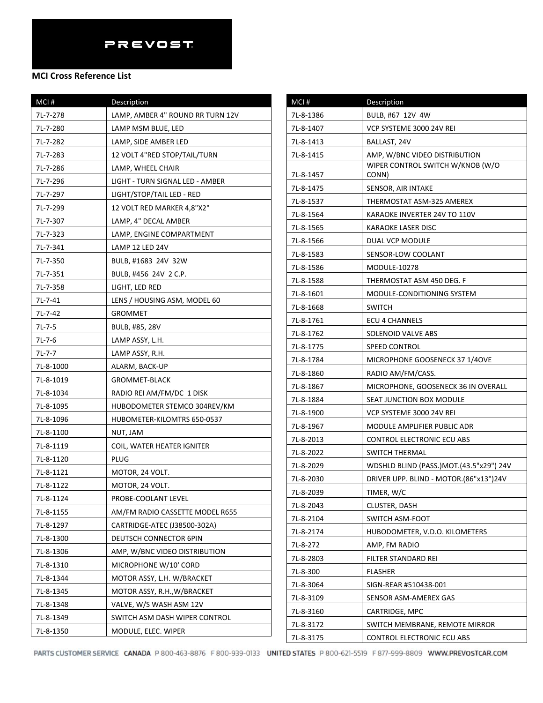| MCI#      | Description                      |
|-----------|----------------------------------|
| 7L-7-278  | LAMP, AMBER 4" ROUND RR TURN 12V |
| 7L-7-280  | LAMP MSM BLUE, LED               |
| 7L-7-282  | LAMP, SIDE AMBER LED             |
| 7L-7-283  | 12 VOLT 4"RED STOP/TAIL/TURN     |
| 7L-7-286  | LAMP, WHEEL CHAIR                |
| 7L-7-296  | LIGHT - TURN SIGNAL LED - AMBER  |
| 7L-7-297  | LIGHT/STOP/TAIL LED - RED        |
| 7L-7-299  | 12 VOLT RED MARKER 4,8"X2"       |
| 7L-7-307  | LAMP, 4" DECAL AMBER             |
| 7L-7-323  | LAMP, ENGINE COMPARTMENT         |
| 7L-7-341  | LAMP 12 LED 24V                  |
| 7L-7-350  | BULB, #1683 24V 32W              |
| 7L-7-351  | BULB, #456 24V 2 C.P.            |
| 7L-7-358  | LIGHT, LED RED                   |
| 7L-7-41   | LENS / HOUSING ASM, MODEL 60     |
| 7L-7-42   | GROMMET                          |
| $7L-7-5$  | BULB, #85, 28V                   |
| $7L-7-6$  | LAMP ASSY, L.H.                  |
| $7L-7-7$  | LAMP ASSY, R.H.                  |
| 7L-8-1000 | ALARM, BACK-UP                   |
| 7L-8-1019 | <b>GROMMET-BLACK</b>             |
| 7L-8-1034 | RADIO REI AM/FM/DC 1 DISK        |
| 7L-8-1095 | HUBODOMETER STEMCO 304REV/KM     |
| 7L-8-1096 | HUBOMETER-KILOMTRS 650-0537      |
| 7L-8-1100 | NUT, JAM                         |
| 7L-8-1119 | COIL, WATER HEATER IGNITER       |
| 7L-8-1120 | PLUG                             |
| 7L-8-1121 | MOTOR, 24 VOLT.                  |
| 7L-8-1122 | MOTOR, 24 VOLT.                  |
| 7L-8-1124 | PROBE-COOLANT LEVEL              |
| 7L-8-1155 | AM/FM RADIO CASSETTE MODEL R655  |
| 7L-8-1297 | CARTRIDGE-ATEC (J38500-302A)     |
| 7L-8-1300 | DEUTSCH CONNECTOR 6PIN           |
| 7L-8-1306 | AMP, W/BNC VIDEO DISTRIBUTION    |
| 7L-8-1310 | MICROPHONE W/10' CORD            |
| 7L-8-1344 | MOTOR ASSY, L.H. W/BRACKET       |
| 7L-8-1345 | MOTOR ASSY, R.H., W/BRACKET      |
| 7L-8-1348 | VALVE, W/S WASH ASM 12V          |
| 7L-8-1349 | SWITCH ASM DASH WIPER CONTROL    |
| 7L-8-1350 | MODULE, ELEC. WIPER              |

| MCI#      | <b>Description</b>                      |
|-----------|-----------------------------------------|
| 7L-8-1386 | BULB, #67 12V 4W                        |
| 7L-8-1407 | VCP SYSTEME 3000 24V REI                |
| 7L-8-1413 | BALLAST, 24V                            |
| 7L-8-1415 | AMP, W/BNC VIDEO DISTRIBUTION           |
|           | WIPER CONTROL SWITCH W/KNOB (W/O        |
| 7L-8-1457 | CONN)                                   |
| 7L-8-1475 | SENSOR, AIR INTAKE                      |
| 7L-8-1537 | THERMOSTAT ASM-325 AMEREX               |
| 7L-8-1564 | KARAOKE INVERTER 24V TO 110V            |
| 7L-8-1565 | KARAOKE LASER DISC                      |
| 7L-8-1566 | DUAL VCP MODULE                         |
| 7L-8-1583 | SENSOR-LOW COOLANT                      |
| 7L-8-1586 | <b>MODULE-10278</b>                     |
| 7L-8-1588 | THERMOSTAT ASM 450 DEG. F               |
| 7L-8-1601 | MODULE-CONDITIONING SYSTEM              |
| 7L-8-1668 | <b>SWITCH</b>                           |
| 7L-8-1761 | <b>ECU 4 CHANNELS</b>                   |
| 7L-8-1762 | SOLENOID VALVE ABS                      |
| 7L-8-1775 | SPEED CONTROL                           |
| 7L-8-1784 | MICROPHONE GOOSENECK 37 1/40VE          |
| 7L-8-1860 | RADIO AM/FM/CASS.                       |
| 7L-8-1867 | MICROPHONE, GOOSENECK 36 IN OVERALL     |
| 7L-8-1884 | SEAT JUNCTION BOX MODULE                |
| 7L-8-1900 | VCP SYSTEME 3000 24V REI                |
| 7L-8-1967 | MODULE AMPLIFIER PUBLIC ADR             |
| 7L-8-2013 | CONTROL ELECTRONIC ECU ABS              |
| 7L-8-2022 | SWITCH THERMAL                          |
| 7L-8-2029 | WDSHLD BLIND (PASS.)MOT.(43.5"x29") 24V |
| 7L-8-2030 | DRIVER UPP. BLIND - MOTOR.(86"x13")24V  |
| 7L-8-2039 | TIMER, W/C                              |
| 7L-8-2043 | CLUSTER, DASH                           |
| 7L-8-2104 | SWITCH ASM-FOOT                         |
| 7L-8-2174 | HUBODOMETER, V.D.O. KILOMETERS          |
| 7L-8-272  | AMP, FM RADIO                           |
| 7L-8-2803 | FILTER STANDARD REI                     |
| 7L-8-300  | <b>FLASHER</b>                          |
| 7L-8-3064 | SIGN-REAR #510438-001                   |
| 7L-8-3109 | SENSOR ASM-AMEREX GAS                   |
| 7L-8-3160 | CARTRIDGE, MPC                          |
| 7L-8-3172 | SWITCH MEMBRANE, REMOTE MIRROR          |
| 7L-8-3175 | CONTROL ELECTRONIC ECU ABS              |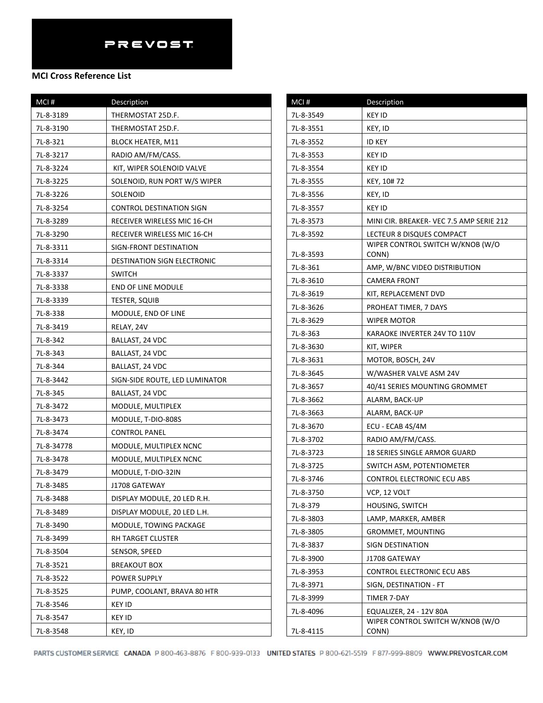| MCI#       | Description                    |
|------------|--------------------------------|
| 7L-8-3189  | THERMOSTAT 25D.F.              |
| 7L-8-3190  | THERMOSTAT 25D.F.              |
| 7L-8-321   | <b>BLOCK HEATER, M11</b>       |
| 7L-8-3217  | RADIO AM/FM/CASS.              |
| 7L-8-3224  | KIT, WIPER SOLENOID VALVE      |
| 7L-8-3225  | SOLENOID, RUN PORT W/S WIPER   |
| 7L-8-3226  | SOLENOID                       |
| 7L-8-3254  | CONTROL DESTINATION SIGN       |
| 7L-8-3289  | RECEIVER WIRELESS MIC 16-CH    |
| 7L-8-3290  | RECEIVER WIRELESS MIC 16-CH    |
| 7L-8-3311  | SIGN-FRONT DESTINATION         |
| 7L-8-3314  | DESTINATION SIGN ELECTRONIC    |
| 7L-8-3337  | <b>SWITCH</b>                  |
| 7L-8-3338  | <b>END OF LINE MODULE</b>      |
| 7L-8-3339  | TESTER, SQUIB                  |
| 7L-8-338   | MODULE, END OF LINE            |
| 7L-8-3419  | RELAY, 24V                     |
| 7L-8-342   | BALLAST, 24 VDC                |
| 7L-8-343   | BALLAST, 24 VDC                |
| 7L-8-344   | BALLAST, 24 VDC                |
| 7L-8-3442  | SIGN-SIDE ROUTE, LED LUMINATOR |
| 7L-8-345   | BALLAST, 24 VDC                |
| 7L-8-3472  | MODULE, MULTIPLEX              |
| 7L-8-3473  | MODULE, T-DIO-808S             |
| 7L-8-3474  | CONTROL PANEL                  |
| 7L-8-34778 | MODULE, MULTIPLEX NCNC         |
| 7L-8-3478  | MODULE, MULTIPLEX NCNC         |
| 7L-8-3479  | MODULE, T-DIO-32IN             |
| 7L-8-3485  | J1708 GATEWAY                  |
| 7L-8-3488  | DISPLAY MODULE, 20 LED R.H.    |
| 7L-8-3489  | DISPLAY MODULE, 20 LED L.H.    |
| 7L-8-3490  | MODULE, TOWING PACKAGE         |
| 7L-8-3499  | RH TARGET CLUSTER              |
| 7L-8-3504  | SENSOR, SPEED                  |
| 7L-8-3521  | <b>BREAKOUT BOX</b>            |
| 7L-8-3522  | <b>POWER SUPPLY</b>            |
| 7L-8-3525  | PUMP, COOLANT, BRAVA 80 HTR    |
| 7L-8-3546  | KEY ID                         |
| 7L-8-3547  | KEY ID                         |
| 7L-8-3548  | KEY, ID                        |

| MCI#      | Description                               |
|-----------|-------------------------------------------|
| 7L-8-3549 | <b>KEY ID</b>                             |
| 7L-8-3551 | KEY, ID                                   |
| 7L-8-3552 | ID KEY                                    |
| 7L-8-3553 | KEY ID                                    |
| 7L-8-3554 | KEY ID                                    |
| 7L-8-3555 | KEY, 10#72                                |
| 7L-8-3556 | KEY, ID                                   |
| 7L-8-3557 | KEY ID                                    |
| 7L-8-3573 | MINI CIR. BREAKER-VEC 7.5 AMP SERIE 212   |
| 7L-8-3592 | LECTEUR 8 DISQUES COMPACT                 |
| 7L-8-3593 | WIPER CONTROL SWITCH W/KNOB (W/O<br>CONN) |
| 7L-8-361  | AMP, W/BNC VIDEO DISTRIBUTION             |
| 7L-8-3610 | <b>CAMERA FRONT</b>                       |
| 7L-8-3619 | KIT, REPLACEMENT DVD                      |
| 7L-8-3626 | PROHEAT TIMER, 7 DAYS                     |
| 7L-8-3629 | WIPER MOTOR                               |
| 7L-8-363  | KARAOKE INVERTER 24V TO 110V              |
| 7L-8-3630 | KIT, WIPER                                |
| 7L-8-3631 | MOTOR, BOSCH, 24V                         |
| 7L-8-3645 | W/WASHER VALVE ASM 24V                    |
| 7L-8-3657 | 40/41 SERIES MOUNTING GROMMET             |
| 7L-8-3662 | ALARM, BACK-UP                            |
| 7L-8-3663 | ALARM, BACK-UP                            |
| 7L-8-3670 | ECU - ECAB 4S/4M                          |
| 7L-8-3702 | RADIO AM/FM/CASS.                         |
| 7L-8-3723 | 18 SERIES SINGLE ARMOR GUARD              |
| 7L-8-3725 | SWITCH ASM, POTENTIOMETER                 |
| 7L-8-3746 | CONTROL ELECTRONIC ECU ABS                |
| 7L-8-3750 | VCP, 12 VOLT                              |
| 7L-8-379  | <b>HOUSING, SWITCH</b>                    |
| 7L-8-3803 | LAMP, MARKER, AMBER                       |
| 7L-8-3805 | <b>GROMMET, MOUNTING</b>                  |
| 7L-8-3837 | SIGN DESTINATION                          |
| 7L-8-3900 | J1708 GATEWAY                             |
| 7L-8-3953 | CONTROL ELECTRONIC ECU ABS                |
| 7L-8-3971 | SIGN, DESTINATION - FT                    |
| 7L-8-3999 | TIMER 7-DAY                               |
| 7L-8-4096 | EQUALIZER, 24 - 12V 80A                   |
| 7L-8-4115 | WIPER CONTROL SWITCH W/KNOB (W/O<br>CONN) |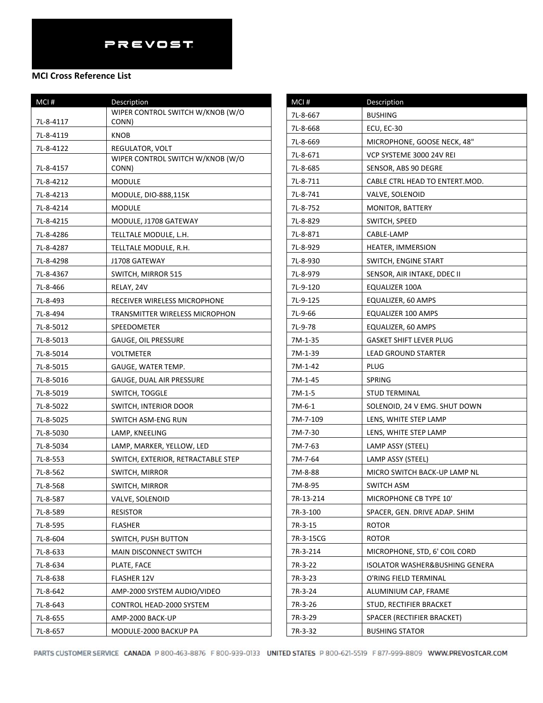#### **MCI Cross Reference List**

| MCI#      | Description                                         |
|-----------|-----------------------------------------------------|
|           | WIPER CONTROL SWITCH W/KNOB (W/O                    |
| 7L-8-4117 | CONN)                                               |
| 7L-8-4119 | KNOB                                                |
| 7L-8-4122 | REGULATOR, VOLT<br>WIPER CONTROL SWITCH W/KNOB (W/O |
| 7L-8-4157 | CONN)                                               |
| 7L-8-4212 | MODULE                                              |
| 7L-8-4213 | MODULE, DIO-888,115K                                |
| 7L-8-4214 | MODULE                                              |
| 7L-8-4215 | MODULE, J1708 GATEWAY                               |
| 7L-8-4286 | TELLTALE MODULE, L.H.                               |
| 7L-8-4287 | TELLTALE MODULE, R.H.                               |
| 7L-8-4298 | J1708 GATEWAY                                       |
| 7L-8-4367 | SWITCH, MIRROR 515                                  |
| 7L-8-466  | RELAY, 24V                                          |
| 7L-8-493  | RECEIVER WIRELESS MICROPHONE                        |
| 7L-8-494  | TRANSMITTER WIRELESS MICROPHON                      |
| 7L-8-5012 | SPEEDOMETER                                         |
| 7L-8-5013 | GAUGE, OIL PRESSURE                                 |
| 7L-8-5014 | VOLTMETER                                           |
| 7L-8-5015 | GAUGE, WATER TEMP.                                  |
| 7L-8-5016 | GAUGE, DUAL AIR PRESSURE                            |
| 7L-8-5019 | SWITCH, TOGGLE                                      |
| 7L-8-5022 | SWITCH, INTERIOR DOOR                               |
| 7L-8-5025 | SWITCH ASM-ENG RUN                                  |
| 7L-8-5030 | LAMP, KNEELING                                      |
| 7L-8-5034 | LAMP, MARKER, YELLOW, LED                           |
| 7L-8-553  | SWITCH, EXTERIOR, RETRACTABLE STEP                  |
| 7L-8-562  | SWITCH, MIRROR                                      |
| 7L-8-568  | SWITCH, MIRROR                                      |
| 7L-8-587  | VALVE, SOLENOID                                     |
| 7L-8-589  | <b>RESISTOR</b>                                     |
| 7L-8-595  | <b>FLASHER</b>                                      |
| 7L-8-604  | SWITCH, PUSH BUTTON                                 |
| 7L-8-633  | MAIN DISCONNECT SWITCH                              |
| 7L-8-634  | PLATE, FACE                                         |
| 7L-8-638  | FLASHER 12V                                         |
| 7L-8-642  | AMP-2000 SYSTEM AUDIO/VIDEO                         |
| 7L-8-643  | CONTROL HEAD-2000 SYSTEM                            |
| 7L-8-655  | AMP-2000 BACK-UP                                    |
| 7L-8-657  | MODULE-2000 BACKUP PA                               |

| MCI#      | Description                    |
|-----------|--------------------------------|
| 7L-8-667  | <b>BUSHING</b>                 |
| 7L-8-668  | ECU, EC-30                     |
| 7L-8-669  | MICROPHONE, GOOSE NECK, 48"    |
| 7L-8-671  | VCP SYSTEME 3000 24V REI       |
| 7L-8-685  | SENSOR, ABS 90 DEGRE           |
| 7L-8-711  | CABLE CTRL HEAD TO ENTERT.MOD. |
| 7L-8-741  | VALVE, SOLENOID                |
| 7L-8-752  | MONITOR, BATTERY               |
| 7L-8-829  | SWITCH, SPEED                  |
| 7L-8-871  | CABLE-LAMP                     |
| 7L-8-929  | HEATER, IMMERSION              |
| 7L-8-930  | SWITCH, ENGINE START           |
| 7L-8-979  | SENSOR, AIR INTAKE, DDEC II    |
| 7L-9-120  | EQUALIZER 100A                 |
| 7L-9-125  | EQUALIZER, 60 AMPS             |
| 7L-9-66   | EQUALIZER 100 AMPS             |
| 7L-9-78   | EQUALIZER, 60 AMPS             |
| 7M-1-35   | <b>GASKET SHIFT LEVER PLUG</b> |
| 7M-1-39   | LEAD GROUND STARTER            |
| 7M-1-42   | PLUG                           |
| 7M-1-45   | SPRING                         |
| 7M-1-5    | STUD TERMINAL                  |
| 7M-6-1    | SOLENOID, 24 V EMG. SHUT DOWN  |
| 7M-7-109  | LENS, WHITE STEP LAMP          |
| 7M-7-30   | LENS, WHITE STEP LAMP          |
| 7M-7-63   | LAMP ASSY (STEEL)              |
| 7M-7-64   | LAMP ASSY (STEEL)              |
| 7M-8-88   | MICRO SWITCH BACK-UP LAMP NL   |
| 7M-8-95   | SWITCH ASM                     |
| 7R-13-214 | MICROPHONE CB TYPE 10'         |
| 7R-3-100  | SPACER, GEN. DRIVE ADAP. SHIM  |
| 7R-3-15   | <b>ROTOR</b>                   |
| 7R-3-15CG | <b>ROTOR</b>                   |
| 7R-3-214  | MICROPHONE, STD, 6' COIL CORD  |
| 7R-3-22   | ISOLATOR WASHER&BUSHING GENERA |
| 7R-3-23   | O'RING FIELD TERMINAL          |
| 7R-3-24   | ALUMINIUM CAP, FRAME           |
| 7R-3-26   | STUD, RECTIFIER BRACKET        |
| 7R-3-29   | SPACER (RECTIFIER BRACKET)     |
| 7R-3-32   | <b>BUSHING STATOR</b>          |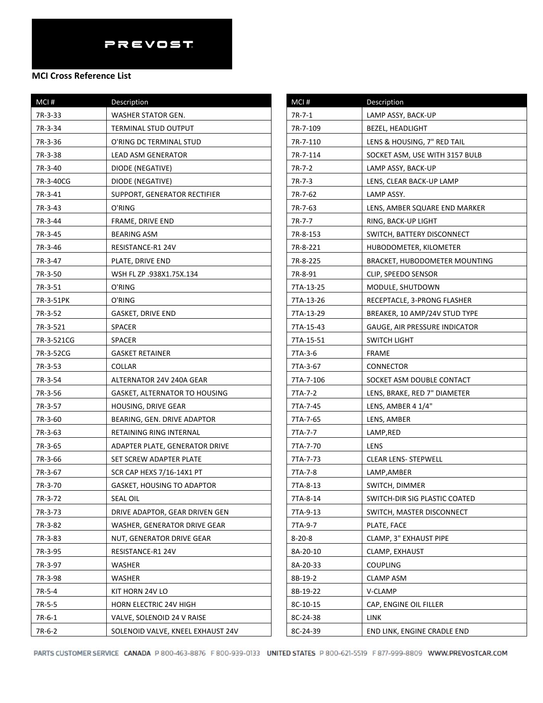| MCI#       | Description                       |
|------------|-----------------------------------|
| 7R-3-33    | WASHER STATOR GEN.                |
| 7R-3-34    | TERMINAL STUD OUTPUT              |
| 7R-3-36    | O'RING DC TERMINAL STUD           |
| 7R-3-38    | LEAD ASM GENERATOR                |
| 7R-3-40    | DIODE (NEGATIVE)                  |
| 7R-3-40CG  | DIODE (NEGATIVE)                  |
| 7R-3-41    | SUPPORT, GENERATOR RECTIFIER      |
| 7R-3-43    | O'RING                            |
| 7R-3-44    | FRAME, DRIVE END                  |
| 7R-3-45    | <b>BEARING ASM</b>                |
| 7R-3-46    | RESISTANCE-R1 24V                 |
| 7R-3-47    | PLATE, DRIVE END                  |
| 7R-3-50    | WSH FL ZP .938X1.75X.134          |
| 7R-3-51    | O'RING                            |
| 7R-3-51PK  | O'RING                            |
| 7R-3-52    | GASKET, DRIVE END                 |
| 7R-3-521   | <b>SPACER</b>                     |
| 7R-3-521CG | <b>SPACER</b>                     |
| 7R-3-52CG  | <b>GASKET RETAINER</b>            |
| 7R-3-53    | COLLAR                            |
| 7R-3-54    | ALTERNATOR 24V 240A GEAR          |
| 7R-3-56    | GASKET, ALTERNATOR TO HOUSING     |
| 7R-3-57    | <b>HOUSING, DRIVE GEAR</b>        |
| 7R-3-60    | BEARING, GEN. DRIVE ADAPTOR       |
| 7R-3-63    | RETAINING RING INTERNAL           |
| 7R-3-65    | ADAPTER PLATE, GENERATOR DRIVE    |
| 7R-3-66    | SET SCREW ADAPTER PLATE           |
| 7R-3-67    | SCR CAP HEXS 7/16-14X1 PT         |
| 7R-3-70    | <b>GASKET, HOUSING TO ADAPTOR</b> |
| 7R-3-72    | <b>SEAL OIL</b>                   |
| 7R-3-73    | DRIVE ADAPTOR, GEAR DRIVEN GEN    |
| 7R-3-82    | WASHER, GENERATOR DRIVE GEAR      |
| 7R-3-83    | NUT, GENERATOR DRIVE GEAR         |
| 7R-3-95    | RESISTANCE-R1 24V                 |
| 7R-3-97    | WASHER                            |
| 7R-3-98    | WASHER                            |
| 7R-5-4     | KIT HORN 24V LO                   |
| 7R-5-5     | HORN ELECTRIC 24V HIGH            |
| 7R-6-1     | VALVE, SOLENOID 24 V RAISE        |
| 7R-6-2     | SOLENOID VALVE, KNEEL EXHAUST 24V |

| MCI#         | Description                    |
|--------------|--------------------------------|
| 7R-7-1       | LAMP ASSY, BACK-UP             |
| 7R-7-109     | <b>BEZEL, HEADLIGHT</b>        |
| 7R-7-110     | LENS & HOUSING, 7" RED TAIL    |
| 7R-7-114     | SOCKET ASM, USE WITH 3157 BULB |
| 7R-7-2       | LAMP ASSY, BACK-UP             |
| 7R-7-3       | LENS, CLEAR BACK-UP LAMP       |
| 7R-7-62      | LAMP ASSY.                     |
| 7R-7-63      | LENS, AMBER SQUARE END MARKER  |
| 7R-7-7       | RING, BACK-UP LIGHT            |
| 7R-8-153     | SWITCH, BATTERY DISCONNECT     |
| 7R-8-221     | HUBODOMETER, KILOMETER         |
| 7R-8-225     | BRACKET, HUBODOMETER MOUNTING  |
| 7R-8-91      | CLIP, SPEEDO SENSOR            |
| 7TA-13-25    | MODULE, SHUTDOWN               |
| 7TA-13-26    | RECEPTACLE, 3-PRONG FLASHER    |
| 7TA-13-29    | BREAKER, 10 AMP/24V STUD TYPE  |
| 7TA-15-43    | GAUGE, AIR PRESSURE INDICATOR  |
| 7TA-15-51    | SWITCH LIGHT                   |
| 7TA-3-6      | FRAME                          |
| 7TA-3-67     | CONNECTOR                      |
| 7TA-7-106    | SOCKET ASM DOUBLE CONTACT      |
| 7TA-7-2      | LENS, BRAKE, RED 7" DIAMETER   |
| 7TA-7-45     | LENS, AMBER 4 1/4"             |
| 7TA-7-65     | LENS, AMBER                    |
| 7TA-7-7      | LAMP,RED                       |
| 7TA-7-70     | LENS                           |
| 7TA-7-73     | <b>CLEAR LENS- STEPWELL</b>    |
| 7TA-7-8      | LAMP,AMBER                     |
| 7TA-8-13     | SWITCH, DIMMER                 |
| 7TA-8-14     | SWITCH-DIR SIG PLASTIC COATED  |
| 7TA-9-13     | SWITCH, MASTER DISCONNECT      |
| 7TA-9-7      | PLATE, FACE                    |
| $8 - 20 - 8$ | CLAMP, 3" EXHAUST PIPE         |
| 8A-20-10     | CLAMP, EXHAUST                 |
| 8A-20-33     | <b>COUPLING</b>                |
| 8B-19-2      | <b>CLAMP ASM</b>               |
| 8B-19-22     | V-CLAMP                        |
| 8C-10-15     | CAP, ENGINE OIL FILLER         |
| 8C-24-38     | LINK                           |
| 8C-24-39     | END LINK, ENGINE CRADLE END    |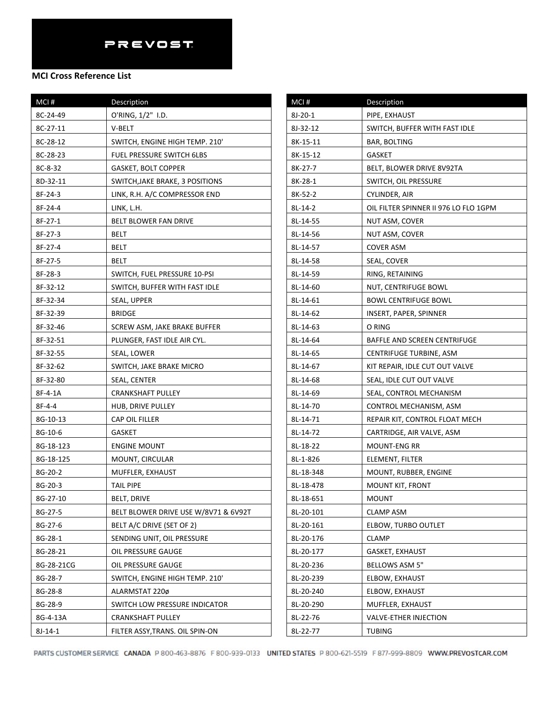| MCI#       | Description                          |
|------------|--------------------------------------|
| 8C-24-49   | O'RING, 1/2" I.D.                    |
| 8C-27-11   | V-BELT                               |
| 8C-28-12   | SWITCH, ENGINE HIGH TEMP. 210'       |
| 8C-28-23   | <b>FUEL PRESSURE SWITCH 6LBS</b>     |
| 8C-8-32    | <b>GASKET, BOLT COPPER</b>           |
| 8D-32-11   | SWITCH, JAKE BRAKE, 3 POSITIONS      |
| 8F-24-3    | LINK, R.H. A/C COMPRESSOR END        |
| 8F-24-4    | LINK, L.H.                           |
| 8F-27-1    | <b>BELT BLOWER FAN DRIVE</b>         |
| 8F-27-3    | BELT                                 |
| 8F-27-4    | BELT                                 |
| 8F-27-5    | BELT                                 |
| 8F-28-3    | SWITCH, FUEL PRESSURE 10-PSI         |
| 8F-32-12   | SWITCH, BUFFER WITH FAST IDLE        |
| 8F-32-34   | SEAL, UPPER                          |
| 8F-32-39   | <b>BRIDGE</b>                        |
| 8F-32-46   | SCREW ASM, JAKE BRAKE BUFFER         |
| 8F-32-51   | PLUNGER, FAST IDLE AIR CYL.          |
| 8F-32-55   | SEAL, LOWER                          |
| 8F-32-62   | SWITCH, JAKE BRAKE MICRO             |
| 8F-32-80   | SEAL, CENTER                         |
| 8F-4-1A    | CRANKSHAFT PULLEY                    |
| 8F-4-4     | HUB, DRIVE PULLEY                    |
| 8G-10-13   | CAP OIL FILLER                       |
| 8G-10-6    | <b>GASKET</b>                        |
| 8G-18-123  | <b>ENGINE MOUNT</b>                  |
| 8G-18-125  | MOUNT, CIRCULAR                      |
| 8G-20-2    | MUFFLER, EXHAUST                     |
| 8G-20-3    | TAIL PIPE                            |
| 8G-27-10   | BELT, DRIVE                          |
| 8G-27-5    | BELT BLOWER DRIVE USE W/8V71 & 6V92T |
| 8G-27-6    | BELT A/C DRIVE (SET OF 2)            |
| 8G-28-1    | SENDING UNIT, OIL PRESSURE           |
| 8G-28-21   | OIL PRESSURE GAUGE                   |
| 8G-28-21CG | OIL PRESSURE GAUGE                   |
| 8G-28-7    | SWITCH, ENGINE HIGH TEMP. 210'       |
| 8G-28-8    | ALARMSTAT 220ø                       |
| 8G-28-9    | SWITCH LOW PRESSURE INDICATOR        |
| 8G-4-13A   | <b>CRANKSHAFT PULLEY</b>             |
| 8J-14-1    | FILTER ASSY, TRANS. OIL SPIN-ON      |

| $MCI$ #   | Description                           |
|-----------|---------------------------------------|
| 8J-20-1   | PIPE, EXHAUST                         |
| 8J-32-12  | SWITCH, BUFFER WITH FAST IDLE         |
| 8K-15-11  | <b>BAR, BOLTING</b>                   |
| 8K-15-12  | GASKET                                |
| 8K-27-7   | BELT, BLOWER DRIVE 8V92TA             |
| 8K-28-1   | SWITCH, OIL PRESSURE                  |
| 8K-52-2   | CYLINDER, AIR                         |
| 8L-14-2   | OIL FILTER SPINNER II 976 LO FLO 1GPM |
| 8L-14-55  | NUT ASM, COVER                        |
| 8L-14-56  | NUT ASM, COVER                        |
| 8L-14-57  | COVER ASM                             |
| 8L-14-58  | SEAL, COVER                           |
| 8L-14-59  | RING, RETAINING                       |
| 8L-14-60  | NUT, CENTRIFUGE BOWL                  |
| 8L-14-61  | <b>BOWL CENTRIFUGE BOWL</b>           |
| 8L-14-62  | INSERT, PAPER, SPINNER                |
| 8L-14-63  | O RING                                |
| 8L-14-64  | BAFFLE AND SCREEN CENTRIFUGE          |
| 8L-14-65  | CENTRIFUGE TURBINE, ASM               |
| 8L-14-67  | KIT REPAIR, IDLE CUT OUT VALVE        |
| 8L-14-68  | SEAL, IDLE CUT OUT VALVE              |
| 8L-14-69  | SEAL, CONTROL MECHANISM               |
| 8L-14-70  | CONTROL MECHANISM, ASM                |
| 8L-14-71  | REPAIR KIT, CONTROL FLOAT MECH        |
| 8L-14-72  | CARTRIDGE, AIR VALVE, ASM             |
| 8L-18-22  | <b>MOUNT-ENG RR</b>                   |
| 8L-1-826  | ELEMENT, FILTER                       |
| 8L-18-348 | MOUNT, RUBBER, ENGINE                 |
| 8L-18-478 | MOUNT KIT, FRONT                      |
| 8L-18-651 | <b>MOUNT</b>                          |
| 8L-20-101 | CLAMP ASM                             |
| 8L-20-161 | ELBOW, TURBO OUTLET                   |
| 8L-20-176 | CLAMP                                 |
| 8L-20-177 | <b>GASKET, EXHAUST</b>                |
| 8L-20-236 | BELLOWS ASM 5"                        |
| 8L-20-239 | ELBOW, EXHAUST                        |
| 8L-20-240 | ELBOW, EXHAUST                        |
| 8L-20-290 | MUFFLER, EXHAUST                      |
| 8L-22-76  | <b>VALVE-ETHER INJECTION</b>          |
| 8L-22-77  | TUBING                                |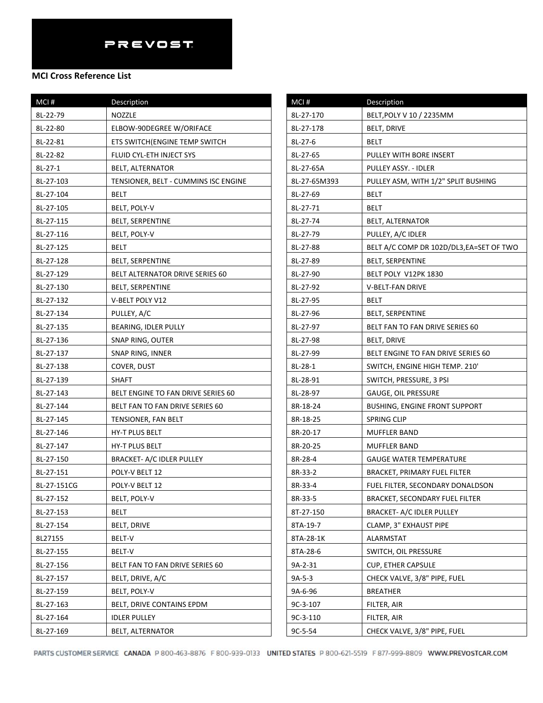| MCI#        | Description                          |
|-------------|--------------------------------------|
| 8L-22-79    | NOZZLE                               |
| 8L-22-80    | ELBOW-90DEGREE W/ORIFACE             |
| 8L-22-81    | ETS SWITCH (ENGINE TEMP SWITCH       |
| 8L-22-82    | FLUID CYL-ETH INJECT SYS             |
| $8L-27-1$   | BELT, ALTERNATOR                     |
| 8L-27-103   | TENSIONER, BELT - CUMMINS ISC ENGINE |
| 8L-27-104   | BELT                                 |
| 8L-27-105   | BELT, POLY-V                         |
| 8L-27-115   | BELT, SERPENTINE                     |
| 8L-27-116   | BELT, POLY-V                         |
| 8L-27-125   | BELT                                 |
| 8L-27-128   | <b>BELT, SERPENTINE</b>              |
| 8L-27-129   | BELT ALTERNATOR DRIVE SERIES 60      |
| 8L-27-130   | <b>BELT, SERPENTINE</b>              |
| 8L-27-132   | V-BELT POLY V12                      |
| 8L-27-134   | PULLEY, A/C                          |
| 8L-27-135   | BEARING, IDLER PULLY                 |
| 8L-27-136   | SNAP RING, OUTER                     |
| 8L-27-137   | SNAP RING, INNER                     |
| 8L-27-138   | COVER, DUST                          |
| 8L-27-139   | SHAFT                                |
| 8L-27-143   | BELT ENGINE TO FAN DRIVE SERIES 60   |
| 8L-27-144   | BELT FAN TO FAN DRIVE SERIES 60      |
| 8L-27-145   | TENSIONER, FAN BELT                  |
| 8L-27-146   | <b>HY-T PLUS BELT</b>                |
| 8L-27-147   | <b>HY-T PLUS BELT</b>                |
| 8L-27-150   | <b>BRACKET- A/C IDLER PULLEY</b>     |
| 8L-27-151   | POLY-V BELT 12                       |
| 8L-27-151CG | POLY-V BELT 12                       |
| 8L-27-152   | BELT, POLY-V                         |
| 8L-27-153   | BELT                                 |
| 8L-27-154   | <b>BELT, DRIVE</b>                   |
| 8L27155     | BELT-V                               |
| 8L-27-155   | BELT-V                               |
| 8L-27-156   | BELT FAN TO FAN DRIVE SERIES 60      |
| 8L-27-157   | BELT, DRIVE, A/C                     |
| 8L-27-159   | BELT, POLY-V                         |
| 8L-27-163   | BELT, DRIVE CONTAINS EPDM            |
| 8L-27-164   | <b>IDLER PULLEY</b>                  |
| 8L-27-169   | <b>BELT, ALTERNATOR</b>              |

| MCI#         | Description                              |
|--------------|------------------------------------------|
| 8L-27-170    | BELT, POLY V 10 / 2235MM                 |
| 8L-27-178    | <b>BELT, DRIVE</b>                       |
| 8L-27-6      | BELT                                     |
| 8L-27-65     | PULLEY WITH BORE INSERT                  |
| 8L-27-65A    | PULLEY ASSY. - IDLER                     |
| 8L-27-65M393 | PULLEY ASM, WITH 1/2" SPLIT BUSHING      |
| 8L-27-69     | BELT                                     |
| 8L-27-71     | BELT                                     |
| 8L-27-74     | BELT, ALTERNATOR                         |
| 8L-27-79     | PULLEY, A/C IDLER                        |
| 8L-27-88     | BELT A/C COMP DR 102D/DL3, EA=SET OF TWO |
| 8L-27-89     | BELT, SERPENTINE                         |
| 8L-27-90     | BELT POLY V12PK 1830                     |
| 8L-27-92     | <b>V-BELT-FAN DRIVE</b>                  |
| 8L-27-95     | BELT                                     |
| 8L-27-96     | <b>BELT, SERPENTINE</b>                  |
| 8L-27-97     | BELT FAN TO FAN DRIVE SERIES 60          |
| 8L-27-98     | BELT, DRIVE                              |
| 8L-27-99     | BELT ENGINE TO FAN DRIVE SERIES 60       |
| 8L-28-1      | SWITCH, ENGINE HIGH TEMP. 210'           |
| 8L-28-91     | SWITCH, PRESSURE, 3 PSI                  |
| 8L-28-97     | GAUGE, OIL PRESSURE                      |
| 8R-18-24     | <b>BUSHING, ENGINE FRONT SUPPORT</b>     |
| 8R-18-25     | SPRING CLIP                              |
| 8R-20-17     | <b>MUFFLER BAND</b>                      |
| 8R-20-25     | <b>MUFFLER BAND</b>                      |
| 8R-28-4      | <b>GAUGE WATER TEMPERATURE</b>           |
| 8R-33-2      | BRACKET, PRIMARY FUEL FILTER             |
| 8R-33-4      | FUEL FILTER, SECONDARY DONALDSON         |
| 8R-33-5      | BRACKET, SECONDARY FUEL FILTER           |
| 8T-27-150    | BRACKET- A/C IDLER PULLEY                |
| 8TA-19-7     | CLAMP, 3" EXHAUST PIPE                   |
| 8TA-28-1K    | <b>ALARMSTAT</b>                         |
| 8TA-28-6     | SWITCH, OIL PRESSURE                     |
| $9A-2-31$    | CUP, ETHER CAPSULE                       |
| $9A-5-3$     | CHECK VALVE, 3/8" PIPE, FUEL             |
| 9A-6-96      | <b>BREATHER</b>                          |
| 9C-3-107     | FILTER, AIR                              |
| 9C-3-110     | FILTER, AIR                              |
| 9C-5-54      | CHECK VALVE, 3/8" PIPE, FUEL             |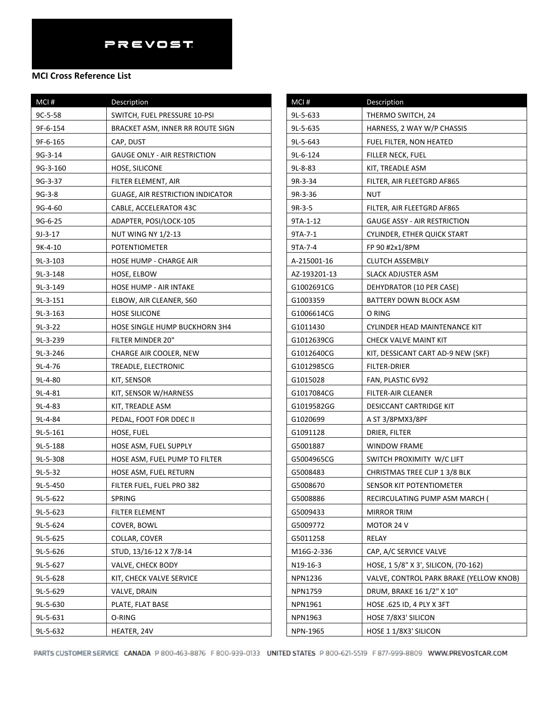#### **MCI Cross Reference List**

| MCI#       | Description                      |
|------------|----------------------------------|
| $9C-5-58$  | SWITCH, FUEL PRESSURE 10-PSI     |
| 9F-6-154   | BRACKET ASM, INNER RR ROUTE SIGN |
| 9F-6-165   | CAP, DUST                        |
| 9G-3-14    | GAUGE ONLY - AIR RESTRICTION     |
| 9G-3-160   | HOSE, SILICONE                   |
| 9G-3-37    | FILTER ELEMENT, AIR              |
| $9G-3-8$   | GUAGE, AIR RESTRICTION INDICATOR |
| 9G-4-60    | CABLE, ACCELERATOR 43C           |
| 9G-6-25    | ADAPTER, POSI/LOCK-105           |
| 9J-3-17    | NUT WING NY 1/2-13               |
| 9K-4-10    | <b>POTENTIOMETER</b>             |
| $9L-3-103$ | HOSE HUMP - CHARGE AIR           |
| 9L-3-148   | HOSE, ELBOW                      |
| 9L-3-149   | <b>HOSE HUMP - AIR INTAKE</b>    |
| 9L-3-151   | ELBOW, AIR CLEANER, S60          |
| $9L-3-163$ | <b>HOSE SILICONE</b>             |
| 9L-3-22    | HOSE SINGLE HUMP BUCKHORN 3H4    |
| 9L-3-239   | FILTER MINDER 20"                |
| 9L-3-246   | CHARGE AIR COOLER, NEW           |
| 9L-4-76    | TREADLE, ELECTRONIC              |
| $9L-4-80$  | KIT, SENSOR                      |
| 9L-4-81    | KIT, SENSOR W/HARNESS            |
| $9L-4-83$  | KIT, TREADLE ASM                 |
| 9L-4-84    | PEDAL, FOOT FOR DDEC II          |
| 9L-5-161   | HOSE, FUEL                       |
| 9L-5-188   | HOSE ASM, FUEL SUPPLY            |
| 9L-5-308   | HOSE ASM, FUEL PUMP TO FILTER    |
| $9L-5-32$  | HOSE ASM, FUEL RETURN            |
| 9L-5-450   | FILTER FUEL, FUEL PRO 382        |
| 9L-5-622   | SPRING                           |
| 9L-5-623   | FILTER ELEMENT                   |
| 9L-5-624   | COVER, BOWL                      |
| 9L-5-625   | COLLAR, COVER                    |
| 9L-5-626   | STUD, 13/16-12 X 7/8-14          |
| 9L-5-627   | <b>VALVE, CHECK BODY</b>         |
| 9L-5-628   | KIT, CHECK VALVE SERVICE         |
| 9L-5-629   | VALVE, DRAIN                     |
| 9L-5-630   | PLATE, FLAT BASE                 |
| 9L-5-631   | O-RING                           |
| 9L-5-632   | HEATER, 24V                      |

| MCI#         | Description                             |
|--------------|-----------------------------------------|
| 9L-5-633     | THERMO SWITCH, 24                       |
| 9L-5-635     | HARNESS, 2 WAY W/P CHASSIS              |
| 9L-5-643     | FUEL FILTER, NON HEATED                 |
| 9L-6-124     | FILLER NECK, FUEL                       |
| 9L-8-83      | KIT, TREADLE ASM                        |
| 9R-3-34      | FILTER, AIR FLEETGRD AF865              |
| 9R-3-36      | NUT                                     |
| 9R-3-5       | FILTER, AIR FLEETGRD AF865              |
| 9TA-1-12     | <b>GAUGE ASSY - AIR RESTRICTION</b>     |
| 9TA-7-1      | CYLINDER, ETHER QUICK START             |
| 9TA-7-4      | FP 90 #2x1/8PM                          |
| A-215001-16  | <b>CLUTCH ASSEMBLY</b>                  |
| AZ-193201-13 | SLACK ADJUSTER ASM                      |
| G1002691CG   | DEHYDRATOR (10 PER CASE)                |
| G1003359     | BATTERY DOWN BLOCK ASM                  |
| G1006614CG   | O RING                                  |
| G1011430     | CYLINDER HEAD MAINTENANCE KIT           |
| G1012639CG   | CHECK VALVE MAINT KIT                   |
| G1012640CG   | KIT, DESSICANT CART AD-9 NEW (SKF)      |
| G1012985CG   | FILTER-DRIER                            |
| G1015028     | FAN, PLASTIC 6V92                       |
| G1017084CG   | FILTER-AIR CLEANER                      |
| G1019582GG   | DESICCANT CARTRIDGE KIT                 |
| G1020699     | A ST 3/8PMX3/8PF                        |
| G1091128     | DRIER, FILTER                           |
| G5001887     | <b>WINDOW FRAME</b>                     |
| G5004965CG   | SWITCH PROXIMITY W/C LIFT               |
| G5008483     | CHRISTMAS TREE CLIP 1 3/8 BLK           |
| G5008670     | SENSOR KIT POTENTIOMETER                |
| G5008886     | RECIRCULATING PUMP ASM MARCH (          |
| G5009433     | <b>MIRROR TRIM</b>                      |
| G5009772     | MOTOR 24 V                              |
| G5011258     | RELAY                                   |
| M16G-2-336   | CAP, A/C SERVICE VALVE                  |
| N19-16-3     | HOSE, 15/8" X 3', SILICON, (70-162)     |
| NPN1236      | VALVE, CONTROL PARK BRAKE (YELLOW KNOB) |
| NPN1759      | DRUM, BRAKE 16 1/2" X 10"               |
| NPN1961      | HOSE .625 ID, 4 PLY X 3FT               |
| NPN1963      | HOSE 7/8X3' SILICON                     |
| NPN-1965     | HOSE 1 1/8X3' SILICON                   |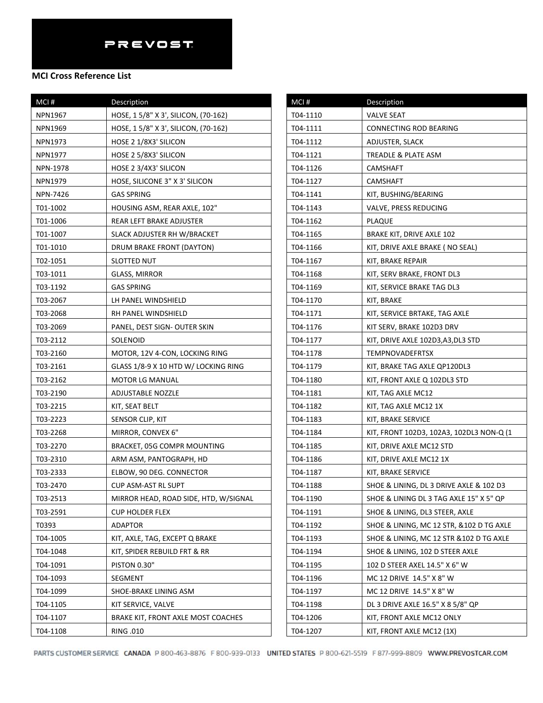#### **MCI Cross Reference List**

| MCI #           | Description                           |
|-----------------|---------------------------------------|
| NPN1967         | HOSE, 15/8" X 3', SILICON, (70-162)   |
| <b>NPN1969</b>  | HOSE, 1 5/8" X 3', SILICON, (70-162)  |
| NPN1973         | HOSE 2 1/8X3' SILICON                 |
| NPN1977         | HOSE 2 5/8X3' SILICON                 |
| NPN-1978        | HOSE 2 3/4X3' SILICON                 |
| NPN1979         | HOSE, SILICONE 3" X 3' SILICON        |
| <b>NPN-7426</b> | <b>GAS SPRING</b>                     |
| T01-1002        | HOUSING ASM, REAR AXLE, 102"          |
| T01-1006        | REAR LEFT BRAKE ADJUSTER              |
| T01-1007        | SLACK ADJUSTER RH W/BRACKET           |
| T01-1010        | DRUM BRAKE FRONT (DAYTON)             |
| T02-1051        | SLOTTED NUT                           |
| T03-1011        | GLASS, MIRROR                         |
| T03-1192        | GAS SPRING                            |
| T03-2067        | LH PANEL WINDSHIELD                   |
| T03-2068        | RH PANEL WINDSHIELD                   |
| T03-2069        | PANEL, DEST SIGN- OUTER SKIN          |
| T03-2112        | <b>SOLENOID</b>                       |
| T03-2160        | MOTOR, 12V 4-CON, LOCKING RING        |
| T03-2161        | GLASS 1/8-9 X 10 HTD W/ LOCKING RING  |
| T03-2162        | <b>MOTOR LG MANUAL</b>                |
| T03-2190        | ADJUSTABLE NOZZLE                     |
| T03-2215        | KIT, SEAT BELT                        |
| T03-2223        | SENSOR CLIP, KIT                      |
| T03-2268        | MIRROR, CONVEX 6"                     |
| T03-2270        | BRACKET, 05G COMPR MOUNTING           |
| T03-2310        | ARM ASM, PANTOGRAPH, HD               |
| T03-2333        | ELBOW, 90 DEG. CONNECTOR              |
| T03-2470        | CUP ASM-AST RL SUPT                   |
| T03-2513        | MIRROR HEAD, ROAD SIDE, HTD, W/SIGNAL |
| T03-2591        | <b>CUP HOLDER FLEX</b>                |
| T0393           | ADAPTOR                               |
| T04-1005        | KIT, AXLE, TAG, EXCEPT Q BRAKE        |
| T04-1048        | KIT, SPIDER REBUILD FRT & RR          |
| T04-1091        | PISTON 0.30"                          |
| T04-1093        | <b>SEGMENT</b>                        |
| T04-1099        | SHOE-BRAKE LINING ASM                 |
| T04-1105        | KIT SERVICE, VALVE                    |
| T04-1107        | BRAKE KIT, FRONT AXLE MOST COACHES    |
| T04-1108        | RING .010                             |

| MCI#     | Description                              |
|----------|------------------------------------------|
| T04-1110 | <b>VALVE SEAT</b>                        |
| T04-1111 | CONNECTING ROD BEARING                   |
| T04-1112 | ADJUSTER, SLACK                          |
| T04-1121 | TREADLE & PLATE ASM                      |
| T04-1126 | CAMSHAFT                                 |
| T04-1127 | <b>CAMSHAFT</b>                          |
| T04-1141 | KIT, BUSHING/BEARING                     |
| T04-1143 | VALVE, PRESS REDUCING                    |
| T04-1162 | PLAQUE                                   |
| T04-1165 | BRAKE KIT, DRIVE AXLE 102                |
| T04-1166 | KIT, DRIVE AXLE BRAKE (NO SEAL)          |
| T04-1167 | KIT, BRAKE REPAIR                        |
| T04-1168 | KIT, SERV BRAKE, FRONT DL3               |
| T04-1169 | KIT, SERVICE BRAKE TAG DL3               |
| T04-1170 | KIT, BRAKE                               |
| T04-1171 | KIT, SERVICE BRTAKE, TAG AXLE            |
| T04-1176 | KIT SERV, BRAKE 102D3 DRV                |
| T04-1177 | KIT, DRIVE AXLE 102D3,A3,DL3 STD         |
| T04-1178 | <b>TEMPNOVADEFRTSX</b>                   |
| T04-1179 | KIT, BRAKE TAG AXLE QP120DL3             |
| T04-1180 | KIT, FRONT AXLE Q 102DL3 STD             |
| T04-1181 | KIT, TAG AXLE MC12                       |
| T04-1182 | KIT, TAG AXLE MC12 1X                    |
| T04-1183 | KIT, BRAKE SERVICE                       |
| T04-1184 | KIT, FRONT 102D3, 102A3, 102DL3 NON-Q (1 |
| T04-1185 | KIT, DRIVE AXLE MC12 STD                 |
| T04-1186 | KIT, DRIVE AXLE MC12 1X                  |
| T04-1187 | KIT, BRAKE SERVICE                       |
| T04-1188 | SHOE & LINING, DL 3 DRIVE AXLE & 102 D3  |
| T04-1190 | SHOE & LINING DL 3 TAG AXLE 15" X 5" QP  |
| T04-1191 | SHOE & LINING, DL3 STEER, AXLE           |
| T04-1192 | SHOE & LINING, MC 12 STR, &102 D TG AXLE |
| T04-1193 | SHOE & LINING, MC 12 STR & 102 D TG AXLE |
| T04-1194 | SHOE & LINING, 102 D STEER AXLE          |
| T04-1195 | 102 D STEER AXEL 14.5" X 6" W            |
| T04-1196 | MC 12 DRIVE 14.5" X 8" W                 |
| T04-1197 | MC 12 DRIVE 14.5" X 8" W                 |
| T04-1198 | DL 3 DRIVE AXLE 16.5" X 8 5/8" QP        |
| T04-1206 | KIT, FRONT AXLE MC12 ONLY                |
| T04-1207 | KIT, FRONT AXLE MC12 (1X)                |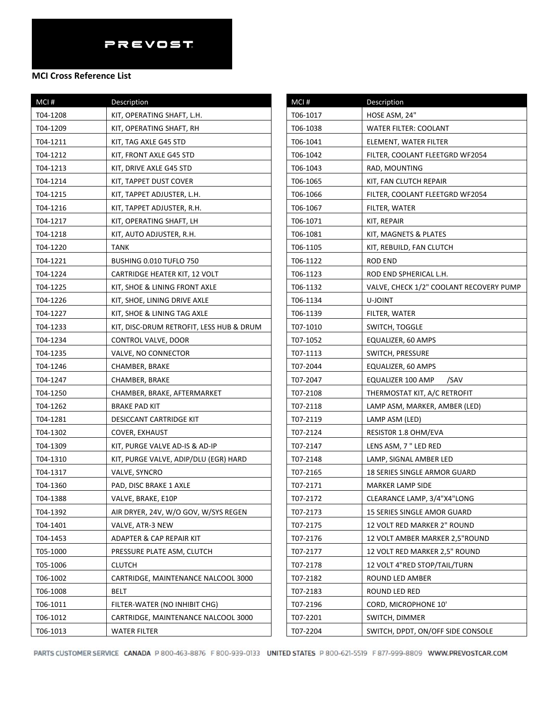| $MCI$ #  | Description                              |
|----------|------------------------------------------|
| T04-1208 | KIT, OPERATING SHAFT, L.H.               |
| T04-1209 | KIT, OPERATING SHAFT, RH                 |
| T04-1211 | KIT, TAG AXLE G45 STD                    |
| T04-1212 | KIT, FRONT AXLE G45 STD                  |
| T04-1213 | KIT, DRIVE AXLE G45 STD                  |
| T04-1214 | KIT, TAPPET DUST COVER                   |
| T04-1215 | KIT, TAPPET ADJUSTER, L.H.               |
| T04-1216 | KIT, TAPPET ADJUSTER, R.H.               |
| T04-1217 | KIT, OPERATING SHAFT, LH                 |
| T04-1218 | KIT, AUTO ADJUSTER, R.H.                 |
| T04-1220 | TANK                                     |
| T04-1221 | BUSHING 0.010 TUFLO 750                  |
| T04-1224 | CARTRIDGE HEATER KIT, 12 VOLT            |
| T04-1225 | KIT, SHOE & LINING FRONT AXLE            |
| T04-1226 | KIT, SHOE, LINING DRIVE AXLE             |
| T04-1227 | KIT, SHOE & LINING TAG AXLE              |
| T04-1233 | KIT, DISC-DRUM RETROFIT, LESS HUB & DRUM |
| T04-1234 | CONTROL VALVE, DOOR                      |
| T04-1235 | VALVE, NO CONNECTOR                      |
| T04-1246 | CHAMBER, BRAKE                           |
| T04-1247 | CHAMBER, BRAKE                           |
| T04-1250 | CHAMBER, BRAKE, AFTERMARKET              |
| T04-1262 | BRAKE PAD KIT                            |
| T04-1281 | DESICCANT CARTRIDGE KIT                  |
| T04-1302 | COVER, EXHAUST                           |
| T04-1309 | KIT, PURGE VALVE AD-IS & AD-IP           |
| T04-1310 | KIT, PURGE VALVE, ADIP/DLU (EGR) HARD    |
| T04-1317 | VALVE, SYNCRO                            |
| T04-1360 | PAD, DISC BRAKE 1 AXLE                   |
| T04-1388 | VALVE, BRAKE, E10P                       |
| T04-1392 | AIR DRYER, 24V, W/O GOV, W/SYS REGEN     |
| T04-1401 | VALVE, ATR-3 NEW                         |
| T04-1453 | ADAPTER & CAP REPAIR KIT                 |
| T05-1000 | PRESSURE PLATE ASM, CLUTCH               |
| T05-1006 | <b>CLUTCH</b>                            |
| T06-1002 | CARTRIDGE, MAINTENANCE NALCOOL 3000      |
| T06-1008 | <b>BELT</b>                              |
| T06-1011 | FILTER-WATER (NO INHIBIT CHG)            |
| T06-1012 | CARTRIDGE, MAINTENANCE NALCOOL 3000      |
| T06-1013 | <b>WATER FILTER</b>                      |

| MCI#     | Description                             |
|----------|-----------------------------------------|
| T06-1017 | HOSE ASM, 24"                           |
| T06-1038 | WATER FILTER: COOLANT                   |
| T06-1041 | ELEMENT, WATER FILTER                   |
| T06-1042 | FILTER, COOLANT FLEETGRD WF2054         |
| T06-1043 | RAD, MOUNTING                           |
| T06-1065 | KIT, FAN CLUTCH REPAIR                  |
| T06-1066 | FILTER, COOLANT FLEETGRD WF2054         |
| T06-1067 | FILTER, WATER                           |
| T06-1071 | KIT, REPAIR                             |
| T06-1081 | KIT, MAGNETS & PLATES                   |
| T06-1105 | KIT, REBUILD, FAN CLUTCH                |
| T06-1122 | ROD END                                 |
| T06-1123 | ROD END SPHERICAL L.H.                  |
| T06-1132 | VALVE, CHECK 1/2" COOLANT RECOVERY PUMP |
| T06-1134 | U-JOINT                                 |
| T06-1139 | FILTER, WATER                           |
| T07-1010 | SWITCH, TOGGLE                          |
| T07-1052 | EQUALIZER, 60 AMPS                      |
| T07-1113 | SWITCH, PRESSURE                        |
| T07-2044 | EQUALIZER, 60 AMPS                      |
| T07-2047 | EQUALIZER 100 AMP /SAV                  |
| T07-2108 | THERMOSTAT KIT, A/C RETROFIT            |
| T07-2118 | LAMP ASM, MARKER, AMBER (LED)           |
| T07-2119 | LAMP ASM (LED)                          |
| T07-2124 | RESISTOR 1.8 OHM/EVA                    |
| T07-2147 | LENS ASM, 7" LED RED                    |
| T07-2148 | LAMP, SIGNAL AMBER LED                  |
| T07-2165 | 18 SERIES SINGLE ARMOR GUARD            |
| T07-2171 | <b>MARKER LAMP SIDE</b>                 |
| T07-2172 | CLEARANCE LAMP, 3/4"X4"LONG             |
| T07-2173 | 15 SERIES SINGLE AMOR GUARD             |
| T07-2175 | 12 VOLT RED MARKER 2" ROUND             |
| T07-2176 | 12 VOLT AMBER MARKER 2,5"ROUND          |
| T07-2177 | 12 VOLT RED MARKER 2,5" ROUND           |
| T07-2178 | 12 VOLT 4"RED STOP/TAIL/TURN            |
| T07-2182 | ROUND LED AMBER                         |
| T07-2183 | ROUND LED RED                           |
| T07-2196 | CORD, MICROPHONE 10'                    |
| T07-2201 | SWITCH, DIMMER                          |
| T07-2204 | SWITCH, DPDT, ON/OFF SIDE CONSOLE       |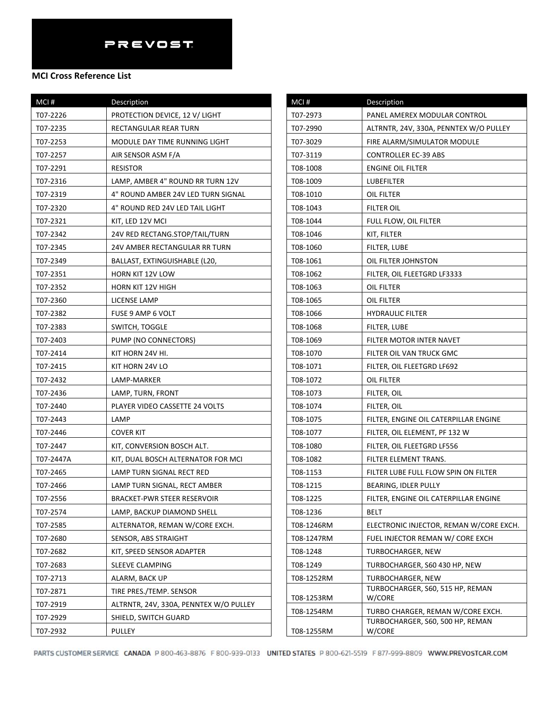#### **MCI Cross Reference List**

| MCI#      | Description                            |
|-----------|----------------------------------------|
| T07-2226  | PROTECTION DEVICE, 12 V/ LIGHT         |
| T07-2235  | RECTANGULAR REAR TURN                  |
| T07-2253  | MODULE DAY TIME RUNNING LIGHT          |
| T07-2257  | AIR SENSOR ASM F/A                     |
| T07-2291  | <b>RESISTOR</b>                        |
| T07-2316  | LAMP, AMBER 4" ROUND RR TURN 12V       |
| T07-2319  | 4" ROUND AMBER 24V LED TURN SIGNAL     |
| T07-2320  | 4" ROUND RED 24V LED TAIL LIGHT        |
| T07-2321  | KIT, LED 12V MCI                       |
| T07-2342  | 24V RED RECTANG.STOP/TAIL/TURN         |
| T07-2345  | 24V AMBER RECTANGULAR RR TURN          |
| T07-2349  | BALLAST, EXTINGUISHABLE (L20,          |
| T07-2351  | HORN KIT 12V LOW                       |
| T07-2352  | <b>HORN KIT 12V HIGH</b>               |
| T07-2360  | LICENSE LAMP                           |
| T07-2382  | FUSE 9 AMP 6 VOLT                      |
| T07-2383  | SWITCH, TOGGLE                         |
| T07-2403  | PUMP (NO CONNECTORS)                   |
| T07-2414  | KIT HORN 24V HI.                       |
| T07-2415  | KIT HORN 24V LO                        |
| T07-2432  | LAMP-MARKER                            |
| T07-2436  | LAMP, TURN, FRONT                      |
| T07-2440  | PLAYER VIDEO CASSETTE 24 VOLTS         |
| T07-2443  | LAMP                                   |
| T07-2446  | <b>COVER KIT</b>                       |
| T07-2447  | KIT, CONVERSION BOSCH ALT.             |
| T07-2447A | KIT, DUAL BOSCH ALTERNATOR FOR MCI     |
| T07-2465  | LAMP TURN SIGNAL RECT RED              |
| T07-2466  | LAMP TURN SIGNAL, RECT AMBER           |
| T07-2556  | BRACKET-PWR STEER RESERVOIR            |
| T07-2574  | LAMP, BACKUP DIAMOND SHELL             |
| T07-2585  | ALTERNATOR, REMAN W/CORE EXCH.         |
| T07-2680  | SENSOR, ABS STRAIGHT                   |
| T07-2682  | KIT, SPEED SENSOR ADAPTER              |
| T07-2683  | SLEEVE CLAMPING                        |
| T07-2713  | ALARM, BACK UP                         |
| T07-2871  | TIRE PRES./TEMP. SENSOR                |
| T07-2919  | ALTRNTR, 24V, 330A, PENNTEX W/O PULLEY |
| T07-2929  | SHIELD, SWITCH GUARD                   |
| T07-2932  | PULLEY                                 |

| MCI#       | Description                                |
|------------|--------------------------------------------|
| T07-2973   | PANEL AMEREX MODULAR CONTROL               |
| T07-2990   | ALTRNTR, 24V, 330A, PENNTEX W/O PULLEY     |
| T07-3029   | FIRE ALARM/SIMULATOR MODULE                |
| T07-3119   | <b>CONTROLLER EC-39 ABS</b>                |
| T08-1008   | ENGINE OIL FILTER                          |
| T08-1009   | LUBEFILTER                                 |
| T08-1010   | OIL FILTER                                 |
| T08-1043   | FILTER OIL                                 |
| T08-1044   | FULL FLOW, OIL FILTER                      |
| T08-1046   | KIT, FILTER                                |
| T08-1060   | FILTER, LUBE                               |
| T08-1061   | OIL FILTER JOHNSTON                        |
| T08-1062   | FILTER, OIL FLEETGRD LF3333                |
| T08-1063   | OIL FILTER                                 |
| T08-1065   | OIL FILTER                                 |
| T08-1066   | <b>HYDRAULIC FILTER</b>                    |
| T08-1068   | <b>FILTER, LUBE</b>                        |
| T08-1069   | FILTER MOTOR INTER NAVET                   |
| T08-1070   | FILTER OIL VAN TRUCK GMC                   |
| T08-1071   | FILTER, OIL FLEETGRD LF692                 |
| T08-1072   | OIL FILTER                                 |
| T08-1073   | FILTER, OIL                                |
| T08-1074   | FILTER, OIL                                |
| T08-1075   | FILTER, ENGINE OIL CATERPILLAR ENGINE      |
| T08-1077   | FILTER, OIL ELEMENT, PF 132 W              |
| T08-1080   | FILTER, OIL FLEETGRD LF556                 |
| T08-1082   | FILTER ELEMENT TRANS.                      |
| T08-1153   | FILTER LUBE FULL FLOW SPIN ON FILTER       |
| T08-1215   | BEARING, IDLER PULLY                       |
| T08-1225   | FILTER, ENGINE OIL CATERPILLAR ENGINE      |
| T08-1236   | BELT                                       |
| T08-1246RM | ELECTRONIC INJECTOR, REMAN W/CORE EXCH.    |
| T08-1247RM | FUEL INJECTOR REMAN W/ CORE EXCH           |
| T08-1248   | TURBOCHARGER, NEW                          |
| T08-1249   | TURBOCHARGER, S60 430 HP, NEW              |
| T08-1252RM | TURBOCHARGER, NEW                          |
| T08-1253RM | TURBOCHARGER, S60, 515 HP, REMAN<br>W/CORE |
| T08-1254RM | TURBO CHARGER, REMAN W/CORE EXCH.          |
|            | TURBOCHARGER, S60, 500 HP, REMAN           |
| T08-1255RM | W/CORE                                     |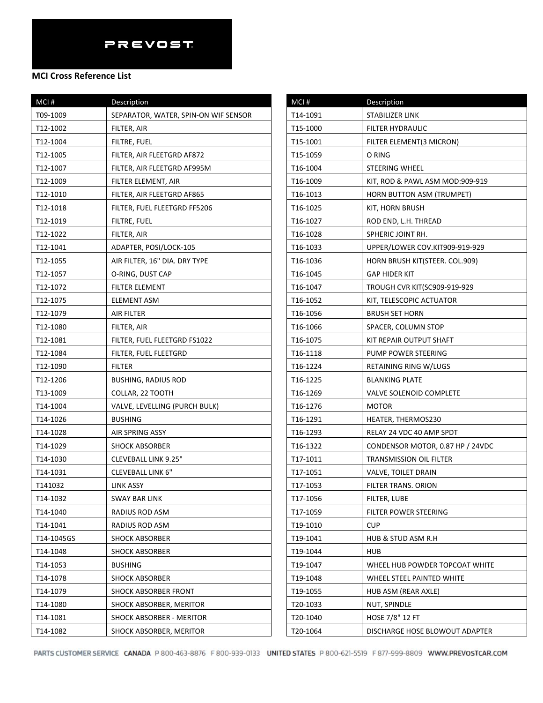| MCI#       | Description                          |
|------------|--------------------------------------|
| T09-1009   | SEPARATOR, WATER, SPIN-ON WIF SENSOR |
| T12-1002   | FILTER, AIR                          |
| T12-1004   | FILTRE, FUEL                         |
| T12-1005   | FILTER, AIR FLEETGRD AF872           |
| T12-1007   | FILTER, AIR FLEETGRD AF995M          |
| T12-1009   | FILTER ELEMENT, AIR                  |
| T12-1010   | FILTER, AIR FLEETGRD AF865           |
| T12-1018   | FILTER, FUEL FLEETGRD FF5206         |
| T12-1019   | FILTRE, FUEL                         |
| T12-1022   | FILTER, AIR                          |
| T12-1041   | ADAPTER, POSI/LOCK-105               |
| T12-1055   | AIR FILTER, 16" DIA. DRY TYPE        |
| T12-1057   | O-RING, DUST CAP                     |
| T12-1072   | FILTER ELEMENT                       |
| T12-1075   | ELEMENT ASM                          |
| T12-1079   | AIR FILTER                           |
| T12-1080   | FILTER, AIR                          |
| T12-1081   | FILTER, FUEL FLEETGRD FS1022         |
| T12-1084   | FILTER, FUEL FLEETGRD                |
| T12-1090   | FILTER                               |
| T12-1206   | <b>BUSHING, RADIUS ROD</b>           |
| T13-1009   | COLLAR, 22 TOOTH                     |
| T14-1004   | VALVE, LEVELLING (PURCH BULK)        |
| T14-1026   | <b>BUSHING</b>                       |
| T14-1028   | AIR SPRING ASSY                      |
| T14-1029   | <b>SHOCK ABSORBER</b>                |
| T14-1030   | <b>CLEVEBALL LINK 9.25"</b>          |
| T14-1031   | <b>CLEVEBALL LINK 6"</b>             |
| T141032    | <b>LINK ASSY</b>                     |
| T14-1032   | SWAY BAR LINK                        |
| T14-1040   | RADIUS ROD ASM                       |
| T14-1041   | RADIUS ROD ASM                       |
| T14-1045GS | <b>SHOCK ABSORBER</b>                |
| T14-1048   | <b>SHOCK ABSORBER</b>                |
| T14-1053   | <b>BUSHING</b>                       |
| T14-1078   | <b>SHOCK ABSORBER</b>                |
| T14-1079   | SHOCK ABSORBER FRONT                 |
| T14-1080   | SHOCK ABSORBER, MERITOR              |
| T14-1081   | SHOCK ABSORBER - MERITOR             |
| T14-1082   | SHOCK ABSORBER, MERITOR              |

| MCI#     | Description                      |
|----------|----------------------------------|
| T14-1091 | STABILIZER LINK                  |
| T15-1000 | FILTER HYDRAULIC                 |
| T15-1001 | FILTER ELEMENT(3 MICRON)         |
| T15-1059 | O RING                           |
| T16-1004 | STEERING WHEEL                   |
| T16-1009 | KIT, ROD & PAWL ASM MOD:909-919  |
| T16-1013 | HORN BUTTON ASM (TRUMPET)        |
| T16-1025 | KIT, HORN BRUSH                  |
| T16-1027 | ROD END, L.H. THREAD             |
| T16-1028 | SPHERIC JOINT RH.                |
| T16-1033 | UPPER/LOWER COV.KIT909-919-929   |
| T16-1036 | HORN BRUSH KIT(STEER. COL.909)   |
| T16-1045 | GAP HIDER KIT                    |
| T16-1047 | TROUGH CVR KIT(SC909-919-929     |
| T16-1052 | KIT, TELESCOPIC ACTUATOR         |
| T16-1056 | <b>BRUSH SET HORN</b>            |
| T16-1066 | SPACER, COLUMN STOP              |
| T16-1075 | KIT REPAIR OUTPUT SHAFT          |
| T16-1118 | PUMP POWER STEERING              |
| T16-1224 | RETAINING RING W/LUGS            |
| T16-1225 | <b>BLANKING PLATE</b>            |
| T16-1269 | VALVE SOLENOID COMPLETE          |
| T16-1276 | <b>MOTOR</b>                     |
| T16-1291 | HEATER, THERMOS230               |
| T16-1293 | RELAY 24 VDC 40 AMP SPDT         |
| T16-1322 | CONDENSOR MOTOR, 0.87 HP / 24VDC |
| T17-1011 | TRANSMISSION OIL FILTER          |
| T17-1051 | VALVE, TOILET DRAIN              |
| T17-1053 | FILTER TRANS. ORION              |
| T17-1056 | FILTER, LUBE                     |
| T17-1059 | FILTER POWER STEERING            |
| T19-1010 | <b>CUP</b>                       |
| T19-1041 | <b>HUB &amp; STUD ASM R.H</b>    |
| T19-1044 | HUB                              |
| T19-1047 | WHEEL HUB POWDER TOPCOAT WHITE   |
| T19-1048 | WHEEL STEEL PAINTED WHITE        |
| T19-1055 | HUB ASM (REAR AXLE)              |
| T20-1033 | NUT, SPINDLE                     |
| T20-1040 | HOSE 7/8" 12 FT                  |
| T20-1064 | DISCHARGE HOSE BLOWOUT ADAPTER   |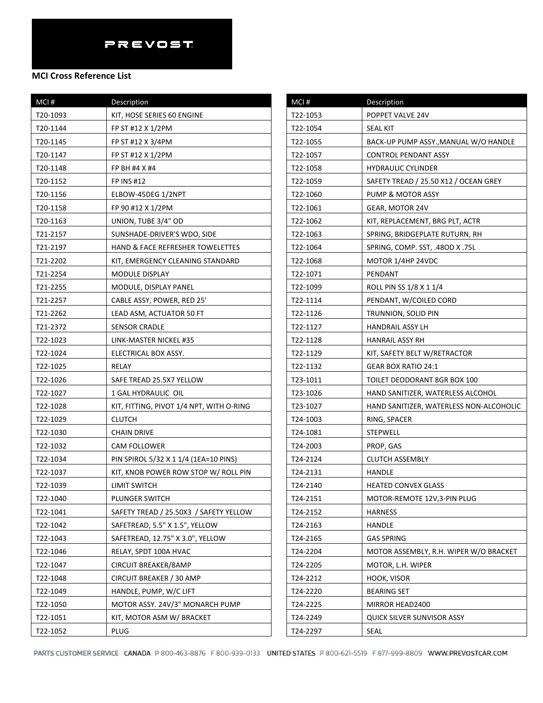| MCI#     | <b>Description</b>                       |
|----------|------------------------------------------|
| T20-1093 | KIT, HOSE SERIES 60 ENGINE               |
| T20-1144 | FP ST #12 X 1/2PM                        |
| T20-1145 | FP ST #12 X 3/4PM                        |
| T20-1147 | FP ST #12 X 1/2PM                        |
| T20-1148 | FP BH #4 X #4                            |
| T20-1152 | <b>FP INS #12</b>                        |
| T20-1156 | ELBOW-45DEG 1/2NPT                       |
| T20-1158 | FP 90 #12 X 1/2PM                        |
| T20-1163 | UNION, TUBE 3/4" OD                      |
| T21-2157 | SUNSHADE-DRIVER'S WDO, SIDE              |
| T21-2197 | HAND & FACE REFRESHER TOWELETTES         |
| T21-2202 | KIT, EMERGENCY CLEANING STANDARD         |
| T21-2254 | MODULE DISPLAY                           |
| T21-2255 | MODULE, DISPLAY PANEL                    |
| T21-2257 | CABLE ASSY, POWER, RED 25'               |
| T21-2262 | LEAD ASM, ACTUATOR 50 FT                 |
| T21-2372 | <b>SENSOR CRADLE</b>                     |
| T22-1023 | LINK-MASTER NICKEL #35                   |
| T22-1024 | ELECTRICAL BOX ASSY.                     |
| T22-1025 | RELAY                                    |
| T22-1026 | SAFE TREAD 25.5X7 YELLOW                 |
| T22-1027 | 1 GAL HYDRAULIC OIL                      |
| T22-1028 | KIT, FITTING, PIVOT 1/4 NPT, WITH O-RING |
| T22-1029 | <b>CLUTCH</b>                            |
| T22-1030 | <b>CHAIN DRIVE</b>                       |
| T22-1032 | CAM FOLLOWER                             |
| T22-1034 | PIN SPIROL 5/32 X 1 1/4 (1EA=10 PINS)    |
| T22-1037 | KIT, KNOB POWER ROW STOP W/ ROLL PIN     |
| T22-1039 | LIMIT SWITCH                             |
| T22-1040 | PLUNGER SWITCH                           |
| T22-1041 | SAFETY TREAD / 25.50X3 / SAFETY YELLOW   |
| T22-1042 | SAFETREAD, 5.5" X 1.5", YELLOW           |
| T22-1043 | SAFETREAD, 12.75" X 3.0", YELLOW         |
| T22-1046 | RELAY, SPDT 100A HVAC                    |
| T22-1047 | CIRCUIT BREAKER/8AMP                     |
| T22-1048 | CIRCUIT BREAKER / 30 AMP                 |
| T22-1049 | HANDLE, PUMP, W/C LIFT                   |
| T22-1050 | MOTOR ASSY. 24V/3" MONARCH PUMP          |
| T22-1051 | KIT, MOTOR ASM W/ BRACKET                |
| T22-1052 | PLUG                                     |

| MCI#     | Description                             |
|----------|-----------------------------------------|
| T22-1053 | POPPET VALVE 24V                        |
| T22-1054 | SEAL KIT                                |
| T22-1055 | BACK-UP PUMP ASSY., MANUAL W/O HANDLE   |
| T22-1057 | <b>CONTROL PENDANT ASSY</b>             |
| T22-1058 | <b>HYDRAULIC CYLINDER</b>               |
| T22-1059 | SAFETY TREAD / 25.50 X12 / OCEAN GREY   |
| T22-1060 | PUMP & MOTOR ASSY                       |
| T22-1061 | GEAR, MOTOR 24V                         |
| T22-1062 | KIT, REPLACEMENT, BRG PLT, ACTR         |
| T22-1063 | SPRING, BRIDGEPLATE RUTURN, RH          |
| T22-1064 | SPRING, COMP. SST, .48OD X .75L         |
| T22-1068 | MOTOR 1/4HP 24VDC                       |
| T22-1071 | PENDANT                                 |
| T22-1099 | ROLL PIN SS 1/8 X 1 1/4                 |
| T22-1114 | PENDANT, W/COILED CORD                  |
| T22-1126 | TRUNNION, SOLID PIN                     |
| T22-1127 | HANDRAIL ASSY LH                        |
| T22-1128 | <b>HANRAIL ASSY RH</b>                  |
| T22-1129 | KIT, SAFETY BELT W/RETRACTOR            |
| T22-1132 | GEAR BOX RATIO 24:1                     |
| T23-1011 | TOILET DEODORANT 8GR BOX 100            |
| T23-1026 | HAND SANITIZER, WATERLESS ALCOHOL       |
| T23-1027 | HAND SANITIZER, WATERLESS NON-ALCOHOLIC |
| T24-1003 | RING, SPACER                            |
| T24-1081 | STEPWELL                                |
| T24-2003 | PROP, GAS                               |
| T24-2124 | <b>CLUTCH ASSEMBLY</b>                  |
| T24-2131 | HANDLE                                  |
| T24-2140 | <b>HEATED CONVEX GLASS</b>              |
| T24-2151 | MOTOR-REMOTE 12V,3-PIN PLUG             |
| T24-2152 | HARNESS                                 |
| T24-2163 | HANDLE                                  |
| T24-2165 | GAS SPRING                              |
| T24-2204 | MOTOR ASSEMBLY, R.H. WIPER W/O BRACKET  |
| T24-2205 | MOTOR, L.H. WIPER                       |
| T24-2212 | HOOK, VISOR                             |
| T24-2220 | <b>BEARING SET</b>                      |
| T24-2225 | MIRROR HEAD2400                         |
| T24-2249 | QUICK SILVER SUNVISOR ASSY              |
| T24-2297 | SEAL                                    |